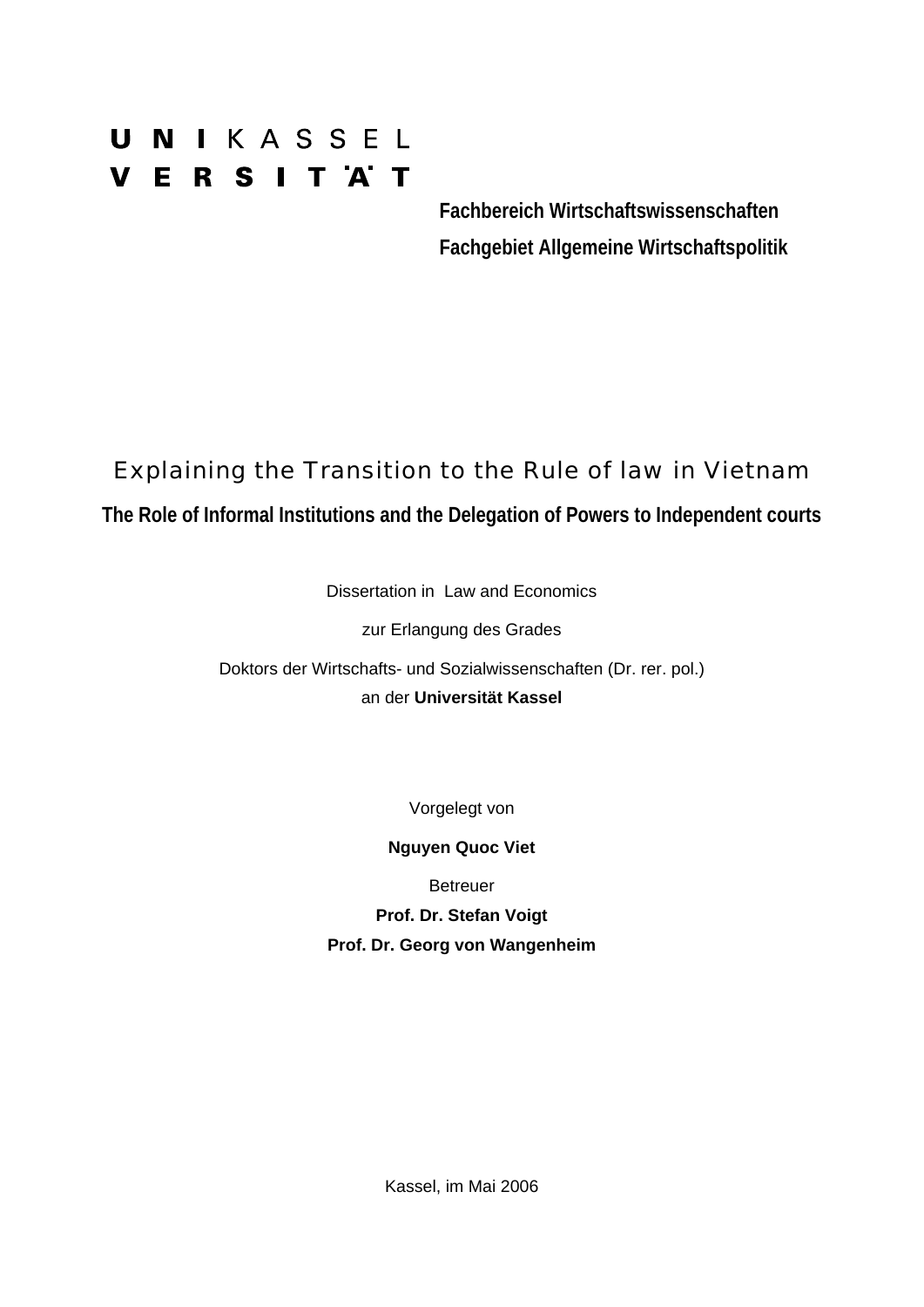# UNIKASSEL **VERSITAT**

 **Fachbereich Wirtschaftswissenschaften Fachgebiet Allgemeine Wirtschaftspolitik** 

# Explaining the Transition to the Rule of law in Vietnam

**The Role of Informal Institutions and the Delegation of Powers to Independent courts** 

Dissertation in Law and Economics

zur Erlangung des Grades

Doktors der Wirtschafts- und Sozialwissenschaften (Dr. rer. pol.) an der **Universität Kassel** 

Vorgelegt von

**Nguyen Quoc Viet** 

Betreuer

**Prof. Dr. Stefan Voigt Prof. Dr. Georg von Wangenheim**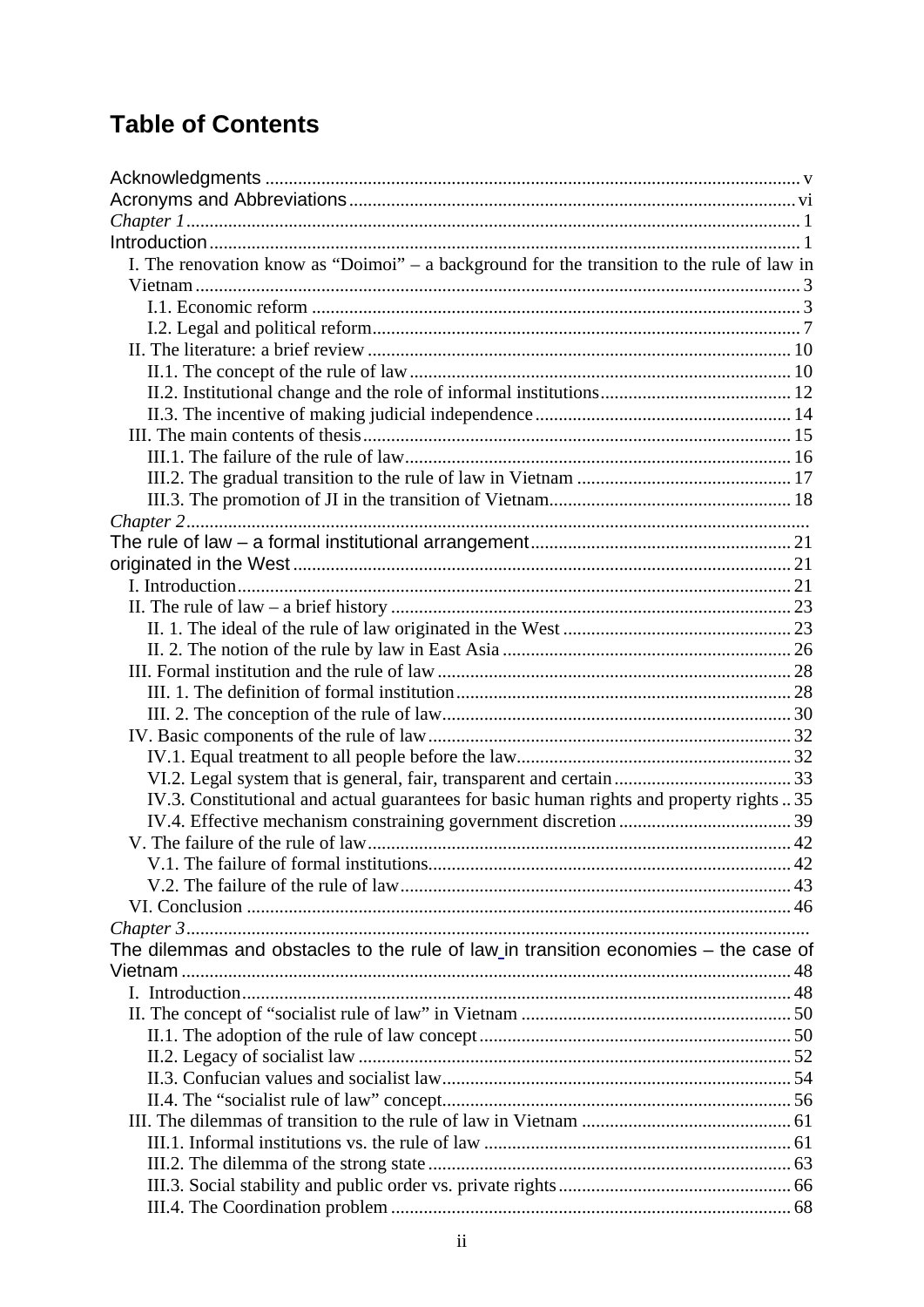# **Table of Contents**

| I. The renovation know as "Doimoi" - a background for the transition to the rule of law in |  |
|--------------------------------------------------------------------------------------------|--|
|                                                                                            |  |
|                                                                                            |  |
|                                                                                            |  |
|                                                                                            |  |
|                                                                                            |  |
|                                                                                            |  |
|                                                                                            |  |
|                                                                                            |  |
|                                                                                            |  |
|                                                                                            |  |
|                                                                                            |  |
|                                                                                            |  |
|                                                                                            |  |
|                                                                                            |  |
|                                                                                            |  |
|                                                                                            |  |
|                                                                                            |  |
|                                                                                            |  |
|                                                                                            |  |
|                                                                                            |  |
|                                                                                            |  |
|                                                                                            |  |
|                                                                                            |  |
|                                                                                            |  |
| IV.3. Constitutional and actual guarantees for basic human rights and property rights  35  |  |
|                                                                                            |  |
|                                                                                            |  |
|                                                                                            |  |
|                                                                                            |  |
|                                                                                            |  |
|                                                                                            |  |
| The dilemmas and obstacles to the rule of law in transition economies - the case of        |  |
|                                                                                            |  |
|                                                                                            |  |
|                                                                                            |  |
|                                                                                            |  |
|                                                                                            |  |
|                                                                                            |  |
|                                                                                            |  |
|                                                                                            |  |
|                                                                                            |  |
|                                                                                            |  |
|                                                                                            |  |
|                                                                                            |  |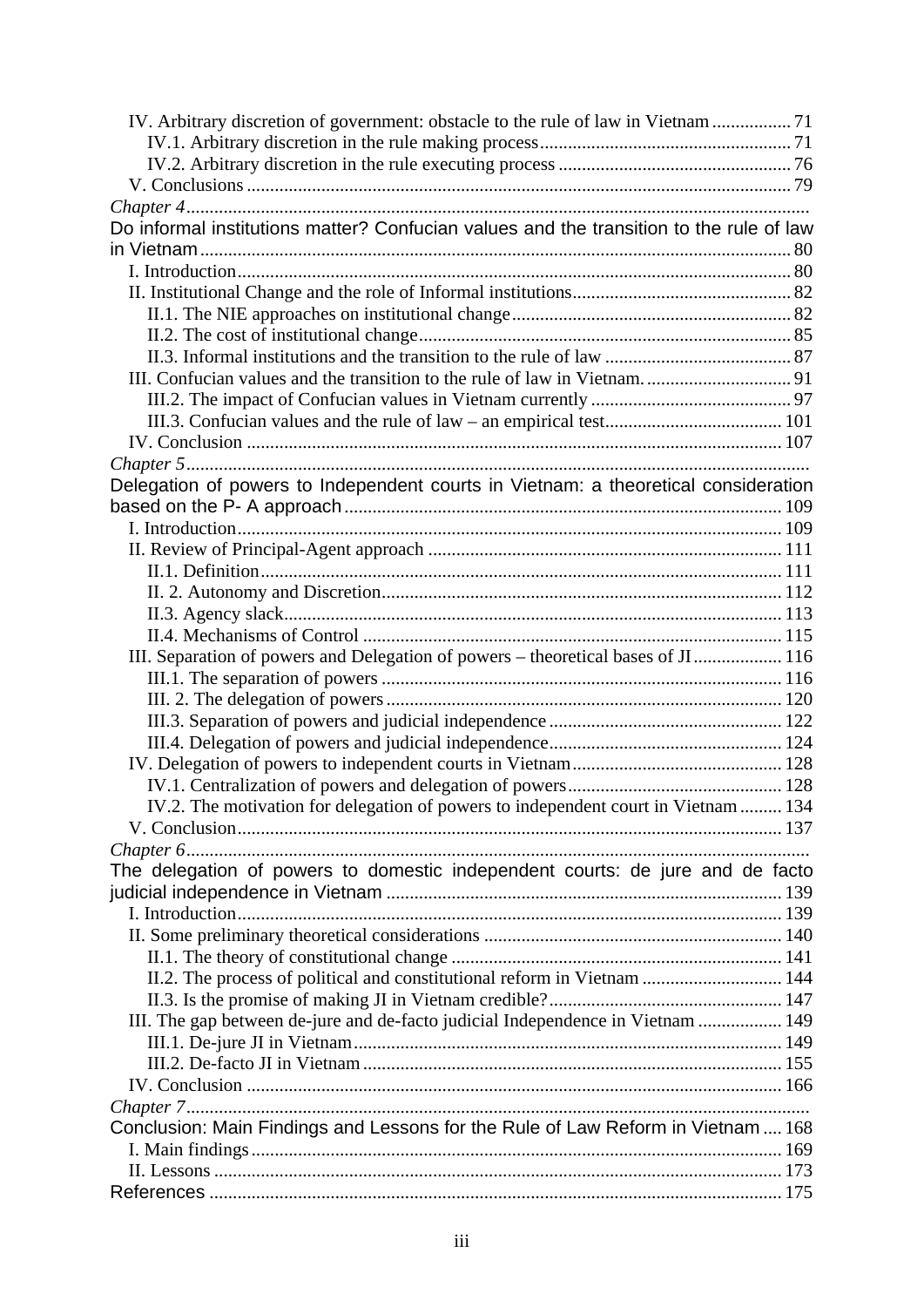| Do informal institutions matter? Confucian values and the transition to the rule of law |  |
|-----------------------------------------------------------------------------------------|--|
|                                                                                         |  |
|                                                                                         |  |
|                                                                                         |  |
|                                                                                         |  |
|                                                                                         |  |
|                                                                                         |  |
|                                                                                         |  |
|                                                                                         |  |
|                                                                                         |  |
|                                                                                         |  |
|                                                                                         |  |
| Delegation of powers to Independent courts in Vietnam: a theoretical consideration      |  |
|                                                                                         |  |
|                                                                                         |  |
|                                                                                         |  |
|                                                                                         |  |
|                                                                                         |  |
|                                                                                         |  |
|                                                                                         |  |
| III. Separation of powers and Delegation of powers - theoretical bases of JI 116        |  |
|                                                                                         |  |
|                                                                                         |  |
|                                                                                         |  |
|                                                                                         |  |
|                                                                                         |  |
| IV.2. The motivation for delegation of powers to independent court in Vietnam  134      |  |
|                                                                                         |  |
|                                                                                         |  |
| The delegation of powers to domestic independent courts: de jure and de facto           |  |
|                                                                                         |  |
|                                                                                         |  |
|                                                                                         |  |
|                                                                                         |  |
| II.2. The process of political and constitutional reform in Vietnam  144                |  |
|                                                                                         |  |
| III. The gap between de-jure and de-facto judicial Independence in Vietnam  149         |  |
|                                                                                         |  |
|                                                                                         |  |
|                                                                                         |  |
|                                                                                         |  |
| Conclusion: Main Findings and Lessons for the Rule of Law Reform in Vietnam  168        |  |
|                                                                                         |  |
|                                                                                         |  |
|                                                                                         |  |
|                                                                                         |  |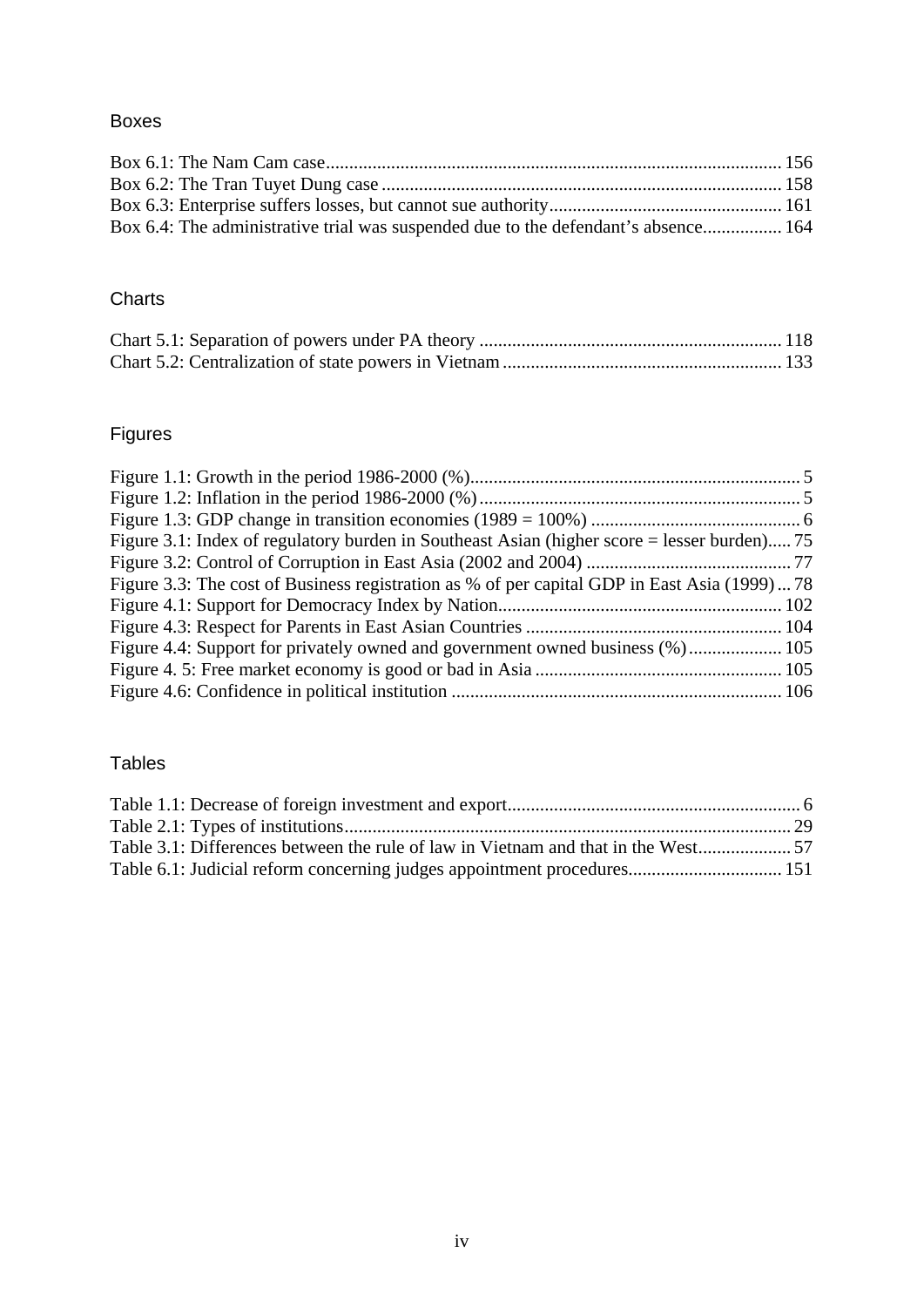# Boxes

| Box 6.4: The administrative trial was suspended due to the defendant's absence 164 |  |
|------------------------------------------------------------------------------------|--|

# **Charts**

# Figures

| Figure 3.1: Index of regulatory burden in Southeast Asian (higher score = lesser burden) 75  |  |
|----------------------------------------------------------------------------------------------|--|
|                                                                                              |  |
| Figure 3.3: The cost of Business registration as % of per capital GDP in East Asia (1999) 78 |  |
|                                                                                              |  |
|                                                                                              |  |
| Figure 4.4: Support for privately owned and government owned business (%) 105                |  |
|                                                                                              |  |
|                                                                                              |  |

# Tables

| Table 6.1: Judicial reform concerning judges appointment procedures 151 |  |
|-------------------------------------------------------------------------|--|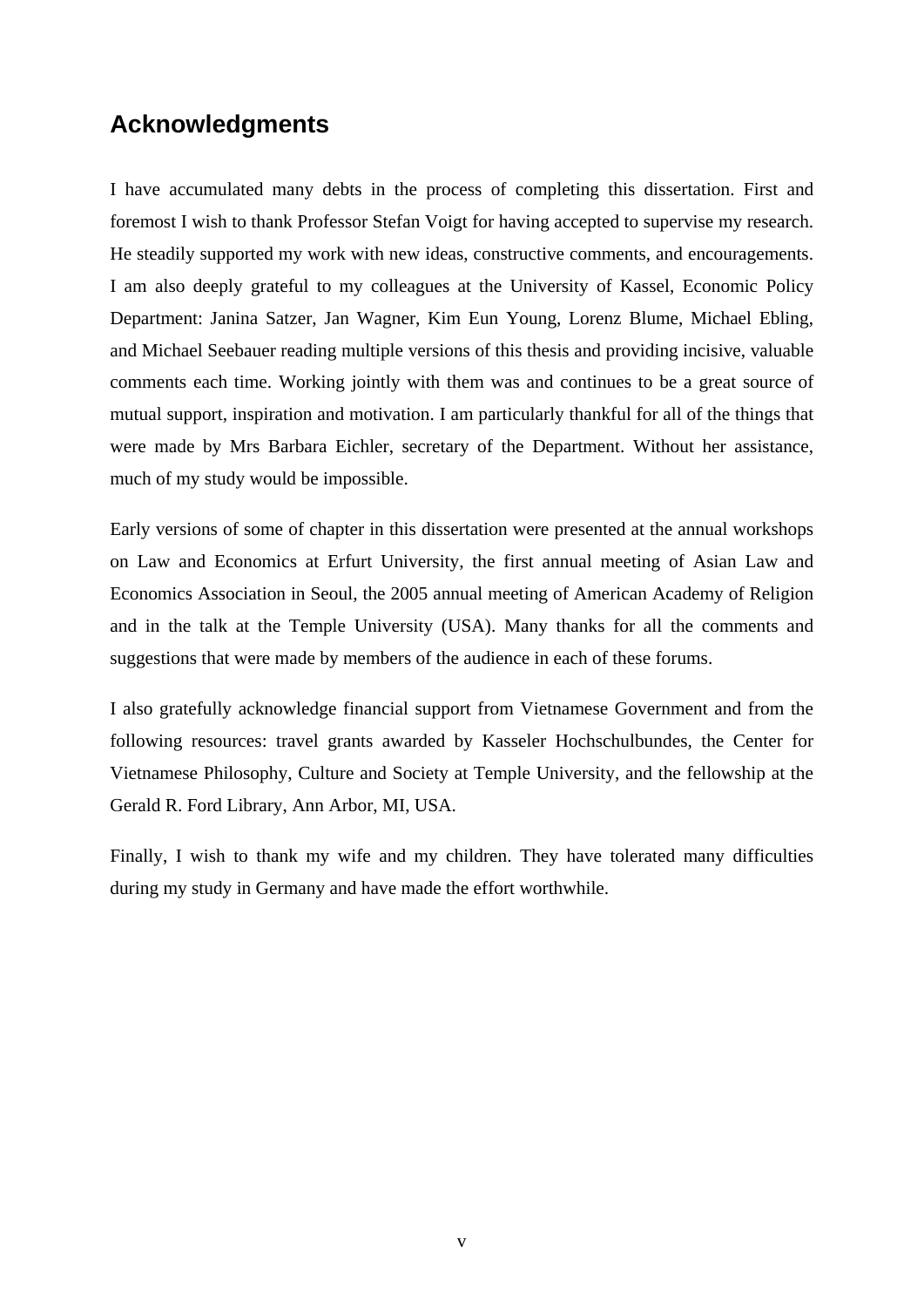# <span id="page-4-0"></span>**Acknowledgments**

I have accumulated many debts in the process of completing this dissertation. First and foremost I wish to thank Professor Stefan Voigt for having accepted to supervise my research. He steadily supported my work with new ideas, constructive comments, and encouragements. I am also deeply grateful to my colleagues at the University of Kassel, Economic Policy Department: Janina Satzer, Jan Wagner, Kim Eun Young, Lorenz Blume, Michael Ebling, and Michael Seebauer reading multiple versions of this thesis and providing incisive, valuable comments each time. Working jointly with them was and continues to be a great source of mutual support, inspiration and motivation. I am particularly thankful for all of the things that were made by Mrs Barbara Eichler, secretary of the Department. Without her assistance, much of my study would be impossible.

Early versions of some of chapter in this dissertation were presented at the annual workshops on Law and Economics at Erfurt University, the first annual meeting of Asian Law and Economics Association in Seoul, the 2005 annual meeting of American Academy of Religion and in the talk at the Temple University (USA). Many thanks for all the comments and suggestions that were made by members of the audience in each of these forums.

I also gratefully acknowledge financial support from Vietnamese Government and from the following resources: travel grants awarded by Kasseler Hochschulbundes, the Center for Vietnamese Philosophy, Culture and Society at Temple University, and the fellowship at the Gerald R. Ford Library, Ann Arbor, MI, USA.

Finally, I wish to thank my wife and my children. They have tolerated many difficulties during my study in Germany and have made the effort worthwhile.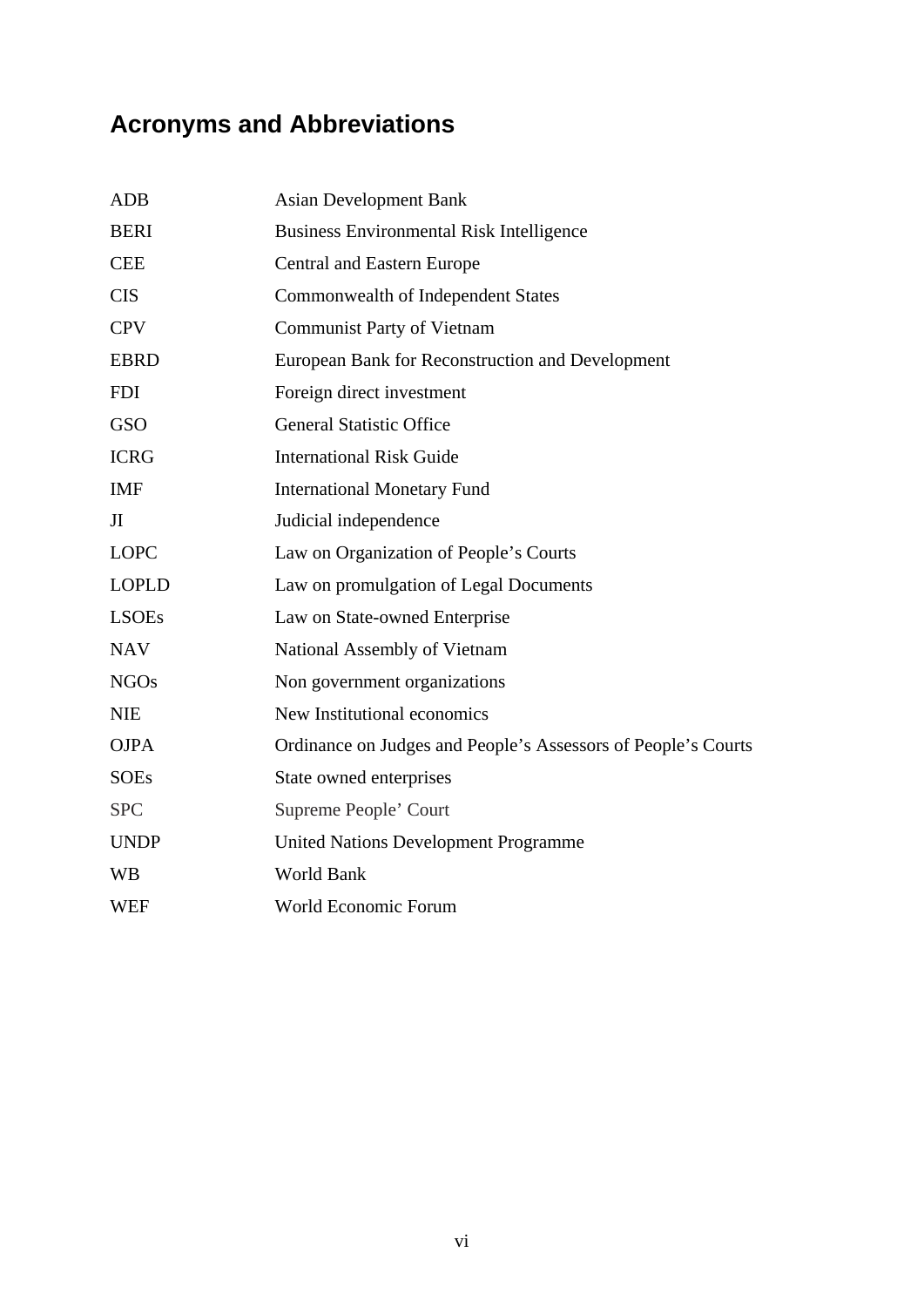# <span id="page-5-0"></span>**Acronyms and Abbreviations**

| <b>ADB</b>   | <b>Asian Development Bank</b>                                 |
|--------------|---------------------------------------------------------------|
| <b>BERI</b>  | <b>Business Environmental Risk Intelligence</b>               |
| <b>CEE</b>   | <b>Central and Eastern Europe</b>                             |
| <b>CIS</b>   | Commonwealth of Independent States                            |
| <b>CPV</b>   | <b>Communist Party of Vietnam</b>                             |
| <b>EBRD</b>  | European Bank for Reconstruction and Development              |
| <b>FDI</b>   | Foreign direct investment                                     |
| <b>GSO</b>   | <b>General Statistic Office</b>                               |
| <b>ICRG</b>  | <b>International Risk Guide</b>                               |
| <b>IMF</b>   | <b>International Monetary Fund</b>                            |
| JI           | Judicial independence                                         |
| <b>LOPC</b>  | Law on Organization of People's Courts                        |
| <b>LOPLD</b> | Law on promulgation of Legal Documents                        |
| <b>LSOEs</b> | Law on State-owned Enterprise                                 |
| <b>NAV</b>   | National Assembly of Vietnam                                  |
| <b>NGOs</b>  | Non government organizations                                  |
| <b>NIE</b>   | New Institutional economics                                   |
| <b>OJPA</b>  | Ordinance on Judges and People's Assessors of People's Courts |
| <b>SOEs</b>  | State owned enterprises                                       |
| <b>SPC</b>   | Supreme People' Court                                         |
| <b>UNDP</b>  | <b>United Nations Development Programme</b>                   |
| <b>WB</b>    | World Bank                                                    |
| WEF          | World Economic Forum                                          |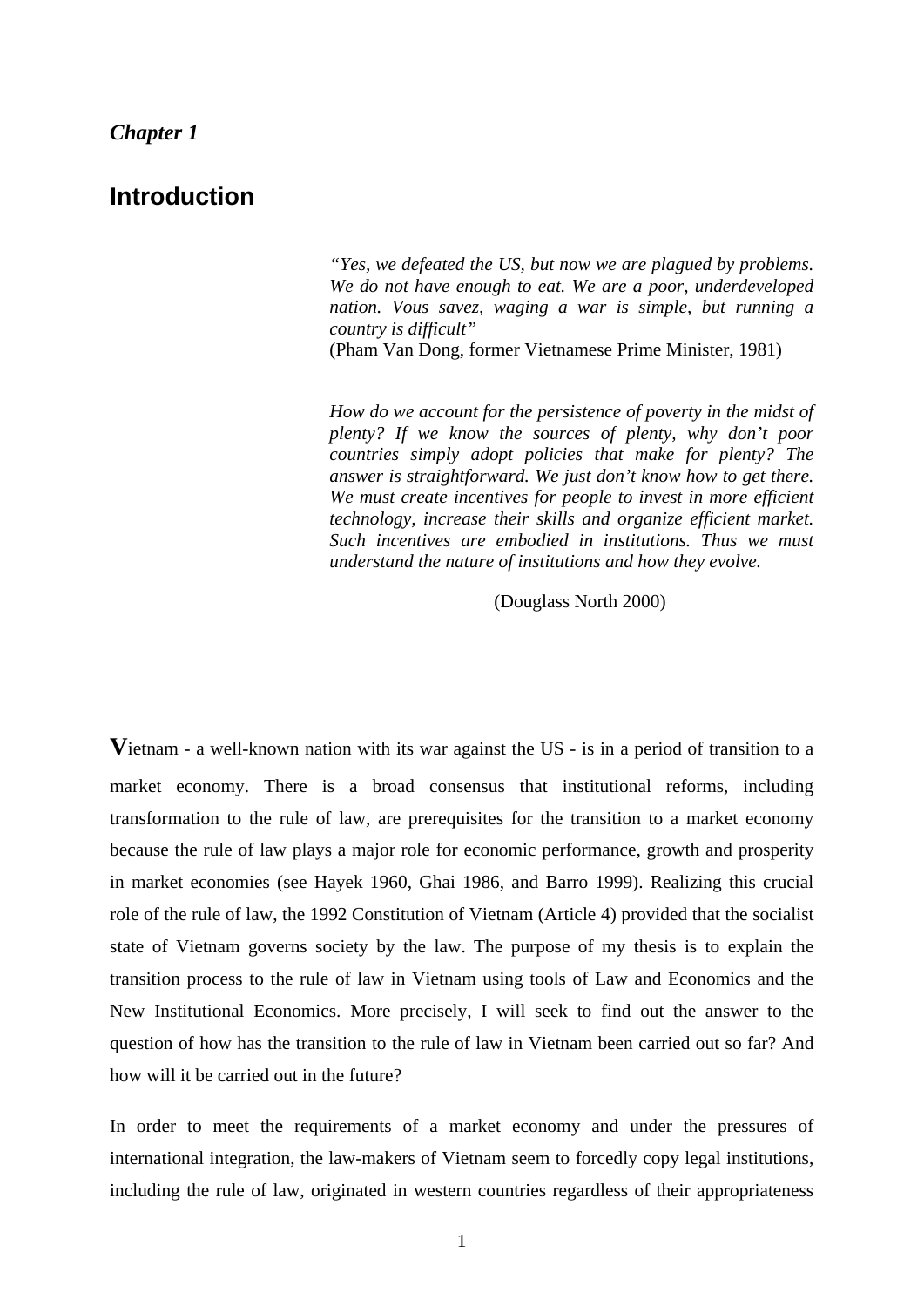# <span id="page-6-0"></span>**Introduction**

*"Yes, we defeated the US, but now we are plagued by problems. We do not have enough to eat. We are a poor, underdeveloped nation. Vous savez, waging a war is simple, but running a country is difficult"*  (Pham Van Dong, former Vietnamese Prime Minister, 1981)

*How do we account for the persistence of poverty in the midst of plenty? If we know the sources of plenty, why don't poor countries simply adopt policies that make for plenty? The answer is straightforward. We just don't know how to get there. We must create incentives for people to invest in more efficient technology, increase their skills and organize efficient market. Such incentives are embodied in institutions. Thus we must understand the nature of institutions and how they evolve.* 

(Douglass North 2000)

**V**ietnam - a well-known nation with its war against the US - is in a period of transition to a market economy. There is a broad consensus that institutional reforms, including transformation to the rule of law, are prerequisites for the transition to a market economy because the rule of law plays a major role for economic performance, growth and prosperity in market economies (see Hayek 1960, Ghai 1986, and Barro 1999). Realizing this crucial role of the rule of law, the 1992 Constitution of Vietnam (Article 4) provided that the socialist state of Vietnam governs society by the law. The purpose of my thesis is to explain the transition process to the rule of law in Vietnam using tools of Law and Economics and the New Institutional Economics. More precisely, I will seek to find out the answer to the question of how has the transition to the rule of law in Vietnam been carried out so far? And how will it be carried out in the future?

In order to meet the requirements of a market economy and under the pressures of international integration, the law-makers of Vietnam seem to forcedly copy legal institutions, including the rule of law, originated in western countries regardless of their appropriateness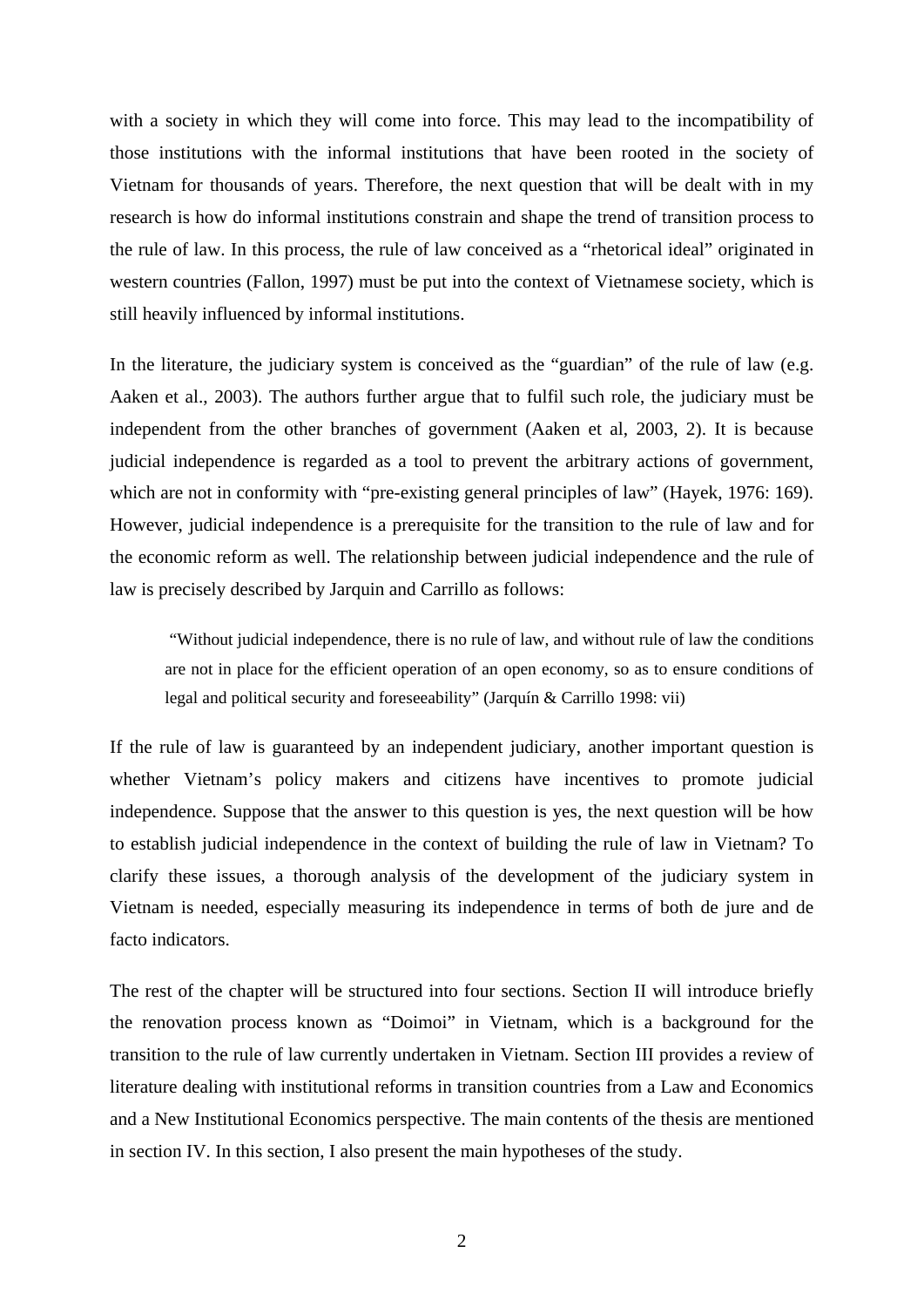with a society in which they will come into force. This may lead to the incompatibility of those institutions with the informal institutions that have been rooted in the society of Vietnam for thousands of years. Therefore, the next question that will be dealt with in my research is how do informal institutions constrain and shape the trend of transition process to the rule of law. In this process, the rule of law conceived as a "rhetorical ideal" originated in western countries (Fallon, 1997) must be put into the context of Vietnamese society, which is still heavily influenced by informal institutions.

In the literature, the judiciary system is conceived as the "guardian" of the rule of law (e.g. Aaken et al., 2003). The authors further argue that to fulfil such role, the judiciary must be independent from the other branches of government (Aaken et al, 2003, 2). It is because judicial independence is regarded as a tool to prevent the arbitrary actions of government, which are not in conformity with "pre-existing general principles of law" (Hayek, 1976: 169). However, judicial independence is a prerequisite for the transition to the rule of law and for the economic reform as well. The relationship between judicial independence and the rule of law is precisely described by Jarquin and Carrillo as follows:

"Without judicial independence, there is no rule of law, and without rule of law the conditions are not in place for the efficient operation of an open economy, so as to ensure conditions of legal and political security and foreseeability" (Jarquín & Carrillo 1998: vii)

If the rule of law is guaranteed by an independent judiciary, another important question is whether Vietnam's policy makers and citizens have incentives to promote judicial independence. Suppose that the answer to this question is yes, the next question will be how to establish judicial independence in the context of building the rule of law in Vietnam? To clarify these issues, a thorough analysis of the development of the judiciary system in Vietnam is needed, especially measuring its independence in terms of both de jure and de facto indicators.

The rest of the chapter will be structured into four sections. Section II will introduce briefly the renovation process known as "Doimoi" in Vietnam, which is a background for the transition to the rule of law currently undertaken in Vietnam. Section III provides a review of literature dealing with institutional reforms in transition countries from a Law and Economics and a New Institutional Economics perspective. The main contents of the thesis are mentioned in section IV. In this section, I also present the main hypotheses of the study.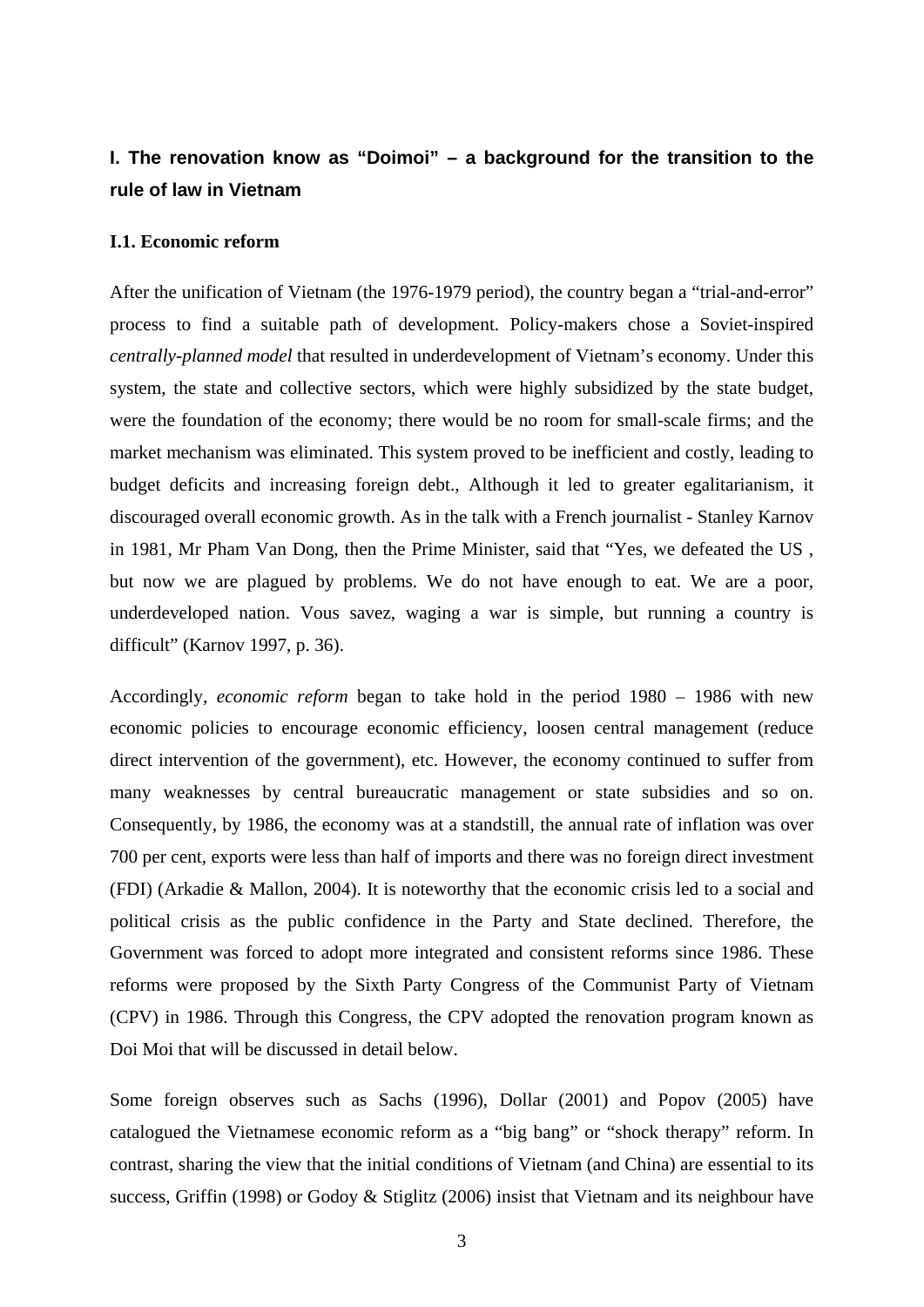# <span id="page-8-0"></span>**I. The renovation know as "Doimoi" – a background for the transition to the rule of law in Vietnam**

## **I.1. Economic reform**

After the unification of Vietnam (the 1976-1979 period), the country began a "trial-and-error" process to find a suitable path of development. Policy-makers chose a Soviet-inspired *centrally-planned model* that resulted in underdevelopment of Vietnam's economy. Under this system, the state and collective sectors, which were highly subsidized by the state budget, were the foundation of the economy; there would be no room for small-scale firms; and the market mechanism was eliminated. This system proved to be inefficient and costly, leading to budget deficits and increasing foreign debt., Although it led to greater egalitarianism, it discouraged overall economic growth. As in the talk with a French journalist - Stanley Karnov in 1981, Mr Pham Van Dong, then the Prime Minister, said that "Yes, we defeated the US , but now we are plagued by problems. We do not have enough to eat. We are a poor, underdeveloped nation. Vous savez, waging a war is simple, but running a country is difficult" (Karnov 1997, p. 36).

Accordingly, *economic reform* began to take hold in the period 1980 – 1986 with new economic policies to encourage economic efficiency, loosen central management (reduce direct intervention of the government), etc. However, the economy continued to suffer from many weaknesses by central bureaucratic management or state subsidies and so on. Consequently, by 1986, the economy was at a standstill, the annual rate of inflation was over 700 per cent, exports were less than half of imports and there was no foreign direct investment (FDI) (Arkadie & Mallon, 2004). It is noteworthy that the economic crisis led to a social and political crisis as the public confidence in the Party and State declined. Therefore, the Government was forced to adopt more integrated and consistent reforms since 1986. These reforms were proposed by the Sixth Party Congress of the Communist Party of Vietnam (CPV) in 1986. Through this Congress, the CPV adopted the renovation program known as Doi Moi that will be discussed in detail below.

Some foreign observes such as Sachs (1996), Dollar (2001) and Popov (2005) have catalogued the Vietnamese economic reform as a "big bang" or "shock therapy" reform. In contrast, sharing the view that the initial conditions of Vietnam (and China) are essential to its success, Griffin (1998) or Godoy & Stiglitz (2006) insist that Vietnam and its neighbour have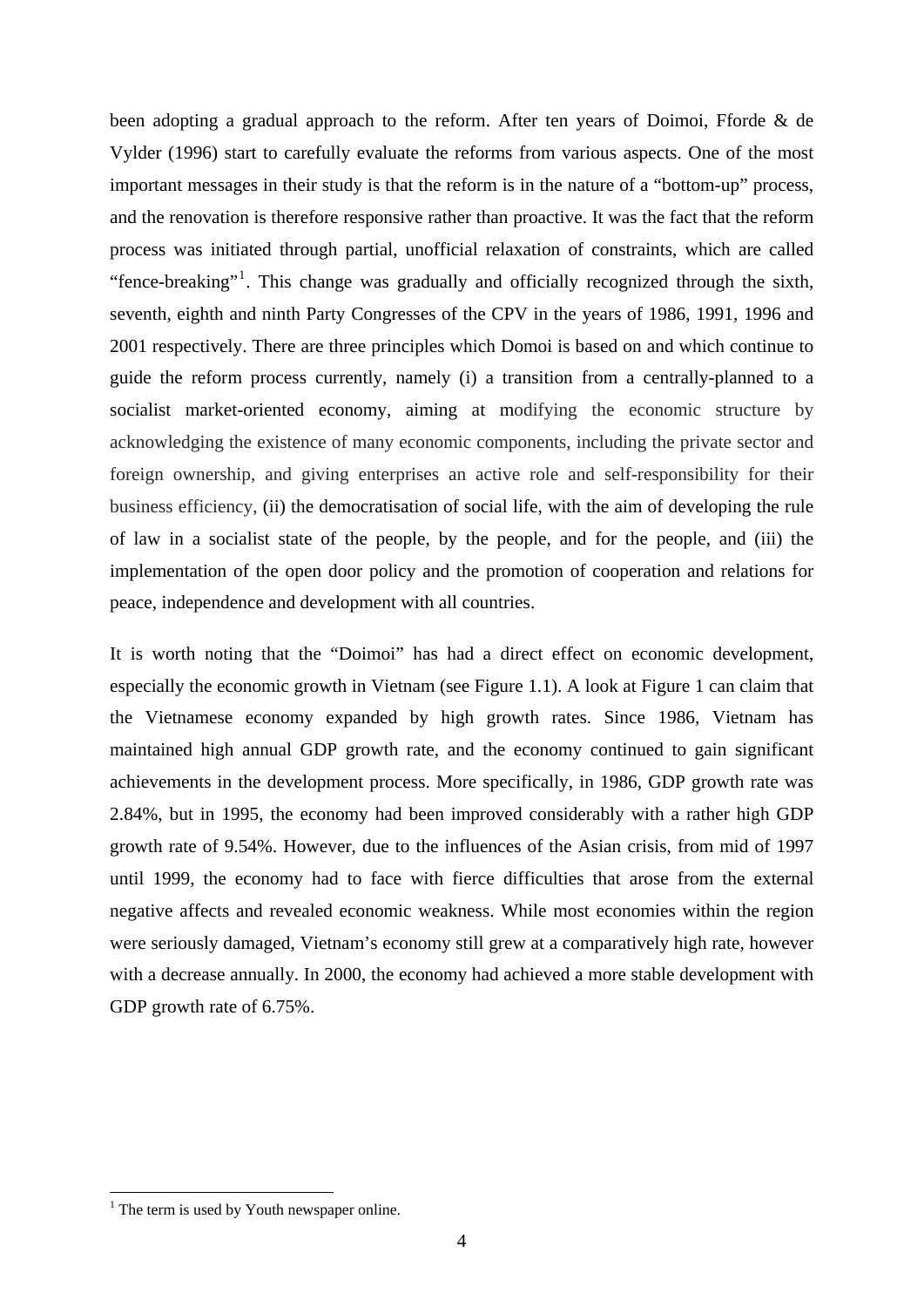been adopting a gradual approach to the reform. After ten years of Doimoi, Fforde & de Vylder (1996) start to carefully evaluate the reforms from various aspects. One of the most important messages in their study is that the reform is in the nature of a "bottom-up" process, and the renovation is therefore responsive rather than proactive. It was the fact that the reform process was initiated through partial, unofficial relaxation of constraints, which are called "fence-breaking"<sup>[1](#page-9-0)</sup>. This change was gradually and officially recognized through the sixth, seventh, eighth and ninth Party Congresses of the CPV in the years of 1986, 1991, 1996 and 2001 respectively. There are three principles which Domoi is based on and which continue to guide the reform process currently, namely (i) a transition from a centrally-planned to a socialist market-oriented economy, aiming at modifying the economic structure by acknowledging the existence of many economic components, including the private sector and foreign ownership, and giving enterprises an active role and self-responsibility for their business efficiency, (ii) the democratisation of social life, with the aim of developing the rule of law in a socialist state of the people, by the people, and for the people, and (iii) the implementation of the open door policy and the promotion of cooperation and relations for peace, independence and development with all countries.

It is worth noting that the "Doimoi" has had a direct effect on economic development, especially the economic growth in Vietnam (see Figure 1.1). A look at Figure 1 can claim that the Vietnamese economy expanded by high growth rates. Since 1986, Vietnam has maintained high annual GDP growth rate, and the economy continued to gain significant achievements in the development process. More specifically, in 1986, GDP growth rate was 2.84%, but in 1995, the economy had been improved considerably with a rather high GDP growth rate of 9.54%. However, due to the influences of the Asian crisis, from mid of 1997 until 1999, the economy had to face with fierce difficulties that arose from the external negative affects and revealed economic weakness. While most economies within the region were seriously damaged, Vietnam's economy still grew at a comparatively high rate, however with a decrease annually. In 2000, the economy had achieved a more stable development with GDP growth rate of 6.75%.

<span id="page-9-0"></span><sup>&</sup>lt;sup>1</sup> The term is used by Youth newspaper online.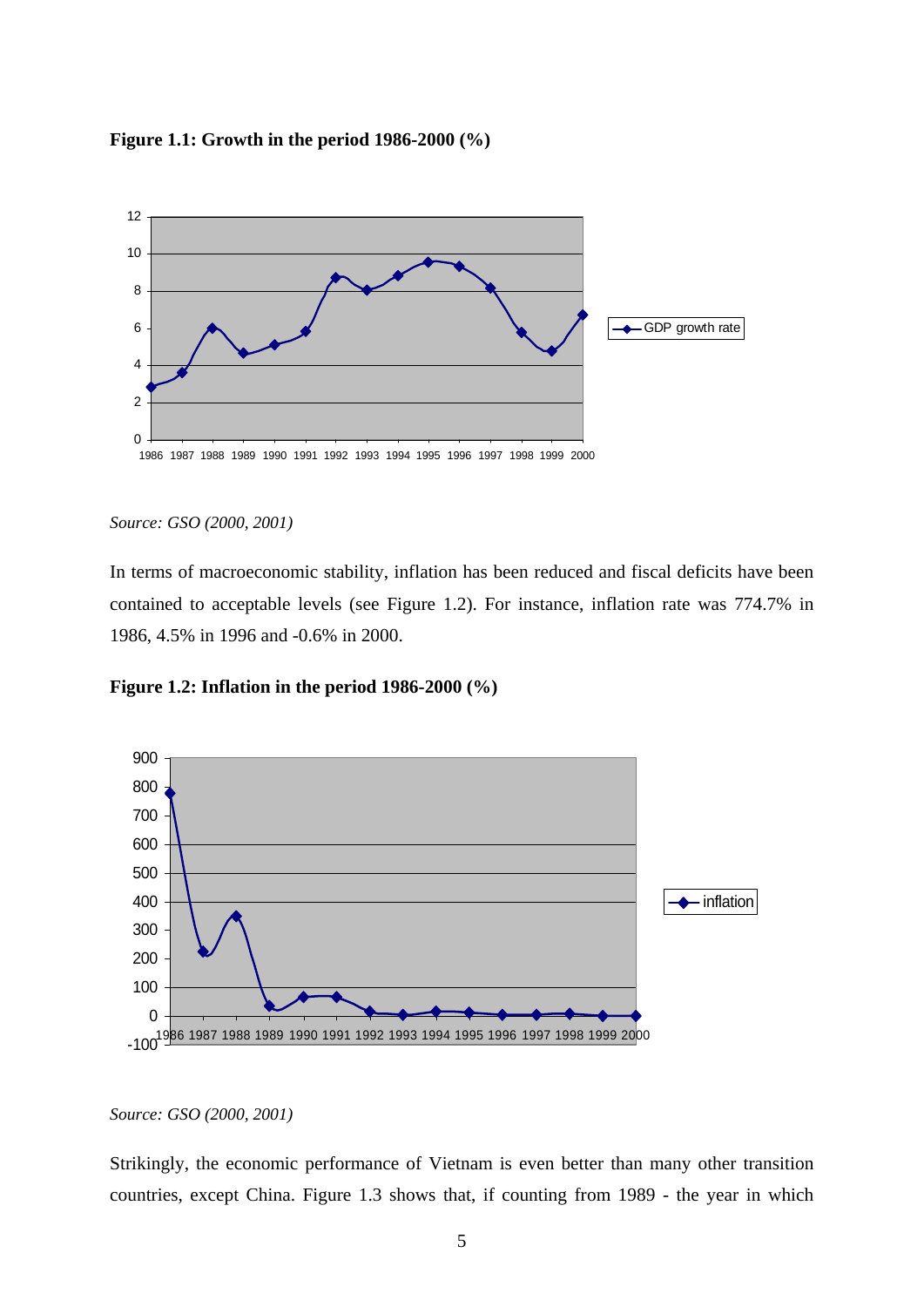<span id="page-10-0"></span>



*Source: GSO (2000, 2001)* 

In terms of macroeconomic stability, inflation has been reduced and fiscal deficits have been contained to acceptable levels (see Figure 1.2). For instance, inflation rate was 774.7% in 1986, 4.5% in 1996 and -0.6% in 2000.

**Figure 1.2: Inflation in the period 1986-2000 (%)** 



*Source: GSO (2000, 2001)* 

Strikingly, the economic performance of Vietnam is even better than many other transition countries, except China. Figure 1.3 shows that, if counting from 1989 - the year in which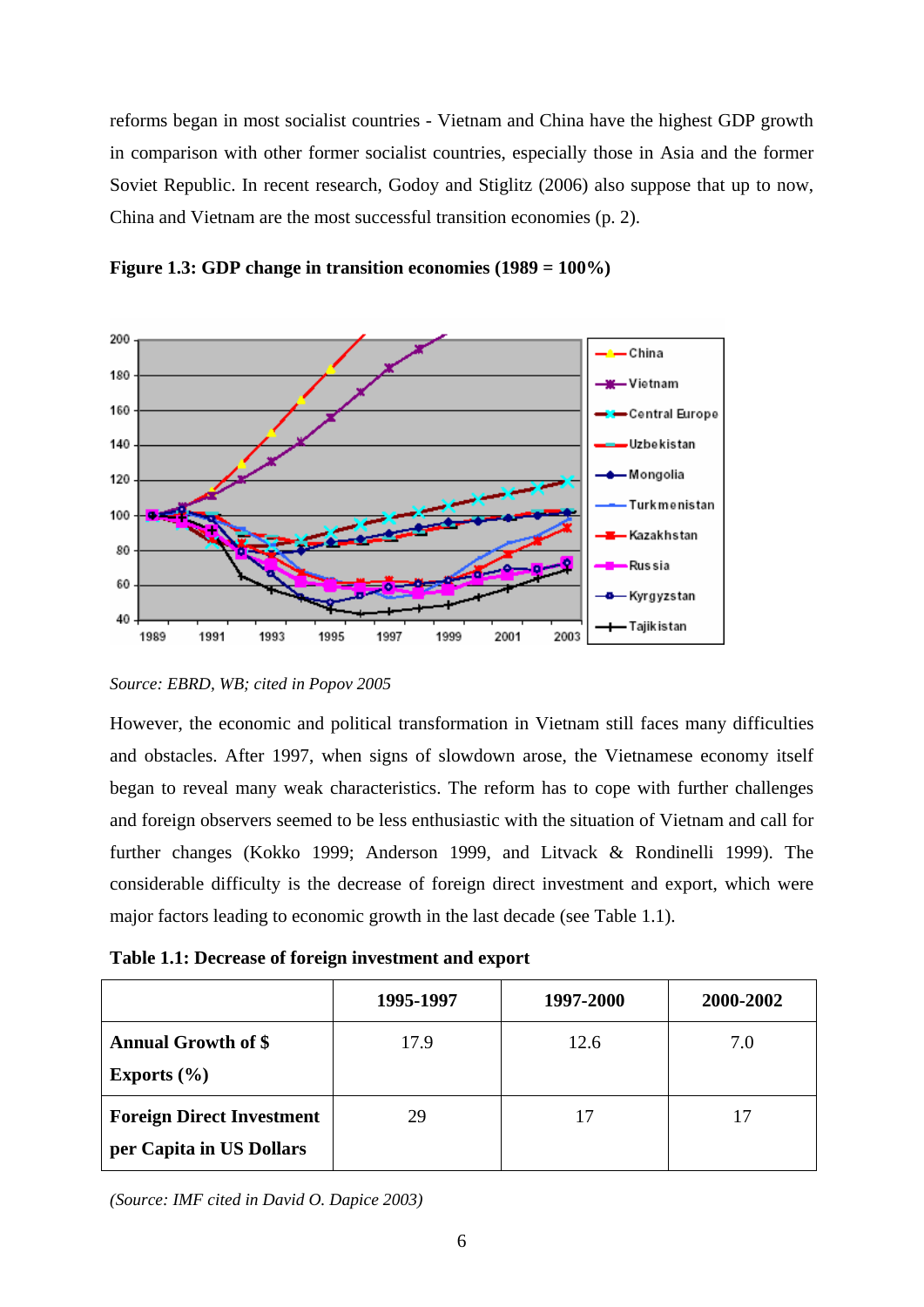<span id="page-11-0"></span>reforms began in most socialist countries - Vietnam and China have the highest GDP growth in comparison with other former socialist countries, especially those in Asia and the former Soviet Republic. In recent research, Godoy and Stiglitz (2006) also suppose that up to now, China and Vietnam are the most successful transition economies (p. 2).



**Figure 1.3: GDP change in transition economies (1989 = 100%)** 

*Source: EBRD, WB; cited in Popov 2005* 

However, the economic and political transformation in Vietnam still faces many difficulties and obstacles. After 1997, when signs of slowdown arose, the Vietnamese economy itself began to reveal many weak characteristics. The reform has to cope with further challenges and foreign observers seemed to be less enthusiastic with the situation of Vietnam and call for further changes (Kokko 1999; Anderson 1999, and Litvack & Rondinelli 1999). The considerable difficulty is the decrease of foreign direct investment and export, which were major factors leading to economic growth in the last decade (see Table 1.1).

**Table 1.1: Decrease of foreign investment and export** 

|                                                              | 1995-1997 | 1997-2000 | 2000-2002 |
|--------------------------------------------------------------|-----------|-----------|-----------|
| <b>Annual Growth of \$</b><br>Exports $(\% )$                | 17.9      | 12.6      | 7.0       |
| <b>Foreign Direct Investment</b><br>per Capita in US Dollars | 29        | 17        |           |

*(Source: IMF cited in David O. Dapice 2003)*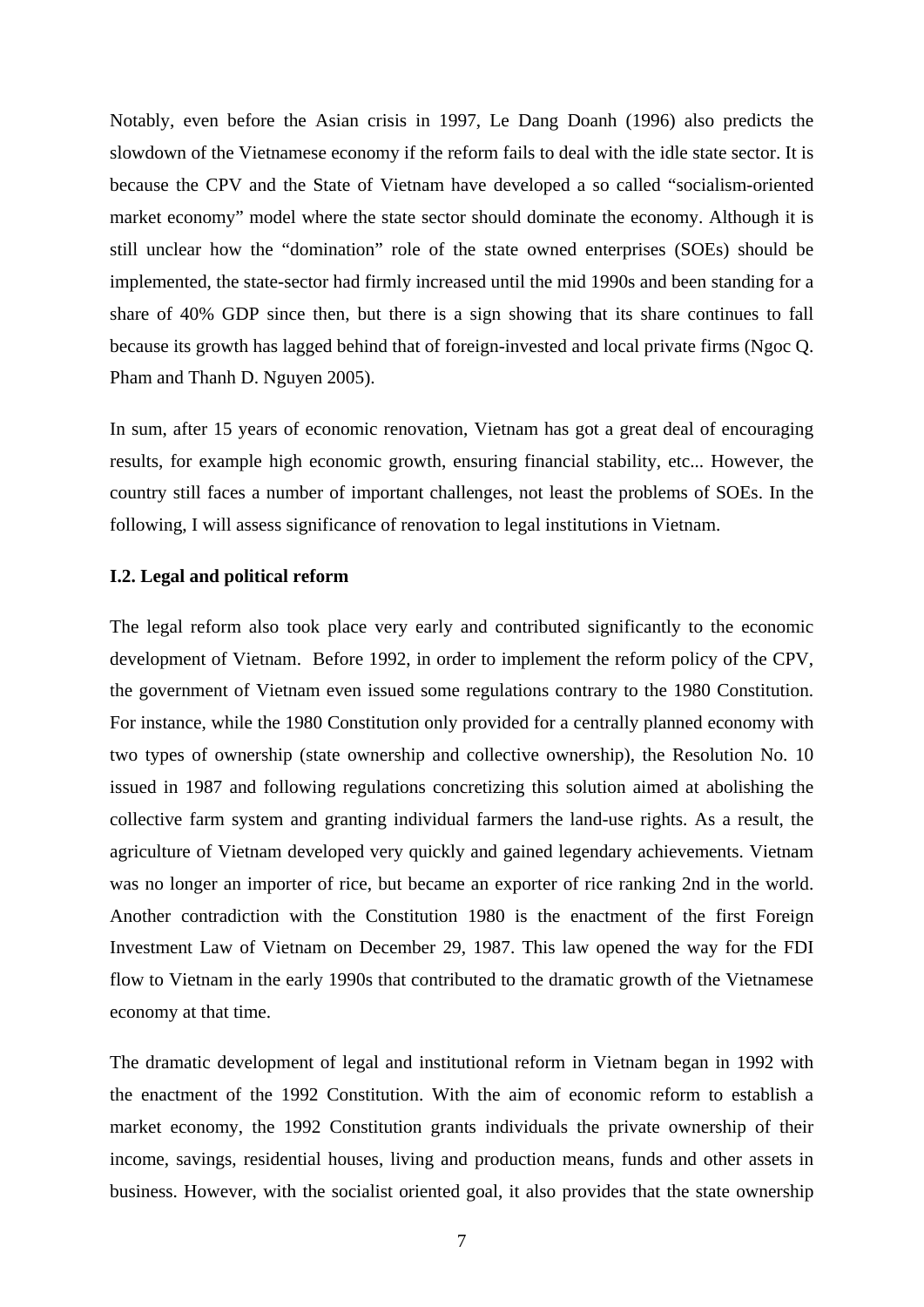<span id="page-12-0"></span>Notably, even before the Asian crisis in 1997, Le Dang Doanh (1996) also predicts the slowdown of the Vietnamese economy if the reform fails to deal with the idle state sector. It is because the CPV and the State of Vietnam have developed a so called "socialism-oriented market economy" model where the state sector should dominate the economy. Although it is still unclear how the "domination" role of the state owned enterprises (SOEs) should be implemented, the state-sector had firmly increased until the mid 1990s and been standing for a share of 40% GDP since then, but there is a sign showing that its share continues to fall because its growth has lagged behind that of foreign-invested and local private firms (Ngoc Q. Pham and Thanh D. Nguyen 2005).

In sum, after 15 years of economic renovation, Vietnam has got a great deal of encouraging results, for example high economic growth, ensuring financial stability, etc... However, the country still faces a number of important challenges, not least the problems of SOEs. In the following, I will assess significance of renovation to legal institutions in Vietnam.

# **I.2. Legal and political reform**

The legal reform also took place very early and contributed significantly to the economic development of Vietnam. Before 1992, in order to implement the reform policy of the CPV, the government of Vietnam even issued some regulations contrary to the 1980 Constitution. For instance, while the 1980 Constitution only provided for a centrally planned economy with two types of ownership (state ownership and collective ownership), the Resolution No. 10 issued in 1987 and following regulations concretizing this solution aimed at abolishing the collective farm system and granting individual farmers the land-use rights. As a result, the agriculture of Vietnam developed very quickly and gained legendary achievements. Vietnam was no longer an importer of rice, but became an exporter of rice ranking 2nd in the world. Another contradiction with the Constitution 1980 is the enactment of the first Foreign Investment Law of Vietnam on December 29, 1987. This law opened the way for the FDI flow to Vietnam in the early 1990s that contributed to the dramatic growth of the Vietnamese economy at that time.

The dramatic development of legal and institutional reform in Vietnam began in 1992 with the enactment of the 1992 Constitution. With the aim of economic reform to establish a market economy, the 1992 Constitution grants individuals the private ownership of their income, savings, residential houses, living and production means, funds and other assets in business. However, with the socialist oriented goal, it also provides that the state ownership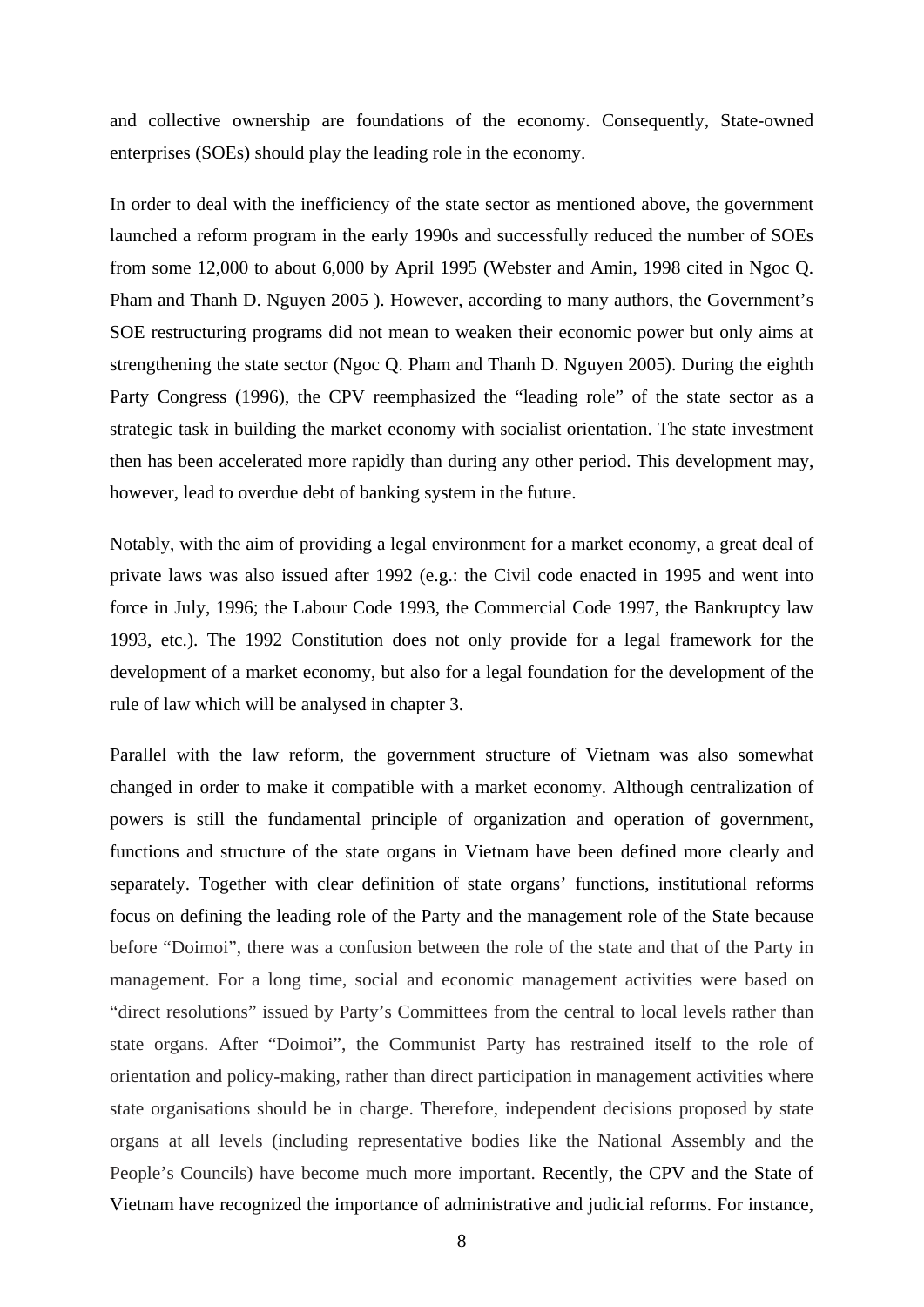and collective ownership are foundations of the economy. Consequently, State-owned enterprises (SOEs) should play the leading role in the economy.

In order to deal with the inefficiency of the state sector as mentioned above, the government launched a reform program in the early 1990s and successfully reduced the number of SOEs from some 12,000 to about 6,000 by April 1995 (Webster and Amin, 1998 cited in Ngoc Q. Pham and Thanh D. Nguyen 2005 ). However, according to many authors, the Government's SOE restructuring programs did not mean to weaken their economic power but only aims at strengthening the state sector (Ngoc Q. Pham and Thanh D. Nguyen 2005). During the eighth Party Congress (1996), the CPV reemphasized the "leading role" of the state sector as a strategic task in building the market economy with socialist orientation. The state investment then has been accelerated more rapidly than during any other period. This development may, however, lead to overdue debt of banking system in the future.

Notably, with the aim of providing a legal environment for a market economy, a great deal of private laws was also issued after 1992 (e.g.: the Civil code enacted in 1995 and went into force in July, 1996; the Labour Code 1993, the Commercial Code 1997, the Bankruptcy law 1993, etc.). The 1992 Constitution does not only provide for a legal framework for the development of a market economy, but also for a legal foundation for the development of the rule of law which will be analysed in chapter 3.

Parallel with the law reform, the government structure of Vietnam was also somewhat changed in order to make it compatible with a market economy. Although centralization of powers is still the fundamental principle of organization and operation of government, functions and structure of the state organs in Vietnam have been defined more clearly and separately. Together with clear definition of state organs' functions, institutional reforms focus on defining the leading role of the Party and the management role of the State because before "Doimoi", there was a confusion between the role of the state and that of the Party in management. For a long time, social and economic management activities were based on "direct resolutions" issued by Party's Committees from the central to local levels rather than state organs. After "Doimoi", the Communist Party has restrained itself to the role of orientation and policy-making, rather than direct participation in management activities where state organisations should be in charge. Therefore, independent decisions proposed by state organs at all levels (including representative bodies like the National Assembly and the People's Councils) have become much more important. Recently, the CPV and the State of Vietnam have recognized the importance of administrative and judicial reforms. For instance,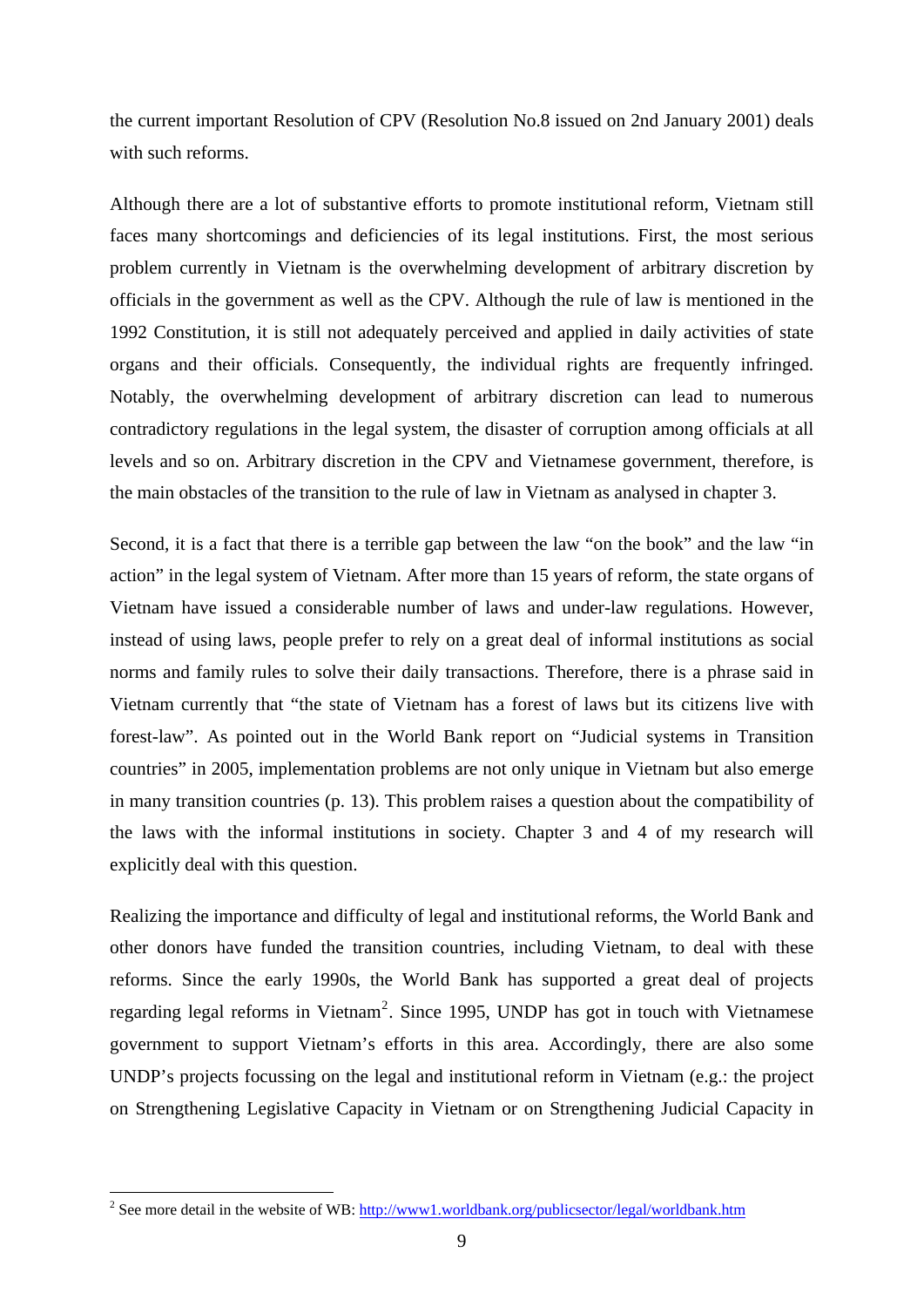the current important Resolution of CPV (Resolution No.8 issued on 2nd January 2001) deals with such reforms.

Although there are a lot of substantive efforts to promote institutional reform, Vietnam still faces many shortcomings and deficiencies of its legal institutions. First, the most serious problem currently in Vietnam is the overwhelming development of arbitrary discretion by officials in the government as well as the CPV. Although the rule of law is mentioned in the 1992 Constitution, it is still not adequately perceived and applied in daily activities of state organs and their officials. Consequently, the individual rights are frequently infringed. Notably, the overwhelming development of arbitrary discretion can lead to numerous contradictory regulations in the legal system, the disaster of corruption among officials at all levels and so on. Arbitrary discretion in the CPV and Vietnamese government, therefore, is the main obstacles of the transition to the rule of law in Vietnam as analysed in chapter 3.

Second, it is a fact that there is a terrible gap between the law "on the book" and the law "in action" in the legal system of Vietnam. After more than 15 years of reform, the state organs of Vietnam have issued a considerable number of laws and under-law regulations. However, instead of using laws, people prefer to rely on a great deal of informal institutions as social norms and family rules to solve their daily transactions. Therefore, there is a phrase said in Vietnam currently that "the state of Vietnam has a forest of laws but its citizens live with forest-law". As pointed out in the World Bank report on "Judicial systems in Transition countries" in 2005, implementation problems are not only unique in Vietnam but also emerge in many transition countries (p. 13). This problem raises a question about the compatibility of the laws with the informal institutions in society. Chapter 3 and 4 of my research will explicitly deal with this question.

Realizing the importance and difficulty of legal and institutional reforms, the World Bank and other donors have funded the transition countries, including Vietnam, to deal with these reforms. Since the early 1990s, the World Bank has supported a great deal of projects regarding legal reforms in Vietnam<sup>[2](#page-14-0)</sup>. Since 1995, UNDP has got in touch with Vietnamese government to support Vietnam's efforts in this area. Accordingly, there are also some UNDP's projects focussing on the legal and institutional reform in Vietnam (e.g.: the project on Strengthening Legislative Capacity in Vietnam or on Strengthening Judicial Capacity in

<span id="page-14-0"></span><sup>&</sup>lt;sup>2</sup> See more detail in the website of WB:  $\frac{http://www1.worldbank.org/publicsector/legal/worldbank.htm}{$  $\frac{http://www1.worldbank.org/publicsector/legal/worldbank.htm}{$  $\frac{http://www1.worldbank.org/publicsector/legal/worldbank.htm}{$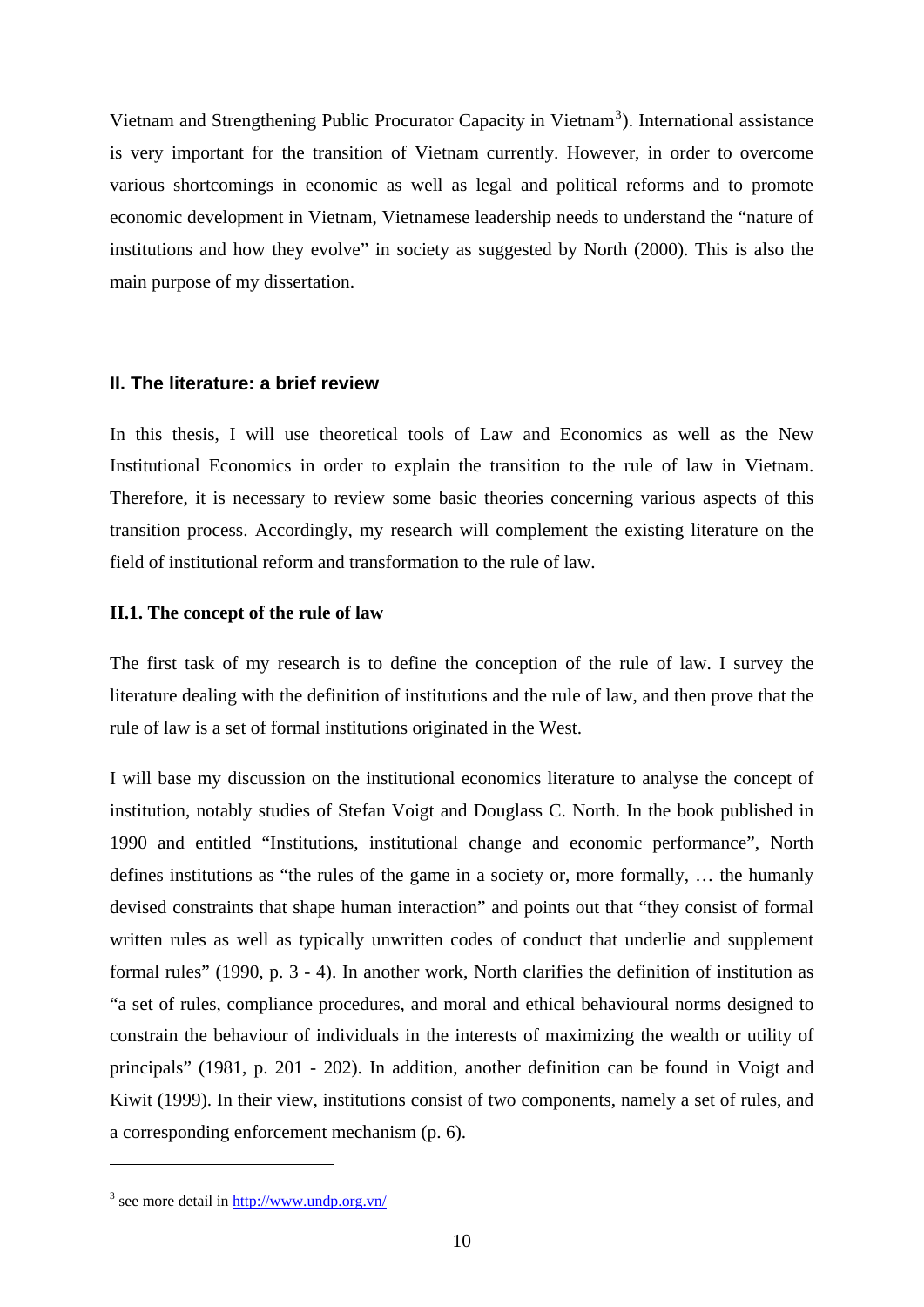<span id="page-15-0"></span>Vietnam and Strengthening Public Procurator Capacity in Vietnam<sup>[3](#page-15-1)</sup>). International assistance is very important for the transition of Vietnam currently. However, in order to overcome various shortcomings in economic as well as legal and political reforms and to promote economic development in Vietnam, Vietnamese leadership needs to understand the "nature of institutions and how they evolve" in society as suggested by North (2000). This is also the main purpose of my dissertation.

# **II. The literature: a brief review**

In this thesis, I will use theoretical tools of Law and Economics as well as the New Institutional Economics in order to explain the transition to the rule of law in Vietnam. Therefore, it is necessary to review some basic theories concerning various aspects of this transition process. Accordingly, my research will complement the existing literature on the field of institutional reform and transformation to the rule of law.

## **II.1. The concept of the rule of law**

The first task of my research is to define the conception of the rule of law. I survey the literature dealing with the definition of institutions and the rule of law, and then prove that the rule of law is a set of formal institutions originated in the West.

I will base my discussion on the institutional economics literature to analyse the concept of institution, notably studies of Stefan Voigt and Douglass C. North. In the book published in 1990 and entitled "Institutions, institutional change and economic performance", North defines institutions as "the rules of the game in a society or, more formally, … the humanly devised constraints that shape human interaction" and points out that "they consist of formal written rules as well as typically unwritten codes of conduct that underlie and supplement formal rules" (1990, p. 3 - 4). In another work, North clarifies the definition of institution as "a set of rules, compliance procedures, and moral and ethical behavioural norms designed to constrain the behaviour of individuals in the interests of maximizing the wealth or utility of principals" (1981, p. 201 - 202). In addition, another definition can be found in Voigt and Kiwit (1999). In their view, institutions consist of two components, namely a set of rules, and a corresponding enforcement mechanism (p. 6).

<span id="page-15-1"></span><sup>&</sup>lt;sup>3</sup> see more detail in <http://www.undp.org.vn/>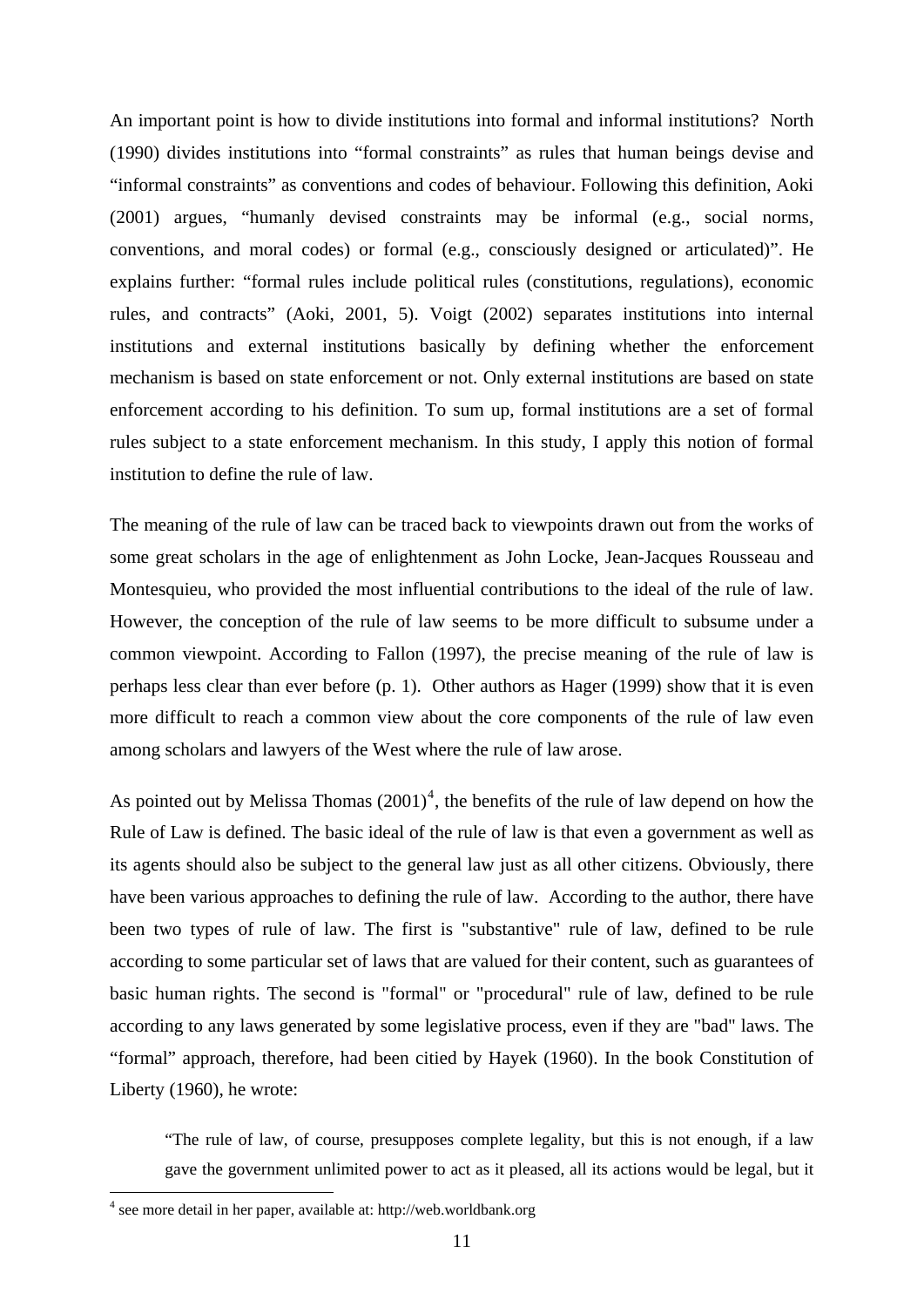An important point is how to divide institutions into formal and informal institutions? North (1990) divides institutions into "formal constraints" as rules that human beings devise and "informal constraints" as conventions and codes of behaviour. Following this definition, Aoki (2001) argues, "humanly devised constraints may be informal (e.g., social norms, conventions, and moral codes) or formal (e.g., consciously designed or articulated)". He explains further: "formal rules include political rules (constitutions, regulations), economic rules, and contracts" (Aoki, 2001, 5). Voigt (2002) separates institutions into internal institutions and external institutions basically by defining whether the enforcement mechanism is based on state enforcement or not. Only external institutions are based on state enforcement according to his definition. To sum up, formal institutions are a set of formal rules subject to a state enforcement mechanism. In this study, I apply this notion of formal institution to define the rule of law.

The meaning of the rule of law can be traced back to viewpoints drawn out from the works of some great scholars in the age of enlightenment as John Locke, Jean-Jacques Rousseau and Montesquieu, who provided the most influential contributions to the ideal of the rule of law. However, the conception of the rule of law seems to be more difficult to subsume under a common viewpoint. According to Fallon (1997), the precise meaning of the rule of law is perhaps less clear than ever before (p. 1). Other authors as Hager (1999) show that it is even more difficult to reach a common view about the core components of the rule of law even among scholars and lawyers of the West where the rule of law arose.

As pointed out by Melissa Thomas  $(2001)^4$  $(2001)^4$ , the benefits of the rule of law depend on how the Rule of Law is defined. The basic ideal of the rule of law is that even a government as well as its agents should also be subject to the general law just as all other citizens. Obviously, there have been various approaches to defining the rule of law. According to the author, there have been two types of rule of law. The first is "substantive" rule of law, defined to be rule according to some particular set of laws that are valued for their content, such as guarantees of basic human rights. The second is "formal" or "procedural" rule of law, defined to be rule according to any laws generated by some legislative process, even if they are "bad" laws. The "formal" approach, therefore, had been citied by Hayek (1960). In the book Constitution of Liberty (1960), he wrote:

"The rule of law, of course, presupposes complete legality, but this is not enough, if a law gave the government unlimited power to act as it pleased, all its actions would be legal, but it

<span id="page-16-0"></span><sup>4</sup> see more detail in her paper, available at: http://web.worldbank.org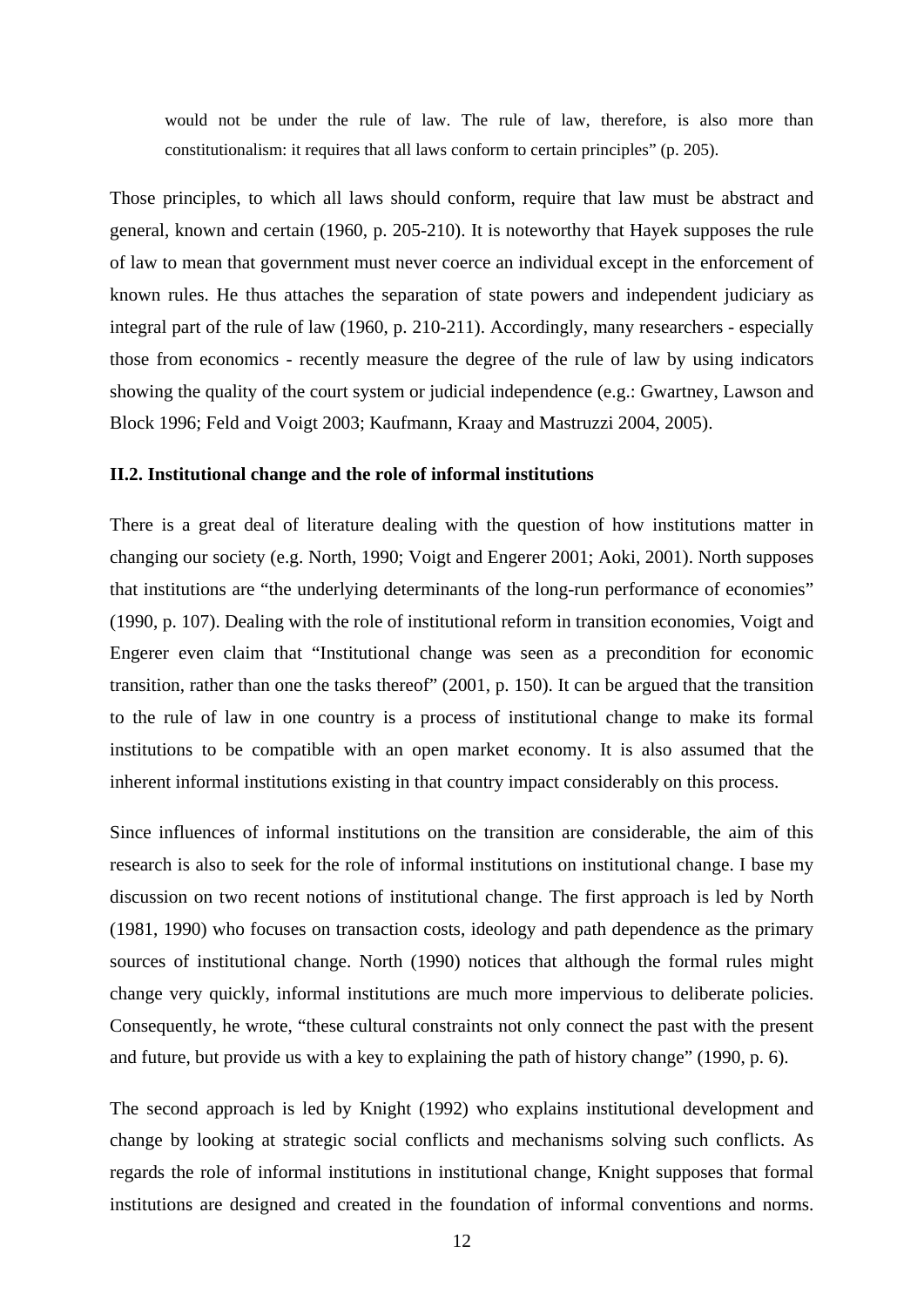<span id="page-17-0"></span>would not be under the rule of law. The rule of law, therefore, is also more than constitutionalism: it requires that all laws conform to certain principles" (p. 205).

Those principles, to which all laws should conform, require that law must be abstract and general, known and certain (1960, p. 205-210). It is noteworthy that Hayek supposes the rule of law to mean that government must never coerce an individual except in the enforcement of known rules. He thus attaches the separation of state powers and independent judiciary as integral part of the rule of law (1960, p. 210-211). Accordingly, many researchers - especially those from economics - recently measure the degree of the rule of law by using indicators showing the quality of the court system or judicial independence (e.g.: Gwartney, Lawson and Block 1996; Feld and Voigt 2003; Kaufmann, Kraay and Mastruzzi 2004, 2005).

### **II.2. Institutional change and the role of informal institutions**

There is a great deal of literature dealing with the question of how institutions matter in changing our society (e.g. North, 1990; Voigt and Engerer 2001; Aoki, 2001). North supposes that institutions are "the underlying determinants of the long-run performance of economies" (1990, p. 107). Dealing with the role of institutional reform in transition economies, Voigt and Engerer even claim that "Institutional change was seen as a precondition for economic transition, rather than one the tasks thereof" (2001, p. 150). It can be argued that the transition to the rule of law in one country is a process of institutional change to make its formal institutions to be compatible with an open market economy. It is also assumed that the inherent informal institutions existing in that country impact considerably on this process.

Since influences of informal institutions on the transition are considerable, the aim of this research is also to seek for the role of informal institutions on institutional change. I base my discussion on two recent notions of institutional change. The first approach is led by North (1981, 1990) who focuses on transaction costs, ideology and path dependence as the primary sources of institutional change. North (1990) notices that although the formal rules might change very quickly, informal institutions are much more impervious to deliberate policies. Consequently, he wrote, "these cultural constraints not only connect the past with the present and future, but provide us with a key to explaining the path of history change" (1990, p. 6).

The second approach is led by Knight (1992) who explains institutional development and change by looking at strategic social conflicts and mechanisms solving such conflicts. As regards the role of informal institutions in institutional change, Knight supposes that formal institutions are designed and created in the foundation of informal conventions and norms.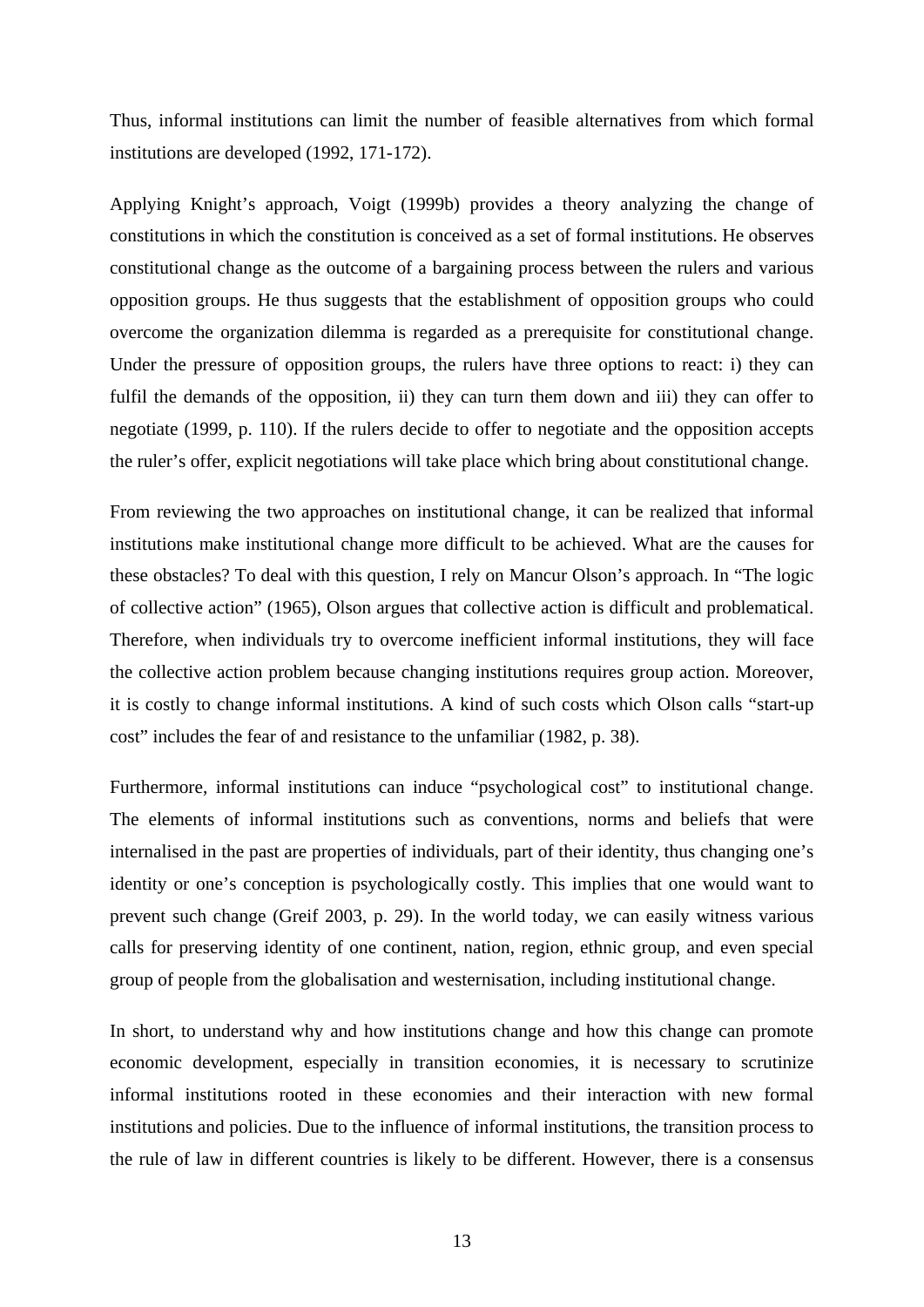Thus, informal institutions can limit the number of feasible alternatives from which formal institutions are developed (1992, 171-172).

Applying Knight's approach, Voigt (1999b) provides a theory analyzing the change of constitutions in which the constitution is conceived as a set of formal institutions. He observes constitutional change as the outcome of a bargaining process between the rulers and various opposition groups. He thus suggests that the establishment of opposition groups who could overcome the organization dilemma is regarded as a prerequisite for constitutional change. Under the pressure of opposition groups, the rulers have three options to react: i) they can fulfil the demands of the opposition, ii) they can turn them down and iii) they can offer to negotiate (1999, p. 110). If the rulers decide to offer to negotiate and the opposition accepts the ruler's offer, explicit negotiations will take place which bring about constitutional change.

From reviewing the two approaches on institutional change, it can be realized that informal institutions make institutional change more difficult to be achieved. What are the causes for these obstacles? To deal with this question, I rely on Mancur Olson's approach. In "The logic of collective action" (1965), Olson argues that collective action is difficult and problematical. Therefore, when individuals try to overcome inefficient informal institutions, they will face the collective action problem because changing institutions requires group action. Moreover, it is costly to change informal institutions. A kind of such costs which Olson calls "start-up cost" includes the fear of and resistance to the unfamiliar (1982, p. 38).

Furthermore, informal institutions can induce "psychological cost" to institutional change. The elements of informal institutions such as conventions, norms and beliefs that were internalised in the past are properties of individuals, part of their identity, thus changing one's identity or one's conception is psychologically costly. This implies that one would want to prevent such change (Greif 2003, p. 29). In the world today, we can easily witness various calls for preserving identity of one continent, nation, region, ethnic group, and even special group of people from the globalisation and westernisation, including institutional change.

In short, to understand why and how institutions change and how this change can promote economic development, especially in transition economies, it is necessary to scrutinize informal institutions rooted in these economies and their interaction with new formal institutions and policies. Due to the influence of informal institutions, the transition process to the rule of law in different countries is likely to be different. However, there is a consensus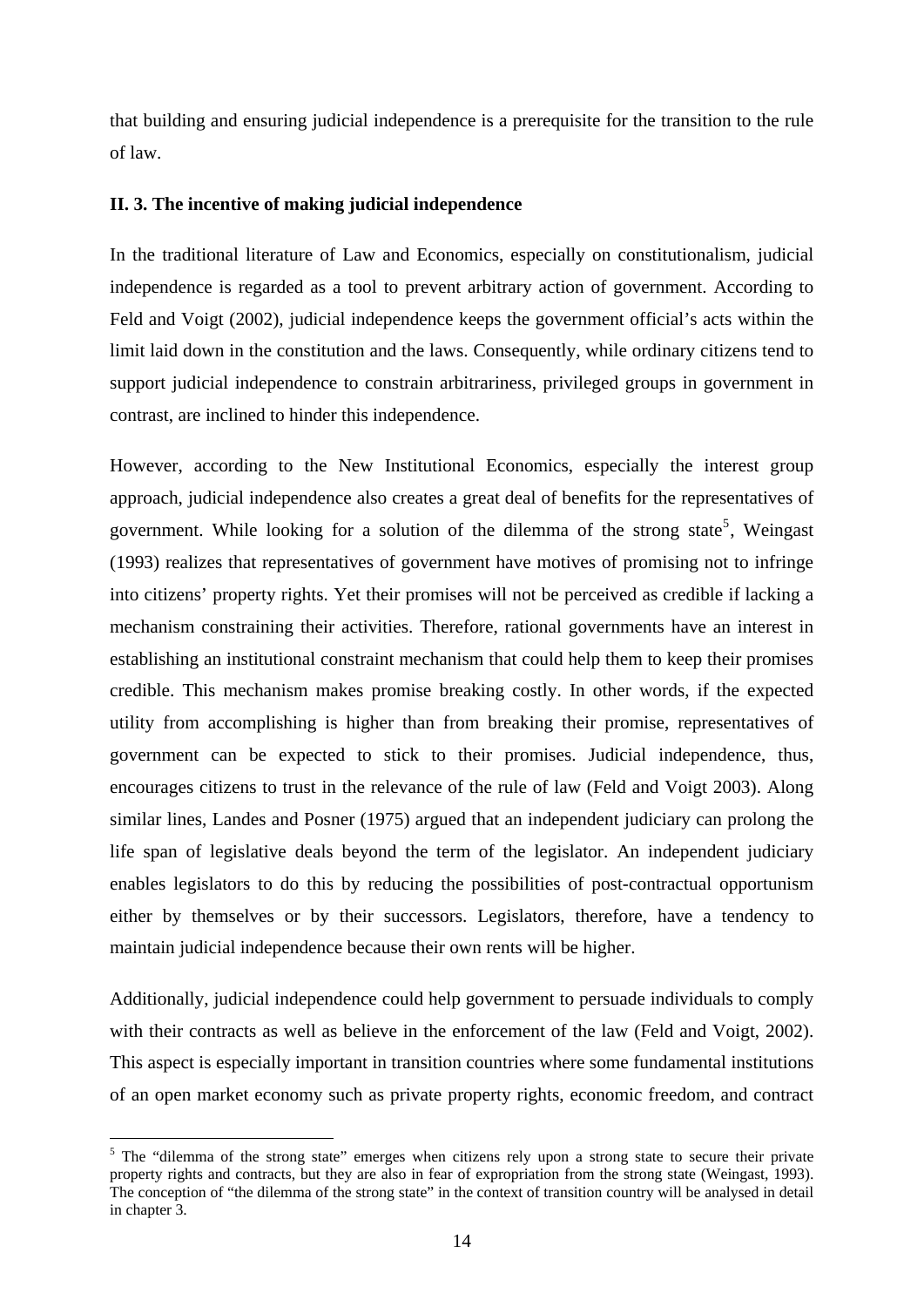<span id="page-19-0"></span>that building and ensuring judicial independence is a prerequisite for the transition to the rule of law.

# **II. 3. The incentive of making judicial independence**

In the traditional literature of Law and Economics, especially on constitutionalism, judicial independence is regarded as a tool to prevent arbitrary action of government. According to Feld and Voigt (2002), judicial independence keeps the government official's acts within the limit laid down in the constitution and the laws. Consequently, while ordinary citizens tend to support judicial independence to constrain arbitrariness, privileged groups in government in contrast, are inclined to hinder this independence.

However, according to the New Institutional Economics, especially the interest group approach, judicial independence also creates a great deal of benefits for the representatives of government. While looking for a solution of the dilemma of the strong state<sup>[5](#page-19-1)</sup>, Weingast (1993) realizes that representatives of government have motives of promising not to infringe into citizens' property rights. Yet their promises will not be perceived as credible if lacking a mechanism constraining their activities. Therefore, rational governments have an interest in establishing an institutional constraint mechanism that could help them to keep their promises credible. This mechanism makes promise breaking costly. In other words, if the expected utility from accomplishing is higher than from breaking their promise, representatives of government can be expected to stick to their promises. Judicial independence, thus, encourages citizens to trust in the relevance of the rule of law (Feld and Voigt 2003). Along similar lines, Landes and Posner (1975) argued that an independent judiciary can prolong the life span of legislative deals beyond the term of the legislator. An independent judiciary enables legislators to do this by reducing the possibilities of post-contractual opportunism either by themselves or by their successors. Legislators, therefore, have a tendency to maintain judicial independence because their own rents will be higher.

Additionally, judicial independence could help government to persuade individuals to comply with their contracts as well as believe in the enforcement of the law (Feld and Voigt, 2002). This aspect is especially important in transition countries where some fundamental institutions of an open market economy such as private property rights, economic freedom, and contract

<span id="page-19-1"></span><sup>&</sup>lt;sup>5</sup> The "dilemma of the strong state" emerges when citizens rely upon a strong state to secure their private property rights and contracts, but they are also in fear of expropriation from the strong state (Weingast, 1993). The conception of "the dilemma of the strong state" in the context of transition country will be analysed in detail in chapter 3.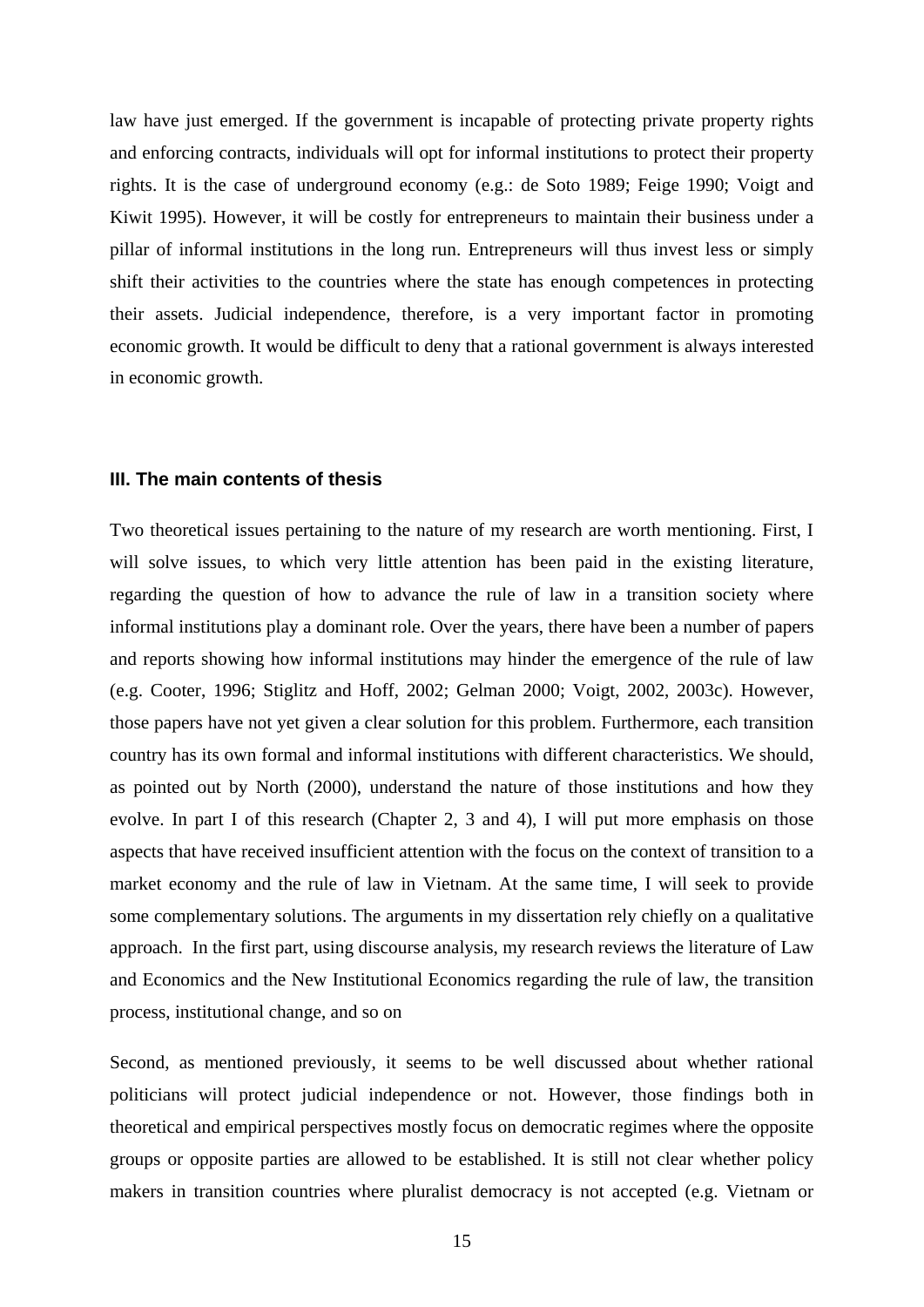<span id="page-20-0"></span>law have just emerged. If the government is incapable of protecting private property rights and enforcing contracts, individuals will opt for informal institutions to protect their property rights. It is the case of underground economy (e.g.: de Soto 1989; Feige 1990; Voigt and Kiwit 1995). However, it will be costly for entrepreneurs to maintain their business under a pillar of informal institutions in the long run. Entrepreneurs will thus invest less or simply shift their activities to the countries where the state has enough competences in protecting their assets. Judicial independence, therefore, is a very important factor in promoting economic growth. It would be difficult to deny that a rational government is always interested in economic growth.

#### **III. The main contents of thesis**

Two theoretical issues pertaining to the nature of my research are worth mentioning. First, I will solve issues, to which very little attention has been paid in the existing literature, regarding the question of how to advance the rule of law in a transition society where informal institutions play a dominant role. Over the years, there have been a number of papers and reports showing how informal institutions may hinder the emergence of the rule of law (e.g. Cooter, 1996; Stiglitz and Hoff, 2002; Gelman 2000; Voigt, 2002, 2003c). However, those papers have not yet given a clear solution for this problem. Furthermore, each transition country has its own formal and informal institutions with different characteristics. We should, as pointed out by North (2000), understand the nature of those institutions and how they evolve. In part I of this research (Chapter 2, 3 and 4), I will put more emphasis on those aspects that have received insufficient attention with the focus on the context of transition to a market economy and the rule of law in Vietnam. At the same time, I will seek to provide some complementary solutions. The arguments in my dissertation rely chiefly on a qualitative approach. In the first part, using discourse analysis, my research reviews the literature of Law and Economics and the New Institutional Economics regarding the rule of law, the transition process, institutional change, and so on

Second, as mentioned previously, it seems to be well discussed about whether rational politicians will protect judicial independence or not. However, those findings both in theoretical and empirical perspectives mostly focus on democratic regimes where the opposite groups or opposite parties are allowed to be established. It is still not clear whether policy makers in transition countries where pluralist democracy is not accepted (e.g. Vietnam or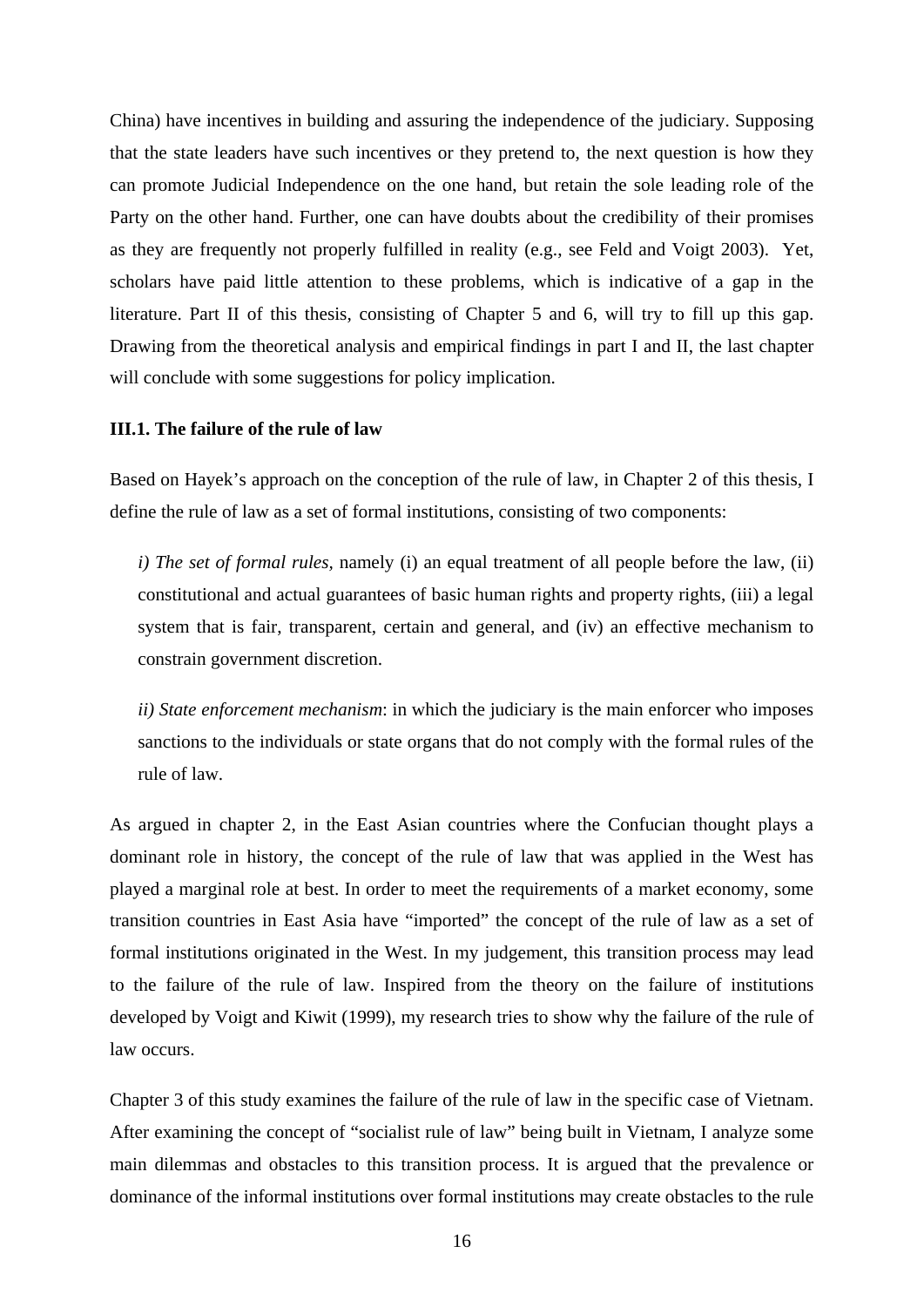<span id="page-21-0"></span>China) have incentives in building and assuring the independence of the judiciary. Supposing that the state leaders have such incentives or they pretend to, the next question is how they can promote Judicial Independence on the one hand, but retain the sole leading role of the Party on the other hand. Further, one can have doubts about the credibility of their promises as they are frequently not properly fulfilled in reality (e.g., see Feld and Voigt 2003). Yet, scholars have paid little attention to these problems, which is indicative of a gap in the literature. Part II of this thesis, consisting of Chapter 5 and 6, will try to fill up this gap. Drawing from the theoretical analysis and empirical findings in part I and II, the last chapter will conclude with some suggestions for policy implication.

# **III.1. The failure of the rule of law**

Based on Hayek's approach on the conception of the rule of law, in Chapter 2 of this thesis, I define the rule of law as a set of formal institutions, consisting of two components:

*i) The set of formal rules,* namely (i) an equal treatment of all people before the law, (ii) constitutional and actual guarantees of basic human rights and property rights, (iii) a legal system that is fair, transparent, certain and general, and (iv) an effective mechanism to constrain government discretion.

*ii) State enforcement mechanism*: in which the judiciary is the main enforcer who imposes sanctions to the individuals or state organs that do not comply with the formal rules of the rule of law.

As argued in chapter 2, in the East Asian countries where the Confucian thought plays a dominant role in history, the concept of the rule of law that was applied in the West has played a marginal role at best. In order to meet the requirements of a market economy, some transition countries in East Asia have "imported" the concept of the rule of law as a set of formal institutions originated in the West. In my judgement, this transition process may lead to the failure of the rule of law. Inspired from the theory on the failure of institutions developed by Voigt and Kiwit (1999), my research tries to show why the failure of the rule of law occurs.

Chapter 3 of this study examines the failure of the rule of law in the specific case of Vietnam. After examining the concept of "socialist rule of law" being built in Vietnam, I analyze some main dilemmas and obstacles to this transition process. It is argued that the prevalence or dominance of the informal institutions over formal institutions may create obstacles to the rule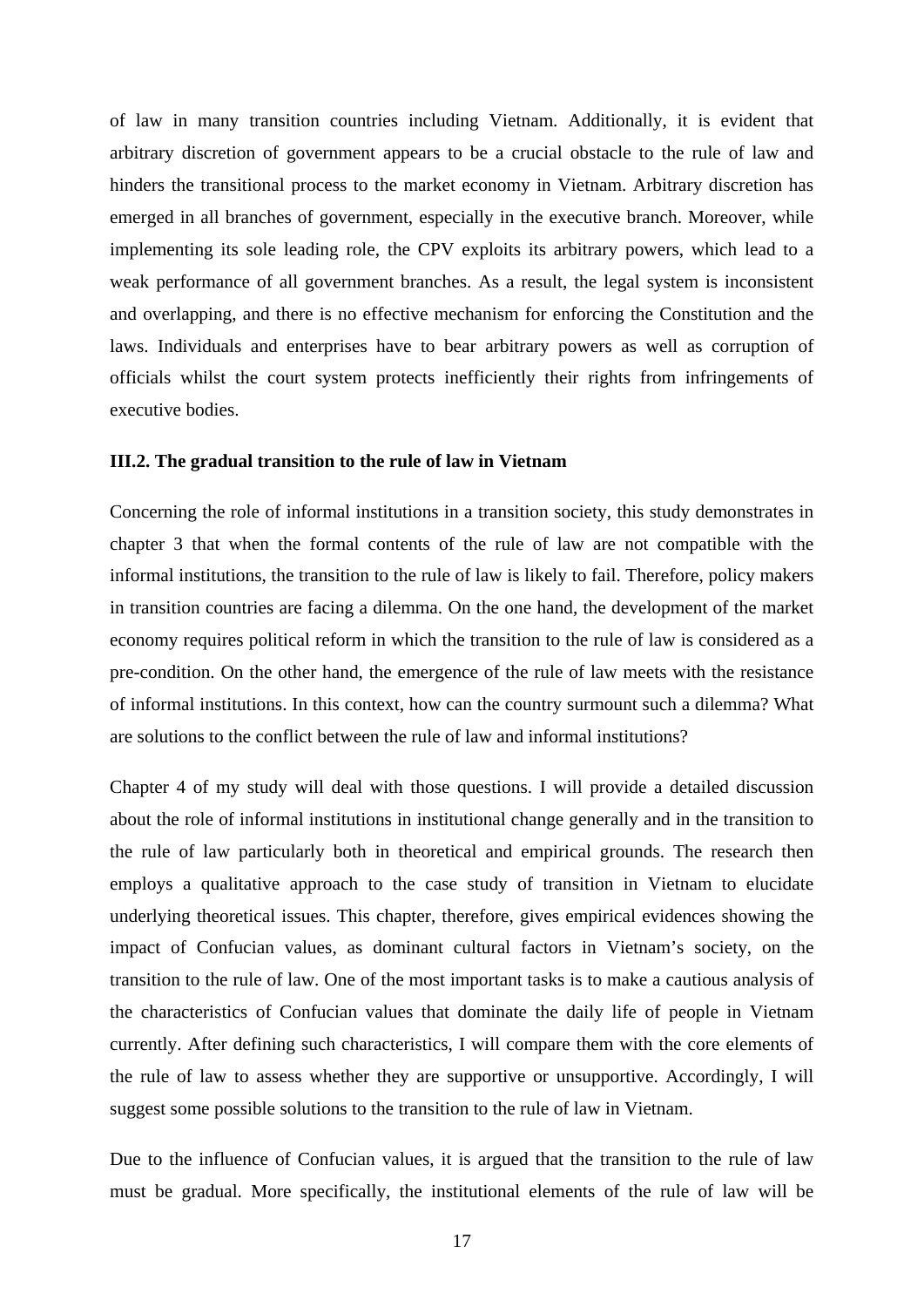<span id="page-22-0"></span>of law in many transition countries including Vietnam. Additionally, it is evident that arbitrary discretion of government appears to be a crucial obstacle to the rule of law and hinders the transitional process to the market economy in Vietnam. Arbitrary discretion has emerged in all branches of government, especially in the executive branch. Moreover, while implementing its sole leading role, the CPV exploits its arbitrary powers, which lead to a weak performance of all government branches. As a result, the legal system is inconsistent and overlapping, and there is no effective mechanism for enforcing the Constitution and the laws. Individuals and enterprises have to bear arbitrary powers as well as corruption of officials whilst the court system protects inefficiently their rights from infringements of executive bodies.

## **III.2. The gradual transition to the rule of law in Vietnam**

Concerning the role of informal institutions in a transition society, this study demonstrates in chapter 3 that when the formal contents of the rule of law are not compatible with the informal institutions, the transition to the rule of law is likely to fail. Therefore, policy makers in transition countries are facing a dilemma. On the one hand, the development of the market economy requires political reform in which the transition to the rule of law is considered as a pre-condition. On the other hand, the emergence of the rule of law meets with the resistance of informal institutions. In this context, how can the country surmount such a dilemma? What are solutions to the conflict between the rule of law and informal institutions?

Chapter 4 of my study will deal with those questions. I will provide a detailed discussion about the role of informal institutions in institutional change generally and in the transition to the rule of law particularly both in theoretical and empirical grounds. The research then employs a qualitative approach to the case study of transition in Vietnam to elucidate underlying theoretical issues. This chapter, therefore, gives empirical evidences showing the impact of Confucian values, as dominant cultural factors in Vietnam's society, on the transition to the rule of law. One of the most important tasks is to make a cautious analysis of the characteristics of Confucian values that dominate the daily life of people in Vietnam currently. After defining such characteristics, I will compare them with the core elements of the rule of law to assess whether they are supportive or unsupportive. Accordingly, I will suggest some possible solutions to the transition to the rule of law in Vietnam.

Due to the influence of Confucian values, it is argued that the transition to the rule of law must be gradual. More specifically, the institutional elements of the rule of law will be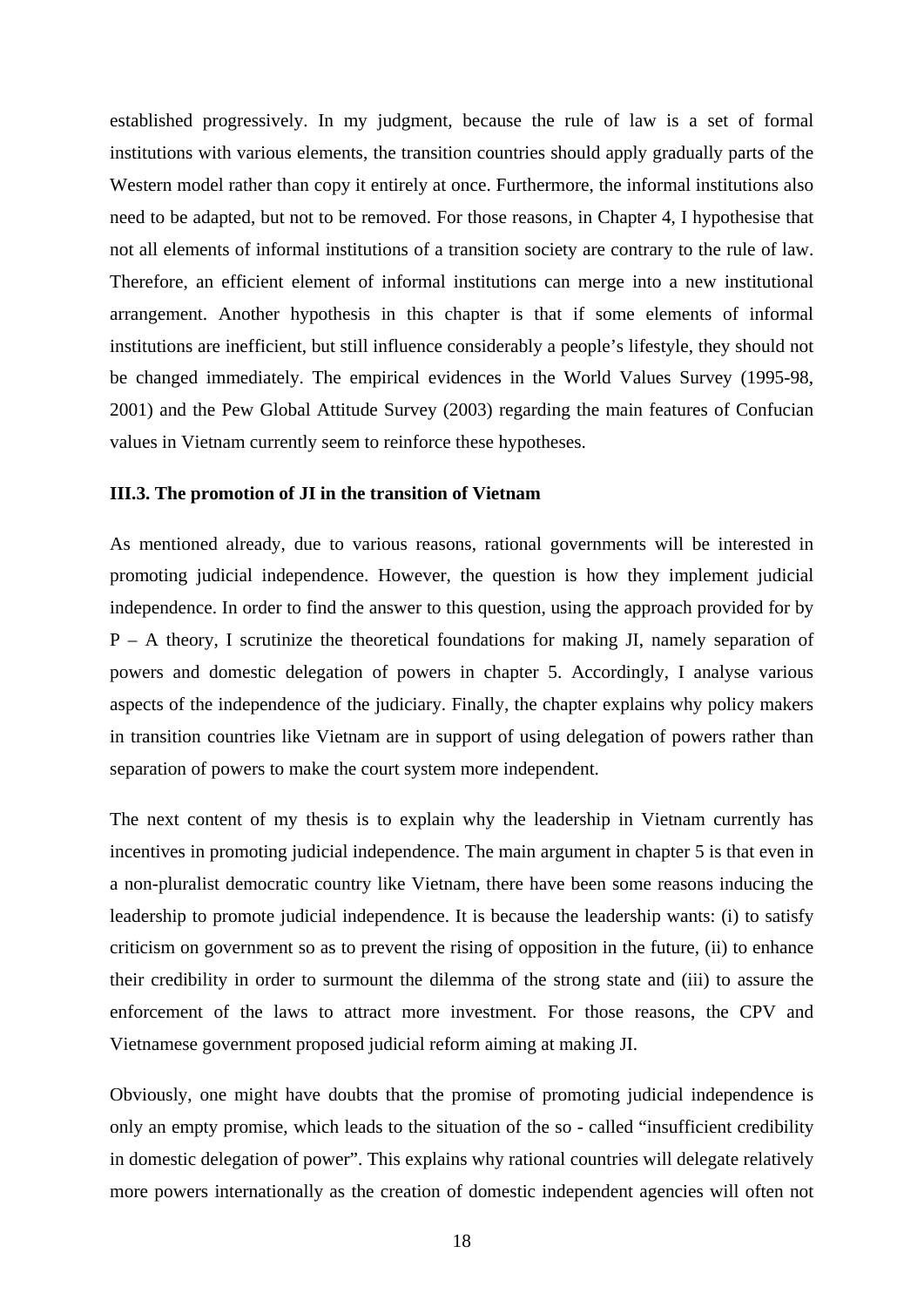<span id="page-23-0"></span>established progressively. In my judgment, because the rule of law is a set of formal institutions with various elements, the transition countries should apply gradually parts of the Western model rather than copy it entirely at once. Furthermore, the informal institutions also need to be adapted, but not to be removed. For those reasons, in Chapter 4, I hypothesise that not all elements of informal institutions of a transition society are contrary to the rule of law. Therefore, an efficient element of informal institutions can merge into a new institutional arrangement. Another hypothesis in this chapter is that if some elements of informal institutions are inefficient, but still influence considerably a people's lifestyle, they should not be changed immediately. The empirical evidences in the World Values Survey (1995-98, 2001) and the Pew Global Attitude Survey (2003) regarding the main features of Confucian values in Vietnam currently seem to reinforce these hypotheses.

## **III.3. The promotion of JI in the transition of Vietnam**

As mentioned already, due to various reasons, rational governments will be interested in promoting judicial independence. However, the question is how they implement judicial independence. In order to find the answer to this question, using the approach provided for by P – A theory, I scrutinize the theoretical foundations for making JI, namely separation of powers and domestic delegation of powers in chapter 5. Accordingly, I analyse various aspects of the independence of the judiciary. Finally, the chapter explains why policy makers in transition countries like Vietnam are in support of using delegation of powers rather than separation of powers to make the court system more independent.

The next content of my thesis is to explain why the leadership in Vietnam currently has incentives in promoting judicial independence. The main argument in chapter 5 is that even in a non-pluralist democratic country like Vietnam, there have been some reasons inducing the leadership to promote judicial independence. It is because the leadership wants: (i) to satisfy criticism on government so as to prevent the rising of opposition in the future, (ii) to enhance their credibility in order to surmount the dilemma of the strong state and (iii) to assure the enforcement of the laws to attract more investment. For those reasons, the CPV and Vietnamese government proposed judicial reform aiming at making JI.

Obviously, one might have doubts that the promise of promoting judicial independence is only an empty promise, which leads to the situation of the so - called "insufficient credibility in domestic delegation of power". This explains why rational countries will delegate relatively more powers internationally as the creation of domestic independent agencies will often not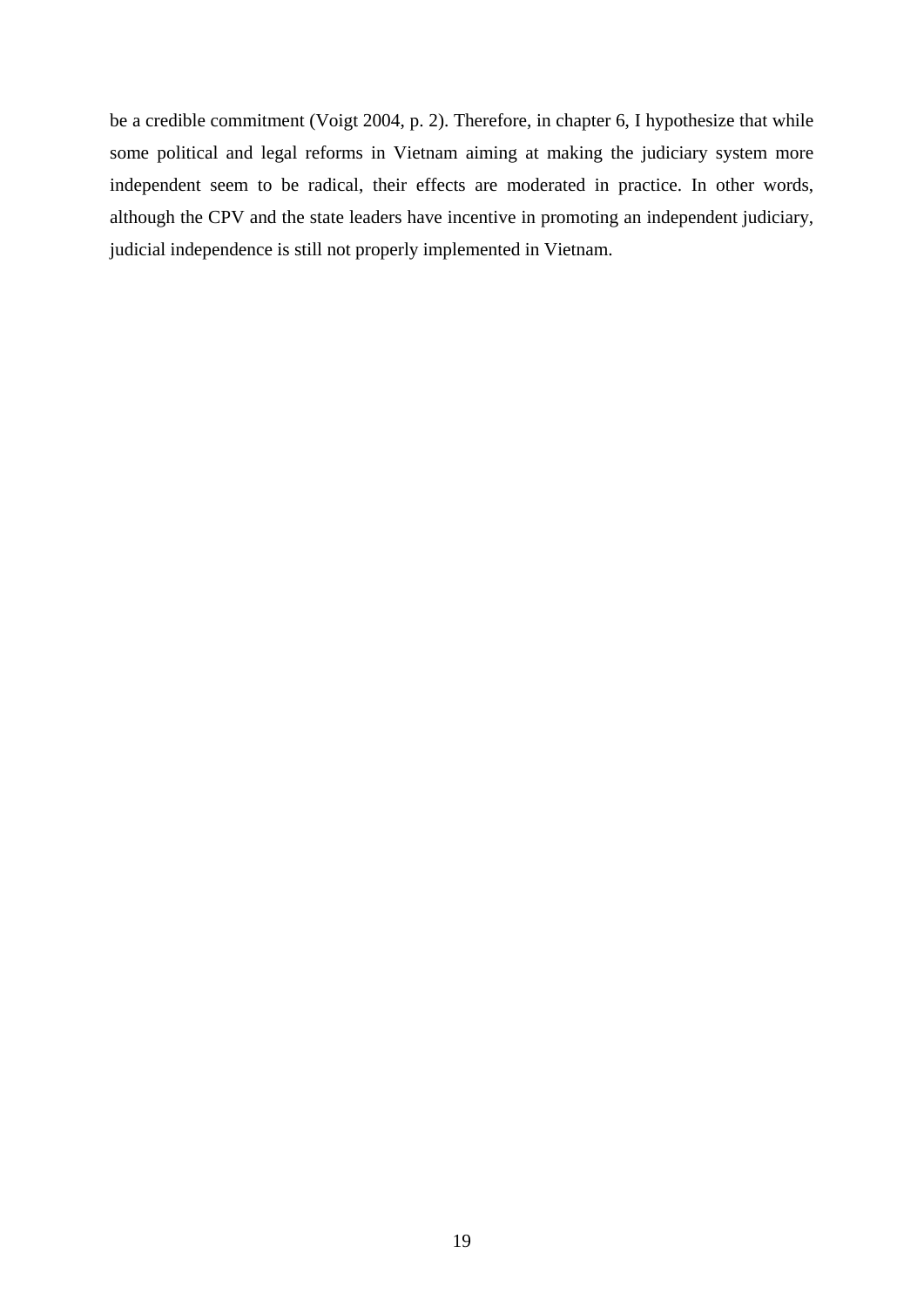be a credible commitment (Voigt 2004, p. 2). Therefore, in chapter 6, I hypothesize that while some political and legal reforms in Vietnam aiming at making the judiciary system more independent seem to be radical, their effects are moderated in practice. In other words, although the CPV and the state leaders have incentive in promoting an independent judiciary, judicial independence is still not properly implemented in Vietnam.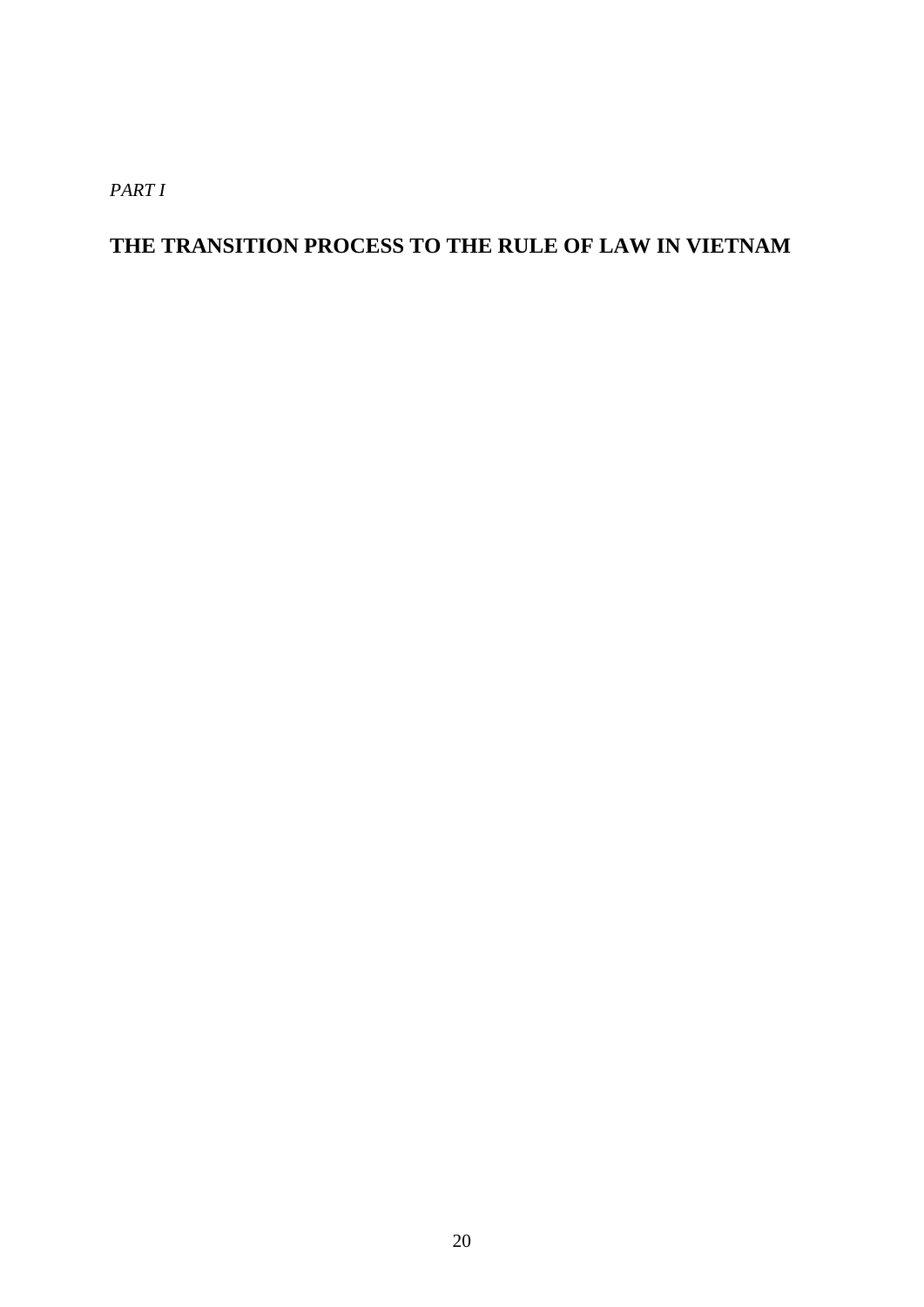*PART I* 

# **THE TRANSITION PROCESS TO THE RULE OF LAW IN VIETNAM**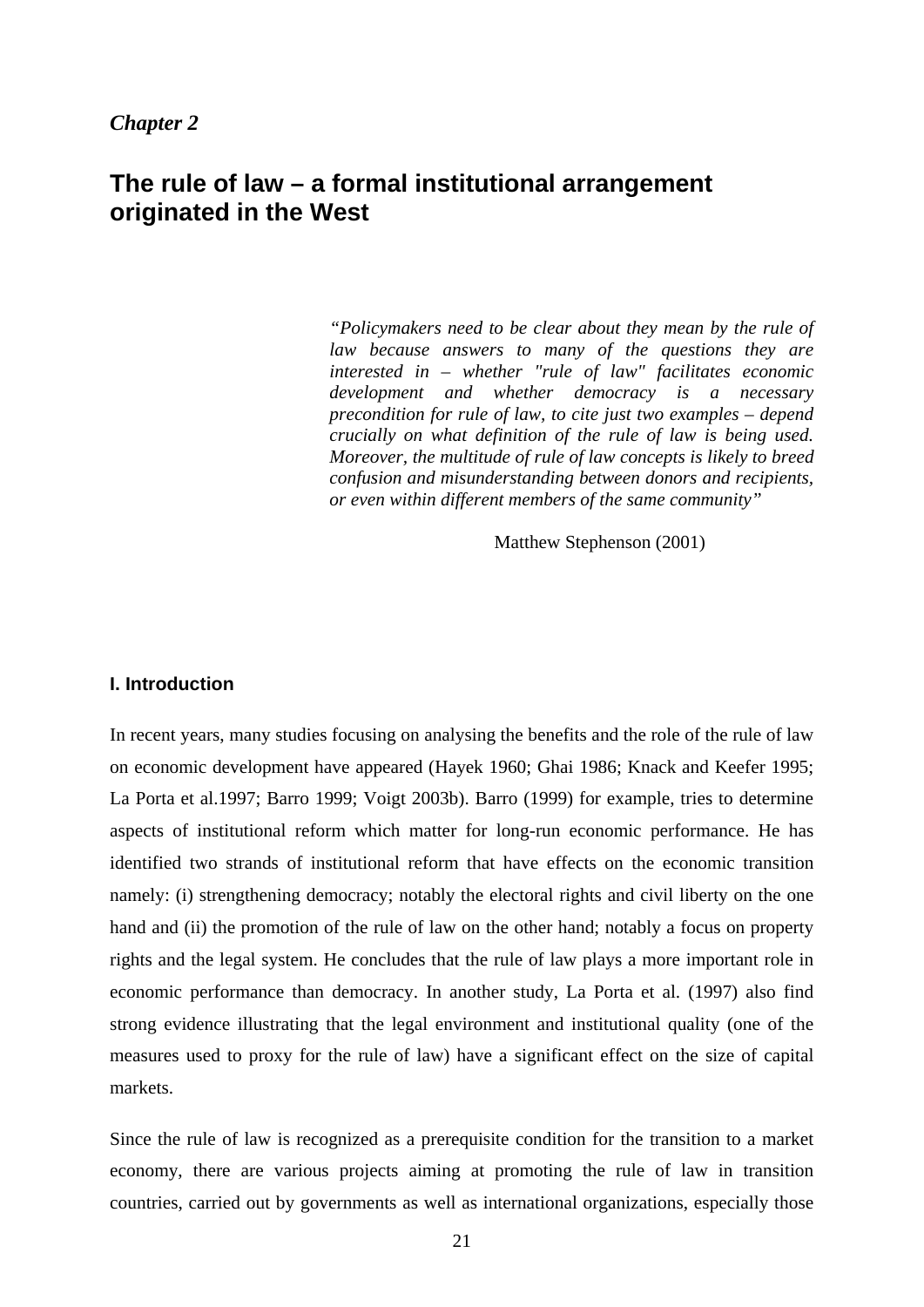# <span id="page-26-0"></span>**The rule of law – a formal institutional arrangement originated in the West**

*"Policymakers need to be clear about they mean by the rule of law because answers to many of the questions they are interested in – whether "rule of law" facilitates economic development and whether democracy is a necessary precondition for rule of law, to cite just two examples – depend crucially on what definition of the rule of law is being used. Moreover, the multitude of rule of law concepts is likely to breed confusion and misunderstanding between donors and recipients, or even within different members of the same community"* 

Matthew Stephenson (2001)

## **I. Introduction**

In recent years, many studies focusing on analysing the benefits and the role of the rule of law on economic development have appeared (Hayek 1960; Ghai 1986; Knack and Keefer 1995; La Porta et al.1997; Barro 1999; Voigt 2003b). Barro (1999) for example, tries to determine aspects of institutional reform which matter for long-run economic performance. He has identified two strands of institutional reform that have effects on the economic transition namely: (i) strengthening democracy; notably the electoral rights and civil liberty on the one hand and (ii) the promotion of the rule of law on the other hand; notably a focus on property rights and the legal system. He concludes that the rule of law plays a more important role in economic performance than democracy. In another study, La Porta et al. (1997) also find strong evidence illustrating that the legal environment and institutional quality (one of the measures used to proxy for the rule of law) have a significant effect on the size of capital markets.

Since the rule of law is recognized as a prerequisite condition for the transition to a market economy, there are various projects aiming at promoting the rule of law in transition countries, carried out by governments as well as international organizations, especially those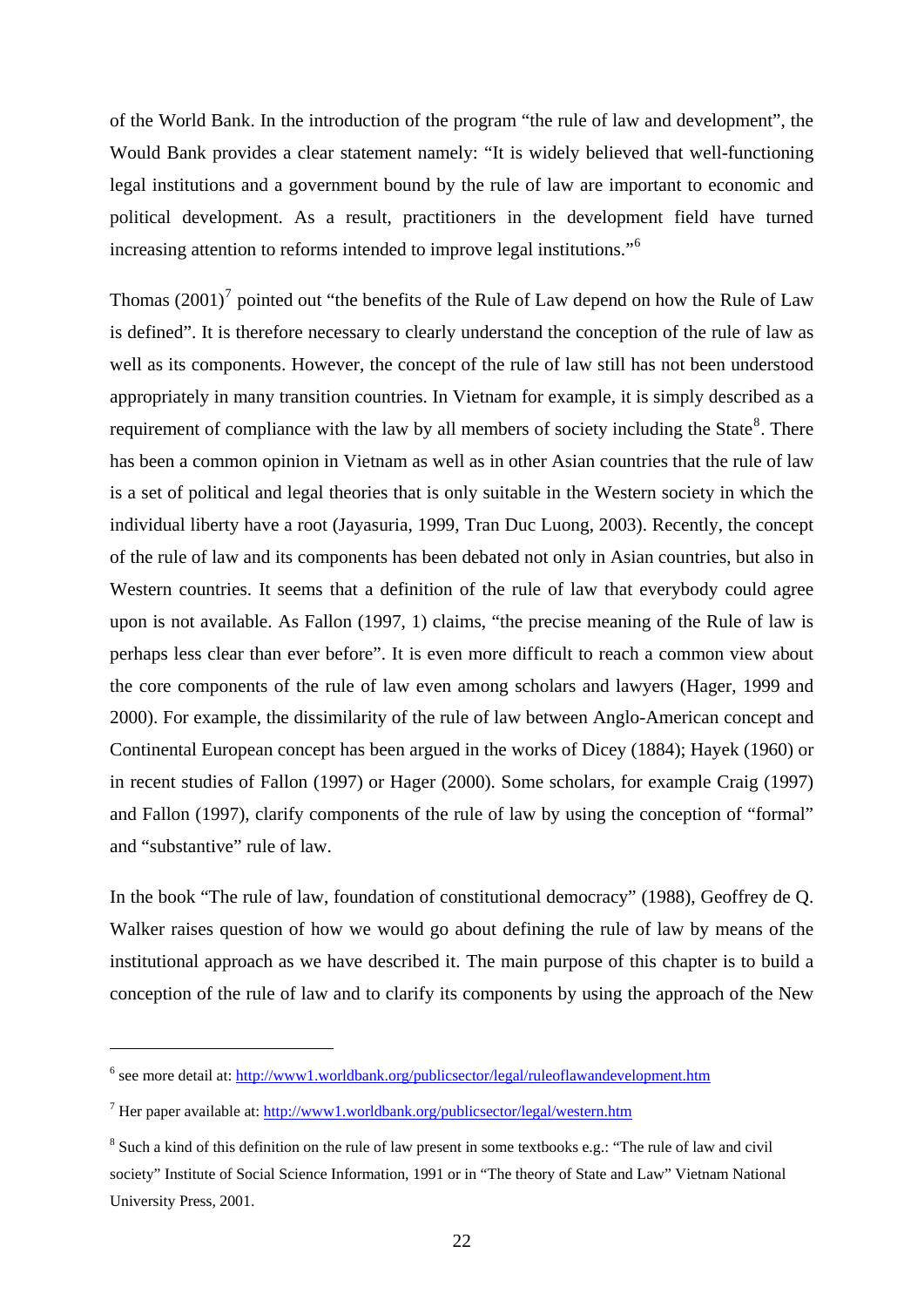of the World Bank. In the introduction of the program "the rule of law and development", the Would Bank provides a clear statement namely: "It is widely believed that well-functioning legal institutions and a government bound by the rule of law are important to economic and political development. As a result, practitioners in the development field have turned increasing attention to reforms intended to improve legal institutions."[6](#page-27-0)

Thomas  $(2001)^7$  $(2001)^7$  pointed out "the benefits of the Rule of Law depend on how the Rule of Law is defined". It is therefore necessary to clearly understand the conception of the rule of law as well as its components. However, the concept of the rule of law still has not been understood appropriately in many transition countries. In Vietnam for example, it is simply described as a requirement of compliance with the law by all members of society including the State $8$ . There has been a common opinion in Vietnam as well as in other Asian countries that the rule of law is a set of political and legal theories that is only suitable in the Western society in which the individual liberty have a root (Jayasuria, 1999, Tran Duc Luong, 2003). Recently, the concept of the rule of law and its components has been debated not only in Asian countries, but also in Western countries. It seems that a definition of the rule of law that everybody could agree upon is not available. As Fallon (1997, 1) claims, "the precise meaning of the Rule of law is perhaps less clear than ever before". It is even more difficult to reach a common view about the core components of the rule of law even among scholars and lawyers (Hager, 1999 and 2000). For example, the dissimilarity of the rule of law between Anglo-American concept and Continental European concept has been argued in the works of Dicey (1884); Hayek (1960) or in recent studies of Fallon (1997) or Hager (2000). Some scholars, for example Craig (1997) and Fallon (1997), clarify components of the rule of law by using the conception of "formal" and "substantive" rule of law.

In the book "The rule of law, foundation of constitutional democracy" (1988), Geoffrey de Q. Walker raises question of how we would go about defining the rule of law by means of the institutional approach as we have described it. The main purpose of this chapter is to build a conception of the rule of law and to clarify its components by using the approach of the New

<u>.</u>

<span id="page-27-0"></span><sup>&</sup>lt;sup>6</sup> see more detail at:<http://www1.worldbank.org/publicsector/legal/ruleoflawandevelopment.htm>

<span id="page-27-1"></span><sup>&</sup>lt;sup>7</sup> Her paper available at: <http://www1.worldbank.org/publicsector/legal/western.htm>

<span id="page-27-2"></span><sup>&</sup>lt;sup>8</sup> Such a kind of this definition on the rule of law present in some textbooks e.g.: "The rule of law and civil society" Institute of Social Science Information, 1991 or in "The theory of State and Law" Vietnam National University Press, 2001.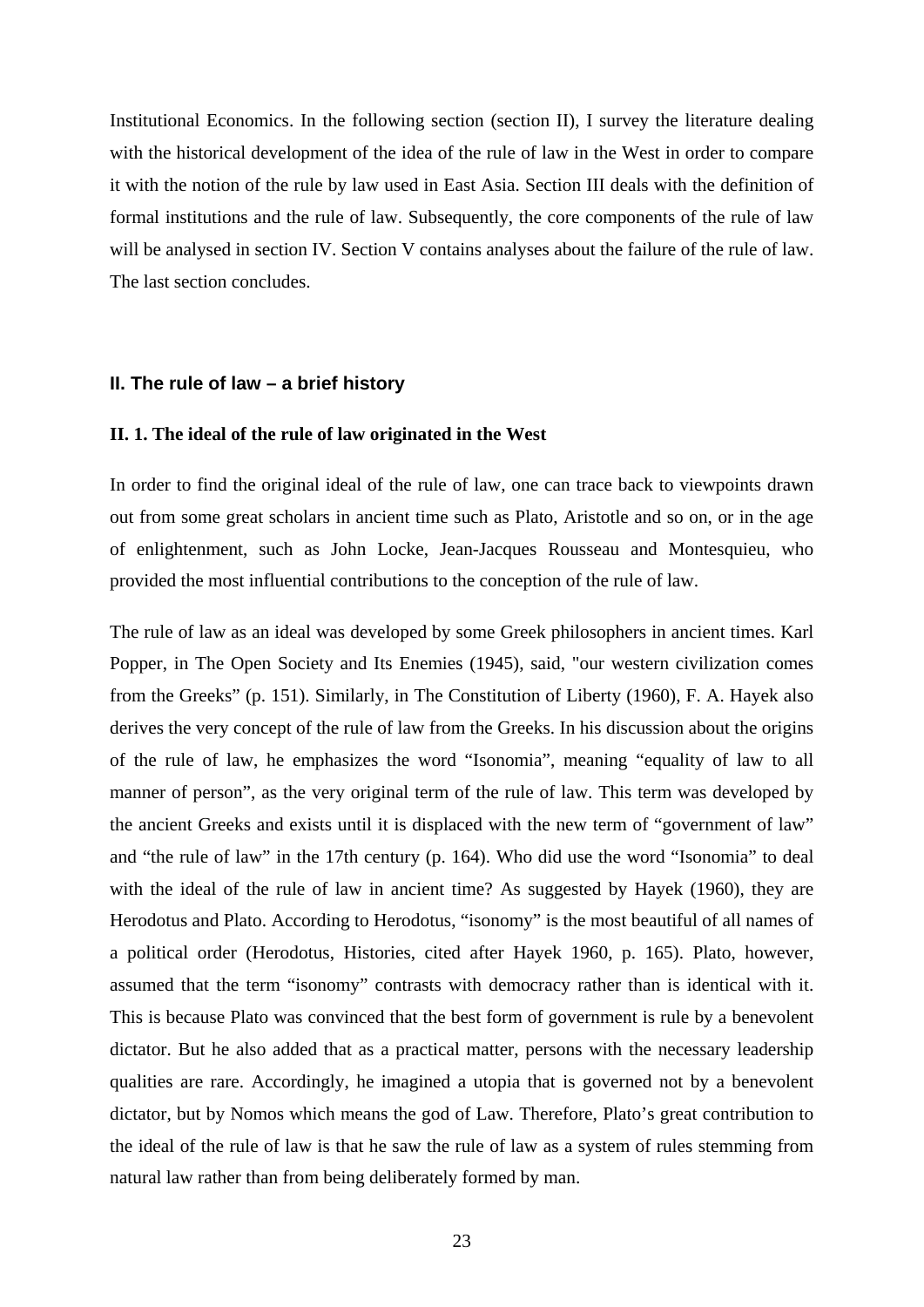<span id="page-28-0"></span>Institutional Economics. In the following section (section II), I survey the literature dealing with the historical development of the idea of the rule of law in the West in order to compare it with the notion of the rule by law used in East Asia. Section III deals with the definition of formal institutions and the rule of law. Subsequently, the core components of the rule of law will be analysed in section IV. Section V contains analyses about the failure of the rule of law. The last section concludes.

#### **II. The rule of law – a brief history**

# **II. 1. The ideal of the rule of law originated in the West**

In order to find the original ideal of the rule of law, one can trace back to viewpoints drawn out from some great scholars in ancient time such as Plato, Aristotle and so on, or in the age of enlightenment, such as John Locke, Jean-Jacques Rousseau and Montesquieu, who provided the most influential contributions to the conception of the rule of law.

The rule of law as an ideal was developed by some Greek philosophers in ancient times. Karl Popper, in The Open Society and Its Enemies (1945), said, "our western civilization comes from the Greeks" (p. 151). Similarly, in The Constitution of Liberty (1960), F. A. Hayek also derives the very concept of the rule of law from the Greeks. In his discussion about the origins of the rule of law, he emphasizes the word "Isonomia", meaning "equality of law to all manner of person", as the very original term of the rule of law. This term was developed by the ancient Greeks and exists until it is displaced with the new term of "government of law" and "the rule of law" in the 17th century (p. 164). Who did use the word "Isonomia" to deal with the ideal of the rule of law in ancient time? As suggested by Hayek (1960), they are Herodotus and Plato. According to Herodotus, "isonomy" is the most beautiful of all names of a political order (Herodotus, Histories, cited after Hayek 1960, p. 165). Plato, however, assumed that the term "isonomy" contrasts with democracy rather than is identical with it. This is because Plato was convinced that the best form of government is rule by a benevolent dictator. But he also added that as a practical matter, persons with the necessary leadership qualities are rare. Accordingly, he imagined a utopia that is governed not by a benevolent dictator, but by Nomos which means the god of Law. Therefore, Plato's great contribution to the ideal of the rule of law is that he saw the rule of law as a system of rules stemming from natural law rather than from being deliberately formed by man.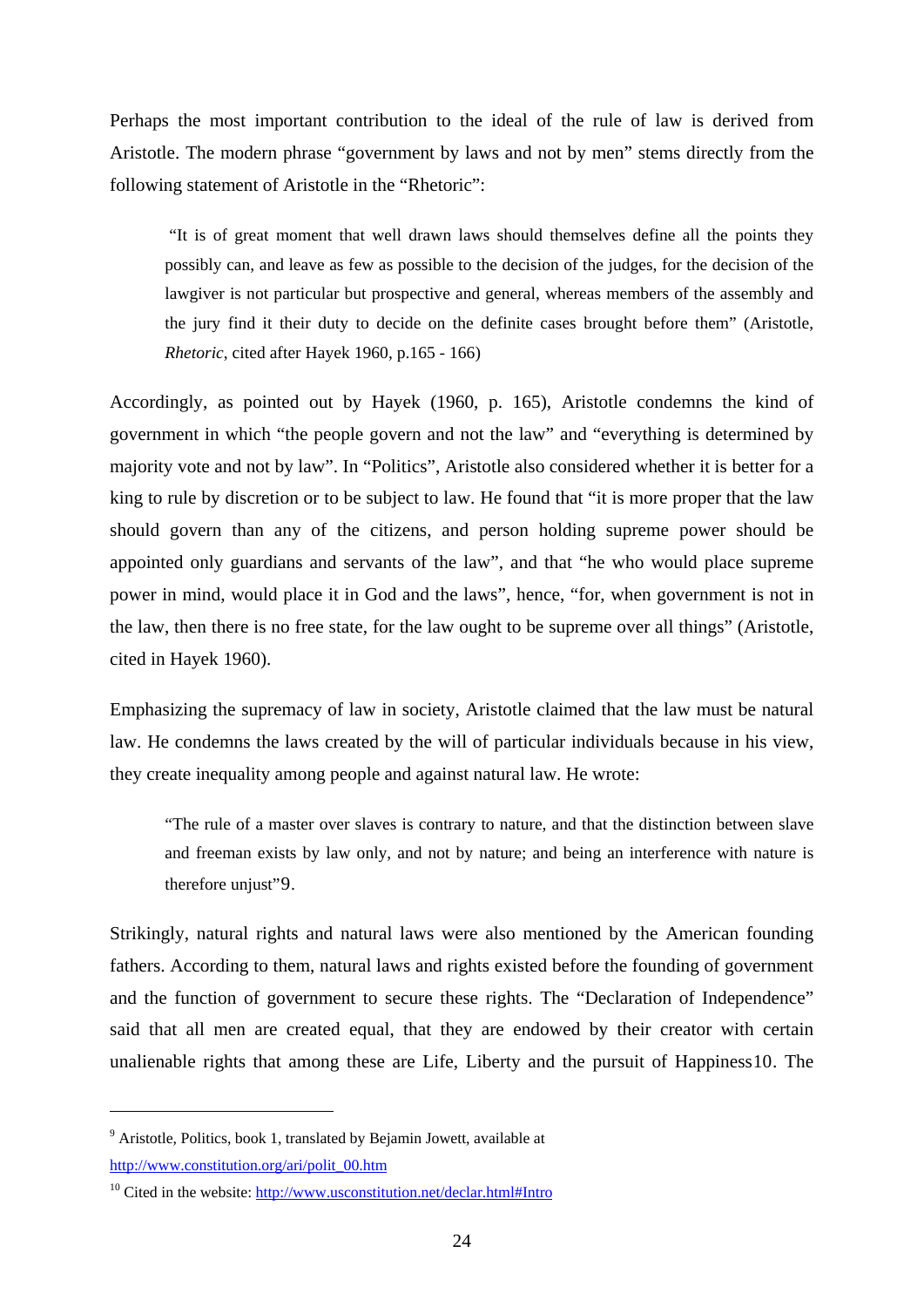Perhaps the most important contribution to the ideal of the rule of law is derived from Aristotle. The modern phrase "government by laws and not by men" stems directly from the following statement of Aristotle in the "Rhetoric":

 "It is of great moment that well drawn laws should themselves define all the points they possibly can, and leave as few as possible to the decision of the judges, for the decision of the lawgiver is not particular but prospective and general, whereas members of the assembly and the jury find it their duty to decide on the definite cases brought before them" (Aristotle, *Rhetoric*, cited after Hayek 1960, p.165 - 166)

Accordingly, as pointed out by Hayek (1960, p. 165), Aristotle condemns the kind of government in which "the people govern and not the law" and "everything is determined by majority vote and not by law". In "Politics", Aristotle also considered whether it is better for a king to rule by discretion or to be subject to law. He found that "it is more proper that the law should govern than any of the citizens, and person holding supreme power should be appointed only guardians and servants of the law", and that "he who would place supreme power in mind, would place it in God and the laws", hence, "for, when government is not in the law, then there is no free state, for the law ought to be supreme over all things" (Aristotle, cited in Hayek 1960).

Emphasizing the supremacy of law in society, Aristotle claimed that the law must be natural law. He condemns the laws created by the will of particular individuals because in his view, they create inequality among people and against natural law. He wrote:

"The rule of a master over slaves is contrary to nature, and that the distinction between slave and freeman exists by law only, and not by nature; and being an interference with nature is therefore unjust"[9](#page-29-0).

Strikingly, natural rights and natural laws were also mentioned by the American founding fathers. According to them, natural laws and rights existed before the founding of government and the function of government to secure these rights. The "Declaration of Independence" said that all men are created equal, that they are endowed by their creator with certain unalienable rights that among these are Life, Liberty and the pursuit of Happiness[10.](#page-29-1) The

<span id="page-29-0"></span><sup>&</sup>lt;sup>9</sup> Aristotle, Politics, book 1, translated by Bejamin Jowett, available at [http://www.constitution.org/ari/polit\\_00.htm](http://www.constitution.org/ari/polit_00.htm)

<span id="page-29-1"></span> $10$  Cited in the website: <http://www.usconstitution.net/declar.html#Intro>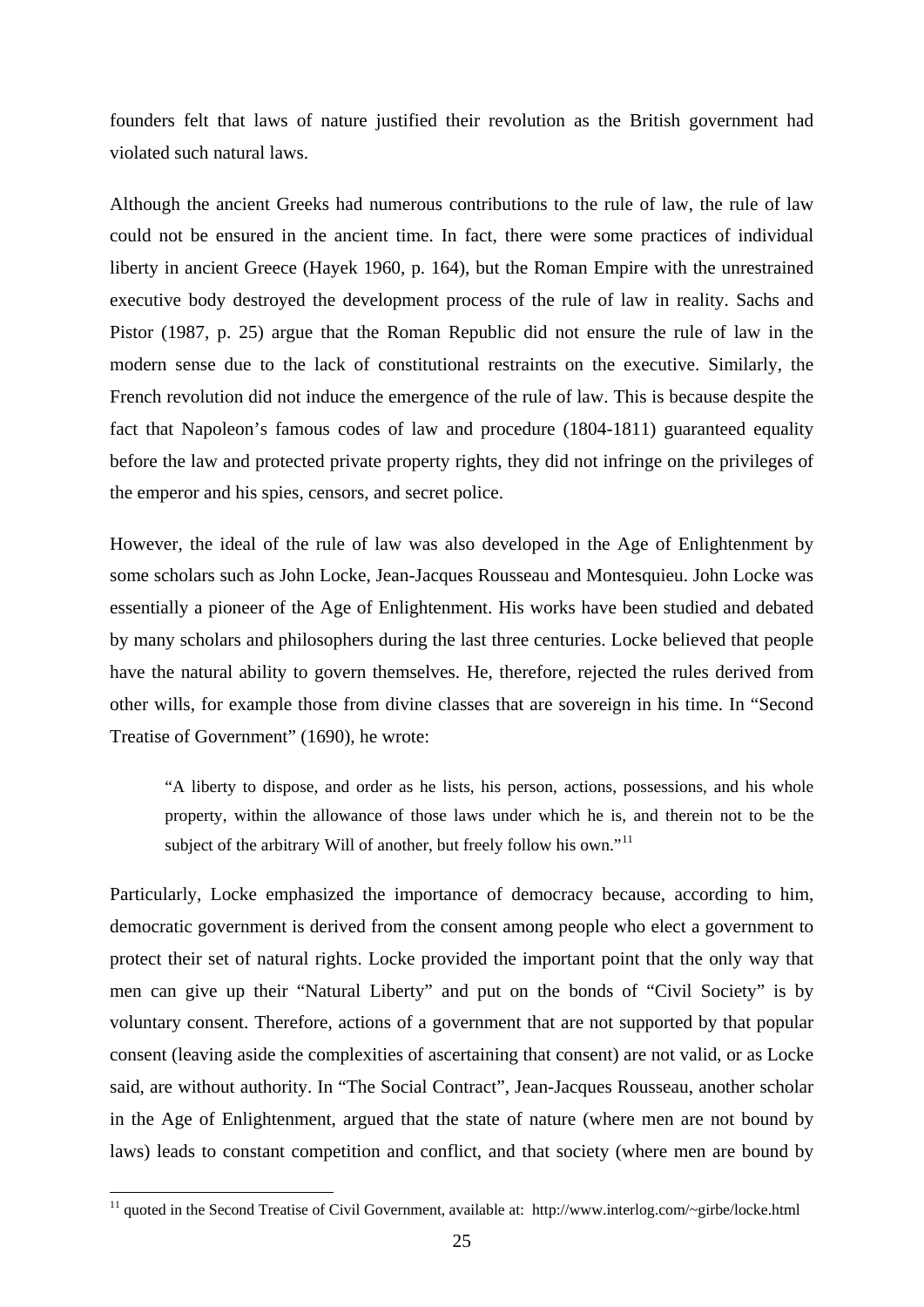founders felt that laws of nature justified their revolution as the British government had violated such natural laws.

Although the ancient Greeks had numerous contributions to the rule of law, the rule of law could not be ensured in the ancient time. In fact, there were some practices of individual liberty in ancient Greece (Hayek 1960, p. 164), but the Roman Empire with the unrestrained executive body destroyed the development process of the rule of law in reality. Sachs and Pistor (1987, p. 25) argue that the Roman Republic did not ensure the rule of law in the modern sense due to the lack of constitutional restraints on the executive. Similarly, the French revolution did not induce the emergence of the rule of law. This is because despite the fact that Napoleon's famous codes of law and procedure (1804-1811) guaranteed equality before the law and protected private property rights, they did not infringe on the privileges of the emperor and his spies, censors, and secret police.

However, the ideal of the rule of law was also developed in the Age of Enlightenment by some scholars such as John Locke, Jean-Jacques Rousseau and Montesquieu. John Locke was essentially a pioneer of the Age of Enlightenment. His works have been studied and debated by many scholars and philosophers during the last three centuries. Locke believed that people have the natural ability to govern themselves. He, therefore, rejected the rules derived from other wills, for example those from divine classes that are sovereign in his time. In "Second Treatise of Government" (1690), he wrote:

"A liberty to dispose, and order as he lists, his person, actions, possessions, and his whole property, within the allowance of those laws under which he is, and therein not to be the subject of the arbitrary Will of another, but freely follow his own."<sup>[11](#page-30-0)</sup>

Particularly, Locke emphasized the importance of democracy because, according to him, democratic government is derived from the consent among people who elect a government to protect their set of natural rights. Locke provided the important point that the only way that men can give up their "Natural Liberty" and put on the bonds of "Civil Society" is by voluntary consent. Therefore, actions of a government that are not supported by that popular consent (leaving aside the complexities of ascertaining that consent) are not valid, or as Locke said, are without authority. In "The Social Contract", Jean-Jacques Rousseau, another scholar in the Age of Enlightenment, argued that the state of nature (where men are not bound by laws) leads to constant competition and conflict, and that society (where men are bound by

<span id="page-30-0"></span><sup>&</sup>lt;sup>11</sup> quoted in the Second Treatise of Civil Government, available at: http://www.interlog.com/~girbe/locke.html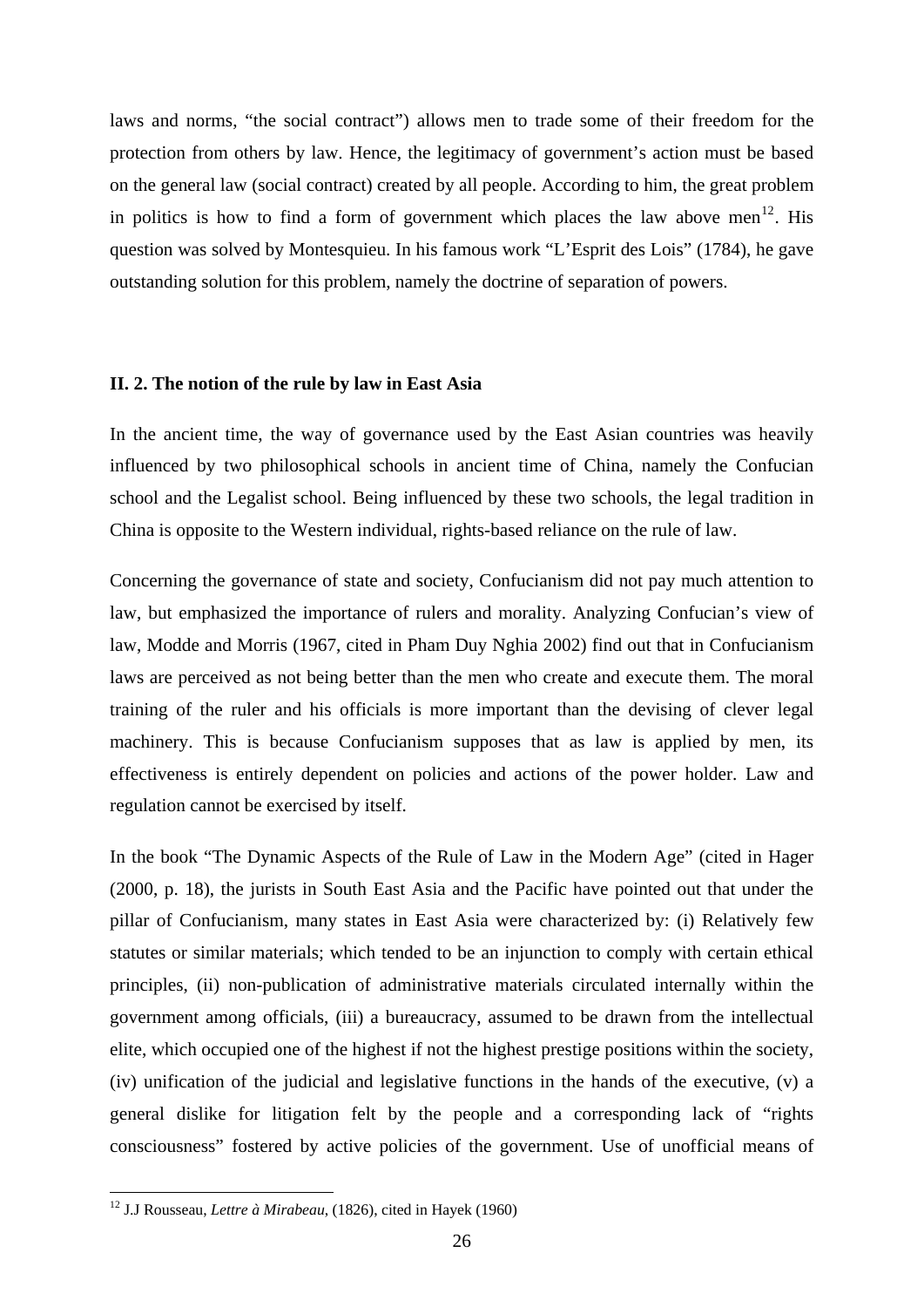<span id="page-31-0"></span>laws and norms, "the social contract") allows men to trade some of their freedom for the protection from others by law. Hence, the legitimacy of government's action must be based on the general law (social contract) created by all people. According to him, the great problem in politics is how to find a form of government which places the law above men<sup>[12](#page-31-1)</sup>. His question was solved by Montesquieu. In his famous work "L'Esprit des Lois" (1784), he gave outstanding solution for this problem, namely the doctrine of separation of powers.

## **II. 2. The notion of the rule by law in East Asia**

In the ancient time, the way of governance used by the East Asian countries was heavily influenced by two philosophical schools in ancient time of China, namely the Confucian school and the Legalist school. Being influenced by these two schools, the legal tradition in China is opposite to the Western individual, rights-based reliance on the rule of law.

Concerning the governance of state and society, Confucianism did not pay much attention to law, but emphasized the importance of rulers and morality. Analyzing Confucian's view of law, Modde and Morris (1967, cited in Pham Duy Nghia 2002) find out that in Confucianism laws are perceived as not being better than the men who create and execute them. The moral training of the ruler and his officials is more important than the devising of clever legal machinery. This is because Confucianism supposes that as law is applied by men, its effectiveness is entirely dependent on policies and actions of the power holder. Law and regulation cannot be exercised by itself.

In the book "The Dynamic Aspects of the Rule of Law in the Modern Age" (cited in Hager (2000, p. 18), the jurists in South East Asia and the Pacific have pointed out that under the pillar of Confucianism, many states in East Asia were characterized by: (i) Relatively few statutes or similar materials; which tended to be an injunction to comply with certain ethical principles, (ii) non-publication of administrative materials circulated internally within the government among officials, (iii) a bureaucracy, assumed to be drawn from the intellectual elite, which occupied one of the highest if not the highest prestige positions within the society, (iv) unification of the judicial and legislative functions in the hands of the executive, (v) a general dislike for litigation felt by the people and a corresponding lack of "rights consciousness" fostered by active policies of the government. Use of unofficial means of

<span id="page-31-1"></span><sup>12</sup> J.J Rousseau, *Lettre à Mirabeau*, (1826), cited in Hayek (1960)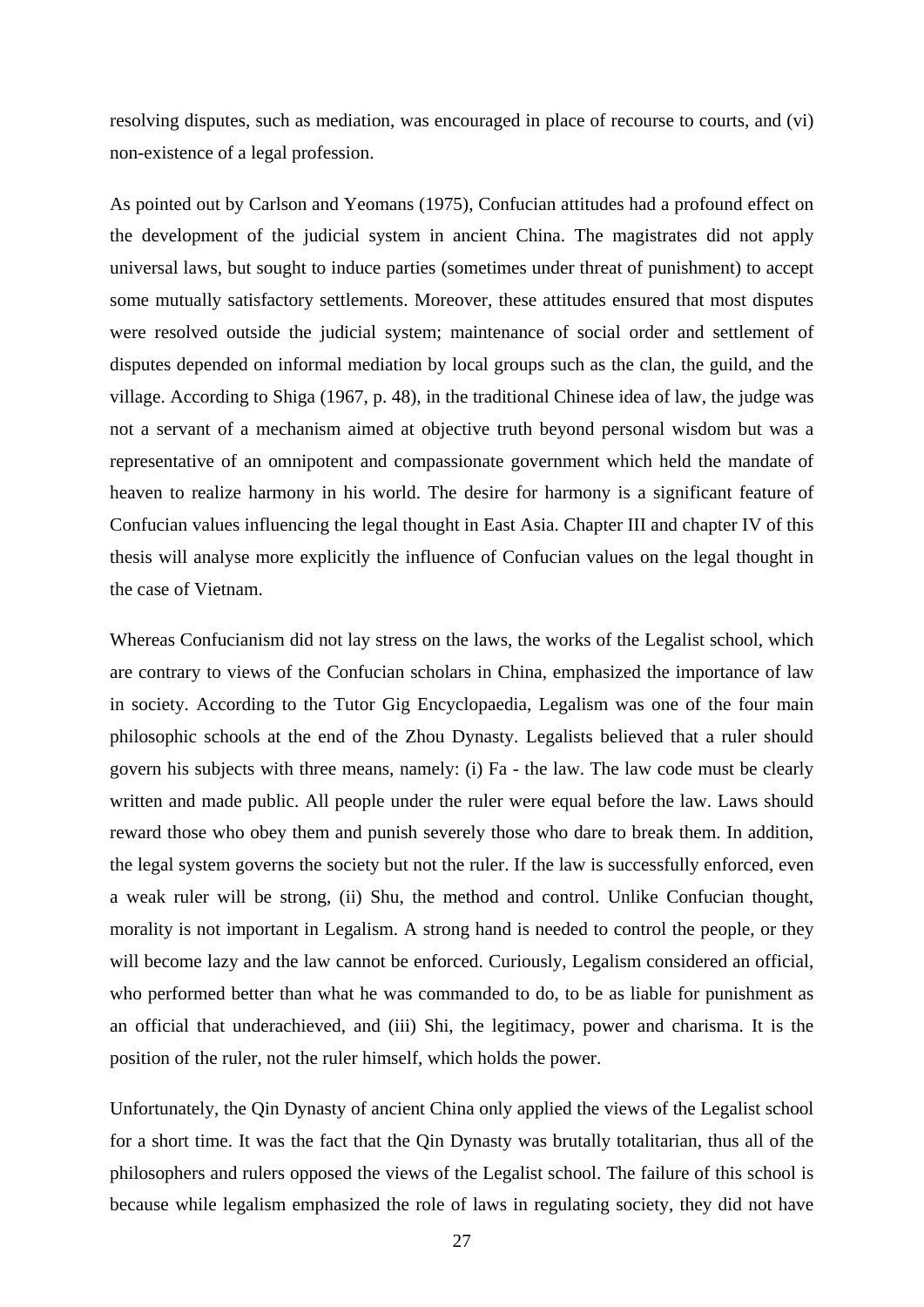resolving disputes, such as mediation, was encouraged in place of recourse to courts, and (vi) non-existence of a legal profession.

As pointed out by Carlson and Yeomans (1975), Confucian attitudes had a profound effect on the development of the judicial system in ancient China. The magistrates did not apply universal laws, but sought to induce parties (sometimes under threat of punishment) to accept some mutually satisfactory settlements. Moreover, these attitudes ensured that most disputes were resolved outside the judicial system; maintenance of social order and settlement of disputes depended on informal mediation by local groups such as the clan, the guild, and the village. According to Shiga (1967, p. 48), in the traditional Chinese idea of law, the judge was not a servant of a mechanism aimed at objective truth beyond personal wisdom but was a representative of an omnipotent and compassionate government which held the mandate of heaven to realize harmony in his world. The desire for harmony is a significant feature of Confucian values influencing the legal thought in East Asia. Chapter III and chapter IV of this thesis will analyse more explicitly the influence of Confucian values on the legal thought in the case of Vietnam.

Whereas Confucianism did not lay stress on the laws, the works of the Legalist school, which are contrary to views of the Confucian scholars in China, emphasized the importance of law in society. According to the Tutor Gig Encyclopaedia, Legalism was one of the four main philosophic schools at the end of the Zhou Dynasty. Legalists believed that a ruler should govern his subjects with three means, namely: (i) Fa - the law. The law code must be clearly written and made public. All people under the ruler were equal before the law. Laws should reward those who obey them and punish severely those who dare to break them. In addition, the legal system governs the society but not the ruler. If the law is successfully enforced, even a weak ruler will be strong, (ii) Shu, the method and control. Unlike Confucian thought, morality is not important in Legalism. A strong hand is needed to control the people, or they will become lazy and the law cannot be enforced. Curiously, Legalism considered an official, who performed better than what he was commanded to do, to be as liable for punishment as an official that underachieved, and (iii) Shi, the legitimacy, power and charisma. It is the position of the ruler, not the ruler himself, which holds the power.

Unfortunately, the Qin Dynasty of ancient China only applied the views of the Legalist school for a short time. It was the fact that the Qin Dynasty was brutally totalitarian, thus all of the philosophers and rulers opposed the views of the Legalist school. The failure of this school is because while legalism emphasized the role of laws in regulating society, they did not have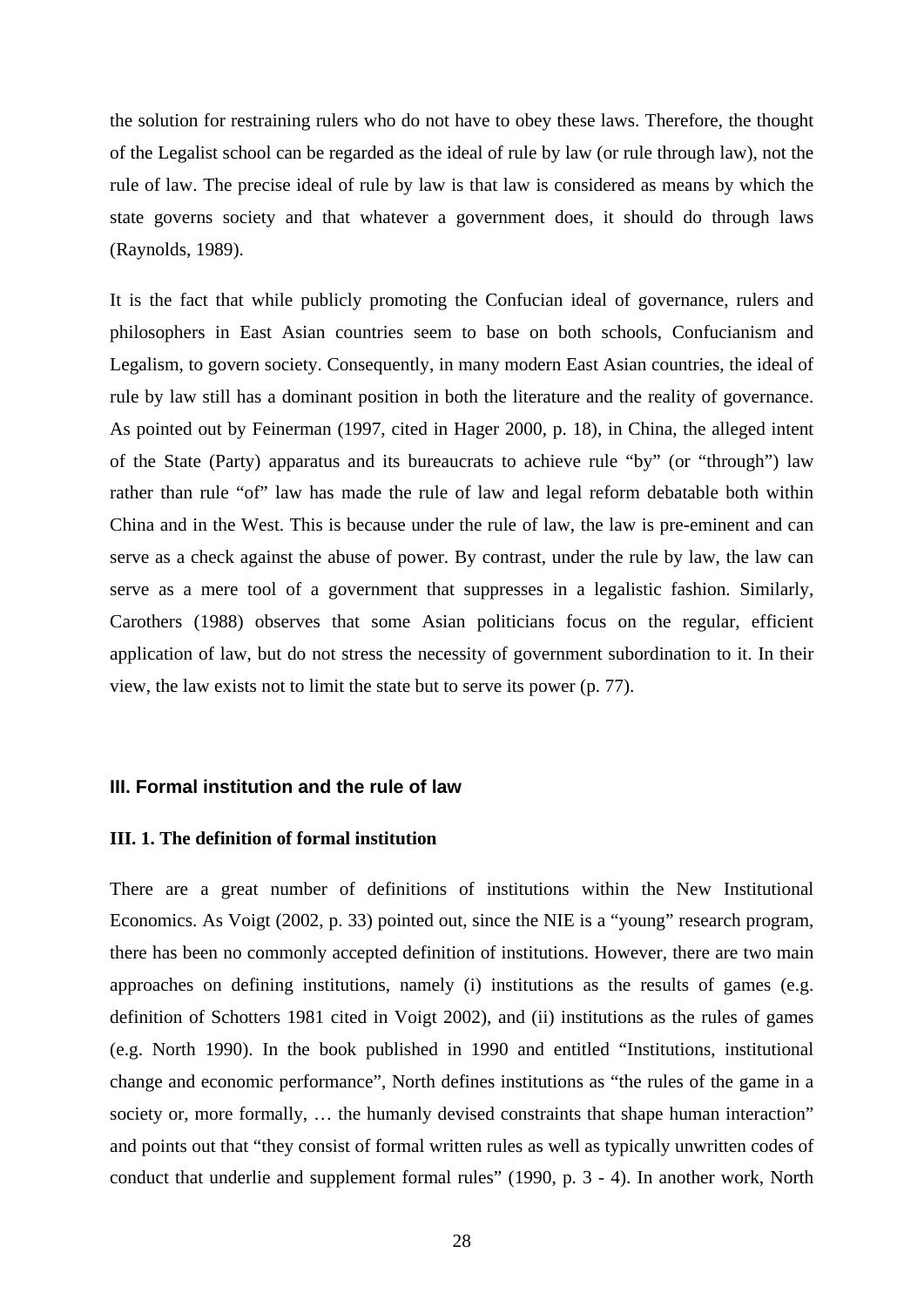<span id="page-33-0"></span>the solution for restraining rulers who do not have to obey these laws. Therefore, the thought of the Legalist school can be regarded as the ideal of rule by law (or rule through law), not the rule of law. The precise ideal of rule by law is that law is considered as means by which the state governs society and that whatever a government does, it should do through laws (Raynolds, 1989).

It is the fact that while publicly promoting the Confucian ideal of governance, rulers and philosophers in East Asian countries seem to base on both schools, Confucianism and Legalism, to govern society. Consequently, in many modern East Asian countries, the ideal of rule by law still has a dominant position in both the literature and the reality of governance. As pointed out by Feinerman (1997, cited in Hager 2000, p. 18), in China, the alleged intent of the State (Party) apparatus and its bureaucrats to achieve rule "by" (or "through") law rather than rule "of" law has made the rule of law and legal reform debatable both within China and in the West. This is because under the rule of law, the law is pre-eminent and can serve as a check against the abuse of power. By contrast, under the rule by law, the law can serve as a mere tool of a government that suppresses in a legalistic fashion. Similarly, Carothers (1988) observes that some Asian politicians focus on the regular, efficient application of law, but do not stress the necessity of government subordination to it. In their view, the law exists not to limit the state but to serve its power (p. 77).

## **III. Formal institution and the rule of law**

## **III. 1. The definition of formal institution**

There are a great number of definitions of institutions within the New Institutional Economics. As Voigt (2002, p. 33) pointed out, since the NIE is a "young" research program, there has been no commonly accepted definition of institutions. However, there are two main approaches on defining institutions, namely (i) institutions as the results of games (e.g. definition of Schotters 1981 cited in Voigt 2002), and (ii) institutions as the rules of games (e.g. North 1990). In the book published in 1990 and entitled "Institutions, institutional change and economic performance", North defines institutions as "the rules of the game in a society or, more formally, ... the humanly devised constraints that shape human interaction" and points out that "they consist of formal written rules as well as typically unwritten codes of conduct that underlie and supplement formal rules" (1990, p. 3 - 4). In another work, North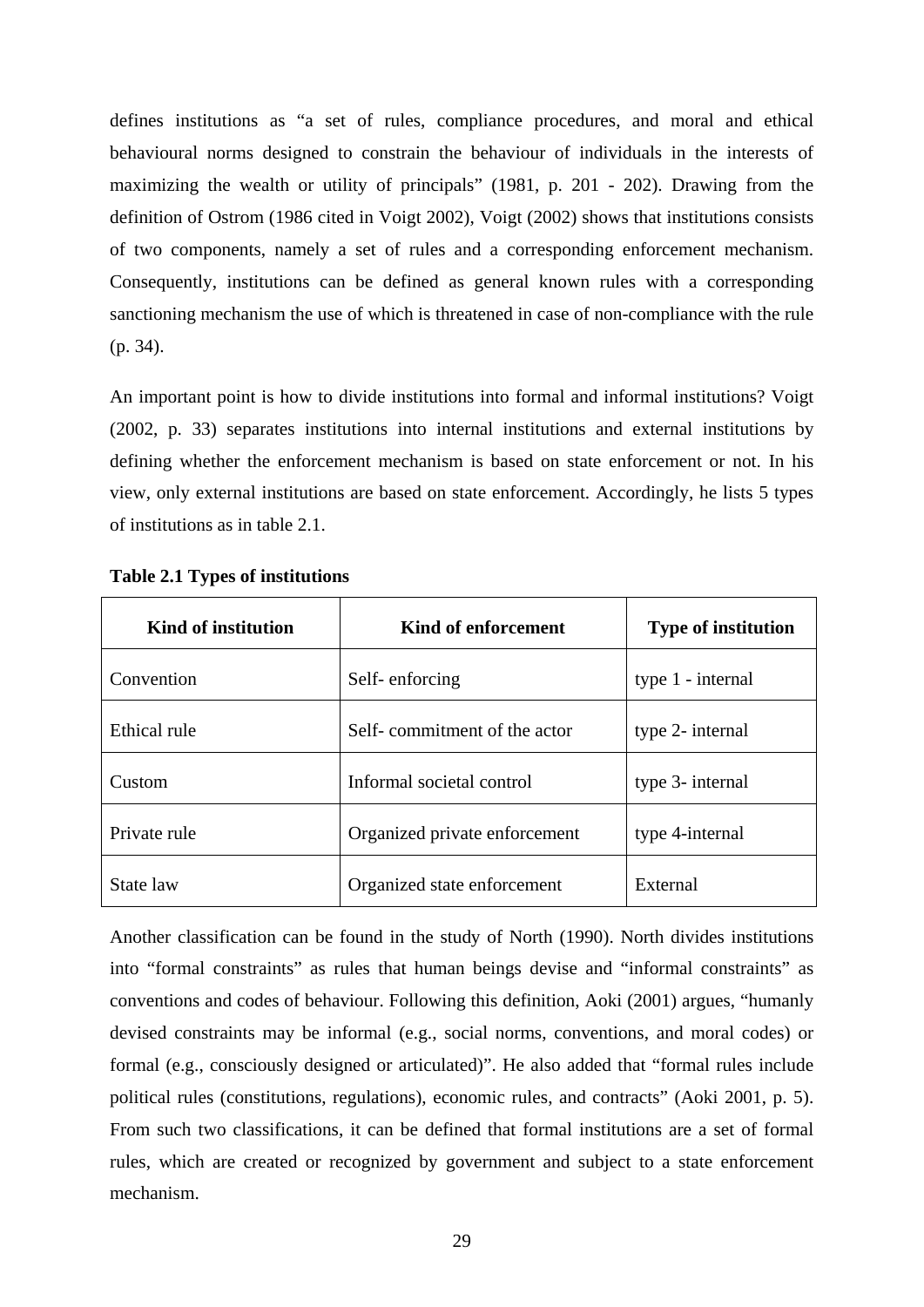<span id="page-34-0"></span>defines institutions as "a set of rules, compliance procedures, and moral and ethical behavioural norms designed to constrain the behaviour of individuals in the interests of maximizing the wealth or utility of principals" (1981, p. 201 - 202). Drawing from the definition of Ostrom (1986 cited in Voigt 2002), Voigt (2002) shows that institutions consists of two components, namely a set of rules and a corresponding enforcement mechanism. Consequently, institutions can be defined as general known rules with a corresponding sanctioning mechanism the use of which is threatened in case of non-compliance with the rule (p. 34).

An important point is how to divide institutions into formal and informal institutions? Voigt (2002, p. 33) separates institutions into internal institutions and external institutions by defining whether the enforcement mechanism is based on state enforcement or not. In his view, only external institutions are based on state enforcement. Accordingly, he lists 5 types of institutions as in table 2.1.

| Kind of institution | Kind of enforcement           | <b>Type of institution</b> |  |
|---------------------|-------------------------------|----------------------------|--|
| Convention          | Self-enforcing                | type 1 - internal          |  |
| Ethical rule        | Self-commitment of the actor  | type 2- internal           |  |
| Custom              | Informal societal control     | type 3- internal           |  |
| Private rule        | Organized private enforcement | type 4-internal            |  |
| State law           | Organized state enforcement   | External                   |  |

**Table 2.1 Types of institutions** 

Another classification can be found in the study of North (1990). North divides institutions into "formal constraints" as rules that human beings devise and "informal constraints" as conventions and codes of behaviour. Following this definition, Aoki (2001) argues, "humanly devised constraints may be informal (e.g., social norms, conventions, and moral codes) or formal (e.g., consciously designed or articulated)". He also added that "formal rules include political rules (constitutions, regulations), economic rules, and contracts" (Aoki 2001, p. 5). From such two classifications, it can be defined that formal institutions are a set of formal rules, which are created or recognized by government and subject to a state enforcement mechanism.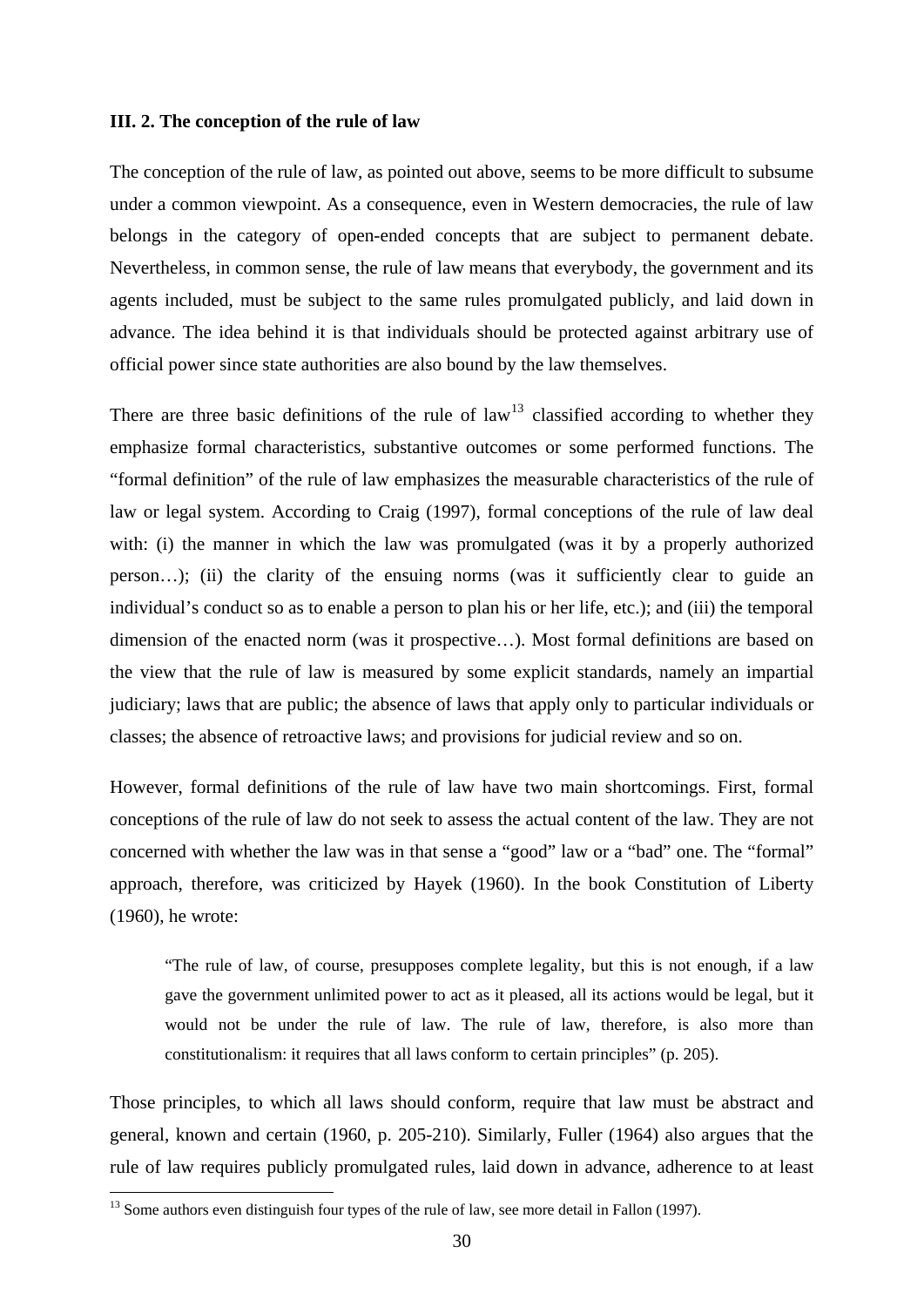## <span id="page-35-0"></span>**III. 2. The conception of the rule of law**

The conception of the rule of law, as pointed out above, seems to be more difficult to subsume under a common viewpoint. As a consequence, even in Western democracies, the rule of law belongs in the category of open-ended concepts that are subject to permanent debate. Nevertheless, in common sense, the rule of law means that everybody, the government and its agents included, must be subject to the same rules promulgated publicly, and laid down in advance. The idea behind it is that individuals should be protected against arbitrary use of official power since state authorities are also bound by the law themselves.

There are three basic definitions of the rule of  $law<sup>13</sup>$  $law<sup>13</sup>$  $law<sup>13</sup>$  classified according to whether they emphasize formal characteristics, substantive outcomes or some performed functions. The "formal definition" of the rule of law emphasizes the measurable characteristics of the rule of law or legal system. According to Craig (1997), formal conceptions of the rule of law deal with: (i) the manner in which the law was promulgated (was it by a properly authorized person…); (ii) the clarity of the ensuing norms (was it sufficiently clear to guide an individual's conduct so as to enable a person to plan his or her life, etc.); and (iii) the temporal dimension of the enacted norm (was it prospective…). Most formal definitions are based on the view that the rule of law is measured by some explicit standards, namely an impartial judiciary; laws that are public; the absence of laws that apply only to particular individuals or classes; the absence of retroactive laws; and provisions for judicial review and so on.

However, formal definitions of the rule of law have two main shortcomings. First, formal conceptions of the rule of law do not seek to assess the actual content of the law. They are not concerned with whether the law was in that sense a "good" law or a "bad" one. The "formal" approach, therefore, was criticized by Hayek (1960). In the book Constitution of Liberty (1960), he wrote:

"The rule of law, of course, presupposes complete legality, but this is not enough, if a law gave the government unlimited power to act as it pleased, all its actions would be legal, but it would not be under the rule of law. The rule of law, therefore, is also more than constitutionalism: it requires that all laws conform to certain principles" (p. 205).

Those principles, to which all laws should conform, require that law must be abstract and general, known and certain (1960, p. 205-210). Similarly, Fuller (1964) also argues that the rule of law requires publicly promulgated rules, laid down in advance, adherence to at least

<span id="page-35-1"></span> $13$  Some authors even distinguish four types of the rule of law, see more detail in Fallon (1997).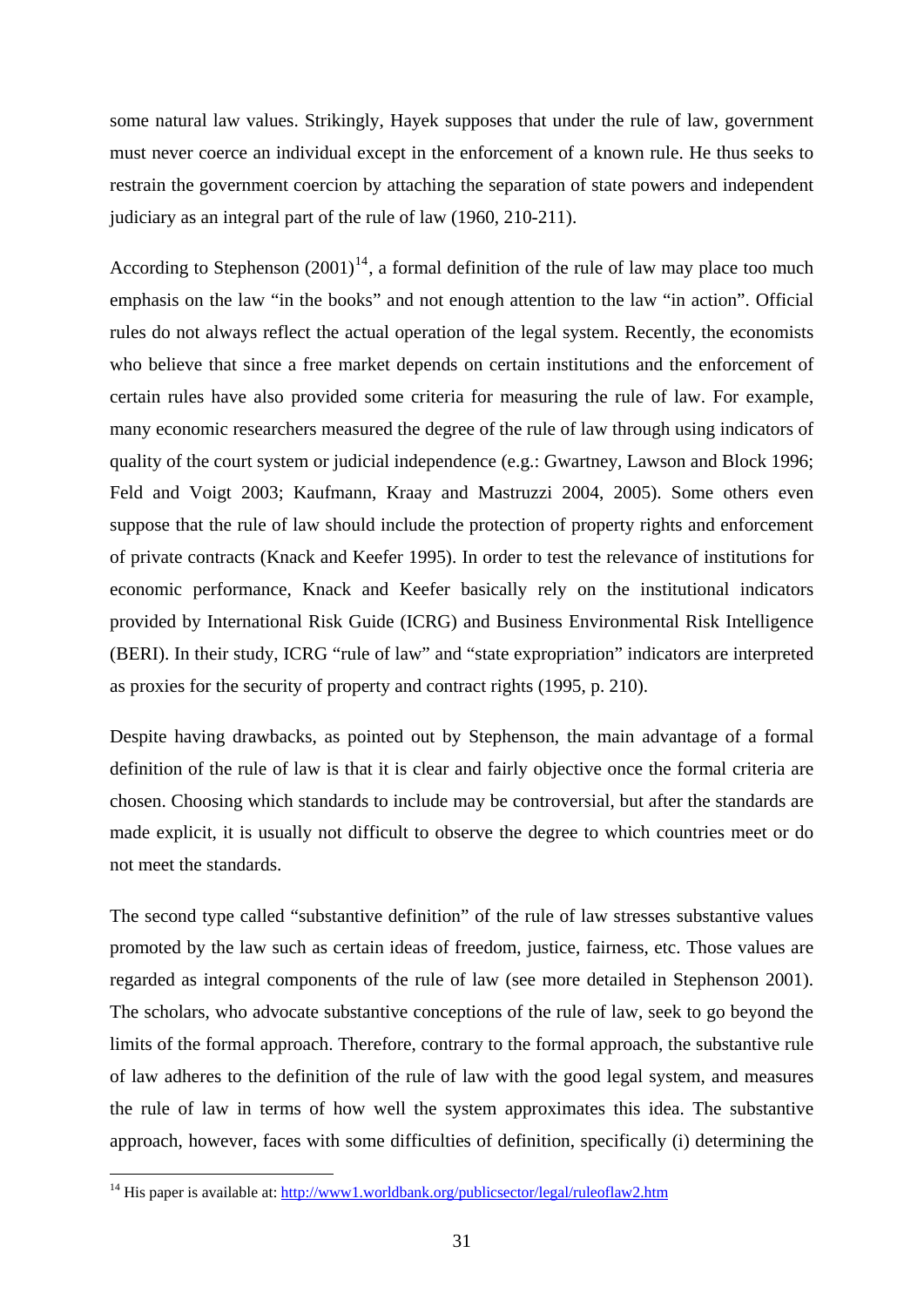some natural law values. Strikingly, Hayek supposes that under the rule of law, government must never coerce an individual except in the enforcement of a known rule. He thus seeks to restrain the government coercion by attaching the separation of state powers and independent judiciary as an integral part of the rule of law (1960, 210-211).

According to Stephenson  $(2001)^{14}$  $(2001)^{14}$  $(2001)^{14}$ , a formal definition of the rule of law may place too much emphasis on the law "in the books" and not enough attention to the law "in action". Official rules do not always reflect the actual operation of the legal system. Recently, the economists who believe that since a free market depends on certain institutions and the enforcement of certain rules have also provided some criteria for measuring the rule of law. For example, many economic researchers measured the degree of the rule of law through using indicators of quality of the court system or judicial independence (e.g.: Gwartney, Lawson and Block 1996; Feld and Voigt 2003; Kaufmann, Kraay and Mastruzzi 2004, 2005). Some others even suppose that the rule of law should include the protection of property rights and enforcement of private contracts (Knack and Keefer 1995). In order to test the relevance of institutions for economic performance, Knack and Keefer basically rely on the institutional indicators provided by International Risk Guide (ICRG) and Business Environmental Risk Intelligence (BERI). In their study, ICRG "rule of law" and "state expropriation" indicators are interpreted as proxies for the security of property and contract rights (1995, p. 210).

Despite having drawbacks, as pointed out by Stephenson, the main advantage of a formal definition of the rule of law is that it is clear and fairly objective once the formal criteria are chosen. Choosing which standards to include may be controversial, but after the standards are made explicit, it is usually not difficult to observe the degree to which countries meet or do not meet the standards.

The second type called "substantive definition" of the rule of law stresses substantive values promoted by the law such as certain ideas of freedom, justice, fairness, etc. Those values are regarded as integral components of the rule of law (see more detailed in Stephenson 2001). The scholars, who advocate substantive conceptions of the rule of law, seek to go beyond the limits of the formal approach. Therefore, contrary to the formal approach, the substantive rule of law adheres to the definition of the rule of law with the good legal system, and measures the rule of law in terms of how well the system approximates this idea. The substantive approach, however, faces with some difficulties of definition, specifically (i) determining the

<span id="page-36-0"></span><sup>&</sup>lt;sup>14</sup> His paper is available at:<http://www1.worldbank.org/publicsector/legal/ruleoflaw2.htm>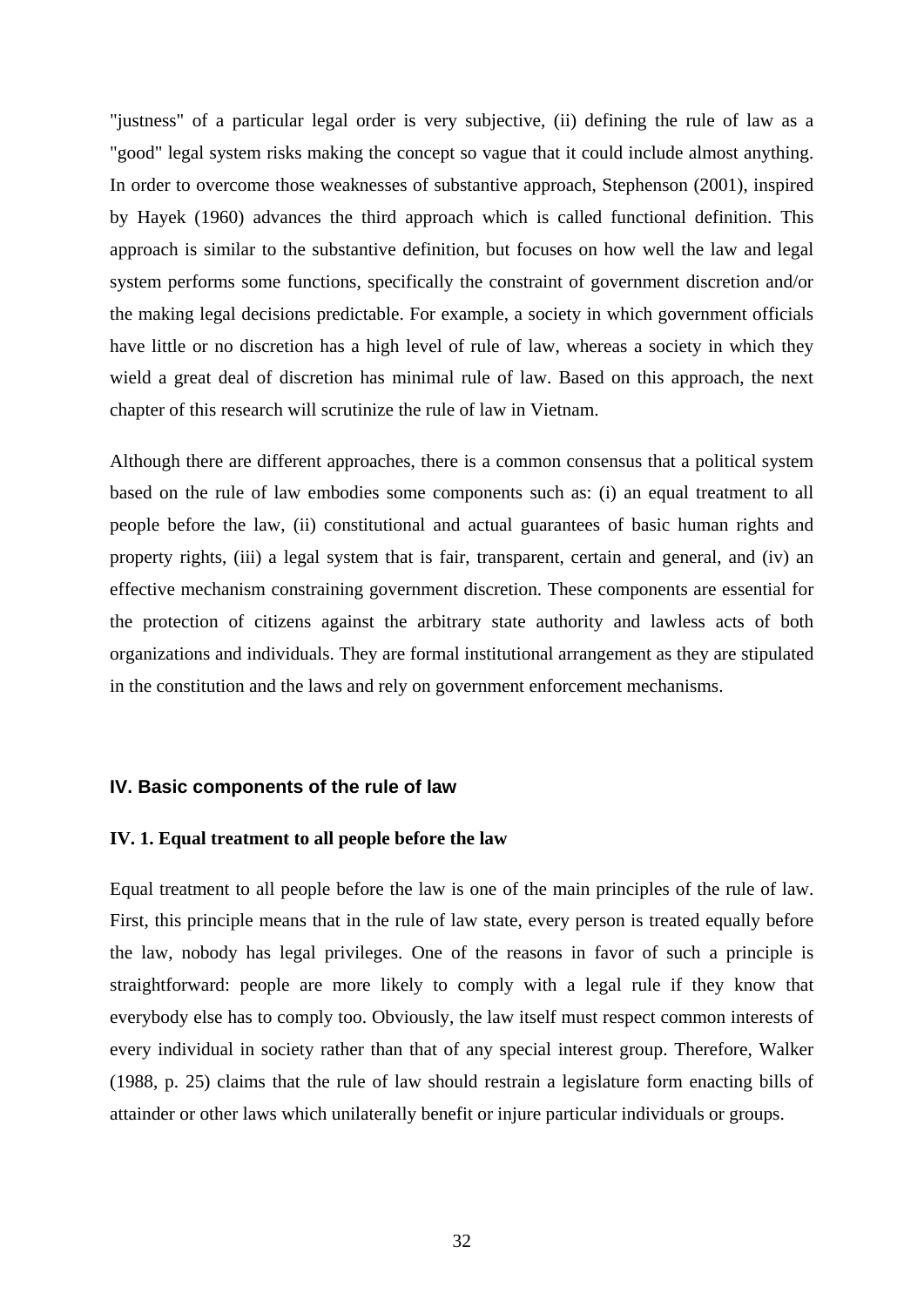"justness" of a particular legal order is very subjective, (ii) defining the rule of law as a "good" legal system risks making the concept so vague that it could include almost anything. In order to overcome those weaknesses of substantive approach, Stephenson (2001), inspired by Hayek (1960) advances the third approach which is called functional definition. This approach is similar to the substantive definition, but focuses on how well the law and legal system performs some functions, specifically the constraint of government discretion and/or the making legal decisions predictable. For example, a society in which government officials have little or no discretion has a high level of rule of law, whereas a society in which they wield a great deal of discretion has minimal rule of law. Based on this approach, the next chapter of this research will scrutinize the rule of law in Vietnam.

Although there are different approaches, there is a common consensus that a political system based on the rule of law embodies some components such as: (i) an equal treatment to all people before the law, (ii) constitutional and actual guarantees of basic human rights and property rights, (iii) a legal system that is fair, transparent, certain and general, and (iv) an effective mechanism constraining government discretion. These components are essential for the protection of citizens against the arbitrary state authority and lawless acts of both organizations and individuals. They are formal institutional arrangement as they are stipulated in the constitution and the laws and rely on government enforcement mechanisms.

#### **IV. Basic components of the rule of law**

## **IV. 1. Equal treatment to all people before the law**

Equal treatment to all people before the law is one of the main principles of the rule of law. First, this principle means that in the rule of law state, every person is treated equally before the law, nobody has legal privileges. One of the reasons in favor of such a principle is straightforward: people are more likely to comply with a legal rule if they know that everybody else has to comply too. Obviously, the law itself must respect common interests of every individual in society rather than that of any special interest group. Therefore, Walker (1988, p. 25) claims that the rule of law should restrain a legislature form enacting bills of attainder or other laws which unilaterally benefit or injure particular individuals or groups.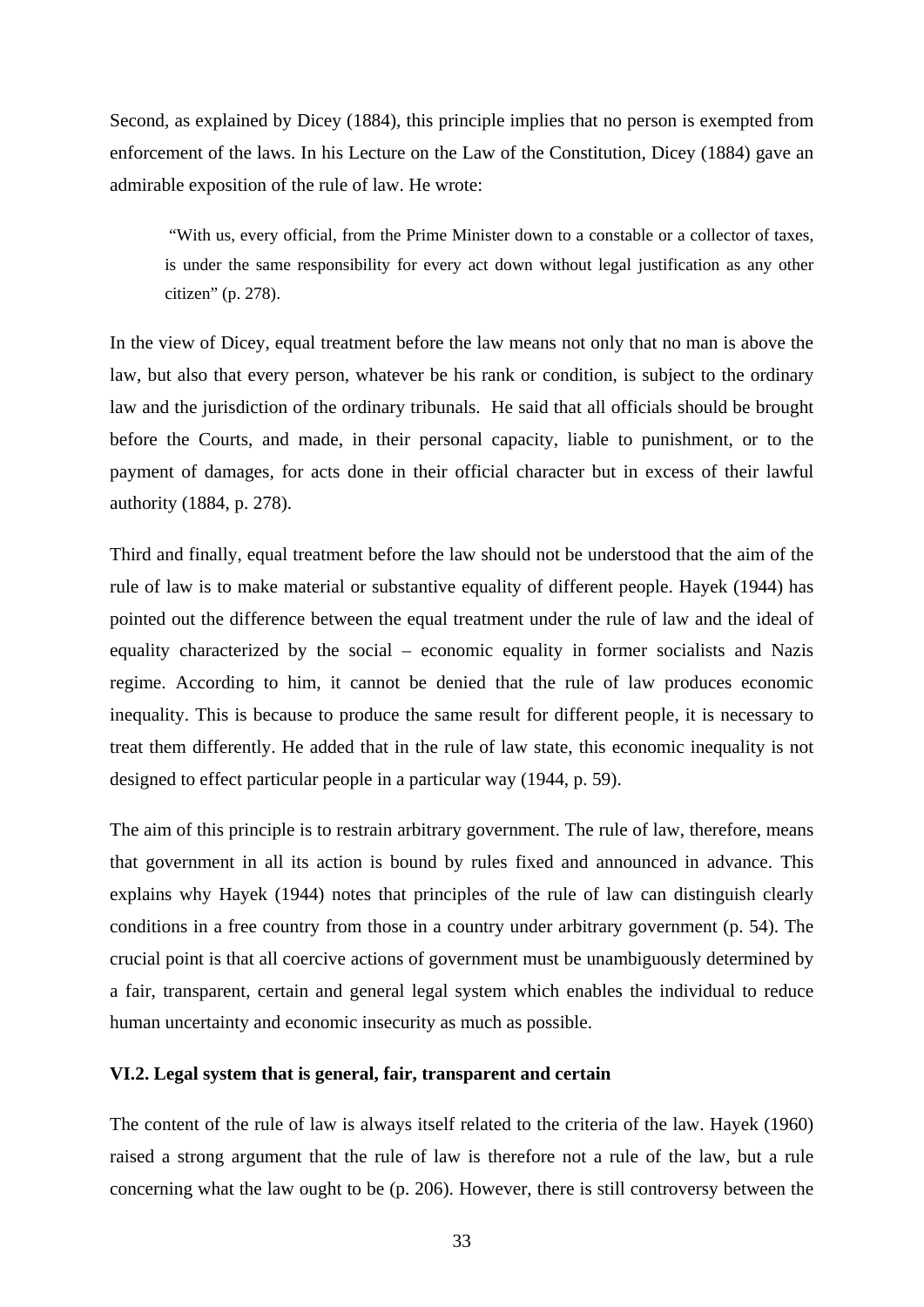Second, as explained by Dicey (1884), this principle implies that no person is exempted from enforcement of the laws. In his Lecture on the Law of the Constitution, Dicey (1884) gave an admirable exposition of the rule of law. He wrote:

 "With us, every official, from the Prime Minister down to a constable or a collector of taxes, is under the same responsibility for every act down without legal justification as any other citizen" (p. 278).

In the view of Dicey, equal treatment before the law means not only that no man is above the law, but also that every person, whatever be his rank or condition, is subject to the ordinary law and the jurisdiction of the ordinary tribunals. He said that all officials should be brought before the Courts, and made, in their personal capacity, liable to punishment, or to the payment of damages, for acts done in their official character but in excess of their lawful authority (1884, p. 278).

Third and finally, equal treatment before the law should not be understood that the aim of the rule of law is to make material or substantive equality of different people. Hayek (1944) has pointed out the difference between the equal treatment under the rule of law and the ideal of equality characterized by the social – economic equality in former socialists and Nazis regime. According to him, it cannot be denied that the rule of law produces economic inequality. This is because to produce the same result for different people, it is necessary to treat them differently. He added that in the rule of law state, this economic inequality is not designed to effect particular people in a particular way (1944, p. 59).

The aim of this principle is to restrain arbitrary government. The rule of law, therefore, means that government in all its action is bound by rules fixed and announced in advance. This explains why Hayek (1944) notes that principles of the rule of law can distinguish clearly conditions in a free country from those in a country under arbitrary government (p. 54). The crucial point is that all coercive actions of government must be unambiguously determined by a fair, transparent, certain and general legal system which enables the individual to reduce human uncertainty and economic insecurity as much as possible.

## **VI.2. Legal system that is general, fair, transparent and certain**

The content of the rule of law is always itself related to the criteria of the law. Hayek (1960) raised a strong argument that the rule of law is therefore not a rule of the law, but a rule concerning what the law ought to be (p. 206). However, there is still controversy between the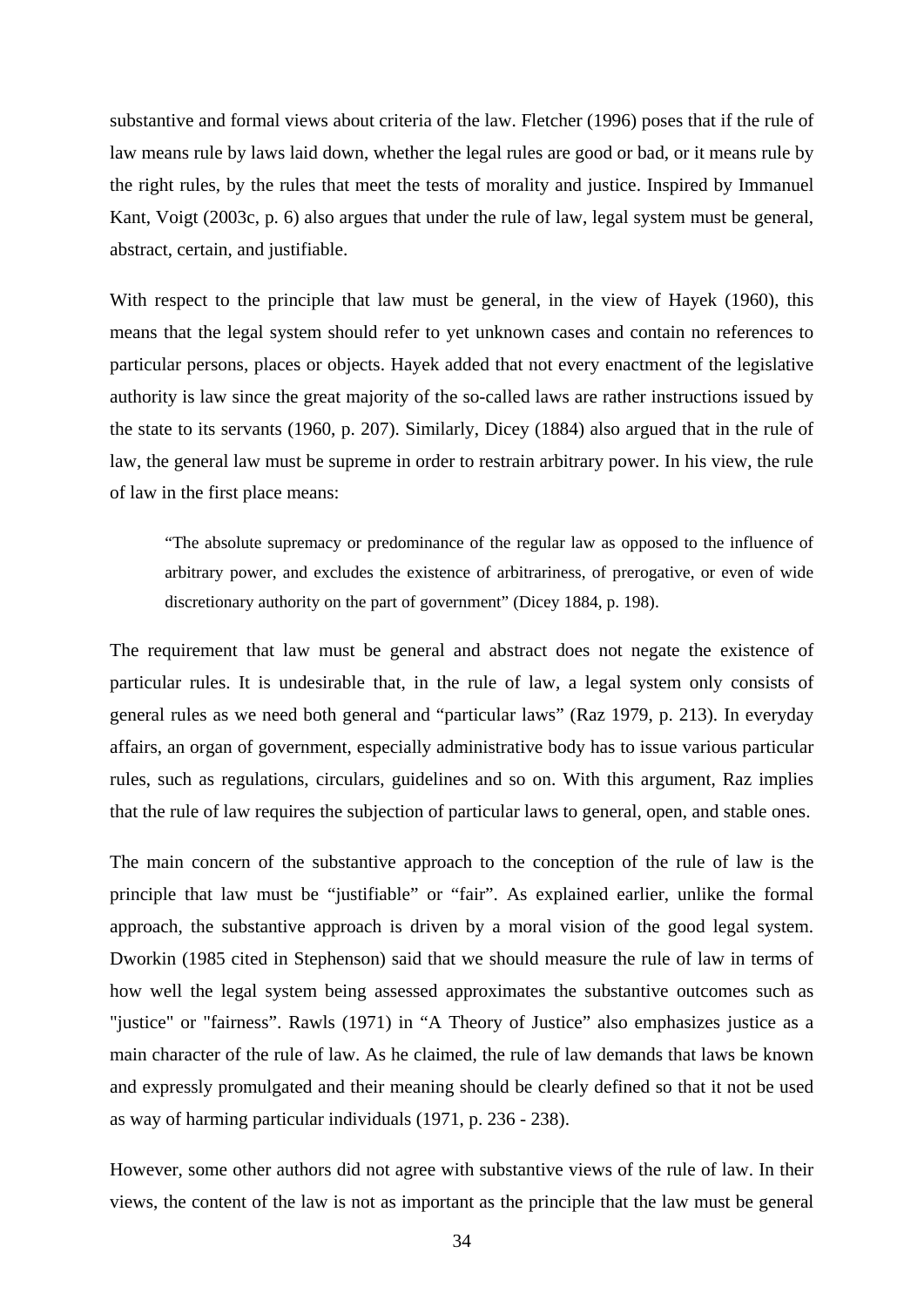substantive and formal views about criteria of the law. Fletcher (1996) poses that if the rule of law means rule by laws laid down, whether the legal rules are good or bad, or it means rule by the right rules, by the rules that meet the tests of morality and justice. Inspired by Immanuel Kant, Voigt (2003c, p. 6) also argues that under the rule of law, legal system must be general, abstract, certain, and justifiable.

With respect to the principle that law must be general, in the view of Hayek (1960), this means that the legal system should refer to yet unknown cases and contain no references to particular persons, places or objects. Hayek added that not every enactment of the legislative authority is law since the great majority of the so-called laws are rather instructions issued by the state to its servants (1960, p. 207). Similarly, Dicey (1884) also argued that in the rule of law, the general law must be supreme in order to restrain arbitrary power. In his view, the rule of law in the first place means:

"The absolute supremacy or predominance of the regular law as opposed to the influence of arbitrary power, and excludes the existence of arbitrariness, of prerogative, or even of wide discretionary authority on the part of government" (Dicey 1884, p. 198).

The requirement that law must be general and abstract does not negate the existence of particular rules. It is undesirable that, in the rule of law, a legal system only consists of general rules as we need both general and "particular laws" (Raz 1979, p. 213). In everyday affairs, an organ of government, especially administrative body has to issue various particular rules, such as regulations, circulars, guidelines and so on. With this argument, Raz implies that the rule of law requires the subjection of particular laws to general, open, and stable ones.

The main concern of the substantive approach to the conception of the rule of law is the principle that law must be "justifiable" or "fair". As explained earlier, unlike the formal approach, the substantive approach is driven by a moral vision of the good legal system. Dworkin (1985 cited in Stephenson) said that we should measure the rule of law in terms of how well the legal system being assessed approximates the substantive outcomes such as "justice" or "fairness". Rawls (1971) in "A Theory of Justice" also emphasizes justice as a main character of the rule of law. As he claimed, the rule of law demands that laws be known and expressly promulgated and their meaning should be clearly defined so that it not be used as way of harming particular individuals (1971, p. 236 - 238).

However, some other authors did not agree with substantive views of the rule of law. In their views, the content of the law is not as important as the principle that the law must be general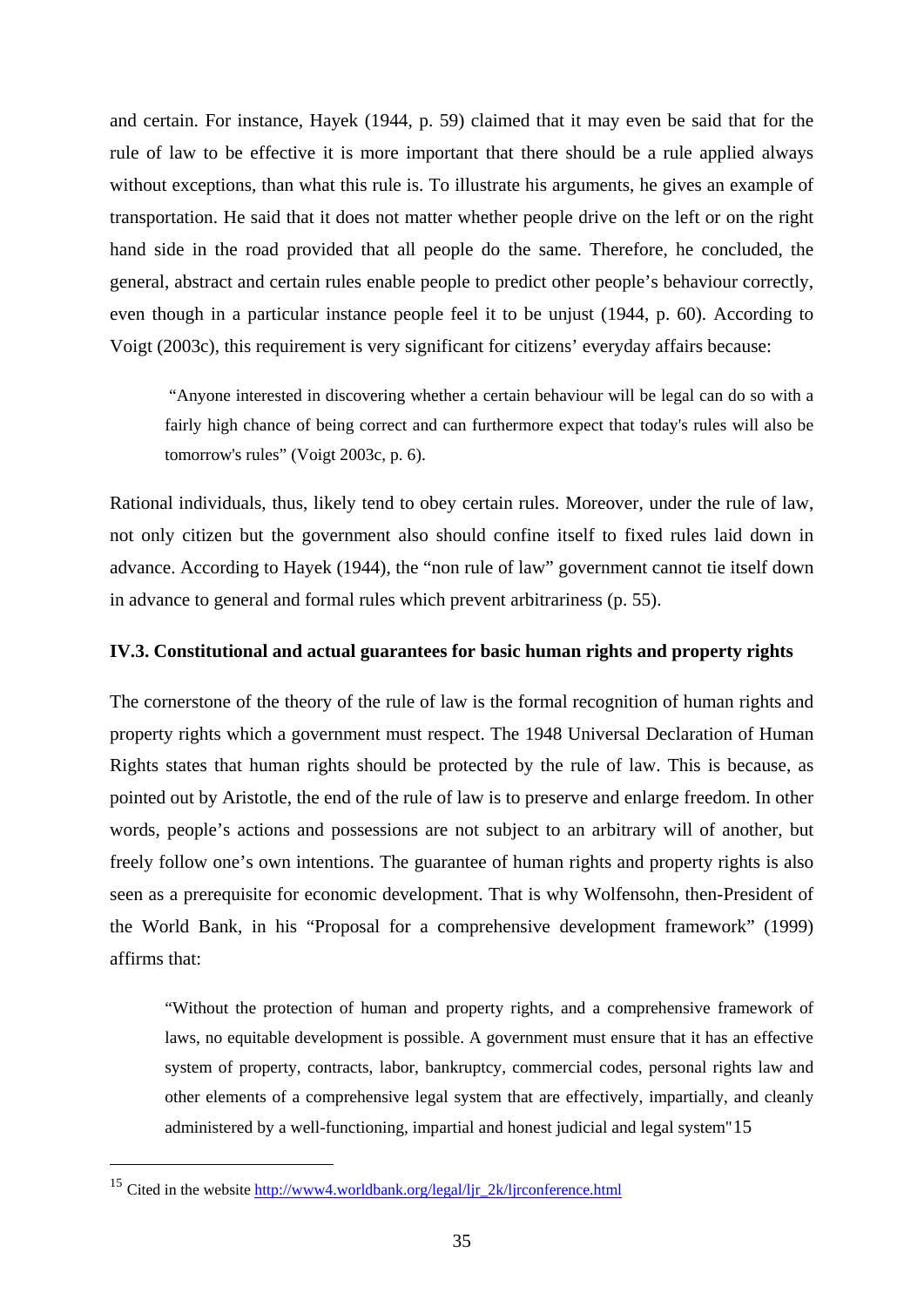and certain. For instance, Hayek (1944, p. 59) claimed that it may even be said that for the rule of law to be effective it is more important that there should be a rule applied always without exceptions, than what this rule is. To illustrate his arguments, he gives an example of transportation. He said that it does not matter whether people drive on the left or on the right hand side in the road provided that all people do the same. Therefore, he concluded, the general, abstract and certain rules enable people to predict other people's behaviour correctly, even though in a particular instance people feel it to be unjust (1944, p. 60). According to Voigt (2003c), this requirement is very significant for citizens' everyday affairs because:

 "Anyone interested in discovering whether a certain behaviour will be legal can do so with a fairly high chance of being correct and can furthermore expect that today's rules will also be tomorrow's rules" (Voigt 2003c, p. 6).

Rational individuals, thus, likely tend to obey certain rules. Moreover, under the rule of law, not only citizen but the government also should confine itself to fixed rules laid down in advance. According to Hayek (1944), the "non rule of law" government cannot tie itself down in advance to general and formal rules which prevent arbitrariness (p. 55).

# **IV.3. Constitutional and actual guarantees for basic human rights and property rights**

The cornerstone of the theory of the rule of law is the formal recognition of human rights and property rights which a government must respect. The 1948 Universal Declaration of Human Rights states that human rights should be protected by the rule of law. This is because, as pointed out by Aristotle, the end of the rule of law is to preserve and enlarge freedom. In other words, people's actions and possessions are not subject to an arbitrary will of another, but freely follow one's own intentions. The guarantee of human rights and property rights is also seen as a prerequisite for economic development. That is why Wolfensohn, then-President of the World Bank, in his "Proposal for a comprehensive development framework" (1999) affirms that:

"Without the protection of human and property rights, and a comprehensive framework of laws, no equitable development is possible. A government must ensure that it has an effective system of property, contracts, labor, bankruptcy, commercial codes, personal rights law and other elements of a comprehensive legal system that are effectively, impartially, and cleanly administered by a well-functioning, impartial and honest judicial and legal system"[15](#page-40-0)

<span id="page-40-0"></span><sup>15</sup> Cited in the website [http://www4.worldbank.org/legal/ljr\\_2k/ljrconference.html](http://www4.worldbank.org/legal/ljr_2k/ljrconference.html)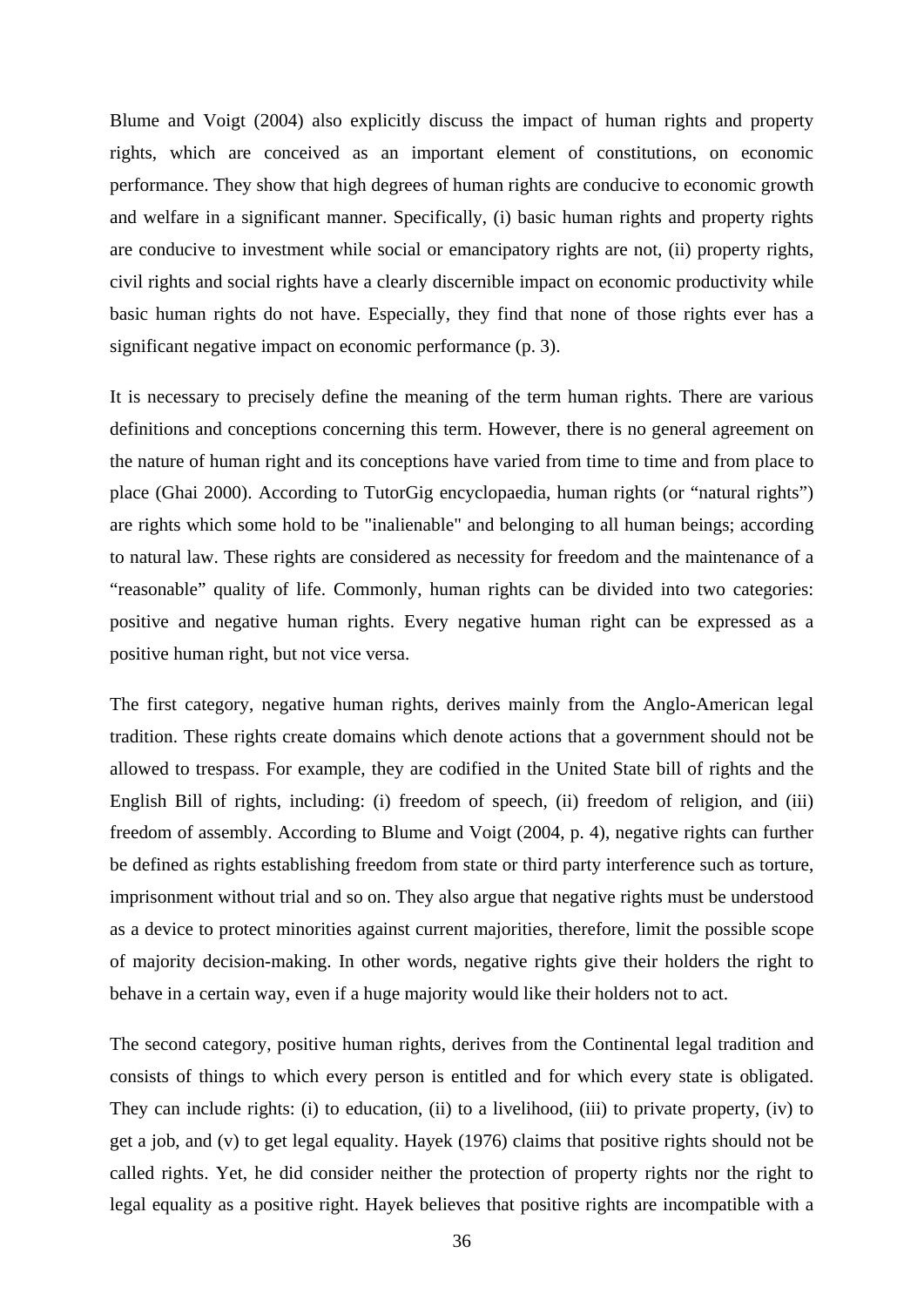Blume and Voigt (2004) also explicitly discuss the impact of human rights and property rights, which are conceived as an important element of constitutions, on economic performance. They show that high degrees of human rights are conducive to economic growth and welfare in a significant manner. Specifically, (i) basic human rights and property rights are conducive to investment while social or emancipatory rights are not, (ii) property rights, civil rights and social rights have a clearly discernible impact on economic productivity while basic human rights do not have. Especially, they find that none of those rights ever has a significant negative impact on economic performance (p. 3).

It is necessary to precisely define the meaning of the term human rights. There are various definitions and conceptions concerning this term. However, there is no general agreement on the nature of human right and its conceptions have varied from time to time and from place to place (Ghai 2000). According to TutorGig encyclopaedia, human rights (or "natural rights") are rights which some hold to be "inalienable" and belonging to all human beings; according to natural law. These rights are considered as necessity for freedom and the maintenance of a "reasonable" quality of life. Commonly, human rights can be divided into two categories: positive and negative human rights. Every negative human right can be expressed as a positive human right, but not vice versa.

The first category, negative human rights, derives mainly from the Anglo-American legal tradition. These rights create domains which denote actions that a government should not be allowed to trespass. For example, they are codified in the United State bill of rights and the English Bill of rights, including: (i) freedom of speech, (ii) freedom of religion, and (iii) freedom of assembly. According to Blume and Voigt (2004, p. 4), negative rights can further be defined as rights establishing freedom from state or third party interference such as torture, imprisonment without trial and so on. They also argue that negative rights must be understood as a device to protect minorities against current majorities, therefore, limit the possible scope of majority decision-making. In other words, negative rights give their holders the right to behave in a certain way, even if a huge majority would like their holders not to act.

The second category, positive human rights, derives from the Continental legal tradition and consists of things to which every person is entitled and for which every state is obligated. They can include rights: (i) to education, (ii) to a livelihood, (iii) to private property, (iv) to get a job, and (v) to get legal equality. Hayek (1976) claims that positive rights should not be called rights. Yet, he did consider neither the protection of property rights nor the right to legal equality as a positive right. Hayek believes that positive rights are incompatible with a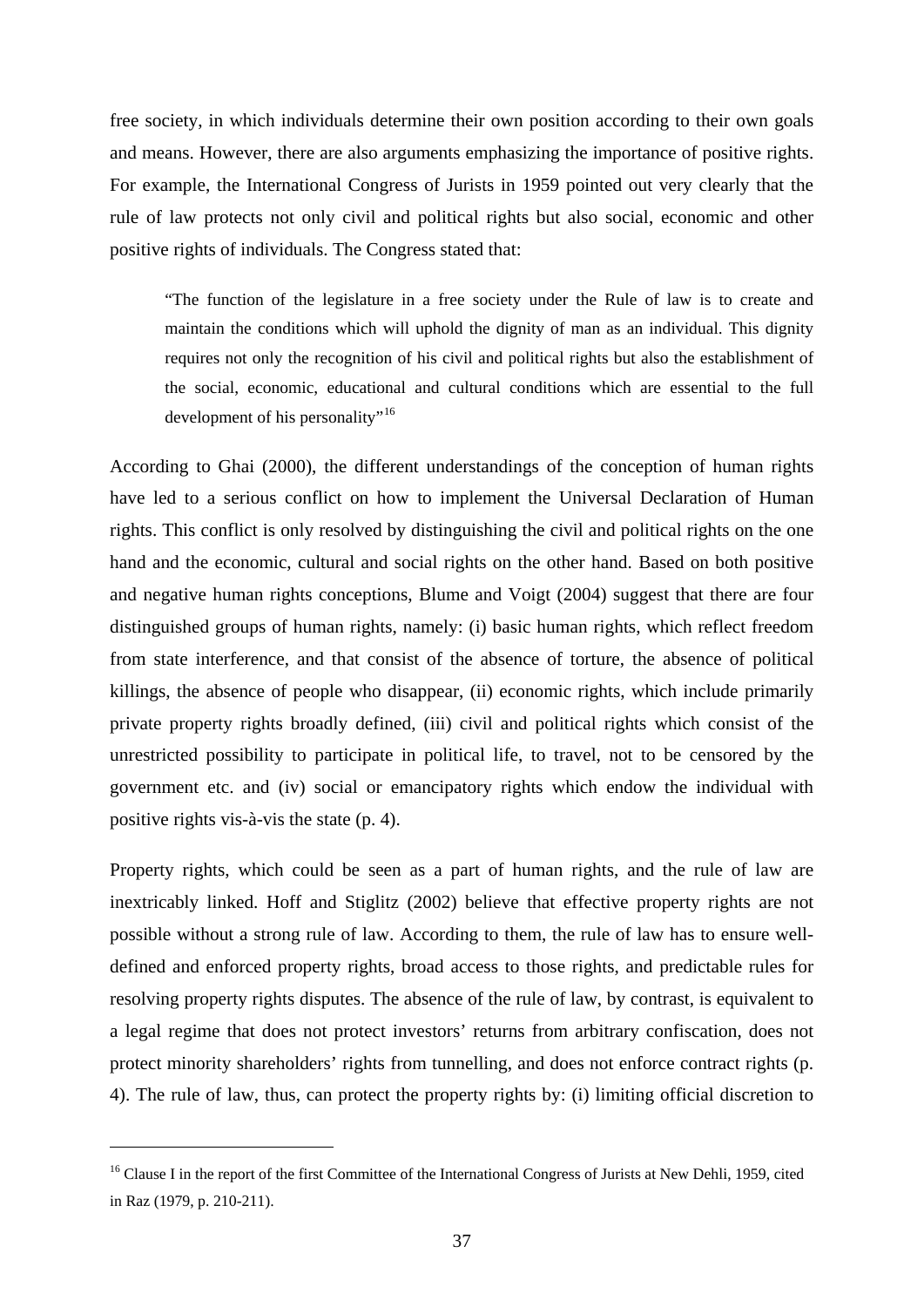free society, in which individuals determine their own position according to their own goals and means. However, there are also arguments emphasizing the importance of positive rights. For example, the International Congress of Jurists in 1959 pointed out very clearly that the rule of law protects not only civil and political rights but also social, economic and other positive rights of individuals. The Congress stated that:

"The function of the legislature in a free society under the Rule of law is to create and maintain the conditions which will uphold the dignity of man as an individual. This dignity requires not only the recognition of his civil and political rights but also the establishment of the social, economic, educational and cultural conditions which are essential to the full development of his personality"<sup>[16](#page-42-0)</sup>

According to Ghai (2000), the different understandings of the conception of human rights have led to a serious conflict on how to implement the Universal Declaration of Human rights. This conflict is only resolved by distinguishing the civil and political rights on the one hand and the economic, cultural and social rights on the other hand. Based on both positive and negative human rights conceptions, Blume and Voigt (2004) suggest that there are four distinguished groups of human rights, namely: (i) basic human rights, which reflect freedom from state interference, and that consist of the absence of torture, the absence of political killings, the absence of people who disappear, (ii) economic rights, which include primarily private property rights broadly defined, (iii) civil and political rights which consist of the unrestricted possibility to participate in political life, to travel, not to be censored by the government etc. and (iv) social or emancipatory rights which endow the individual with positive rights vis-à-vis the state (p. 4).

Property rights, which could be seen as a part of human rights, and the rule of law are inextricably linked. Hoff and Stiglitz (2002) believe that effective property rights are not possible without a strong rule of law. According to them, the rule of law has to ensure welldefined and enforced property rights, broad access to those rights, and predictable rules for resolving property rights disputes. The absence of the rule of law, by contrast, is equivalent to a legal regime that does not protect investors' returns from arbitrary confiscation, does not protect minority shareholders' rights from tunnelling, and does not enforce contract rights (p. 4). The rule of law, thus, can protect the property rights by: (i) limiting official discretion to

<span id="page-42-0"></span><sup>&</sup>lt;sup>16</sup> Clause I in the report of the first Committee of the International Congress of Jurists at New Dehli, 1959, cited in Raz (1979, p. 210-211).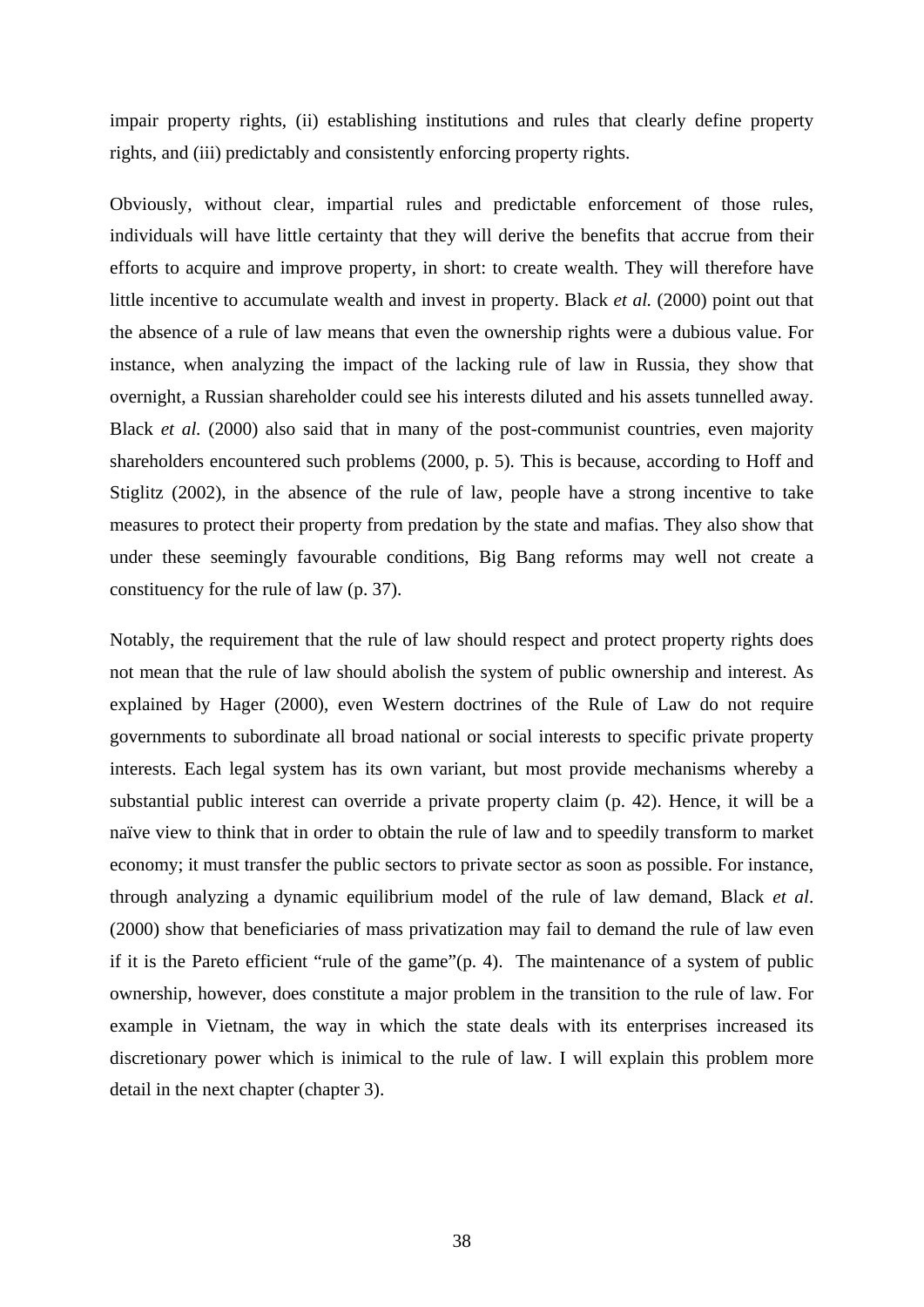impair property rights, (ii) establishing institutions and rules that clearly define property rights, and (iii) predictably and consistently enforcing property rights.

Obviously, without clear, impartial rules and predictable enforcement of those rules, individuals will have little certainty that they will derive the benefits that accrue from their efforts to acquire and improve property, in short: to create wealth. They will therefore have little incentive to accumulate wealth and invest in property. Black *et al.* (2000) point out that the absence of a rule of law means that even the ownership rights were a dubious value. For instance, when analyzing the impact of the lacking rule of law in Russia, they show that overnight, a Russian shareholder could see his interests diluted and his assets tunnelled away. Black *et al.* (2000) also said that in many of the post-communist countries, even majority shareholders encountered such problems (2000, p. 5). This is because, according to Hoff and Stiglitz (2002), in the absence of the rule of law, people have a strong incentive to take measures to protect their property from predation by the state and mafias. They also show that under these seemingly favourable conditions, Big Bang reforms may well not create a constituency for the rule of law (p. 37).

Notably, the requirement that the rule of law should respect and protect property rights does not mean that the rule of law should abolish the system of public ownership and interest. As explained by Hager (2000), even Western doctrines of the Rule of Law do not require governments to subordinate all broad national or social interests to specific private property interests. Each legal system has its own variant, but most provide mechanisms whereby a substantial public interest can override a private property claim (p. 42). Hence, it will be a naïve view to think that in order to obtain the rule of law and to speedily transform to market economy; it must transfer the public sectors to private sector as soon as possible. For instance, through analyzing a dynamic equilibrium model of the rule of law demand, Black *et al*. (2000) show that beneficiaries of mass privatization may fail to demand the rule of law even if it is the Pareto efficient "rule of the game"(p. 4). The maintenance of a system of public ownership, however, does constitute a major problem in the transition to the rule of law. For example in Vietnam, the way in which the state deals with its enterprises increased its discretionary power which is inimical to the rule of law. I will explain this problem more detail in the next chapter (chapter 3).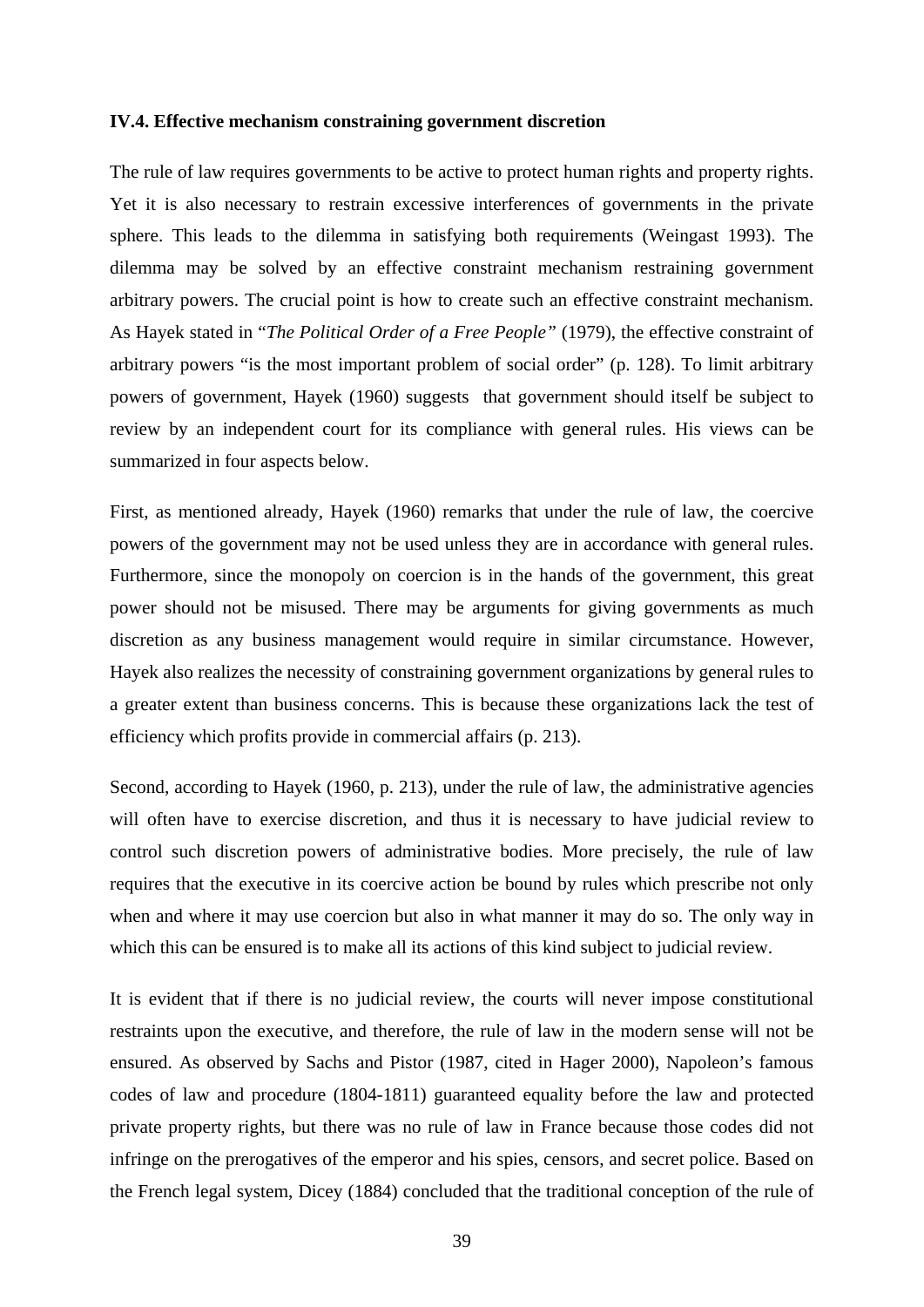## **IV.4. Effective mechanism constraining government discretion**

The rule of law requires governments to be active to protect human rights and property rights. Yet it is also necessary to restrain excessive interferences of governments in the private sphere. This leads to the dilemma in satisfying both requirements (Weingast 1993). The dilemma may be solved by an effective constraint mechanism restraining government arbitrary powers. The crucial point is how to create such an effective constraint mechanism. As Hayek stated in "*The Political Order of a Free People"* (1979), the effective constraint of arbitrary powers "is the most important problem of social order" (p. 128). To limit arbitrary powers of government, Hayek (1960) suggests that government should itself be subject to review by an independent court for its compliance with general rules. His views can be summarized in four aspects below.

First, as mentioned already, Hayek (1960) remarks that under the rule of law, the coercive powers of the government may not be used unless they are in accordance with general rules. Furthermore, since the monopoly on coercion is in the hands of the government, this great power should not be misused. There may be arguments for giving governments as much discretion as any business management would require in similar circumstance. However, Hayek also realizes the necessity of constraining government organizations by general rules to a greater extent than business concerns. This is because these organizations lack the test of efficiency which profits provide in commercial affairs (p. 213).

Second, according to Hayek (1960, p. 213), under the rule of law, the administrative agencies will often have to exercise discretion, and thus it is necessary to have judicial review to control such discretion powers of administrative bodies. More precisely, the rule of law requires that the executive in its coercive action be bound by rules which prescribe not only when and where it may use coercion but also in what manner it may do so. The only way in which this can be ensured is to make all its actions of this kind subject to judicial review.

It is evident that if there is no judicial review, the courts will never impose constitutional restraints upon the executive, and therefore, the rule of law in the modern sense will not be ensured. As observed by Sachs and Pistor (1987, cited in Hager 2000), Napoleon's famous codes of law and procedure (1804-1811) guaranteed equality before the law and protected private property rights, but there was no rule of law in France because those codes did not infringe on the prerogatives of the emperor and his spies, censors, and secret police. Based on the French legal system, Dicey (1884) concluded that the traditional conception of the rule of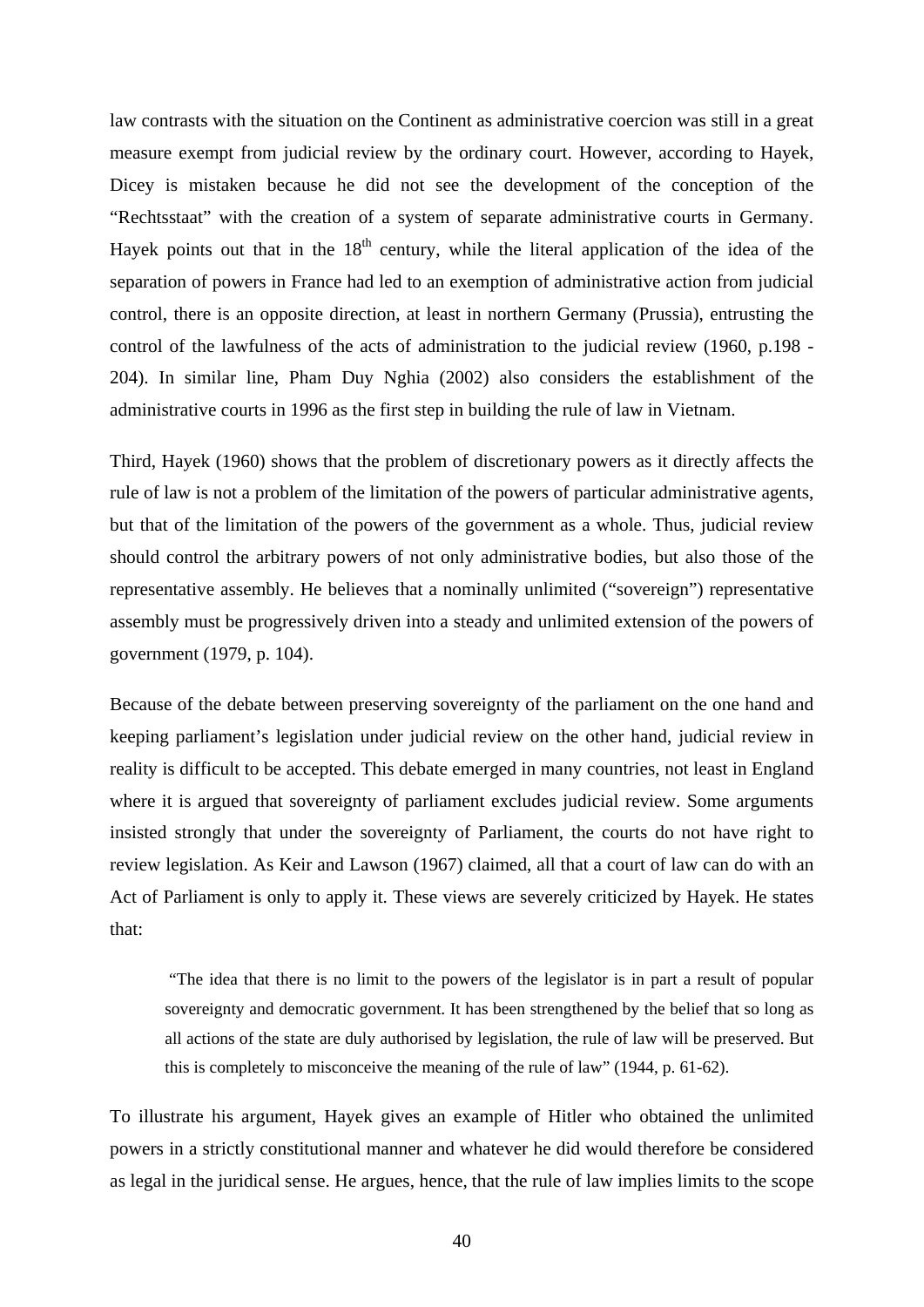law contrasts with the situation on the Continent as administrative coercion was still in a great measure exempt from judicial review by the ordinary court. However, according to Hayek, Dicey is mistaken because he did not see the development of the conception of the "Rechtsstaat" with the creation of a system of separate administrative courts in Germany. Hayek points out that in the  $18<sup>th</sup>$  century, while the literal application of the idea of the separation of powers in France had led to an exemption of administrative action from judicial control, there is an opposite direction, at least in northern Germany (Prussia), entrusting the control of the lawfulness of the acts of administration to the judicial review (1960, p.198 - 204). In similar line, Pham Duy Nghia (2002) also considers the establishment of the administrative courts in 1996 as the first step in building the rule of law in Vietnam.

Third, Hayek (1960) shows that the problem of discretionary powers as it directly affects the rule of law is not a problem of the limitation of the powers of particular administrative agents, but that of the limitation of the powers of the government as a whole. Thus, judicial review should control the arbitrary powers of not only administrative bodies, but also those of the representative assembly. He believes that a nominally unlimited ("sovereign") representative assembly must be progressively driven into a steady and unlimited extension of the powers of government (1979, p. 104).

Because of the debate between preserving sovereignty of the parliament on the one hand and keeping parliament's legislation under judicial review on the other hand, judicial review in reality is difficult to be accepted. This debate emerged in many countries, not least in England where it is argued that sovereignty of parliament excludes judicial review. Some arguments insisted strongly that under the sovereignty of Parliament, the courts do not have right to review legislation. As Keir and Lawson (1967) claimed, all that a court of law can do with an Act of Parliament is only to apply it. These views are severely criticized by Hayek. He states that:

 "The idea that there is no limit to the powers of the legislator is in part a result of popular sovereignty and democratic government. It has been strengthened by the belief that so long as all actions of the state are duly authorised by legislation, the rule of law will be preserved. But this is completely to misconceive the meaning of the rule of law" (1944, p. 61-62).

To illustrate his argument, Hayek gives an example of Hitler who obtained the unlimited powers in a strictly constitutional manner and whatever he did would therefore be considered as legal in the juridical sense. He argues, hence, that the rule of law implies limits to the scope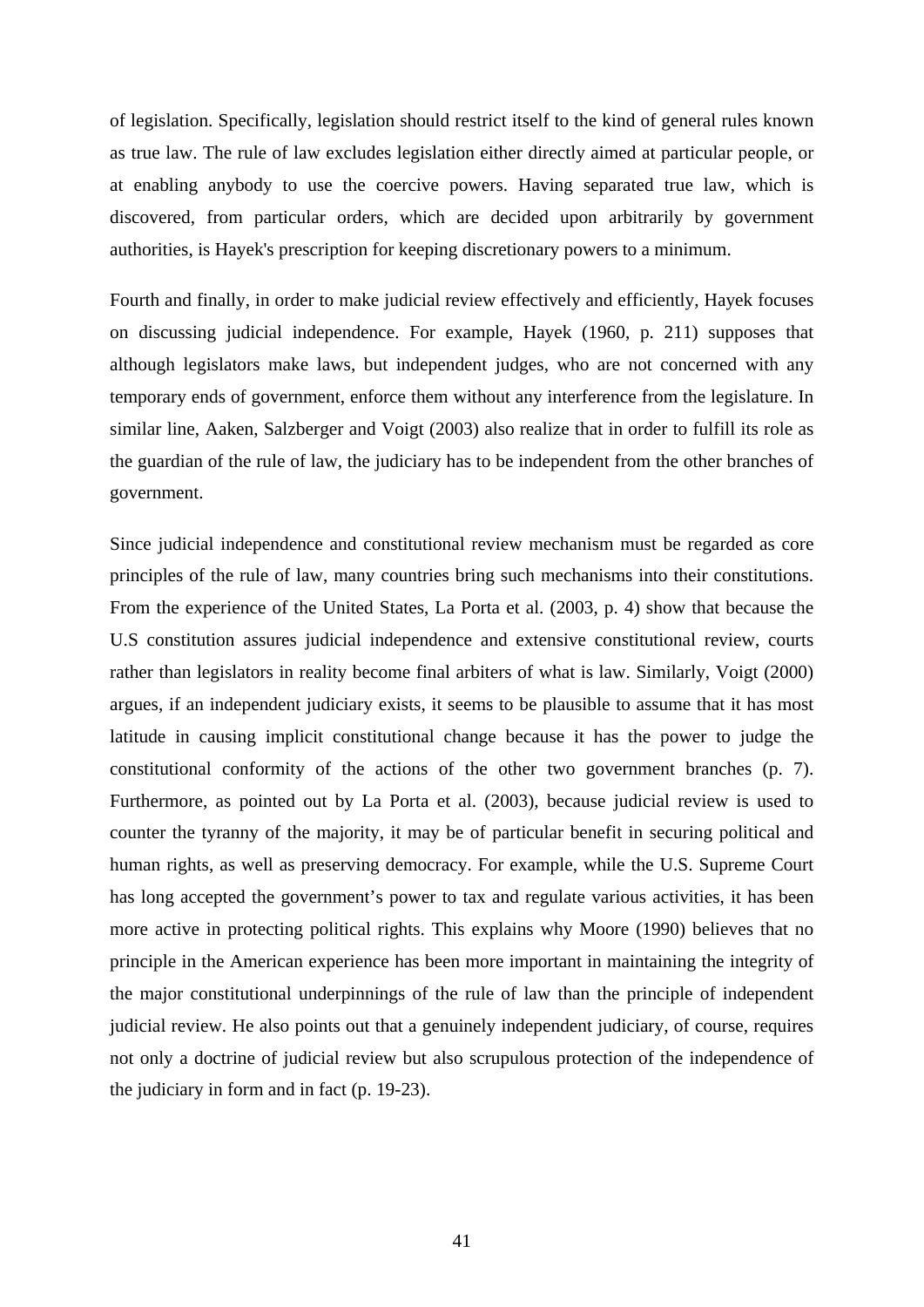of legislation. Specifically, legislation should restrict itself to the kind of general rules known as true law. The rule of law excludes legislation either directly aimed at particular people, or at enabling anybody to use the coercive powers. Having separated true law, which is discovered, from particular orders, which are decided upon arbitrarily by government authorities, is Hayek's prescription for keeping discretionary powers to a minimum.

Fourth and finally, in order to make judicial review effectively and efficiently, Hayek focuses on discussing judicial independence. For example, Hayek (1960, p. 211) supposes that although legislators make laws, but independent judges, who are not concerned with any temporary ends of government, enforce them without any interference from the legislature. In similar line, Aaken, Salzberger and Voigt (2003) also realize that in order to fulfill its role as the guardian of the rule of law, the judiciary has to be independent from the other branches of government.

Since judicial independence and constitutional review mechanism must be regarded as core principles of the rule of law, many countries bring such mechanisms into their constitutions. From the experience of the United States, La Porta et al. (2003, p. 4) show that because the U.S constitution assures judicial independence and extensive constitutional review, courts rather than legislators in reality become final arbiters of what is law. Similarly, Voigt (2000) argues, if an independent judiciary exists, it seems to be plausible to assume that it has most latitude in causing implicit constitutional change because it has the power to judge the constitutional conformity of the actions of the other two government branches (p. 7). Furthermore, as pointed out by La Porta et al. (2003), because judicial review is used to counter the tyranny of the majority, it may be of particular benefit in securing political and human rights, as well as preserving democracy. For example, while the U.S. Supreme Court has long accepted the government's power to tax and regulate various activities, it has been more active in protecting political rights. This explains why Moore (1990) believes that no principle in the American experience has been more important in maintaining the integrity of the major constitutional underpinnings of the rule of law than the principle of independent judicial review. He also points out that a genuinely independent judiciary, of course, requires not only a doctrine of judicial review but also scrupulous protection of the independence of the judiciary in form and in fact (p. 19-23).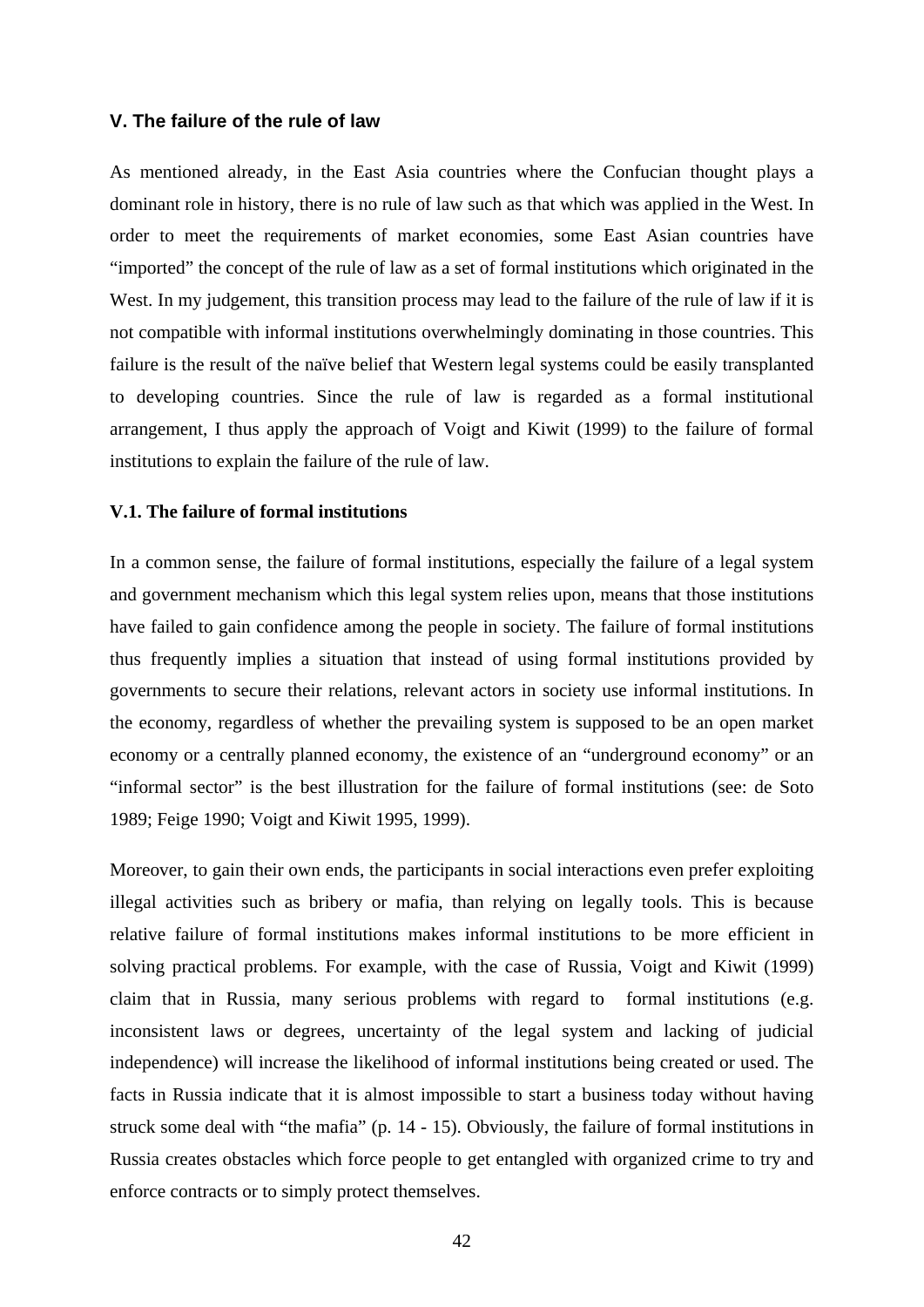## **V. The failure of the rule of law**

As mentioned already, in the East Asia countries where the Confucian thought plays a dominant role in history, there is no rule of law such as that which was applied in the West. In order to meet the requirements of market economies, some East Asian countries have "imported" the concept of the rule of law as a set of formal institutions which originated in the West. In my judgement, this transition process may lead to the failure of the rule of law if it is not compatible with informal institutions overwhelmingly dominating in those countries. This failure is the result of the naïve belief that Western legal systems could be easily transplanted to developing countries. Since the rule of law is regarded as a formal institutional arrangement, I thus apply the approach of Voigt and Kiwit (1999) to the failure of formal institutions to explain the failure of the rule of law.

## **V.1. The failure of formal institutions**

In a common sense, the failure of formal institutions, especially the failure of a legal system and government mechanism which this legal system relies upon, means that those institutions have failed to gain confidence among the people in society. The failure of formal institutions thus frequently implies a situation that instead of using formal institutions provided by governments to secure their relations, relevant actors in society use informal institutions. In the economy, regardless of whether the prevailing system is supposed to be an open market economy or a centrally planned economy, the existence of an "underground economy" or an "informal sector" is the best illustration for the failure of formal institutions (see: de Soto 1989; Feige 1990; Voigt and Kiwit 1995, 1999).

Moreover, to gain their own ends, the participants in social interactions even prefer exploiting illegal activities such as bribery or mafia, than relying on legally tools. This is because relative failure of formal institutions makes informal institutions to be more efficient in solving practical problems. For example, with the case of Russia, Voigt and Kiwit (1999) claim that in Russia, many serious problems with regard to formal institutions (e.g. inconsistent laws or degrees, uncertainty of the legal system and lacking of judicial independence) will increase the likelihood of informal institutions being created or used. The facts in Russia indicate that it is almost impossible to start a business today without having struck some deal with "the mafia" (p. 14 - 15). Obviously, the failure of formal institutions in Russia creates obstacles which force people to get entangled with organized crime to try and enforce contracts or to simply protect themselves.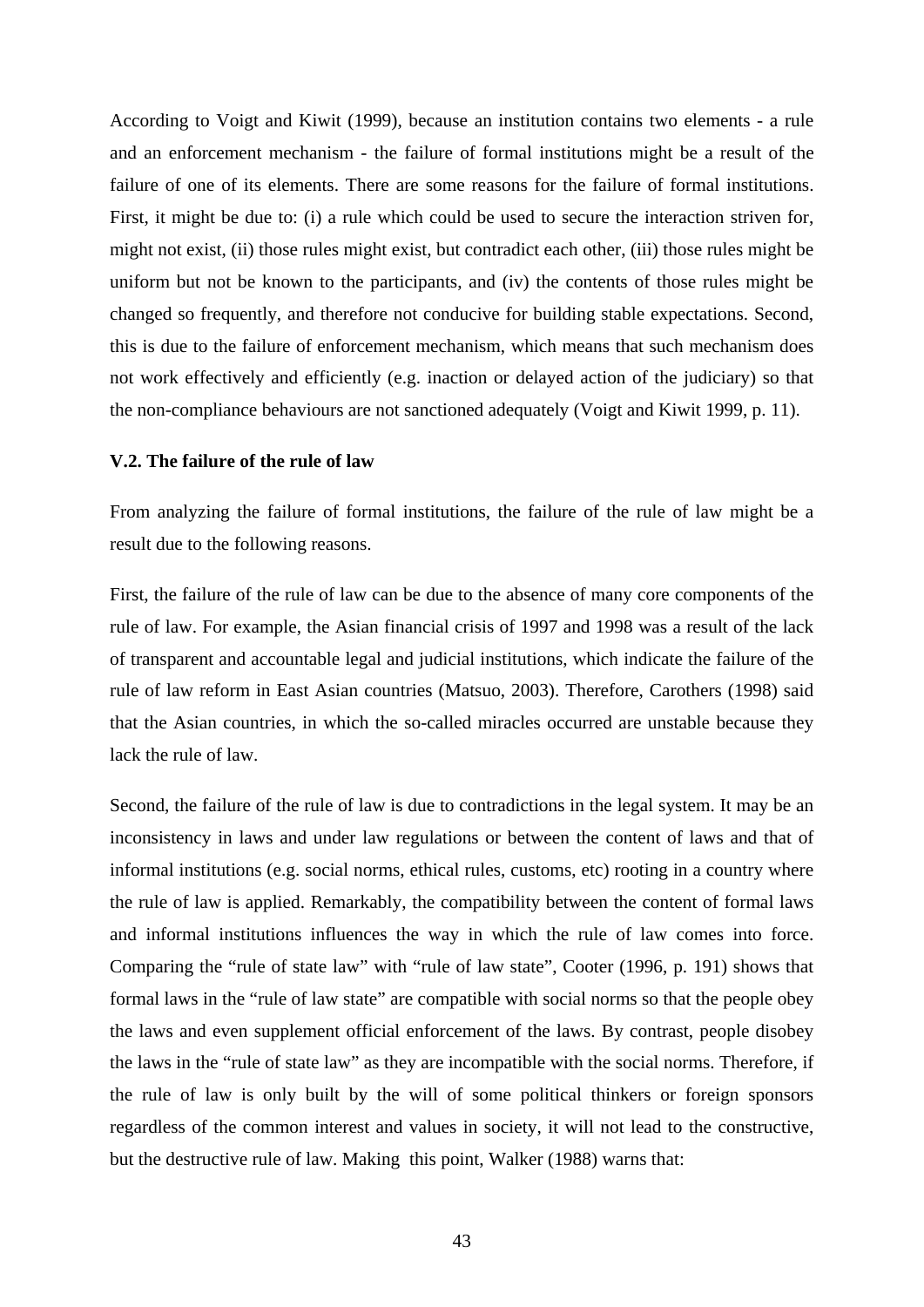According to Voigt and Kiwit (1999), because an institution contains two elements - a rule and an enforcement mechanism - the failure of formal institutions might be a result of the failure of one of its elements. There are some reasons for the failure of formal institutions. First, it might be due to: (i) a rule which could be used to secure the interaction striven for, might not exist, (ii) those rules might exist, but contradict each other, (iii) those rules might be uniform but not be known to the participants, and (iv) the contents of those rules might be changed so frequently, and therefore not conducive for building stable expectations. Second, this is due to the failure of enforcement mechanism, which means that such mechanism does not work effectively and efficiently (e.g. inaction or delayed action of the judiciary) so that the non-compliance behaviours are not sanctioned adequately (Voigt and Kiwit 1999, p. 11).

## **V.2. The failure of the rule of law**

From analyzing the failure of formal institutions, the failure of the rule of law might be a result due to the following reasons.

First, the failure of the rule of law can be due to the absence of many core components of the rule of law. For example, the Asian financial crisis of 1997 and 1998 was a result of the lack of transparent and accountable legal and judicial institutions, which indicate the failure of the rule of law reform in East Asian countries (Matsuo, 2003). Therefore, Carothers (1998) said that the Asian countries, in which the so-called miracles occurred are unstable because they lack the rule of law.

Second, the failure of the rule of law is due to contradictions in the legal system. It may be an inconsistency in laws and under law regulations or between the content of laws and that of informal institutions (e.g. social norms, ethical rules, customs, etc) rooting in a country where the rule of law is applied. Remarkably, the compatibility between the content of formal laws and informal institutions influences the way in which the rule of law comes into force. Comparing the "rule of state law" with "rule of law state", Cooter (1996, p. 191) shows that formal laws in the "rule of law state" are compatible with social norms so that the people obey the laws and even supplement official enforcement of the laws. By contrast, people disobey the laws in the "rule of state law" as they are incompatible with the social norms. Therefore, if the rule of law is only built by the will of some political thinkers or foreign sponsors regardless of the common interest and values in society, it will not lead to the constructive, but the destructive rule of law. Making this point, Walker (1988) warns that: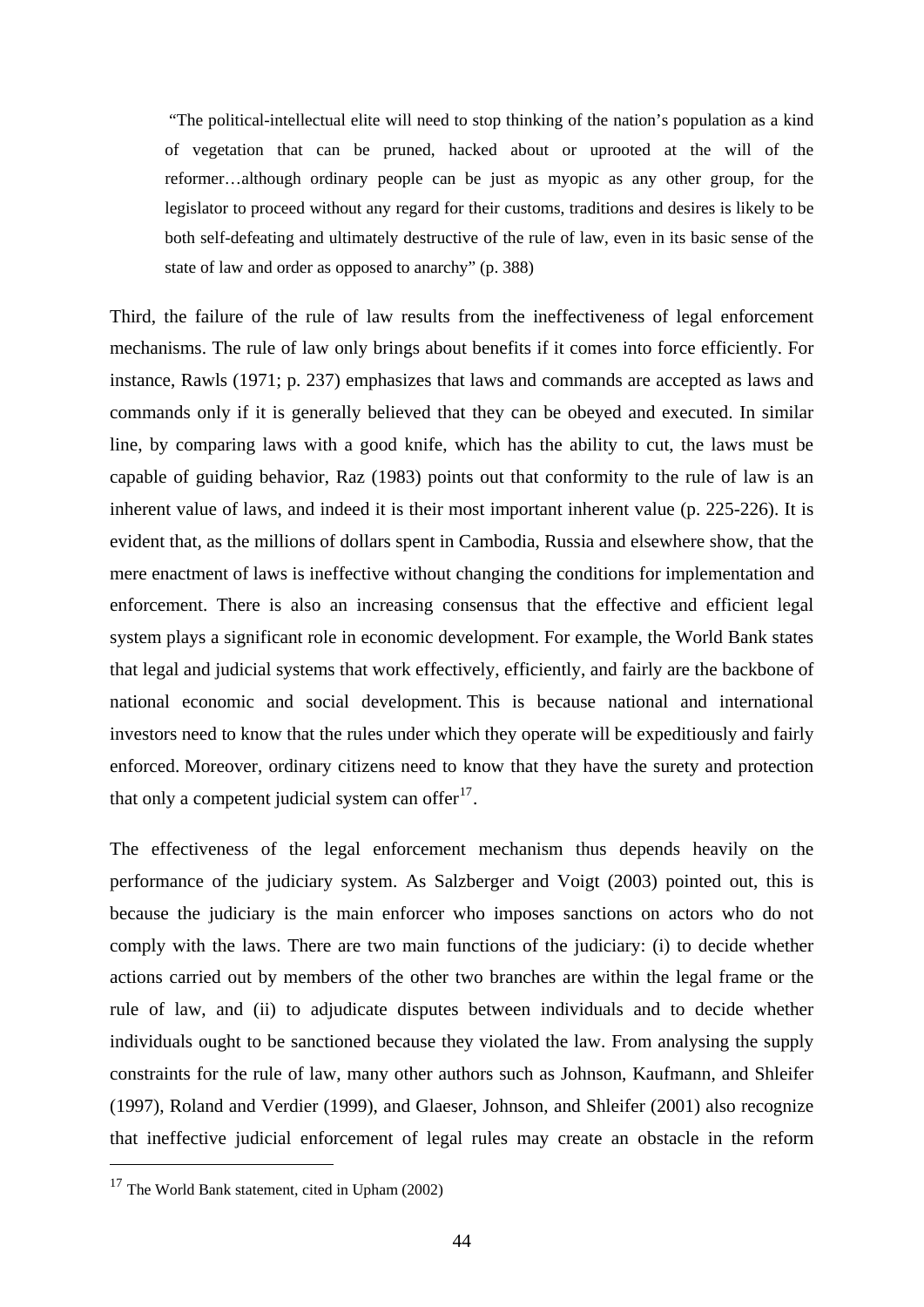"The political-intellectual elite will need to stop thinking of the nation's population as a kind of vegetation that can be pruned, hacked about or uprooted at the will of the reformer…although ordinary people can be just as myopic as any other group, for the legislator to proceed without any regard for their customs, traditions and desires is likely to be both self-defeating and ultimately destructive of the rule of law, even in its basic sense of the state of law and order as opposed to anarchy" (p. 388)

Third, the failure of the rule of law results from the ineffectiveness of legal enforcement mechanisms. The rule of law only brings about benefits if it comes into force efficiently. For instance, Rawls (1971; p. 237) emphasizes that laws and commands are accepted as laws and commands only if it is generally believed that they can be obeyed and executed. In similar line, by comparing laws with a good knife, which has the ability to cut, the laws must be capable of guiding behavior, Raz (1983) points out that conformity to the rule of law is an inherent value of laws, and indeed it is their most important inherent value (p. 225-226). It is evident that, as the millions of dollars spent in Cambodia, Russia and elsewhere show, that the mere enactment of laws is ineffective without changing the conditions for implementation and enforcement. There is also an increasing consensus that the effective and efficient legal system plays a significant role in economic development. For example, the World Bank states that legal and judicial systems that work effectively, efficiently, and fairly are the backbone of national economic and social development. This is because national and international investors need to know that the rules under which they operate will be expeditiously and fairly enforced. Moreover, ordinary citizens need to know that they have the surety and protection that only a competent judicial system can offer $17$ .

The effectiveness of the legal enforcement mechanism thus depends heavily on the performance of the judiciary system. As Salzberger and Voigt (2003) pointed out, this is because the judiciary is the main enforcer who imposes sanctions on actors who do not comply with the laws. There are two main functions of the judiciary: (i) to decide whether actions carried out by members of the other two branches are within the legal frame or the rule of law, and (ii) to adjudicate disputes between individuals and to decide whether individuals ought to be sanctioned because they violated the law. From analysing the supply constraints for the rule of law, many other authors such as Johnson, Kaufmann, and Shleifer (1997), Roland and Verdier (1999), and Glaeser, Johnson, and Shleifer (2001) also recognize that ineffective judicial enforcement of legal rules may create an obstacle in the reform

<span id="page-49-0"></span><sup>&</sup>lt;sup>17</sup> The World Bank statement, cited in Upham (2002)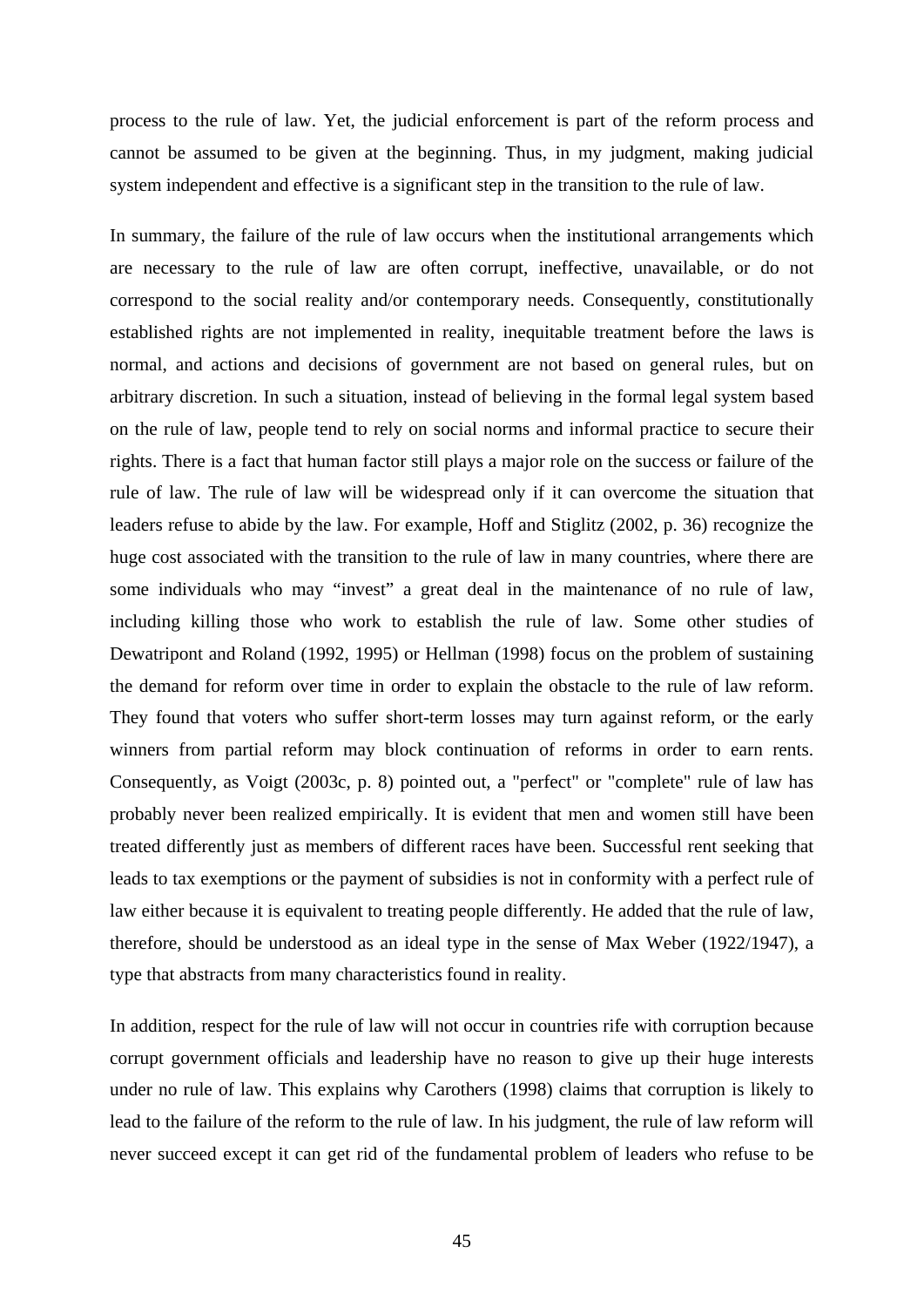process to the rule of law. Yet, the judicial enforcement is part of the reform process and cannot be assumed to be given at the beginning. Thus, in my judgment, making judicial system independent and effective is a significant step in the transition to the rule of law.

In summary, the failure of the rule of law occurs when the institutional arrangements which are necessary to the rule of law are often corrupt, ineffective, unavailable, or do not correspond to the social reality and/or contemporary needs. Consequently, constitutionally established rights are not implemented in reality, inequitable treatment before the laws is normal, and actions and decisions of government are not based on general rules, but on arbitrary discretion. In such a situation, instead of believing in the formal legal system based on the rule of law, people tend to rely on social norms and informal practice to secure their rights. There is a fact that human factor still plays a major role on the success or failure of the rule of law. The rule of law will be widespread only if it can overcome the situation that leaders refuse to abide by the law. For example, Hoff and Stiglitz (2002, p. 36) recognize the huge cost associated with the transition to the rule of law in many countries, where there are some individuals who may "invest" a great deal in the maintenance of no rule of law, including killing those who work to establish the rule of law. Some other studies of Dewatripont and Roland (1992, 1995) or Hellman (1998) focus on the problem of sustaining the demand for reform over time in order to explain the obstacle to the rule of law reform. They found that voters who suffer short-term losses may turn against reform, or the early winners from partial reform may block continuation of reforms in order to earn rents. Consequently, as Voigt (2003c, p. 8) pointed out, a "perfect" or "complete" rule of law has probably never been realized empirically. It is evident that men and women still have been treated differently just as members of different races have been. Successful rent seeking that leads to tax exemptions or the payment of subsidies is not in conformity with a perfect rule of law either because it is equivalent to treating people differently. He added that the rule of law, therefore, should be understood as an ideal type in the sense of Max Weber (1922/1947), a type that abstracts from many characteristics found in reality.

In addition, respect for the rule of law will not occur in countries rife with corruption because corrupt government officials and leadership have no reason to give up their huge interests under no rule of law. This explains why Carothers (1998) claims that corruption is likely to lead to the failure of the reform to the rule of law. In his judgment, the rule of law reform will never succeed except it can get rid of the fundamental problem of leaders who refuse to be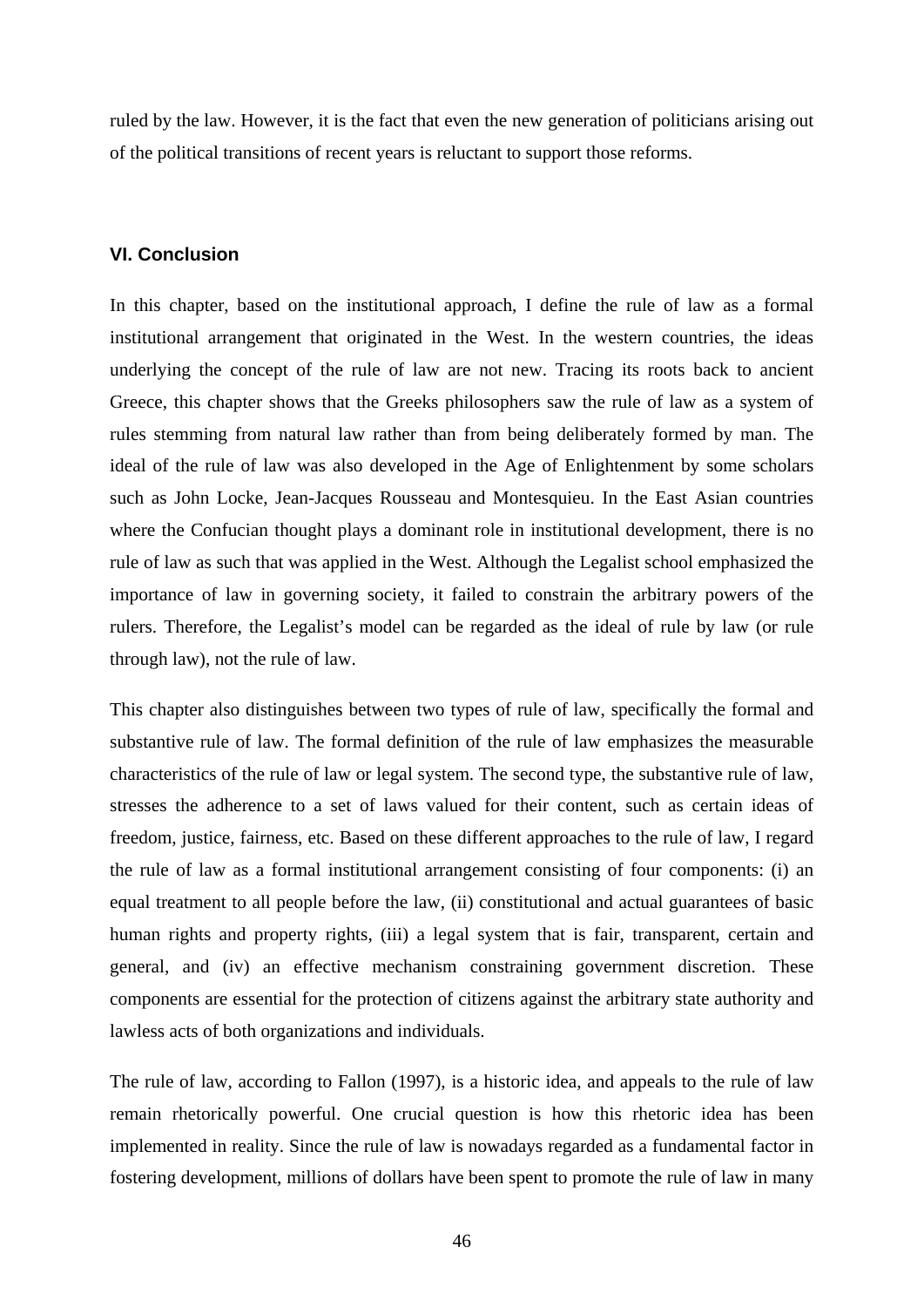ruled by the law. However, it is the fact that even the new generation of politicians arising out of the political transitions of recent years is reluctant to support those reforms.

## **VI. Conclusion**

In this chapter, based on the institutional approach, I define the rule of law as a formal institutional arrangement that originated in the West. In the western countries, the ideas underlying the concept of the rule of law are not new. Tracing its roots back to ancient Greece, this chapter shows that the Greeks philosophers saw the rule of law as a system of rules stemming from natural law rather than from being deliberately formed by man. The ideal of the rule of law was also developed in the Age of Enlightenment by some scholars such as John Locke, Jean-Jacques Rousseau and Montesquieu. In the East Asian countries where the Confucian thought plays a dominant role in institutional development, there is no rule of law as such that was applied in the West. Although the Legalist school emphasized the importance of law in governing society, it failed to constrain the arbitrary powers of the rulers. Therefore, the Legalist's model can be regarded as the ideal of rule by law (or rule through law), not the rule of law.

This chapter also distinguishes between two types of rule of law, specifically the formal and substantive rule of law. The formal definition of the rule of law emphasizes the measurable characteristics of the rule of law or legal system. The second type, the substantive rule of law, stresses the adherence to a set of laws valued for their content, such as certain ideas of freedom, justice, fairness, etc. Based on these different approaches to the rule of law, I regard the rule of law as a formal institutional arrangement consisting of four components: (i) an equal treatment to all people before the law, (ii) constitutional and actual guarantees of basic human rights and property rights, (iii) a legal system that is fair, transparent, certain and general, and (iv) an effective mechanism constraining government discretion. These components are essential for the protection of citizens against the arbitrary state authority and lawless acts of both organizations and individuals.

The rule of law, according to Fallon (1997), is a historic idea, and appeals to the rule of law remain rhetorically powerful. One crucial question is how this rhetoric idea has been implemented in reality. Since the rule of law is nowadays regarded as a fundamental factor in fostering development, millions of dollars have been spent to promote the rule of law in many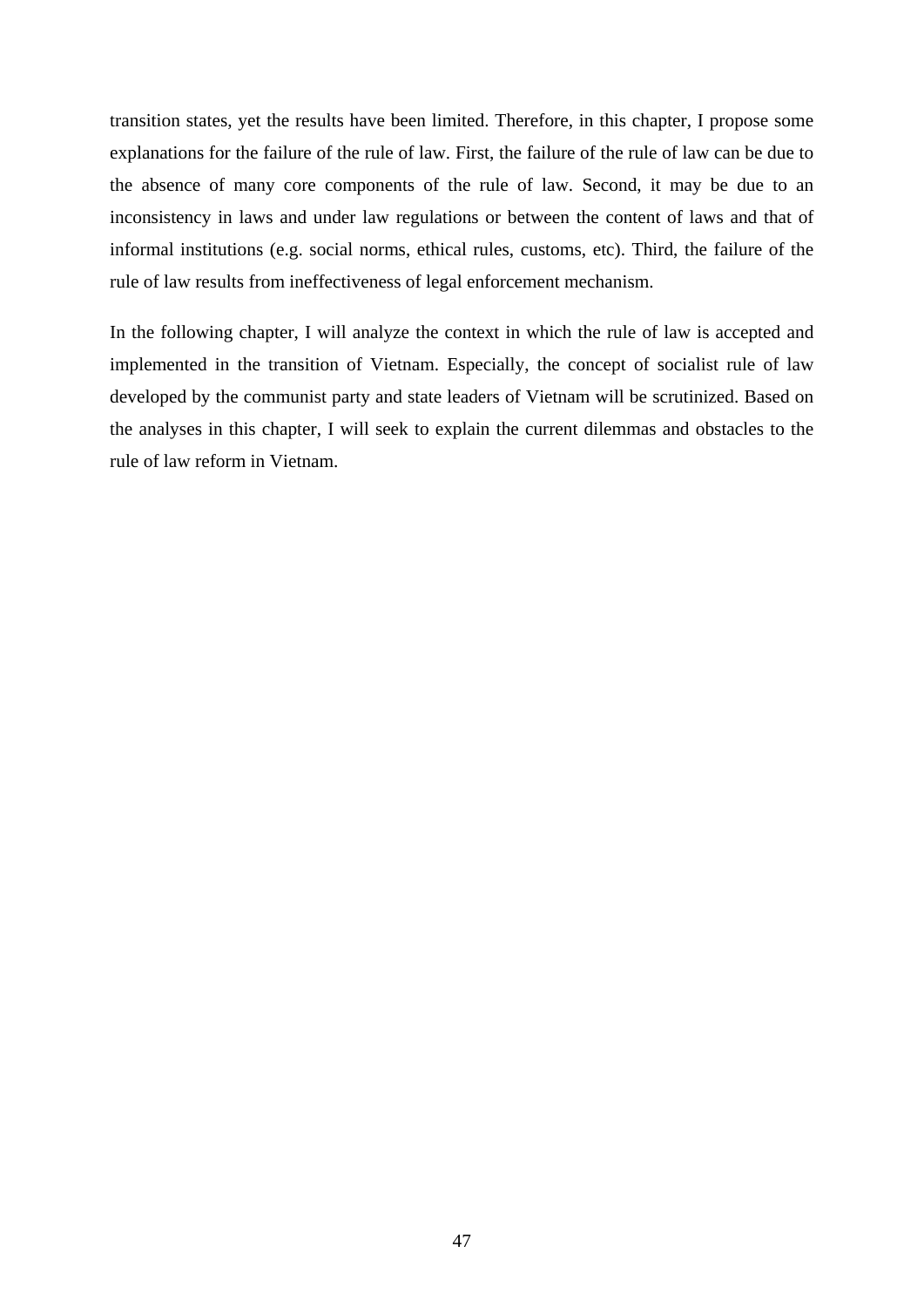transition states, yet the results have been limited. Therefore, in this chapter, I propose some explanations for the failure of the rule of law. First, the failure of the rule of law can be due to the absence of many core components of the rule of law. Second, it may be due to an inconsistency in laws and under law regulations or between the content of laws and that of informal institutions (e.g. social norms, ethical rules, customs, etc). Third, the failure of the rule of law results from ineffectiveness of legal enforcement mechanism.

In the following chapter, I will analyze the context in which the rule of law is accepted and implemented in the transition of Vietnam. Especially, the concept of socialist rule of law developed by the communist party and state leaders of Vietnam will be scrutinized. Based on the analyses in this chapter, I will seek to explain the current dilemmas and obstacles to the rule of law reform in Vietnam.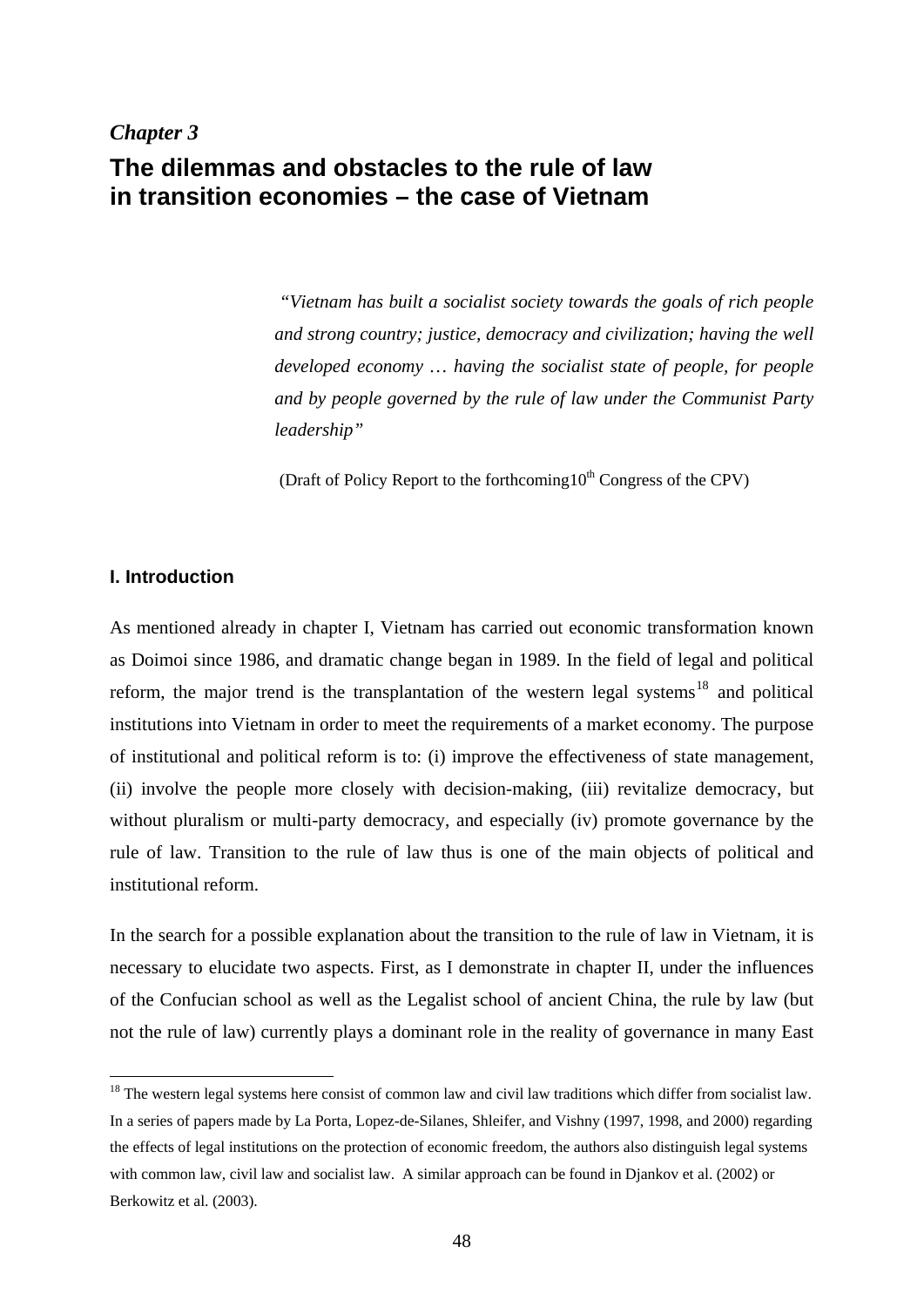# *Chapter 3*  **The dilemmas and obstacles to the rule of law in transition economies – the case of Vietnam**

 *"Vietnam has built a socialist society towards the goals of rich people and strong country; justice, democracy and civilization; having the well developed economy … having the socialist state of people, for people and by people governed by the rule of law under the Communist Party leadership"* 

(Draft of Policy Report to the forthcoming  $10^{th}$  Congress of the CPV)

# **I. Introduction**

1

As mentioned already in chapter I, Vietnam has carried out economic transformation known as Doimoi since 1986, and dramatic change began in 1989. In the field of legal and political reform, the major trend is the transplantation of the western legal systems<sup>[18](#page-53-0)</sup> and political institutions into Vietnam in order to meet the requirements of a market economy. The purpose of institutional and political reform is to: (i) improve the effectiveness of state management, (ii) involve the people more closely with decision-making, (iii) revitalize democracy, but without pluralism or multi-party democracy, and especially (iv) promote governance by the rule of law. Transition to the rule of law thus is one of the main objects of political and institutional reform.

In the search for a possible explanation about the transition to the rule of law in Vietnam, it is necessary to elucidate two aspects. First, as I demonstrate in chapter II, under the influences of the Confucian school as well as the Legalist school of ancient China, the rule by law (but not the rule of law) currently plays a dominant role in the reality of governance in many East

<span id="page-53-0"></span> $18$  The western legal systems here consist of common law and civil law traditions which differ from socialist law. In a series of papers made by La Porta, Lopez-de-Silanes, Shleifer, and Vishny (1997, 1998, and 2000) regarding the effects of legal institutions on the protection of economic freedom, the authors also distinguish legal systems with common law, civil law and socialist law. A similar approach can be found in Djankov et al. (2002) or Berkowitz et al. (2003).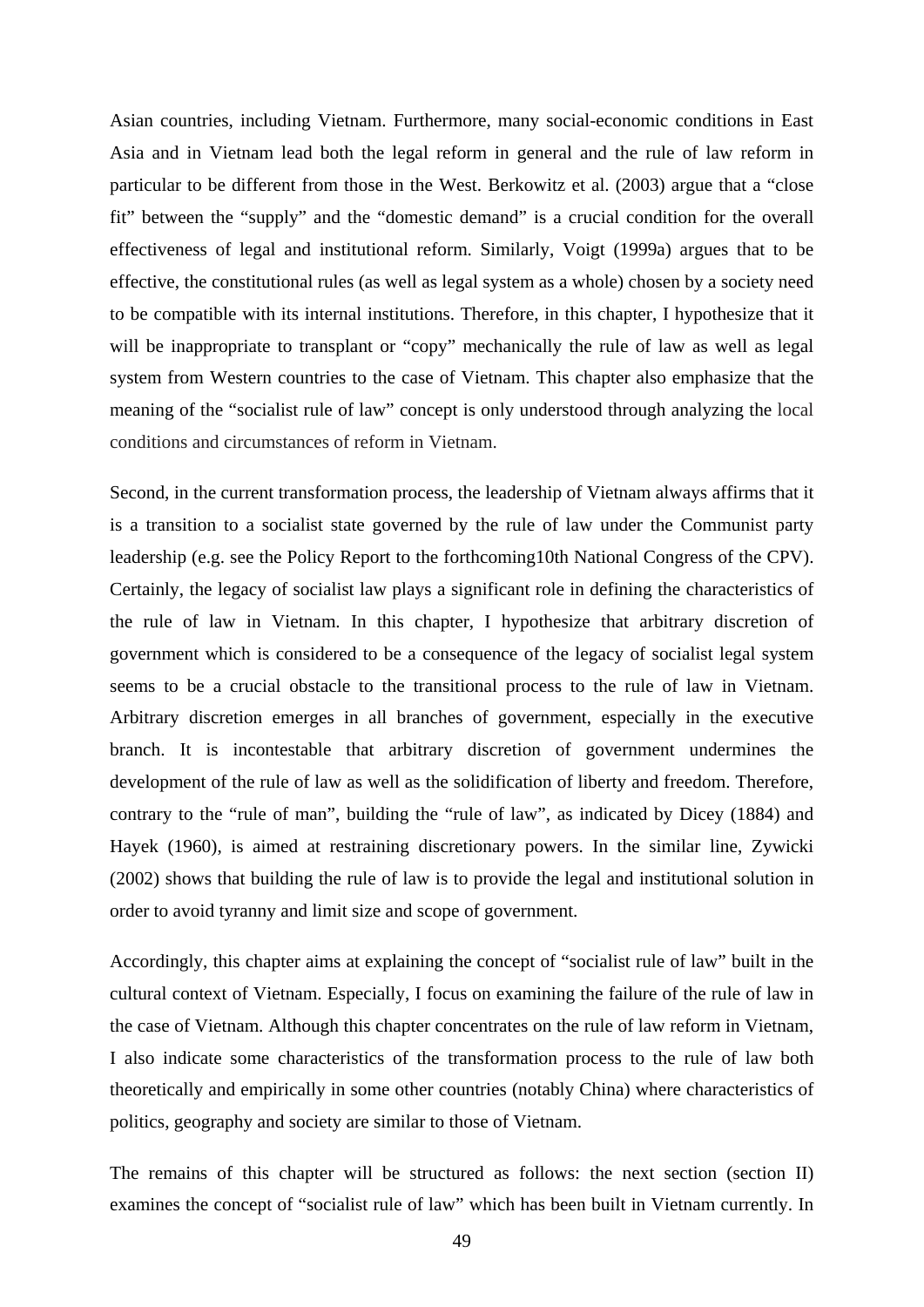Asian countries, including Vietnam. Furthermore, many social-economic conditions in East Asia and in Vietnam lead both the legal reform in general and the rule of law reform in particular to be different from those in the West. Berkowitz et al. (2003) argue that a "close fit" between the "supply" and the "domestic demand" is a crucial condition for the overall effectiveness of legal and institutional reform. Similarly, Voigt (1999a) argues that to be effective, the constitutional rules (as well as legal system as a whole) chosen by a society need to be compatible with its internal institutions. Therefore, in this chapter, I hypothesize that it will be inappropriate to transplant or "copy" mechanically the rule of law as well as legal system from Western countries to the case of Vietnam. This chapter also emphasize that the meaning of the "socialist rule of law" concept is only understood through analyzing the local conditions and circumstances of reform in Vietnam.

Second, in the current transformation process, the leadership of Vietnam always affirms that it is a transition to a socialist state governed by the rule of law under the Communist party leadership (e.g. see the Policy Report to the forthcoming10th National Congress of the CPV). Certainly, the legacy of socialist law plays a significant role in defining the characteristics of the rule of law in Vietnam. In this chapter, I hypothesize that arbitrary discretion of government which is considered to be a consequence of the legacy of socialist legal system seems to be a crucial obstacle to the transitional process to the rule of law in Vietnam. Arbitrary discretion emerges in all branches of government, especially in the executive branch. It is incontestable that arbitrary discretion of government undermines the development of the rule of law as well as the solidification of liberty and freedom. Therefore, contrary to the "rule of man", building the "rule of law", as indicated by Dicey (1884) and Hayek (1960), is aimed at restraining discretionary powers. In the similar line, Zywicki (2002) shows that building the rule of law is to provide the legal and institutional solution in order to avoid tyranny and limit size and scope of government.

Accordingly, this chapter aims at explaining the concept of "socialist rule of law" built in the cultural context of Vietnam. Especially, I focus on examining the failure of the rule of law in the case of Vietnam. Although this chapter concentrates on the rule of law reform in Vietnam, I also indicate some characteristics of the transformation process to the rule of law both theoretically and empirically in some other countries (notably China) where characteristics of politics, geography and society are similar to those of Vietnam.

The remains of this chapter will be structured as follows: the next section (section II) examines the concept of "socialist rule of law" which has been built in Vietnam currently. In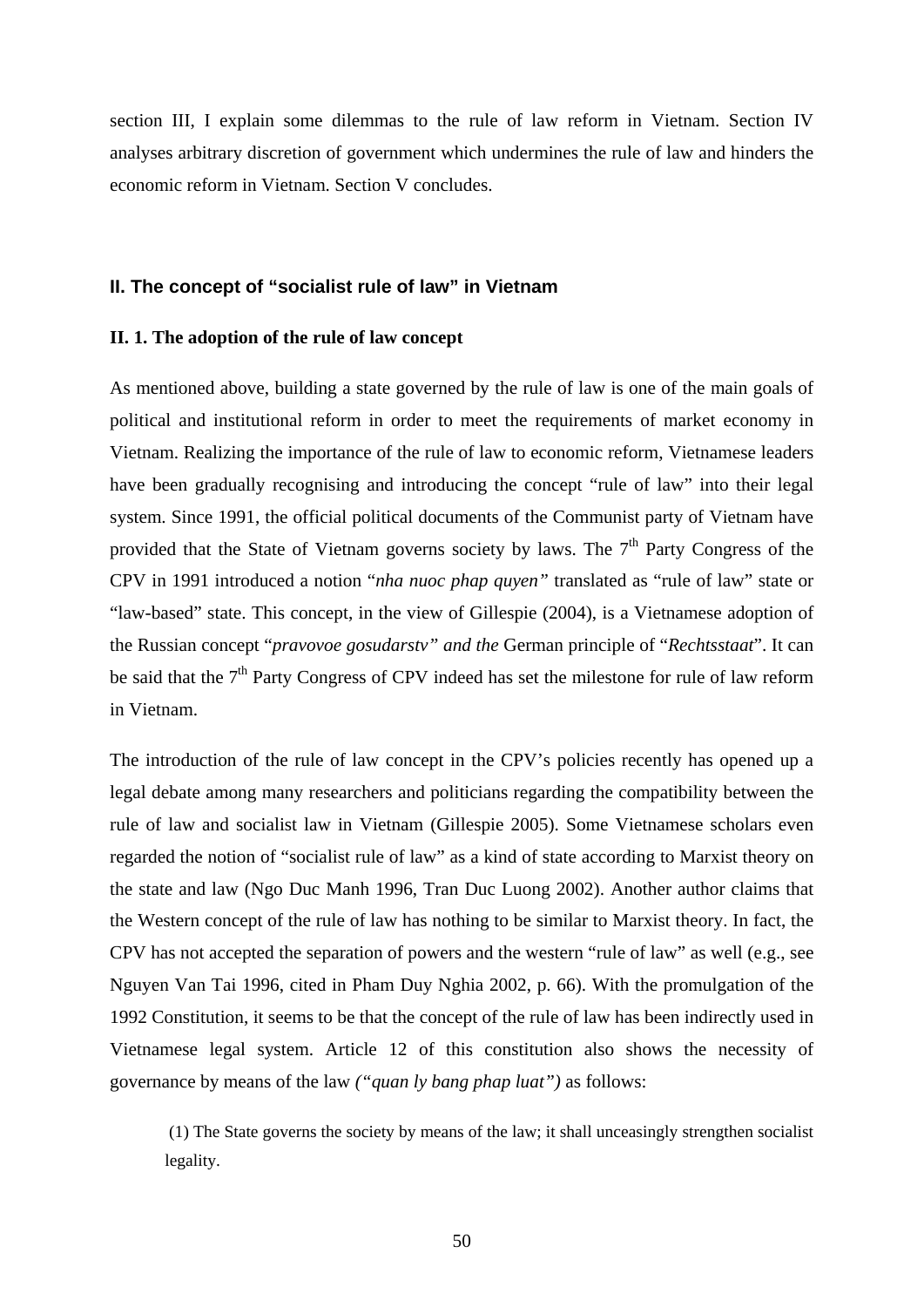section III, I explain some dilemmas to the rule of law reform in Vietnam. Section IV analyses arbitrary discretion of government which undermines the rule of law and hinders the economic reform in Vietnam. Section V concludes.

## **II. The concept of "socialist rule of law" in Vietnam**

# **II. 1. The adoption of the rule of law concept**

As mentioned above, building a state governed by the rule of law is one of the main goals of political and institutional reform in order to meet the requirements of market economy in Vietnam. Realizing the importance of the rule of law to economic reform, Vietnamese leaders have been gradually recognising and introducing the concept "rule of law" into their legal system. Since 1991, the official political documents of the Communist party of Vietnam have provided that the State of Vietnam governs society by laws. The  $7<sup>th</sup>$  Party Congress of the CPV in 1991 introduced a notion "*nha nuoc phap quyen"* translated as "rule of law" state or "law-based" state. This concept, in the view of Gillespie (2004), is a Vietnamese adoption of the Russian concept "*pravovoe gosudarstv" and the* German principle of "*Rechtsstaat*". It can be said that the  $7<sup>th</sup>$  Party Congress of CPV indeed has set the milestone for rule of law reform in Vietnam.

The introduction of the rule of law concept in the CPV's policies recently has opened up a legal debate among many researchers and politicians regarding the compatibility between the rule of law and socialist law in Vietnam (Gillespie 2005). Some Vietnamese scholars even regarded the notion of "socialist rule of law" as a kind of state according to Marxist theory on the state and law (Ngo Duc Manh 1996, Tran Duc Luong 2002). Another author claims that the Western concept of the rule of law has nothing to be similar to Marxist theory. In fact, the CPV has not accepted the separation of powers and the western "rule of law" as well (e.g., see Nguyen Van Tai 1996, cited in Pham Duy Nghia 2002, p. 66). With the promulgation of the 1992 Constitution, it seems to be that the concept of the rule of law has been indirectly used in Vietnamese legal system. Article 12 of this constitution also shows the necessity of governance by means of the law *("quan ly bang phap luat")* as follows:

 (1) The State governs the society by means of the law; it shall unceasingly strengthen socialist legality.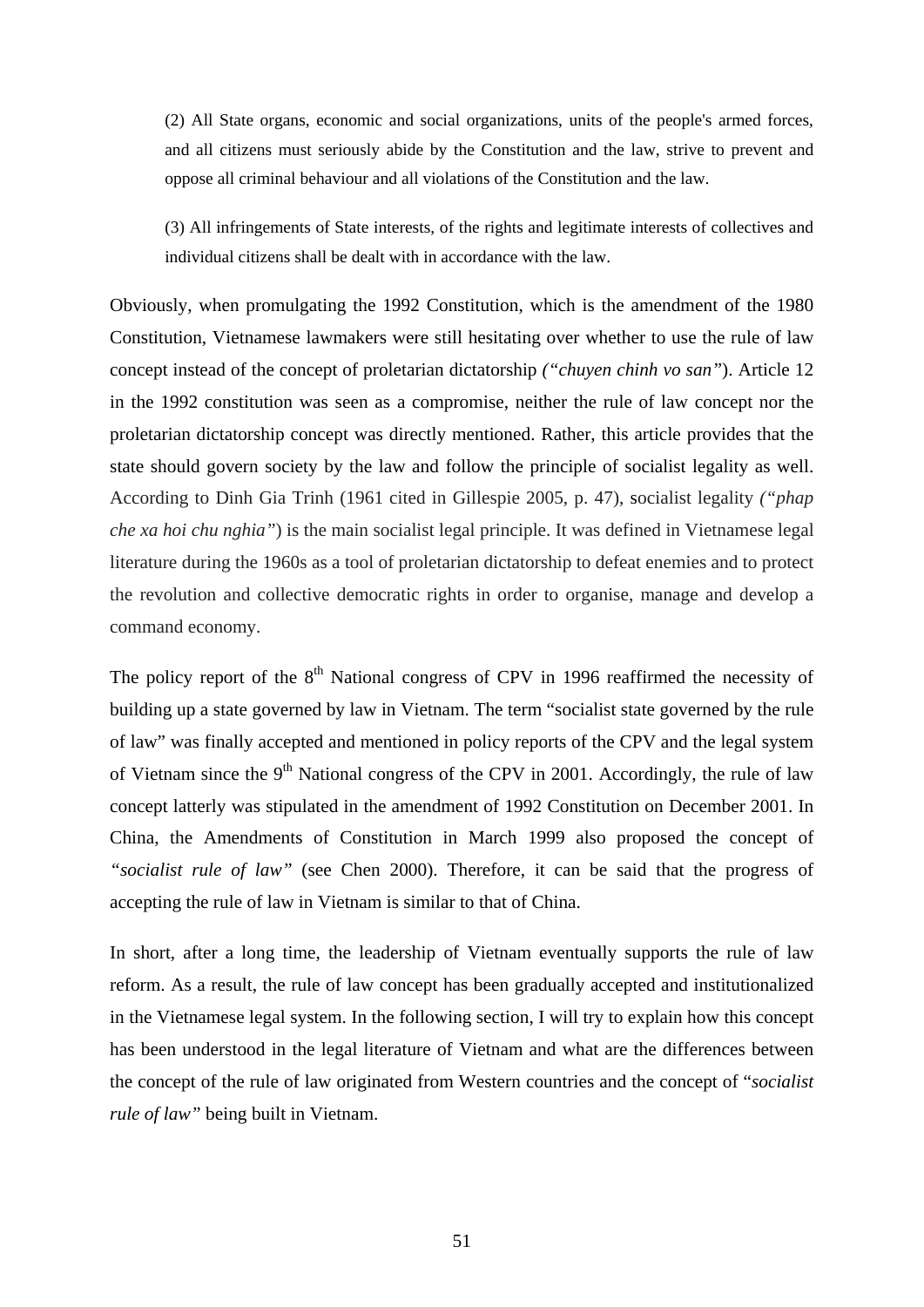(2) All State organs, economic and social organizations, units of the people's armed forces, and all citizens must seriously abide by the Constitution and the law, strive to prevent and oppose all criminal behaviour and all violations of the Constitution and the law.

(3) All infringements of State interests, of the rights and legitimate interests of collectives and individual citizens shall be dealt with in accordance with the law.

Obviously, when promulgating the 1992 Constitution, which is the amendment of the 1980 Constitution, Vietnamese lawmakers were still hesitating over whether to use the rule of law concept instead of the concept of proletarian dictatorship *("chuyen chinh vo san"*). Article 12 in the 1992 constitution was seen as a compromise, neither the rule of law concept nor the proletarian dictatorship concept was directly mentioned. Rather, this article provides that the state should govern society by the law and follow the principle of socialist legality as well. According to Dinh Gia Trinh (1961 cited in Gillespie 2005, p. 47), socialist legality *("phap che xa hoi chu nghia"*) is the main socialist legal principle. It was defined in Vietnamese legal literature during the 1960s as a tool of proletarian dictatorship to defeat enemies and to protect the revolution and collective democratic rights in order to organise, manage and develop a command economy.

The policy report of the  $8<sup>th</sup>$  National congress of CPV in 1996 reaffirmed the necessity of building up a state governed by law in Vietnam. The term "socialist state governed by the rule of law" was finally accepted and mentioned in policy reports of the CPV and the legal system of Vietnam since the  $9<sup>th</sup>$  National congress of the CPV in 2001. Accordingly, the rule of law concept latterly was stipulated in the amendment of 1992 Constitution on December 2001. In China, the Amendments of Constitution in March 1999 also proposed the concept of *"socialist rule of law"* (see Chen 2000). Therefore, it can be said that the progress of accepting the rule of law in Vietnam is similar to that of China.

In short, after a long time, the leadership of Vietnam eventually supports the rule of law reform. As a result, the rule of law concept has been gradually accepted and institutionalized in the Vietnamese legal system. In the following section, I will try to explain how this concept has been understood in the legal literature of Vietnam and what are the differences between the concept of the rule of law originated from Western countries and the concept of "*socialist rule of law"* being built in Vietnam.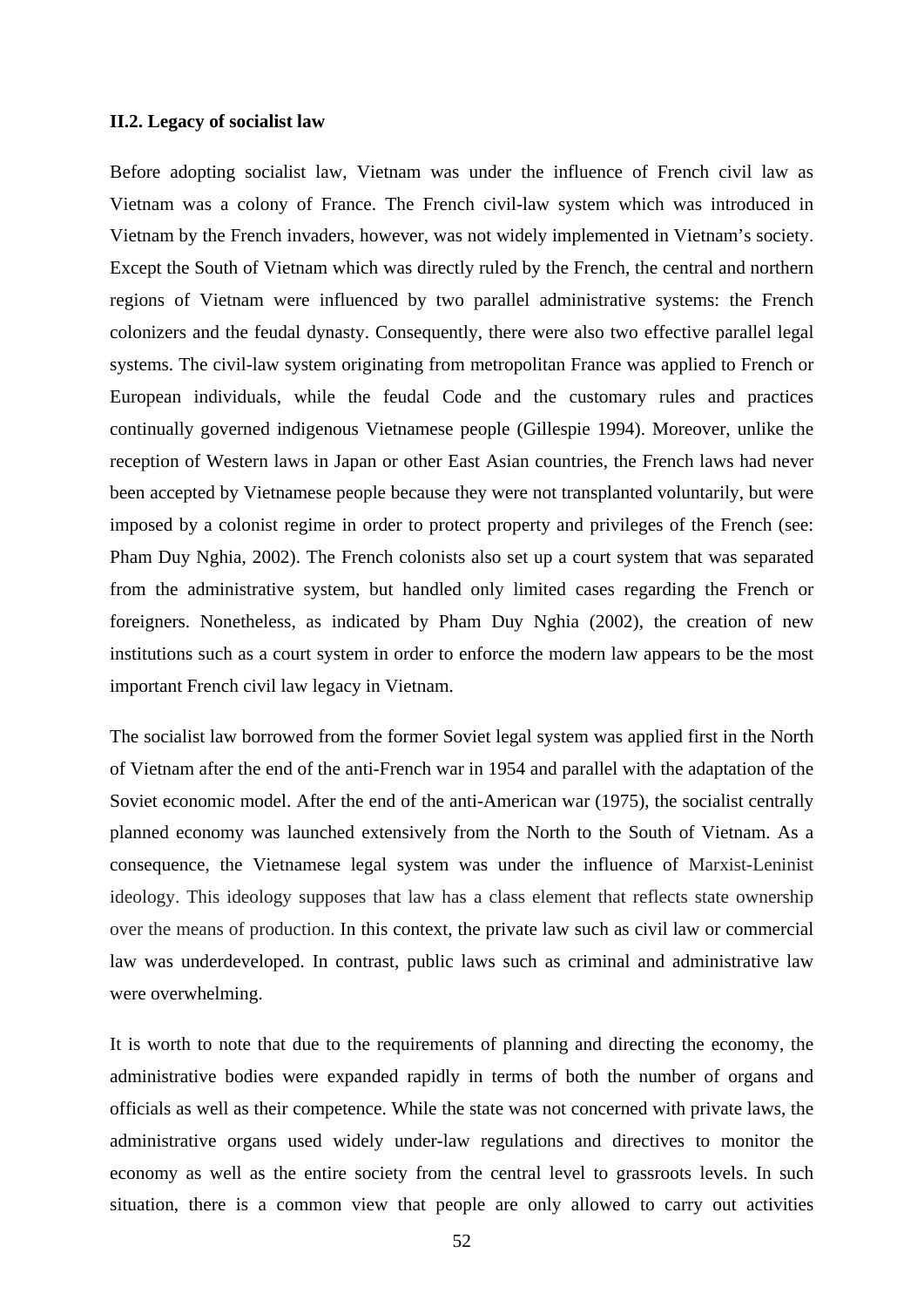#### **II.2. Legacy of socialist law**

Before adopting socialist law, Vietnam was under the influence of French civil law as Vietnam was a colony of France. The French civil-law system which was introduced in Vietnam by the French invaders, however, was not widely implemented in Vietnam's society. Except the South of Vietnam which was directly ruled by the French, the central and northern regions of Vietnam were influenced by two parallel administrative systems: the French colonizers and the feudal dynasty. Consequently, there were also two effective parallel legal systems. The civil-law system originating from metropolitan France was applied to French or European individuals, while the feudal Code and the customary rules and practices continually governed indigenous Vietnamese people (Gillespie 1994). Moreover, unlike the reception of Western laws in Japan or other East Asian countries, the French laws had never been accepted by Vietnamese people because they were not transplanted voluntarily, but were imposed by a colonist regime in order to protect property and privileges of the French (see: Pham Duy Nghia, 2002). The French colonists also set up a court system that was separated from the administrative system, but handled only limited cases regarding the French or foreigners. Nonetheless, as indicated by Pham Duy Nghia (2002), the creation of new institutions such as a court system in order to enforce the modern law appears to be the most important French civil law legacy in Vietnam.

The socialist law borrowed from the former Soviet legal system was applied first in the North of Vietnam after the end of the anti-French war in 1954 and parallel with the adaptation of the Soviet economic model. After the end of the anti-American war (1975), the socialist centrally planned economy was launched extensively from the North to the South of Vietnam. As a consequence, the Vietnamese legal system was under the influence of Marxist-Leninist ideology. This ideology supposes that law has a class element that reflects state ownership over the means of production. In this context, the private law such as civil law or commercial law was underdeveloped. In contrast, public laws such as criminal and administrative law were overwhelming.

It is worth to note that due to the requirements of planning and directing the economy, the administrative bodies were expanded rapidly in terms of both the number of organs and officials as well as their competence. While the state was not concerned with private laws, the administrative organs used widely under-law regulations and directives to monitor the economy as well as the entire society from the central level to grassroots levels. In such situation, there is a common view that people are only allowed to carry out activities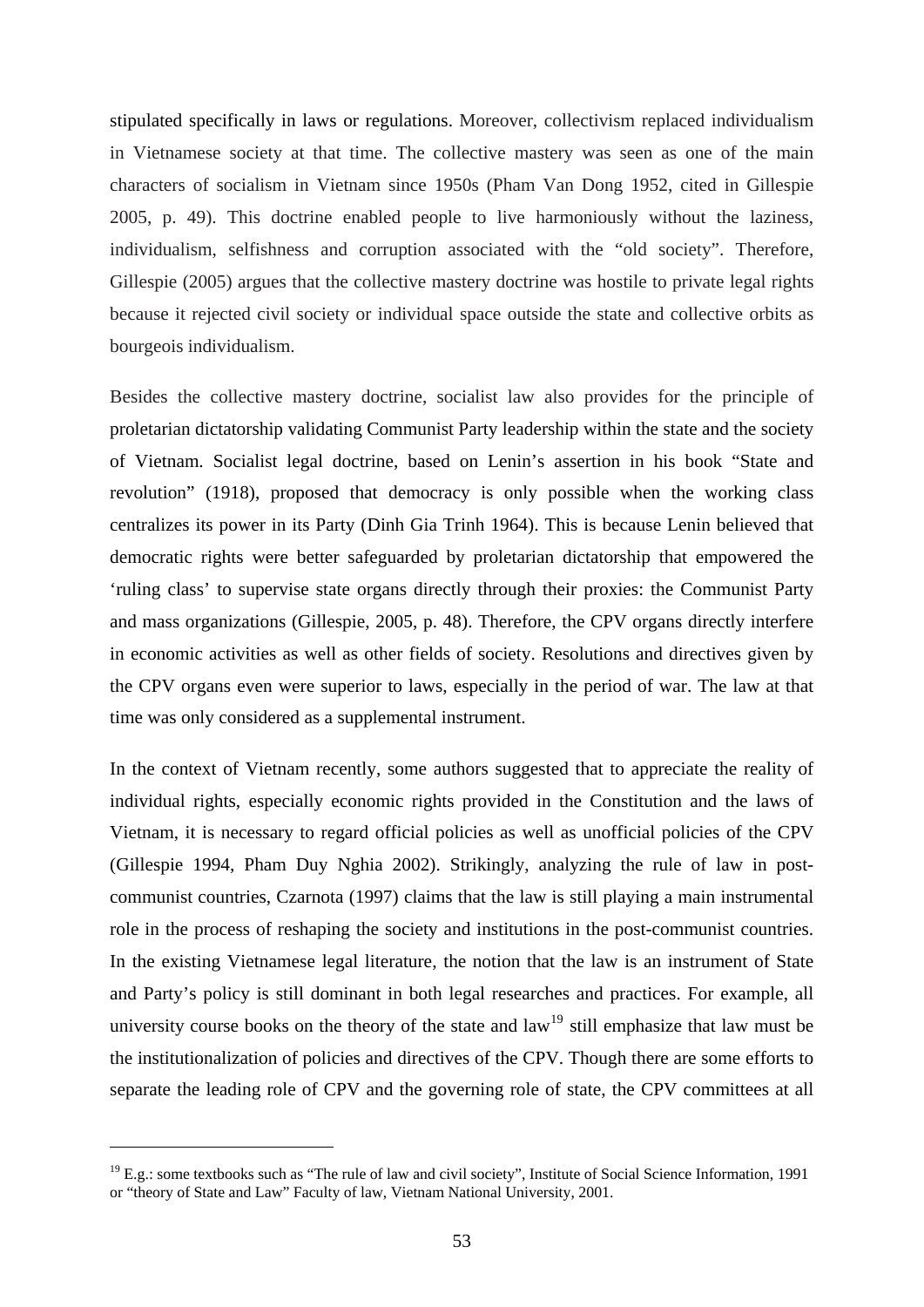stipulated specifically in laws or regulations. Moreover, collectivism replaced individualism in Vietnamese society at that time. The collective mastery was seen as one of the main characters of socialism in Vietnam since 1950s (Pham Van Dong 1952, cited in Gillespie 2005, p. 49). This doctrine enabled people to live harmoniously without the laziness, individualism, selfishness and corruption associated with the "old society". Therefore, Gillespie (2005) argues that the collective mastery doctrine was hostile to private legal rights because it rejected civil society or individual space outside the state and collective orbits as bourgeois individualism.

Besides the collective mastery doctrine, socialist law also provides for the principle of proletarian dictatorship validating Communist Party leadership within the state and the society of Vietnam. Socialist legal doctrine, based on Lenin's assertion in his book "State and revolution" (1918), proposed that democracy is only possible when the working class centralizes its power in its Party (Dinh Gia Trinh 1964). This is because Lenin believed that democratic rights were better safeguarded by proletarian dictatorship that empowered the 'ruling class' to supervise state organs directly through their proxies: the Communist Party and mass organizations (Gillespie, 2005, p. 48). Therefore, the CPV organs directly interfere in economic activities as well as other fields of society. Resolutions and directives given by the CPV organs even were superior to laws, especially in the period of war. The law at that time was only considered as a supplemental instrument.

In the context of Vietnam recently, some authors suggested that to appreciate the reality of individual rights, especially economic rights provided in the Constitution and the laws of Vietnam, it is necessary to regard official policies as well as unofficial policies of the CPV (Gillespie 1994, Pham Duy Nghia 2002). Strikingly, analyzing the rule of law in postcommunist countries, Czarnota (1997) claims that the law is still playing a main instrumental role in the process of reshaping the society and institutions in the post-communist countries. In the existing Vietnamese legal literature, the notion that the law is an instrument of State and Party's policy is still dominant in both legal researches and practices. For example, all university course books on the theory of the state and  $law<sup>19</sup>$  $law<sup>19</sup>$  $law<sup>19</sup>$  still emphasize that law must be the institutionalization of policies and directives of the CPV. Though there are some efforts to separate the leading role of CPV and the governing role of state, the CPV committees at all

<span id="page-58-0"></span> $19$  E.g.: some textbooks such as "The rule of law and civil society", Institute of Social Science Information, 1991 or "theory of State and Law" Faculty of law, Vietnam National University, 2001.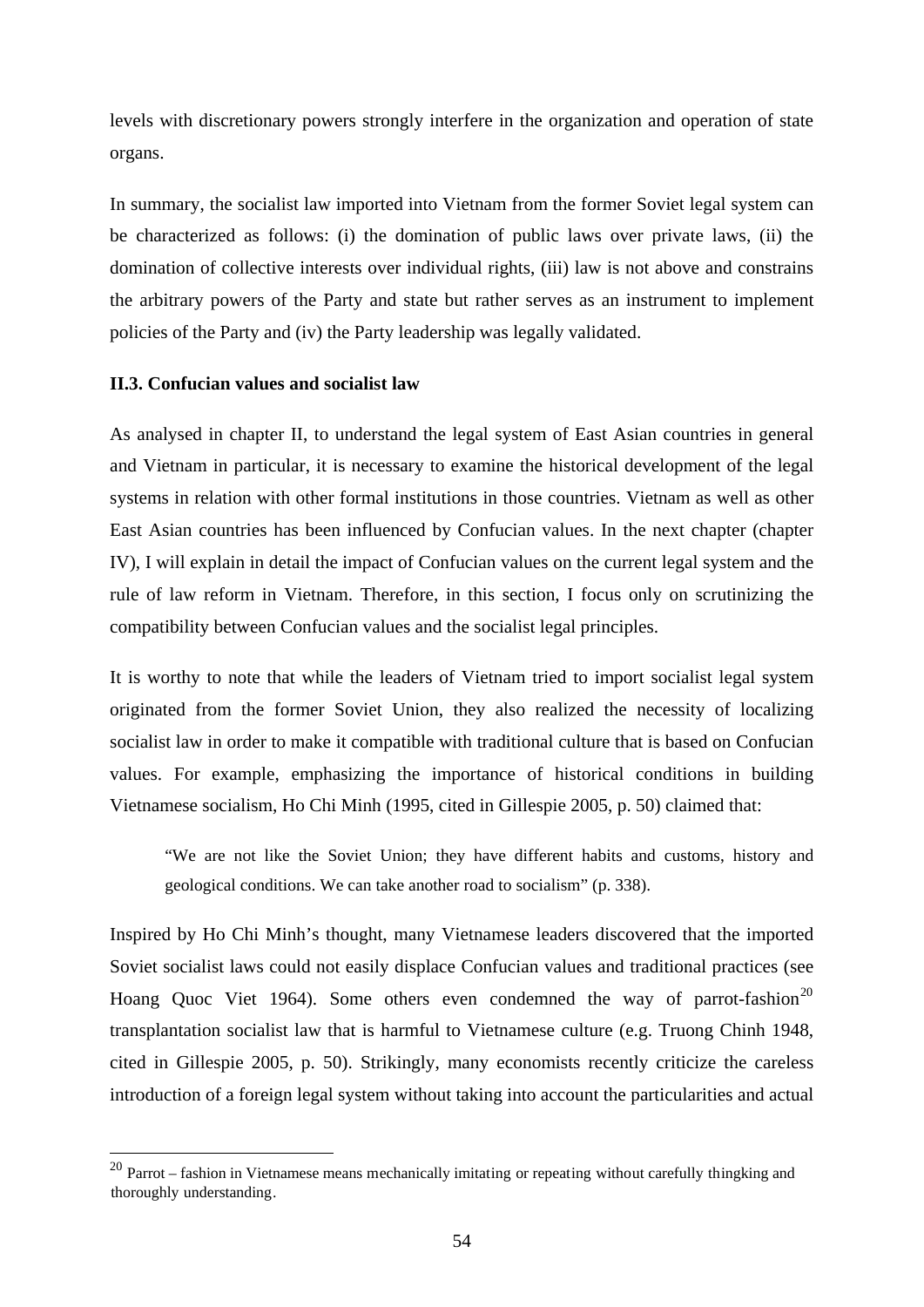levels with discretionary powers strongly interfere in the organization and operation of state organs.

In summary, the socialist law imported into Vietnam from the former Soviet legal system can be characterized as follows: (i) the domination of public laws over private laws, (ii) the domination of collective interests over individual rights, (iii) law is not above and constrains the arbitrary powers of the Party and state but rather serves as an instrument to implement policies of the Party and (iv) the Party leadership was legally validated.

#### **II.3. Confucian values and socialist law**

<u>.</u>

As analysed in chapter II, to understand the legal system of East Asian countries in general and Vietnam in particular, it is necessary to examine the historical development of the legal systems in relation with other formal institutions in those countries. Vietnam as well as other East Asian countries has been influenced by Confucian values. In the next chapter (chapter IV), I will explain in detail the impact of Confucian values on the current legal system and the rule of law reform in Vietnam. Therefore, in this section, I focus only on scrutinizing the compatibility between Confucian values and the socialist legal principles.

It is worthy to note that while the leaders of Vietnam tried to import socialist legal system originated from the former Soviet Union, they also realized the necessity of localizing socialist law in order to make it compatible with traditional culture that is based on Confucian values. For example, emphasizing the importance of historical conditions in building Vietnamese socialism, Ho Chi Minh (1995, cited in Gillespie 2005, p. 50) claimed that:

"We are not like the Soviet Union; they have different habits and customs, history and geological conditions. We can take another road to socialism" (p. 338).

Inspired by Ho Chi Minh's thought, many Vietnamese leaders discovered that the imported Soviet socialist laws could not easily displace Confucian values and traditional practices (see Hoang Quoc Viet 1964). Some others even condemned the way of parrot-fashion<sup>[20](#page-59-0)</sup> transplantation socialist law that is harmful to Vietnamese culture (e.g. Truong Chinh 1948, cited in Gillespie 2005, p. 50). Strikingly, many economists recently criticize the careless introduction of a foreign legal system without taking into account the particularities and actual

<span id="page-59-0"></span> $^{20}$  Parrot – fashion in Vietnamese means mechanically imitating or repeating without carefully thingking and thoroughly understanding.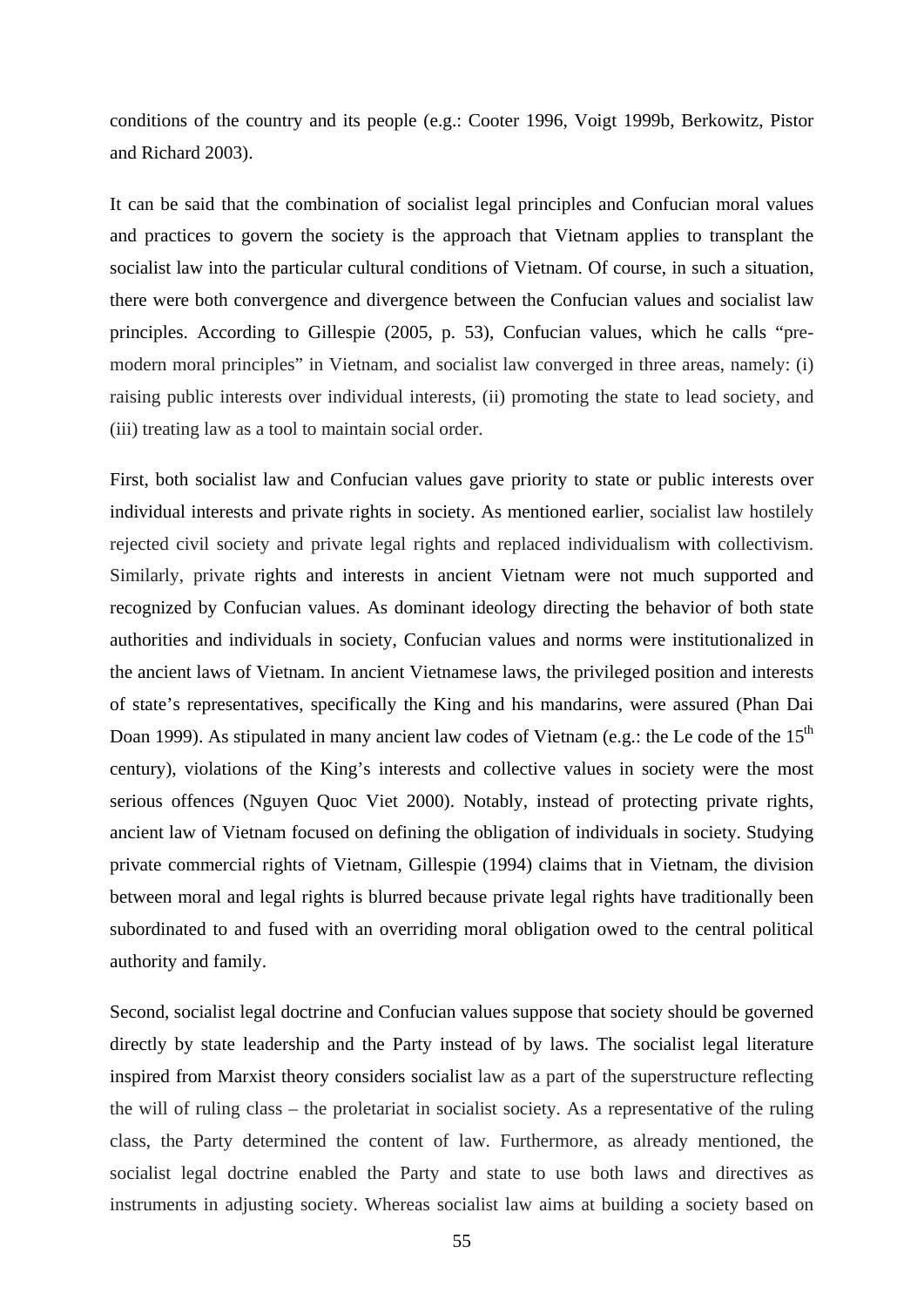conditions of the country and its people (e.g.: Cooter 1996, Voigt 1999b, Berkowitz, Pistor and Richard 2003).

It can be said that the combination of socialist legal principles and Confucian moral values and practices to govern the society is the approach that Vietnam applies to transplant the socialist law into the particular cultural conditions of Vietnam. Of course, in such a situation, there were both convergence and divergence between the Confucian values and socialist law principles. According to Gillespie (2005, p. 53), Confucian values, which he calls "premodern moral principles" in Vietnam, and socialist law converged in three areas, namely: (i) raising public interests over individual interests, (ii) promoting the state to lead society, and (iii) treating law as a tool to maintain social order.

First, both socialist law and Confucian values gave priority to state or public interests over individual interests and private rights in society. As mentioned earlier, socialist law hostilely rejected civil society and private legal rights and replaced individualism with collectivism. Similarly, private rights and interests in ancient Vietnam were not much supported and recognized by Confucian values. As dominant ideology directing the behavior of both state authorities and individuals in society, Confucian values and norms were institutionalized in the ancient laws of Vietnam. In ancient Vietnamese laws, the privileged position and interests of state's representatives, specifically the King and his mandarins, were assured (Phan Dai Doan 1999). As stipulated in many ancient law codes of Vietnam (e.g.: the Le code of the 15<sup>th</sup> century), violations of the King's interests and collective values in society were the most serious offences (Nguyen Quoc Viet 2000). Notably, instead of protecting private rights, ancient law of Vietnam focused on defining the obligation of individuals in society. Studying private commercial rights of Vietnam, Gillespie (1994) claims that in Vietnam, the division between moral and legal rights is blurred because private legal rights have traditionally been subordinated to and fused with an overriding moral obligation owed to the central political authority and family.

Second, socialist legal doctrine and Confucian values suppose that society should be governed directly by state leadership and the Party instead of by laws. The socialist legal literature inspired from Marxist theory considers socialist law as a part of the superstructure reflecting the will of ruling class – the proletariat in socialist society. As a representative of the ruling class, the Party determined the content of law. Furthermore, as already mentioned, the socialist legal doctrine enabled the Party and state to use both laws and directives as instruments in adjusting society. Whereas socialist law aims at building a society based on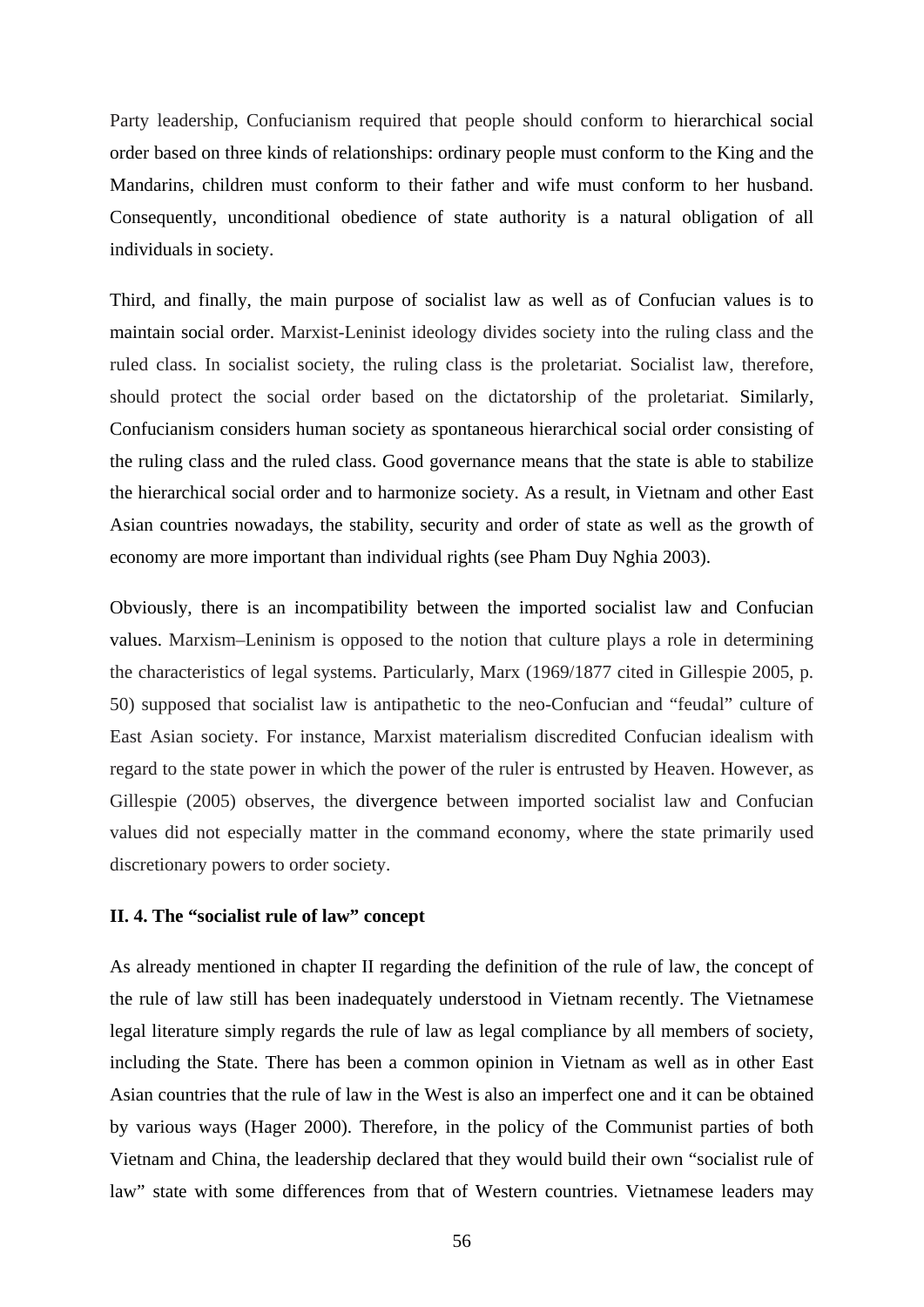Party leadership, Confucianism required that people should conform to hierarchical social order based on three kinds of relationships: ordinary people must conform to the King and the Mandarins, children must conform to their father and wife must conform to her husband. Consequently, unconditional obedience of state authority is a natural obligation of all individuals in society.

Third, and finally, the main purpose of socialist law as well as of Confucian values is to maintain social order. Marxist-Leninist ideology divides society into the ruling class and the ruled class. In socialist society, the ruling class is the proletariat. Socialist law, therefore, should protect the social order based on the dictatorship of the proletariat. Similarly, Confucianism considers human society as spontaneous hierarchical social order consisting of the ruling class and the ruled class. Good governance means that the state is able to stabilize the hierarchical social order and to harmonize society. As a result, in Vietnam and other East Asian countries nowadays, the stability, security and order of state as well as the growth of economy are more important than individual rights (see Pham Duy Nghia 2003).

Obviously, there is an incompatibility between the imported socialist law and Confucian values. Marxism–Leninism is opposed to the notion that culture plays a role in determining the characteristics of legal systems. Particularly, Marx (1969/1877 cited in Gillespie 2005, p. 50) supposed that socialist law is antipathetic to the neo-Confucian and "feudal" culture of East Asian society. For instance, Marxist materialism discredited Confucian idealism with regard to the state power in which the power of the ruler is entrusted by Heaven. However, as Gillespie (2005) observes, the divergence between imported socialist law and Confucian values did not especially matter in the command economy, where the state primarily used discretionary powers to order society.

## **II. 4. The "socialist rule of law" concept**

As already mentioned in chapter II regarding the definition of the rule of law, the concept of the rule of law still has been inadequately understood in Vietnam recently. The Vietnamese legal literature simply regards the rule of law as legal compliance by all members of society, including the State. There has been a common opinion in Vietnam as well as in other East Asian countries that the rule of law in the West is also an imperfect one and it can be obtained by various ways (Hager 2000). Therefore, in the policy of the Communist parties of both Vietnam and China, the leadership declared that they would build their own "socialist rule of law" state with some differences from that of Western countries. Vietnamese leaders may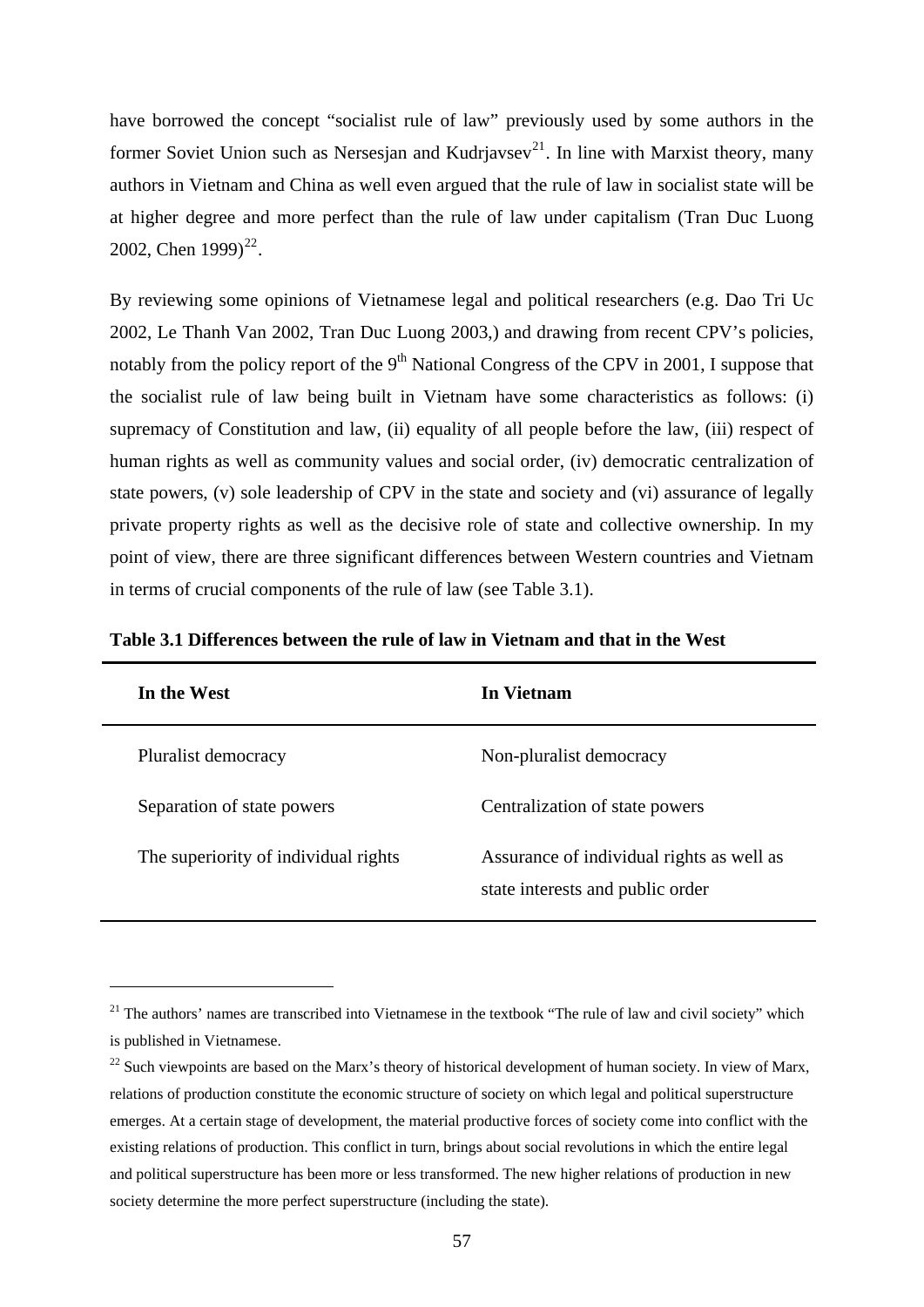have borrowed the concept "socialist rule of law" previously used by some authors in the former Soviet Union such as Nersesjan and Kudrjavsev<sup>[21](#page-62-0)</sup>. In line with Marxist theory, many authors in Vietnam and China as well even argued that the rule of law in socialist state will be at higher degree and more perfect than the rule of law under capitalism (Tran Duc Luong 2002, Chen  $1999$ <sup>[22](#page-62-1)</sup>.

By reviewing some opinions of Vietnamese legal and political researchers (e.g. Dao Tri Uc 2002, Le Thanh Van 2002, Tran Duc Luong 2003,) and drawing from recent CPV's policies, notably from the policy report of the  $9<sup>th</sup>$  National Congress of the CPV in 2001, I suppose that the socialist rule of law being built in Vietnam have some characteristics as follows: (i) supremacy of Constitution and law, (ii) equality of all people before the law, (iii) respect of human rights as well as community values and social order, (iv) democratic centralization of state powers, (v) sole leadership of CPV in the state and society and (vi) assurance of legally private property rights as well as the decisive role of state and collective ownership. In my point of view, there are three significant differences between Western countries and Vietnam in terms of crucial components of the rule of law (see Table 3.1).

| In the West                          | In Vietnam                                                                    |
|--------------------------------------|-------------------------------------------------------------------------------|
| Pluralist democracy                  | Non-pluralist democracy                                                       |
| Separation of state powers           | Centralization of state powers                                                |
| The superiority of individual rights | Assurance of individual rights as well as<br>state interests and public order |

**Table 3.1 Differences between the rule of law in Vietnam and that in the West** 

<span id="page-62-0"></span> $21$  The authors' names are transcribed into Vietnamese in the textbook "The rule of law and civil society" which is published in Vietnamese.

<span id="page-62-1"></span> $^{22}$  Such viewpoints are based on the Marx's theory of historical development of human society. In view of Marx, relations of production constitute the economic structure of society on which legal and political superstructure emerges. At a certain stage of development, the material productive forces of society come into conflict with the existing relations of production. This conflict in turn, brings about social revolutions in which the entire legal and political superstructure has been more or less transformed. The new higher relations of production in new society determine the more perfect superstructure (including the state).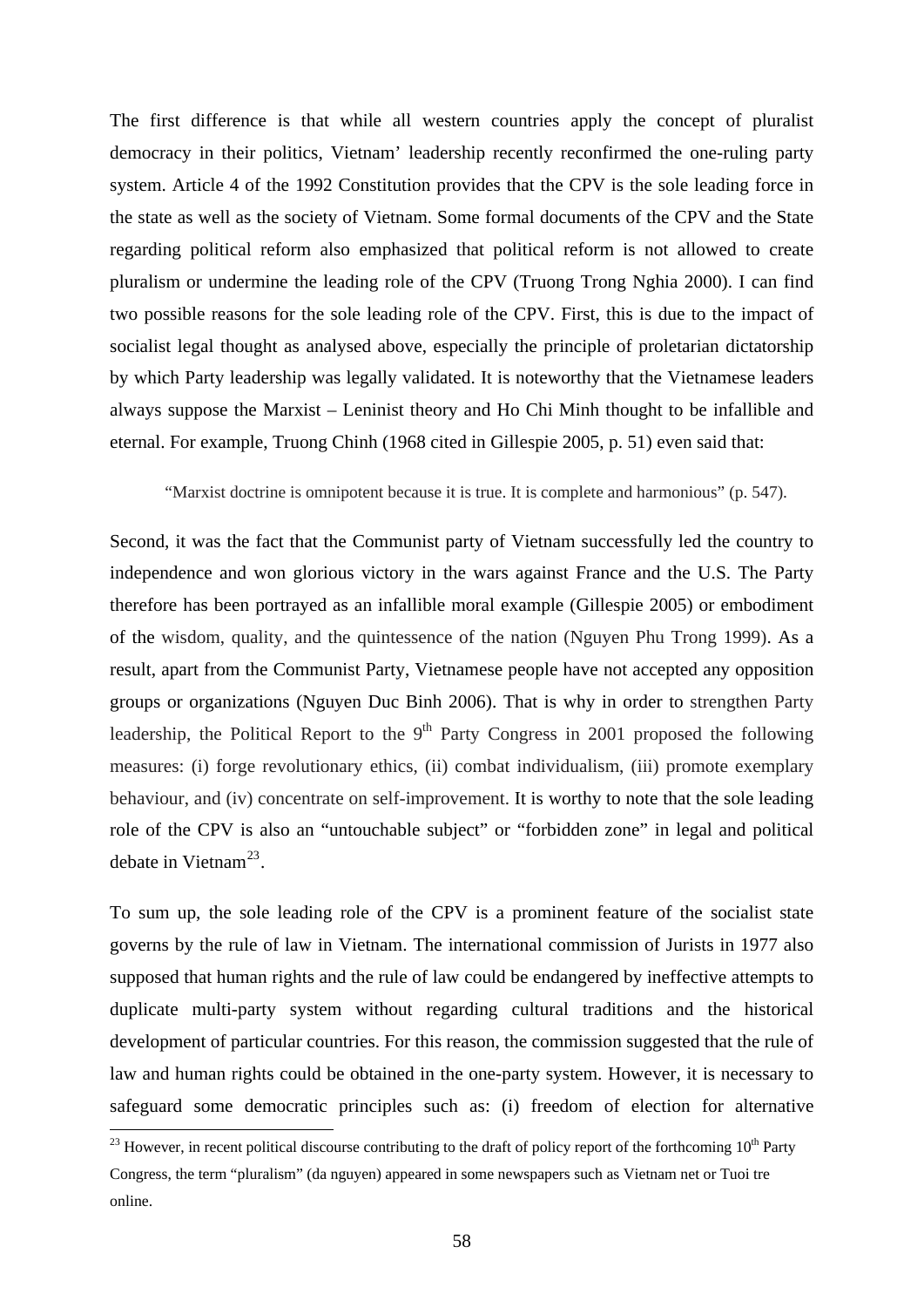The first difference is that while all western countries apply the concept of pluralist democracy in their politics, Vietnam' leadership recently reconfirmed the one-ruling party system. Article 4 of the 1992 Constitution provides that the CPV is the sole leading force in the state as well as the society of Vietnam. Some formal documents of the CPV and the State regarding political reform also emphasized that political reform is not allowed to create pluralism or undermine the leading role of the CPV (Truong Trong Nghia 2000). I can find two possible reasons for the sole leading role of the CPV. First, this is due to the impact of socialist legal thought as analysed above, especially the principle of proletarian dictatorship by which Party leadership was legally validated. It is noteworthy that the Vietnamese leaders always suppose the Marxist – Leninist theory and Ho Chi Minh thought to be infallible and eternal. For example, Truong Chinh (1968 cited in Gillespie 2005, p. 51) even said that:

"Marxist doctrine is omnipotent because it is true. It is complete and harmonious" (p. 547).

Second, it was the fact that the Communist party of Vietnam successfully led the country to independence and won glorious victory in the wars against France and the U.S. The Party therefore has been portrayed as an infallible moral example (Gillespie 2005) or embodiment of the wisdom, quality, and the quintessence of the nation (Nguyen Phu Trong 1999). As a result, apart from the Communist Party, Vietnamese people have not accepted any opposition groups or organizations (Nguyen Duc Binh 2006). That is why in order to strengthen Party leadership, the Political Report to the  $9<sup>th</sup>$  Party Congress in 2001 proposed the following measures: (i) forge revolutionary ethics, (ii) combat individualism, (iii) promote exemplary behaviour, and (iv) concentrate on self-improvement. It is worthy to note that the sole leading role of the CPV is also an "untouchable subject" or "forbidden zone" in legal and political debate in Vietnam<sup>[23](#page-63-0)</sup>.

To sum up, the sole leading role of the CPV is a prominent feature of the socialist state governs by the rule of law in Vietnam. The international commission of Jurists in 1977 also supposed that human rights and the rule of law could be endangered by ineffective attempts to duplicate multi-party system without regarding cultural traditions and the historical development of particular countries. For this reason, the commission suggested that the rule of law and human rights could be obtained in the one-party system. However, it is necessary to safeguard some democratic principles such as: (i) freedom of election for alternative

<span id="page-63-0"></span> $^{23}$  However, in recent political discourse contributing to the draft of policy report of the forthcoming 10<sup>th</sup> Party Congress, the term "pluralism" (da nguyen) appeared in some newspapers such as Vietnam net or Tuoi tre online.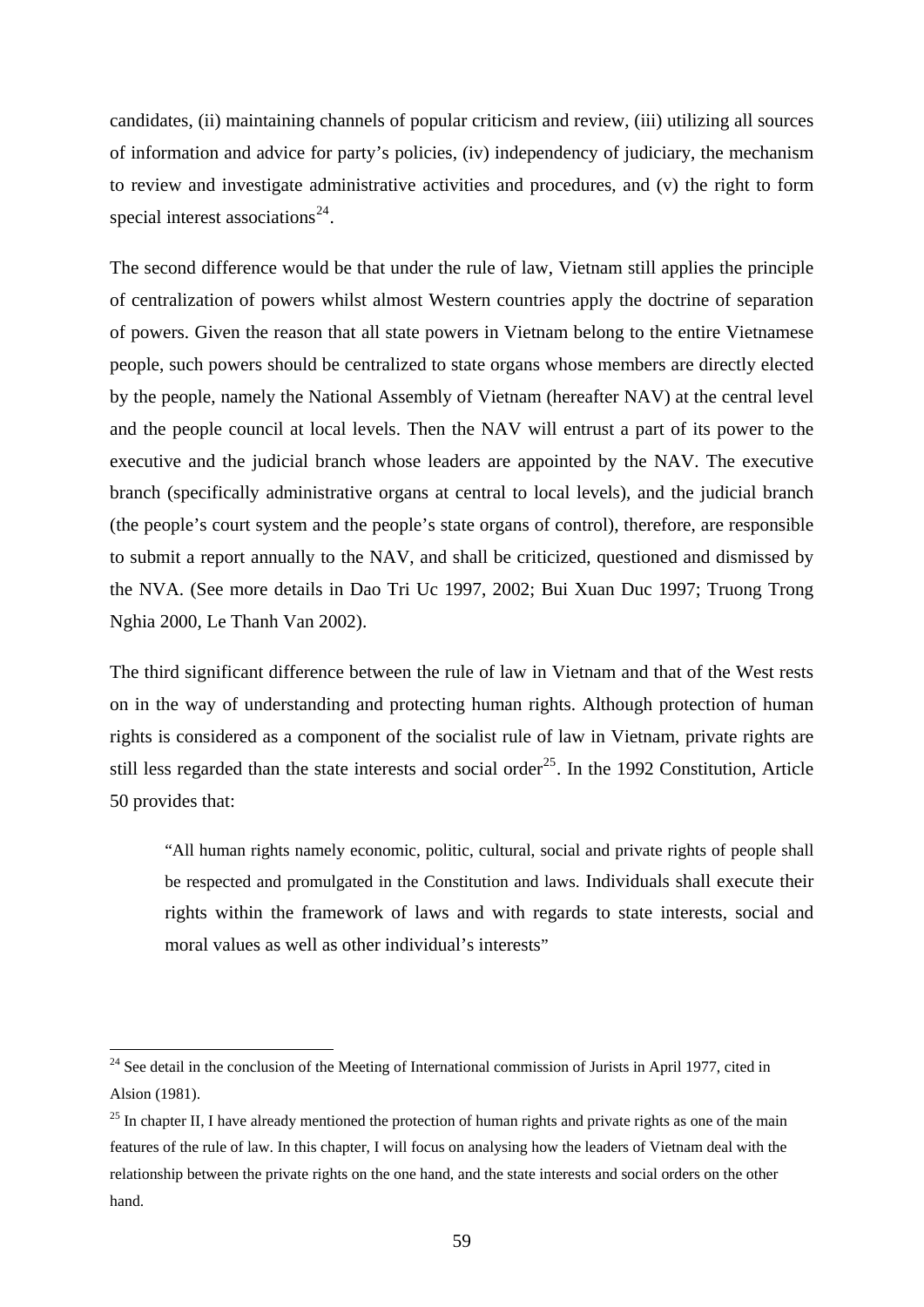candidates, (ii) maintaining channels of popular criticism and review, (iii) utilizing all sources of information and advice for party's policies, (iv) independency of judiciary, the mechanism to review and investigate administrative activities and procedures, and (v) the right to form special interest associations<sup>[24](#page-64-0)</sup>.

The second difference would be that under the rule of law, Vietnam still applies the principle of centralization of powers whilst almost Western countries apply the doctrine of separation of powers. Given the reason that all state powers in Vietnam belong to the entire Vietnamese people, such powers should be centralized to state organs whose members are directly elected by the people, namely the National Assembly of Vietnam (hereafter NAV) at the central level and the people council at local levels. Then the NAV will entrust a part of its power to the executive and the judicial branch whose leaders are appointed by the NAV. The executive branch (specifically administrative organs at central to local levels), and the judicial branch (the people's court system and the people's state organs of control), therefore, are responsible to submit a report annually to the NAV, and shall be criticized, questioned and dismissed by the NVA. (See more details in Dao Tri Uc 1997, 2002; Bui Xuan Duc 1997; Truong Trong Nghia 2000, Le Thanh Van 2002).

The third significant difference between the rule of law in Vietnam and that of the West rests on in the way of understanding and protecting human rights. Although protection of human rights is considered as a component of the socialist rule of law in Vietnam, private rights are still less regarded than the state interests and social order<sup>[25](#page-64-1)</sup>. In the 1992 Constitution, Article 50 provides that:

"All human rights namely economic, politic, cultural, social and private rights of people shall be respected and promulgated in the Constitution and laws. Individuals shall execute their rights within the framework of laws and with regards to state interests, social and moral values as well as other individual's interests"

<span id="page-64-0"></span><sup>&</sup>lt;sup>24</sup> See detail in the conclusion of the Meeting of International commission of Jurists in April 1977, cited in Alsion (1981).

<span id="page-64-1"></span><sup>&</sup>lt;sup>25</sup> In chapter II, I have already mentioned the protection of human rights and private rights as one of the main features of the rule of law. In this chapter, I will focus on analysing how the leaders of Vietnam deal with the relationship between the private rights on the one hand, and the state interests and social orders on the other hand.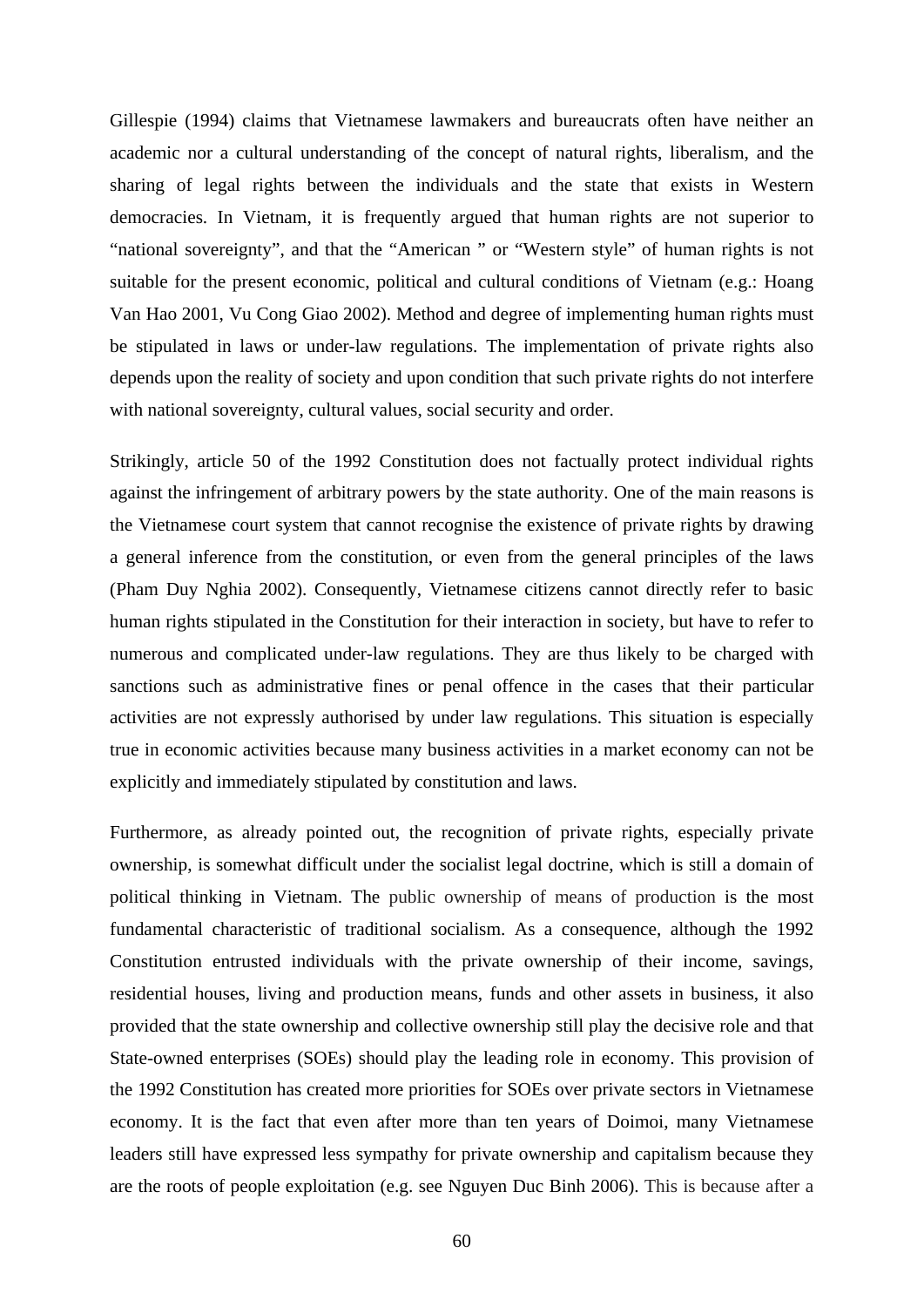Gillespie (1994) claims that Vietnamese lawmakers and bureaucrats often have neither an academic nor a cultural understanding of the concept of natural rights, liberalism, and the sharing of legal rights between the individuals and the state that exists in Western democracies. In Vietnam, it is frequently argued that human rights are not superior to "national sovereignty", and that the "American " or "Western style" of human rights is not suitable for the present economic, political and cultural conditions of Vietnam (e.g.: Hoang Van Hao 2001, Vu Cong Giao 2002). Method and degree of implementing human rights must be stipulated in laws or under-law regulations. The implementation of private rights also depends upon the reality of society and upon condition that such private rights do not interfere with national sovereignty, cultural values, social security and order.

Strikingly, article 50 of the 1992 Constitution does not factually protect individual rights against the infringement of arbitrary powers by the state authority. One of the main reasons is the Vietnamese court system that cannot recognise the existence of private rights by drawing a general inference from the constitution, or even from the general principles of the laws (Pham Duy Nghia 2002). Consequently, Vietnamese citizens cannot directly refer to basic human rights stipulated in the Constitution for their interaction in society, but have to refer to numerous and complicated under-law regulations. They are thus likely to be charged with sanctions such as administrative fines or penal offence in the cases that their particular activities are not expressly authorised by under law regulations. This situation is especially true in economic activities because many business activities in a market economy can not be explicitly and immediately stipulated by constitution and laws.

Furthermore, as already pointed out, the recognition of private rights, especially private ownership, is somewhat difficult under the socialist legal doctrine, which is still a domain of political thinking in Vietnam. The public ownership of means of production is the most fundamental characteristic of traditional socialism. As a consequence, although the 1992 Constitution entrusted individuals with the private ownership of their income, savings, residential houses, living and production means, funds and other assets in business, it also provided that the state ownership and collective ownership still play the decisive role and that State-owned enterprises (SOEs) should play the leading role in economy. This provision of the 1992 Constitution has created more priorities for SOEs over private sectors in Vietnamese economy. It is the fact that even after more than ten years of Doimoi, many Vietnamese leaders still have expressed less sympathy for private ownership and capitalism because they are the roots of people exploitation (e.g. see Nguyen Duc Binh 2006). This is because after a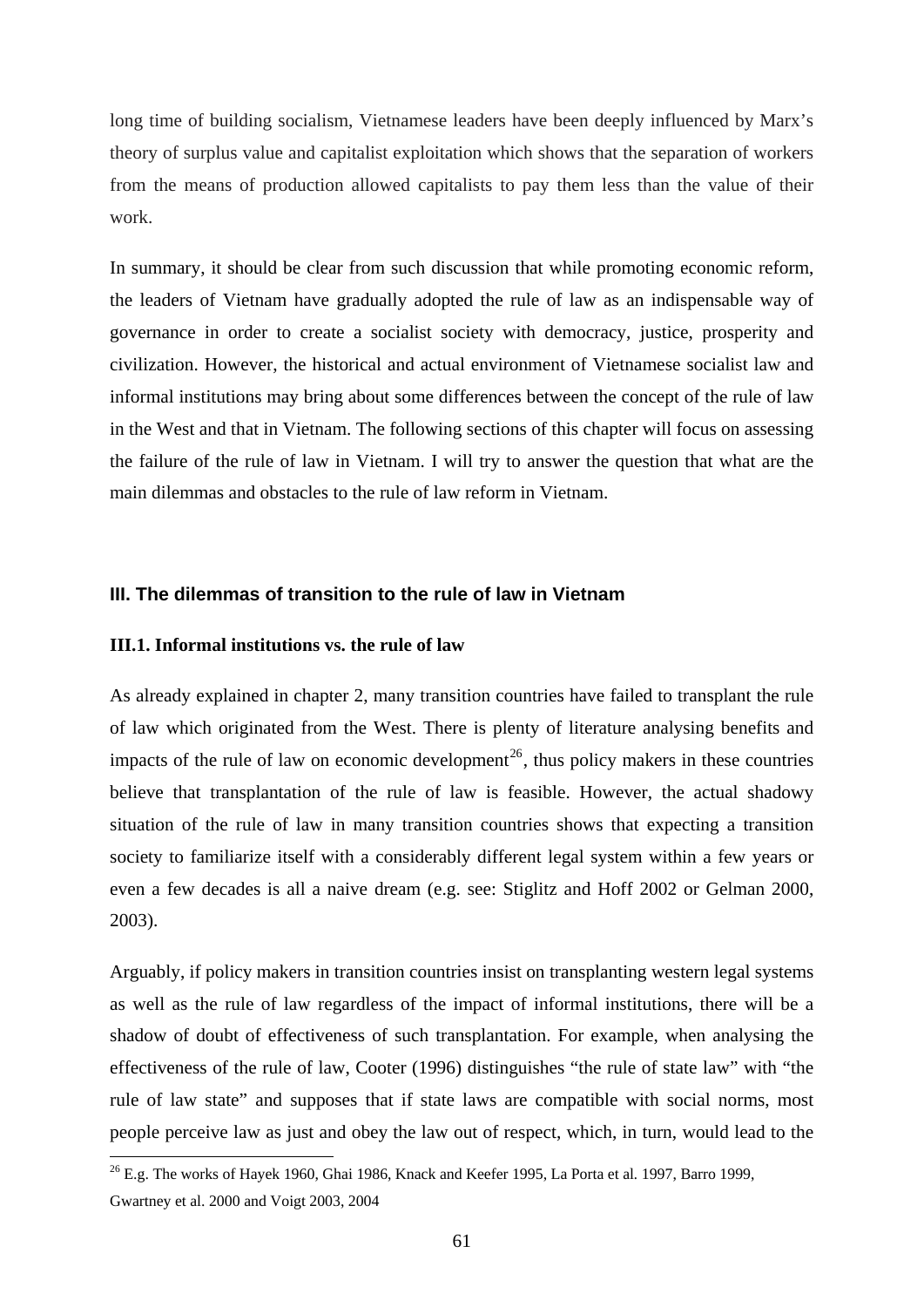long time of building socialism, Vietnamese leaders have been deeply influenced by Marx's theory of surplus value and capitalist exploitation which shows that the separation of workers from the means of production allowed capitalists to pay them less than the value of their work.

In summary, it should be clear from such discussion that while promoting economic reform, the leaders of Vietnam have gradually adopted the rule of law as an indispensable way of governance in order to create a socialist society with democracy, justice, prosperity and civilization. However, the historical and actual environment of Vietnamese socialist law and informal institutions may bring about some differences between the concept of the rule of law in the West and that in Vietnam. The following sections of this chapter will focus on assessing the failure of the rule of law in Vietnam. I will try to answer the question that what are the main dilemmas and obstacles to the rule of law reform in Vietnam.

## **III. The dilemmas of transition to the rule of law in Vietnam**

# **III.1. Informal institutions vs. the rule of law**

1

As already explained in chapter 2, many transition countries have failed to transplant the rule of law which originated from the West. There is plenty of literature analysing benefits and impacts of the rule of law on economic development<sup>[26](#page-66-0)</sup>, thus policy makers in these countries believe that transplantation of the rule of law is feasible. However, the actual shadowy situation of the rule of law in many transition countries shows that expecting a transition society to familiarize itself with a considerably different legal system within a few years or even a few decades is all a naive dream (e.g. see: Stiglitz and Hoff 2002 or Gelman 2000, 2003).

Arguably, if policy makers in transition countries insist on transplanting western legal systems as well as the rule of law regardless of the impact of informal institutions, there will be a shadow of doubt of effectiveness of such transplantation. For example, when analysing the effectiveness of the rule of law, Cooter (1996) distinguishes "the rule of state law" with "the rule of law state" and supposes that if state laws are compatible with social norms, most people perceive law as just and obey the law out of respect, which, in turn, would lead to the

<span id="page-66-0"></span><sup>26</sup> E.g. The works of Hayek 1960, Ghai 1986, Knack and Keefer 1995, La Porta et al*.* 1997, Barro 1999, Gwartney et al. 2000 and Voigt 2003, 2004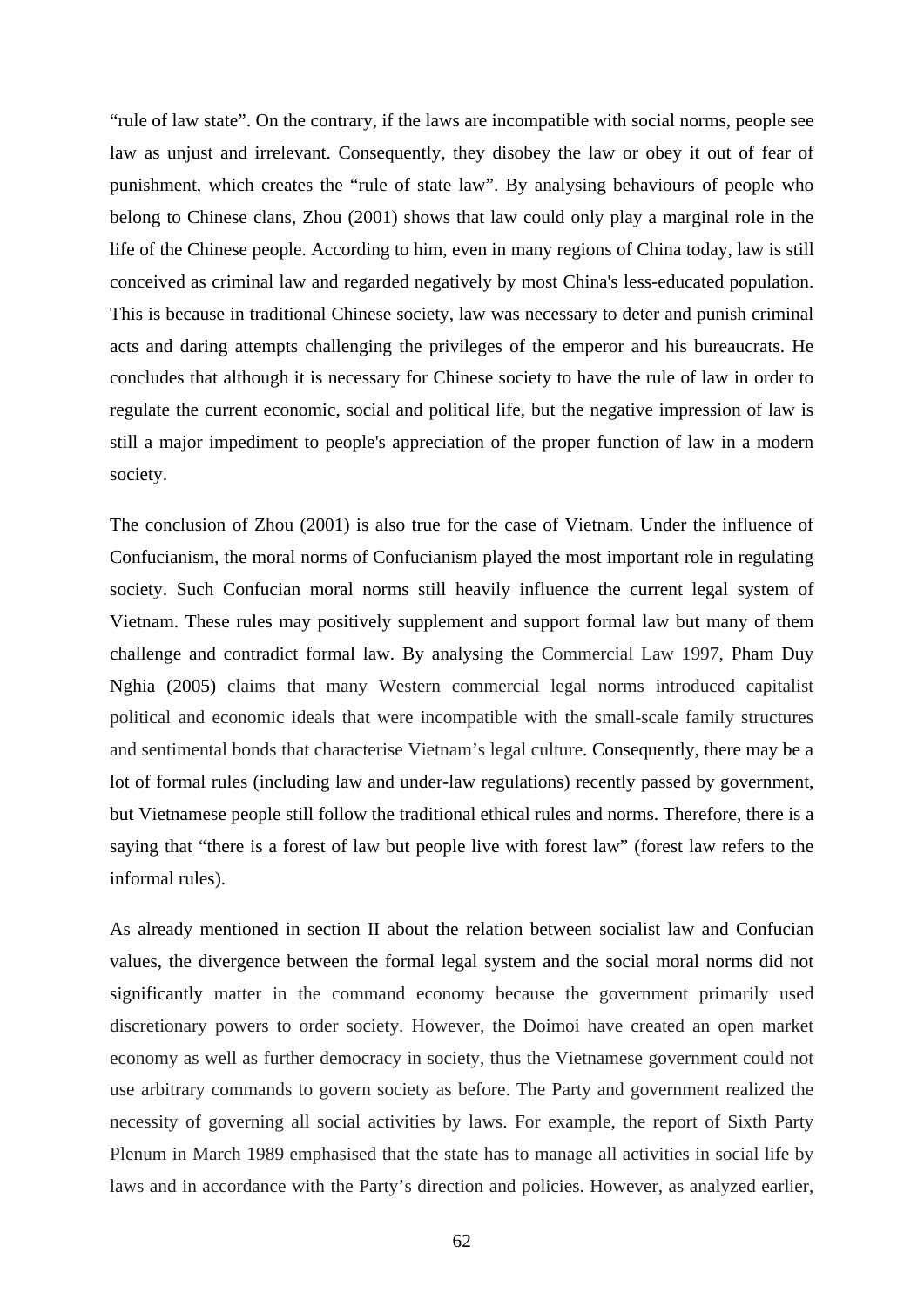"rule of law state". On the contrary, if the laws are incompatible with social norms, people see law as unjust and irrelevant. Consequently, they disobey the law or obey it out of fear of punishment, which creates the "rule of state law". By analysing behaviours of people who belong to Chinese clans, Zhou (2001) shows that law could only play a marginal role in the life of the Chinese people. According to him, even in many regions of China today, law is still conceived as criminal law and regarded negatively by most China's less-educated population. This is because in traditional Chinese society, law was necessary to deter and punish criminal acts and daring attempts challenging the privileges of the emperor and his bureaucrats. He concludes that although it is necessary for Chinese society to have the rule of law in order to regulate the current economic, social and political life, but the negative impression of law is still a major impediment to people's appreciation of the proper function of law in a modern society.

The conclusion of Zhou (2001) is also true for the case of Vietnam. Under the influence of Confucianism, the moral norms of Confucianism played the most important role in regulating society. Such Confucian moral norms still heavily influence the current legal system of Vietnam. These rules may positively supplement and support formal law but many of them challenge and contradict formal law. By analysing the Commercial Law 1997, Pham Duy Nghia (2005) claims that many Western commercial legal norms introduced capitalist political and economic ideals that were incompatible with the small-scale family structures and sentimental bonds that characterise Vietnam's legal culture. Consequently, there may be a lot of formal rules (including law and under-law regulations) recently passed by government, but Vietnamese people still follow the traditional ethical rules and norms. Therefore, there is a saying that "there is a forest of law but people live with forest law" (forest law refers to the informal rules).

As already mentioned in section II about the relation between socialist law and Confucian values, the divergence between the formal legal system and the social moral norms did not significantly matter in the command economy because the government primarily used discretionary powers to order society. However, the Doimoi have created an open market economy as well as further democracy in society, thus the Vietnamese government could not use arbitrary commands to govern society as before. The Party and government realized the necessity of governing all social activities by laws. For example, the report of Sixth Party Plenum in March 1989 emphasised that the state has to manage all activities in social life by laws and in accordance with the Party's direction and policies. However, as analyzed earlier,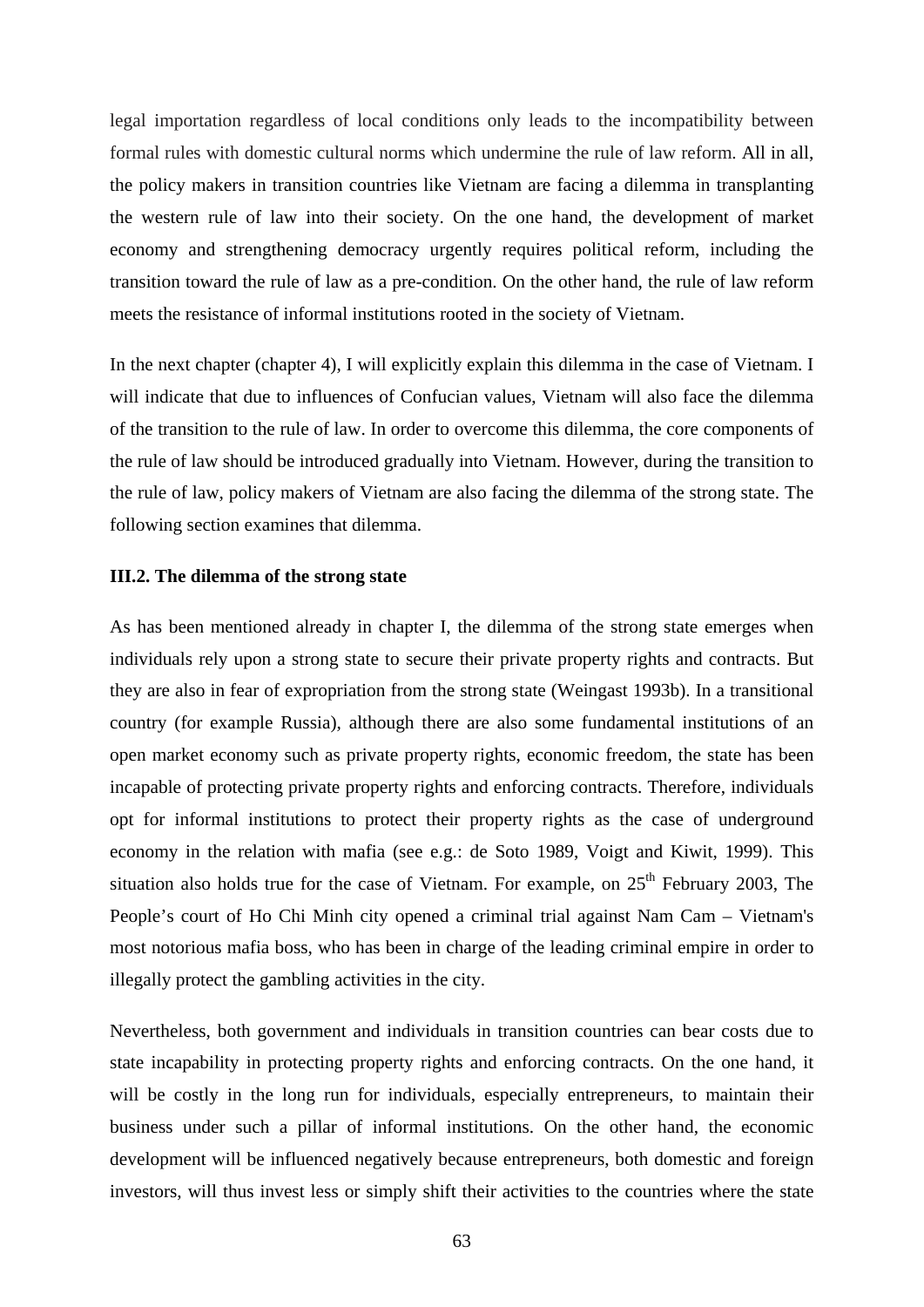legal importation regardless of local conditions only leads to the incompatibility between formal rules with domestic cultural norms which undermine the rule of law reform. All in all, the policy makers in transition countries like Vietnam are facing a dilemma in transplanting the western rule of law into their society. On the one hand, the development of market economy and strengthening democracy urgently requires political reform, including the transition toward the rule of law as a pre-condition. On the other hand, the rule of law reform meets the resistance of informal institutions rooted in the society of Vietnam.

In the next chapter (chapter 4), I will explicitly explain this dilemma in the case of Vietnam. I will indicate that due to influences of Confucian values, Vietnam will also face the dilemma of the transition to the rule of law. In order to overcome this dilemma, the core components of the rule of law should be introduced gradually into Vietnam. However, during the transition to the rule of law, policy makers of Vietnam are also facing the dilemma of the strong state. The following section examines that dilemma.

## **III.2. The dilemma of the strong state**

As has been mentioned already in chapter I, the dilemma of the strong state emerges when individuals rely upon a strong state to secure their private property rights and contracts. But they are also in fear of expropriation from the strong state (Weingast 1993b). In a transitional country (for example Russia), although there are also some fundamental institutions of an open market economy such as private property rights, economic freedom, the state has been incapable of protecting private property rights and enforcing contracts. Therefore, individuals opt for informal institutions to protect their property rights as the case of underground economy in the relation with mafia (see e.g.: de Soto 1989, Voigt and Kiwit, 1999). This situation also holds true for the case of Vietnam. For example, on  $25<sup>th</sup>$  February 2003, The People's court of Ho Chi Minh city opened a criminal trial against Nam Cam – Vietnam's most notorious mafia boss, who has been in charge of the leading criminal empire in order to illegally protect the gambling activities in the city.

Nevertheless, both government and individuals in transition countries can bear costs due to state incapability in protecting property rights and enforcing contracts. On the one hand, it will be costly in the long run for individuals, especially entrepreneurs, to maintain their business under such a pillar of informal institutions. On the other hand, the economic development will be influenced negatively because entrepreneurs, both domestic and foreign investors, will thus invest less or simply shift their activities to the countries where the state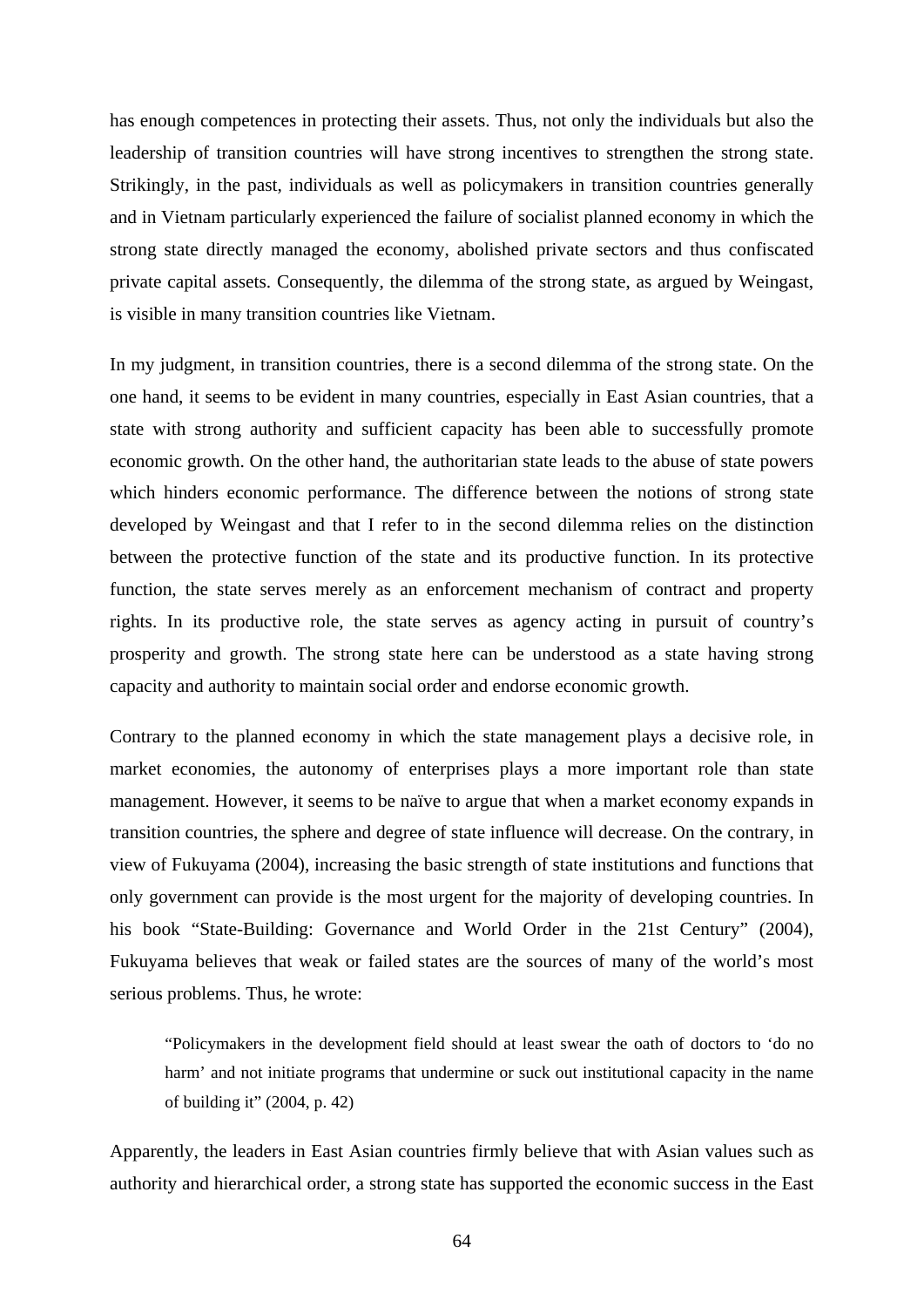has enough competences in protecting their assets. Thus, not only the individuals but also the leadership of transition countries will have strong incentives to strengthen the strong state. Strikingly, in the past, individuals as well as policymakers in transition countries generally and in Vietnam particularly experienced the failure of socialist planned economy in which the strong state directly managed the economy, abolished private sectors and thus confiscated private capital assets. Consequently, the dilemma of the strong state, as argued by Weingast, is visible in many transition countries like Vietnam.

In my judgment, in transition countries, there is a second dilemma of the strong state. On the one hand, it seems to be evident in many countries, especially in East Asian countries, that a state with strong authority and sufficient capacity has been able to successfully promote economic growth. On the other hand, the authoritarian state leads to the abuse of state powers which hinders economic performance. The difference between the notions of strong state developed by Weingast and that I refer to in the second dilemma relies on the distinction between the protective function of the state and its productive function. In its protective function, the state serves merely as an enforcement mechanism of contract and property rights. In its productive role, the state serves as agency acting in pursuit of country's prosperity and growth. The strong state here can be understood as a state having strong capacity and authority to maintain social order and endorse economic growth.

Contrary to the planned economy in which the state management plays a decisive role, in market economies, the autonomy of enterprises plays a more important role than state management. However, it seems to be naïve to argue that when a market economy expands in transition countries, the sphere and degree of state influence will decrease. On the contrary, in view of Fukuyama (2004), increasing the basic strength of state institutions and functions that only government can provide is the most urgent for the majority of developing countries. In his book "State-Building: Governance and World Order in the 21st Century" (2004), Fukuyama believes that weak or failed states are the sources of many of the world's most serious problems. Thus, he wrote:

"Policymakers in the development field should at least swear the oath of doctors to 'do no harm' and not initiate programs that undermine or suck out institutional capacity in the name of building it" (2004, p. 42)

Apparently, the leaders in East Asian countries firmly believe that with Asian values such as authority and hierarchical order, a strong state has supported the economic success in the East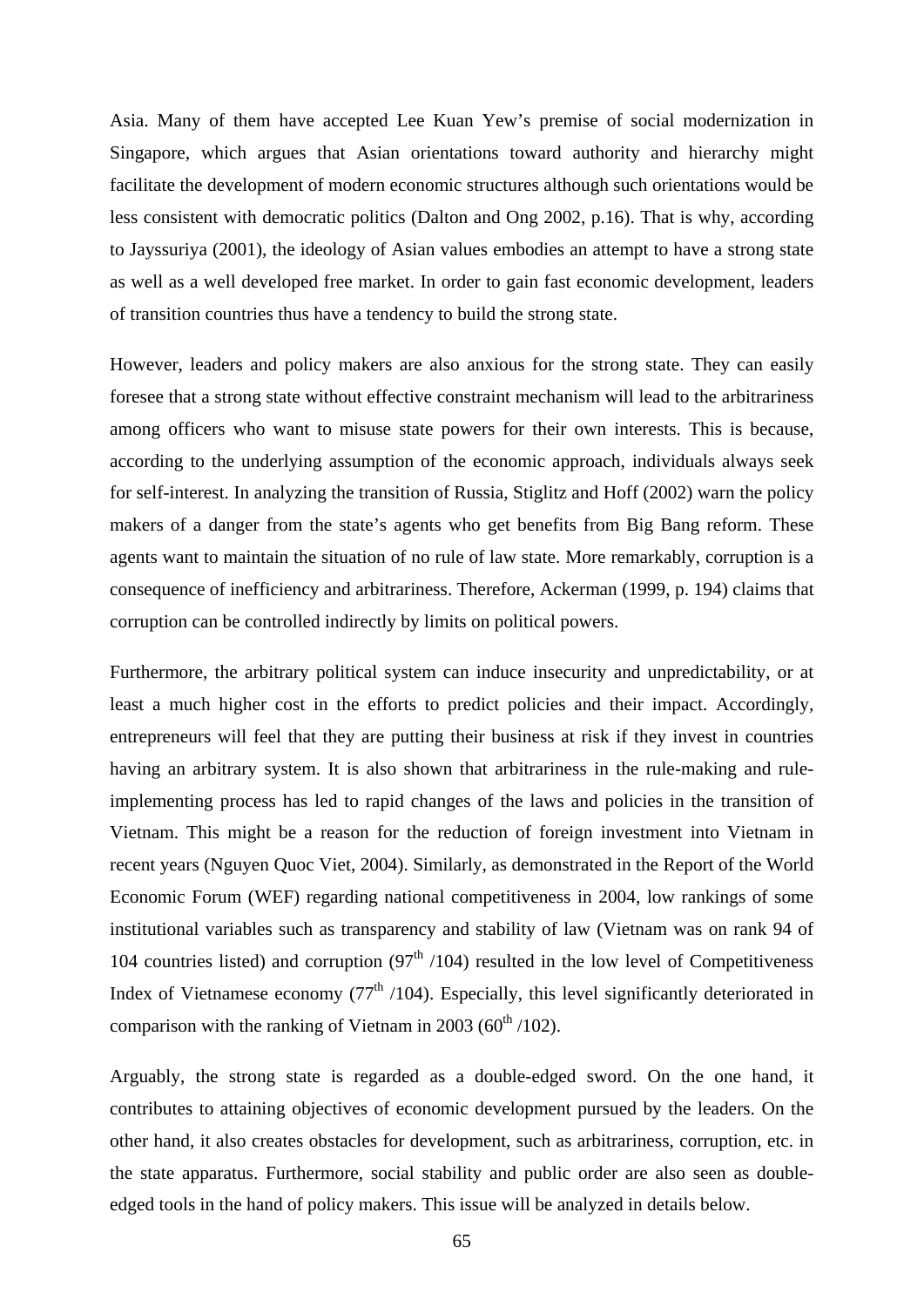Asia. Many of them have accepted Lee Kuan Yew's premise of social modernization in Singapore, which argues that Asian orientations toward authority and hierarchy might facilitate the development of modern economic structures although such orientations would be less consistent with democratic politics (Dalton and Ong 2002, p.16). That is why, according to Jayssuriya (2001), the ideology of Asian values embodies an attempt to have a strong state as well as a well developed free market. In order to gain fast economic development, leaders of transition countries thus have a tendency to build the strong state.

However, leaders and policy makers are also anxious for the strong state. They can easily foresee that a strong state without effective constraint mechanism will lead to the arbitrariness among officers who want to misuse state powers for their own interests. This is because, according to the underlying assumption of the economic approach, individuals always seek for self-interest. In analyzing the transition of Russia, Stiglitz and Hoff (2002) warn the policy makers of a danger from the state's agents who get benefits from Big Bang reform. These agents want to maintain the situation of no rule of law state. More remarkably, corruption is a consequence of inefficiency and arbitrariness. Therefore, Ackerman (1999, p. 194) claims that corruption can be controlled indirectly by limits on political powers.

Furthermore, the arbitrary political system can induce insecurity and unpredictability, or at least a much higher cost in the efforts to predict policies and their impact. Accordingly, entrepreneurs will feel that they are putting their business at risk if they invest in countries having an arbitrary system. It is also shown that arbitrariness in the rule-making and ruleimplementing process has led to rapid changes of the laws and policies in the transition of Vietnam. This might be a reason for the reduction of foreign investment into Vietnam in recent years (Nguyen Quoc Viet, 2004). Similarly, as demonstrated in the Report of the World Economic Forum (WEF) regarding national competitiveness in 2004, low rankings of some institutional variables such as transparency and stability of law (Vietnam was on rank 94 of 104 countries listed) and corruption  $(97<sup>th</sup> / 104)$  resulted in the low level of Competitiveness Index of Vietnamese economy  $(77<sup>th</sup> / 104)$ . Especially, this level significantly deteriorated in comparison with the ranking of Vietnam in 2003 ( $60<sup>th</sup> / 102$ ).

Arguably, the strong state is regarded as a double-edged sword. On the one hand, it contributes to attaining objectives of economic development pursued by the leaders. On the other hand, it also creates obstacles for development, such as arbitrariness, corruption, etc. in the state apparatus. Furthermore, social stability and public order are also seen as doubleedged tools in the hand of policy makers. This issue will be analyzed in details below.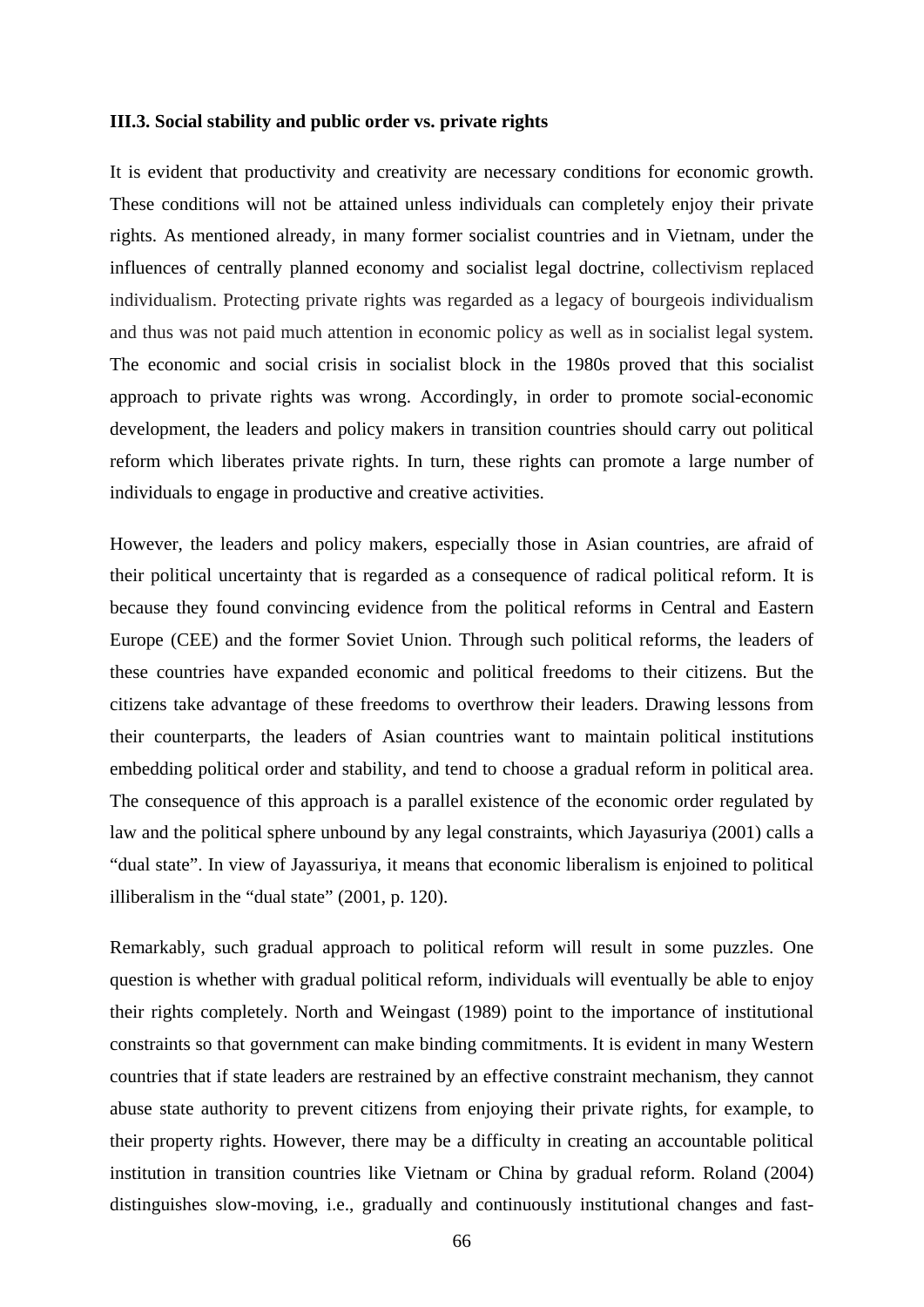## **III.3. Social stability and public order vs. private rights**

It is evident that productivity and creativity are necessary conditions for economic growth. These conditions will not be attained unless individuals can completely enjoy their private rights. As mentioned already, in many former socialist countries and in Vietnam, under the influences of centrally planned economy and socialist legal doctrine, collectivism replaced individualism. Protecting private rights was regarded as a legacy of bourgeois individualism and thus was not paid much attention in economic policy as well as in socialist legal system. The economic and social crisis in socialist block in the 1980s proved that this socialist approach to private rights was wrong. Accordingly, in order to promote social-economic development, the leaders and policy makers in transition countries should carry out political reform which liberates private rights. In turn, these rights can promote a large number of individuals to engage in productive and creative activities.

However, the leaders and policy makers, especially those in Asian countries, are afraid of their political uncertainty that is regarded as a consequence of radical political reform. It is because they found convincing evidence from the political reforms in Central and Eastern Europe (CEE) and the former Soviet Union. Through such political reforms, the leaders of these countries have expanded economic and political freedoms to their citizens. But the citizens take advantage of these freedoms to overthrow their leaders. Drawing lessons from their counterparts, the leaders of Asian countries want to maintain political institutions embedding political order and stability, and tend to choose a gradual reform in political area. The consequence of this approach is a parallel existence of the economic order regulated by law and the political sphere unbound by any legal constraints, which Jayasuriya (2001) calls a "dual state". In view of Jayassuriya, it means that economic liberalism is enjoined to political illiberalism in the "dual state" (2001, p. 120).

Remarkably, such gradual approach to political reform will result in some puzzles. One question is whether with gradual political reform, individuals will eventually be able to enjoy their rights completely. North and Weingast (1989) point to the importance of institutional constraints so that government can make binding commitments. It is evident in many Western countries that if state leaders are restrained by an effective constraint mechanism, they cannot abuse state authority to prevent citizens from enjoying their private rights, for example, to their property rights. However, there may be a difficulty in creating an accountable political institution in transition countries like Vietnam or China by gradual reform. Roland (2004) distinguishes slow-moving, i.e., gradually and continuously institutional changes and fast-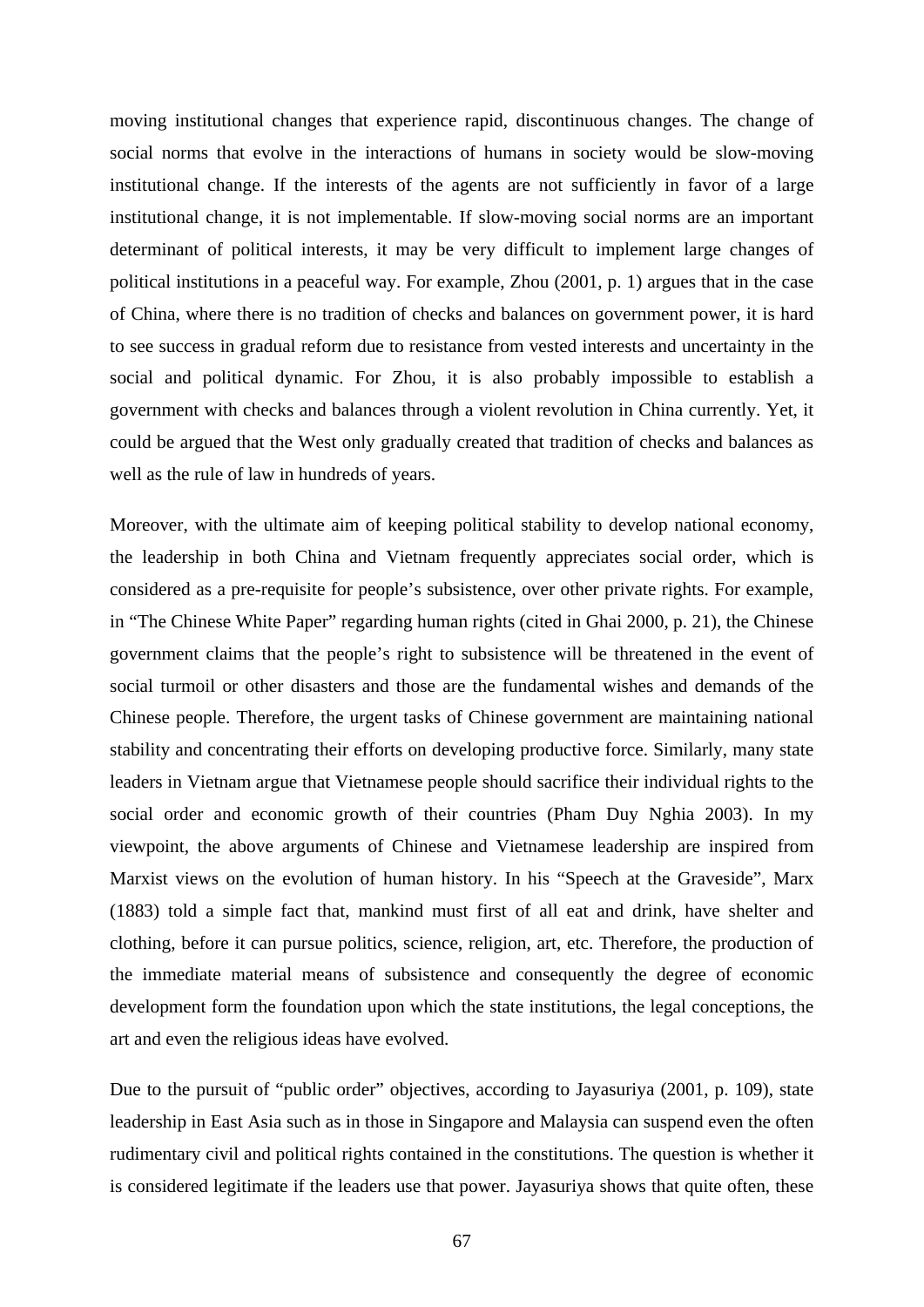moving institutional changes that experience rapid, discontinuous changes. The change of social norms that evolve in the interactions of humans in society would be slow-moving institutional change. If the interests of the agents are not sufficiently in favor of a large institutional change, it is not implementable. If slow-moving social norms are an important determinant of political interests, it may be very difficult to implement large changes of political institutions in a peaceful way. For example, Zhou (2001, p. 1) argues that in the case of China, where there is no tradition of checks and balances on government power, it is hard to see success in gradual reform due to resistance from vested interests and uncertainty in the social and political dynamic. For Zhou, it is also probably impossible to establish a government with checks and balances through a violent revolution in China currently. Yet, it could be argued that the West only gradually created that tradition of checks and balances as well as the rule of law in hundreds of years.

Moreover, with the ultimate aim of keeping political stability to develop national economy, the leadership in both China and Vietnam frequently appreciates social order, which is considered as a pre-requisite for people's subsistence, over other private rights. For example, in "The Chinese White Paper" regarding human rights (cited in Ghai 2000, p. 21), the Chinese government claims that the people's right to subsistence will be threatened in the event of social turmoil or other disasters and those are the fundamental wishes and demands of the Chinese people. Therefore, the urgent tasks of Chinese government are maintaining national stability and concentrating their efforts on developing productive force. Similarly, many state leaders in Vietnam argue that Vietnamese people should sacrifice their individual rights to the social order and economic growth of their countries (Pham Duy Nghia 2003). In my viewpoint, the above arguments of Chinese and Vietnamese leadership are inspired from Marxist views on the evolution of human history. In his "Speech at the Graveside", Marx (1883) told a simple fact that, mankind must first of all eat and drink, have shelter and clothing, before it can pursue politics, science, religion, art, etc. Therefore, the production of the immediate material means of subsistence and consequently the degree of economic development form the foundation upon which the state institutions, the legal conceptions, the art and even the religious ideas have evolved.

Due to the pursuit of "public order" objectives, according to Jayasuriya (2001, p. 109), state leadership in East Asia such as in those in Singapore and Malaysia can suspend even the often rudimentary civil and political rights contained in the constitutions. The question is whether it is considered legitimate if the leaders use that power. Jayasuriya shows that quite often, these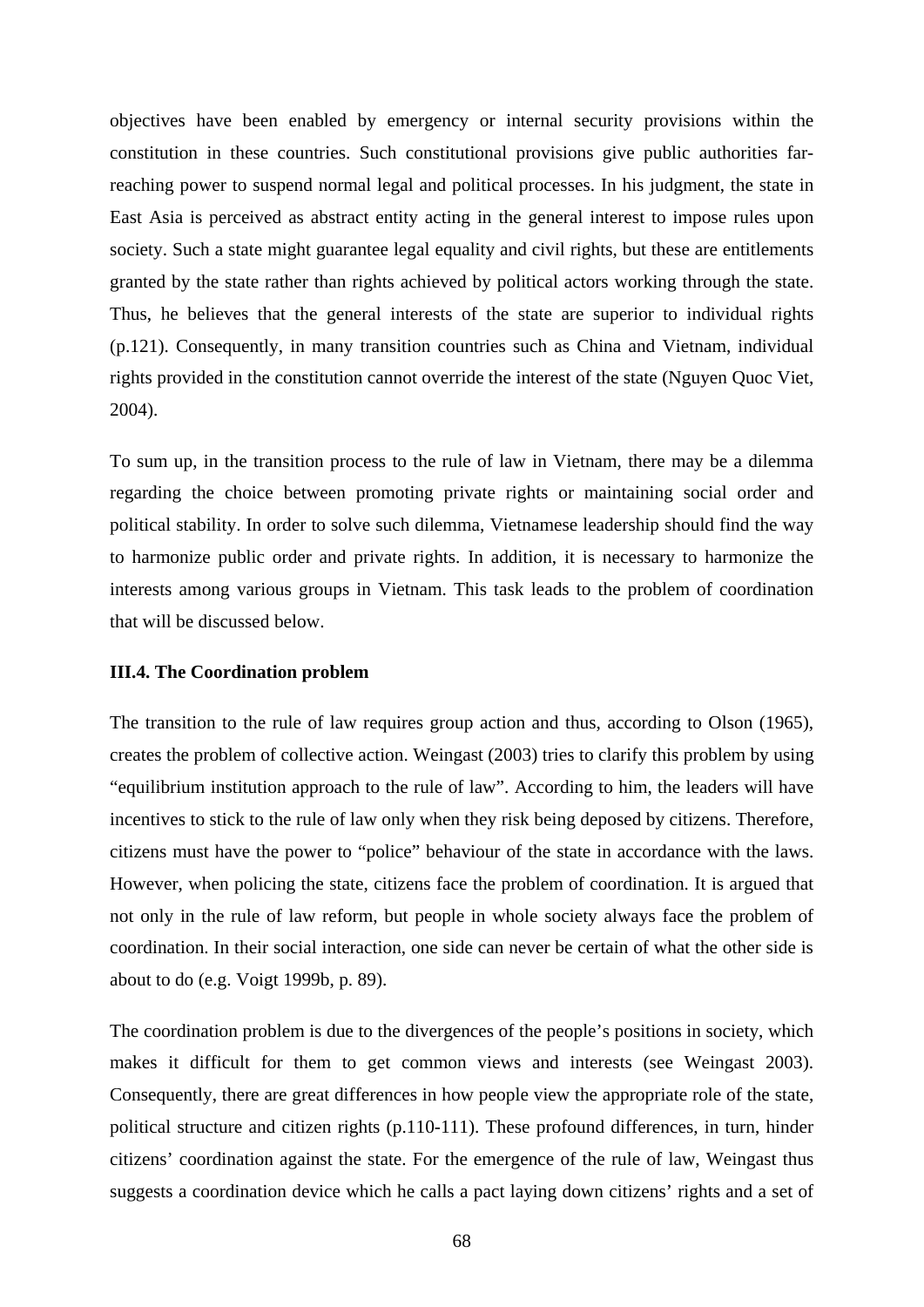objectives have been enabled by emergency or internal security provisions within the constitution in these countries. Such constitutional provisions give public authorities farreaching power to suspend normal legal and political processes. In his judgment, the state in East Asia is perceived as abstract entity acting in the general interest to impose rules upon society. Such a state might guarantee legal equality and civil rights, but these are entitlements granted by the state rather than rights achieved by political actors working through the state. Thus, he believes that the general interests of the state are superior to individual rights (p.121). Consequently, in many transition countries such as China and Vietnam, individual rights provided in the constitution cannot override the interest of the state (Nguyen Quoc Viet, 2004).

To sum up, in the transition process to the rule of law in Vietnam, there may be a dilemma regarding the choice between promoting private rights or maintaining social order and political stability. In order to solve such dilemma, Vietnamese leadership should find the way to harmonize public order and private rights. In addition, it is necessary to harmonize the interests among various groups in Vietnam. This task leads to the problem of coordination that will be discussed below.

# **III.4. The Coordination problem**

The transition to the rule of law requires group action and thus, according to Olson (1965), creates the problem of collective action. Weingast (2003) tries to clarify this problem by using "equilibrium institution approach to the rule of law". According to him, the leaders will have incentives to stick to the rule of law only when they risk being deposed by citizens. Therefore, citizens must have the power to "police" behaviour of the state in accordance with the laws. However, when policing the state, citizens face the problem of coordination. It is argued that not only in the rule of law reform, but people in whole society always face the problem of coordination. In their social interaction, one side can never be certain of what the other side is about to do (e.g. Voigt 1999b, p. 89).

The coordination problem is due to the divergences of the people's positions in society, which makes it difficult for them to get common views and interests (see Weingast 2003). Consequently, there are great differences in how people view the appropriate role of the state, political structure and citizen rights (p.110-111). These profound differences, in turn, hinder citizens' coordination against the state. For the emergence of the rule of law, Weingast thus suggests a coordination device which he calls a pact laying down citizens' rights and a set of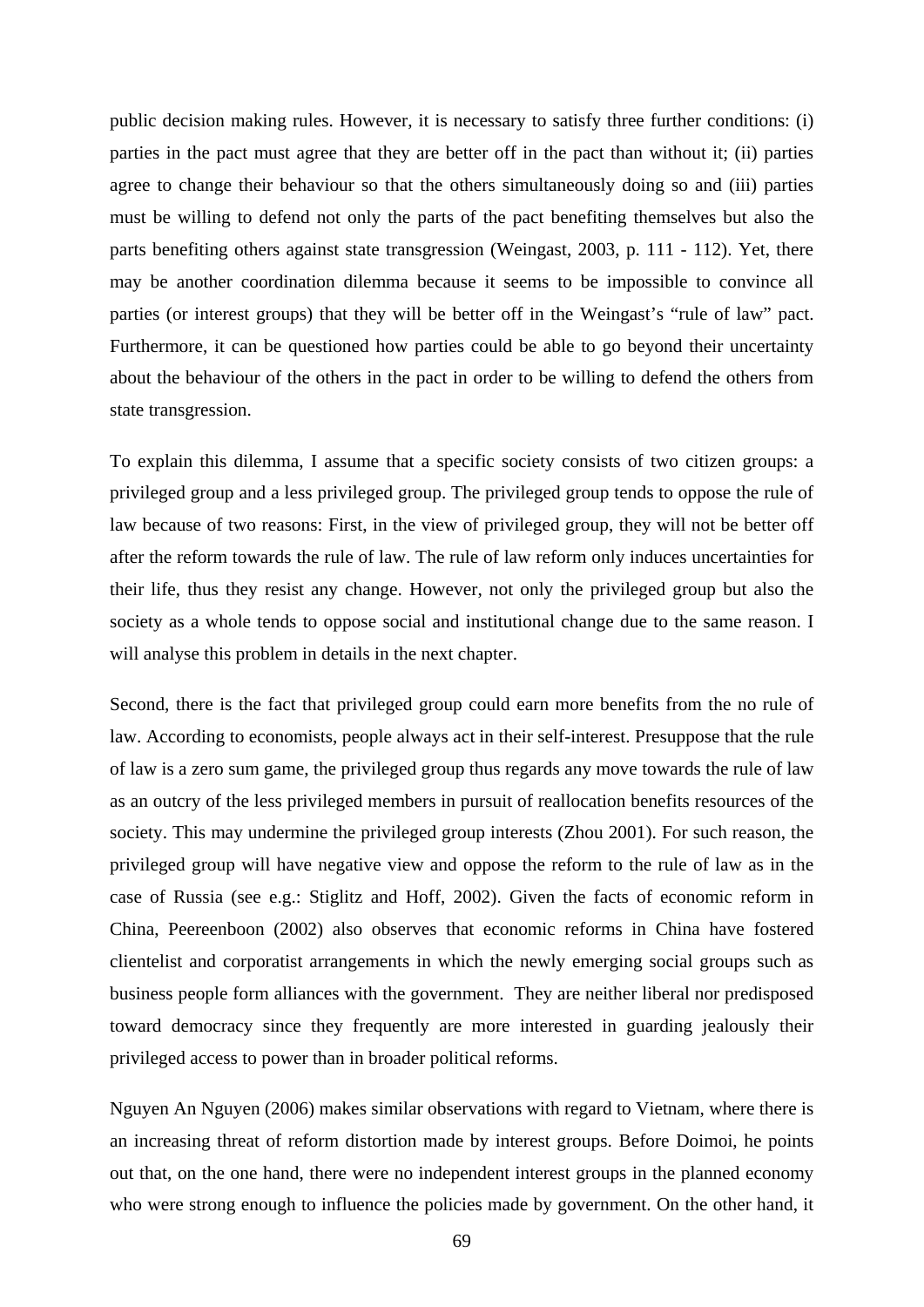public decision making rules. However, it is necessary to satisfy three further conditions: (i) parties in the pact must agree that they are better off in the pact than without it; (ii) parties agree to change their behaviour so that the others simultaneously doing so and (iii) parties must be willing to defend not only the parts of the pact benefiting themselves but also the parts benefiting others against state transgression (Weingast, 2003, p. 111 - 112). Yet, there may be another coordination dilemma because it seems to be impossible to convince all parties (or interest groups) that they will be better off in the Weingast's "rule of law" pact. Furthermore, it can be questioned how parties could be able to go beyond their uncertainty about the behaviour of the others in the pact in order to be willing to defend the others from state transgression.

To explain this dilemma, I assume that a specific society consists of two citizen groups: a privileged group and a less privileged group. The privileged group tends to oppose the rule of law because of two reasons: First, in the view of privileged group, they will not be better off after the reform towards the rule of law. The rule of law reform only induces uncertainties for their life, thus they resist any change. However, not only the privileged group but also the society as a whole tends to oppose social and institutional change due to the same reason. I will analyse this problem in details in the next chapter.

Second, there is the fact that privileged group could earn more benefits from the no rule of law. According to economists, people always act in their self-interest. Presuppose that the rule of law is a zero sum game, the privileged group thus regards any move towards the rule of law as an outcry of the less privileged members in pursuit of reallocation benefits resources of the society. This may undermine the privileged group interests (Zhou 2001). For such reason, the privileged group will have negative view and oppose the reform to the rule of law as in the case of Russia (see e.g.: Stiglitz and Hoff, 2002). Given the facts of economic reform in China, Peereenboon (2002) also observes that economic reforms in China have fostered clientelist and corporatist arrangements in which the newly emerging social groups such as business people form alliances with the government. They are neither liberal nor predisposed toward democracy since they frequently are more interested in guarding jealously their privileged access to power than in broader political reforms.

Nguyen An Nguyen (2006) makes similar observations with regard to Vietnam, where there is an increasing threat of reform distortion made by interest groups. Before Doimoi, he points out that, on the one hand, there were no independent interest groups in the planned economy who were strong enough to influence the policies made by government. On the other hand, it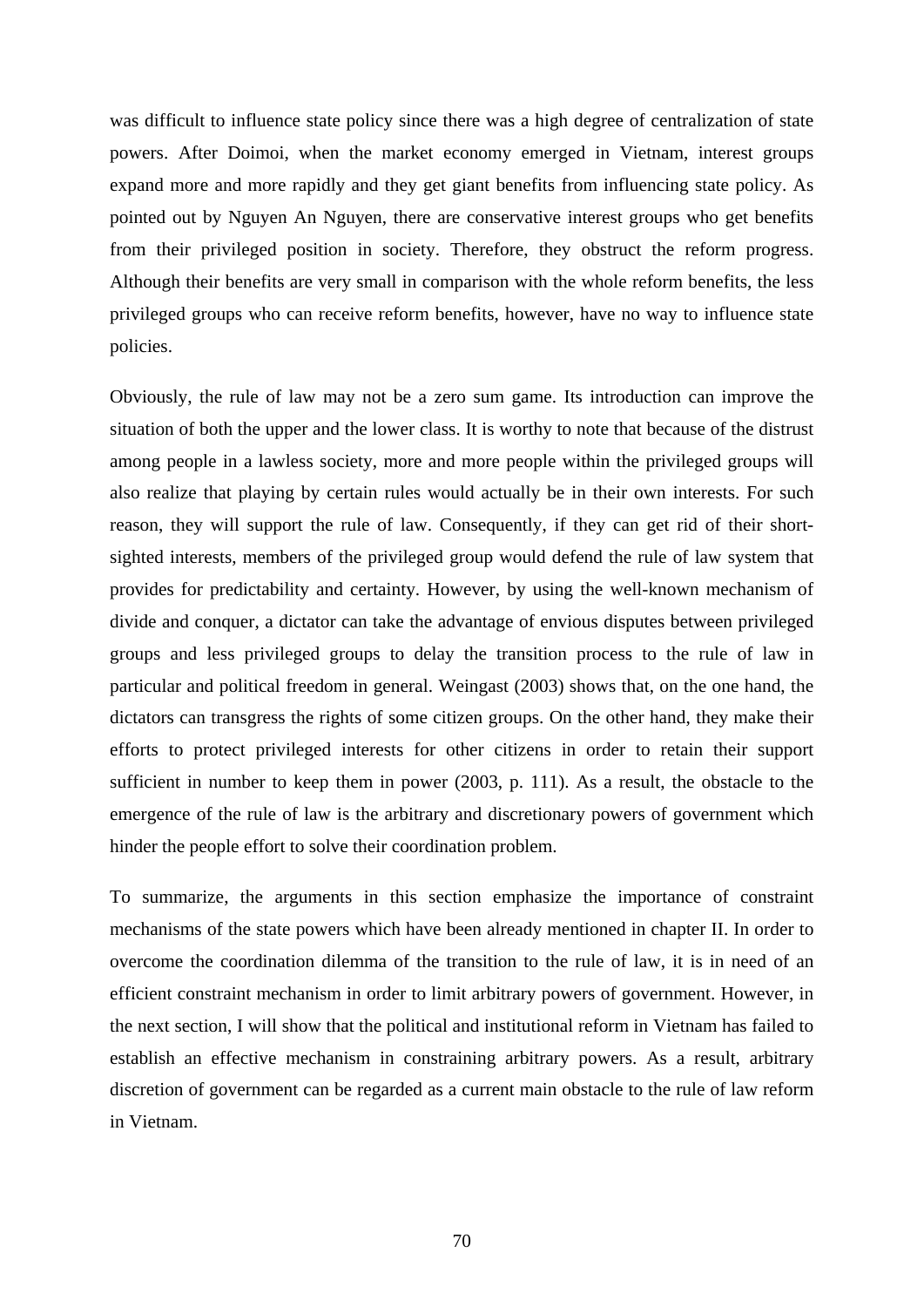was difficult to influence state policy since there was a high degree of centralization of state powers. After Doimoi, when the market economy emerged in Vietnam, interest groups expand more and more rapidly and they get giant benefits from influencing state policy. As pointed out by Nguyen An Nguyen, there are conservative interest groups who get benefits from their privileged position in society. Therefore, they obstruct the reform progress. Although their benefits are very small in comparison with the whole reform benefits, the less privileged groups who can receive reform benefits, however, have no way to influence state policies.

Obviously, the rule of law may not be a zero sum game. Its introduction can improve the situation of both the upper and the lower class. It is worthy to note that because of the distrust among people in a lawless society, more and more people within the privileged groups will also realize that playing by certain rules would actually be in their own interests. For such reason, they will support the rule of law. Consequently, if they can get rid of their shortsighted interests, members of the privileged group would defend the rule of law system that provides for predictability and certainty. However, by using the well-known mechanism of divide and conquer, a dictator can take the advantage of envious disputes between privileged groups and less privileged groups to delay the transition process to the rule of law in particular and political freedom in general. Weingast (2003) shows that, on the one hand, the dictators can transgress the rights of some citizen groups. On the other hand, they make their efforts to protect privileged interests for other citizens in order to retain their support sufficient in number to keep them in power (2003, p. 111). As a result, the obstacle to the emergence of the rule of law is the arbitrary and discretionary powers of government which hinder the people effort to solve their coordination problem.

To summarize, the arguments in this section emphasize the importance of constraint mechanisms of the state powers which have been already mentioned in chapter II. In order to overcome the coordination dilemma of the transition to the rule of law, it is in need of an efficient constraint mechanism in order to limit arbitrary powers of government. However, in the next section, I will show that the political and institutional reform in Vietnam has failed to establish an effective mechanism in constraining arbitrary powers. As a result, arbitrary discretion of government can be regarded as a current main obstacle to the rule of law reform in Vietnam.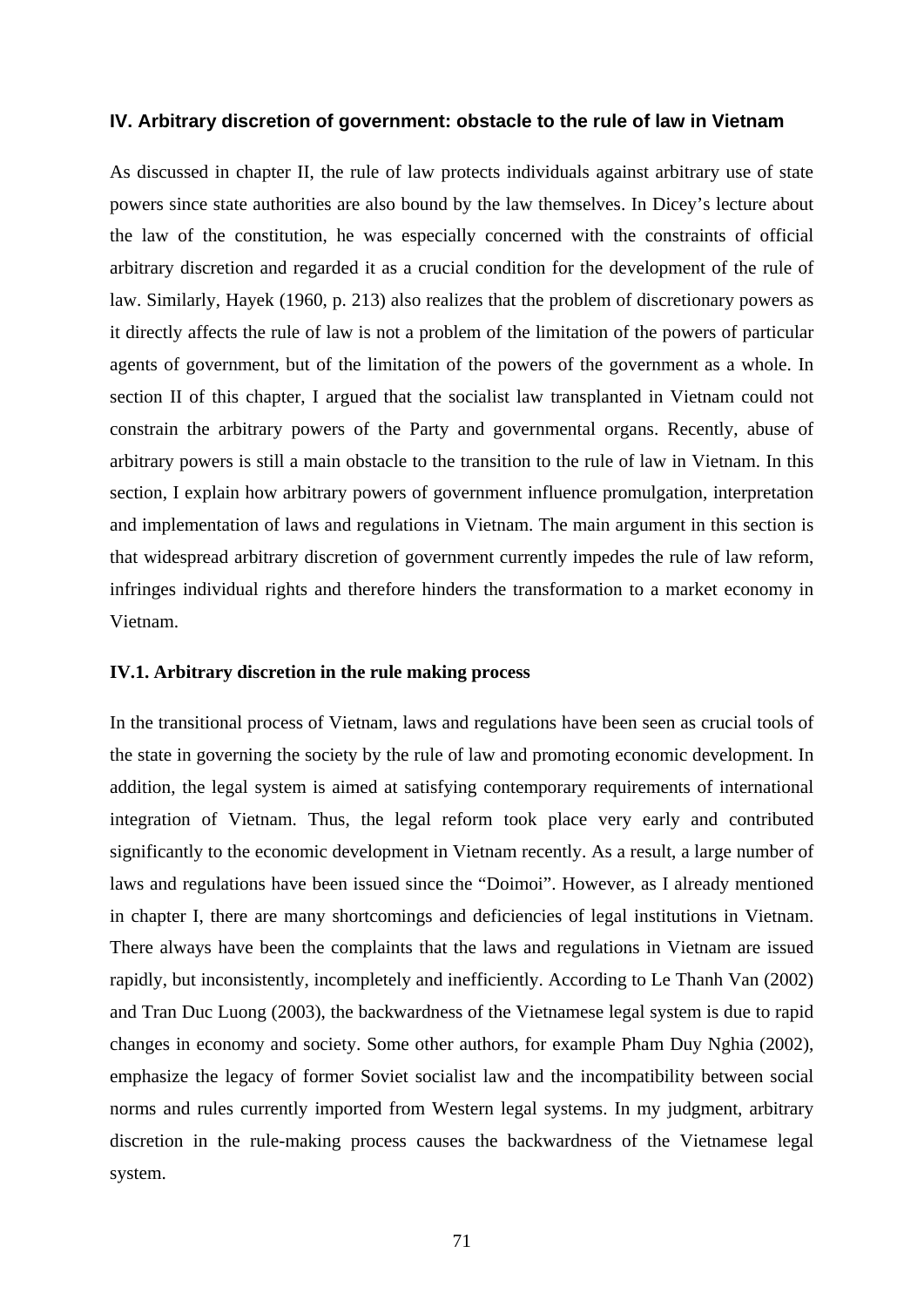## **IV. Arbitrary discretion of government: obstacle to the rule of law in Vietnam**

As discussed in chapter II, the rule of law protects individuals against arbitrary use of state powers since state authorities are also bound by the law themselves. In Dicey's lecture about the law of the constitution, he was especially concerned with the constraints of official arbitrary discretion and regarded it as a crucial condition for the development of the rule of law. Similarly, Hayek (1960, p. 213) also realizes that the problem of discretionary powers as it directly affects the rule of law is not a problem of the limitation of the powers of particular agents of government, but of the limitation of the powers of the government as a whole. In section II of this chapter, I argued that the socialist law transplanted in Vietnam could not constrain the arbitrary powers of the Party and governmental organs. Recently, abuse of arbitrary powers is still a main obstacle to the transition to the rule of law in Vietnam. In this section, I explain how arbitrary powers of government influence promulgation, interpretation and implementation of laws and regulations in Vietnam. The main argument in this section is that widespread arbitrary discretion of government currently impedes the rule of law reform, infringes individual rights and therefore hinders the transformation to a market economy in Vietnam.

# **IV.1. Arbitrary discretion in the rule making process**

In the transitional process of Vietnam, laws and regulations have been seen as crucial tools of the state in governing the society by the rule of law and promoting economic development. In addition, the legal system is aimed at satisfying contemporary requirements of international integration of Vietnam. Thus, the legal reform took place very early and contributed significantly to the economic development in Vietnam recently. As a result, a large number of laws and regulations have been issued since the "Doimoi". However, as I already mentioned in chapter I, there are many shortcomings and deficiencies of legal institutions in Vietnam. There always have been the complaints that the laws and regulations in Vietnam are issued rapidly, but inconsistently, incompletely and inefficiently. According to Le Thanh Van (2002) and Tran Duc Luong (2003), the backwardness of the Vietnamese legal system is due to rapid changes in economy and society. Some other authors, for example Pham Duy Nghia (2002), emphasize the legacy of former Soviet socialist law and the incompatibility between social norms and rules currently imported from Western legal systems. In my judgment, arbitrary discretion in the rule-making process causes the backwardness of the Vietnamese legal system.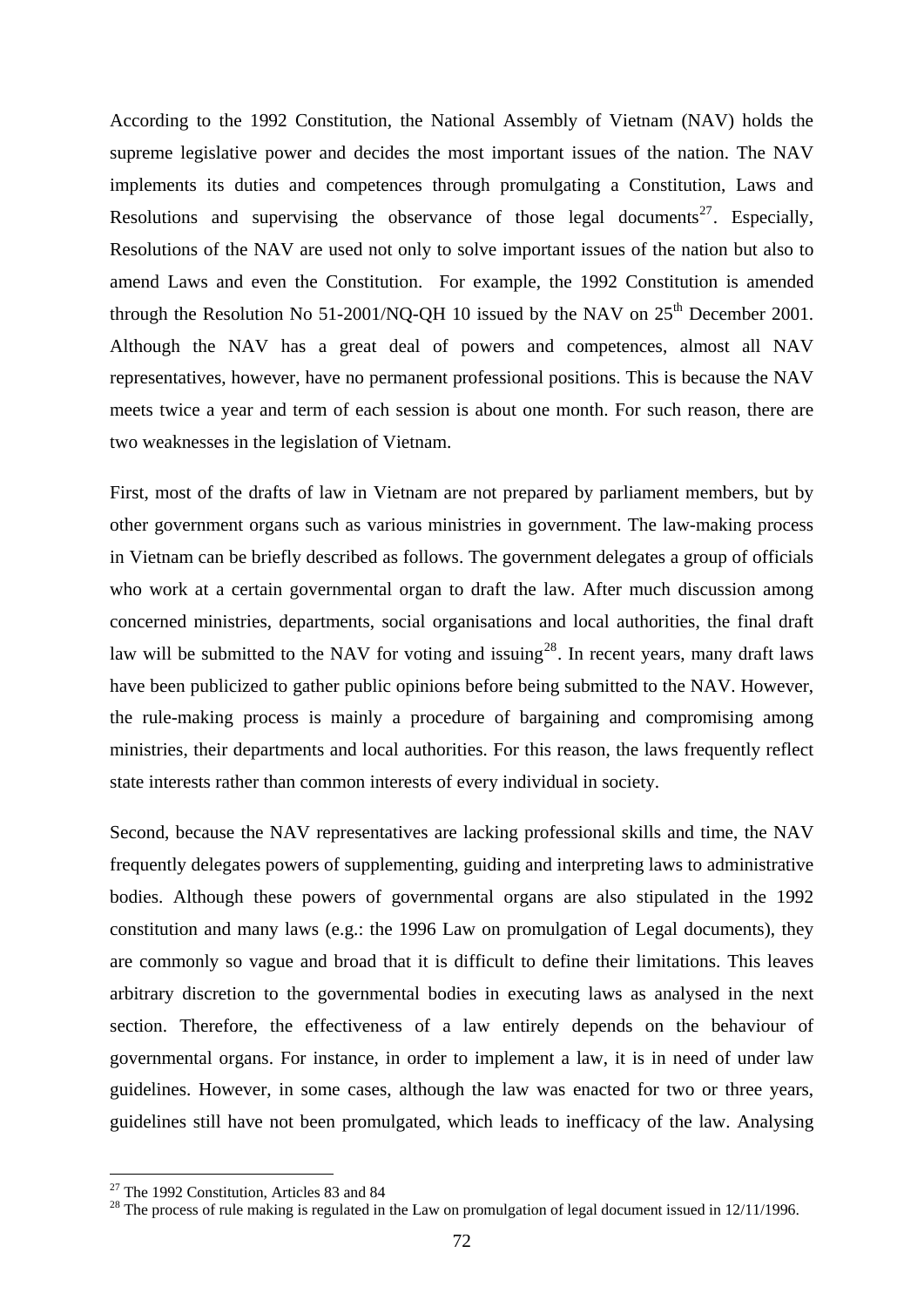According to the 1992 Constitution, the National Assembly of Vietnam (NAV) holds the supreme legislative power and decides the most important issues of the nation. The NAV implements its duties and competences through promulgating a Constitution, Laws and Resolutions and supervising the observance of those legal documents<sup>[27](#page-77-0)</sup>. Especially, Resolutions of the NAV are used not only to solve important issues of the nation but also to amend Laws and even the Constitution. For example, the 1992 Constitution is amended through the Resolution No 51-2001/NO-OH 10 issued by the NAV on  $25<sup>th</sup>$  December 2001. Although the NAV has a great deal of powers and competences, almost all NAV representatives, however, have no permanent professional positions. This is because the NAV meets twice a year and term of each session is about one month. For such reason, there are two weaknesses in the legislation of Vietnam.

First, most of the drafts of law in Vietnam are not prepared by parliament members, but by other government organs such as various ministries in government. The law-making process in Vietnam can be briefly described as follows. The government delegates a group of officials who work at a certain governmental organ to draft the law. After much discussion among concerned ministries, departments, social organisations and local authorities, the final draft law will be submitted to the NAV for voting and issuing<sup>[28](#page-77-1)</sup>. In recent years, many draft laws have been publicized to gather public opinions before being submitted to the NAV. However, the rule-making process is mainly a procedure of bargaining and compromising among ministries, their departments and local authorities. For this reason, the laws frequently reflect state interests rather than common interests of every individual in society.

Second, because the NAV representatives are lacking professional skills and time, the NAV frequently delegates powers of supplementing, guiding and interpreting laws to administrative bodies. Although these powers of governmental organs are also stipulated in the 1992 constitution and many laws (e.g.: the 1996 Law on promulgation of Legal documents), they are commonly so vague and broad that it is difficult to define their limitations. This leaves arbitrary discretion to the governmental bodies in executing laws as analysed in the next section. Therefore, the effectiveness of a law entirely depends on the behaviour of governmental organs. For instance, in order to implement a law, it is in need of under law guidelines. However, in some cases, although the law was enacted for two or three years, guidelines still have not been promulgated, which leads to inefficacy of the law. Analysing

1

<span id="page-77-0"></span><sup>&</sup>lt;sup>27</sup> The 1992 Constitution, Articles 83 and 84

<span id="page-77-1"></span><sup>&</sup>lt;sup>28</sup> The process of rule making is regulated in the Law on promulgation of legal document issued in 12/11/1996.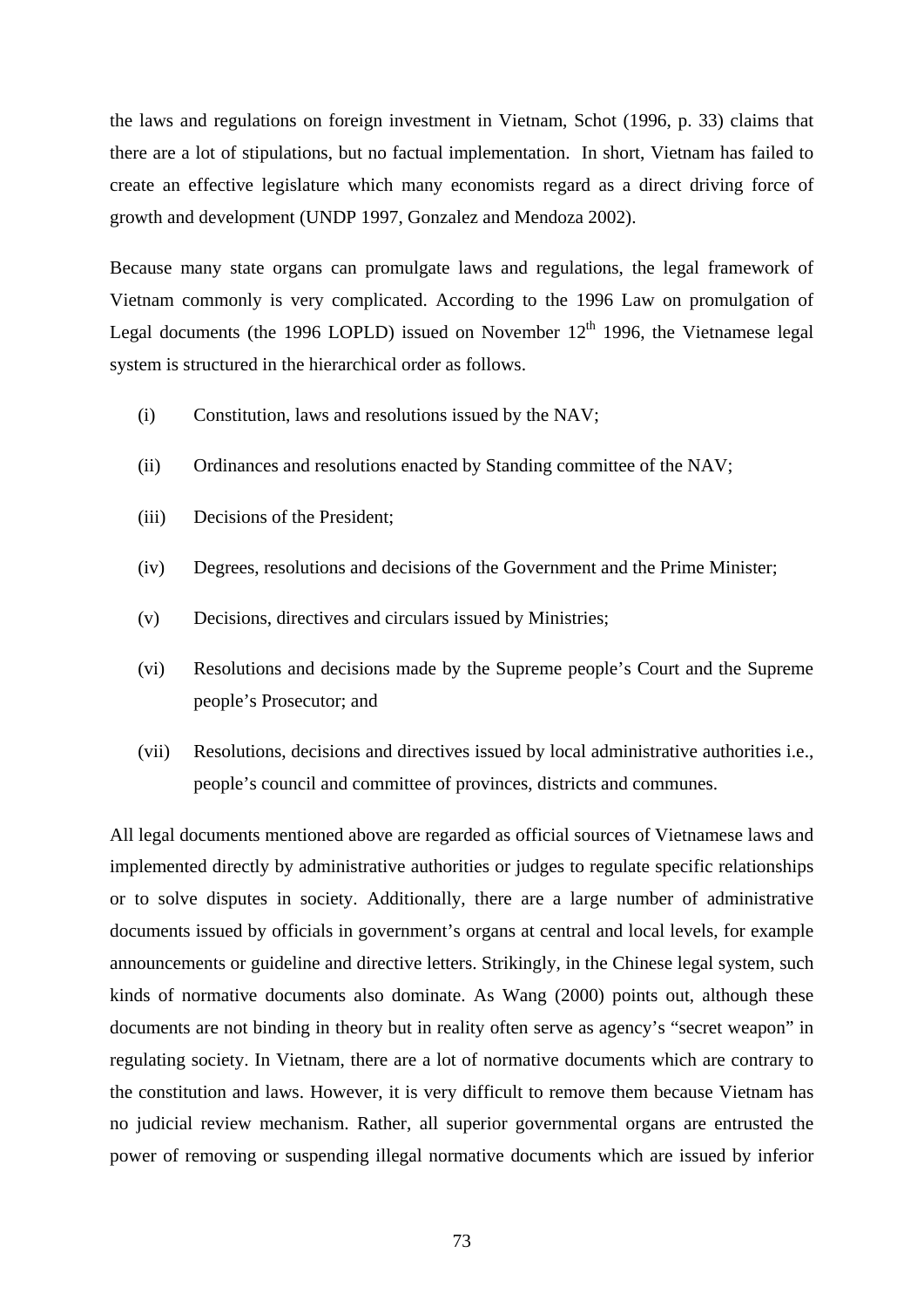the laws and regulations on foreign investment in Vietnam, Schot (1996, p. 33) claims that there are a lot of stipulations, but no factual implementation. In short, Vietnam has failed to create an effective legislature which many economists regard as a direct driving force of growth and development (UNDP 1997, Gonzalez and Mendoza 2002).

Because many state organs can promulgate laws and regulations, the legal framework of Vietnam commonly is very complicated. According to the 1996 Law on promulgation of Legal documents (the 1996 LOPLD) issued on November  $12<sup>th</sup>$  1996, the Vietnamese legal system is structured in the hierarchical order as follows.

- (i) Constitution, laws and resolutions issued by the NAV;
- (ii) Ordinances and resolutions enacted by Standing committee of the NAV;
- (iii) Decisions of the President;
- (iv) Degrees, resolutions and decisions of the Government and the Prime Minister;
- (v) Decisions, directives and circulars issued by Ministries;
- (vi) Resolutions and decisions made by the Supreme people's Court and the Supreme people's Prosecutor; and
- (vii) Resolutions, decisions and directives issued by local administrative authorities i.e., people's council and committee of provinces, districts and communes.

All legal documents mentioned above are regarded as official sources of Vietnamese laws and implemented directly by administrative authorities or judges to regulate specific relationships or to solve disputes in society. Additionally, there are a large number of administrative documents issued by officials in government's organs at central and local levels, for example announcements or guideline and directive letters. Strikingly, in the Chinese legal system, such kinds of normative documents also dominate. As Wang (2000) points out, although these documents are not binding in theory but in reality often serve as agency's "secret weapon" in regulating society. In Vietnam, there are a lot of normative documents which are contrary to the constitution and laws. However, it is very difficult to remove them because Vietnam has no judicial review mechanism. Rather, all superior governmental organs are entrusted the power of removing or suspending illegal normative documents which are issued by inferior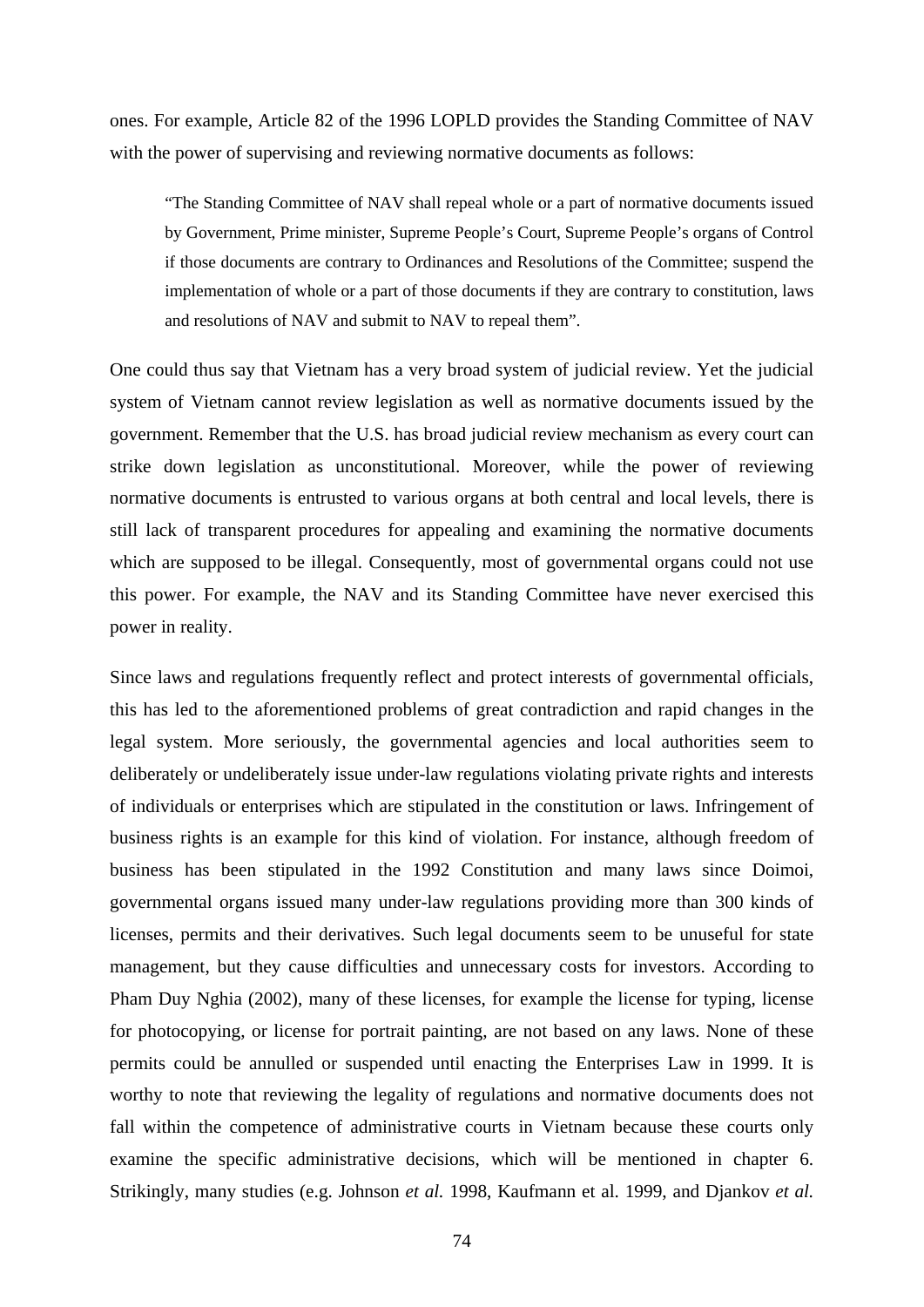ones. For example, Article 82 of the 1996 LOPLD provides the Standing Committee of NAV with the power of supervising and reviewing normative documents as follows:

"The Standing Committee of NAV shall repeal whole or a part of normative documents issued by Government, Prime minister, Supreme People's Court, Supreme People's organs of Control if those documents are contrary to Ordinances and Resolutions of the Committee; suspend the implementation of whole or a part of those documents if they are contrary to constitution, laws and resolutions of NAV and submit to NAV to repeal them".

One could thus say that Vietnam has a very broad system of judicial review. Yet the judicial system of Vietnam cannot review legislation as well as normative documents issued by the government. Remember that the U.S. has broad judicial review mechanism as every court can strike down legislation as unconstitutional. Moreover, while the power of reviewing normative documents is entrusted to various organs at both central and local levels, there is still lack of transparent procedures for appealing and examining the normative documents which are supposed to be illegal. Consequently, most of governmental organs could not use this power. For example, the NAV and its Standing Committee have never exercised this power in reality.

Since laws and regulations frequently reflect and protect interests of governmental officials, this has led to the aforementioned problems of great contradiction and rapid changes in the legal system. More seriously, the governmental agencies and local authorities seem to deliberately or undeliberately issue under-law regulations violating private rights and interests of individuals or enterprises which are stipulated in the constitution or laws. Infringement of business rights is an example for this kind of violation. For instance, although freedom of business has been stipulated in the 1992 Constitution and many laws since Doimoi, governmental organs issued many under-law regulations providing more than 300 kinds of licenses, permits and their derivatives. Such legal documents seem to be unuseful for state management, but they cause difficulties and unnecessary costs for investors. According to Pham Duy Nghia (2002), many of these licenses, for example the license for typing, license for photocopying, or license for portrait painting, are not based on any laws. None of these permits could be annulled or suspended until enacting the Enterprises Law in 1999. It is worthy to note that reviewing the legality of regulations and normative documents does not fall within the competence of administrative courts in Vietnam because these courts only examine the specific administrative decisions, which will be mentioned in chapter 6. Strikingly, many studies (e.g. Johnson *et al.* 1998, Kaufmann et al. 1999, and Djankov *et al.*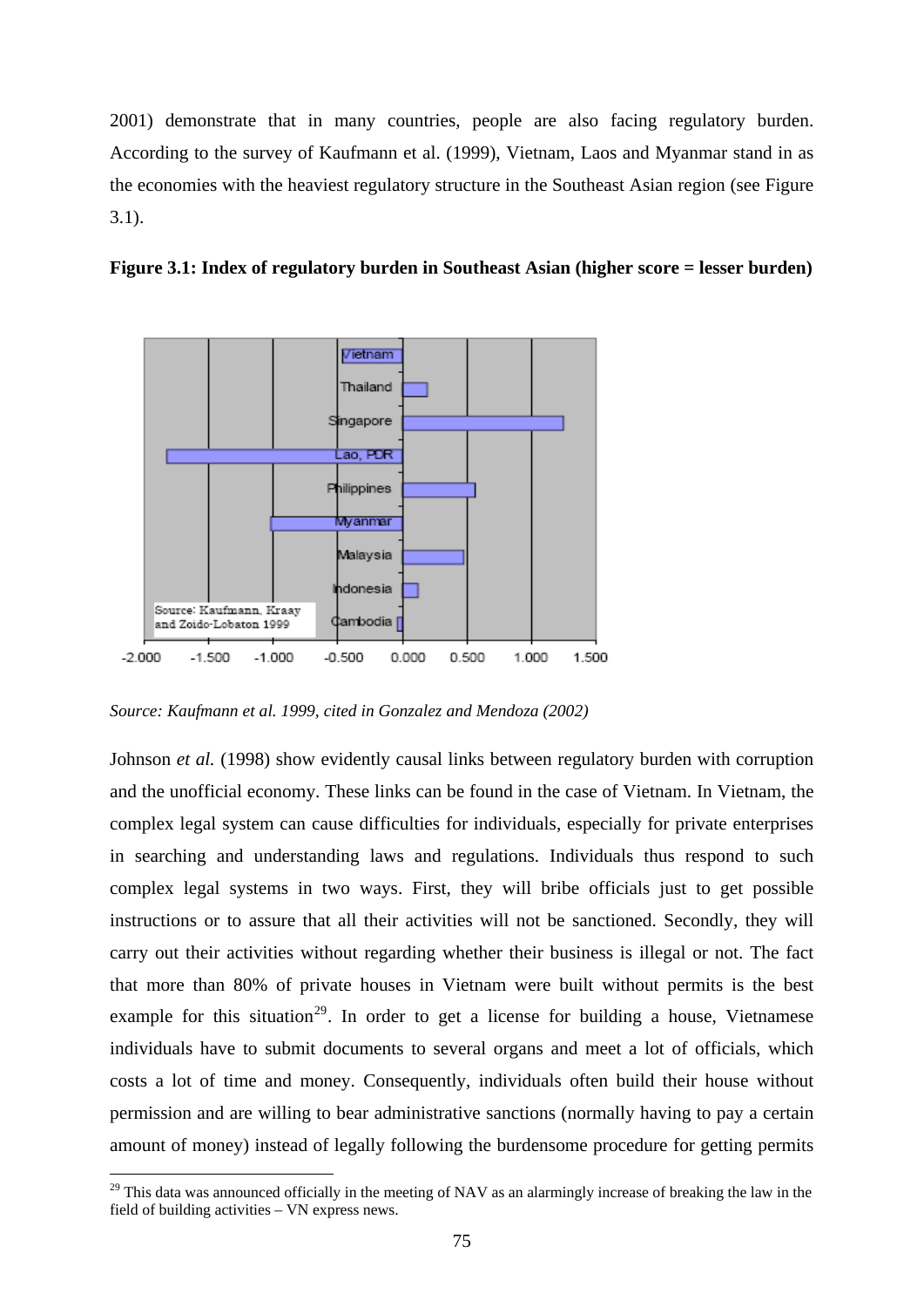2001) demonstrate that in many countries, people are also facing regulatory burden. According to the survey of Kaufmann et al. (1999), Vietnam, Laos and Myanmar stand in as the economies with the heaviest regulatory structure in the Southeast Asian region (see Figure 3.1).





*Source: Kaufmann et al. 1999, cited in Gonzalez and Mendoza (2002)*

1

Johnson *et al.* (1998) show evidently causal links between regulatory burden with corruption and the unofficial economy. These links can be found in the case of Vietnam. In Vietnam, the complex legal system can cause difficulties for individuals, especially for private enterprises in searching and understanding laws and regulations. Individuals thus respond to such complex legal systems in two ways. First, they will bribe officials just to get possible instructions or to assure that all their activities will not be sanctioned. Secondly, they will carry out their activities without regarding whether their business is illegal or not. The fact that more than 80% of private houses in Vietnam were built without permits is the best example for this situation<sup>[29](#page-80-0)</sup>. In order to get a license for building a house, Vietnamese individuals have to submit documents to several organs and meet a lot of officials, which costs a lot of time and money. Consequently, individuals often build their house without permission and are willing to bear administrative sanctions (normally having to pay a certain amount of money) instead of legally following the burdensome procedure for getting permits

<span id="page-80-0"></span> $29$  This data was announced officially in the meeting of NAV as an alarmingly increase of breaking the law in the field of building activities – VN express news.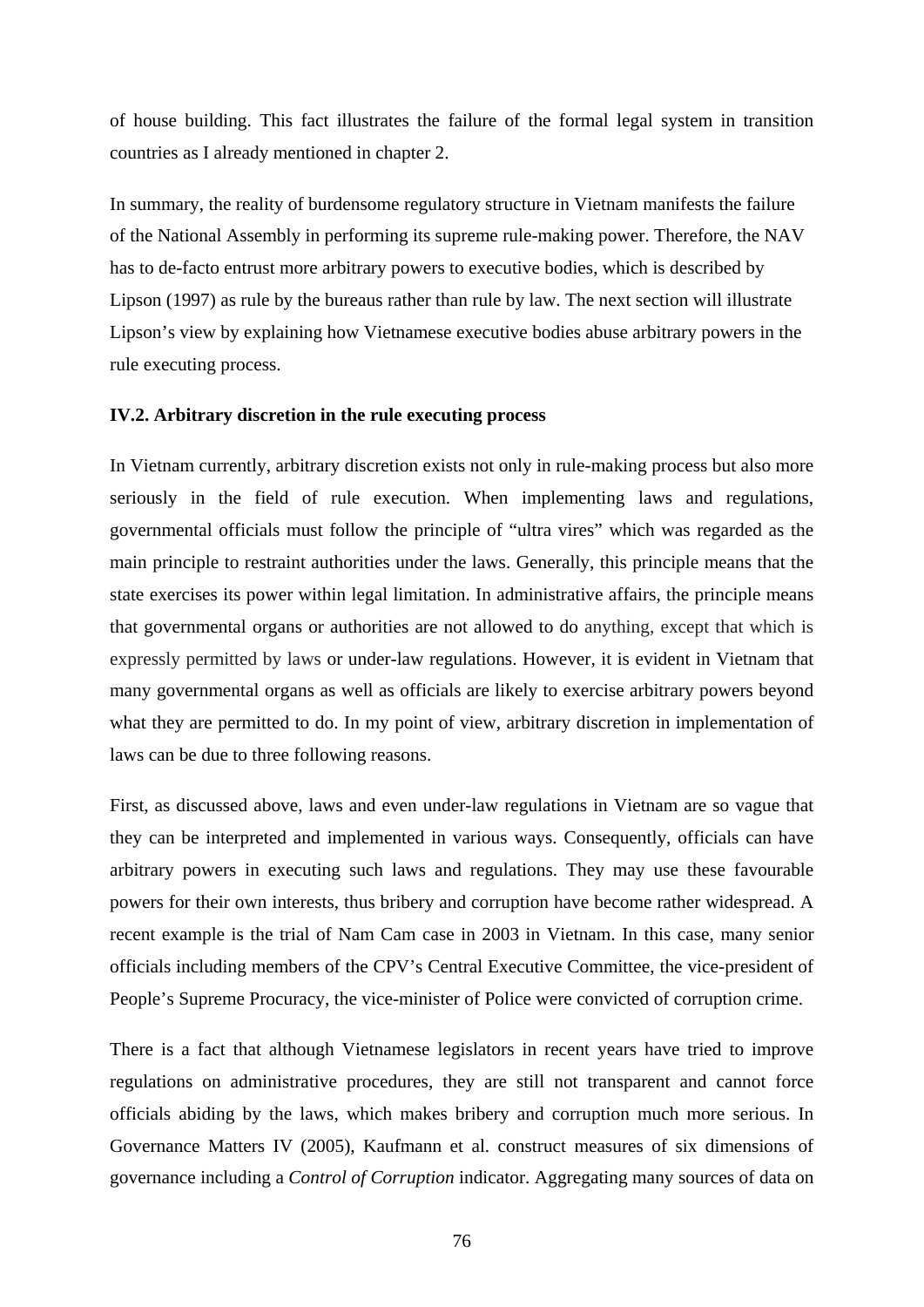of house building. This fact illustrates the failure of the formal legal system in transition countries as I already mentioned in chapter 2.

In summary, the reality of burdensome regulatory structure in Vietnam manifests the failure of the National Assembly in performing its supreme rule-making power. Therefore, the NAV has to de-facto entrust more arbitrary powers to executive bodies, which is described by Lipson (1997) as rule by the bureaus rather than rule by law. The next section will illustrate Lipson's view by explaining how Vietnamese executive bodies abuse arbitrary powers in the rule executing process.

## **IV.2. Arbitrary discretion in the rule executing process**

In Vietnam currently, arbitrary discretion exists not only in rule-making process but also more seriously in the field of rule execution. When implementing laws and regulations, governmental officials must follow the principle of "ultra vires" which was regarded as the main principle to restraint authorities under the laws. Generally, this principle means that the state exercises its power within legal limitation. In administrative affairs, the principle means that governmental organs or authorities are not allowed to do anything, except that which is expressly permitted by laws or under-law regulations. However, it is evident in Vietnam that many governmental organs as well as officials are likely to exercise arbitrary powers beyond what they are permitted to do. In my point of view, arbitrary discretion in implementation of laws can be due to three following reasons.

First, as discussed above, laws and even under-law regulations in Vietnam are so vague that they can be interpreted and implemented in various ways. Consequently, officials can have arbitrary powers in executing such laws and regulations. They may use these favourable powers for their own interests, thus bribery and corruption have become rather widespread. A recent example is the trial of Nam Cam case in 2003 in Vietnam. In this case, many senior officials including members of the CPV's Central Executive Committee, the vice-president of People's Supreme Procuracy, the vice-minister of Police were convicted of corruption crime.

There is a fact that although Vietnamese legislators in recent years have tried to improve regulations on administrative procedures, they are still not transparent and cannot force officials abiding by the laws, which makes bribery and corruption much more serious. In Governance Matters IV (2005), Kaufmann et al. construct measures of six dimensions of governance including a *Control of Corruption* indicator. Aggregating many sources of data on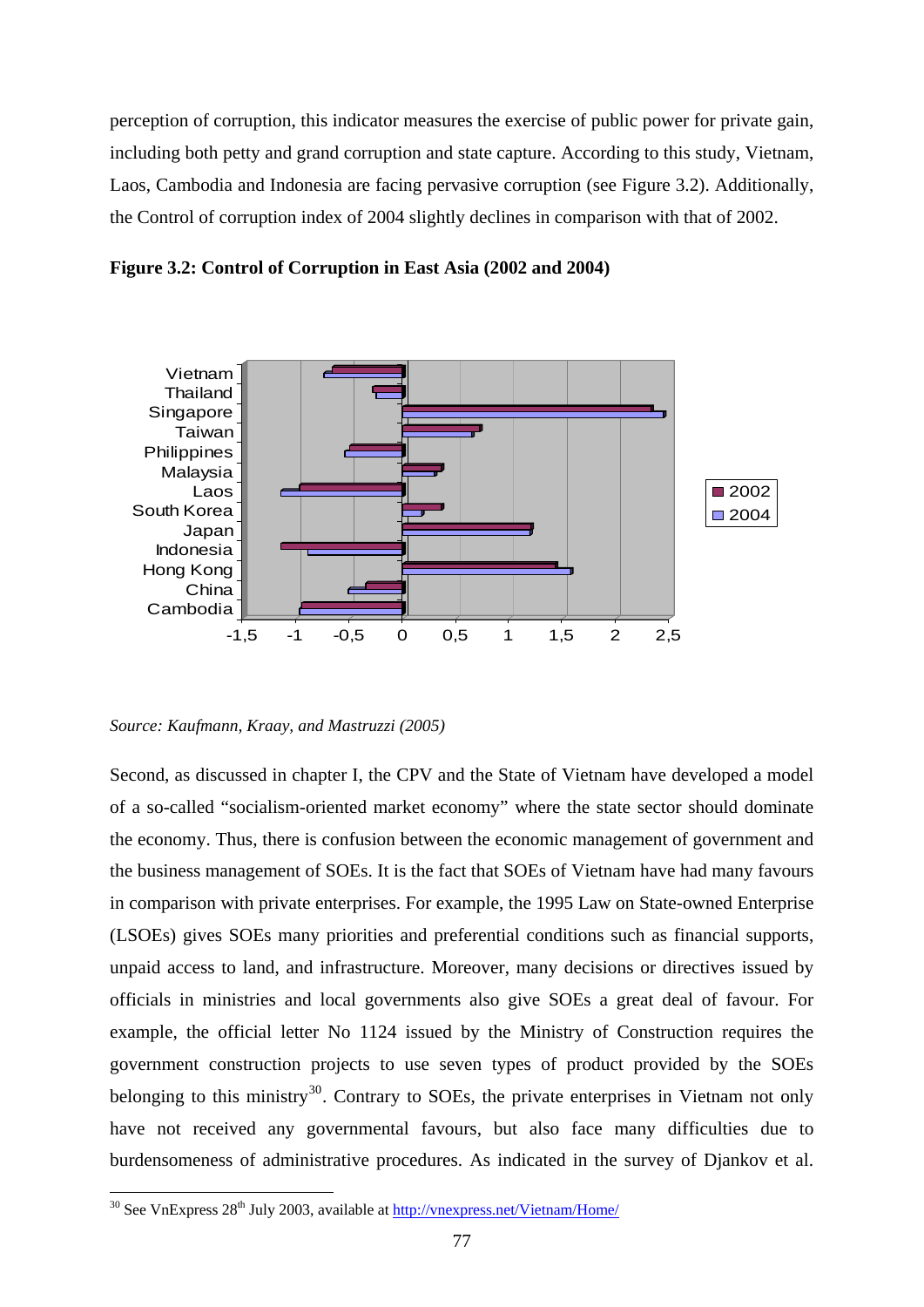perception of corruption, this indicator measures the exercise of public power for private gain, including both petty and grand corruption and state capture. According to this study, Vietnam, Laos, Cambodia and Indonesia are facing pervasive corruption (see Figure 3.2). Additionally, the Control of corruption index of 2004 slightly declines in comparison with that of 2002.





*Source: Kaufmann, Kraay, and Mastruzzi (2005)* 

Second, as discussed in chapter I, the CPV and the State of Vietnam have developed a model of a so-called "socialism-oriented market economy" where the state sector should dominate the economy. Thus, there is confusion between the economic management of government and the business management of SOEs. It is the fact that SOEs of Vietnam have had many favours in comparison with private enterprises. For example, the 1995 Law on State-owned Enterprise (LSOEs) gives SOEs many priorities and preferential conditions such as financial supports, unpaid access to land, and infrastructure. Moreover, many decisions or directives issued by officials in ministries and local governments also give SOEs a great deal of favour. For example, the official letter No 1124 issued by the Ministry of Construction requires the government construction projects to use seven types of product provided by the SOEs belonging to this ministry<sup>[30](#page-82-0)</sup>. Contrary to SOEs, the private enterprises in Vietnam not only have not received any governmental favours, but also face many difficulties due to burdensomeness of administrative procedures. As indicated in the survey of Djankov et al.

1

<span id="page-82-0"></span> $30$  See VnExpress  $28^{th}$  July 2003, available at<http://vnexpress.net/Vietnam/Home/>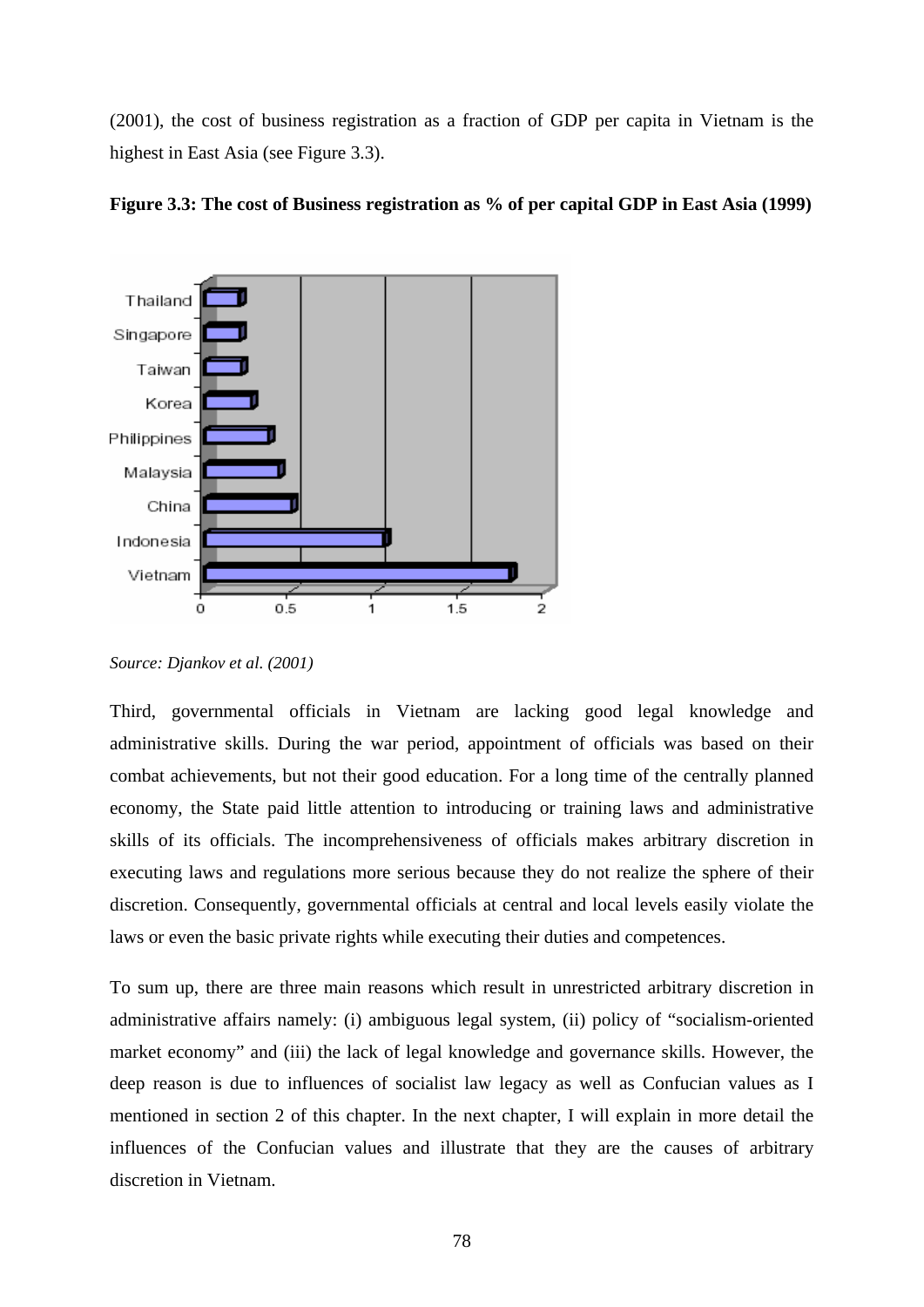(2001), the cost of business registration as a fraction of GDP per capita in Vietnam is the highest in East Asia (see Figure 3.3).



**Figure 3.3: The cost of Business registration as % of per capital GDP in East Asia (1999)** 

Third, governmental officials in Vietnam are lacking good legal knowledge and administrative skills. During the war period, appointment of officials was based on their combat achievements, but not their good education. For a long time of the centrally planned economy, the State paid little attention to introducing or training laws and administrative skills of its officials. The incomprehensiveness of officials makes arbitrary discretion in executing laws and regulations more serious because they do not realize the sphere of their discretion. Consequently, governmental officials at central and local levels easily violate the laws or even the basic private rights while executing their duties and competences.

To sum up, there are three main reasons which result in unrestricted arbitrary discretion in administrative affairs namely: (i) ambiguous legal system, (ii) policy of "socialism-oriented market economy" and (iii) the lack of legal knowledge and governance skills. However, the deep reason is due to influences of socialist law legacy as well as Confucian values as I mentioned in section 2 of this chapter. In the next chapter, I will explain in more detail the influences of the Confucian values and illustrate that they are the causes of arbitrary discretion in Vietnam.

*Source: Djankov et al. (2001)*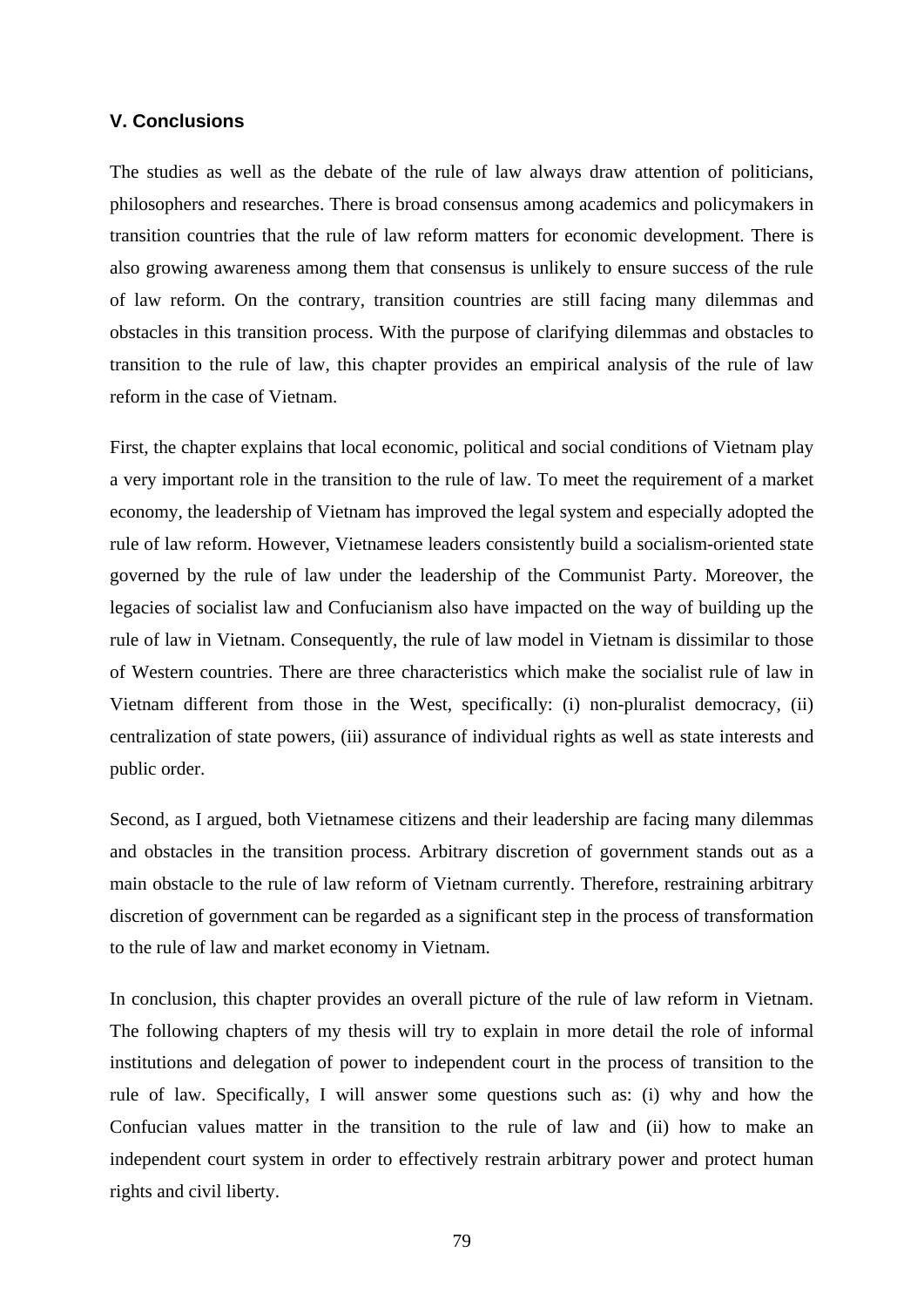# **V. Conclusions**

The studies as well as the debate of the rule of law always draw attention of politicians, philosophers and researches. There is broad consensus among academics and policymakers in transition countries that the rule of law reform matters for economic development. There is also growing awareness among them that consensus is unlikely to ensure success of the rule of law reform. On the contrary, transition countries are still facing many dilemmas and obstacles in this transition process. With the purpose of clarifying dilemmas and obstacles to transition to the rule of law, this chapter provides an empirical analysis of the rule of law reform in the case of Vietnam.

First, the chapter explains that local economic, political and social conditions of Vietnam play a very important role in the transition to the rule of law. To meet the requirement of a market economy, the leadership of Vietnam has improved the legal system and especially adopted the rule of law reform. However, Vietnamese leaders consistently build a socialism-oriented state governed by the rule of law under the leadership of the Communist Party. Moreover, the legacies of socialist law and Confucianism also have impacted on the way of building up the rule of law in Vietnam. Consequently, the rule of law model in Vietnam is dissimilar to those of Western countries. There are three characteristics which make the socialist rule of law in Vietnam different from those in the West, specifically: (i) non-pluralist democracy, (ii) centralization of state powers, (iii) assurance of individual rights as well as state interests and public order.

Second, as I argued, both Vietnamese citizens and their leadership are facing many dilemmas and obstacles in the transition process. Arbitrary discretion of government stands out as a main obstacle to the rule of law reform of Vietnam currently. Therefore, restraining arbitrary discretion of government can be regarded as a significant step in the process of transformation to the rule of law and market economy in Vietnam.

In conclusion, this chapter provides an overall picture of the rule of law reform in Vietnam. The following chapters of my thesis will try to explain in more detail the role of informal institutions and delegation of power to independent court in the process of transition to the rule of law. Specifically, I will answer some questions such as: (i) why and how the Confucian values matter in the transition to the rule of law and (ii) how to make an independent court system in order to effectively restrain arbitrary power and protect human rights and civil liberty.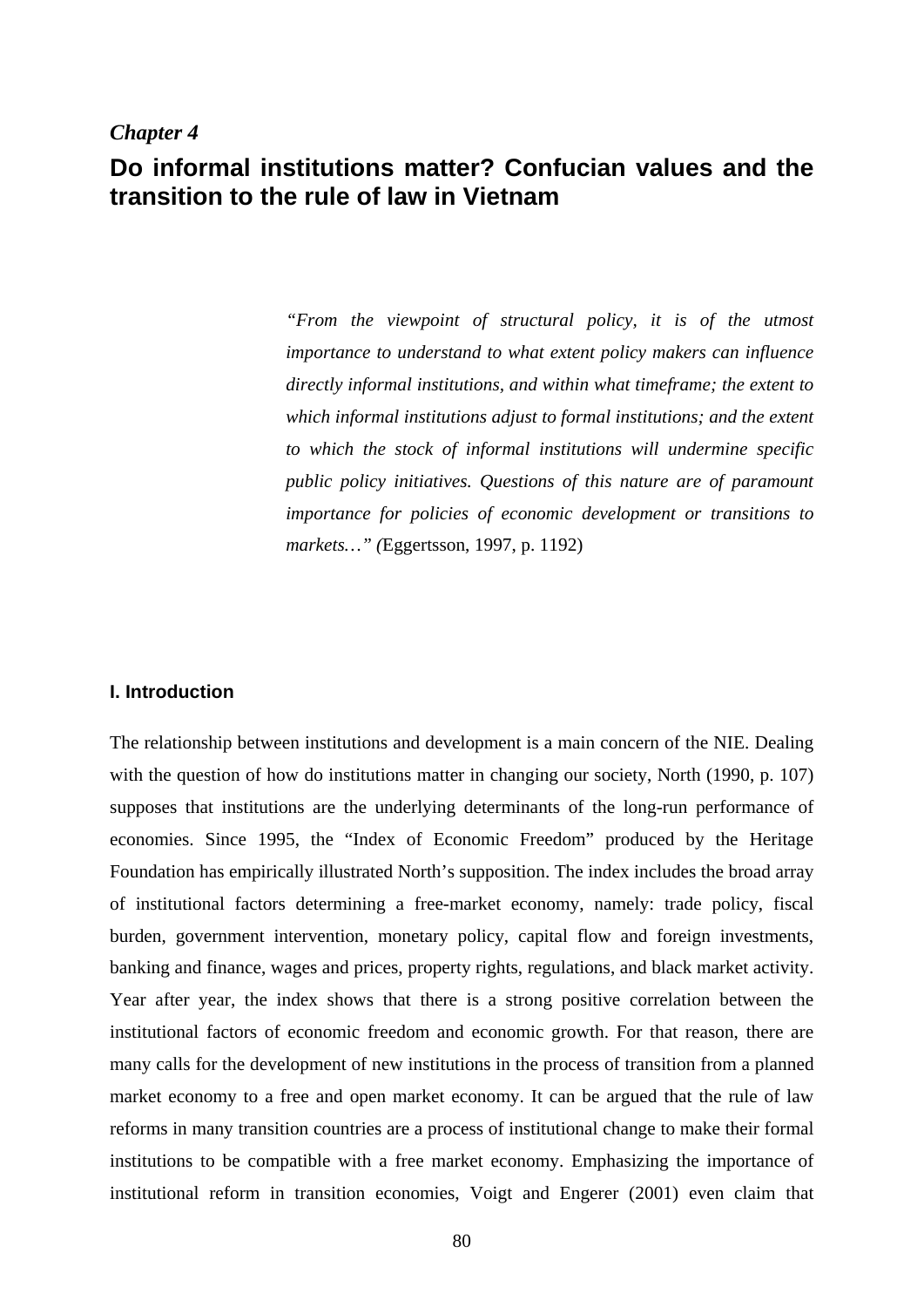# *Chapter 4*

# **Do informal institutions matter? Confucian values and the transition to the rule of law in Vietnam**

*"From the viewpoint of structural policy, it is of the utmost importance to understand to what extent policy makers can influence directly informal institutions, and within what timeframe; the extent to which informal institutions adjust to formal institutions; and the extent to which the stock of informal institutions will undermine specific public policy initiatives. Questions of this nature are of paramount importance for policies of economic development or transitions to markets…" (*Eggertsson, 1997, p. 1192)

## **I. Introduction**

The relationship between institutions and development is a main concern of the NIE. Dealing with the question of how do institutions matter in changing our society, North (1990, p. 107) supposes that institutions are the underlying determinants of the long-run performance of economies. Since 1995, the "Index of Economic Freedom" produced by the Heritage Foundation has empirically illustrated North's supposition. The index includes the broad array of institutional factors determining a free-market economy, namely: trade policy, fiscal burden, government intervention, monetary policy, capital flow and foreign investments, banking and finance, wages and prices, property rights, regulations, and black market activity. Year after year, the index shows that there is a strong positive correlation between the institutional factors of economic freedom and economic growth. For that reason, there are many calls for the development of new institutions in the process of transition from a planned market economy to a free and open market economy. It can be argued that the rule of law reforms in many transition countries are a process of institutional change to make their formal institutions to be compatible with a free market economy. Emphasizing the importance of institutional reform in transition economies, Voigt and Engerer (2001) even claim that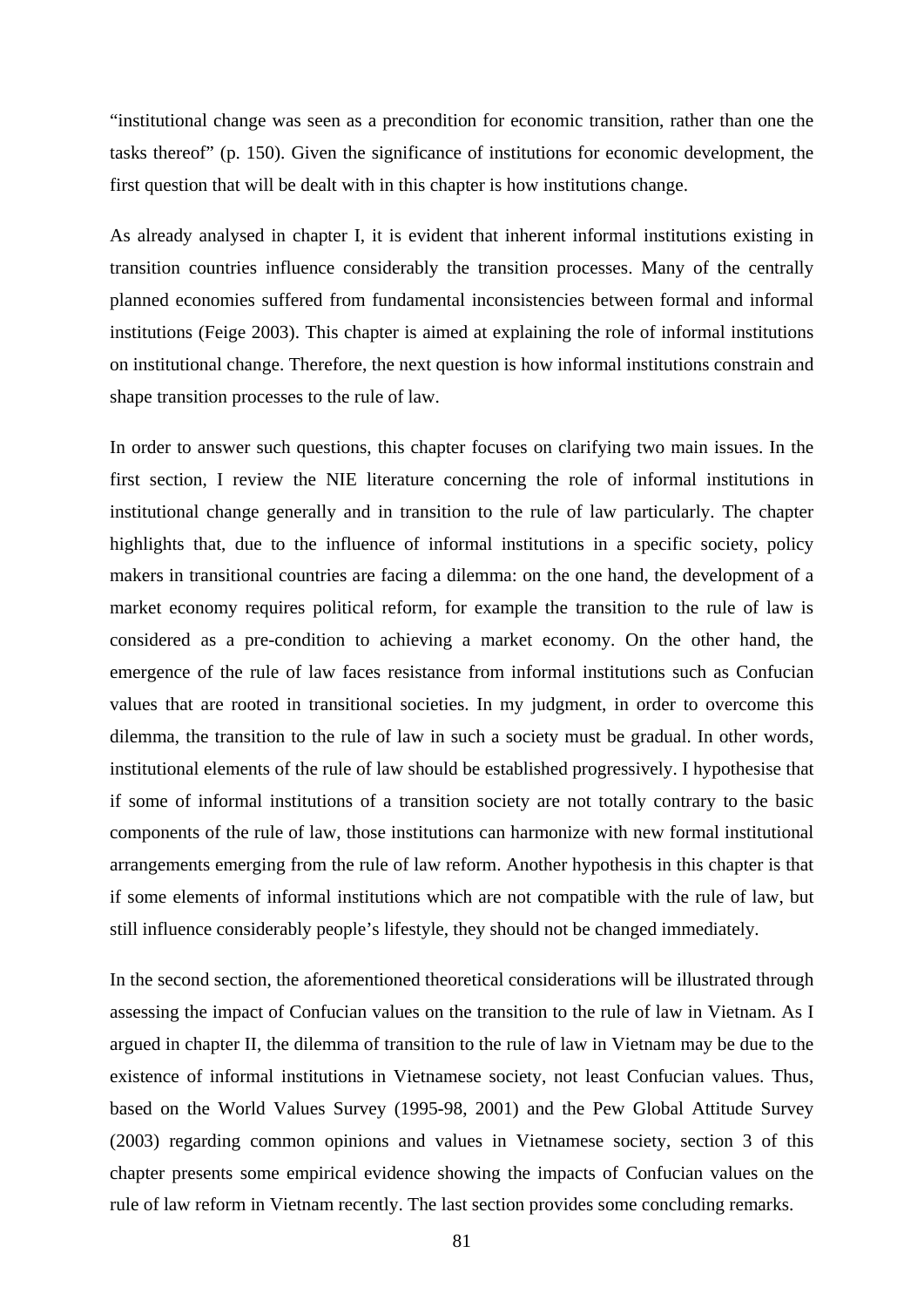"institutional change was seen as a precondition for economic transition, rather than one the tasks thereof" (p. 150). Given the significance of institutions for economic development, the first question that will be dealt with in this chapter is how institutions change.

As already analysed in chapter I, it is evident that inherent informal institutions existing in transition countries influence considerably the transition processes. Many of the centrally planned economies suffered from fundamental inconsistencies between formal and informal institutions (Feige 2003). This chapter is aimed at explaining the role of informal institutions on institutional change. Therefore, the next question is how informal institutions constrain and shape transition processes to the rule of law.

In order to answer such questions, this chapter focuses on clarifying two main issues. In the first section, I review the NIE literature concerning the role of informal institutions in institutional change generally and in transition to the rule of law particularly. The chapter highlights that, due to the influence of informal institutions in a specific society, policy makers in transitional countries are facing a dilemma: on the one hand, the development of a market economy requires political reform, for example the transition to the rule of law is considered as a pre-condition to achieving a market economy. On the other hand, the emergence of the rule of law faces resistance from informal institutions such as Confucian values that are rooted in transitional societies. In my judgment, in order to overcome this dilemma, the transition to the rule of law in such a society must be gradual. In other words, institutional elements of the rule of law should be established progressively. I hypothesise that if some of informal institutions of a transition society are not totally contrary to the basic components of the rule of law, those institutions can harmonize with new formal institutional arrangements emerging from the rule of law reform. Another hypothesis in this chapter is that if some elements of informal institutions which are not compatible with the rule of law, but still influence considerably people's lifestyle, they should not be changed immediately.

In the second section, the aforementioned theoretical considerations will be illustrated through assessing the impact of Confucian values on the transition to the rule of law in Vietnam. As I argued in chapter II, the dilemma of transition to the rule of law in Vietnam may be due to the existence of informal institutions in Vietnamese society, not least Confucian values. Thus, based on the World Values Survey (1995-98, 2001) and the Pew Global Attitude Survey (2003) regarding common opinions and values in Vietnamese society, section 3 of this chapter presents some empirical evidence showing the impacts of Confucian values on the rule of law reform in Vietnam recently. The last section provides some concluding remarks.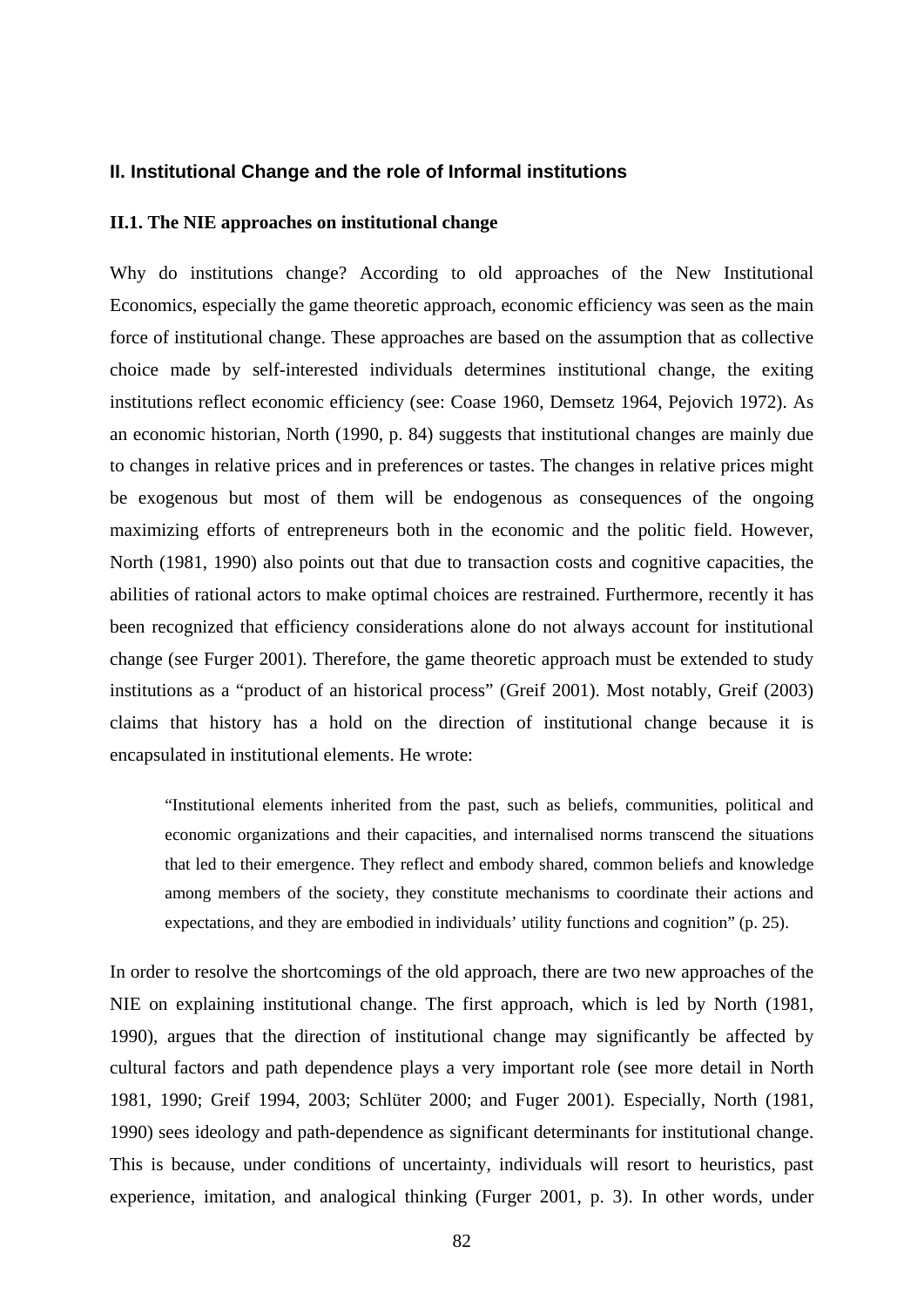#### **II. Institutional Change and the role of Informal institutions**

#### **II.1. The NIE approaches on institutional change**

Why do institutions change? According to old approaches of the New Institutional Economics, especially the game theoretic approach, economic efficiency was seen as the main force of institutional change. These approaches are based on the assumption that as collective choice made by self-interested individuals determines institutional change, the exiting institutions reflect economic efficiency (see: Coase 1960, Demsetz 1964, Pejovich 1972). As an economic historian, North (1990, p. 84) suggests that institutional changes are mainly due to changes in relative prices and in preferences or tastes. The changes in relative prices might be exogenous but most of them will be endogenous as consequences of the ongoing maximizing efforts of entrepreneurs both in the economic and the politic field. However, North (1981, 1990) also points out that due to transaction costs and cognitive capacities, the abilities of rational actors to make optimal choices are restrained. Furthermore, recently it has been recognized that efficiency considerations alone do not always account for institutional change (see Furger 2001). Therefore, the game theoretic approach must be extended to study institutions as a "product of an historical process" (Greif 2001). Most notably, Greif (2003) claims that history has a hold on the direction of institutional change because it is encapsulated in institutional elements. He wrote:

"Institutional elements inherited from the past, such as beliefs, communities, political and economic organizations and their capacities, and internalised norms transcend the situations that led to their emergence. They reflect and embody shared, common beliefs and knowledge among members of the society, they constitute mechanisms to coordinate their actions and expectations, and they are embodied in individuals' utility functions and cognition" (p. 25).

In order to resolve the shortcomings of the old approach, there are two new approaches of the NIE on explaining institutional change. The first approach, which is led by North (1981, 1990), argues that the direction of institutional change may significantly be affected by cultural factors and path dependence plays a very important role (see more detail in North 1981, 1990; Greif 1994, 2003; Schlüter 2000; and Fuger 2001). Especially, North (1981, 1990) sees ideology and path-dependence as significant determinants for institutional change. This is because, under conditions of uncertainty, individuals will resort to heuristics, past experience, imitation, and analogical thinking (Furger 2001, p. 3). In other words, under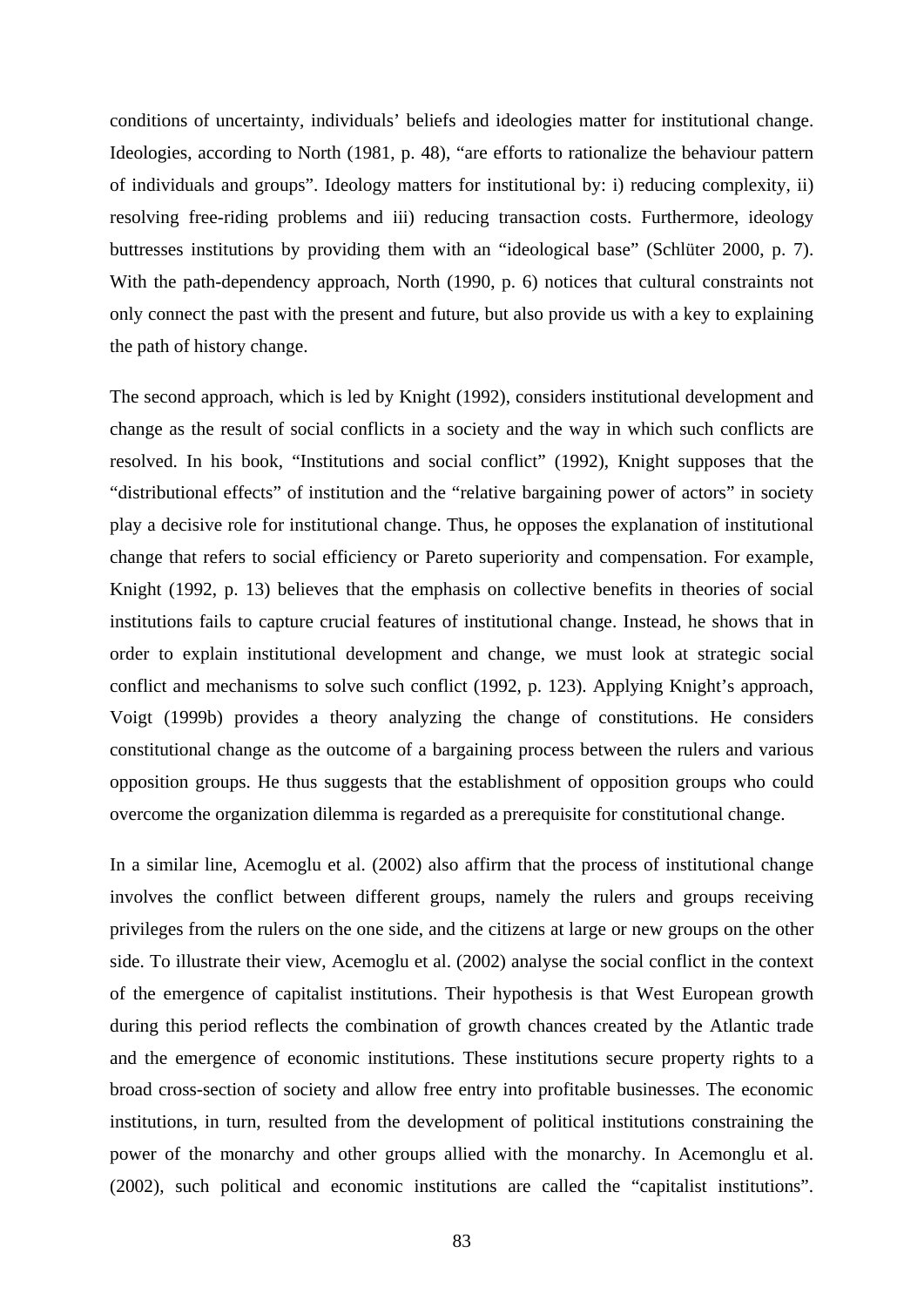conditions of uncertainty, individuals' beliefs and ideologies matter for institutional change. Ideologies, according to North (1981, p. 48), "are efforts to rationalize the behaviour pattern of individuals and groups". Ideology matters for institutional by: i) reducing complexity, ii) resolving free-riding problems and iii) reducing transaction costs. Furthermore, ideology buttresses institutions by providing them with an "ideological base" (Schlüter 2000, p. 7). With the path-dependency approach, North (1990, p. 6) notices that cultural constraints not only connect the past with the present and future, but also provide us with a key to explaining the path of history change.

The second approach, which is led by Knight (1992), considers institutional development and change as the result of social conflicts in a society and the way in which such conflicts are resolved. In his book, "Institutions and social conflict" (1992), Knight supposes that the "distributional effects" of institution and the "relative bargaining power of actors" in society play a decisive role for institutional change. Thus, he opposes the explanation of institutional change that refers to social efficiency or Pareto superiority and compensation. For example, Knight (1992, p. 13) believes that the emphasis on collective benefits in theories of social institutions fails to capture crucial features of institutional change. Instead, he shows that in order to explain institutional development and change, we must look at strategic social conflict and mechanisms to solve such conflict (1992, p. 123). Applying Knight's approach, Voigt (1999b) provides a theory analyzing the change of constitutions. He considers constitutional change as the outcome of a bargaining process between the rulers and various opposition groups. He thus suggests that the establishment of opposition groups who could overcome the organization dilemma is regarded as a prerequisite for constitutional change.

In a similar line, Acemoglu et al. (2002) also affirm that the process of institutional change involves the conflict between different groups, namely the rulers and groups receiving privileges from the rulers on the one side, and the citizens at large or new groups on the other side. To illustrate their view, Acemoglu et al. (2002) analyse the social conflict in the context of the emergence of capitalist institutions. Their hypothesis is that West European growth during this period reflects the combination of growth chances created by the Atlantic trade and the emergence of economic institutions. These institutions secure property rights to a broad cross-section of society and allow free entry into profitable businesses. The economic institutions, in turn, resulted from the development of political institutions constraining the power of the monarchy and other groups allied with the monarchy. In Acemonglu et al. (2002), such political and economic institutions are called the "capitalist institutions".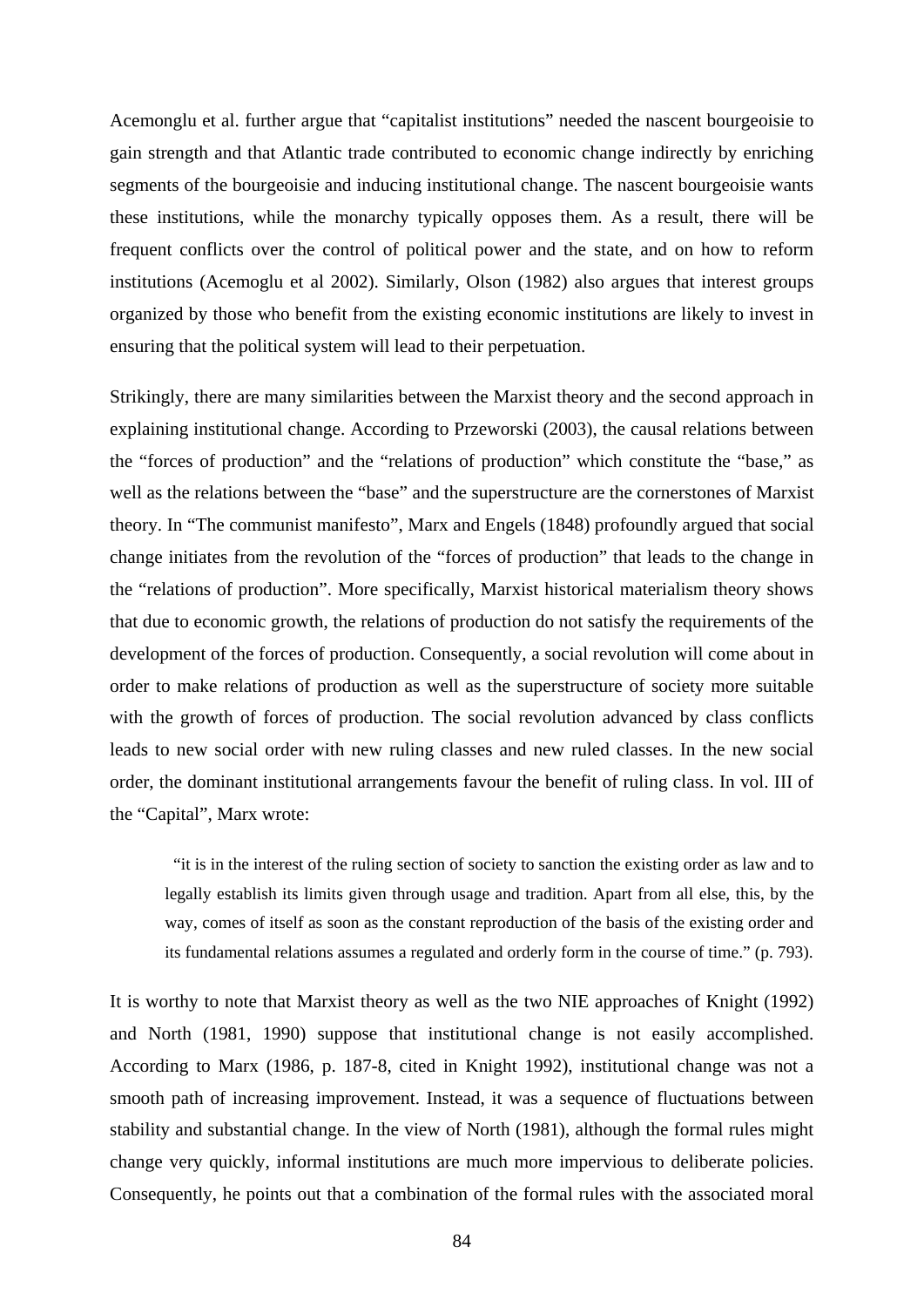Acemonglu et al. further argue that "capitalist institutions" needed the nascent bourgeoisie to gain strength and that Atlantic trade contributed to economic change indirectly by enriching segments of the bourgeoisie and inducing institutional change. The nascent bourgeoisie wants these institutions, while the monarchy typically opposes them. As a result, there will be frequent conflicts over the control of political power and the state, and on how to reform institutions (Acemoglu et al 2002). Similarly, Olson (1982) also argues that interest groups organized by those who benefit from the existing economic institutions are likely to invest in ensuring that the political system will lead to their perpetuation.

Strikingly, there are many similarities between the Marxist theory and the second approach in explaining institutional change. According to Przeworski (2003), the causal relations between the "forces of production" and the "relations of production" which constitute the "base," as well as the relations between the "base" and the superstructure are the cornerstones of Marxist theory. In "The communist manifesto", Marx and Engels (1848) profoundly argued that social change initiates from the revolution of the "forces of production" that leads to the change in the "relations of production". More specifically, Marxist historical materialism theory shows that due to economic growth, the relations of production do not satisfy the requirements of the development of the forces of production. Consequently, a social revolution will come about in order to make relations of production as well as the superstructure of society more suitable with the growth of forces of production. The social revolution advanced by class conflicts leads to new social order with new ruling classes and new ruled classes. In the new social order, the dominant institutional arrangements favour the benefit of ruling class. In vol. III of the "Capital", Marx wrote:

 "it is in the interest of the ruling section of society to sanction the existing order as law and to legally establish its limits given through usage and tradition. Apart from all else, this, by the way, comes of itself as soon as the constant reproduction of the basis of the existing order and its fundamental relations assumes a regulated and orderly form in the course of time." (p. 793).

It is worthy to note that Marxist theory as well as the two NIE approaches of Knight (1992) and North (1981, 1990) suppose that institutional change is not easily accomplished. According to Marx (1986, p. 187-8, cited in Knight 1992), institutional change was not a smooth path of increasing improvement. Instead, it was a sequence of fluctuations between stability and substantial change. In the view of North (1981), although the formal rules might change very quickly, informal institutions are much more impervious to deliberate policies. Consequently, he points out that a combination of the formal rules with the associated moral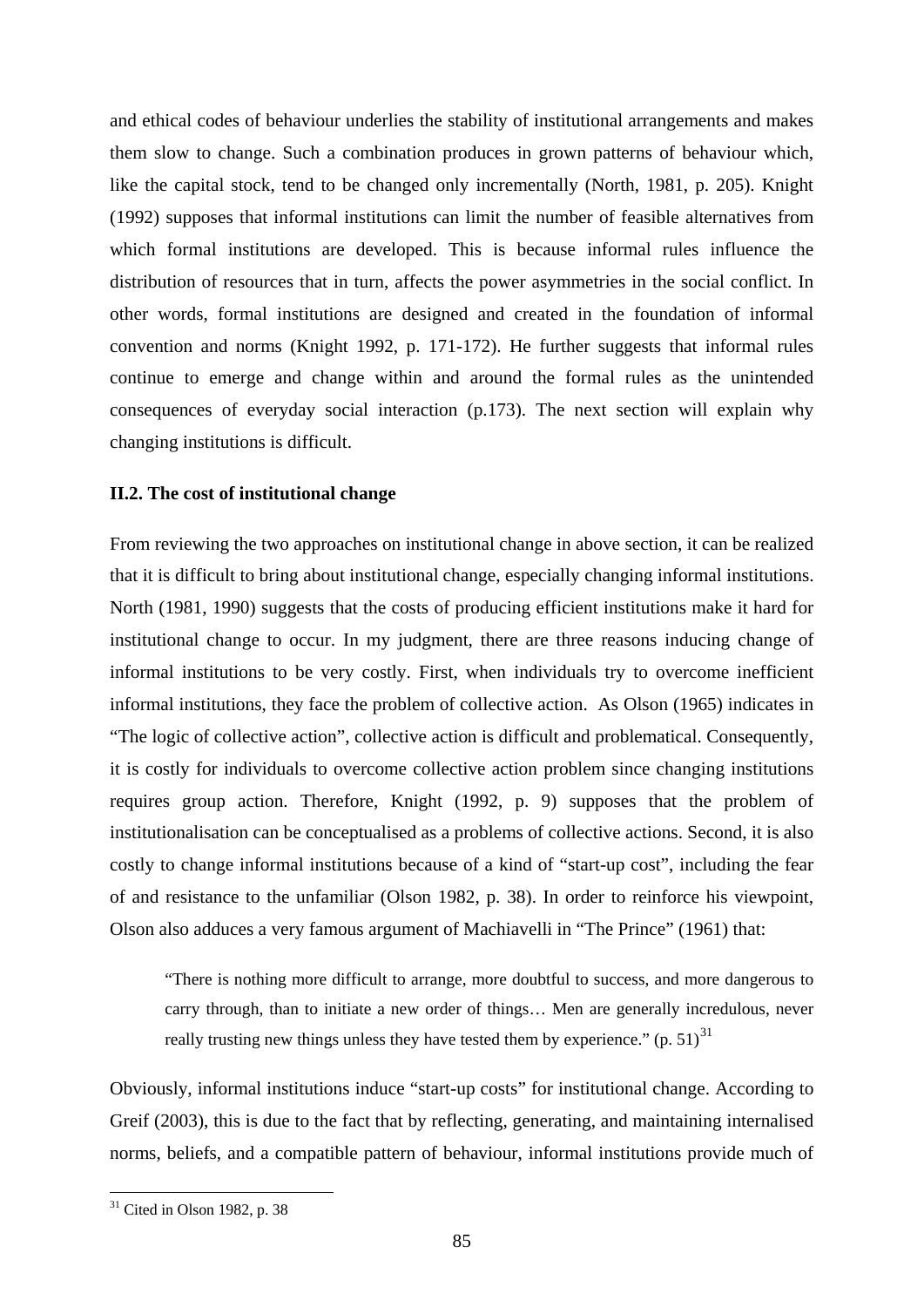and ethical codes of behaviour underlies the stability of institutional arrangements and makes them slow to change. Such a combination produces in grown patterns of behaviour which, like the capital stock, tend to be changed only incrementally (North, 1981, p. 205). Knight (1992) supposes that informal institutions can limit the number of feasible alternatives from which formal institutions are developed. This is because informal rules influence the distribution of resources that in turn, affects the power asymmetries in the social conflict. In other words, formal institutions are designed and created in the foundation of informal convention and norms (Knight 1992, p. 171-172). He further suggests that informal rules continue to emerge and change within and around the formal rules as the unintended consequences of everyday social interaction (p.173). The next section will explain why changing institutions is difficult.

## **II.2. The cost of institutional change**

From reviewing the two approaches on institutional change in above section, it can be realized that it is difficult to bring about institutional change, especially changing informal institutions. North (1981, 1990) suggests that the costs of producing efficient institutions make it hard for institutional change to occur. In my judgment, there are three reasons inducing change of informal institutions to be very costly. First, when individuals try to overcome inefficient informal institutions, they face the problem of collective action. As Olson (1965) indicates in "The logic of collective action", collective action is difficult and problematical. Consequently, it is costly for individuals to overcome collective action problem since changing institutions requires group action. Therefore, Knight (1992, p. 9) supposes that the problem of institutionalisation can be conceptualised as a problems of collective actions. Second, it is also costly to change informal institutions because of a kind of "start-up cost", including the fear of and resistance to the unfamiliar (Olson 1982, p. 38). In order to reinforce his viewpoint, Olson also adduces a very famous argument of Machiavelli in "The Prince" (1961) that:

"There is nothing more difficult to arrange, more doubtful to success, and more dangerous to carry through, than to initiate a new order of things… Men are generally incredulous, never really trusting new things unless they have tested them by experience."  $(p. 51)^{31}$  $(p. 51)^{31}$  $(p. 51)^{31}$ 

Obviously, informal institutions induce "start-up costs" for institutional change. According to Greif (2003), this is due to the fact that by reflecting, generating, and maintaining internalised norms, beliefs, and a compatible pattern of behaviour, informal institutions provide much of

1

<span id="page-90-0"></span> $31$  Cited in Olson 1982, p. 38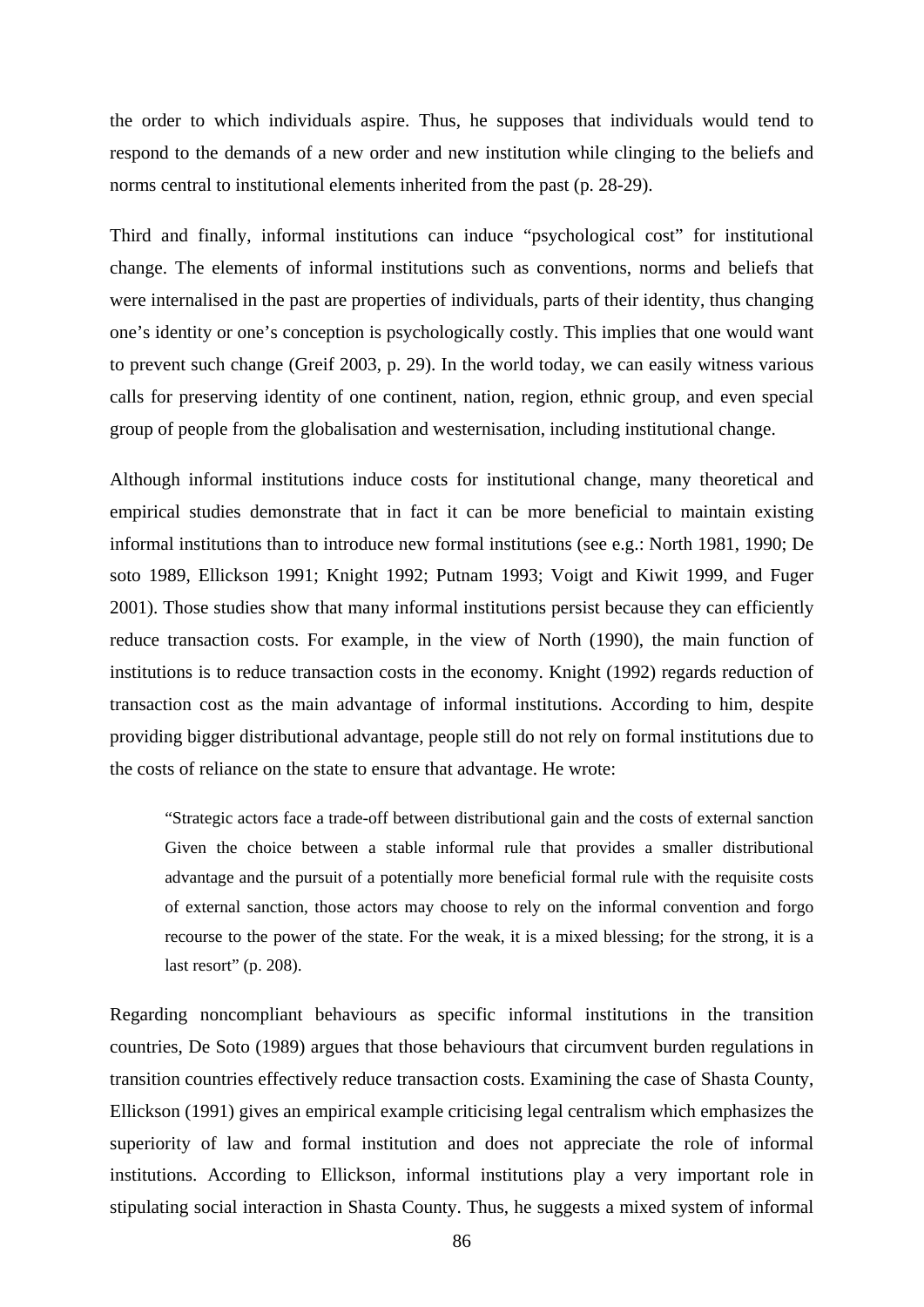the order to which individuals aspire. Thus, he supposes that individuals would tend to respond to the demands of a new order and new institution while clinging to the beliefs and norms central to institutional elements inherited from the past (p. 28-29).

Third and finally, informal institutions can induce "psychological cost" for institutional change. The elements of informal institutions such as conventions, norms and beliefs that were internalised in the past are properties of individuals, parts of their identity, thus changing one's identity or one's conception is psychologically costly. This implies that one would want to prevent such change (Greif 2003, p. 29). In the world today, we can easily witness various calls for preserving identity of one continent, nation, region, ethnic group, and even special group of people from the globalisation and westernisation, including institutional change.

Although informal institutions induce costs for institutional change, many theoretical and empirical studies demonstrate that in fact it can be more beneficial to maintain existing informal institutions than to introduce new formal institutions (see e.g.: North 1981, 1990; De soto 1989, Ellickson 1991; Knight 1992; Putnam 1993; Voigt and Kiwit 1999, and Fuger 2001). Those studies show that many informal institutions persist because they can efficiently reduce transaction costs. For example, in the view of North (1990), the main function of institutions is to reduce transaction costs in the economy. Knight (1992) regards reduction of transaction cost as the main advantage of informal institutions. According to him, despite providing bigger distributional advantage, people still do not rely on formal institutions due to the costs of reliance on the state to ensure that advantage. He wrote:

"Strategic actors face a trade-off between distributional gain and the costs of external sanction Given the choice between a stable informal rule that provides a smaller distributional advantage and the pursuit of a potentially more beneficial formal rule with the requisite costs of external sanction, those actors may choose to rely on the informal convention and forgo recourse to the power of the state. For the weak, it is a mixed blessing; for the strong, it is a last resort" (p. 208).

Regarding noncompliant behaviours as specific informal institutions in the transition countries, De Soto (1989) argues that those behaviours that circumvent burden regulations in transition countries effectively reduce transaction costs. Examining the case of Shasta County, Ellickson (1991) gives an empirical example criticising legal centralism which emphasizes the superiority of law and formal institution and does not appreciate the role of informal institutions. According to Ellickson, informal institutions play a very important role in stipulating social interaction in Shasta County. Thus, he suggests a mixed system of informal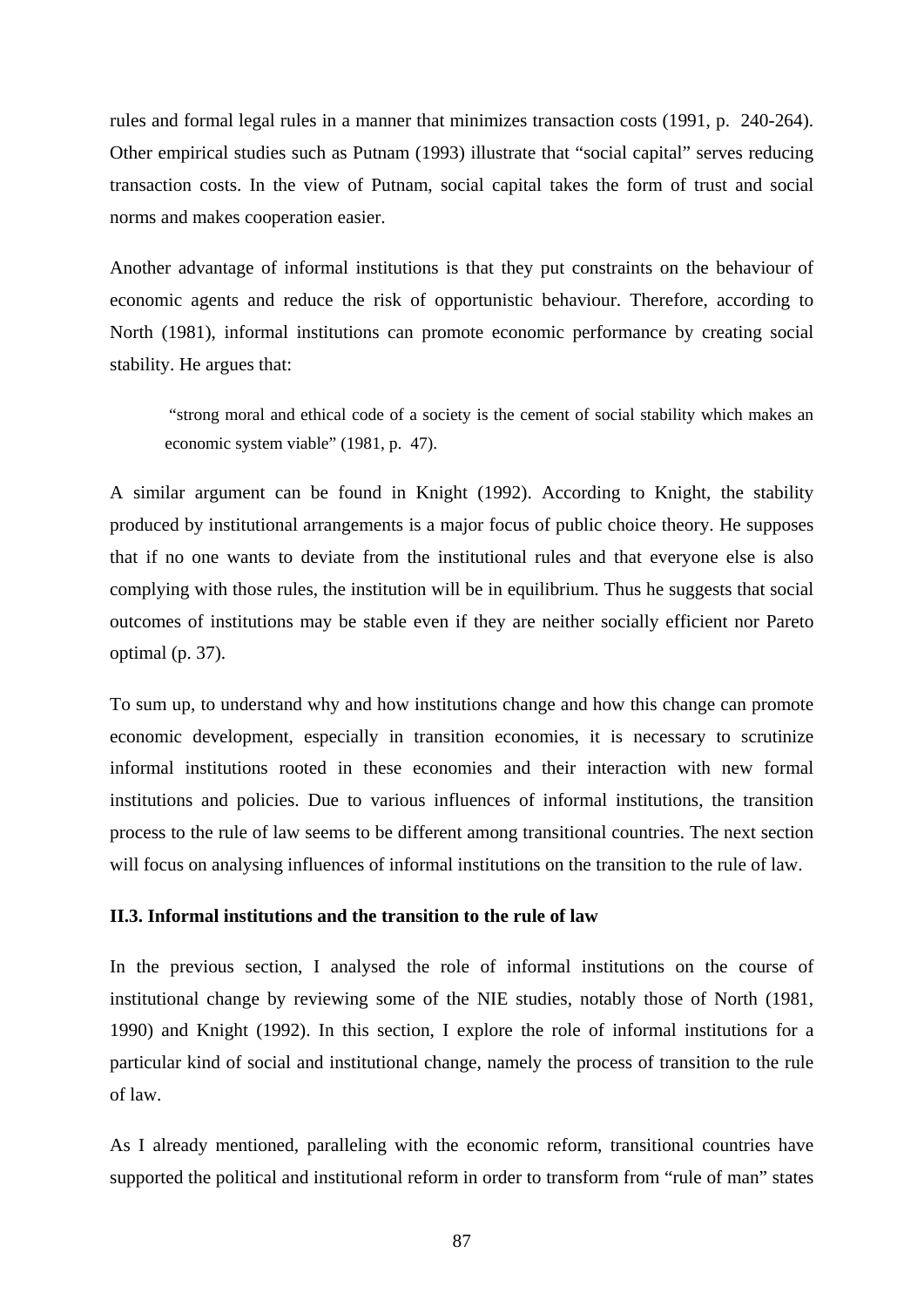rules and formal legal rules in a manner that minimizes transaction costs (1991, p. 240-264). Other empirical studies such as Putnam (1993) illustrate that "social capital" serves reducing transaction costs. In the view of Putnam, social capital takes the form of trust and social norms and makes cooperation easier.

Another advantage of informal institutions is that they put constraints on the behaviour of economic agents and reduce the risk of opportunistic behaviour. Therefore, according to North (1981), informal institutions can promote economic performance by creating social stability. He argues that:

 "strong moral and ethical code of a society is the cement of social stability which makes an economic system viable" (1981, p. 47).

A similar argument can be found in Knight (1992). According to Knight, the stability produced by institutional arrangements is a major focus of public choice theory. He supposes that if no one wants to deviate from the institutional rules and that everyone else is also complying with those rules, the institution will be in equilibrium. Thus he suggests that social outcomes of institutions may be stable even if they are neither socially efficient nor Pareto optimal (p. 37).

To sum up, to understand why and how institutions change and how this change can promote economic development, especially in transition economies, it is necessary to scrutinize informal institutions rooted in these economies and their interaction with new formal institutions and policies. Due to various influences of informal institutions, the transition process to the rule of law seems to be different among transitional countries. The next section will focus on analysing influences of informal institutions on the transition to the rule of law.

# **II.3. Informal institutions and the transition to the rule of law**

In the previous section, I analysed the role of informal institutions on the course of institutional change by reviewing some of the NIE studies, notably those of North (1981, 1990) and Knight (1992). In this section, I explore the role of informal institutions for a particular kind of social and institutional change, namely the process of transition to the rule of law.

As I already mentioned, paralleling with the economic reform, transitional countries have supported the political and institutional reform in order to transform from "rule of man" states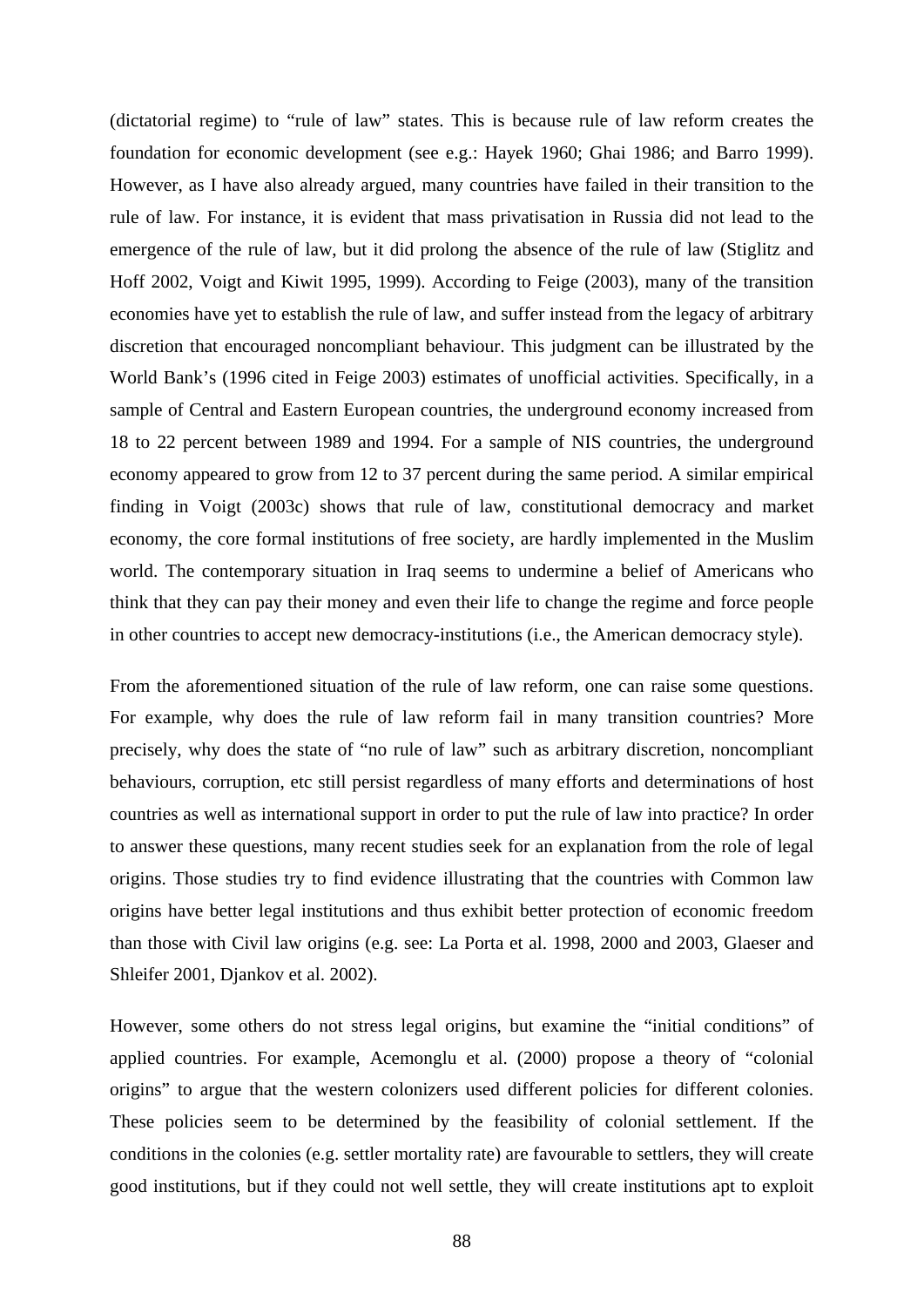(dictatorial regime) to "rule of law" states. This is because rule of law reform creates the foundation for economic development (see e.g.: Hayek 1960; Ghai 1986; and Barro 1999). However, as I have also already argued, many countries have failed in their transition to the rule of law. For instance, it is evident that mass privatisation in Russia did not lead to the emergence of the rule of law, but it did prolong the absence of the rule of law (Stiglitz and Hoff 2002, Voigt and Kiwit 1995, 1999). According to Feige (2003), many of the transition economies have yet to establish the rule of law, and suffer instead from the legacy of arbitrary discretion that encouraged noncompliant behaviour. This judgment can be illustrated by the World Bank's (1996 cited in Feige 2003) estimates of unofficial activities. Specifically, in a sample of Central and Eastern European countries, the underground economy increased from 18 to 22 percent between 1989 and 1994. For a sample of NIS countries, the underground economy appeared to grow from 12 to 37 percent during the same period. A similar empirical finding in Voigt (2003c) shows that rule of law, constitutional democracy and market economy, the core formal institutions of free society, are hardly implemented in the Muslim world. The contemporary situation in Iraq seems to undermine a belief of Americans who think that they can pay their money and even their life to change the regime and force people in other countries to accept new democracy-institutions (i.e., the American democracy style).

From the aforementioned situation of the rule of law reform, one can raise some questions. For example, why does the rule of law reform fail in many transition countries? More precisely, why does the state of "no rule of law" such as arbitrary discretion, noncompliant behaviours, corruption, etc still persist regardless of many efforts and determinations of host countries as well as international support in order to put the rule of law into practice? In order to answer these questions, many recent studies seek for an explanation from the role of legal origins. Those studies try to find evidence illustrating that the countries with Common law origins have better legal institutions and thus exhibit better protection of economic freedom than those with Civil law origins (e.g. see: La Porta et al. 1998, 2000 and 2003, Glaeser and Shleifer 2001, Djankov et al. 2002).

However, some others do not stress legal origins, but examine the "initial conditions" of applied countries. For example, Acemonglu et al. (2000) propose a theory of "colonial origins" to argue that the western colonizers used different policies for different colonies. These policies seem to be determined by the feasibility of colonial settlement. If the conditions in the colonies (e.g. settler mortality rate) are favourable to settlers, they will create good institutions, but if they could not well settle, they will create institutions apt to exploit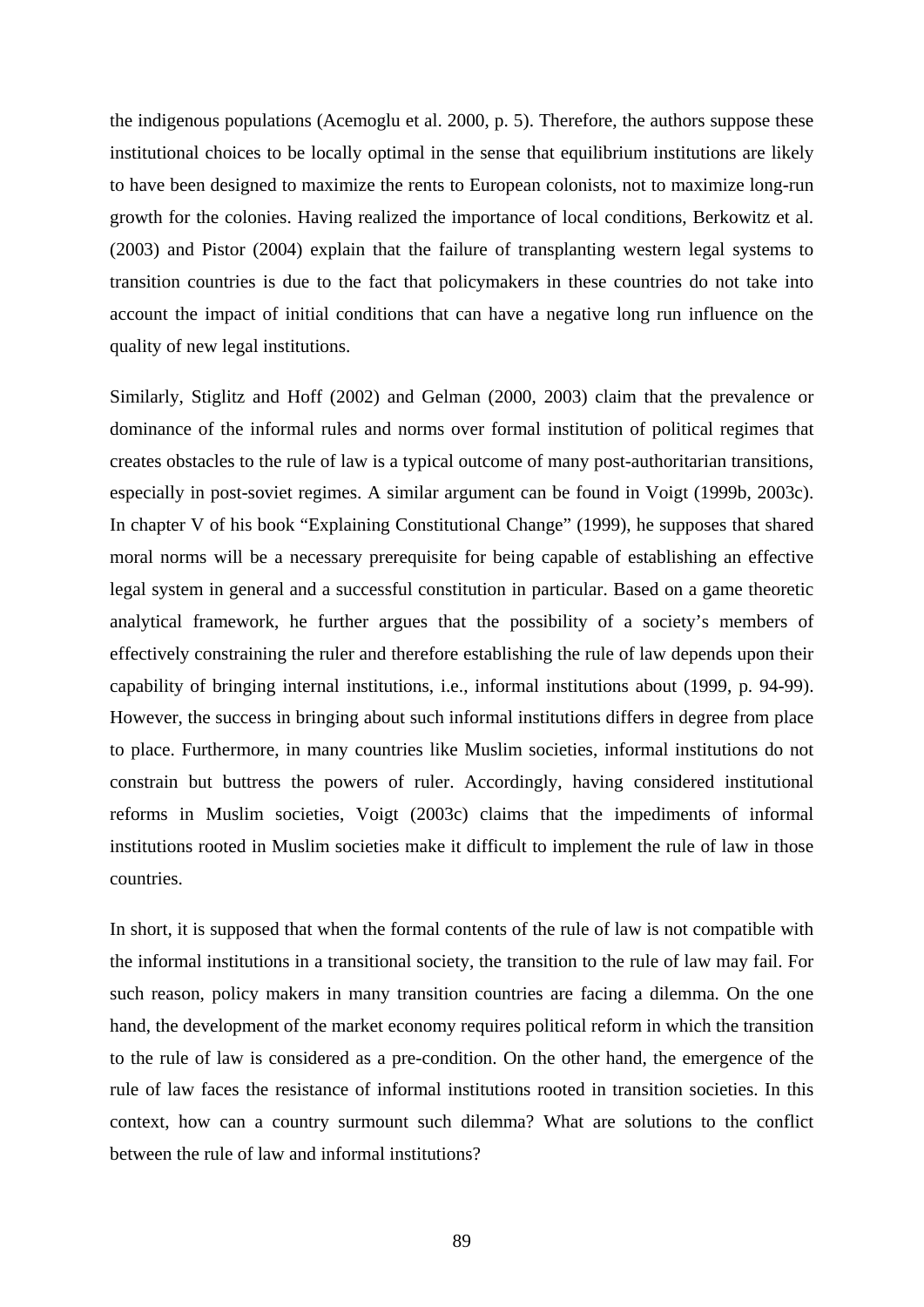the indigenous populations (Acemoglu et al. 2000, p. 5). Therefore, the authors suppose these institutional choices to be locally optimal in the sense that equilibrium institutions are likely to have been designed to maximize the rents to European colonists, not to maximize long-run growth for the colonies. Having realized the importance of local conditions, Berkowitz et al. (2003) and Pistor (2004) explain that the failure of transplanting western legal systems to transition countries is due to the fact that policymakers in these countries do not take into account the impact of initial conditions that can have a negative long run influence on the quality of new legal institutions.

Similarly, Stiglitz and Hoff (2002) and Gelman (2000, 2003) claim that the prevalence or dominance of the informal rules and norms over formal institution of political regimes that creates obstacles to the rule of law is a typical outcome of many post-authoritarian transitions, especially in post-soviet regimes. A similar argument can be found in Voigt (1999b, 2003c). In chapter V of his book "Explaining Constitutional Change" (1999), he supposes that shared moral norms will be a necessary prerequisite for being capable of establishing an effective legal system in general and a successful constitution in particular. Based on a game theoretic analytical framework, he further argues that the possibility of a society's members of effectively constraining the ruler and therefore establishing the rule of law depends upon their capability of bringing internal institutions, i.e., informal institutions about (1999, p. 94-99). However, the success in bringing about such informal institutions differs in degree from place to place. Furthermore, in many countries like Muslim societies, informal institutions do not constrain but buttress the powers of ruler. Accordingly, having considered institutional reforms in Muslim societies, Voigt (2003c) claims that the impediments of informal institutions rooted in Muslim societies make it difficult to implement the rule of law in those countries.

In short, it is supposed that when the formal contents of the rule of law is not compatible with the informal institutions in a transitional society, the transition to the rule of law may fail. For such reason, policy makers in many transition countries are facing a dilemma. On the one hand, the development of the market economy requires political reform in which the transition to the rule of law is considered as a pre-condition. On the other hand, the emergence of the rule of law faces the resistance of informal institutions rooted in transition societies. In this context, how can a country surmount such dilemma? What are solutions to the conflict between the rule of law and informal institutions?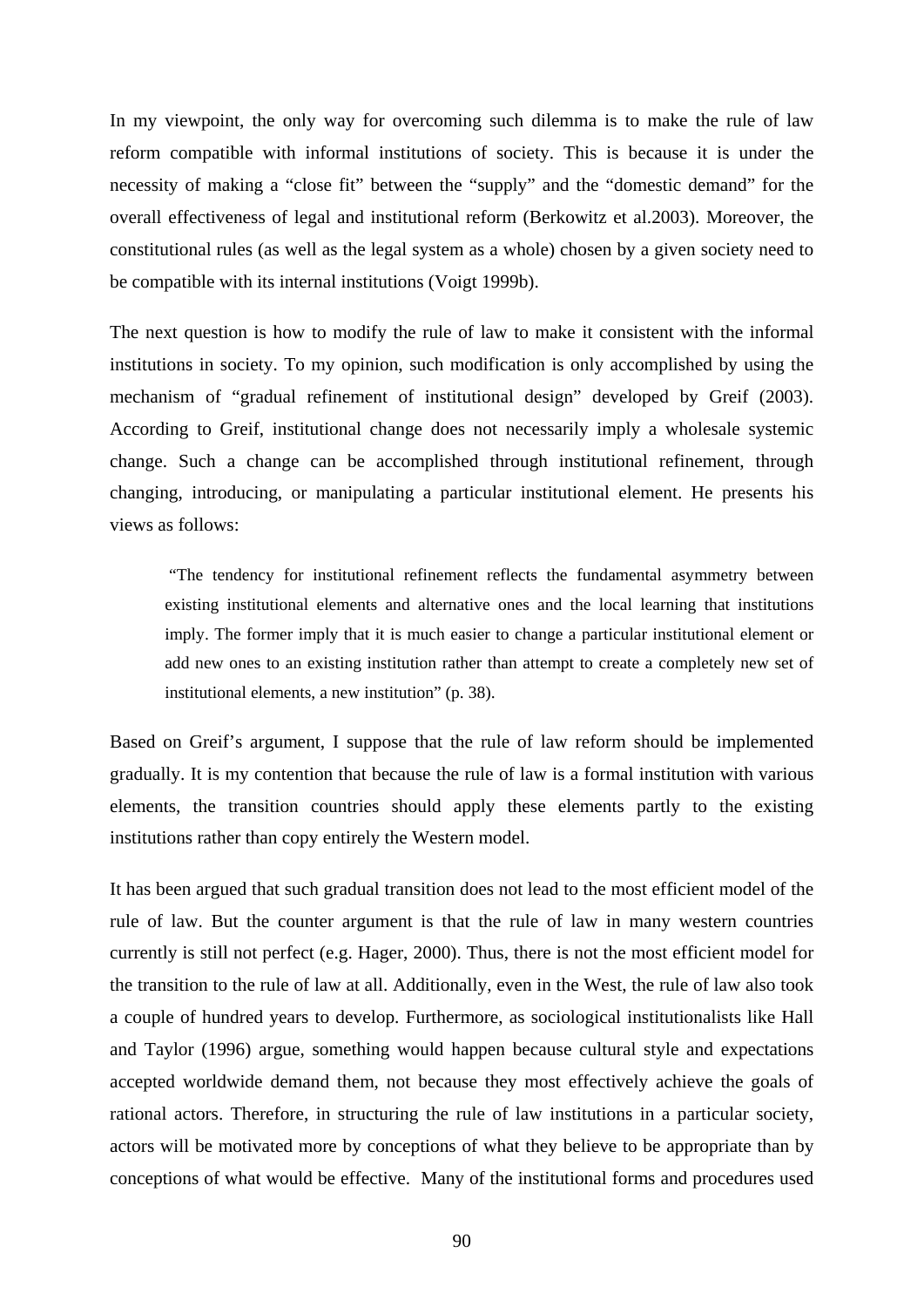In my viewpoint, the only way for overcoming such dilemma is to make the rule of law reform compatible with informal institutions of society. This is because it is under the necessity of making a "close fit" between the "supply" and the "domestic demand" for the overall effectiveness of legal and institutional reform (Berkowitz et al.2003). Moreover, the constitutional rules (as well as the legal system as a whole) chosen by a given society need to be compatible with its internal institutions (Voigt 1999b).

The next question is how to modify the rule of law to make it consistent with the informal institutions in society. To my opinion, such modification is only accomplished by using the mechanism of "gradual refinement of institutional design" developed by Greif (2003). According to Greif, institutional change does not necessarily imply a wholesale systemic change. Such a change can be accomplished through institutional refinement, through changing, introducing, or manipulating a particular institutional element. He presents his views as follows:

 "The tendency for institutional refinement reflects the fundamental asymmetry between existing institutional elements and alternative ones and the local learning that institutions imply. The former imply that it is much easier to change a particular institutional element or add new ones to an existing institution rather than attempt to create a completely new set of institutional elements, a new institution" (p. 38).

Based on Greif's argument, I suppose that the rule of law reform should be implemented gradually. It is my contention that because the rule of law is a formal institution with various elements, the transition countries should apply these elements partly to the existing institutions rather than copy entirely the Western model.

It has been argued that such gradual transition does not lead to the most efficient model of the rule of law. But the counter argument is that the rule of law in many western countries currently is still not perfect (e.g. Hager, 2000). Thus, there is not the most efficient model for the transition to the rule of law at all. Additionally, even in the West, the rule of law also took a couple of hundred years to develop. Furthermore, as sociological institutionalists like Hall and Taylor (1996) argue, something would happen because cultural style and expectations accepted worldwide demand them, not because they most effectively achieve the goals of rational actors. Therefore, in structuring the rule of law institutions in a particular society, actors will be motivated more by conceptions of what they believe to be appropriate than by conceptions of what would be effective. Many of the institutional forms and procedures used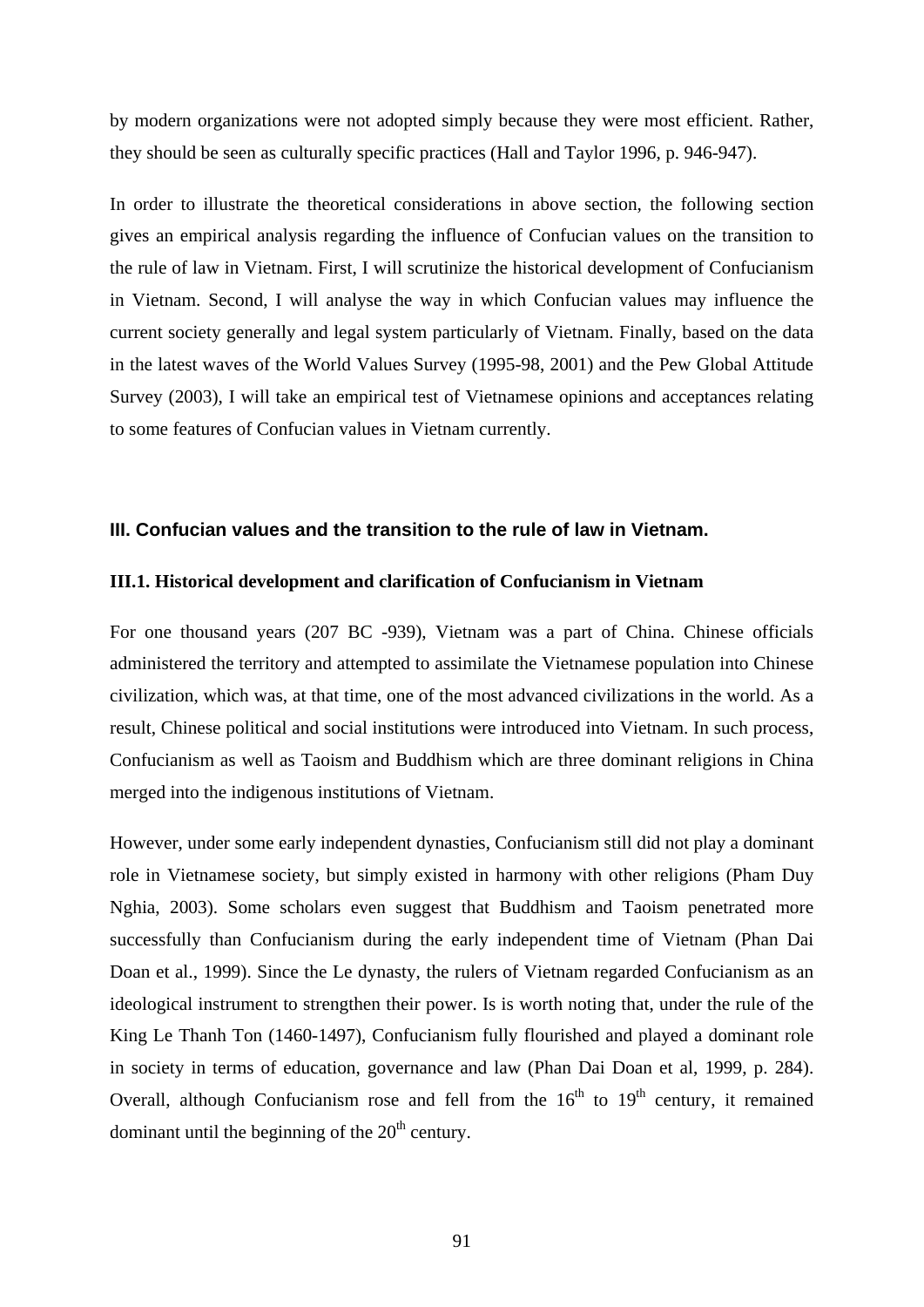by modern organizations were not adopted simply because they were most efficient. Rather, they should be seen as culturally specific practices (Hall and Taylor 1996, p. 946-947).

In order to illustrate the theoretical considerations in above section, the following section gives an empirical analysis regarding the influence of Confucian values on the transition to the rule of law in Vietnam. First, I will scrutinize the historical development of Confucianism in Vietnam. Second, I will analyse the way in which Confucian values may influence the current society generally and legal system particularly of Vietnam. Finally, based on the data in the latest waves of the World Values Survey (1995-98, 2001) and the Pew Global Attitude Survey (2003), I will take an empirical test of Vietnamese opinions and acceptances relating to some features of Confucian values in Vietnam currently.

## **III. Confucian values and the transition to the rule of law in Vietnam.**

#### **III.1. Historical development and clarification of Confucianism in Vietnam**

For one thousand years (207 BC -939), Vietnam was a part of China. Chinese officials administered the territory and attempted to assimilate the Vietnamese population into Chinese civilization, which was, at that time, one of the most advanced civilizations in the world. As a result, Chinese political and social institutions were introduced into Vietnam. In such process, Confucianism as well as Taoism and Buddhism which are three dominant religions in China merged into the indigenous institutions of Vietnam.

However, under some early independent dynasties, Confucianism still did not play a dominant role in Vietnamese society, but simply existed in harmony with other religions (Pham Duy Nghia, 2003). Some scholars even suggest that Buddhism and Taoism penetrated more successfully than Confucianism during the early independent time of Vietnam (Phan Dai Doan et al., 1999). Since the Le dynasty, the rulers of Vietnam regarded Confucianism as an ideological instrument to strengthen their power. Is is worth noting that, under the rule of the King Le Thanh Ton (1460-1497), Confucianism fully flourished and played a dominant role in society in terms of education, governance and law (Phan Dai Doan et al, 1999, p. 284). Overall, although Confucianism rose and fell from the  $16<sup>th</sup>$  to  $19<sup>th</sup>$  century, it remained dominant until the beginning of the  $20<sup>th</sup>$  century.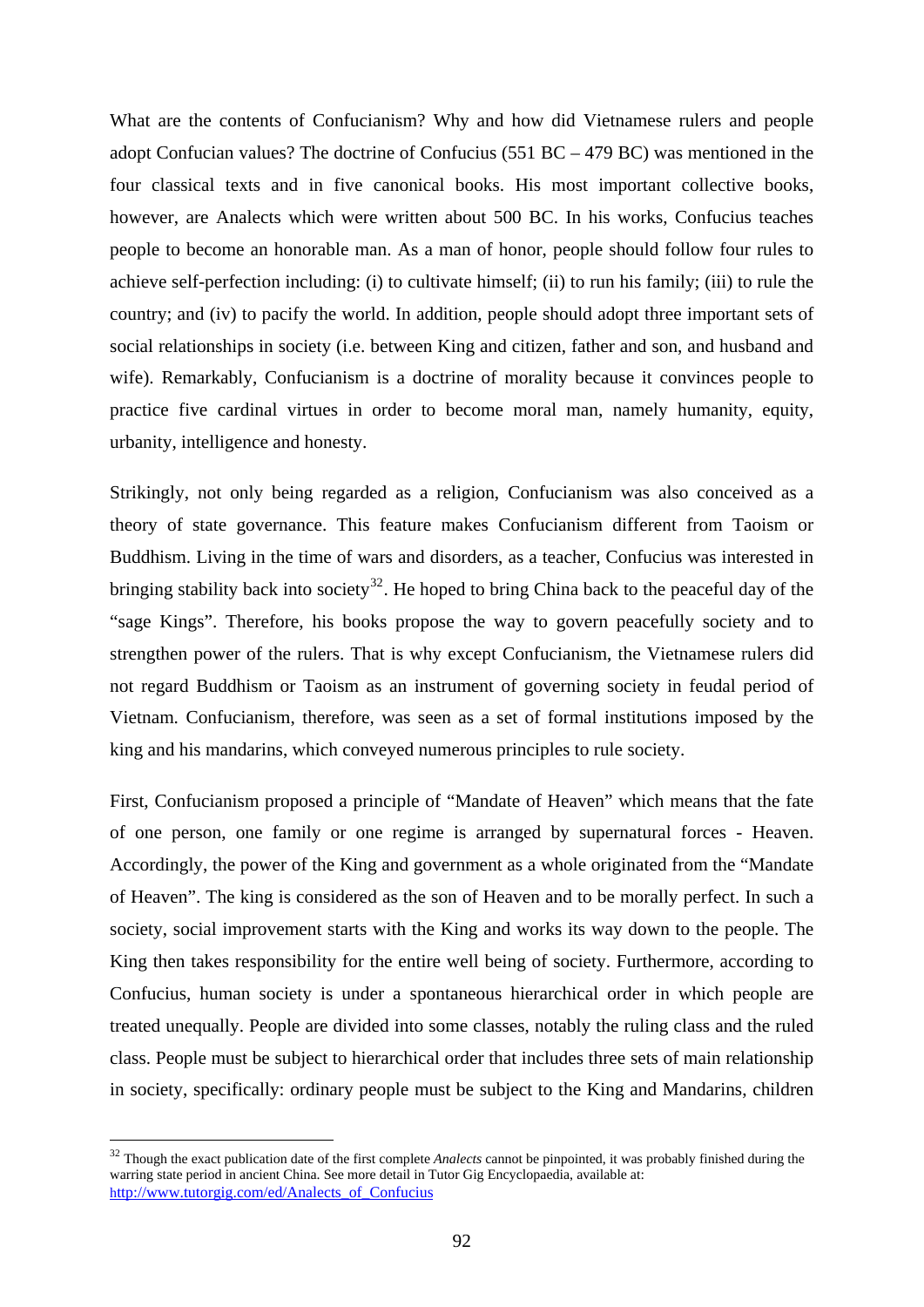What are the contents of Confucianism? Why and how did Vietnamese rulers and people adopt Confucian values? The doctrine of Confucius (551  $BC - 479$   $BC$ ) was mentioned in the four classical texts and in five canonical books. His most important collective books, however, are Analects which were written about 500 BC. In his works, Confucius teaches people to become an honorable man. As a man of honor, people should follow four rules to achieve self-perfection including: (i) to cultivate himself; (ii) to run his family; (iii) to rule the country; and (iv) to pacify the world. In addition, people should adopt three important sets of social relationships in society (i.e. between King and citizen, father and son, and husband and wife). Remarkably, Confucianism is a doctrine of morality because it convinces people to practice five cardinal virtues in order to become moral man, namely humanity, equity, urbanity, intelligence and honesty.

Strikingly, not only being regarded as a religion, Confucianism was also conceived as a theory of state governance. This feature makes Confucianism different from Taoism or Buddhism. Living in the time of wars and disorders, as a teacher, Confucius was interested in bringing stability back into society<sup>[32](#page-97-0)</sup>. He hoped to bring China back to the peaceful day of the "sage Kings". Therefore, his books propose the way to govern peacefully society and to strengthen power of the rulers. That is why except Confucianism, the Vietnamese rulers did not regard Buddhism or Taoism as an instrument of governing society in feudal period of Vietnam. Confucianism, therefore, was seen as a set of formal institutions imposed by the king and his mandarins, which conveyed numerous principles to rule society.

First, Confucianism proposed a principle of "Mandate of Heaven" which means that the fate of one person, one family or one regime is arranged by supernatural forces - Heaven. Accordingly, the power of the King and government as a whole originated from the "Mandate of Heaven". The king is considered as the son of Heaven and to be morally perfect. In such a society, social improvement starts with the King and works its way down to the people. The King then takes responsibility for the entire well being of society. Furthermore, according to Confucius, human society is under a spontaneous hierarchical order in which people are treated unequally. People are divided into some classes, notably the ruling class and the ruled class. People must be subject to hierarchical order that includes three sets of main relationship in society, specifically: ordinary people must be subject to the King and Mandarins, children

1

<span id="page-97-0"></span><sup>&</sup>lt;sup>32</sup> Though the exact publication date of the first complete *Analects* cannot be pinpointed, it was probably finished during the warring state period in ancient China. See more detail in Tutor Gig Encyclopaedia, available at: [http://www.tutorgig.com/ed/Analects\\_of\\_Confucius](http://www.tutorgig.com/ed/Analects_of_Confucius)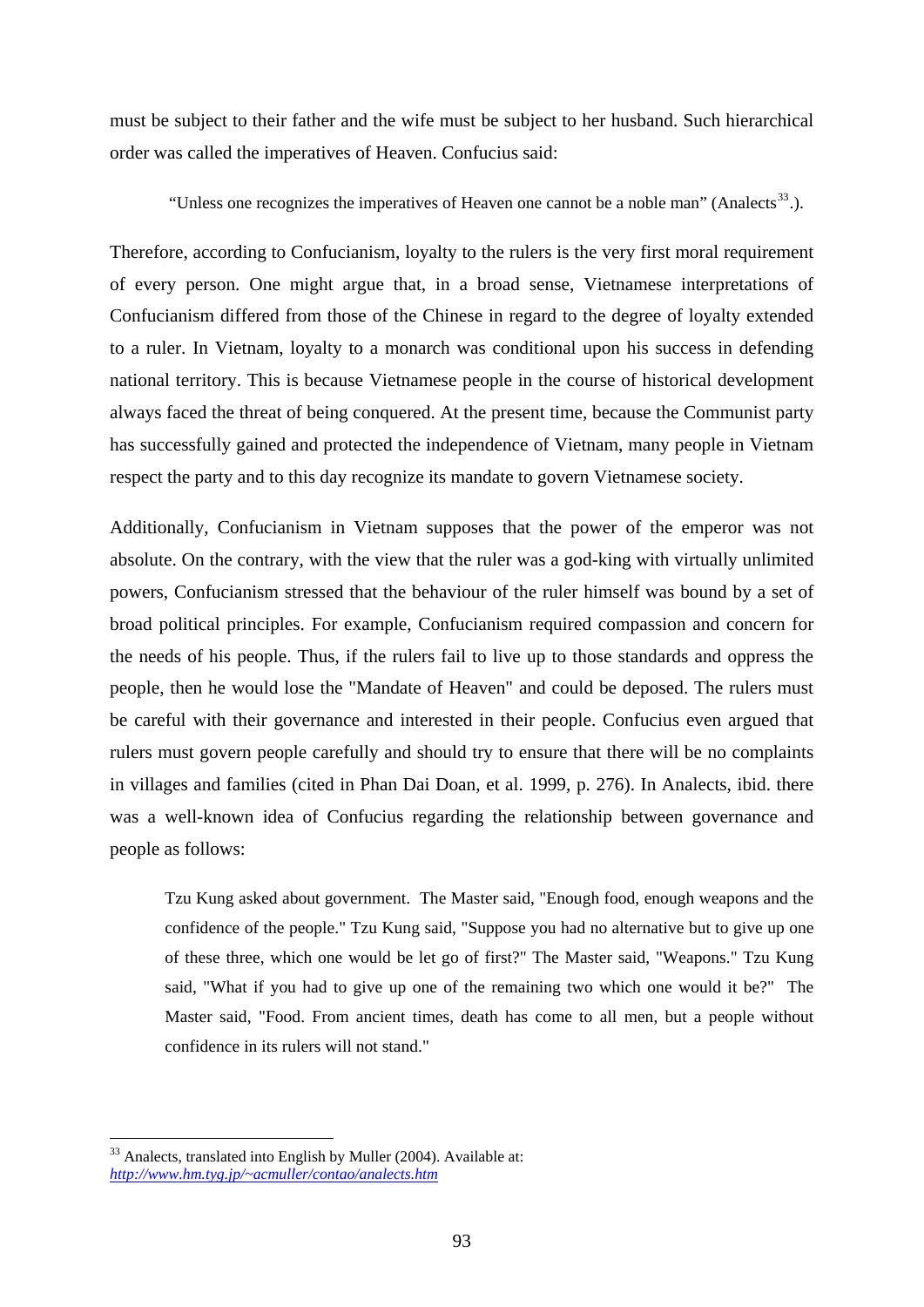must be subject to their father and the wife must be subject to her husband. Such hierarchical order was called the imperatives of Heaven. Confucius said:

"Unless one recognizes the imperatives of Heaven one cannot be a noble man" (Analects<sup>[33](#page-98-0)</sup>.).

Therefore, according to Confucianism, loyalty to the rulers is the very first moral requirement of every person. One might argue that, in a broad sense, Vietnamese interpretations of Confucianism differed from those of the Chinese in regard to the degree of loyalty extended to a ruler. In Vietnam, loyalty to a monarch was conditional upon his success in defending national territory. This is because Vietnamese people in the course of historical development always faced the threat of being conquered. At the present time, because the Communist party has successfully gained and protected the independence of Vietnam, many people in Vietnam respect the party and to this day recognize its mandate to govern Vietnamese society.

Additionally, Confucianism in Vietnam supposes that the power of the emperor was not absolute. On the contrary, with the view that the ruler was a god-king with virtually unlimited powers, Confucianism stressed that the behaviour of the ruler himself was bound by a set of broad political principles. For example, Confucianism required compassion and concern for the needs of his people. Thus, if the rulers fail to live up to those standards and oppress the people, then he would lose the "Mandate of Heaven" and could be deposed. The rulers must be careful with their governance and interested in their people. Confucius even argued that rulers must govern people carefully and should try to ensure that there will be no complaints in villages and families (cited in Phan Dai Doan, et al. 1999, p. 276). In Analects, ibid. there was a well-known idea of Confucius regarding the relationship between governance and people as follows:

Tzu Kung asked about government. The Master said, "Enough food, enough weapons and the confidence of the people." Tzu Kung said, "Suppose you had no alternative but to give up one of these three, which one would be let go of first?" The Master said, "Weapons." Tzu Kung said, "What if you had to give up one of the remaining two which one would it be?" The Master said, "Food. From ancient times, death has come to all men, but a people without confidence in its rulers will not stand."

<span id="page-98-0"></span><sup>1</sup> <sup>33</sup> Analects, translated into English by Muller (2004). Available at: *[http://www.hm.tyg.jp/~acmuller/contao/analects.htm](http://www.hm.tyg.jp/%7Eacmuller/contao/analects.htm)*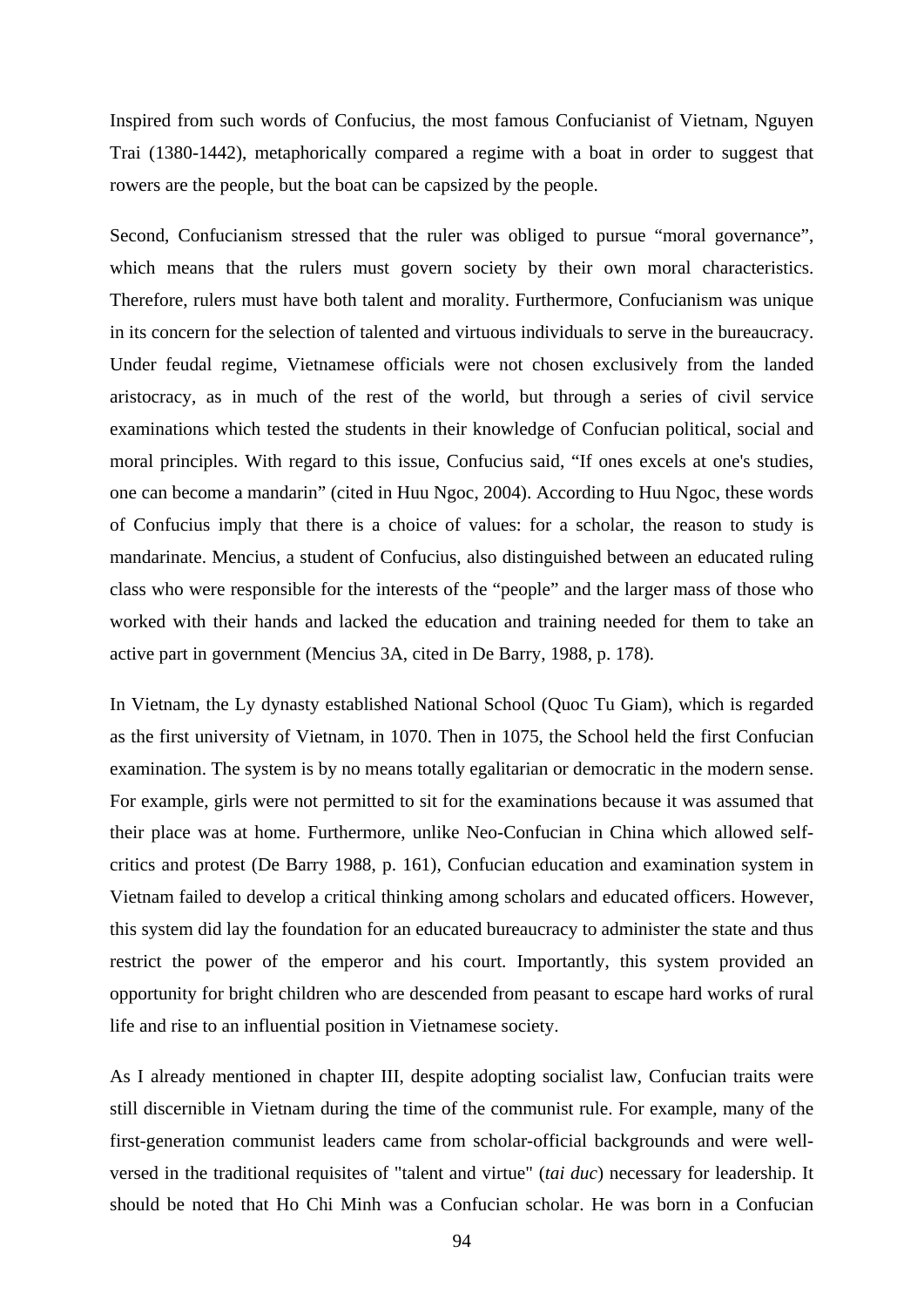Inspired from such words of Confucius, the most famous Confucianist of Vietnam, Nguyen Trai (1380-1442), metaphorically compared a regime with a boat in order to suggest that rowers are the people, but the boat can be capsized by the people.

Second, Confucianism stressed that the ruler was obliged to pursue "moral governance", which means that the rulers must govern society by their own moral characteristics. Therefore, rulers must have both talent and morality. Furthermore, Confucianism was unique in its concern for the selection of talented and virtuous individuals to serve in the bureaucracy. Under feudal regime, Vietnamese officials were not chosen exclusively from the landed aristocracy, as in much of the rest of the world, but through a series of civil service examinations which tested the students in their knowledge of Confucian political, social and moral principles. With regard to this issue, Confucius said, "If ones excels at one's studies, one can become a mandarin" (cited in Huu Ngoc, 2004). According to Huu Ngoc, these words of Confucius imply that there is a choice of values: for a scholar, the reason to study is mandarinate. Mencius, a student of Confucius, also distinguished between an educated ruling class who were responsible for the interests of the "people" and the larger mass of those who worked with their hands and lacked the education and training needed for them to take an active part in government (Mencius 3A, cited in De Barry, 1988, p. 178).

In Vietnam, the Ly dynasty established National School (Quoc Tu Giam), which is regarded as the first university of Vietnam, in 1070. Then in 1075, the School held the first Confucian examination. The system is by no means totally egalitarian or democratic in the modern sense. For example, girls were not permitted to sit for the examinations because it was assumed that their place was at home. Furthermore, unlike Neo-Confucian in China which allowed selfcritics and protest (De Barry 1988, p. 161), Confucian education and examination system in Vietnam failed to develop a critical thinking among scholars and educated officers. However, this system did lay the foundation for an educated bureaucracy to administer the state and thus restrict the power of the emperor and his court. Importantly, this system provided an opportunity for bright children who are descended from peasant to escape hard works of rural life and rise to an influential position in Vietnamese society.

As I already mentioned in chapter III, despite adopting socialist law, Confucian traits were still discernible in Vietnam during the time of the communist rule. For example, many of the first-generation communist leaders came from scholar-official backgrounds and were wellversed in the traditional requisites of "talent and virtue" (*tai duc*) necessary for leadership. It should be noted that Ho Chi Minh was a Confucian scholar. He was born in a Confucian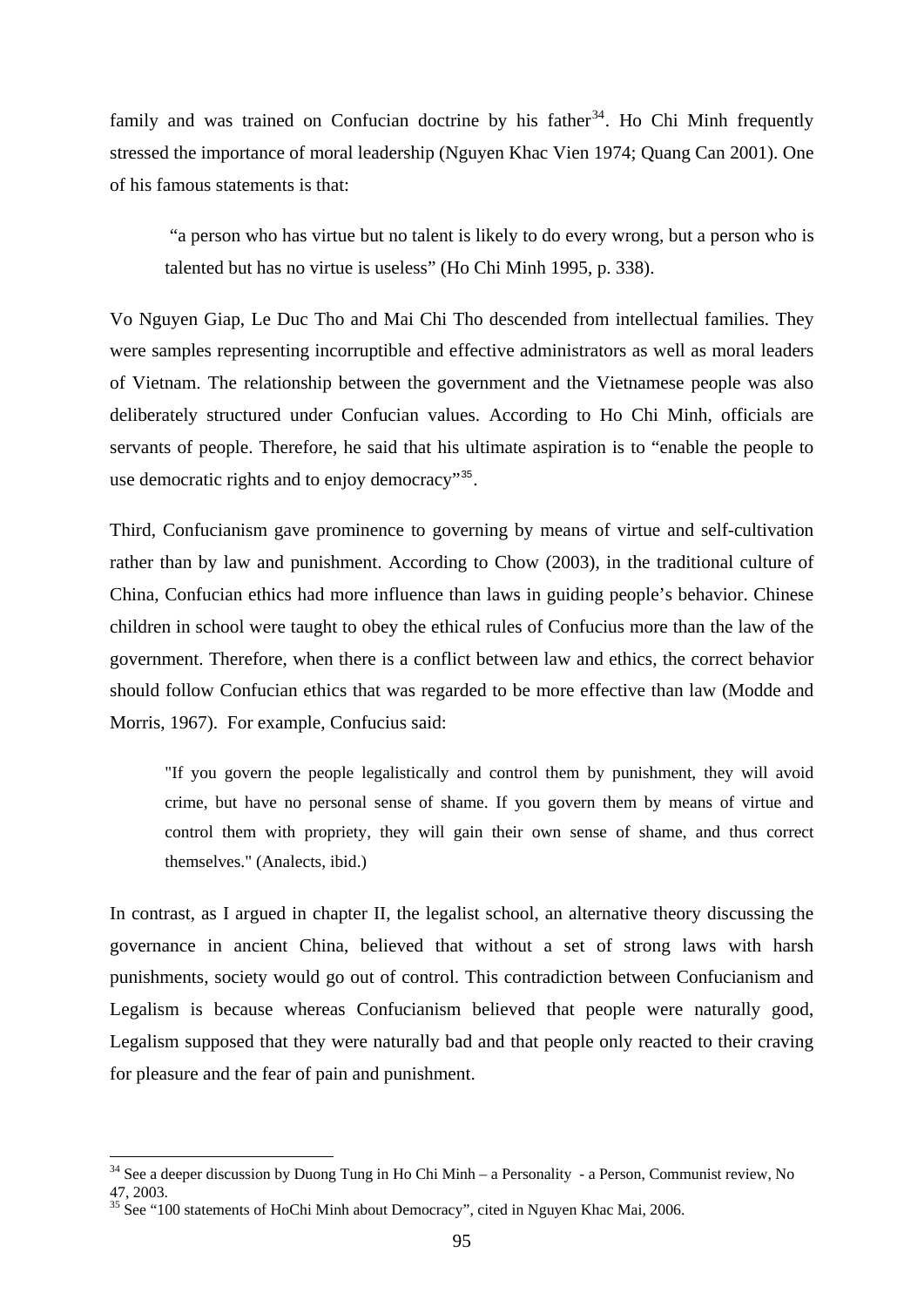family and was trained on Confucian doctrine by his father<sup>[34](#page-100-0)</sup>. Ho Chi Minh frequently stressed the importance of moral leadership (Nguyen Khac Vien 1974; Quang Can 2001). One of his famous statements is that:

 "a person who has virtue but no talent is likely to do every wrong, but a person who is talented but has no virtue is useless" (Ho Chi Minh 1995, p. 338).

Vo Nguyen Giap, Le Duc Tho and Mai Chi Tho descended from intellectual families. They were samples representing incorruptible and effective administrators as well as moral leaders of Vietnam. The relationship between the government and the Vietnamese people was also deliberately structured under Confucian values. According to Ho Chi Minh, officials are servants of people. Therefore, he said that his ultimate aspiration is to "enable the people to use democratic rights and to enjoy democracy"<sup>[35](#page-100-1)</sup>.

Third, Confucianism gave prominence to governing by means of virtue and self-cultivation rather than by law and punishment. According to Chow (2003), in the traditional culture of China, Confucian ethics had more influence than laws in guiding people's behavior. Chinese children in school were taught to obey the ethical rules of Confucius more than the law of the government. Therefore, when there is a conflict between law and ethics, the correct behavior should follow Confucian ethics that was regarded to be more effective than law (Modde and Morris, 1967). For example, Confucius said:

"If you govern the people legalistically and control them by punishment, they will avoid crime, but have no personal sense of shame. If you govern them by means of virtue and control them with propriety, they will gain their own sense of shame, and thus correct themselves." (Analects, ibid.)

In contrast, as I argued in chapter II, the legalist school, an alternative theory discussing the governance in ancient China, believed that without a set of strong laws with harsh punishments, society would go out of control. This contradiction between Confucianism and Legalism is because whereas Confucianism believed that people were naturally good, Legalism supposed that they were naturally bad and that people only reacted to their craving for pleasure and the fear of pain and punishment.

1

<span id="page-100-0"></span> $34$  See a deeper discussion by Duong Tung in Ho Chi Minh – a Personality - a Person, Communist review, No 47, 2003.

<span id="page-100-1"></span><sup>&</sup>lt;sup>35</sup> See "100 statements of HoChi Minh about Democracy", cited in Nguyen Khac Mai, 2006.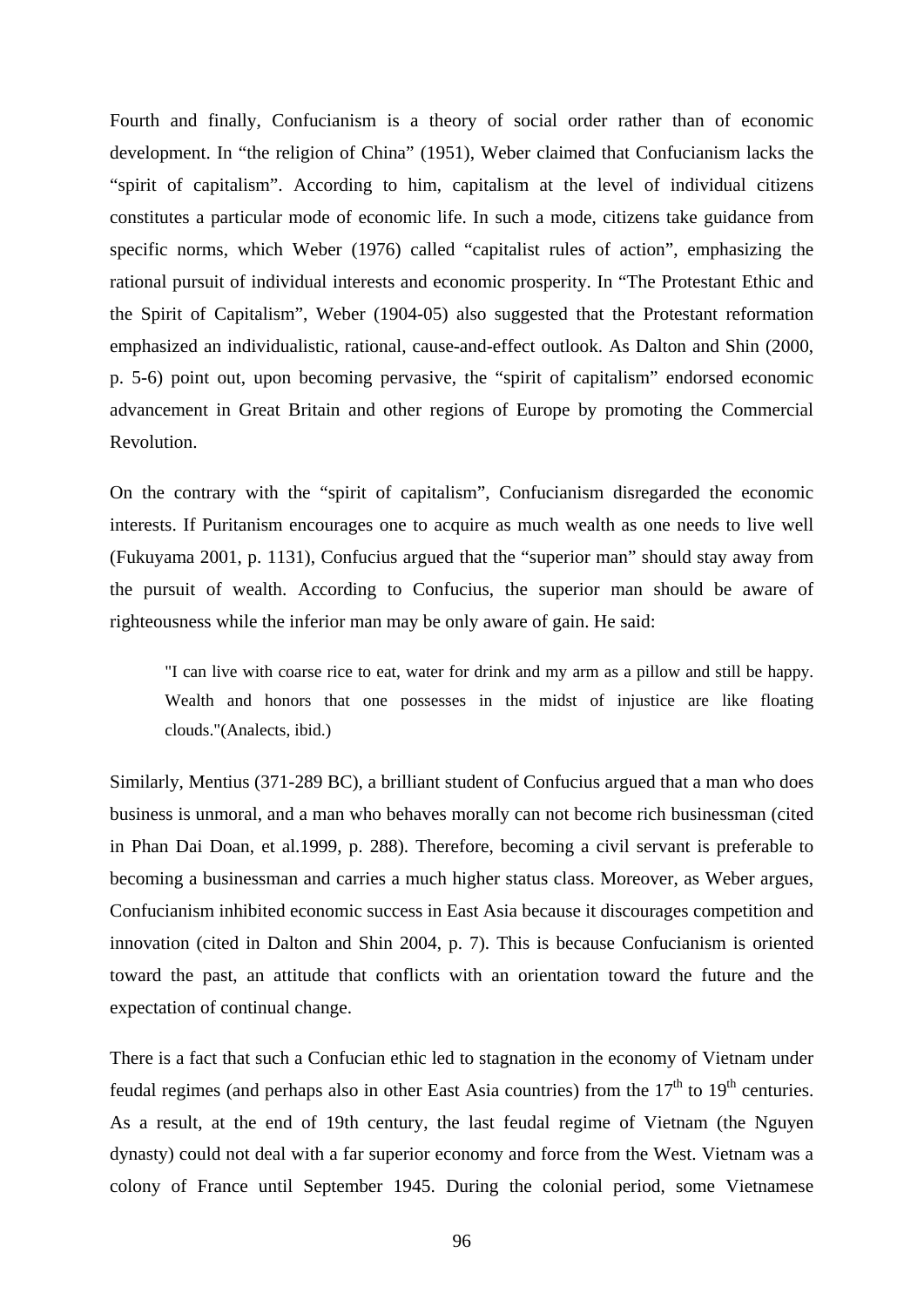Fourth and finally, Confucianism is a theory of social order rather than of economic development. In "the religion of China" (1951), Weber claimed that Confucianism lacks the "spirit of capitalism". According to him, capitalism at the level of individual citizens constitutes a particular mode of economic life. In such a mode, citizens take guidance from specific norms, which Weber (1976) called "capitalist rules of action", emphasizing the rational pursuit of individual interests and economic prosperity. In "The Protestant Ethic and the Spirit of Capitalism", Weber (1904-05) also suggested that the Protestant reformation emphasized an individualistic, rational, cause-and-effect outlook. As Dalton and Shin (2000, p. 5-6) point out, upon becoming pervasive, the "spirit of capitalism" endorsed economic advancement in Great Britain and other regions of Europe by promoting the Commercial Revolution.

On the contrary with the "spirit of capitalism", Confucianism disregarded the economic interests. If Puritanism encourages one to acquire as much wealth as one needs to live well (Fukuyama 2001, p. 1131), Confucius argued that the "superior man" should stay away from the pursuit of wealth. According to Confucius, the superior man should be aware of righteousness while the inferior man may be only aware of gain. He said:

"I can live with coarse rice to eat, water for drink and my arm as a pillow and still be happy. Wealth and honors that one possesses in the midst of injustice are like floating clouds."(Analects, ibid.)

Similarly, Mentius (371-289 BC), a brilliant student of Confucius argued that a man who does business is unmoral, and a man who behaves morally can not become rich businessman (cited in Phan Dai Doan, et al.1999, p. 288). Therefore, becoming a civil servant is preferable to becoming a businessman and carries a much higher status class. Moreover, as Weber argues, Confucianism inhibited economic success in East Asia because it discourages competition and innovation (cited in Dalton and Shin 2004, p. 7). This is because Confucianism is oriented toward the past, an attitude that conflicts with an orientation toward the future and the expectation of continual change.

There is a fact that such a Confucian ethic led to stagnation in the economy of Vietnam under feudal regimes (and perhaps also in other East Asia countries) from the  $17<sup>th</sup>$  to  $19<sup>th</sup>$  centuries. As a result, at the end of 19th century, the last feudal regime of Vietnam (the Nguyen dynasty) could not deal with a far superior economy and force from the West. Vietnam was a colony of France until September 1945. During the colonial period, some Vietnamese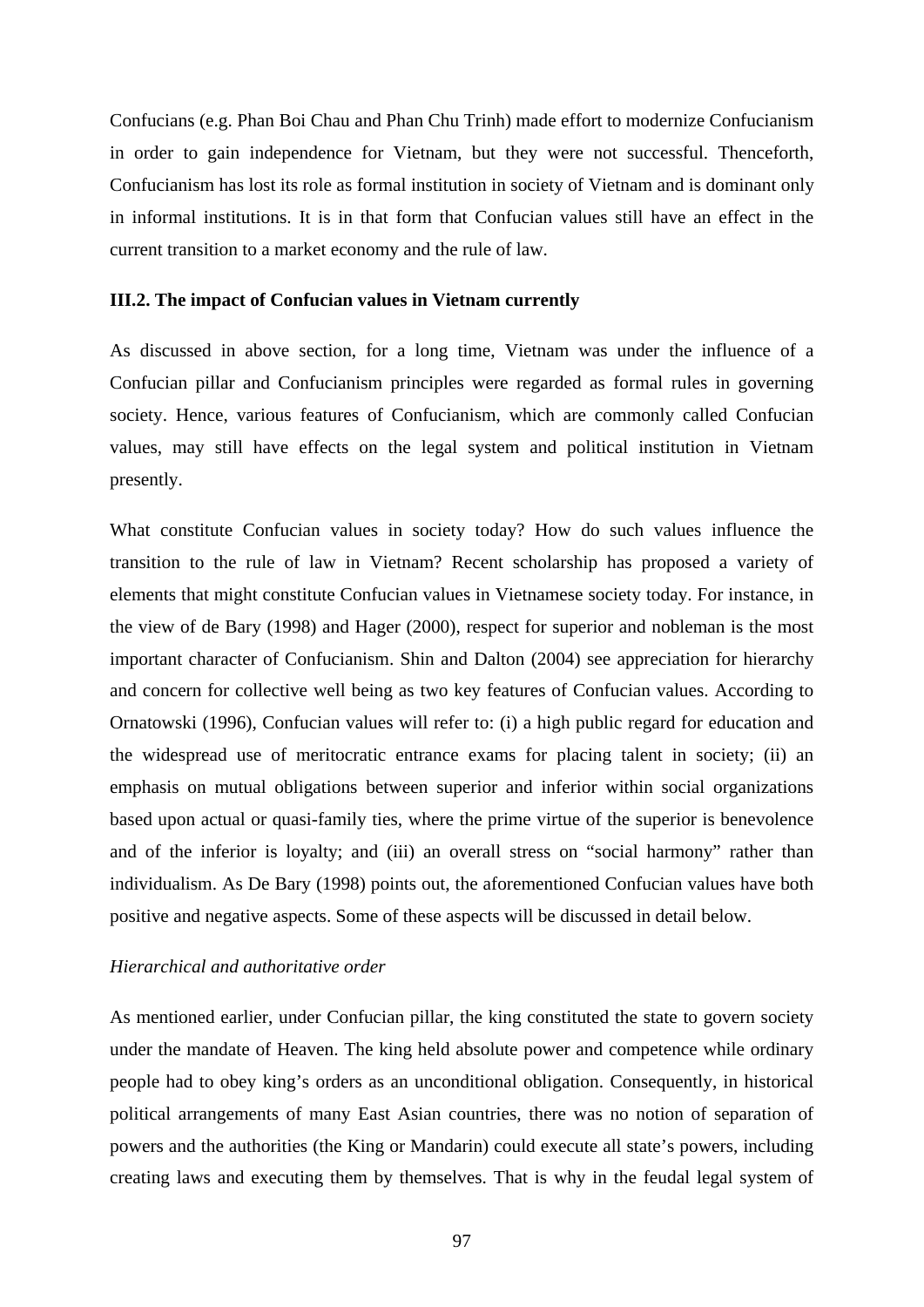Confucians (e.g. Phan Boi Chau and Phan Chu Trinh) made effort to modernize Confucianism in order to gain independence for Vietnam, but they were not successful. Thenceforth, Confucianism has lost its role as formal institution in society of Vietnam and is dominant only in informal institutions. It is in that form that Confucian values still have an effect in the current transition to a market economy and the rule of law.

## **III.2. The impact of Confucian values in Vietnam currently**

As discussed in above section, for a long time, Vietnam was under the influence of a Confucian pillar and Confucianism principles were regarded as formal rules in governing society. Hence, various features of Confucianism, which are commonly called Confucian values, may still have effects on the legal system and political institution in Vietnam presently.

What constitute Confucian values in society today? How do such values influence the transition to the rule of law in Vietnam? Recent scholarship has proposed a variety of elements that might constitute Confucian values in Vietnamese society today. For instance, in the view of de Bary (1998) and Hager (2000), respect for superior and nobleman is the most important character of Confucianism. Shin and Dalton (2004) see appreciation for hierarchy and concern for collective well being as two key features of Confucian values. According to Ornatowski (1996), Confucian values will refer to: (i) a high public regard for education and the widespread use of meritocratic entrance exams for placing talent in society; (ii) an emphasis on mutual obligations between superior and inferior within social organizations based upon actual or quasi-family ties, where the prime virtue of the superior is benevolence and of the inferior is loyalty; and (iii) an overall stress on "social harmony" rather than individualism. As De Bary (1998) points out, the aforementioned Confucian values have both positive and negative aspects. Some of these aspects will be discussed in detail below.

### *Hierarchical and authoritative order*

As mentioned earlier, under Confucian pillar, the king constituted the state to govern society under the mandate of Heaven. The king held absolute power and competence while ordinary people had to obey king's orders as an unconditional obligation. Consequently, in historical political arrangements of many East Asian countries, there was no notion of separation of powers and the authorities (the King or Mandarin) could execute all state's powers, including creating laws and executing them by themselves. That is why in the feudal legal system of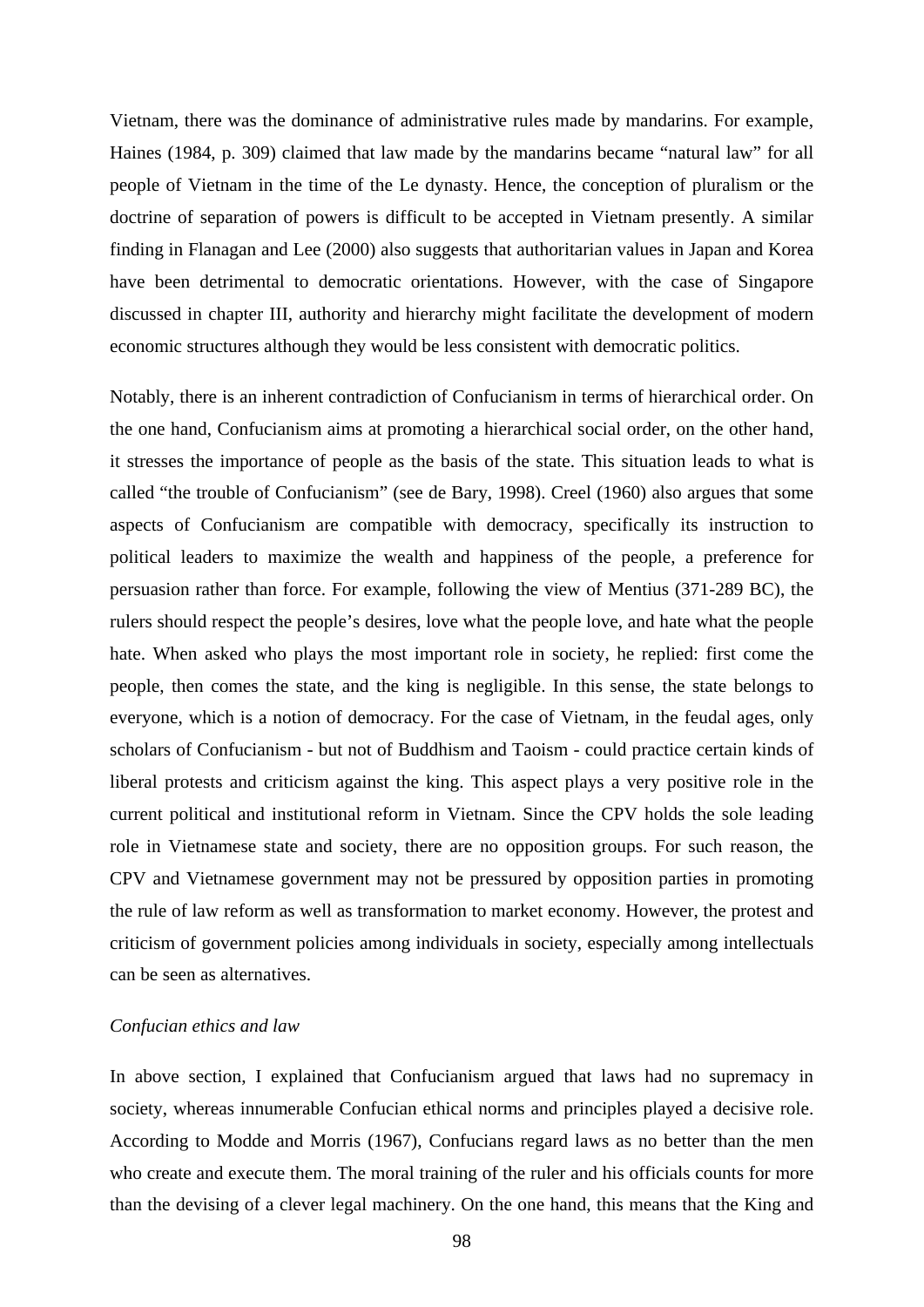Vietnam, there was the dominance of administrative rules made by mandarins. For example, Haines (1984, p. 309) claimed that law made by the mandarins became "natural law" for all people of Vietnam in the time of the Le dynasty. Hence, the conception of pluralism or the doctrine of separation of powers is difficult to be accepted in Vietnam presently. A similar finding in Flanagan and Lee (2000) also suggests that authoritarian values in Japan and Korea have been detrimental to democratic orientations. However, with the case of Singapore discussed in chapter III, authority and hierarchy might facilitate the development of modern economic structures although they would be less consistent with democratic politics.

Notably, there is an inherent contradiction of Confucianism in terms of hierarchical order. On the one hand, Confucianism aims at promoting a hierarchical social order, on the other hand, it stresses the importance of people as the basis of the state. This situation leads to what is called "the trouble of Confucianism" (see de Bary, 1998). Creel (1960) also argues that some aspects of Confucianism are compatible with democracy, specifically its instruction to political leaders to maximize the wealth and happiness of the people, a preference for persuasion rather than force. For example, following the view of Mentius (371-289 BC), the rulers should respect the people's desires, love what the people love, and hate what the people hate. When asked who plays the most important role in society, he replied: first come the people, then comes the state, and the king is negligible. In this sense, the state belongs to everyone, which is a notion of democracy. For the case of Vietnam, in the feudal ages, only scholars of Confucianism - but not of Buddhism and Taoism - could practice certain kinds of liberal protests and criticism against the king. This aspect plays a very positive role in the current political and institutional reform in Vietnam. Since the CPV holds the sole leading role in Vietnamese state and society, there are no opposition groups. For such reason, the CPV and Vietnamese government may not be pressured by opposition parties in promoting the rule of law reform as well as transformation to market economy. However, the protest and criticism of government policies among individuals in society, especially among intellectuals can be seen as alternatives.

### *Confucian ethics and law*

In above section, I explained that Confucianism argued that laws had no supremacy in society, whereas innumerable Confucian ethical norms and principles played a decisive role. According to Modde and Morris (1967), Confucians regard laws as no better than the men who create and execute them. The moral training of the ruler and his officials counts for more than the devising of a clever legal machinery. On the one hand, this means that the King and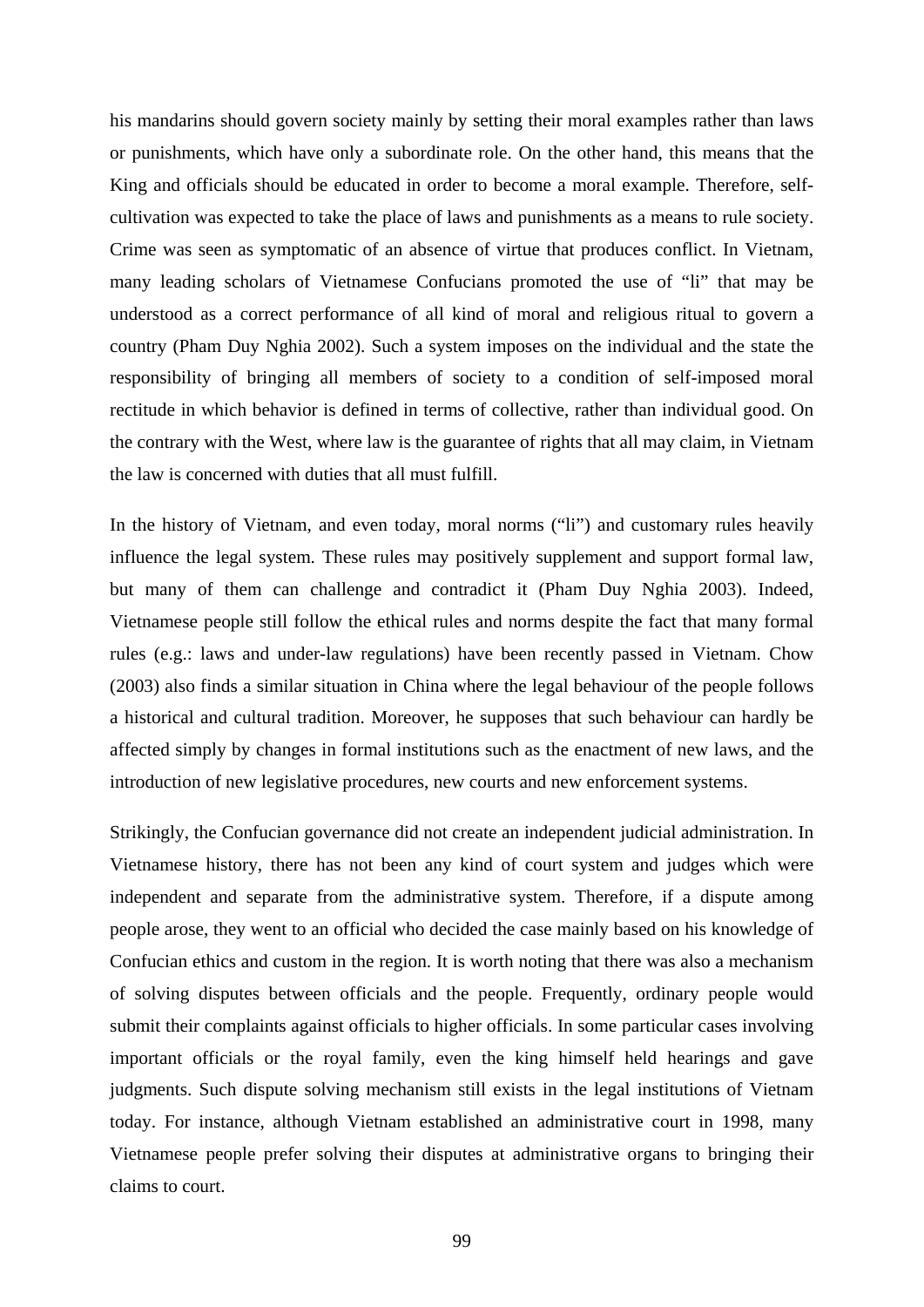his mandarins should govern society mainly by setting their moral examples rather than laws or punishments, which have only a subordinate role. On the other hand, this means that the King and officials should be educated in order to become a moral example. Therefore, selfcultivation was expected to take the place of laws and punishments as a means to rule society. Crime was seen as symptomatic of an absence of virtue that produces conflict. In Vietnam, many leading scholars of Vietnamese Confucians promoted the use of "li" that may be understood as a correct performance of all kind of moral and religious ritual to govern a country (Pham Duy Nghia 2002). Such a system imposes on the individual and the state the responsibility of bringing all members of society to a condition of self-imposed moral rectitude in which behavior is defined in terms of collective, rather than individual good. On the contrary with the West, where law is the guarantee of rights that all may claim, in Vietnam the law is concerned with duties that all must fulfill.

In the history of Vietnam, and even today, moral norms ("li") and customary rules heavily influence the legal system. These rules may positively supplement and support formal law, but many of them can challenge and contradict it (Pham Duy Nghia 2003). Indeed, Vietnamese people still follow the ethical rules and norms despite the fact that many formal rules (e.g.: laws and under-law regulations) have been recently passed in Vietnam. Chow (2003) also finds a similar situation in China where the legal behaviour of the people follows a historical and cultural tradition. Moreover, he supposes that such behaviour can hardly be affected simply by changes in formal institutions such as the enactment of new laws, and the introduction of new legislative procedures, new courts and new enforcement systems.

Strikingly, the Confucian governance did not create an independent judicial administration. In Vietnamese history, there has not been any kind of court system and judges which were independent and separate from the administrative system. Therefore, if a dispute among people arose, they went to an official who decided the case mainly based on his knowledge of Confucian ethics and custom in the region. It is worth noting that there was also a mechanism of solving disputes between officials and the people. Frequently, ordinary people would submit their complaints against officials to higher officials. In some particular cases involving important officials or the royal family, even the king himself held hearings and gave judgments. Such dispute solving mechanism still exists in the legal institutions of Vietnam today. For instance, although Vietnam established an administrative court in 1998, many Vietnamese people prefer solving their disputes at administrative organs to bringing their claims to court.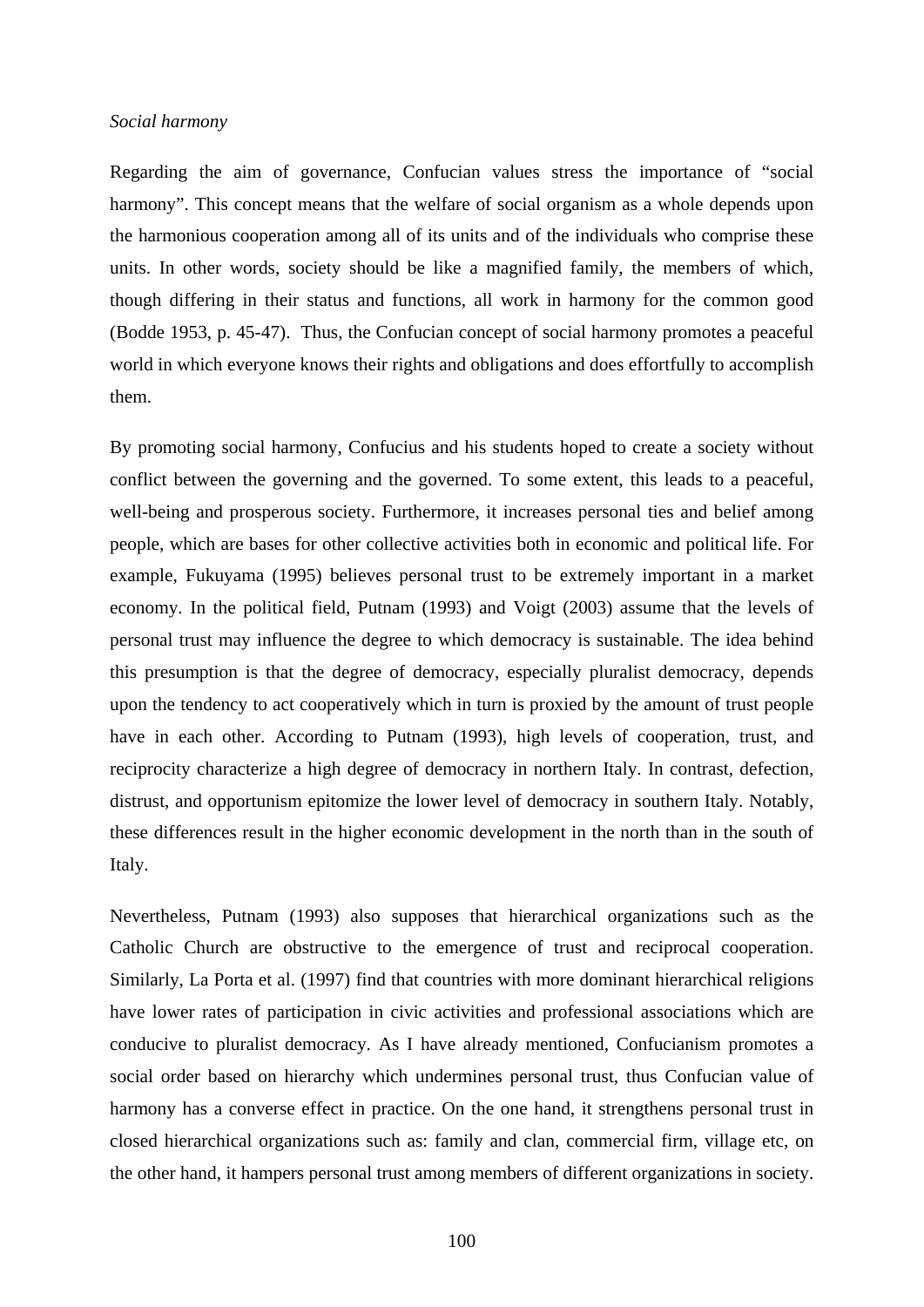#### *Social harmony*

Regarding the aim of governance, Confucian values stress the importance of "social harmony". This concept means that the welfare of social organism as a whole depends upon the harmonious cooperation among all of its units and of the individuals who comprise these units. In other words, society should be like a magnified family, the members of which, though differing in their status and functions, all work in harmony for the common good (Bodde 1953, p. 45-47). Thus, the Confucian concept of social harmony promotes a peaceful world in which everyone knows their rights and obligations and does effortfully to accomplish them.

By promoting social harmony, Confucius and his students hoped to create a society without conflict between the governing and the governed. To some extent, this leads to a peaceful, well-being and prosperous society. Furthermore, it increases personal ties and belief among people, which are bases for other collective activities both in economic and political life. For example, Fukuyama (1995) believes personal trust to be extremely important in a market economy. In the political field, Putnam (1993) and Voigt (2003) assume that the levels of personal trust may influence the degree to which democracy is sustainable. The idea behind this presumption is that the degree of democracy, especially pluralist democracy, depends upon the tendency to act cooperatively which in turn is proxied by the amount of trust people have in each other. According to Putnam (1993), high levels of cooperation, trust, and reciprocity characterize a high degree of democracy in northern Italy. In contrast, defection, distrust, and opportunism epitomize the lower level of democracy in southern Italy. Notably, these differences result in the higher economic development in the north than in the south of Italy.

Nevertheless, Putnam (1993) also supposes that hierarchical organizations such as the Catholic Church are obstructive to the emergence of trust and reciprocal cooperation. Similarly, La Porta et al. (1997) find that countries with more dominant hierarchical religions have lower rates of participation in civic activities and professional associations which are conducive to pluralist democracy. As I have already mentioned, Confucianism promotes a social order based on hierarchy which undermines personal trust, thus Confucian value of harmony has a converse effect in practice. On the one hand, it strengthens personal trust in closed hierarchical organizations such as: family and clan, commercial firm, village etc, on the other hand, it hampers personal trust among members of different organizations in society.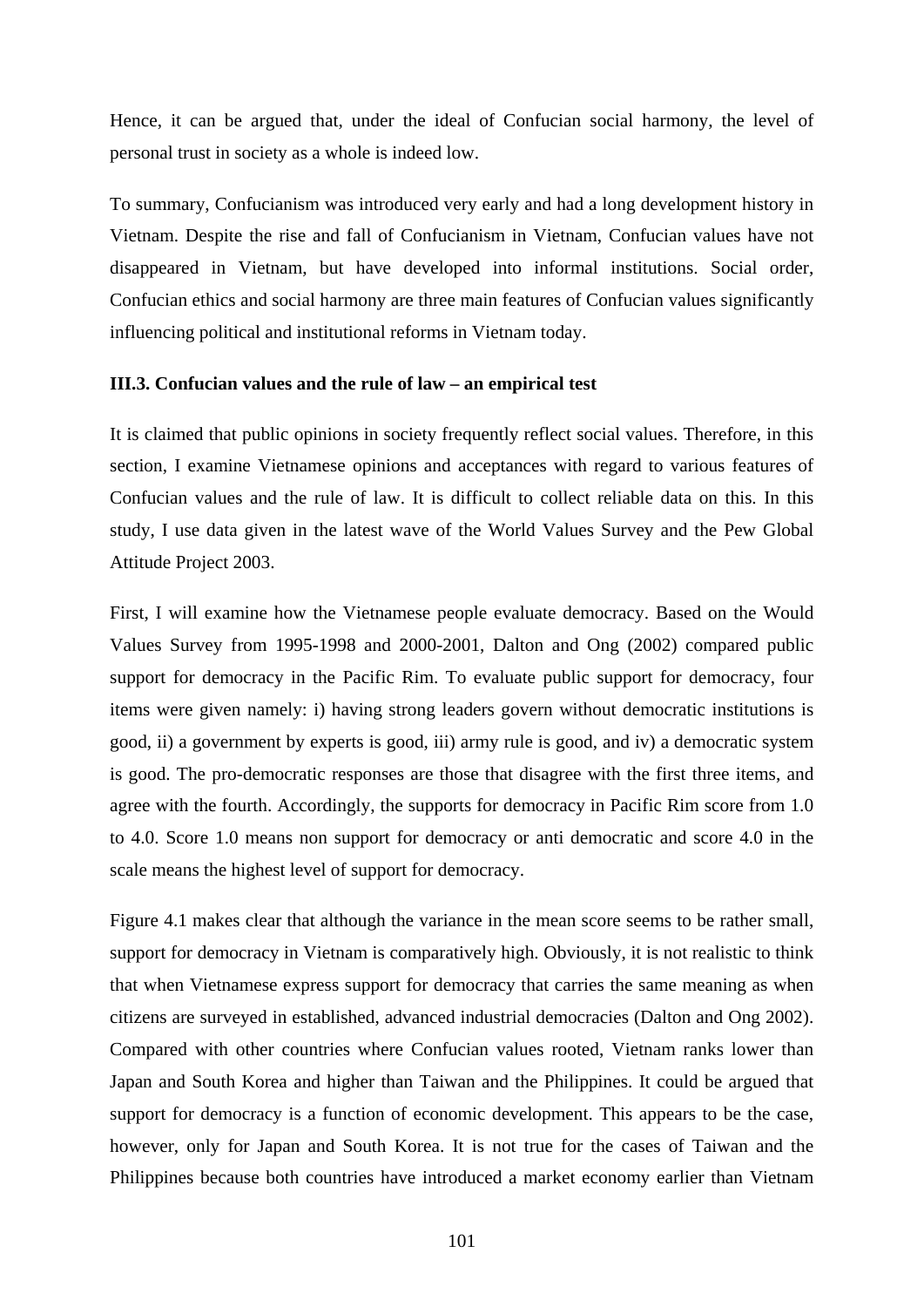Hence, it can be argued that, under the ideal of Confucian social harmony, the level of personal trust in society as a whole is indeed low.

To summary, Confucianism was introduced very early and had a long development history in Vietnam. Despite the rise and fall of Confucianism in Vietnam, Confucian values have not disappeared in Vietnam, but have developed into informal institutions. Social order, Confucian ethics and social harmony are three main features of Confucian values significantly influencing political and institutional reforms in Vietnam today.

#### **III.3. Confucian values and the rule of law – an empirical test**

It is claimed that public opinions in society frequently reflect social values. Therefore, in this section, I examine Vietnamese opinions and acceptances with regard to various features of Confucian values and the rule of law. It is difficult to collect reliable data on this. In this study, I use data given in the latest wave of the World Values Survey and the Pew Global Attitude Project 2003.

First, I will examine how the Vietnamese people evaluate democracy. Based on the Would Values Survey from 1995-1998 and 2000-2001, Dalton and Ong (2002) compared public support for democracy in the Pacific Rim. To evaluate public support for democracy, four items were given namely: i) having strong leaders govern without democratic institutions is good, ii) a government by experts is good, iii) army rule is good, and iv) a democratic system is good. The pro-democratic responses are those that disagree with the first three items, and agree with the fourth. Accordingly, the supports for democracy in Pacific Rim score from 1.0 to 4.0. Score 1.0 means non support for democracy or anti democratic and score 4.0 in the scale means the highest level of support for democracy.

Figure 4.1 makes clear that although the variance in the mean score seems to be rather small, support for democracy in Vietnam is comparatively high. Obviously, it is not realistic to think that when Vietnamese express support for democracy that carries the same meaning as when citizens are surveyed in established, advanced industrial democracies (Dalton and Ong 2002). Compared with other countries where Confucian values rooted, Vietnam ranks lower than Japan and South Korea and higher than Taiwan and the Philippines. It could be argued that support for democracy is a function of economic development. This appears to be the case, however, only for Japan and South Korea. It is not true for the cases of Taiwan and the Philippines because both countries have introduced a market economy earlier than Vietnam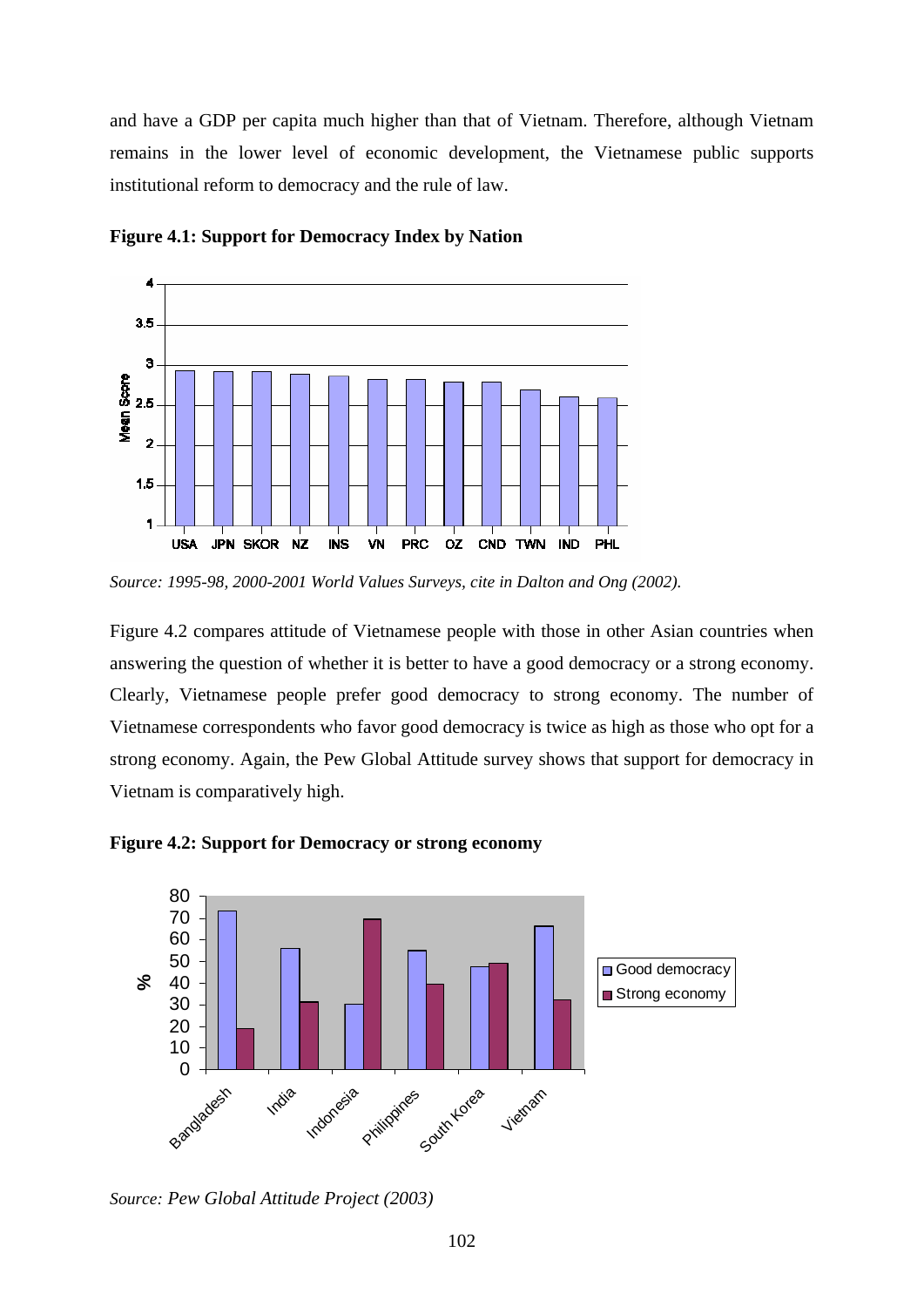and have a GDP per capita much higher than that of Vietnam. Therefore, although Vietnam remains in the lower level of economic development, the Vietnamese public supports institutional reform to democracy and the rule of law.



**Figure 4.1: Support for Democracy Index by Nation** 

Figure 4.2 compares attitude of Vietnamese people with those in other Asian countries when answering the question of whether it is better to have a good democracy or a strong economy. Clearly, Vietnamese people prefer good democracy to strong economy. The number of Vietnamese correspondents who favor good democracy is twice as high as those who opt for a strong economy. Again, the Pew Global Attitude survey shows that support for democracy in Vietnam is comparatively high.





*Source: Pew Global Attitude Project (2003)*

*Source: 1995-98, 2000-2001 World Values Surveys, cite in Dalton and Ong (2002).*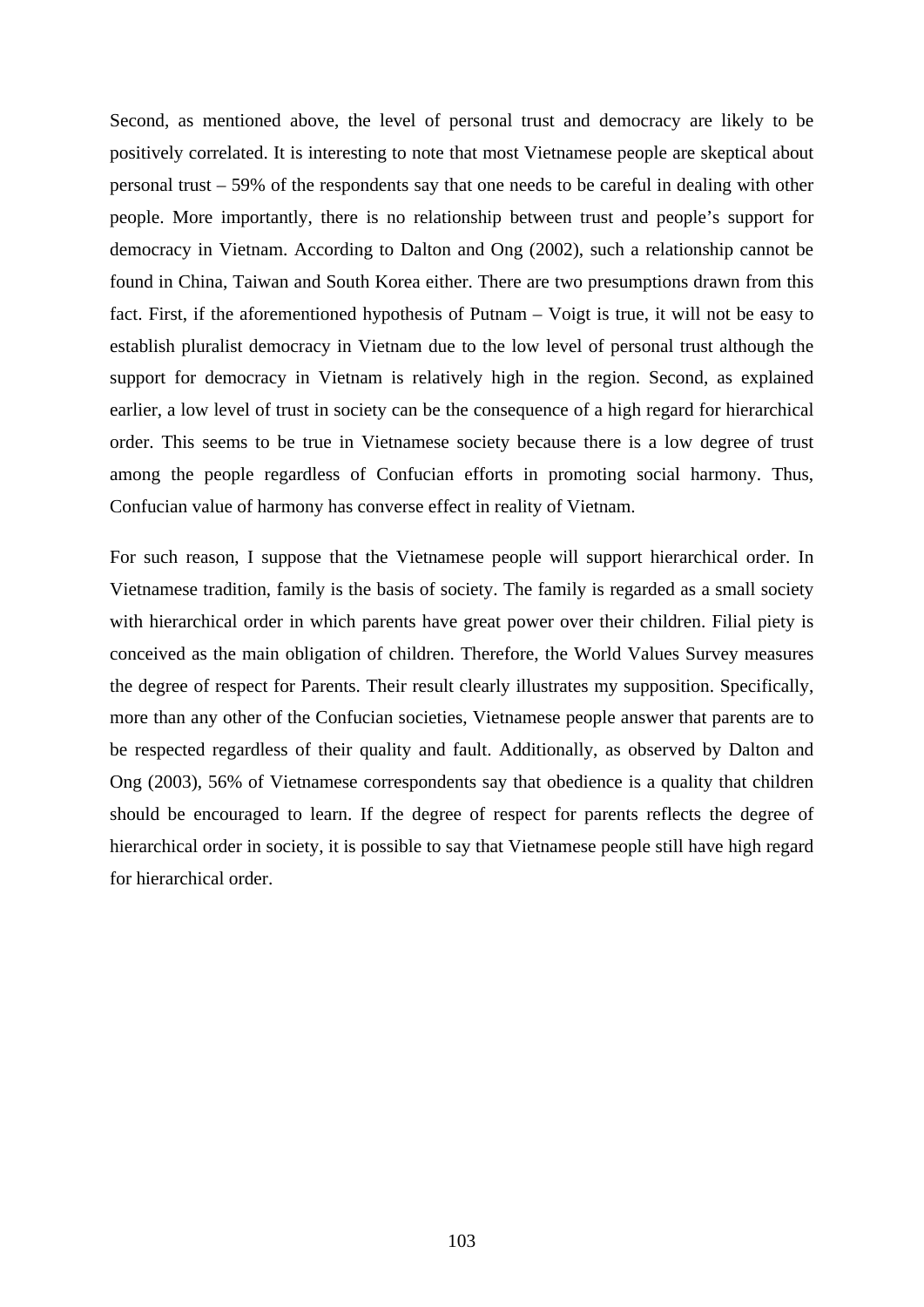Second, as mentioned above, the level of personal trust and democracy are likely to be positively correlated. It is interesting to note that most Vietnamese people are skeptical about personal trust – 59% of the respondents say that one needs to be careful in dealing with other people. More importantly, there is no relationship between trust and people's support for democracy in Vietnam. According to Dalton and Ong (2002), such a relationship cannot be found in China, Taiwan and South Korea either. There are two presumptions drawn from this fact. First, if the aforementioned hypothesis of Putnam – Voigt is true, it will not be easy to establish pluralist democracy in Vietnam due to the low level of personal trust although the support for democracy in Vietnam is relatively high in the region. Second, as explained earlier, a low level of trust in society can be the consequence of a high regard for hierarchical order. This seems to be true in Vietnamese society because there is a low degree of trust among the people regardless of Confucian efforts in promoting social harmony. Thus, Confucian value of harmony has converse effect in reality of Vietnam.

For such reason, I suppose that the Vietnamese people will support hierarchical order. In Vietnamese tradition, family is the basis of society. The family is regarded as a small society with hierarchical order in which parents have great power over their children. Filial piety is conceived as the main obligation of children. Therefore, the World Values Survey measures the degree of respect for Parents. Their result clearly illustrates my supposition. Specifically, more than any other of the Confucian societies, Vietnamese people answer that parents are to be respected regardless of their quality and fault. Additionally, as observed by Dalton and Ong (2003), 56% of Vietnamese correspondents say that obedience is a quality that children should be encouraged to learn. If the degree of respect for parents reflects the degree of hierarchical order in society, it is possible to say that Vietnamese people still have high regard for hierarchical order.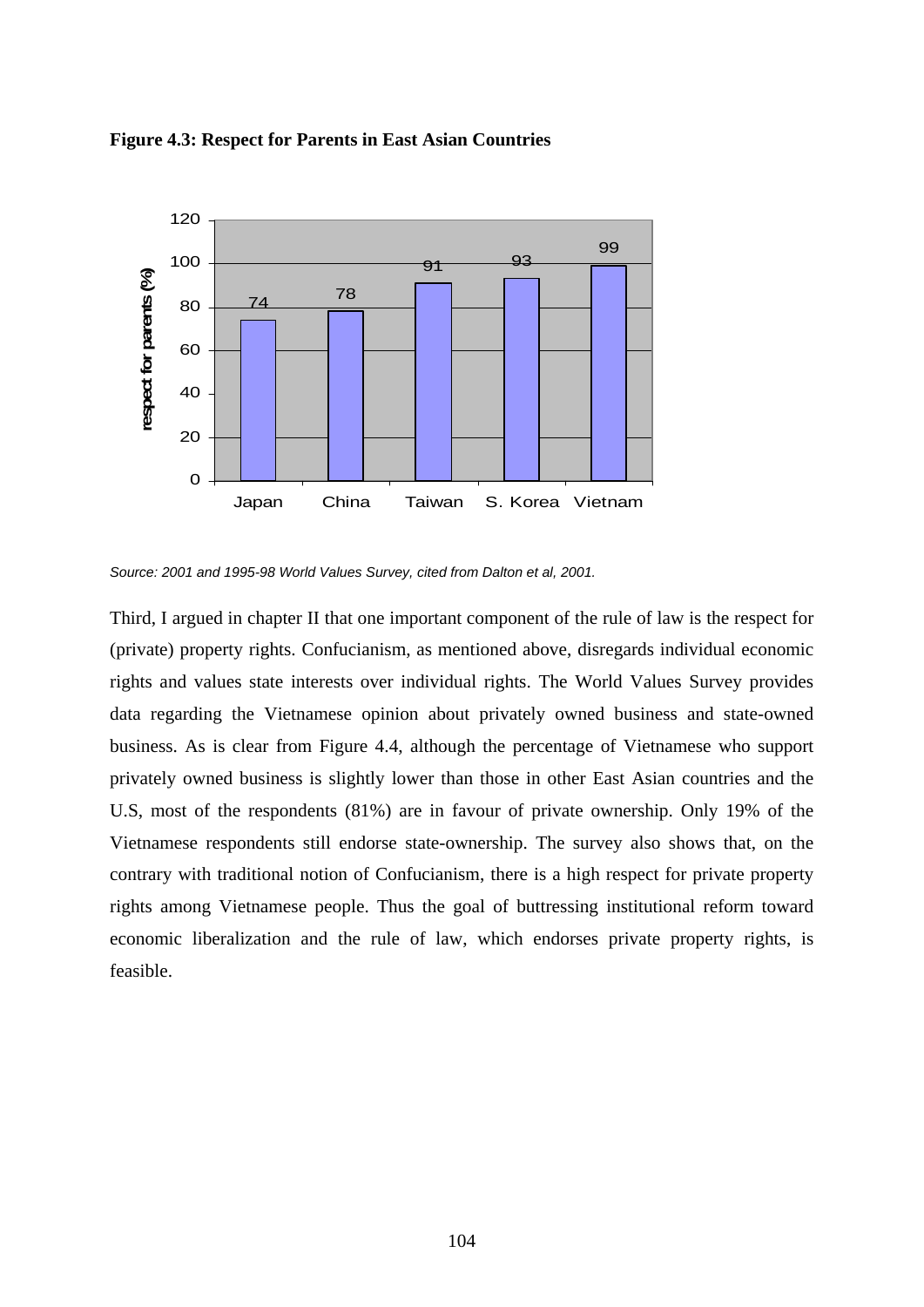



*Source: 2001 and 1995-98 World Values Survey, cited from Dalton et al, 2001.* 

Third, I argued in chapter II that one important component of the rule of law is the respect for (private) property rights. Confucianism, as mentioned above, disregards individual economic rights and values state interests over individual rights. The World Values Survey provides data regarding the Vietnamese opinion about privately owned business and state-owned business. As is clear from Figure 4.4, although the percentage of Vietnamese who support privately owned business is slightly lower than those in other East Asian countries and the U.S, most of the respondents (81%) are in favour of private ownership. Only 19% of the Vietnamese respondents still endorse state-ownership. The survey also shows that, on the contrary with traditional notion of Confucianism, there is a high respect for private property rights among Vietnamese people. Thus the goal of buttressing institutional reform toward economic liberalization and the rule of law, which endorses private property rights, is feasible.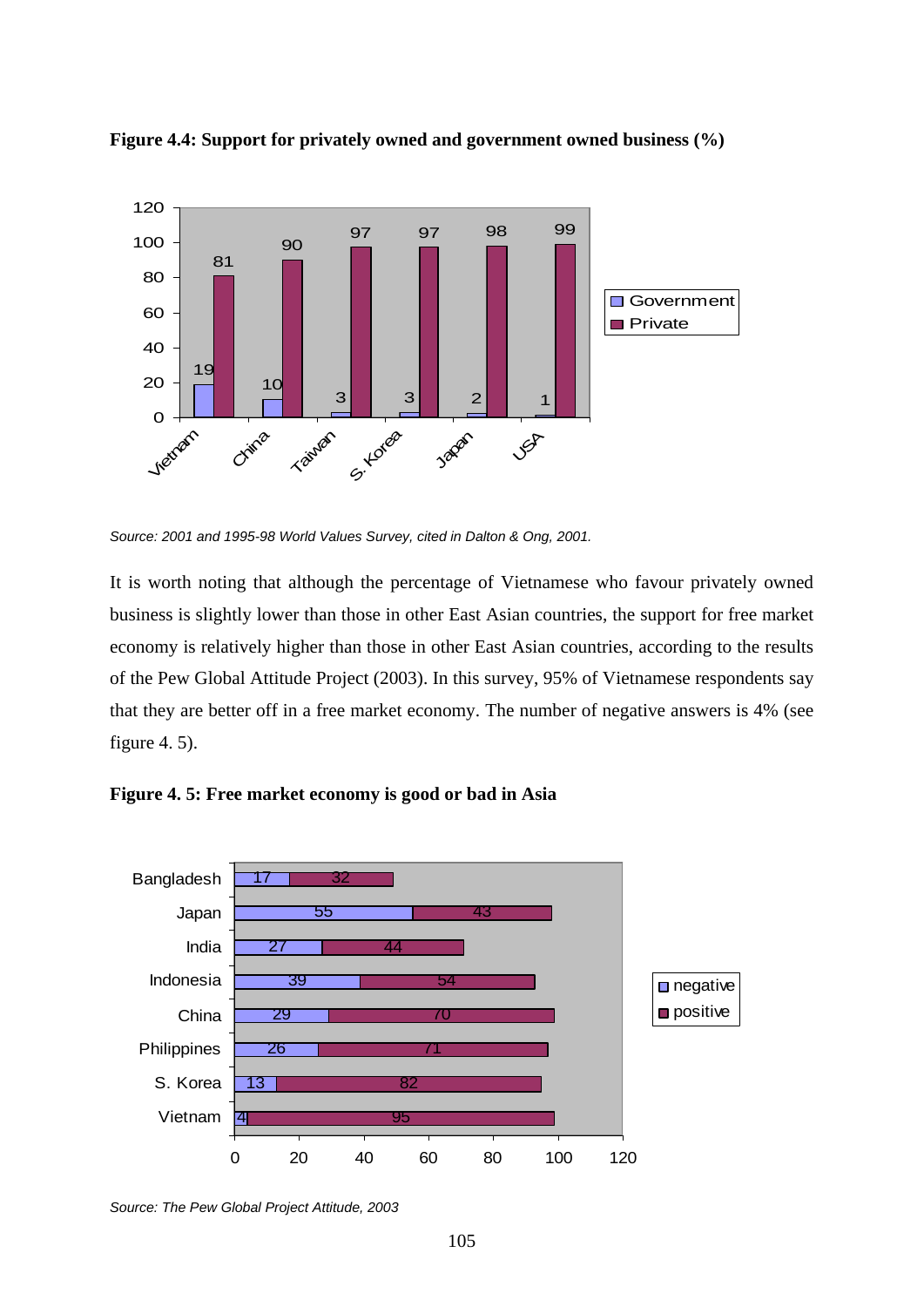

**Figure 4.4: Support for privately owned and government owned business (%)** 

*Source: 2001 and 1995-98 World Values Survey, cited in Dalton & Ong, 2001.* 

It is worth noting that although the percentage of Vietnamese who favour privately owned business is slightly lower than those in other East Asian countries, the support for free market economy is relatively higher than those in other East Asian countries, according to the results of the Pew Global Attitude Project (2003). In this survey, 95% of Vietnamese respondents say that they are better off in a free market economy. The number of negative answers is 4% (see figure 4. 5).





*Source: The Pew Global Project Attitude, 2003*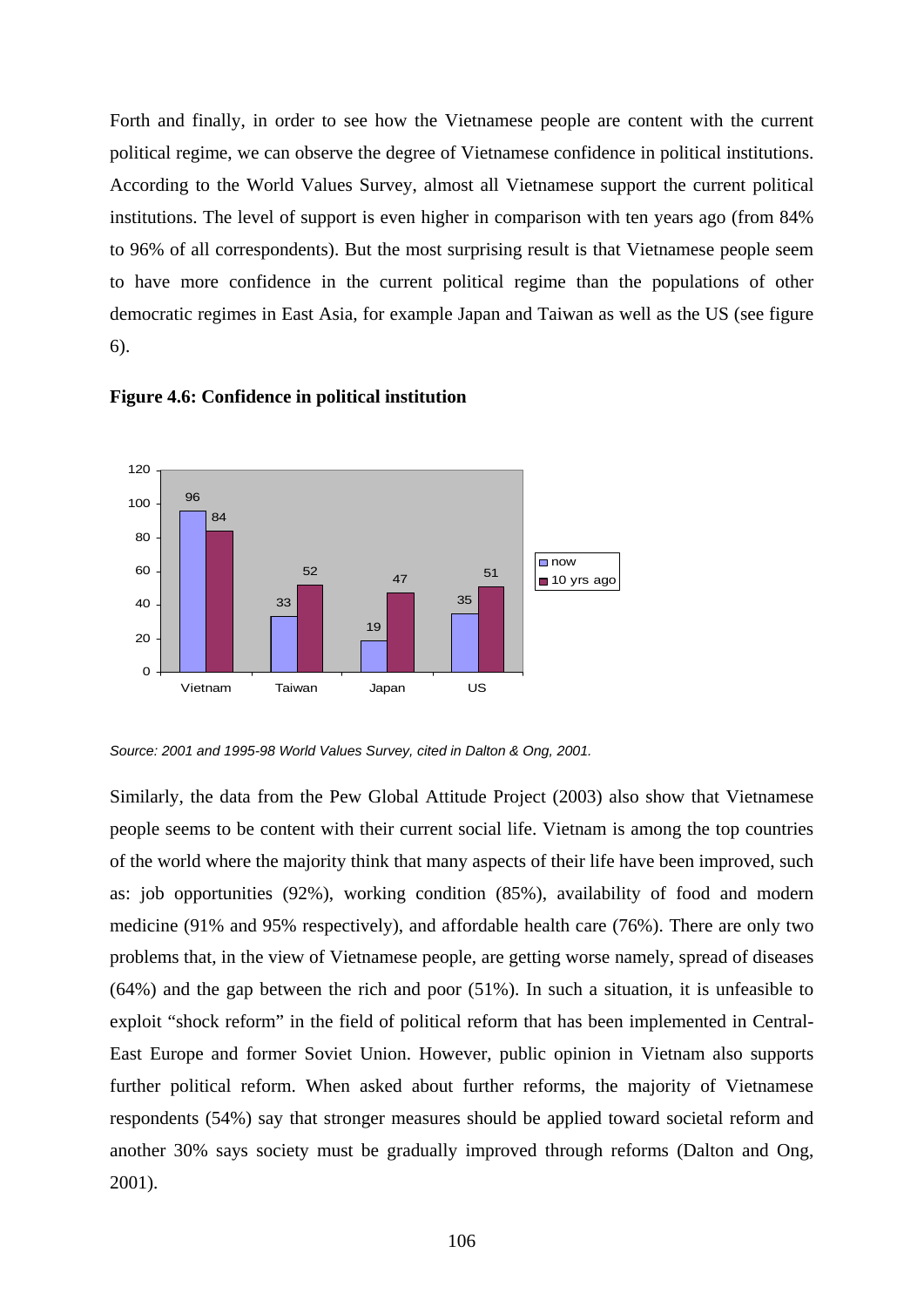Forth and finally, in order to see how the Vietnamese people are content with the current political regime, we can observe the degree of Vietnamese confidence in political institutions. According to the World Values Survey, almost all Vietnamese support the current political institutions. The level of support is even higher in comparison with ten years ago (from 84% to 96% of all correspondents). But the most surprising result is that Vietnamese people seem to have more confidence in the current political regime than the populations of other democratic regimes in East Asia, for example Japan and Taiwan as well as the US (see figure 6).



**Figure 4.6: Confidence in political institution** 

*Source: 2001 and 1995-98 World Values Survey, cited in Dalton & Ong, 2001.* 

Similarly, the data from the Pew Global Attitude Project (2003) also show that Vietnamese people seems to be content with their current social life. Vietnam is among the top countries of the world where the majority think that many aspects of their life have been improved, such as: job opportunities (92%), working condition (85%), availability of food and modern medicine (91% and 95% respectively), and affordable health care (76%). There are only two problems that, in the view of Vietnamese people, are getting worse namely, spread of diseases (64%) and the gap between the rich and poor (51%). In such a situation, it is unfeasible to exploit "shock reform" in the field of political reform that has been implemented in Central-East Europe and former Soviet Union. However, public opinion in Vietnam also supports further political reform. When asked about further reforms, the majority of Vietnamese respondents (54%) say that stronger measures should be applied toward societal reform and another 30% says society must be gradually improved through reforms (Dalton and Ong, 2001).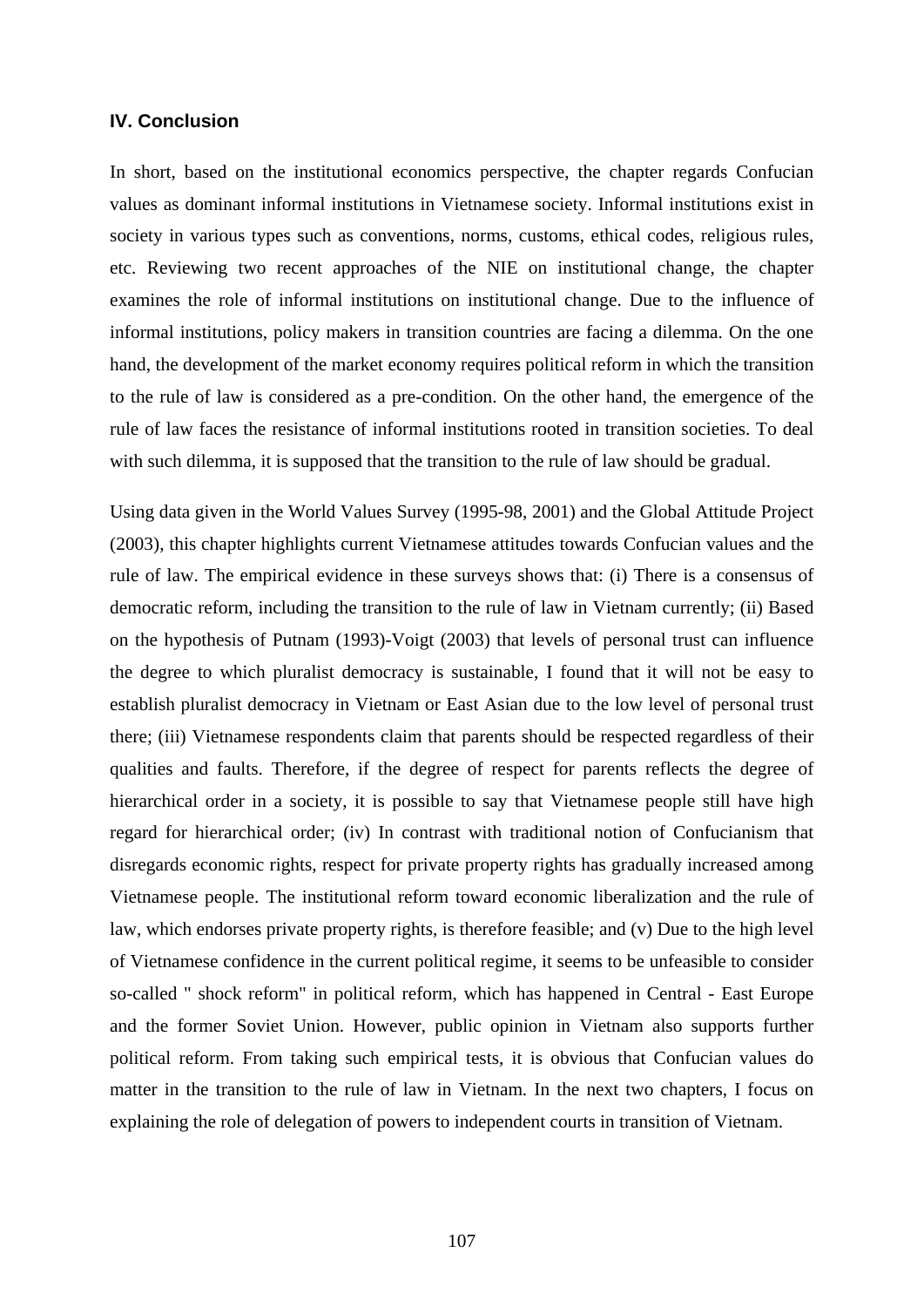## **IV. Conclusion**

In short, based on the institutional economics perspective, the chapter regards Confucian values as dominant informal institutions in Vietnamese society. Informal institutions exist in society in various types such as conventions, norms, customs, ethical codes, religious rules, etc. Reviewing two recent approaches of the NIE on institutional change, the chapter examines the role of informal institutions on institutional change. Due to the influence of informal institutions, policy makers in transition countries are facing a dilemma. On the one hand, the development of the market economy requires political reform in which the transition to the rule of law is considered as a pre-condition. On the other hand, the emergence of the rule of law faces the resistance of informal institutions rooted in transition societies. To deal with such dilemma, it is supposed that the transition to the rule of law should be gradual.

Using data given in the World Values Survey (1995-98, 2001) and the Global Attitude Project (2003), this chapter highlights current Vietnamese attitudes towards Confucian values and the rule of law. The empirical evidence in these surveys shows that: (i) There is a consensus of democratic reform, including the transition to the rule of law in Vietnam currently; (ii) Based on the hypothesis of Putnam (1993)-Voigt (2003) that levels of personal trust can influence the degree to which pluralist democracy is sustainable, I found that it will not be easy to establish pluralist democracy in Vietnam or East Asian due to the low level of personal trust there; (iii) Vietnamese respondents claim that parents should be respected regardless of their qualities and faults. Therefore, if the degree of respect for parents reflects the degree of hierarchical order in a society, it is possible to say that Vietnamese people still have high regard for hierarchical order; (iv) In contrast with traditional notion of Confucianism that disregards economic rights, respect for private property rights has gradually increased among Vietnamese people. The institutional reform toward economic liberalization and the rule of law, which endorses private property rights, is therefore feasible; and (v) Due to the high level of Vietnamese confidence in the current political regime, it seems to be unfeasible to consider so-called " shock reform" in political reform, which has happened in Central - East Europe and the former Soviet Union. However, public opinion in Vietnam also supports further political reform. From taking such empirical tests, it is obvious that Confucian values do matter in the transition to the rule of law in Vietnam. In the next two chapters, I focus on explaining the role of delegation of powers to independent courts in transition of Vietnam.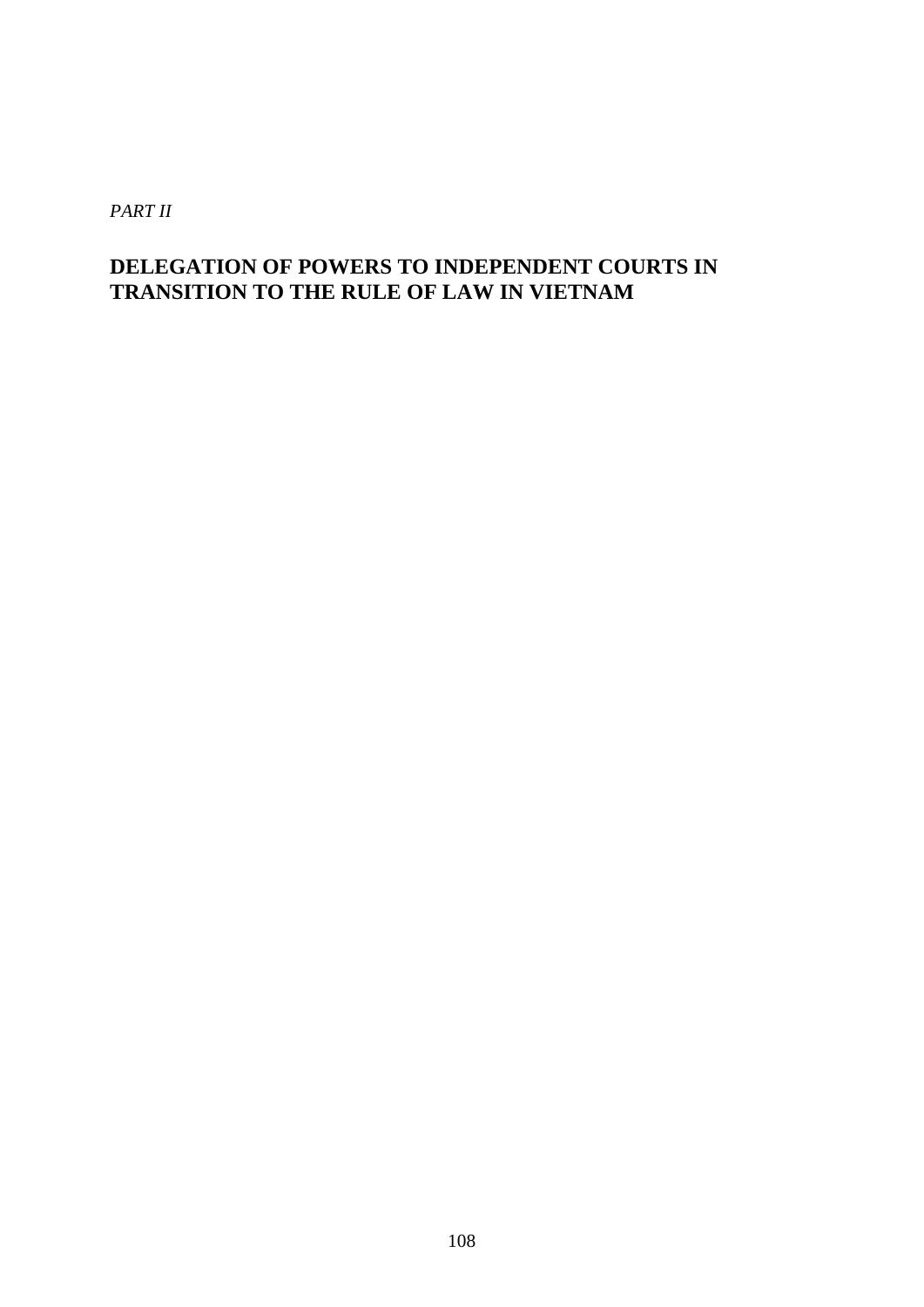*PART II* 

## **DELEGATION OF POWERS TO INDEPENDENT COURTS IN TRANSITION TO THE RULE OF LAW IN VIETNAM**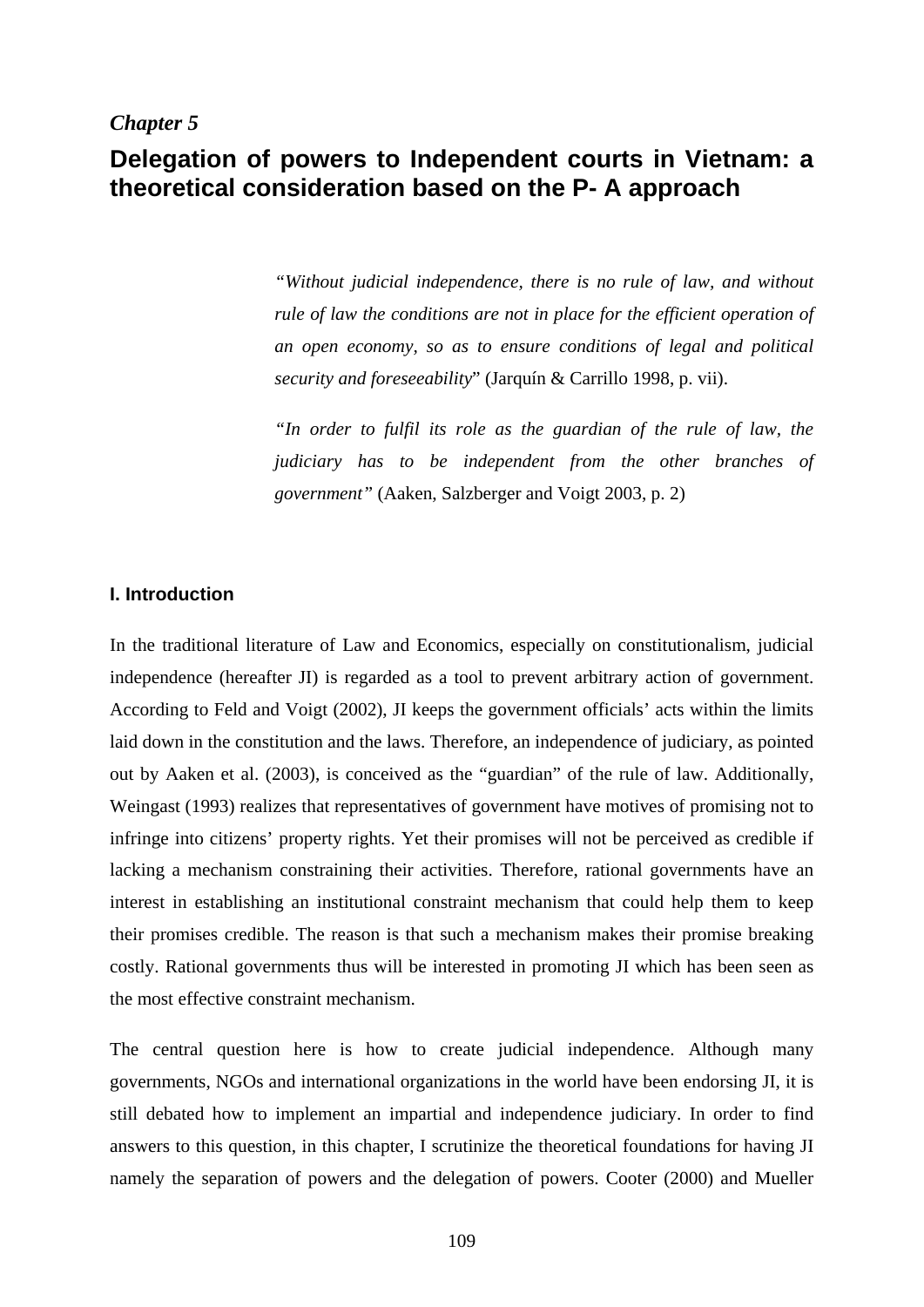#### *Chapter 5*

# **Delegation of powers to Independent courts in Vietnam: a theoretical consideration based on the P- A approach**

*"Without judicial independence, there is no rule of law, and without rule of law the conditions are not in place for the efficient operation of an open economy, so as to ensure conditions of legal and political security and foreseeability*" (Jarquín & Carrillo 1998, p. vii).

*"In order to fulfil its role as the guardian of the rule of law, the judiciary has to be independent from the other branches of government"* (Aaken, Salzberger and Voigt 2003, p. 2)

## **I. Introduction**

In the traditional literature of Law and Economics, especially on constitutionalism, judicial independence (hereafter JI) is regarded as a tool to prevent arbitrary action of government. According to Feld and Voigt (2002), JI keeps the government officials' acts within the limits laid down in the constitution and the laws. Therefore, an independence of judiciary, as pointed out by Aaken et al. (2003), is conceived as the "guardian" of the rule of law. Additionally, Weingast (1993) realizes that representatives of government have motives of promising not to infringe into citizens' property rights. Yet their promises will not be perceived as credible if lacking a mechanism constraining their activities. Therefore, rational governments have an interest in establishing an institutional constraint mechanism that could help them to keep their promises credible. The reason is that such a mechanism makes their promise breaking costly. Rational governments thus will be interested in promoting JI which has been seen as the most effective constraint mechanism.

The central question here is how to create judicial independence. Although many governments, NGOs and international organizations in the world have been endorsing JI, it is still debated how to implement an impartial and independence judiciary. In order to find answers to this question, in this chapter, I scrutinize the theoretical foundations for having JI namely the separation of powers and the delegation of powers. Cooter (2000) and Mueller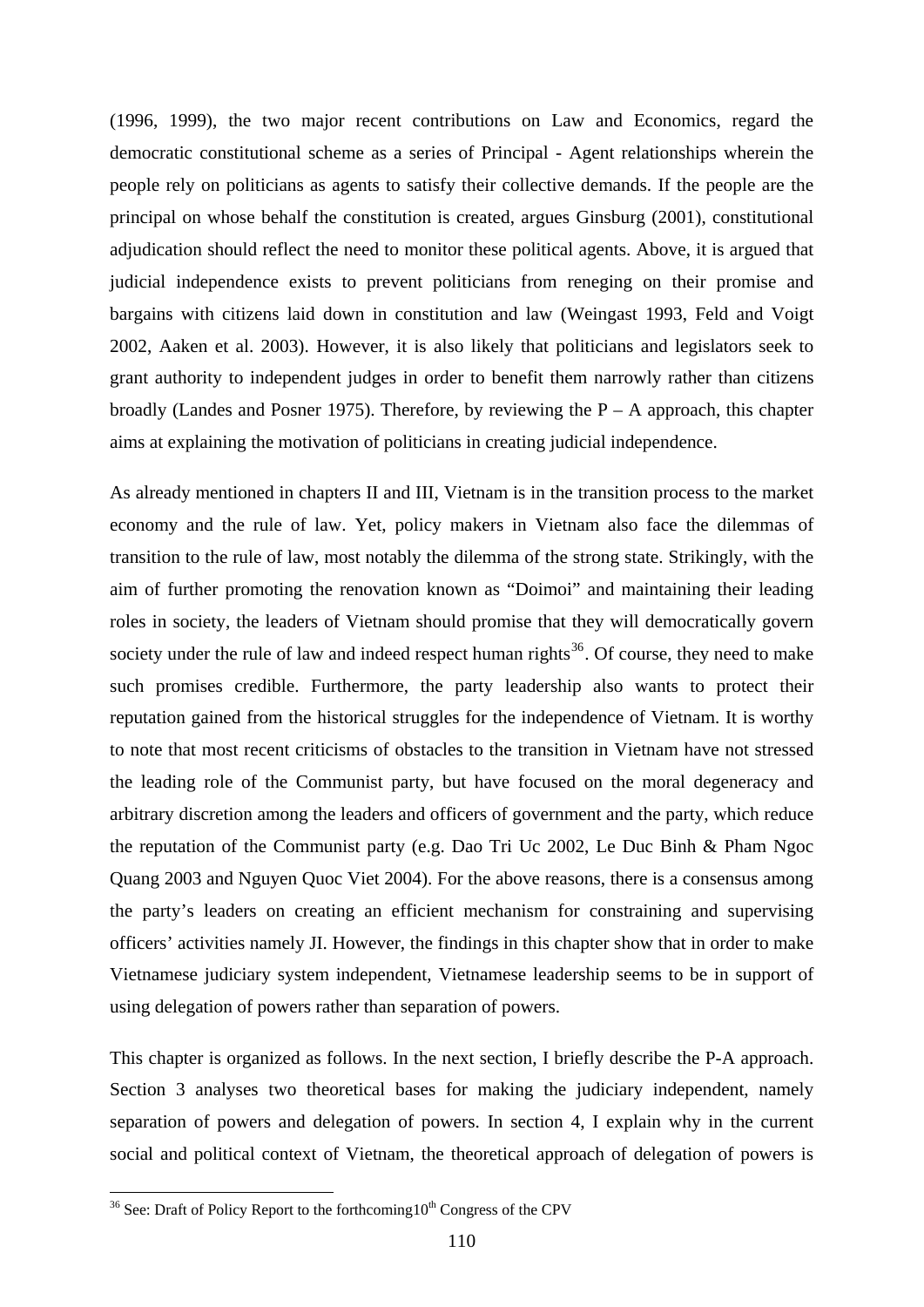(1996, 1999), the two major recent contributions on Law and Economics, regard the democratic constitutional scheme as a series of Principal - Agent relationships wherein the people rely on politicians as agents to satisfy their collective demands. If the people are the principal on whose behalf the constitution is created, argues Ginsburg (2001), constitutional adjudication should reflect the need to monitor these political agents. Above, it is argued that judicial independence exists to prevent politicians from reneging on their promise and bargains with citizens laid down in constitution and law (Weingast 1993, Feld and Voigt 2002, Aaken et al. 2003). However, it is also likely that politicians and legislators seek to grant authority to independent judges in order to benefit them narrowly rather than citizens broadly (Landes and Posner 1975). Therefore, by reviewing the  $P - A$  approach, this chapter aims at explaining the motivation of politicians in creating judicial independence.

As already mentioned in chapters II and III, Vietnam is in the transition process to the market economy and the rule of law. Yet, policy makers in Vietnam also face the dilemmas of transition to the rule of law, most notably the dilemma of the strong state. Strikingly, with the aim of further promoting the renovation known as "Doimoi" and maintaining their leading roles in society, the leaders of Vietnam should promise that they will democratically govern society under the rule of law and indeed respect human rights $36$ . Of course, they need to make such promises credible. Furthermore, the party leadership also wants to protect their reputation gained from the historical struggles for the independence of Vietnam. It is worthy to note that most recent criticisms of obstacles to the transition in Vietnam have not stressed the leading role of the Communist party, but have focused on the moral degeneracy and arbitrary discretion among the leaders and officers of government and the party, which reduce the reputation of the Communist party (e.g. Dao Tri Uc 2002, Le Duc Binh & Pham Ngoc Quang 2003 and Nguyen Quoc Viet 2004). For the above reasons, there is a consensus among the party's leaders on creating an efficient mechanism for constraining and supervising officers' activities namely JI. However, the findings in this chapter show that in order to make Vietnamese judiciary system independent, Vietnamese leadership seems to be in support of using delegation of powers rather than separation of powers.

This chapter is organized as follows. In the next section, I briefly describe the P-A approach. Section 3 analyses two theoretical bases for making the judiciary independent, namely separation of powers and delegation of powers. In section 4, I explain why in the current social and political context of Vietnam, the theoretical approach of delegation of powers is

<span id="page-115-0"></span> $36$  See: Draft of Policy Report to the forthcoming  $10<sup>th</sup>$  Congress of the CPV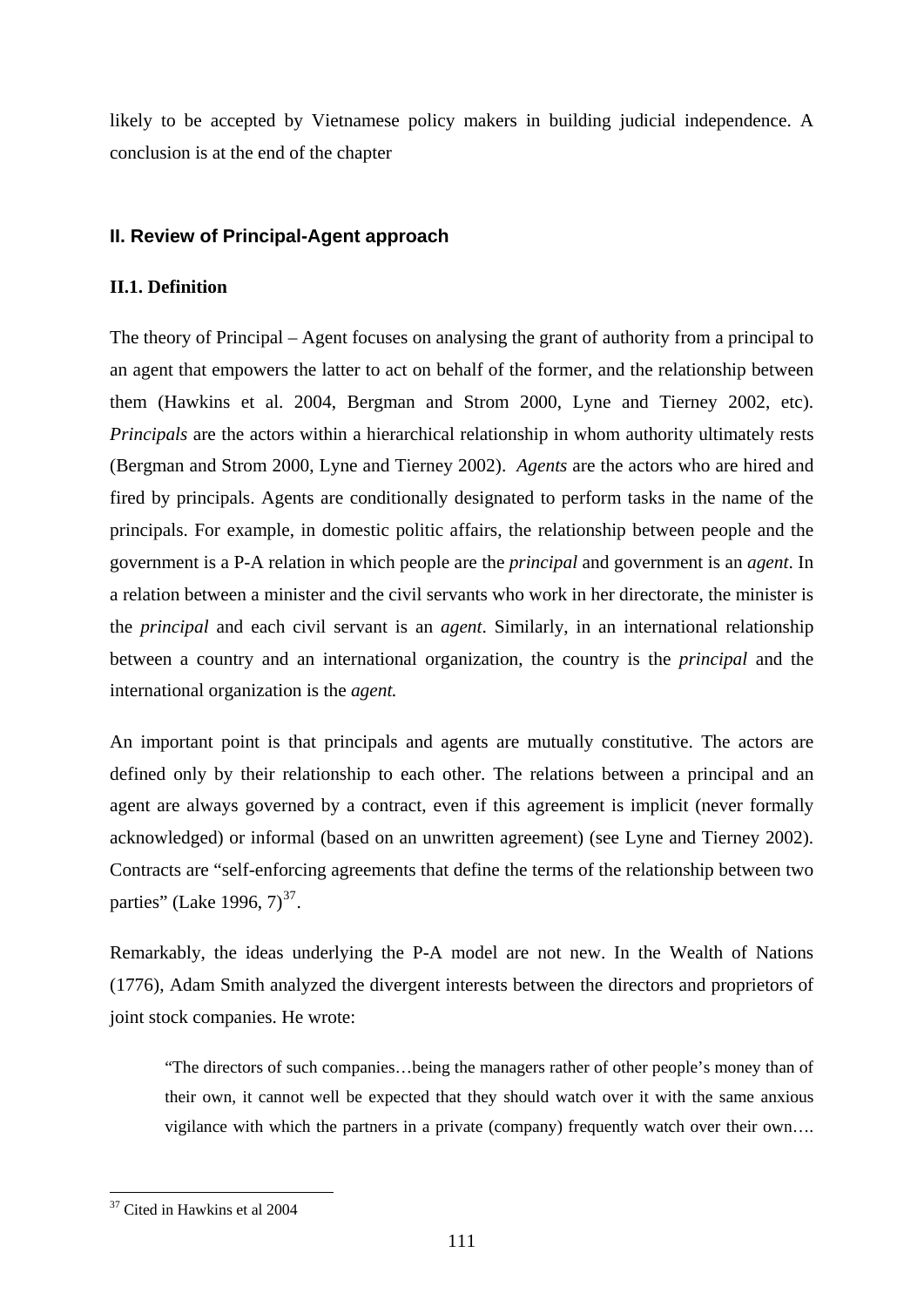likely to be accepted by Vietnamese policy makers in building judicial independence. A conclusion is at the end of the chapter

## **II. Review of Principal-Agent approach**

## **II.1. Definition**

The theory of Principal – Agent focuses on analysing the grant of authority from a principal to an agent that empowers the latter to act on behalf of the former, and the relationship between them (Hawkins et al. 2004, Bergman and Strom 2000, Lyne and Tierney 2002, etc). *Principals* are the actors within a hierarchical relationship in whom authority ultimately rests (Bergman and Strom 2000, Lyne and Tierney 2002). *Agents* are the actors who are hired and fired by principals. Agents are conditionally designated to perform tasks in the name of the principals. For example, in domestic politic affairs, the relationship between people and the government is a P-A relation in which people are the *principal* and government is an *agent*. In a relation between a minister and the civil servants who work in her directorate, the minister is the *principal* and each civil servant is an *agent*. Similarly, in an international relationship between a country and an international organization, the country is the *principal* and the international organization is the *agent.* 

An important point is that principals and agents are mutually constitutive. The actors are defined only by their relationship to each other. The relations between a principal and an agent are always governed by a contract, even if this agreement is implicit (never formally acknowledged) or informal (based on an unwritten agreement) (see Lyne and Tierney 2002). Contracts are "self-enforcing agreements that define the terms of the relationship between two parties" (Lake 1996,  $7)^{37}$  $7)^{37}$  $7)^{37}$ .

Remarkably, the ideas underlying the P-A model are not new. In the Wealth of Nations (1776), Adam Smith analyzed the divergent interests between the directors and proprietors of joint stock companies. He wrote:

"The directors of such companies…being the managers rather of other people's money than of their own, it cannot well be expected that they should watch over it with the same anxious vigilance with which the partners in a private (company) frequently watch over their own….

<span id="page-116-0"></span><sup>37</sup> Cited in Hawkins et al 2004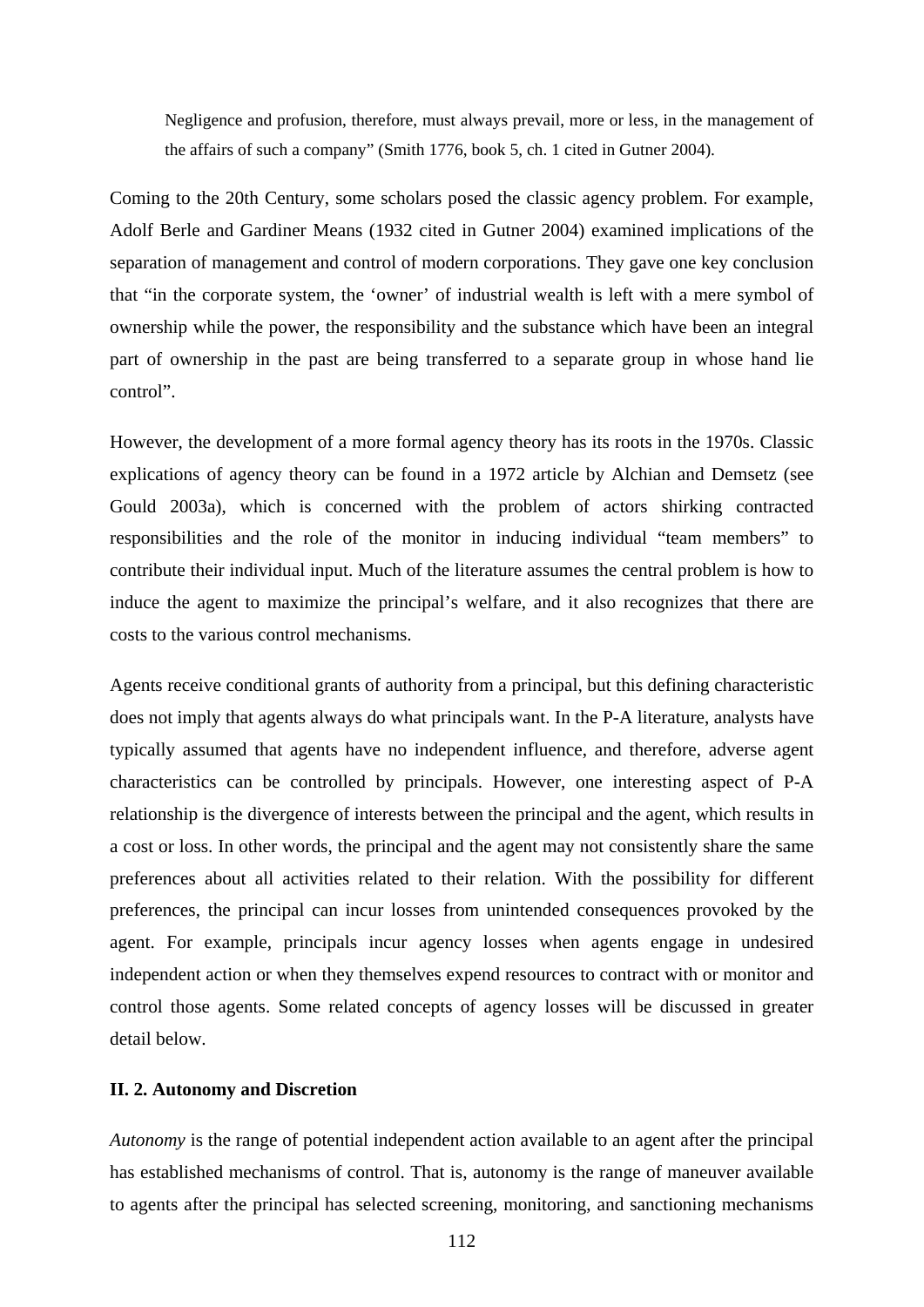Negligence and profusion, therefore, must always prevail, more or less, in the management of the affairs of such a company" (Smith 1776, book 5, ch. 1 cited in Gutner 2004).

Coming to the 20th Century, some scholars posed the classic agency problem. For example, Adolf Berle and Gardiner Means (1932 cited in Gutner 2004) examined implications of the separation of management and control of modern corporations. They gave one key conclusion that "in the corporate system, the 'owner' of industrial wealth is left with a mere symbol of ownership while the power, the responsibility and the substance which have been an integral part of ownership in the past are being transferred to a separate group in whose hand lie control".

However, the development of a more formal agency theory has its roots in the 1970s. Classic explications of agency theory can be found in a 1972 article by Alchian and Demsetz (see Gould 2003a), which is concerned with the problem of actors shirking contracted responsibilities and the role of the monitor in inducing individual "team members" to contribute their individual input. Much of the literature assumes the central problem is how to induce the agent to maximize the principal's welfare, and it also recognizes that there are costs to the various control mechanisms.

Agents receive conditional grants of authority from a principal, but this defining characteristic does not imply that agents always do what principals want. In the P-A literature, analysts have typically assumed that agents have no independent influence, and therefore, adverse agent characteristics can be controlled by principals. However, one interesting aspect of P-A relationship is the divergence of interests between the principal and the agent, which results in a cost or loss. In other words, the principal and the agent may not consistently share the same preferences about all activities related to their relation. With the possibility for different preferences, the principal can incur losses from unintended consequences provoked by the agent. For example, principals incur agency losses when agents engage in undesired independent action or when they themselves expend resources to contract with or monitor and control those agents. Some related concepts of agency losses will be discussed in greater detail below.

#### **II. 2. Autonomy and Discretion**

*Autonomy* is the range of potential independent action available to an agent after the principal has established mechanisms of control. That is, autonomy is the range of maneuver available to agents after the principal has selected screening, monitoring, and sanctioning mechanisms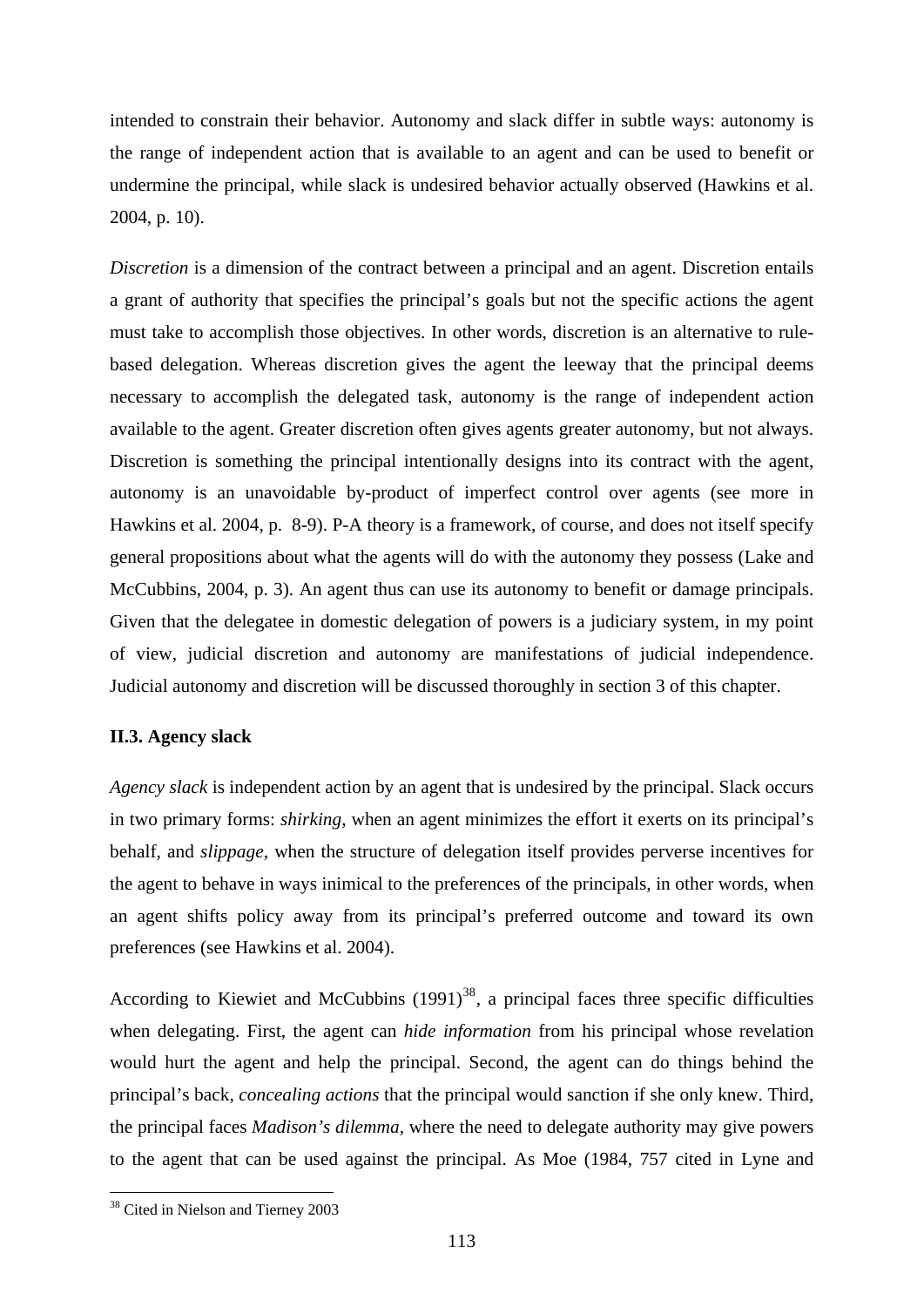intended to constrain their behavior. Autonomy and slack differ in subtle ways: autonomy is the range of independent action that is available to an agent and can be used to benefit or undermine the principal, while slack is undesired behavior actually observed (Hawkins et al. 2004, p. 10).

*Discretion* is a dimension of the contract between a principal and an agent. Discretion entails a grant of authority that specifies the principal's goals but not the specific actions the agent must take to accomplish those objectives. In other words, discretion is an alternative to rulebased delegation. Whereas discretion gives the agent the leeway that the principal deems necessary to accomplish the delegated task, autonomy is the range of independent action available to the agent. Greater discretion often gives agents greater autonomy, but not always. Discretion is something the principal intentionally designs into its contract with the agent, autonomy is an unavoidable by-product of imperfect control over agents (see more in Hawkins et al. 2004, p. 8-9). P-A theory is a framework, of course, and does not itself specify general propositions about what the agents will do with the autonomy they possess (Lake and McCubbins, 2004, p. 3). An agent thus can use its autonomy to benefit or damage principals. Given that the delegatee in domestic delegation of powers is a judiciary system, in my point of view, judicial discretion and autonomy are manifestations of judicial independence. Judicial autonomy and discretion will be discussed thoroughly in section 3 of this chapter.

## **II.3. Agency slack**

*Agency slack* is independent action by an agent that is undesired by the principal. Slack occurs in two primary forms: *shirking*, when an agent minimizes the effort it exerts on its principal's behalf, and *slippage*, when the structure of delegation itself provides perverse incentives for the agent to behave in ways inimical to the preferences of the principals, in other words, when an agent shifts policy away from its principal's preferred outcome and toward its own preferences (see Hawkins et al. 2004).

According to Kiewiet and McCubbins  $(1991)^{38}$  $(1991)^{38}$  $(1991)^{38}$ , a principal faces three specific difficulties when delegating. First, the agent can *hide information* from his principal whose revelation would hurt the agent and help the principal. Second, the agent can do things behind the principal's back, *concealing actions* that the principal would sanction if she only knew. Third, the principal faces *Madison's dilemma,* where the need to delegate authority may give powers to the agent that can be used against the principal. As Moe (1984, 757 cited in Lyne and

<span id="page-118-0"></span><sup>38</sup> Cited in Nielson and Tierney 2003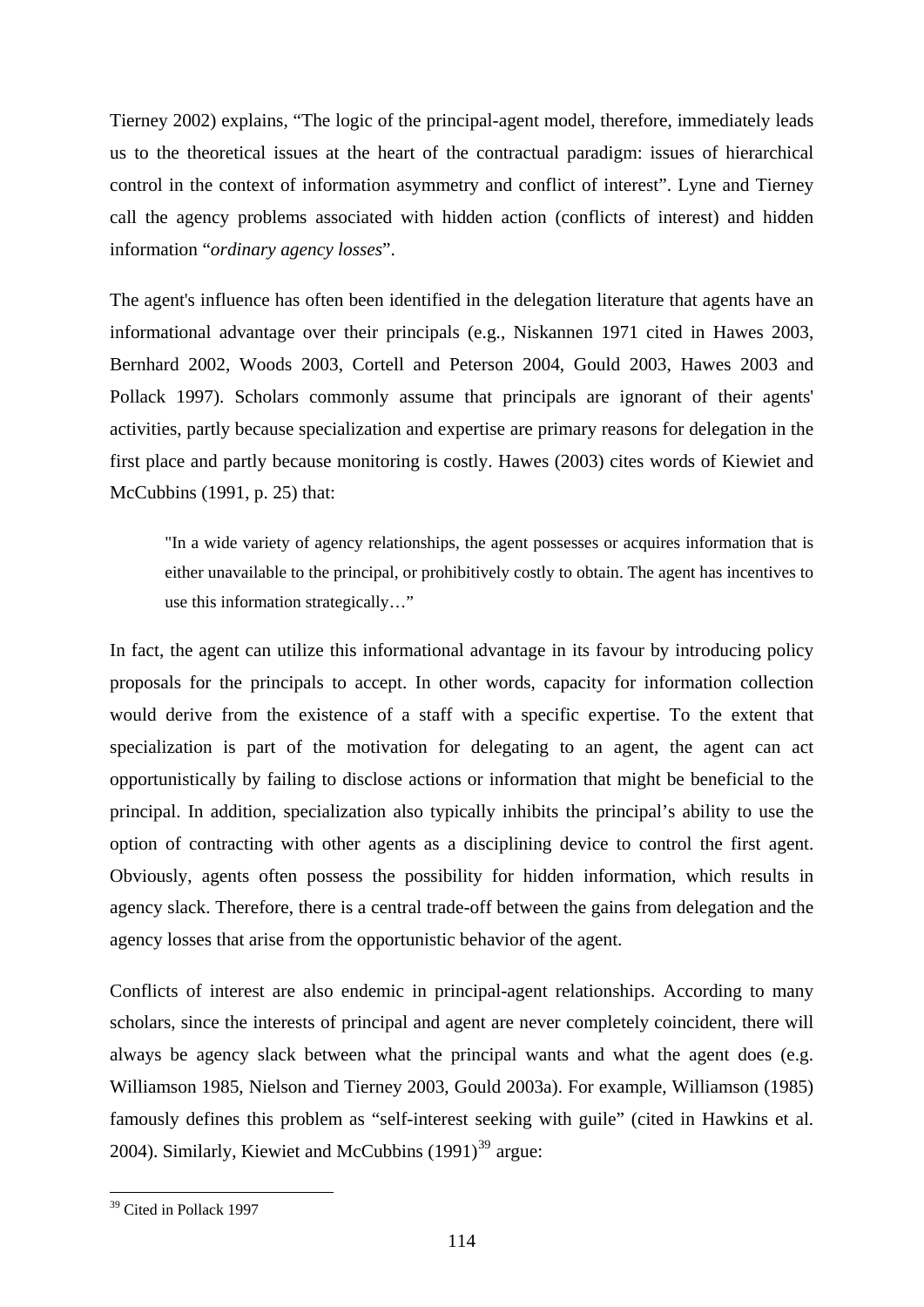Tierney 2002) explains, "The logic of the principal-agent model, therefore, immediately leads us to the theoretical issues at the heart of the contractual paradigm: issues of hierarchical control in the context of information asymmetry and conflict of interest". Lyne and Tierney call the agency problems associated with hidden action (conflicts of interest) and hidden information "*ordinary agency losses*".

The agent's influence has often been identified in the delegation literature that agents have an informational advantage over their principals (e.g., Niskannen 1971 cited in Hawes 2003, Bernhard 2002, Woods 2003, Cortell and Peterson 2004, Gould 2003, Hawes 2003 and Pollack 1997). Scholars commonly assume that principals are ignorant of their agents' activities, partly because specialization and expertise are primary reasons for delegation in the first place and partly because monitoring is costly. Hawes (2003) cites words of Kiewiet and McCubbins (1991, p. 25) that:

"In a wide variety of agency relationships, the agent possesses or acquires information that is either unavailable to the principal, or prohibitively costly to obtain. The agent has incentives to use this information strategically…"

In fact, the agent can utilize this informational advantage in its favour by introducing policy proposals for the principals to accept. In other words, capacity for information collection would derive from the existence of a staff with a specific expertise. To the extent that specialization is part of the motivation for delegating to an agent, the agent can act opportunistically by failing to disclose actions or information that might be beneficial to the principal. In addition, specialization also typically inhibits the principal's ability to use the option of contracting with other agents as a disciplining device to control the first agent. Obviously, agents often possess the possibility for hidden information, which results in agency slack. Therefore, there is a central trade-off between the gains from delegation and the agency losses that arise from the opportunistic behavior of the agent.

Conflicts of interest are also endemic in principal-agent relationships. According to many scholars, since the interests of principal and agent are never completely coincident, there will always be agency slack between what the principal wants and what the agent does (e.g. Williamson 1985, Nielson and Tierney 2003, Gould 2003a). For example, Williamson (1985) famously defines this problem as "self-interest seeking with guile" (cited in Hawkins et al. 2004). Similarly, Kiewiet and McCubbins  $(1991)^{39}$  $(1991)^{39}$  $(1991)^{39}$  argue:

<span id="page-119-0"></span><sup>&</sup>lt;sup>39</sup> Cited in Pollack 1997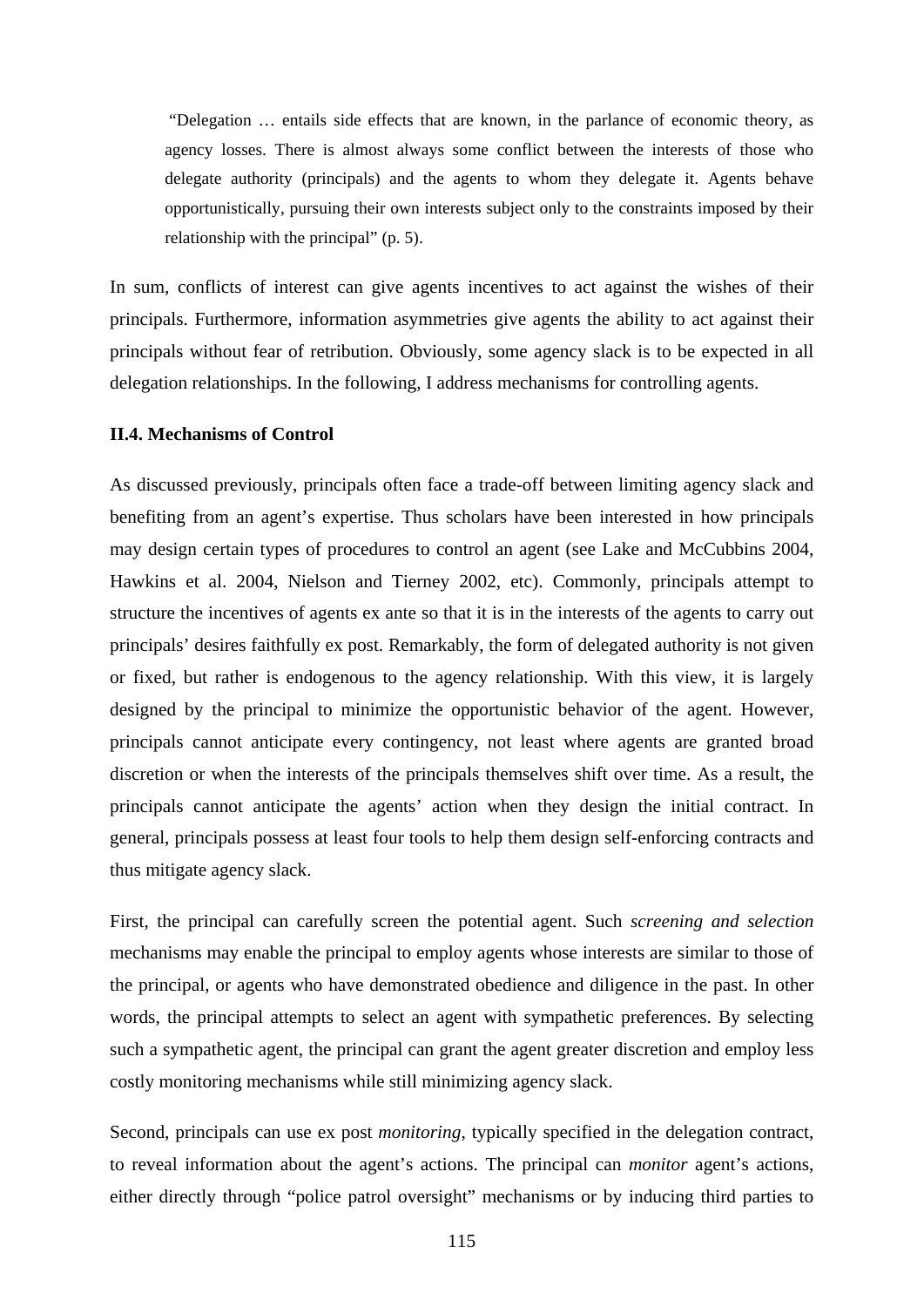"Delegation … entails side effects that are known, in the parlance of economic theory, as agency losses. There is almost always some conflict between the interests of those who delegate authority (principals) and the agents to whom they delegate it. Agents behave opportunistically, pursuing their own interests subject only to the constraints imposed by their relationship with the principal" (p. 5).

In sum, conflicts of interest can give agents incentives to act against the wishes of their principals. Furthermore, information asymmetries give agents the ability to act against their principals without fear of retribution. Obviously, some agency slack is to be expected in all delegation relationships. In the following, I address mechanisms for controlling agents.

## **II.4. Mechanisms of Control**

As discussed previously, principals often face a trade-off between limiting agency slack and benefiting from an agent's expertise. Thus scholars have been interested in how principals may design certain types of procedures to control an agent (see Lake and McCubbins 2004, Hawkins et al. 2004, Nielson and Tierney 2002, etc). Commonly, principals attempt to structure the incentives of agents ex ante so that it is in the interests of the agents to carry out principals' desires faithfully ex post. Remarkably, the form of delegated authority is not given or fixed, but rather is endogenous to the agency relationship. With this view, it is largely designed by the principal to minimize the opportunistic behavior of the agent. However, principals cannot anticipate every contingency, not least where agents are granted broad discretion or when the interests of the principals themselves shift over time. As a result, the principals cannot anticipate the agents' action when they design the initial contract. In general, principals possess at least four tools to help them design self-enforcing contracts and thus mitigate agency slack.

First, the principal can carefully screen the potential agent. Such *screening and selection* mechanisms may enable the principal to employ agents whose interests are similar to those of the principal, or agents who have demonstrated obedience and diligence in the past. In other words, the principal attempts to select an agent with sympathetic preferences. By selecting such a sympathetic agent, the principal can grant the agent greater discretion and employ less costly monitoring mechanisms while still minimizing agency slack.

Second, principals can use ex post *monitoring*, typically specified in the delegation contract, to reveal information about the agent's actions. The principal can *monitor* agent's actions, either directly through "police patrol oversight" mechanisms or by inducing third parties to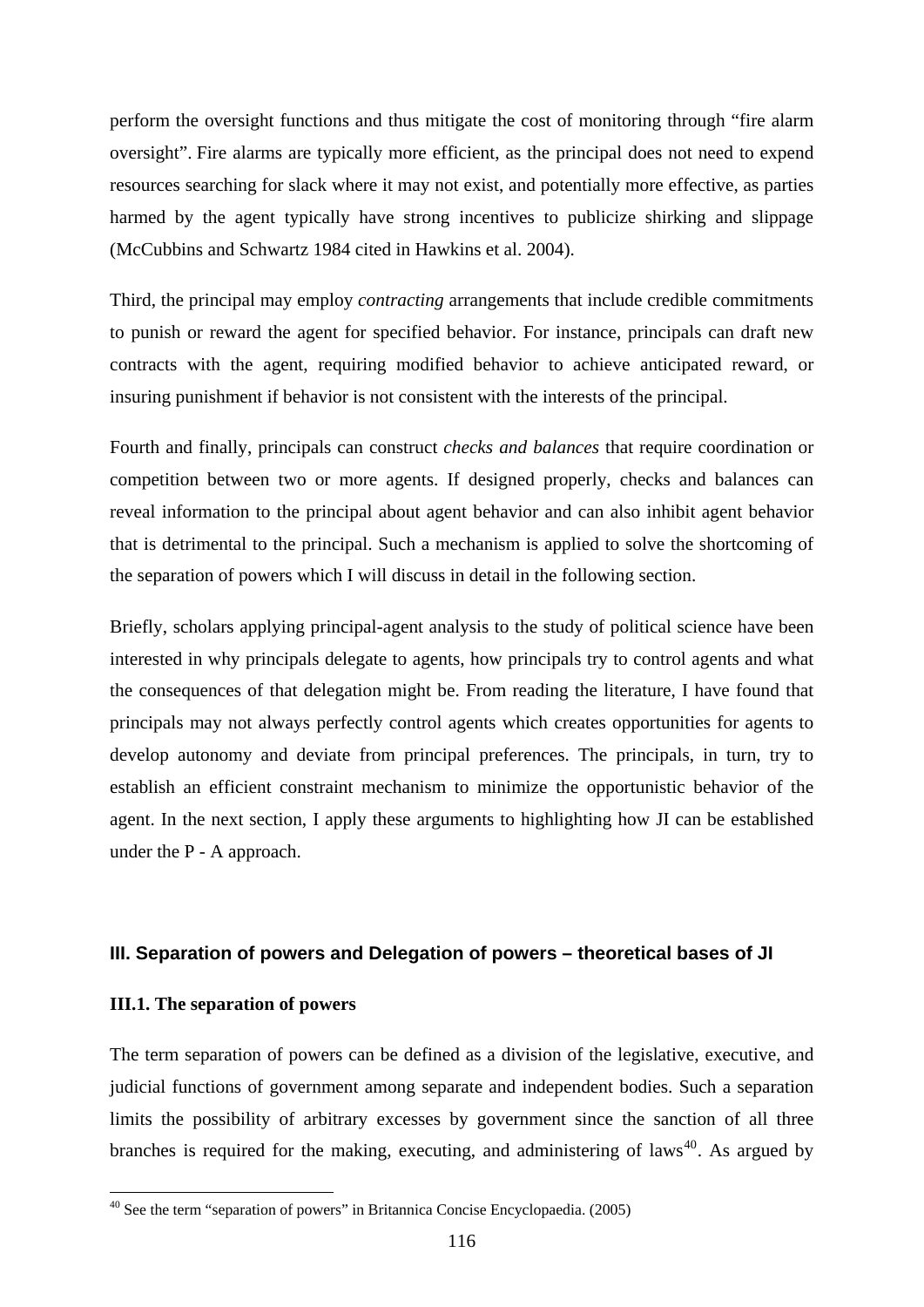perform the oversight functions and thus mitigate the cost of monitoring through "fire alarm oversight". Fire alarms are typically more efficient, as the principal does not need to expend resources searching for slack where it may not exist, and potentially more effective, as parties harmed by the agent typically have strong incentives to publicize shirking and slippage (McCubbins and Schwartz 1984 cited in Hawkins et al. 2004).

Third, the principal may employ *contracting* arrangements that include credible commitments to punish or reward the agent for specified behavior. For instance, principals can draft new contracts with the agent, requiring modified behavior to achieve anticipated reward, or insuring punishment if behavior is not consistent with the interests of the principal.

Fourth and finally, principals can construct *checks and balances* that require coordination or competition between two or more agents. If designed properly, checks and balances can reveal information to the principal about agent behavior and can also inhibit agent behavior that is detrimental to the principal. Such a mechanism is applied to solve the shortcoming of the separation of powers which I will discuss in detail in the following section.

Briefly, scholars applying principal-agent analysis to the study of political science have been interested in why principals delegate to agents, how principals try to control agents and what the consequences of that delegation might be. From reading the literature, I have found that principals may not always perfectly control agents which creates opportunities for agents to develop autonomy and deviate from principal preferences. The principals, in turn, try to establish an efficient constraint mechanism to minimize the opportunistic behavior of the agent. In the next section, I apply these arguments to highlighting how JI can be established under the P - A approach.

#### **III. Separation of powers and Delegation of powers – theoretical bases of JI**

#### **III.1. The separation of powers**

1

The term separation of powers can be defined as a division of the legislative, executive, and judicial functions of government among separate and independent bodies. Such a separation limits the possibility of arbitrary excesses by government since the sanction of all three branches is required for the making, executing, and administering of laws<sup>[40](#page-121-0)</sup>. As argued by

<span id="page-121-0"></span><sup>40</sup> See the term "separation of powers" in Britannica Concise Encyclopaedia. (2005)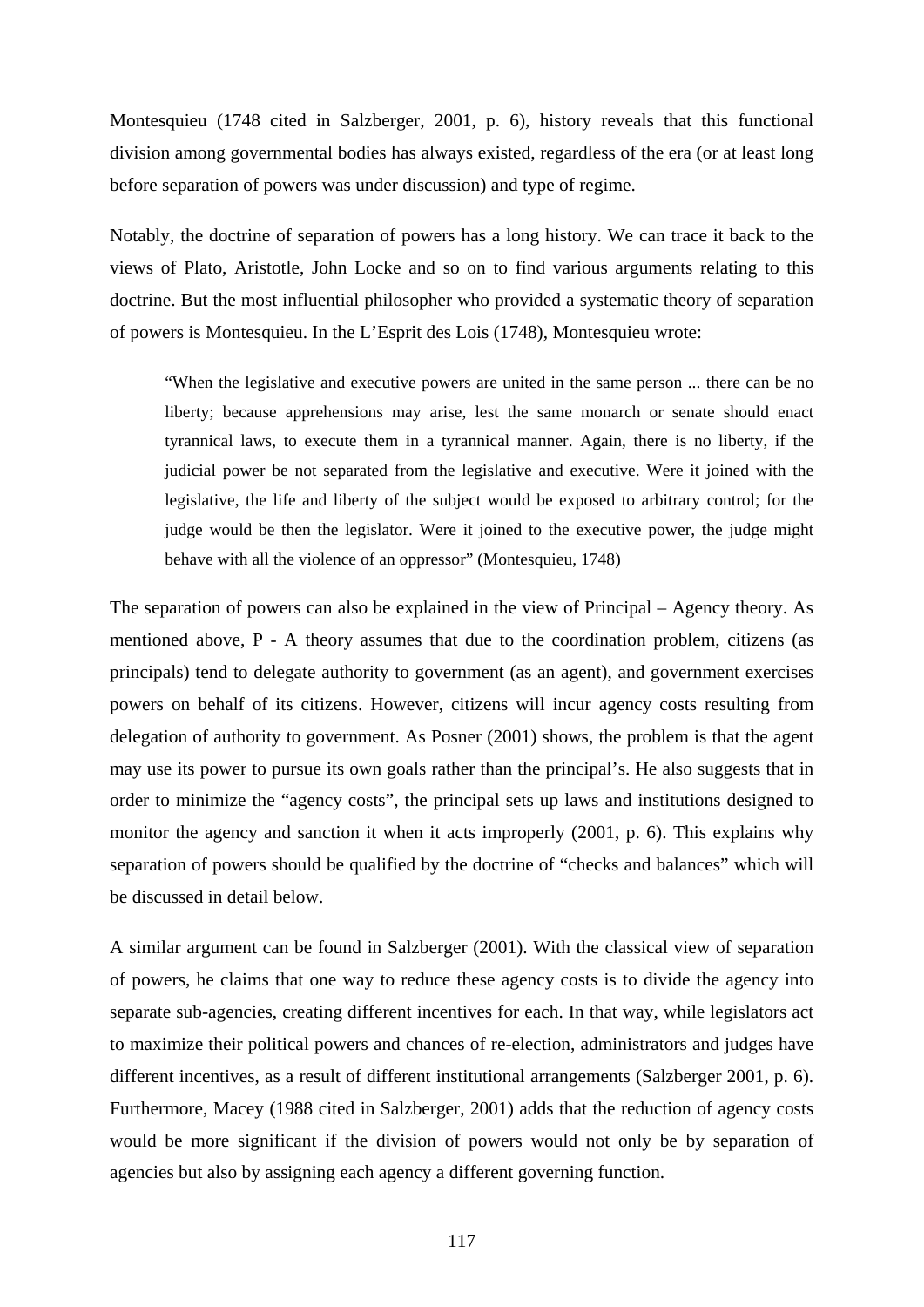Montesquieu (1748 cited in Salzberger, 2001, p. 6), history reveals that this functional division among governmental bodies has always existed, regardless of the era (or at least long before separation of powers was under discussion) and type of regime.

Notably, the doctrine of separation of powers has a long history. We can trace it back to the views of Plato, Aristotle, John Locke and so on to find various arguments relating to this doctrine. But the most influential philosopher who provided a systematic theory of separation of powers is Montesquieu. In the L'Esprit des Lois (1748), Montesquieu wrote:

"When the legislative and executive powers are united in the same person ... there can be no liberty; because apprehensions may arise, lest the same monarch or senate should enact tyrannical laws, to execute them in a tyrannical manner. Again, there is no liberty, if the judicial power be not separated from the legislative and executive. Were it joined with the legislative, the life and liberty of the subject would be exposed to arbitrary control; for the judge would be then the legislator. Were it joined to the executive power, the judge might behave with all the violence of an oppressor" (Montesquieu, 1748)

The separation of powers can also be explained in the view of Principal – Agency theory. As mentioned above, P - A theory assumes that due to the coordination problem, citizens (as principals) tend to delegate authority to government (as an agent), and government exercises powers on behalf of its citizens. However, citizens will incur agency costs resulting from delegation of authority to government. As Posner (2001) shows, the problem is that the agent may use its power to pursue its own goals rather than the principal's. He also suggests that in order to minimize the "agency costs", the principal sets up laws and institutions designed to monitor the agency and sanction it when it acts improperly (2001, p. 6). This explains why separation of powers should be qualified by the doctrine of "checks and balances" which will be discussed in detail below.

A similar argument can be found in Salzberger (2001). With the classical view of separation of powers, he claims that one way to reduce these agency costs is to divide the agency into separate sub-agencies, creating different incentives for each. In that way, while legislators act to maximize their political powers and chances of re-election, administrators and judges have different incentives, as a result of different institutional arrangements (Salzberger 2001, p. 6). Furthermore, Macey (1988 cited in Salzberger, 2001) adds that the reduction of agency costs would be more significant if the division of powers would not only be by separation of agencies but also by assigning each agency a different governing function.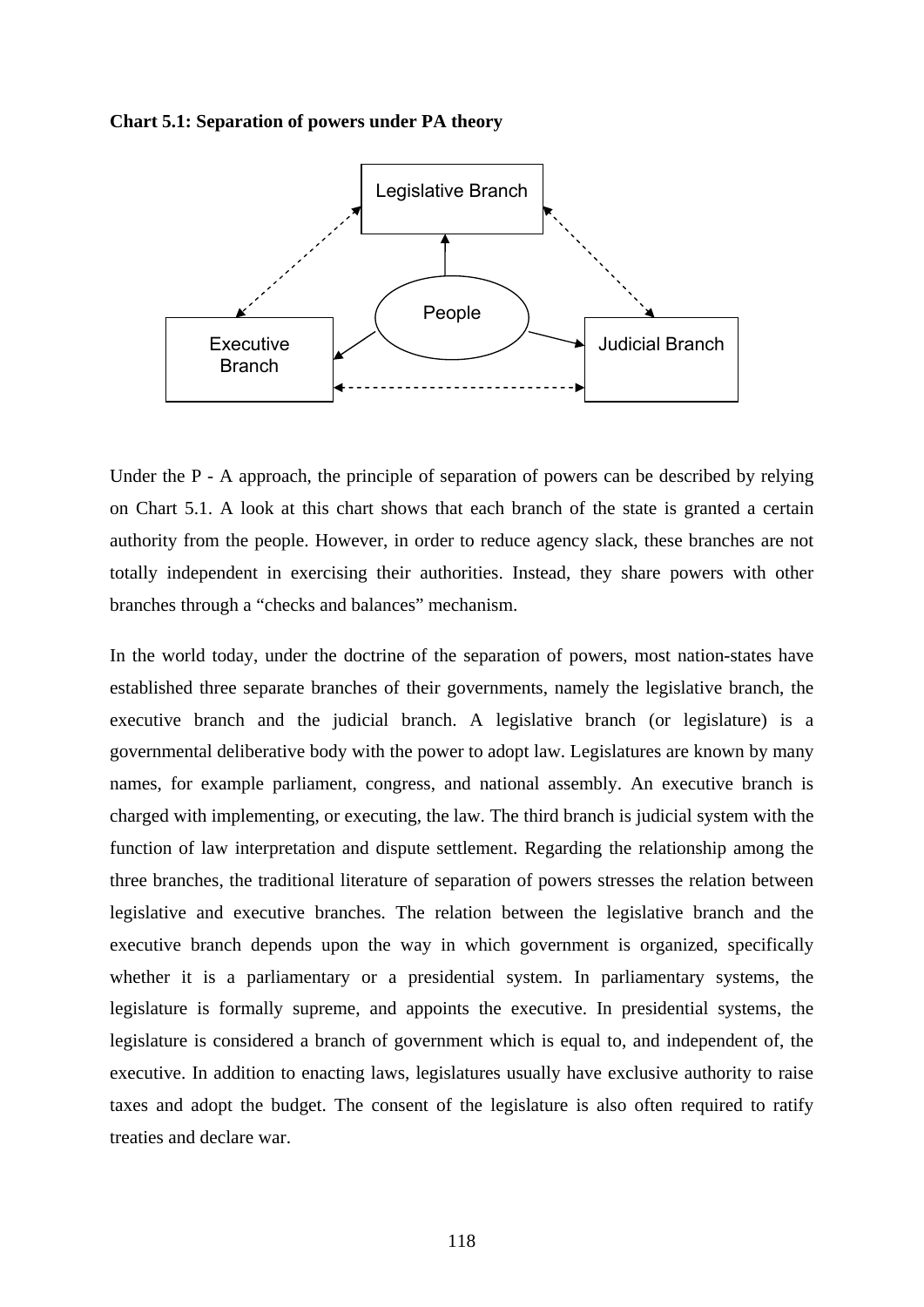#### **Chart 5.1: Separation of powers under PA theory**



Under the P - A approach, the principle of separation of powers can be described by relying on Chart 5.1. A look at this chart shows that each branch of the state is granted a certain authority from the people. However, in order to reduce agency slack, these branches are not totally independent in exercising their authorities. Instead, they share powers with other branches through a "checks and balances" mechanism.

In the world today, under the doctrine of the separation of powers, most nation-states have established three separate branches of their governments, namely the legislative branch, the executive branch and the judicial branch. A legislative branch (or legislature) is a governmental deliberative body with the power to adopt law. Legislatures are known by many names, for example parliament, congress, and national assembly. An executive branch is charged with implementing, or executing, the law. The third branch is judicial system with the function of law interpretation and dispute settlement. Regarding the relationship among the three branches, the traditional literature of separation of powers stresses the relation between legislative and executive branches. The relation between the legislative branch and the executive branch depends upon the way in which government is organized, specifically whether it is a parliamentary or a presidential system. In parliamentary systems, the legislature is formally supreme, and appoints the executive. In presidential systems, the legislature is considered a branch of government which is equal to, and independent of, the executive. In addition to enacting laws, legislatures usually have exclusive authority to raise taxes and adopt the budget. The consent of the legislature is also often required to ratify treaties and declare war.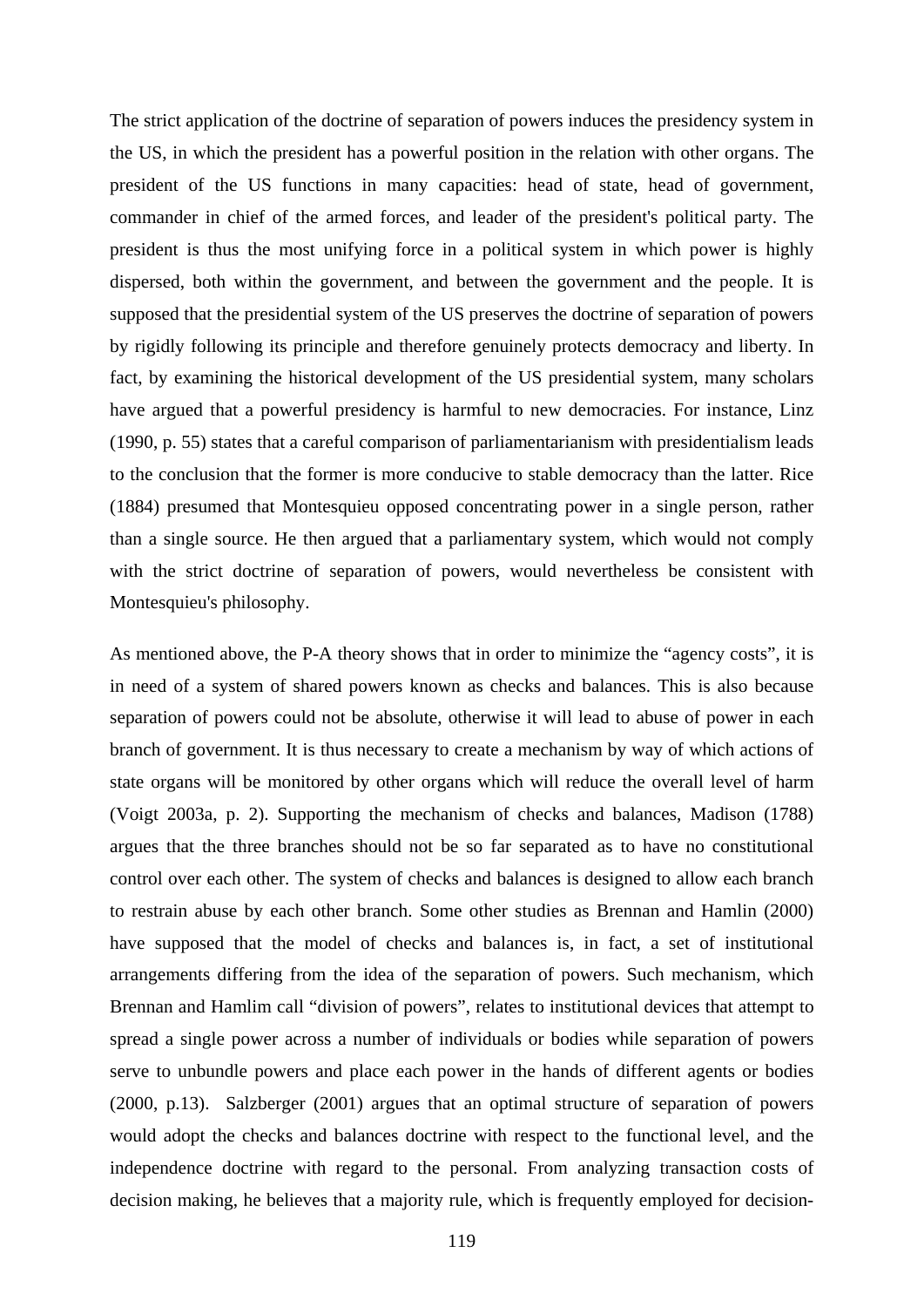The strict application of the doctrine of separation of powers induces the presidency system in the US, in which the president has a powerful position in the relation with other organs. The president of the US functions in many capacities: head of state, head of government, commander in chief of the armed forces, and leader of the president's political party. The president is thus the most unifying force in a political system in which power is highly dispersed, both within the government, and between the government and the people. It is supposed that the presidential system of the US preserves the doctrine of separation of powers by rigidly following its principle and therefore genuinely protects democracy and liberty. In fact, by examining the historical development of the US presidential system, many scholars have argued that a powerful presidency is harmful to new democracies. For instance, Linz (1990, p. 55) states that a careful comparison of parliamentarianism with presidentialism leads to the conclusion that the former is more conducive to stable democracy than the latter. Rice (1884) presumed that Montesquieu opposed concentrating power in a single person, rather than a single source. He then argued that a parliamentary system, which would not comply with the strict doctrine of separation of powers, would nevertheless be consistent with Montesquieu's philosophy.

As mentioned above, the P-A theory shows that in order to minimize the "agency costs", it is in need of a system of shared powers known as checks and balances. This is also because separation of powers could not be absolute, otherwise it will lead to abuse of power in each branch of government. It is thus necessary to create a mechanism by way of which actions of state organs will be monitored by other organs which will reduce the overall level of harm (Voigt 2003a, p. 2). Supporting the mechanism of checks and balances, Madison (1788) argues that the three branches should not be so far separated as to have no constitutional control over each other. The system of checks and balances is designed to allow each branch to restrain abuse by each other branch. Some other studies as Brennan and Hamlin (2000) have supposed that the model of checks and balances is, in fact, a set of institutional arrangements differing from the idea of the separation of powers. Such mechanism, which Brennan and Hamlim call "division of powers", relates to institutional devices that attempt to spread a single power across a number of individuals or bodies while separation of powers serve to unbundle powers and place each power in the hands of different agents or bodies (2000, p.13). Salzberger (2001) argues that an optimal structure of separation of powers would adopt the checks and balances doctrine with respect to the functional level, and the independence doctrine with regard to the personal. From analyzing transaction costs of decision making, he believes that a majority rule, which is frequently employed for decision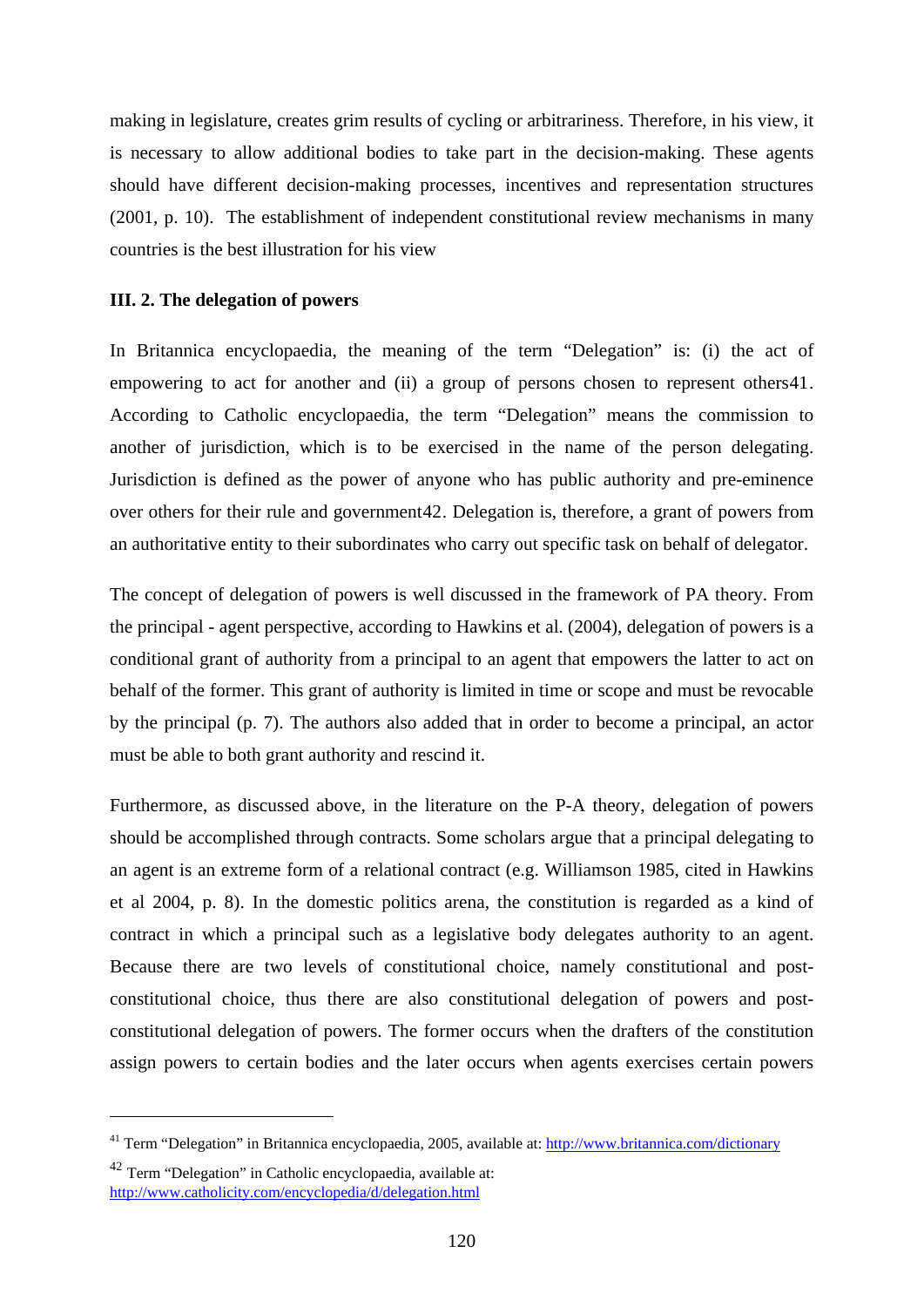making in legislature, creates grim results of cycling or arbitrariness. Therefore, in his view, it is necessary to allow additional bodies to take part in the decision-making. These agents should have different decision-making processes, incentives and representation structures (2001, p. 10). The establishment of independent constitutional review mechanisms in many countries is the best illustration for his view

#### **III. 2. The delegation of powers**

In Britannica encyclopaedia, the meaning of the term "Delegation" is: (i) the act of empowering to act for another and (ii) a group of persons chosen to represent others[41](#page-125-0). According to Catholic encyclopaedia, the term "Delegation" means the commission to another of jurisdiction, which is to be exercised in the name of the person delegating. Jurisdiction is defined as the power of anyone who has public authority and pre-eminence over others for their rule and government[42](#page-125-1). Delegation is, therefore, a grant of powers from an authoritative entity to their subordinates who carry out specific task on behalf of delegator.

The concept of delegation of powers is well discussed in the framework of PA theory. From the principal - agent perspective, according to Hawkins et al. (2004), delegation of powers is a conditional grant of authority from a principal to an agent that empowers the latter to act on behalf of the former. This grant of authority is limited in time or scope and must be revocable by the principal (p. 7). The authors also added that in order to become a principal, an actor must be able to both grant authority and rescind it.

Furthermore, as discussed above, in the literature on the P-A theory, delegation of powers should be accomplished through contracts. Some scholars argue that a principal delegating to an agent is an extreme form of a relational contract (e.g. Williamson 1985, cited in Hawkins et al 2004, p. 8). In the domestic politics arena, the constitution is regarded as a kind of contract in which a principal such as a legislative body delegates authority to an agent. Because there are two levels of constitutional choice, namely constitutional and postconstitutional choice, thus there are also constitutional delegation of powers and postconstitutional delegation of powers. The former occurs when the drafters of the constitution assign powers to certain bodies and the later occurs when agents exercises certain powers

<u>.</u>

<span id="page-125-0"></span><sup>&</sup>lt;sup>41</sup> Term "Delegation" in Britannica encyclopaedia, 2005, available at: <http://www.britannica.com/dictionary>

<span id="page-125-1"></span><sup>42</sup> Term "Delegation" in Catholic encyclopaedia, available at: <http://www.catholicity.com/encyclopedia/d/delegation.html>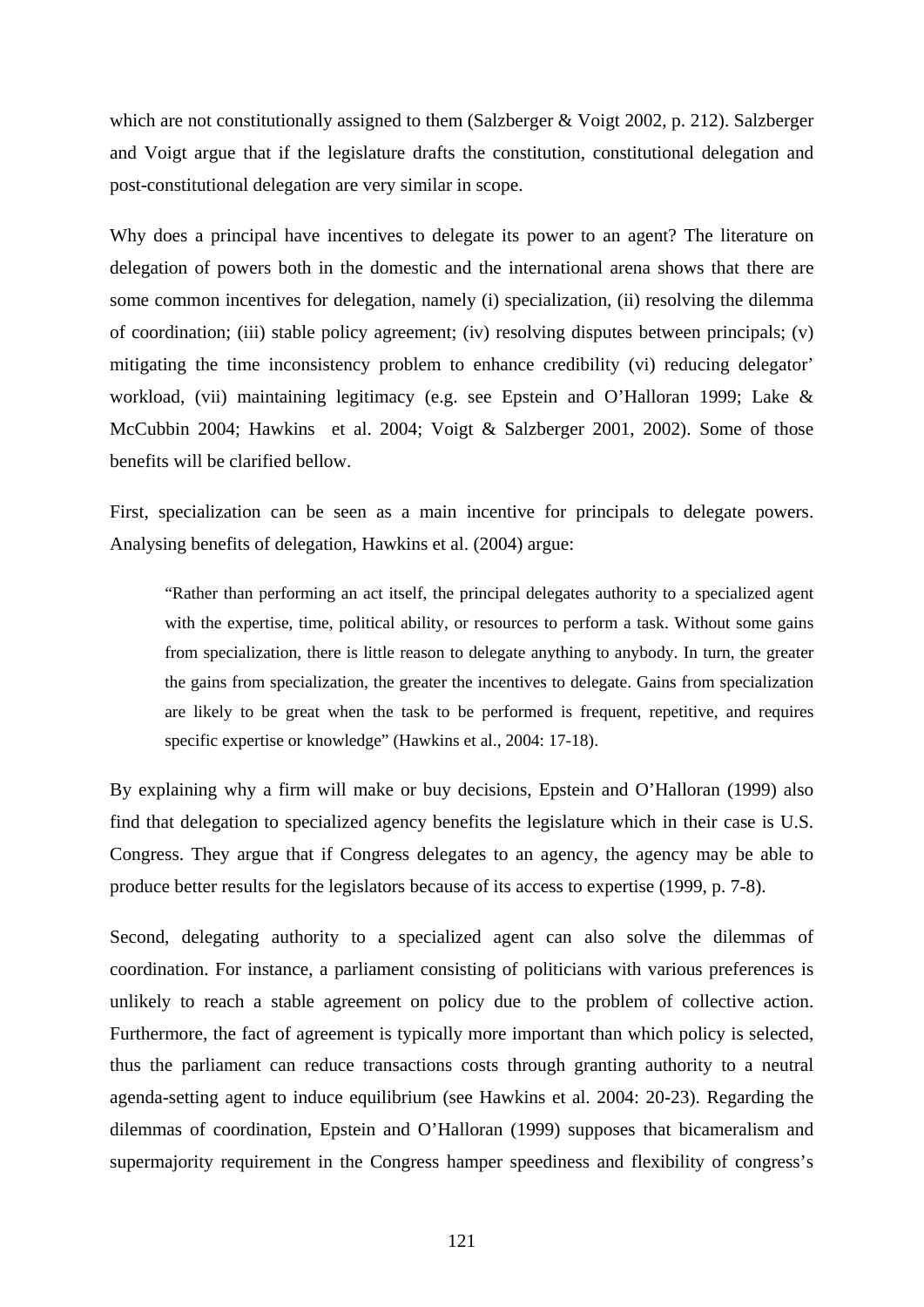which are not constitutionally assigned to them (Salzberger & Voigt 2002, p. 212). Salzberger and Voigt argue that if the legislature drafts the constitution, constitutional delegation and post-constitutional delegation are very similar in scope.

Why does a principal have incentives to delegate its power to an agent? The literature on delegation of powers both in the domestic and the international arena shows that there are some common incentives for delegation, namely (i) specialization, (ii) resolving the dilemma of coordination; (iii) stable policy agreement; (iv) resolving disputes between principals; (v) mitigating the time inconsistency problem to enhance credibility (vi) reducing delegator' workload, (vii) maintaining legitimacy (e.g. see Epstein and O'Halloran 1999; Lake & McCubbin 2004; Hawkins et al. 2004; Voigt & Salzberger 2001, 2002). Some of those benefits will be clarified bellow.

First, specialization can be seen as a main incentive for principals to delegate powers. Analysing benefits of delegation, Hawkins et al. (2004) argue:

"Rather than performing an act itself, the principal delegates authority to a specialized agent with the expertise, time, political ability, or resources to perform a task. Without some gains from specialization, there is little reason to delegate anything to anybody. In turn, the greater the gains from specialization, the greater the incentives to delegate. Gains from specialization are likely to be great when the task to be performed is frequent, repetitive, and requires specific expertise or knowledge" (Hawkins et al., 2004: 17-18).

By explaining why a firm will make or buy decisions, Epstein and O'Halloran (1999) also find that delegation to specialized agency benefits the legislature which in their case is U.S. Congress. They argue that if Congress delegates to an agency, the agency may be able to produce better results for the legislators because of its access to expertise (1999, p. 7-8).

Second, delegating authority to a specialized agent can also solve the dilemmas of coordination. For instance, a parliament consisting of politicians with various preferences is unlikely to reach a stable agreement on policy due to the problem of collective action. Furthermore, the fact of agreement is typically more important than which policy is selected, thus the parliament can reduce transactions costs through granting authority to a neutral agenda-setting agent to induce equilibrium (see Hawkins et al. 2004: 20-23). Regarding the dilemmas of coordination, Epstein and O'Halloran (1999) supposes that bicameralism and supermajority requirement in the Congress hamper speediness and flexibility of congress's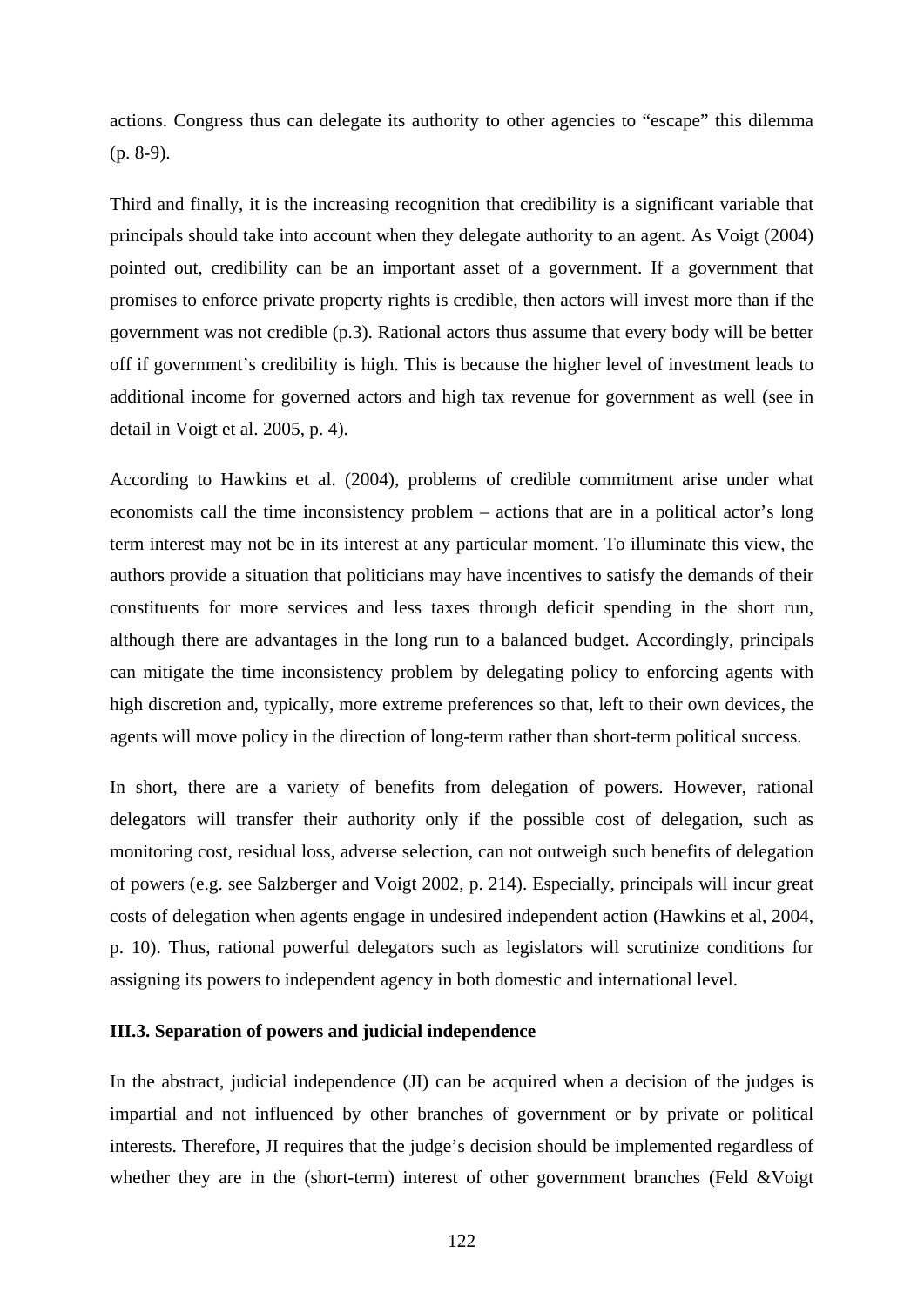actions. Congress thus can delegate its authority to other agencies to "escape" this dilemma (p. 8-9).

Third and finally, it is the increasing recognition that credibility is a significant variable that principals should take into account when they delegate authority to an agent. As Voigt (2004) pointed out, credibility can be an important asset of a government. If a government that promises to enforce private property rights is credible, then actors will invest more than if the government was not credible (p.3). Rational actors thus assume that every body will be better off if government's credibility is high. This is because the higher level of investment leads to additional income for governed actors and high tax revenue for government as well (see in detail in Voigt et al. 2005, p. 4).

According to Hawkins et al. (2004), problems of credible commitment arise under what economists call the time inconsistency problem – actions that are in a political actor's long term interest may not be in its interest at any particular moment. To illuminate this view, the authors provide a situation that politicians may have incentives to satisfy the demands of their constituents for more services and less taxes through deficit spending in the short run, although there are advantages in the long run to a balanced budget. Accordingly, principals can mitigate the time inconsistency problem by delegating policy to enforcing agents with high discretion and, typically, more extreme preferences so that, left to their own devices, the agents will move policy in the direction of long-term rather than short-term political success.

In short, there are a variety of benefits from delegation of powers. However, rational delegators will transfer their authority only if the possible cost of delegation, such as monitoring cost, residual loss, adverse selection, can not outweigh such benefits of delegation of powers (e.g. see Salzberger and Voigt 2002, p. 214). Especially, principals will incur great costs of delegation when agents engage in undesired independent action (Hawkins et al, 2004, p. 10). Thus, rational powerful delegators such as legislators will scrutinize conditions for assigning its powers to independent agency in both domestic and international level.

#### **III.3. Separation of powers and judicial independence**

In the abstract, judicial independence (JI) can be acquired when a decision of the judges is impartial and not influenced by other branches of government or by private or political interests. Therefore, JI requires that the judge's decision should be implemented regardless of whether they are in the (short-term) interest of other government branches (Feld &Voigt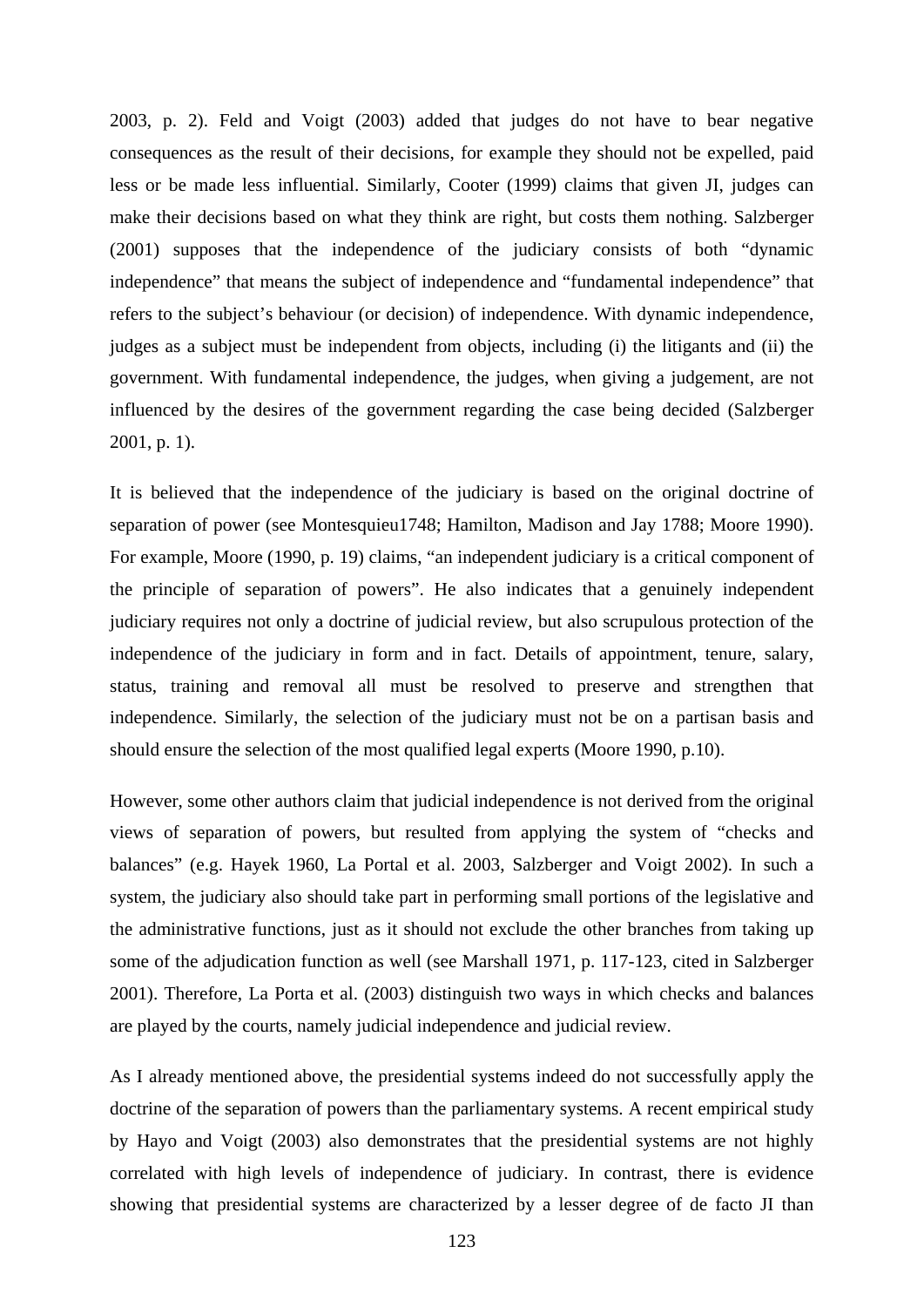2003, p. 2). Feld and Voigt (2003) added that judges do not have to bear negative consequences as the result of their decisions, for example they should not be expelled, paid less or be made less influential. Similarly, Cooter (1999) claims that given JI, judges can make their decisions based on what they think are right, but costs them nothing. Salzberger (2001) supposes that the independence of the judiciary consists of both "dynamic independence" that means the subject of independence and "fundamental independence" that refers to the subject's behaviour (or decision) of independence. With dynamic independence, judges as a subject must be independent from objects, including (i) the litigants and (ii) the government. With fundamental independence, the judges, when giving a judgement, are not influenced by the desires of the government regarding the case being decided (Salzberger 2001, p. 1).

It is believed that the independence of the judiciary is based on the original doctrine of separation of power (see Montesquieu1748; Hamilton, Madison and Jay 1788; Moore 1990). For example, Moore (1990, p. 19) claims, "an independent judiciary is a critical component of the principle of separation of powers". He also indicates that a genuinely independent judiciary requires not only a doctrine of judicial review, but also scrupulous protection of the independence of the judiciary in form and in fact. Details of appointment, tenure, salary, status, training and removal all must be resolved to preserve and strengthen that independence. Similarly, the selection of the judiciary must not be on a partisan basis and should ensure the selection of the most qualified legal experts (Moore 1990, p.10).

However, some other authors claim that judicial independence is not derived from the original views of separation of powers, but resulted from applying the system of "checks and balances" (e.g. Hayek 1960, La Portal et al. 2003, Salzberger and Voigt 2002). In such a system, the judiciary also should take part in performing small portions of the legislative and the administrative functions, just as it should not exclude the other branches from taking up some of the adjudication function as well (see Marshall 1971, p. 117-123, cited in Salzberger 2001). Therefore, La Porta et al. (2003) distinguish two ways in which checks and balances are played by the courts, namely judicial independence and judicial review.

As I already mentioned above, the presidential systems indeed do not successfully apply the doctrine of the separation of powers than the parliamentary systems. A recent empirical study by Hayo and Voigt (2003) also demonstrates that the presidential systems are not highly correlated with high levels of independence of judiciary. In contrast, there is evidence showing that presidential systems are characterized by a lesser degree of de facto JI than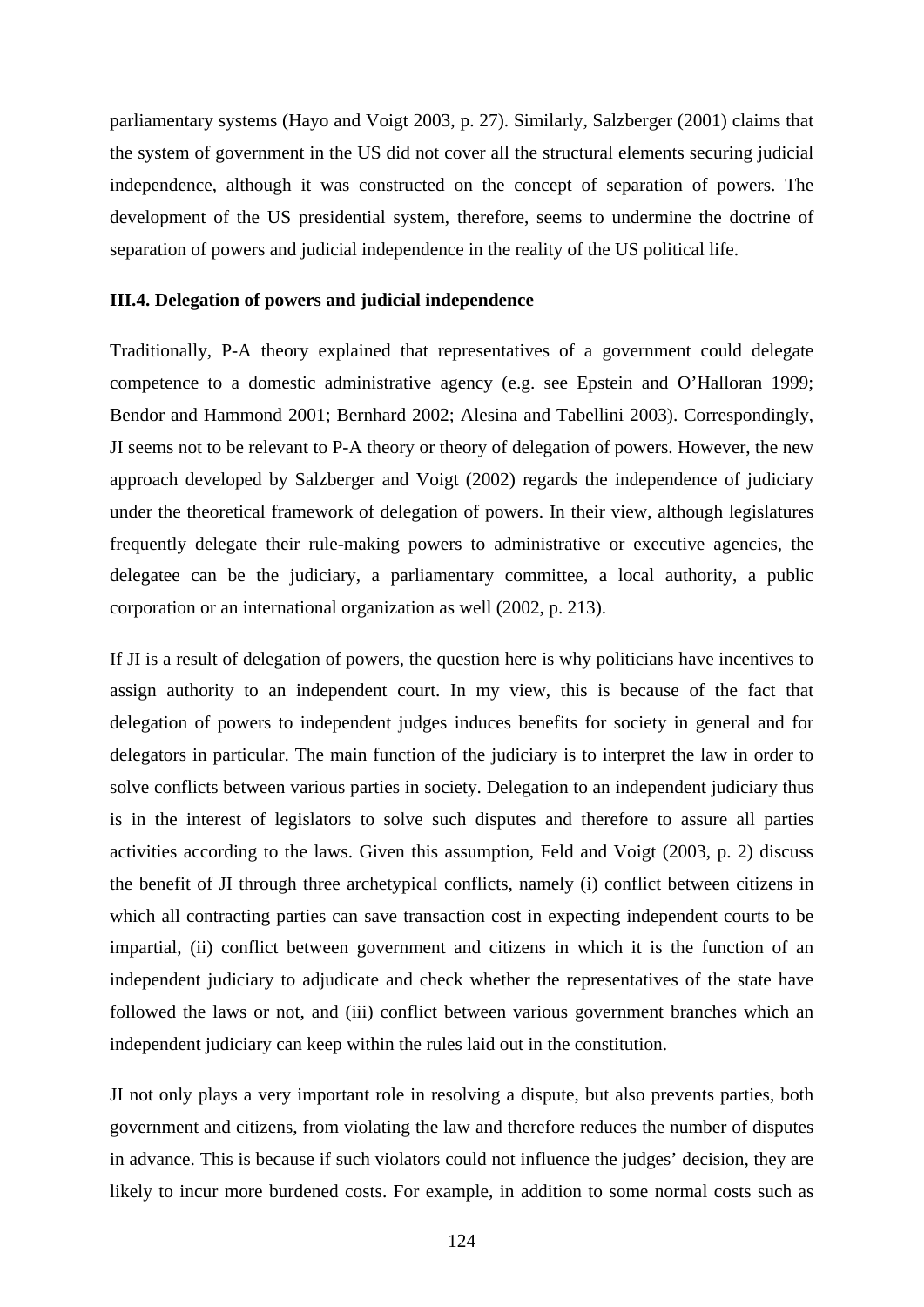parliamentary systems (Hayo and Voigt 2003, p. 27). Similarly, Salzberger (2001) claims that the system of government in the US did not cover all the structural elements securing judicial independence, although it was constructed on the concept of separation of powers. The development of the US presidential system, therefore, seems to undermine the doctrine of separation of powers and judicial independence in the reality of the US political life.

#### **III.4. Delegation of powers and judicial independence**

Traditionally, P-A theory explained that representatives of a government could delegate competence to a domestic administrative agency (e.g. see Epstein and O'Halloran 1999; Bendor and Hammond 2001; Bernhard 2002; Alesina and Tabellini 2003). Correspondingly, JI seems not to be relevant to P-A theory or theory of delegation of powers. However, the new approach developed by Salzberger and Voigt (2002) regards the independence of judiciary under the theoretical framework of delegation of powers. In their view, although legislatures frequently delegate their rule-making powers to administrative or executive agencies, the delegatee can be the judiciary, a parliamentary committee, a local authority, a public corporation or an international organization as well (2002, p. 213).

If JI is a result of delegation of powers, the question here is why politicians have incentives to assign authority to an independent court. In my view, this is because of the fact that delegation of powers to independent judges induces benefits for society in general and for delegators in particular. The main function of the judiciary is to interpret the law in order to solve conflicts between various parties in society. Delegation to an independent judiciary thus is in the interest of legislators to solve such disputes and therefore to assure all parties activities according to the laws. Given this assumption, Feld and Voigt (2003, p. 2) discuss the benefit of JI through three archetypical conflicts, namely (i) conflict between citizens in which all contracting parties can save transaction cost in expecting independent courts to be impartial, (ii) conflict between government and citizens in which it is the function of an independent judiciary to adjudicate and check whether the representatives of the state have followed the laws or not, and (iii) conflict between various government branches which an independent judiciary can keep within the rules laid out in the constitution.

JI not only plays a very important role in resolving a dispute, but also prevents parties, both government and citizens, from violating the law and therefore reduces the number of disputes in advance. This is because if such violators could not influence the judges' decision, they are likely to incur more burdened costs. For example, in addition to some normal costs such as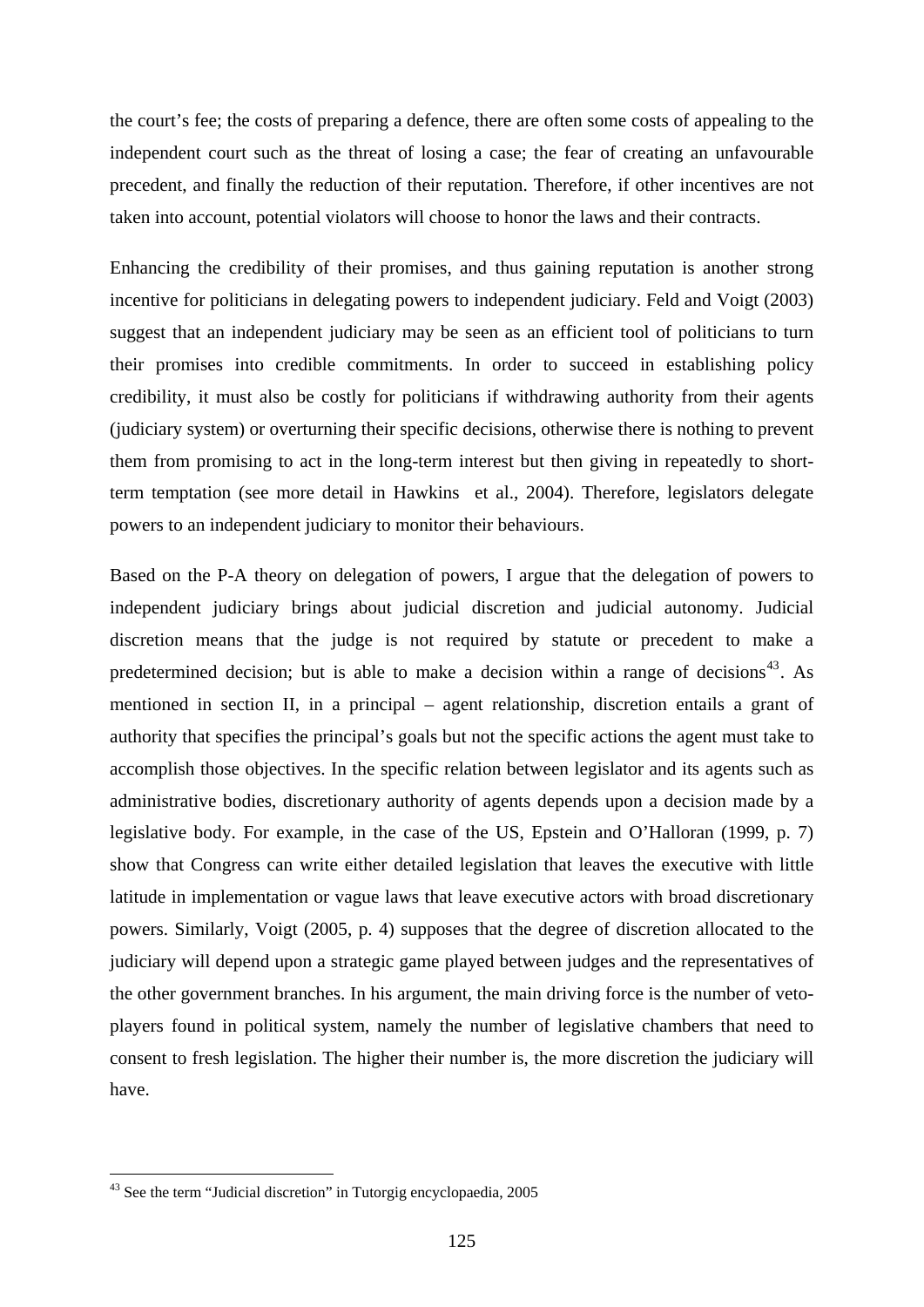the court's fee; the costs of preparing a defence, there are often some costs of appealing to the independent court such as the threat of losing a case; the fear of creating an unfavourable precedent, and finally the reduction of their reputation. Therefore, if other incentives are not taken into account, potential violators will choose to honor the laws and their contracts.

Enhancing the credibility of their promises, and thus gaining reputation is another strong incentive for politicians in delegating powers to independent judiciary. Feld and Voigt (2003) suggest that an independent judiciary may be seen as an efficient tool of politicians to turn their promises into credible commitments. In order to succeed in establishing policy credibility, it must also be costly for politicians if withdrawing authority from their agents (judiciary system) or overturning their specific decisions, otherwise there is nothing to prevent them from promising to act in the long-term interest but then giving in repeatedly to shortterm temptation (see more detail in Hawkins et al., 2004). Therefore, legislators delegate powers to an independent judiciary to monitor their behaviours.

Based on the P-A theory on delegation of powers, I argue that the delegation of powers to independent judiciary brings about judicial discretion and judicial autonomy. Judicial discretion means that the judge is not required by statute or precedent to make a predetermined decision; but is able to make a decision within a range of decisions<sup>[43](#page-130-0)</sup>. As mentioned in section II, in a principal – agent relationship, discretion entails a grant of authority that specifies the principal's goals but not the specific actions the agent must take to accomplish those objectives. In the specific relation between legislator and its agents such as administrative bodies, discretionary authority of agents depends upon a decision made by a legislative body. For example, in the case of the US, Epstein and O'Halloran (1999, p. 7) show that Congress can write either detailed legislation that leaves the executive with little latitude in implementation or vague laws that leave executive actors with broad discretionary powers. Similarly, Voigt (2005, p. 4) supposes that the degree of discretion allocated to the judiciary will depend upon a strategic game played between judges and the representatives of the other government branches. In his argument, the main driving force is the number of vetoplayers found in political system, namely the number of legislative chambers that need to consent to fresh legislation. The higher their number is, the more discretion the judiciary will have.

<span id="page-130-0"></span><sup>43</sup> See the term "Judicial discretion" in Tutorgig encyclopaedia, 2005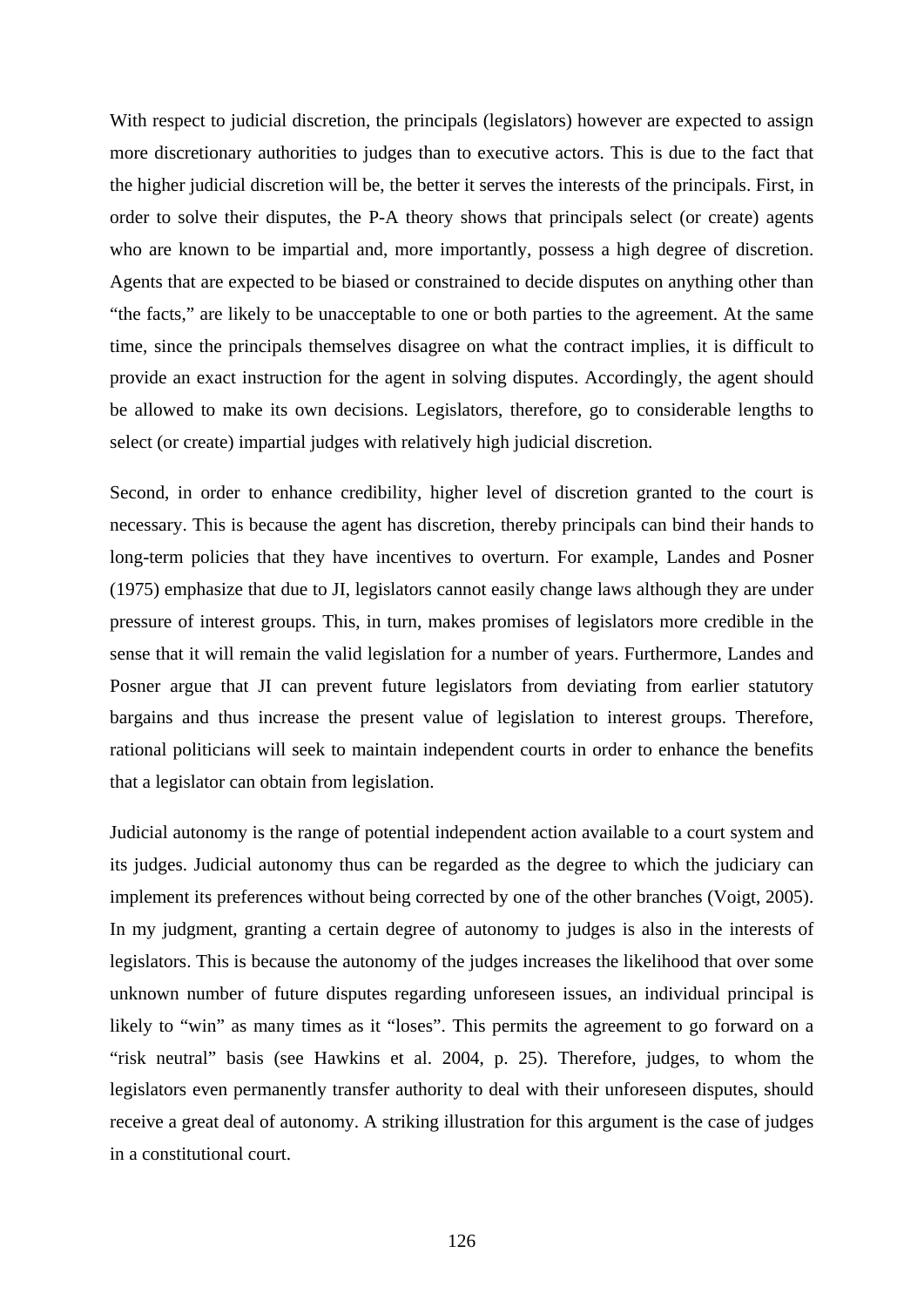With respect to judicial discretion, the principals (legislators) however are expected to assign more discretionary authorities to judges than to executive actors. This is due to the fact that the higher judicial discretion will be, the better it serves the interests of the principals. First, in order to solve their disputes, the P-A theory shows that principals select (or create) agents who are known to be impartial and, more importantly, possess a high degree of discretion. Agents that are expected to be biased or constrained to decide disputes on anything other than "the facts," are likely to be unacceptable to one or both parties to the agreement. At the same time, since the principals themselves disagree on what the contract implies, it is difficult to provide an exact instruction for the agent in solving disputes. Accordingly, the agent should be allowed to make its own decisions. Legislators, therefore, go to considerable lengths to select (or create) impartial judges with relatively high judicial discretion.

Second, in order to enhance credibility, higher level of discretion granted to the court is necessary. This is because the agent has discretion, thereby principals can bind their hands to long-term policies that they have incentives to overturn. For example, Landes and Posner (1975) emphasize that due to JI, legislators cannot easily change laws although they are under pressure of interest groups. This, in turn, makes promises of legislators more credible in the sense that it will remain the valid legislation for a number of years. Furthermore, Landes and Posner argue that JI can prevent future legislators from deviating from earlier statutory bargains and thus increase the present value of legislation to interest groups. Therefore, rational politicians will seek to maintain independent courts in order to enhance the benefits that a legislator can obtain from legislation.

Judicial autonomy is the range of potential independent action available to a court system and its judges. Judicial autonomy thus can be regarded as the degree to which the judiciary can implement its preferences without being corrected by one of the other branches (Voigt, 2005). In my judgment, granting a certain degree of autonomy to judges is also in the interests of legislators. This is because the autonomy of the judges increases the likelihood that over some unknown number of future disputes regarding unforeseen issues, an individual principal is likely to "win" as many times as it "loses". This permits the agreement to go forward on a "risk neutral" basis (see Hawkins et al. 2004, p. 25). Therefore, judges, to whom the legislators even permanently transfer authority to deal with their unforeseen disputes, should receive a great deal of autonomy. A striking illustration for this argument is the case of judges in a constitutional court.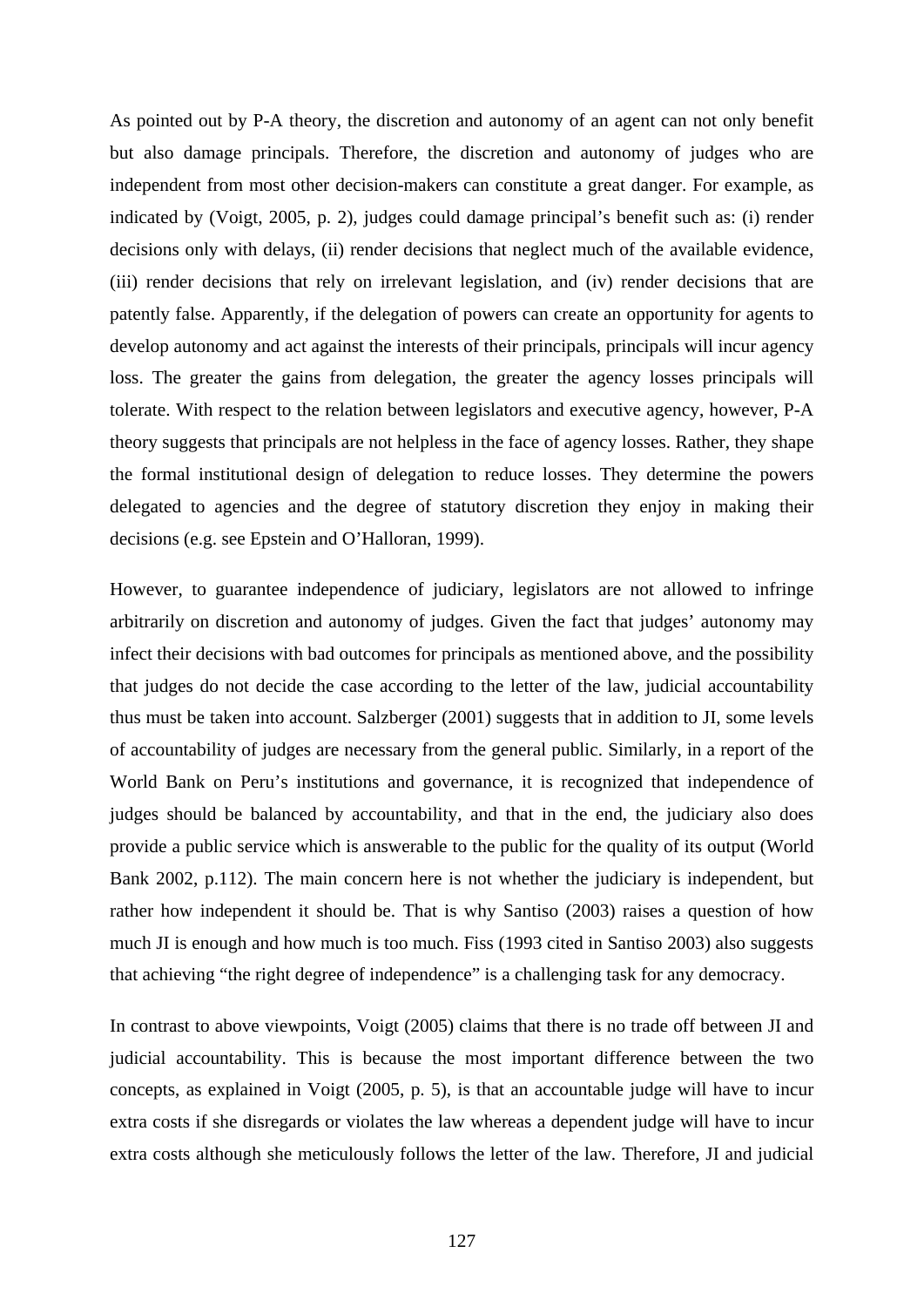As pointed out by P-A theory, the discretion and autonomy of an agent can not only benefit but also damage principals. Therefore, the discretion and autonomy of judges who are independent from most other decision-makers can constitute a great danger. For example, as indicated by (Voigt, 2005, p. 2), judges could damage principal's benefit such as: (i) render decisions only with delays, (ii) render decisions that neglect much of the available evidence, (iii) render decisions that rely on irrelevant legislation, and (iv) render decisions that are patently false. Apparently, if the delegation of powers can create an opportunity for agents to develop autonomy and act against the interests of their principals, principals will incur agency loss. The greater the gains from delegation, the greater the agency losses principals will tolerate. With respect to the relation between legislators and executive agency, however, P-A theory suggests that principals are not helpless in the face of agency losses. Rather, they shape the formal institutional design of delegation to reduce losses. They determine the powers delegated to agencies and the degree of statutory discretion they enjoy in making their decisions (e.g. see Epstein and O'Halloran, 1999).

However, to guarantee independence of judiciary, legislators are not allowed to infringe arbitrarily on discretion and autonomy of judges. Given the fact that judges' autonomy may infect their decisions with bad outcomes for principals as mentioned above, and the possibility that judges do not decide the case according to the letter of the law, judicial accountability thus must be taken into account. Salzberger (2001) suggests that in addition to JI, some levels of accountability of judges are necessary from the general public. Similarly, in a report of the World Bank on Peru's institutions and governance, it is recognized that independence of judges should be balanced by accountability, and that in the end, the judiciary also does provide a public service which is answerable to the public for the quality of its output (World Bank 2002, p.112). The main concern here is not whether the judiciary is independent, but rather how independent it should be. That is why Santiso (2003) raises a question of how much JI is enough and how much is too much. Fiss (1993 cited in Santiso 2003) also suggests that achieving "the right degree of independence" is a challenging task for any democracy.

In contrast to above viewpoints, Voigt (2005) claims that there is no trade off between JI and judicial accountability. This is because the most important difference between the two concepts, as explained in Voigt (2005, p. 5), is that an accountable judge will have to incur extra costs if she disregards or violates the law whereas a dependent judge will have to incur extra costs although she meticulously follows the letter of the law. Therefore, JI and judicial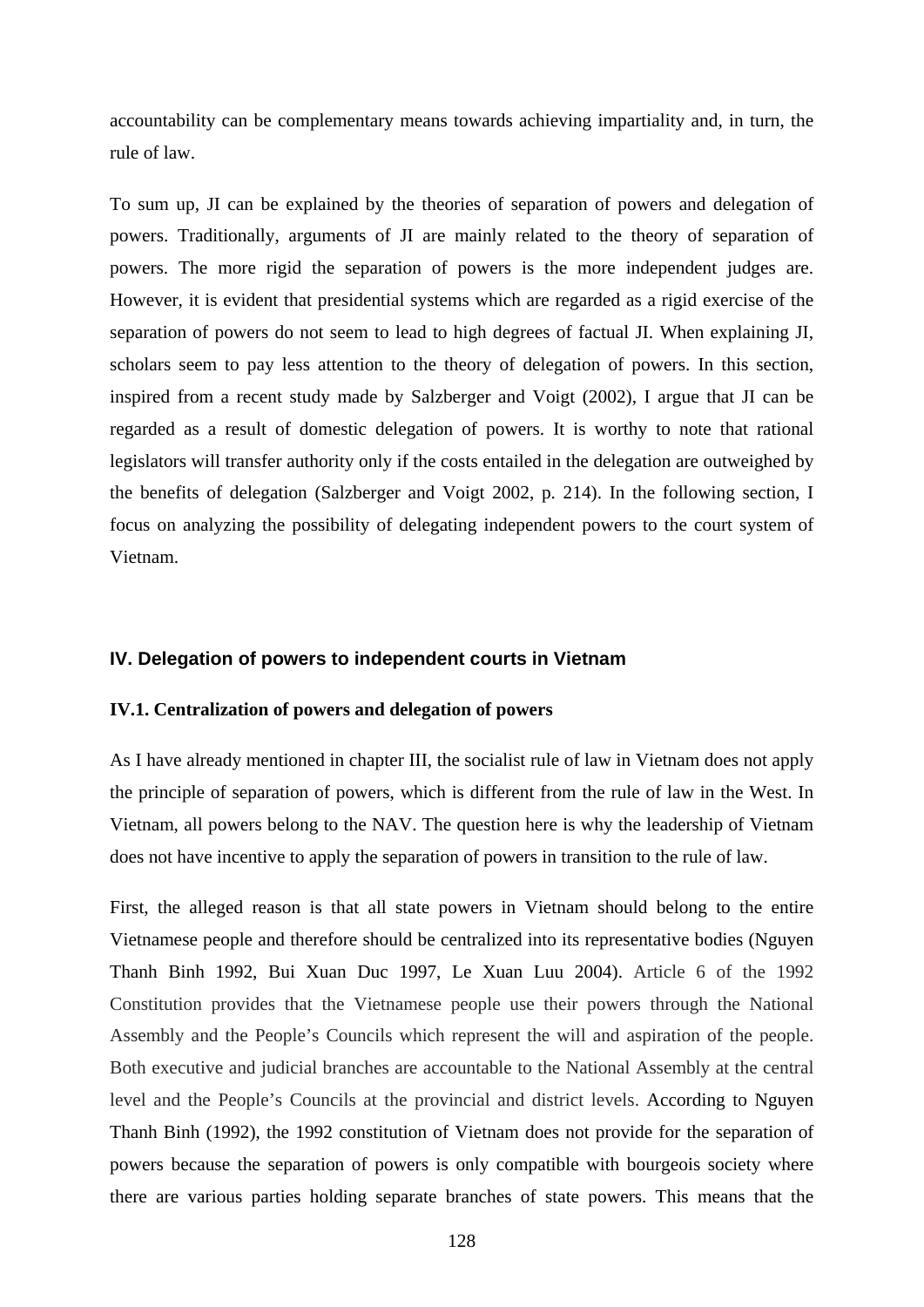accountability can be complementary means towards achieving impartiality and, in turn, the rule of law.

To sum up, JI can be explained by the theories of separation of powers and delegation of powers. Traditionally, arguments of JI are mainly related to the theory of separation of powers. The more rigid the separation of powers is the more independent judges are. However, it is evident that presidential systems which are regarded as a rigid exercise of the separation of powers do not seem to lead to high degrees of factual JI. When explaining JI, scholars seem to pay less attention to the theory of delegation of powers. In this section, inspired from a recent study made by Salzberger and Voigt (2002), I argue that JI can be regarded as a result of domestic delegation of powers. It is worthy to note that rational legislators will transfer authority only if the costs entailed in the delegation are outweighed by the benefits of delegation (Salzberger and Voigt 2002, p. 214). In the following section, I focus on analyzing the possibility of delegating independent powers to the court system of Vietnam.

## **IV. Delegation of powers to independent courts in Vietnam**

#### **IV.1. Centralization of powers and delegation of powers**

As I have already mentioned in chapter III, the socialist rule of law in Vietnam does not apply the principle of separation of powers, which is different from the rule of law in the West. In Vietnam, all powers belong to the NAV. The question here is why the leadership of Vietnam does not have incentive to apply the separation of powers in transition to the rule of law.

First, the alleged reason is that all state powers in Vietnam should belong to the entire Vietnamese people and therefore should be centralized into its representative bodies (Nguyen Thanh Binh 1992, Bui Xuan Duc 1997, Le Xuan Luu 2004). Article 6 of the 1992 Constitution provides that the Vietnamese people use their powers through the National Assembly and the People's Councils which represent the will and aspiration of the people. Both executive and judicial branches are accountable to the National Assembly at the central level and the People's Councils at the provincial and district levels. According to Nguyen Thanh Binh (1992), the 1992 constitution of Vietnam does not provide for the separation of powers because the separation of powers is only compatible with bourgeois society where there are various parties holding separate branches of state powers. This means that the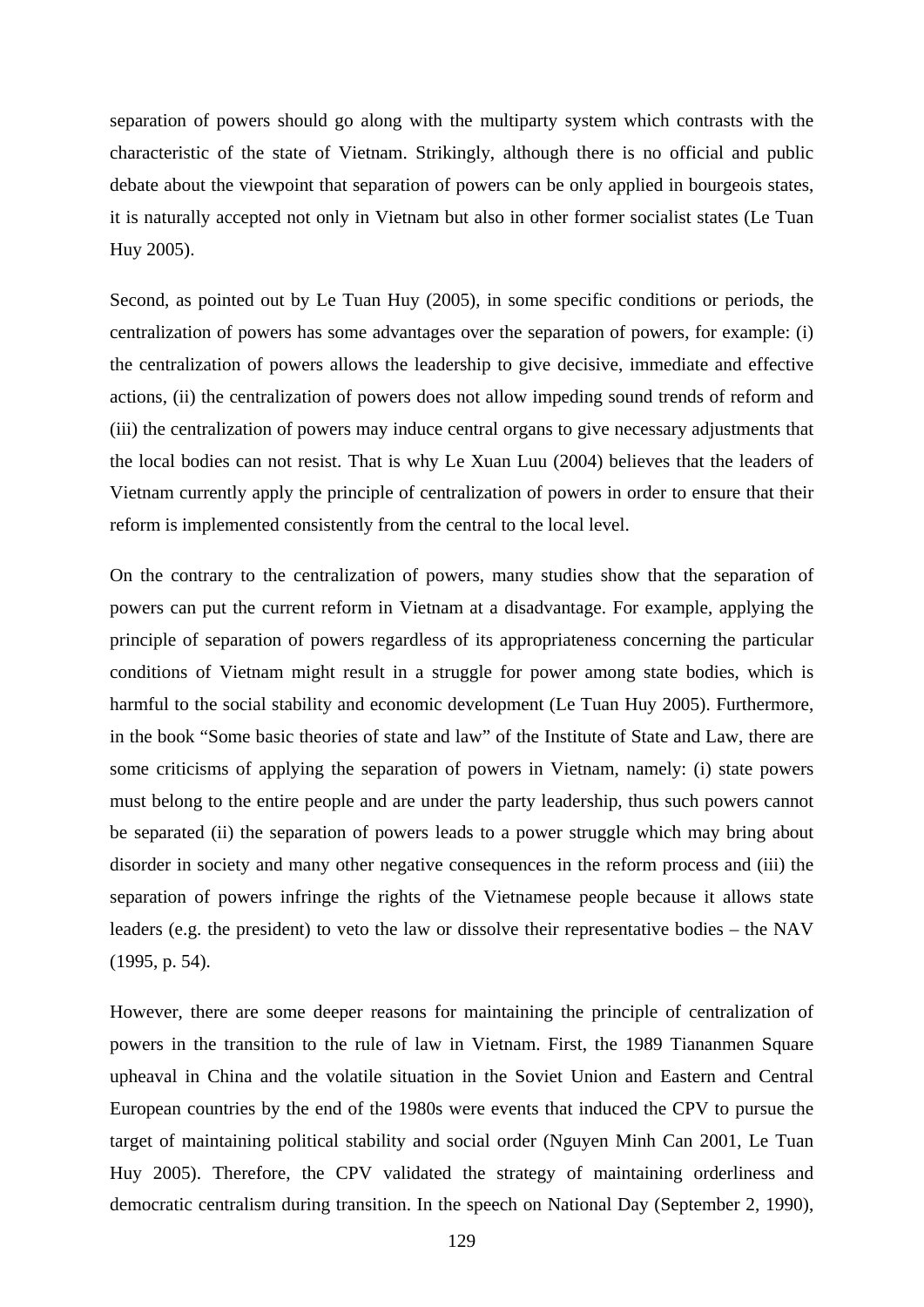separation of powers should go along with the multiparty system which contrasts with the characteristic of the state of Vietnam. Strikingly, although there is no official and public debate about the viewpoint that separation of powers can be only applied in bourgeois states, it is naturally accepted not only in Vietnam but also in other former socialist states (Le Tuan Huy 2005).

Second, as pointed out by Le Tuan Huy (2005), in some specific conditions or periods, the centralization of powers has some advantages over the separation of powers, for example: (i) the centralization of powers allows the leadership to give decisive, immediate and effective actions, (ii) the centralization of powers does not allow impeding sound trends of reform and (iii) the centralization of powers may induce central organs to give necessary adjustments that the local bodies can not resist. That is why Le Xuan Luu (2004) believes that the leaders of Vietnam currently apply the principle of centralization of powers in order to ensure that their reform is implemented consistently from the central to the local level.

On the contrary to the centralization of powers, many studies show that the separation of powers can put the current reform in Vietnam at a disadvantage. For example, applying the principle of separation of powers regardless of its appropriateness concerning the particular conditions of Vietnam might result in a struggle for power among state bodies, which is harmful to the social stability and economic development (Le Tuan Huy 2005). Furthermore, in the book "Some basic theories of state and law" of the Institute of State and Law, there are some criticisms of applying the separation of powers in Vietnam, namely: (i) state powers must belong to the entire people and are under the party leadership, thus such powers cannot be separated (ii) the separation of powers leads to a power struggle which may bring about disorder in society and many other negative consequences in the reform process and (iii) the separation of powers infringe the rights of the Vietnamese people because it allows state leaders (e.g. the president) to veto the law or dissolve their representative bodies – the NAV (1995, p. 54).

However, there are some deeper reasons for maintaining the principle of centralization of powers in the transition to the rule of law in Vietnam. First, the 1989 Tiananmen Square upheaval in China and the volatile situation in the Soviet Union and Eastern and Central European countries by the end of the 1980s were events that induced the CPV to pursue the target of maintaining political stability and social order (Nguyen Minh Can 2001, Le Tuan Huy 2005). Therefore, the CPV validated the strategy of maintaining orderliness and democratic centralism during transition. In the speech on National Day (September 2, 1990),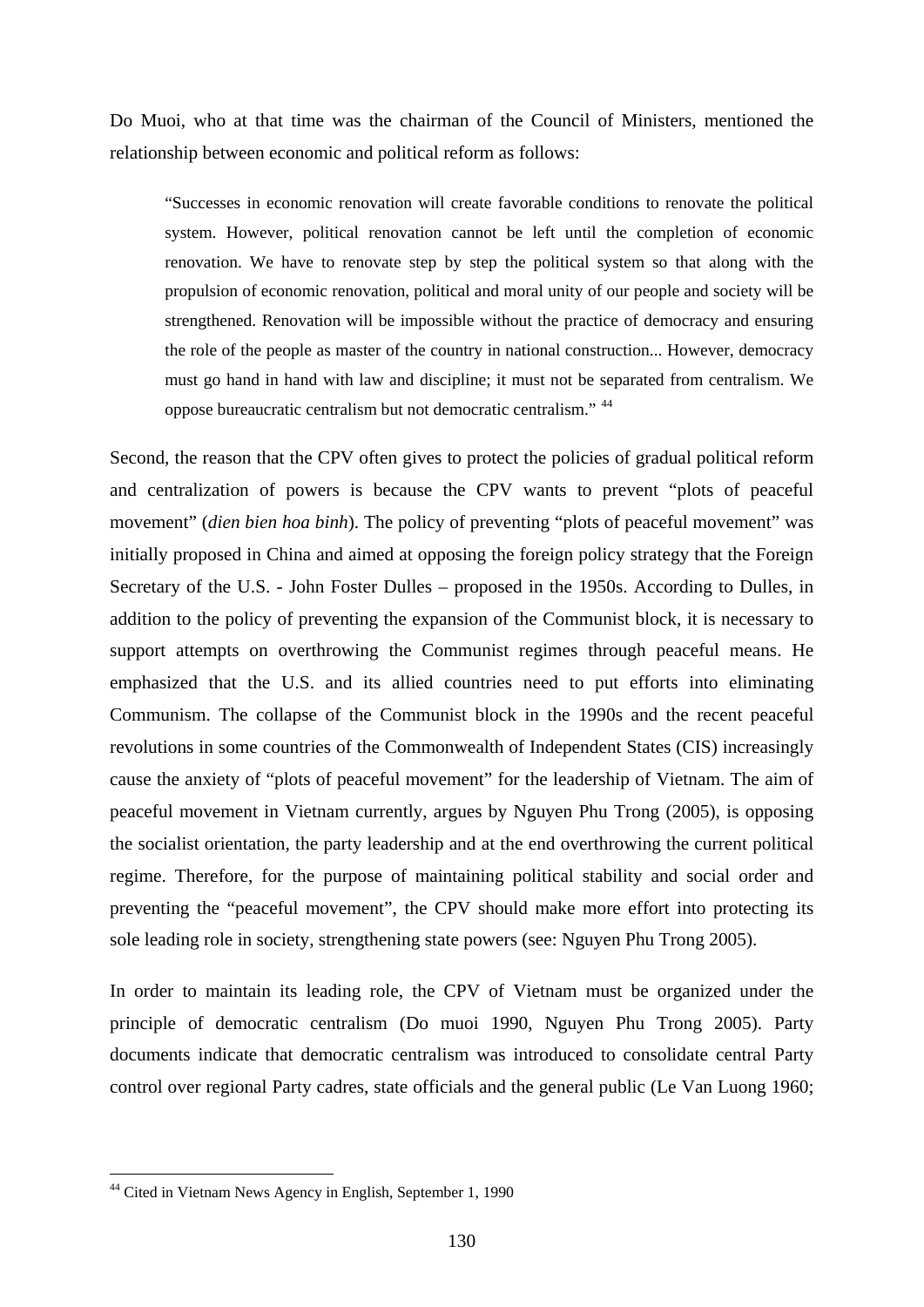Do Muoi, who at that time was the chairman of the Council of Ministers, mentioned the relationship between economic and political reform as follows:

"Successes in economic renovation will create favorable conditions to renovate the political system. However, political renovation cannot be left until the completion of economic renovation. We have to renovate step by step the political system so that along with the propulsion of economic renovation, political and moral unity of our people and society will be strengthened. Renovation will be impossible without the practice of democracy and ensuring the role of the people as master of the country in national construction... However, democracy must go hand in hand with law and discipline; it must not be separated from centralism. We oppose bureaucratic centralism but not democratic centralism." [44](#page-135-0)

Second, the reason that the CPV often gives to protect the policies of gradual political reform and centralization of powers is because the CPV wants to prevent "plots of peaceful movement" (*dien bien hoa binh*). The policy of preventing "plots of peaceful movement" was initially proposed in China and aimed at opposing the foreign policy strategy that the Foreign Secretary of the U.S. - John Foster Dulles – proposed in the 1950s. According to Dulles, in addition to the policy of preventing the expansion of the Communist block, it is necessary to support attempts on overthrowing the Communist regimes through peaceful means. He emphasized that the U.S. and its allied countries need to put efforts into eliminating Communism. The collapse of the Communist block in the 1990s and the recent peaceful revolutions in some countries of the Commonwealth of Independent States (CIS) increasingly cause the anxiety of "plots of peaceful movement" for the leadership of Vietnam. The aim of peaceful movement in Vietnam currently, argues by Nguyen Phu Trong (2005), is opposing the socialist orientation, the party leadership and at the end overthrowing the current political regime. Therefore, for the purpose of maintaining political stability and social order and preventing the "peaceful movement", the CPV should make more effort into protecting its sole leading role in society, strengthening state powers (see: Nguyen Phu Trong 2005).

In order to maintain its leading role, the CPV of Vietnam must be organized under the principle of democratic centralism (Do muoi 1990, Nguyen Phu Trong 2005). Party documents indicate that democratic centralism was introduced to consolidate central Party control over regional Party cadres, state officials and the general public (Le Van Luong 1960;

<span id="page-135-0"></span><sup>44</sup> Cited in Vietnam News Agency in English, September 1, 1990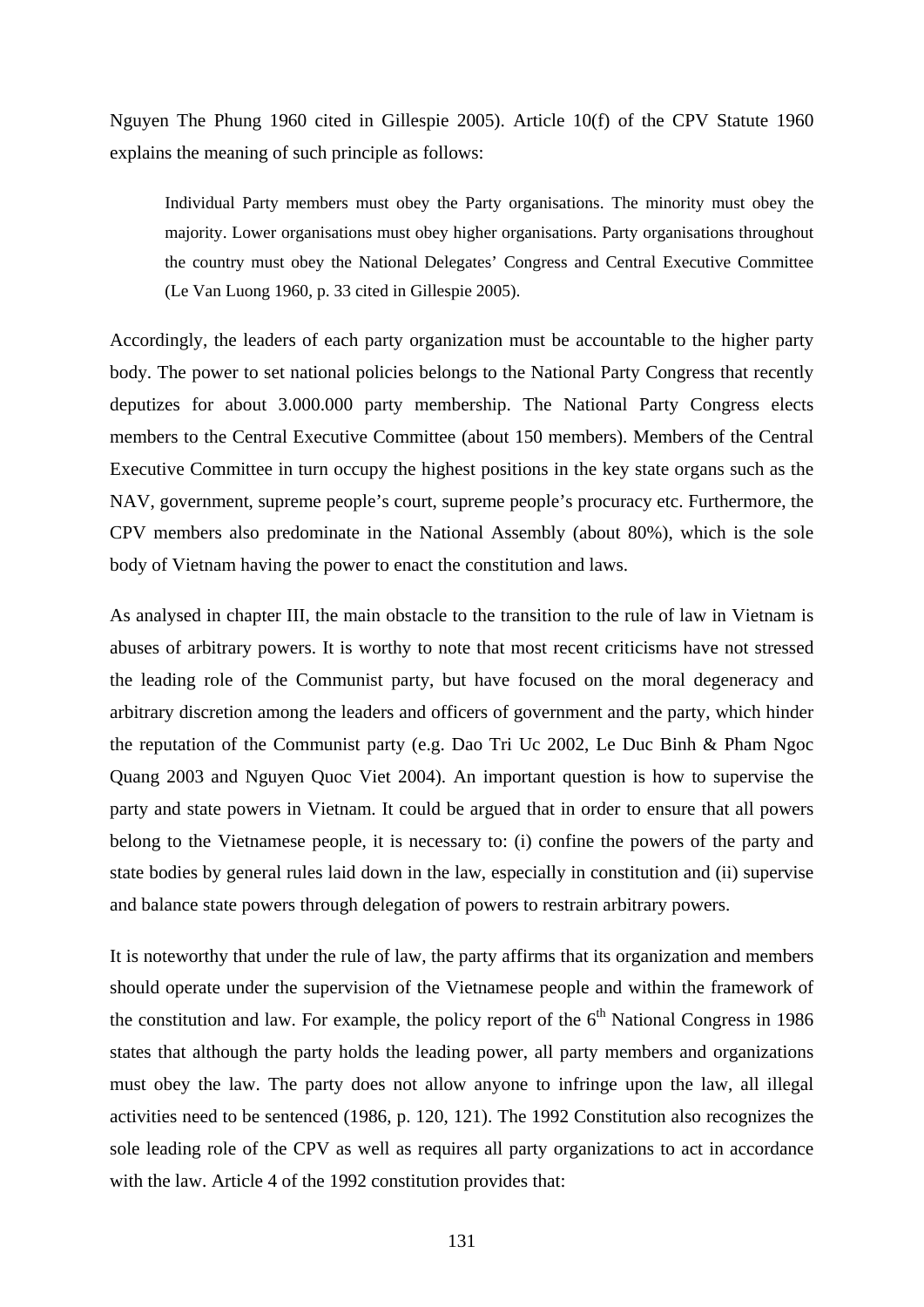Nguyen The Phung 1960 cited in Gillespie 2005). Article 10(f) of the CPV Statute 1960 explains the meaning of such principle as follows:

Individual Party members must obey the Party organisations. The minority must obey the majority. Lower organisations must obey higher organisations. Party organisations throughout the country must obey the National Delegates' Congress and Central Executive Committee (Le Van Luong 1960, p. 33 cited in Gillespie 2005).

Accordingly, the leaders of each party organization must be accountable to the higher party body. The power to set national policies belongs to the National Party Congress that recently deputizes for about 3.000.000 party membership. The National Party Congress elects members to the Central Executive Committee (about 150 members). Members of the Central Executive Committee in turn occupy the highest positions in the key state organs such as the NAV, government, supreme people's court, supreme people's procuracy etc. Furthermore, the CPV members also predominate in the National Assembly (about 80%), which is the sole body of Vietnam having the power to enact the constitution and laws.

As analysed in chapter III, the main obstacle to the transition to the rule of law in Vietnam is abuses of arbitrary powers. It is worthy to note that most recent criticisms have not stressed the leading role of the Communist party, but have focused on the moral degeneracy and arbitrary discretion among the leaders and officers of government and the party, which hinder the reputation of the Communist party (e.g. Dao Tri Uc 2002, Le Duc Binh & Pham Ngoc Quang 2003 and Nguyen Quoc Viet 2004). An important question is how to supervise the party and state powers in Vietnam. It could be argued that in order to ensure that all powers belong to the Vietnamese people, it is necessary to: (i) confine the powers of the party and state bodies by general rules laid down in the law, especially in constitution and (ii) supervise and balance state powers through delegation of powers to restrain arbitrary powers.

It is noteworthy that under the rule of law, the party affirms that its organization and members should operate under the supervision of the Vietnamese people and within the framework of the constitution and law. For example, the policy report of the  $6<sup>th</sup>$  National Congress in 1986 states that although the party holds the leading power, all party members and organizations must obey the law. The party does not allow anyone to infringe upon the law, all illegal activities need to be sentenced (1986, p. 120, 121). The 1992 Constitution also recognizes the sole leading role of the CPV as well as requires all party organizations to act in accordance with the law. Article 4 of the 1992 constitution provides that: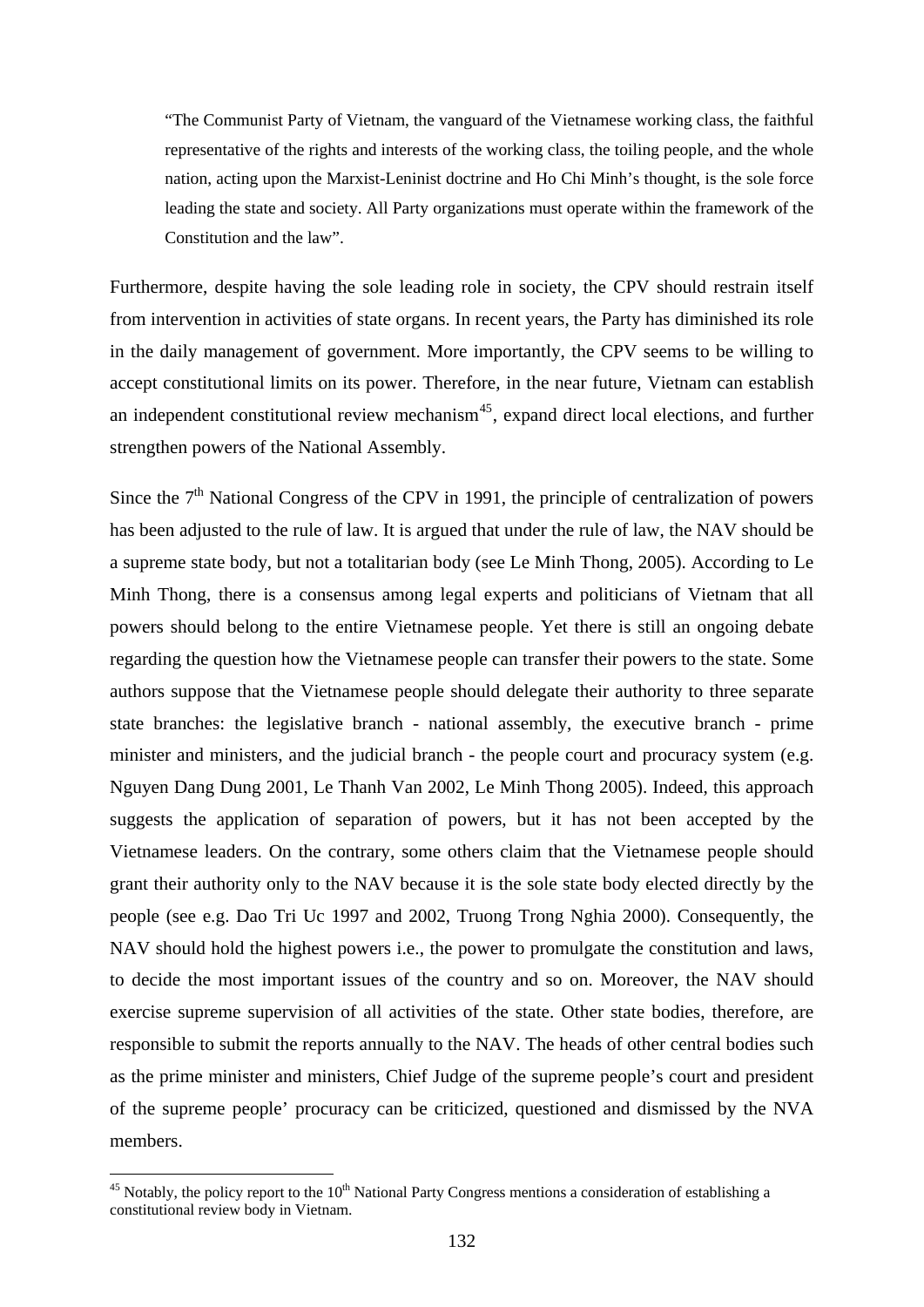"The Communist Party of Vietnam, the vanguard of the Vietnamese working class, the faithful representative of the rights and interests of the working class, the toiling people, and the whole nation, acting upon the Marxist-Leninist doctrine and Ho Chi Minh's thought, is the sole force leading the state and society. All Party organizations must operate within the framework of the Constitution and the law".

Furthermore, despite having the sole leading role in society, the CPV should restrain itself from intervention in activities of state organs. In recent years, the Party has diminished its role in the daily management of government. More importantly, the CPV seems to be willing to accept constitutional limits on its power. Therefore, in the near future, Vietnam can establish an independent constitutional review mechanism<sup>[45](#page-137-0)</sup>, expand direct local elections, and further strengthen powers of the National Assembly.

Since the  $7<sup>th</sup>$  National Congress of the CPV in 1991, the principle of centralization of powers has been adjusted to the rule of law. It is argued that under the rule of law, the NAV should be a supreme state body, but not a totalitarian body (see Le Minh Thong, 2005). According to Le Minh Thong, there is a consensus among legal experts and politicians of Vietnam that all powers should belong to the entire Vietnamese people. Yet there is still an ongoing debate regarding the question how the Vietnamese people can transfer their powers to the state. Some authors suppose that the Vietnamese people should delegate their authority to three separate state branches: the legislative branch - national assembly, the executive branch - prime minister and ministers, and the judicial branch - the people court and procuracy system (e.g. Nguyen Dang Dung 2001, Le Thanh Van 2002, Le Minh Thong 2005). Indeed, this approach suggests the application of separation of powers, but it has not been accepted by the Vietnamese leaders. On the contrary, some others claim that the Vietnamese people should grant their authority only to the NAV because it is the sole state body elected directly by the people (see e.g. Dao Tri Uc 1997 and 2002, Truong Trong Nghia 2000). Consequently, the NAV should hold the highest powers i.e., the power to promulgate the constitution and laws, to decide the most important issues of the country and so on. Moreover, the NAV should exercise supreme supervision of all activities of the state. Other state bodies, therefore, are responsible to submit the reports annually to the NAV. The heads of other central bodies such as the prime minister and ministers, Chief Judge of the supreme people's court and president of the supreme people' procuracy can be criticized, questioned and dismissed by the NVA members.

<span id="page-137-0"></span> $45$  Notably, the policy report to the  $10<sup>th</sup>$  National Party Congress mentions a consideration of establishing a constitutional review body in Vietnam.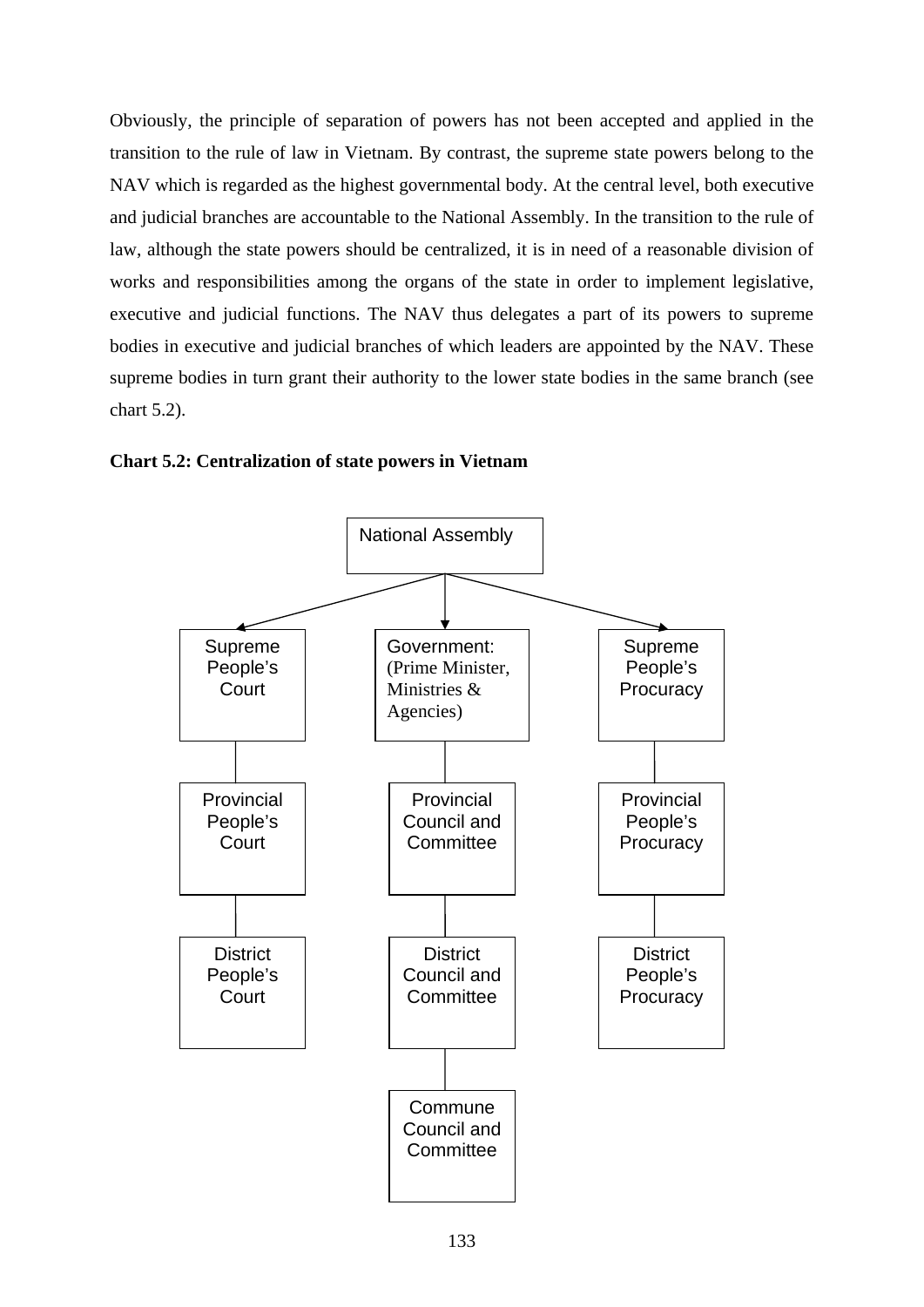Obviously, the principle of separation of powers has not been accepted and applied in the transition to the rule of law in Vietnam. By contrast, the supreme state powers belong to the NAV which is regarded as the highest governmental body. At the central level, both executive and judicial branches are accountable to the National Assembly. In the transition to the rule of law, although the state powers should be centralized, it is in need of a reasonable division of works and responsibilities among the organs of the state in order to implement legislative, executive and judicial functions. The NAV thus delegates a part of its powers to supreme bodies in executive and judicial branches of which leaders are appointed by the NAV. These supreme bodies in turn grant their authority to the lower state bodies in the same branch (see chart 5.2).



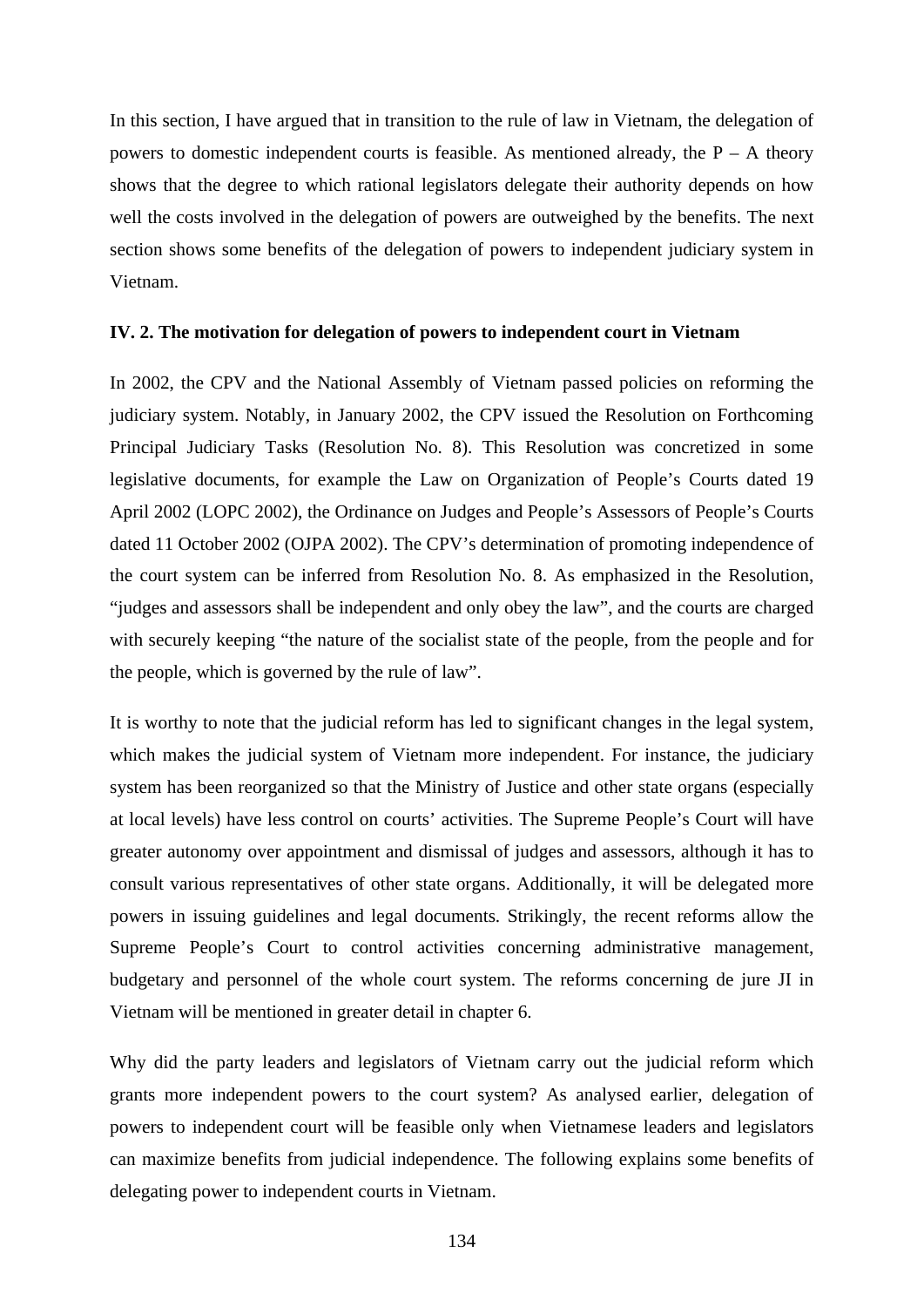In this section, I have argued that in transition to the rule of law in Vietnam, the delegation of powers to domestic independent courts is feasible. As mentioned already, the  $P - A$  theory shows that the degree to which rational legislators delegate their authority depends on how well the costs involved in the delegation of powers are outweighed by the benefits. The next section shows some benefits of the delegation of powers to independent judiciary system in Vietnam.

#### **IV. 2. The motivation for delegation of powers to independent court in Vietnam**

In 2002, the CPV and the National Assembly of Vietnam passed policies on reforming the judiciary system. Notably, in January 2002, the CPV issued the Resolution on Forthcoming Principal Judiciary Tasks (Resolution No. 8). This Resolution was concretized in some legislative documents, for example the Law on Organization of People's Courts dated 19 April 2002 (LOPC 2002), the Ordinance on Judges and People's Assessors of People's Courts dated 11 October 2002 (OJPA 2002). The CPV's determination of promoting independence of the court system can be inferred from Resolution No. 8. As emphasized in the Resolution, "judges and assessors shall be independent and only obey the law", and the courts are charged with securely keeping "the nature of the socialist state of the people, from the people and for the people, which is governed by the rule of law".

It is worthy to note that the judicial reform has led to significant changes in the legal system, which makes the judicial system of Vietnam more independent. For instance, the judiciary system has been reorganized so that the Ministry of Justice and other state organs (especially at local levels) have less control on courts' activities. The Supreme People's Court will have greater autonomy over appointment and dismissal of judges and assessors, although it has to consult various representatives of other state organs. Additionally, it will be delegated more powers in issuing guidelines and legal documents. Strikingly, the recent reforms allow the Supreme People's Court to control activities concerning administrative management, budgetary and personnel of the whole court system. The reforms concerning de jure JI in Vietnam will be mentioned in greater detail in chapter 6.

Why did the party leaders and legislators of Vietnam carry out the judicial reform which grants more independent powers to the court system? As analysed earlier, delegation of powers to independent court will be feasible only when Vietnamese leaders and legislators can maximize benefits from judicial independence. The following explains some benefits of delegating power to independent courts in Vietnam.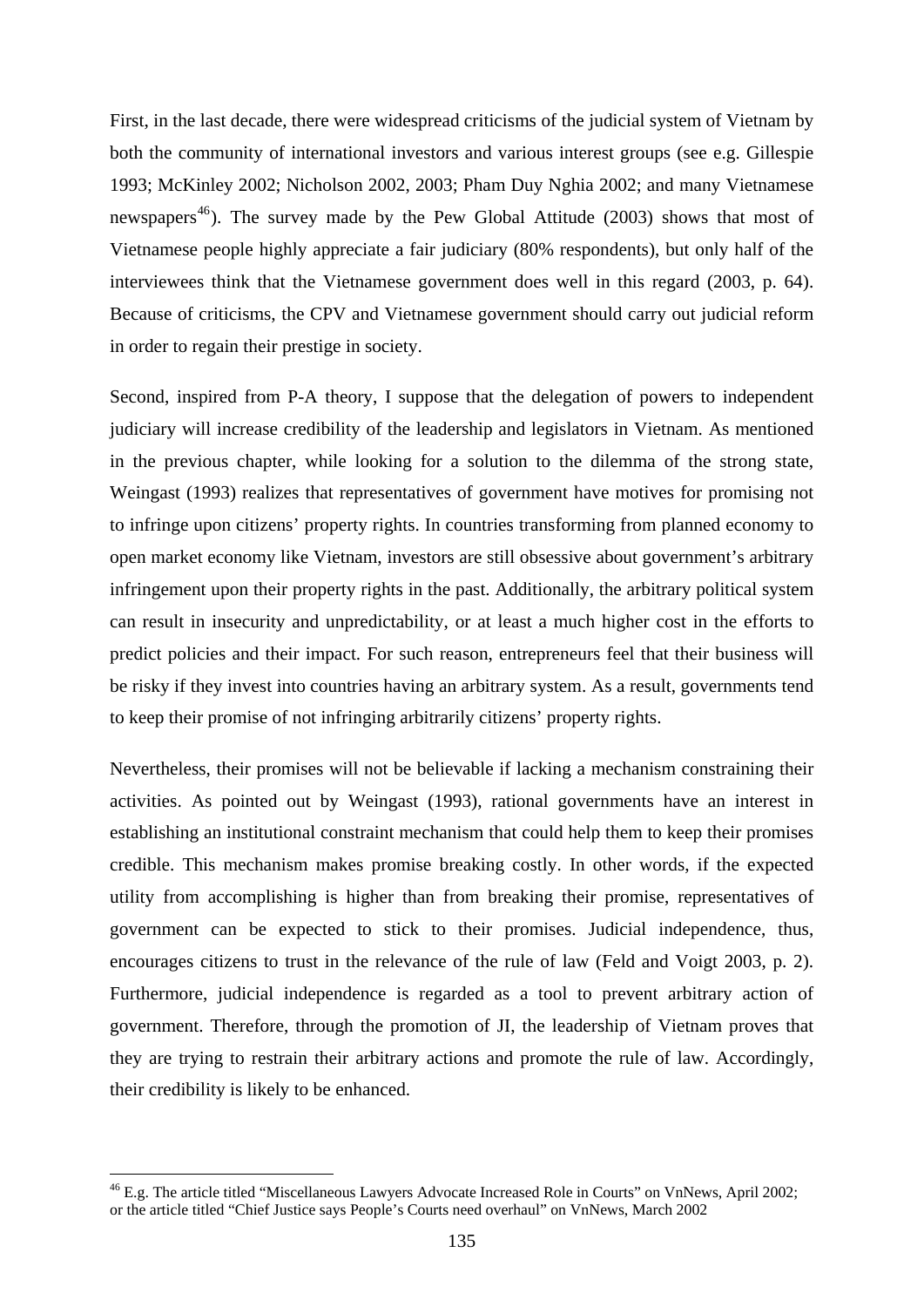First, in the last decade, there were widespread criticisms of the judicial system of Vietnam by both the community of international investors and various interest groups (see e.g. Gillespie 1993; McKinley 2002; Nicholson 2002, 2003; Pham Duy Nghia 2002; and many Vietnamese newspapers<sup>[46](#page-140-0)</sup>). The survey made by the Pew Global Attitude (2003) shows that most of Vietnamese people highly appreciate a fair judiciary (80% respondents), but only half of the interviewees think that the Vietnamese government does well in this regard (2003, p. 64). Because of criticisms, the CPV and Vietnamese government should carry out judicial reform in order to regain their prestige in society.

Second, inspired from P-A theory, I suppose that the delegation of powers to independent judiciary will increase credibility of the leadership and legislators in Vietnam. As mentioned in the previous chapter, while looking for a solution to the dilemma of the strong state, Weingast (1993) realizes that representatives of government have motives for promising not to infringe upon citizens' property rights. In countries transforming from planned economy to open market economy like Vietnam, investors are still obsessive about government's arbitrary infringement upon their property rights in the past. Additionally, the arbitrary political system can result in insecurity and unpredictability, or at least a much higher cost in the efforts to predict policies and their impact. For such reason, entrepreneurs feel that their business will be risky if they invest into countries having an arbitrary system. As a result, governments tend to keep their promise of not infringing arbitrarily citizens' property rights.

Nevertheless, their promises will not be believable if lacking a mechanism constraining their activities. As pointed out by Weingast (1993), rational governments have an interest in establishing an institutional constraint mechanism that could help them to keep their promises credible. This mechanism makes promise breaking costly. In other words, if the expected utility from accomplishing is higher than from breaking their promise, representatives of government can be expected to stick to their promises. Judicial independence, thus, encourages citizens to trust in the relevance of the rule of law (Feld and Voigt 2003, p. 2). Furthermore, judicial independence is regarded as a tool to prevent arbitrary action of government. Therefore, through the promotion of JI, the leadership of Vietnam proves that they are trying to restrain their arbitrary actions and promote the rule of law. Accordingly, their credibility is likely to be enhanced.

<span id="page-140-0"></span><sup>&</sup>lt;sup>46</sup> E.g. The article titled "Miscellaneous Lawyers Advocate Increased Role in Courts" on VnNews, April 2002; or the article titled "Chief Justice says People's Courts need overhaul" on VnNews, March 2002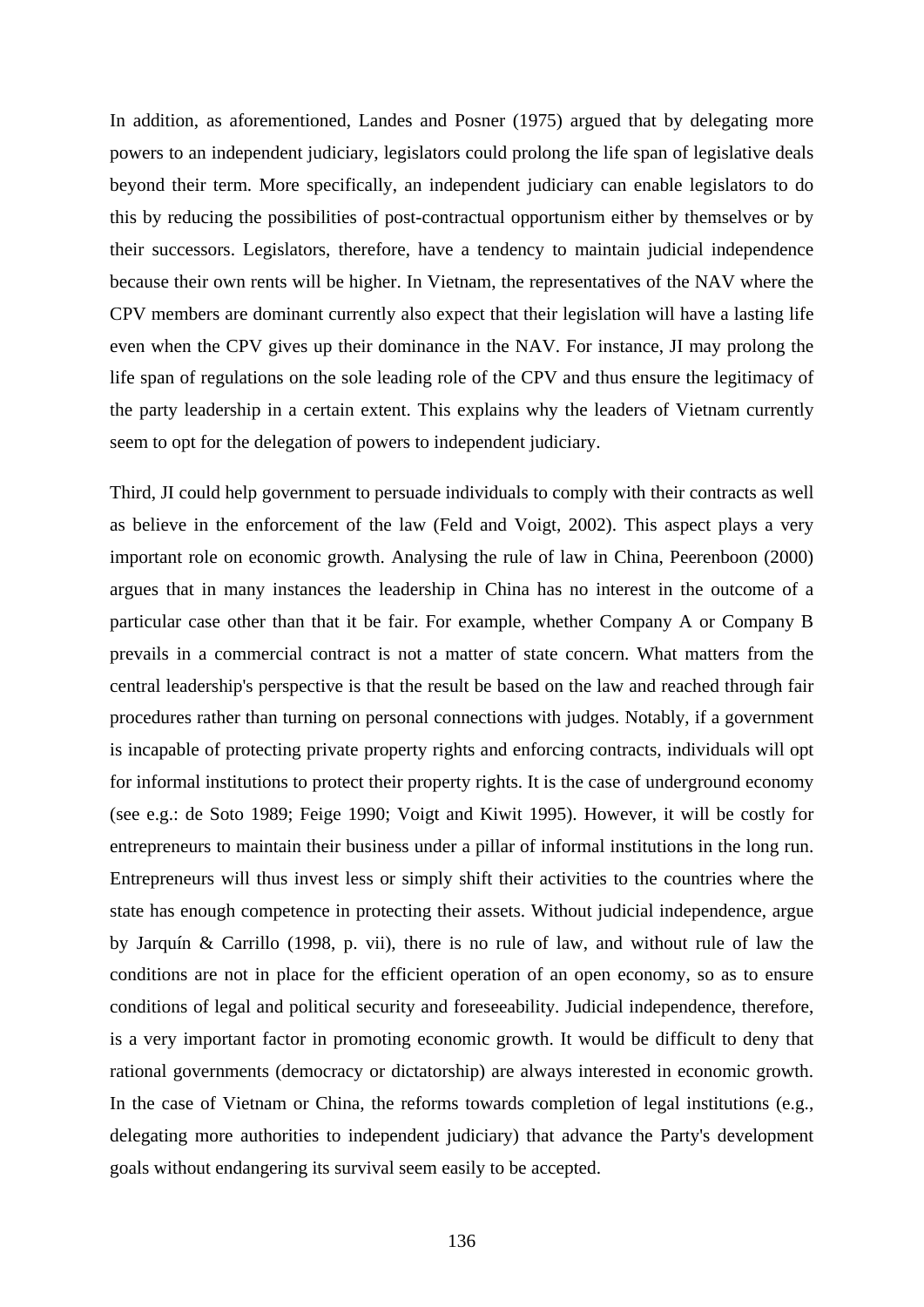In addition, as aforementioned, Landes and Posner (1975) argued that by delegating more powers to an independent judiciary, legislators could prolong the life span of legislative deals beyond their term. More specifically, an independent judiciary can enable legislators to do this by reducing the possibilities of post-contractual opportunism either by themselves or by their successors. Legislators, therefore, have a tendency to maintain judicial independence because their own rents will be higher. In Vietnam, the representatives of the NAV where the CPV members are dominant currently also expect that their legislation will have a lasting life even when the CPV gives up their dominance in the NAV. For instance, JI may prolong the life span of regulations on the sole leading role of the CPV and thus ensure the legitimacy of the party leadership in a certain extent. This explains why the leaders of Vietnam currently seem to opt for the delegation of powers to independent judiciary.

Third, JI could help government to persuade individuals to comply with their contracts as well as believe in the enforcement of the law (Feld and Voigt, 2002). This aspect plays a very important role on economic growth. Analysing the rule of law in China, Peerenboon (2000) argues that in many instances the leadership in China has no interest in the outcome of a particular case other than that it be fair. For example, whether Company A or Company B prevails in a commercial contract is not a matter of state concern. What matters from the central leadership's perspective is that the result be based on the law and reached through fair procedures rather than turning on personal connections with judges. Notably, if a government is incapable of protecting private property rights and enforcing contracts, individuals will opt for informal institutions to protect their property rights. It is the case of underground economy (see e.g.: de Soto 1989; Feige 1990; Voigt and Kiwit 1995). However, it will be costly for entrepreneurs to maintain their business under a pillar of informal institutions in the long run. Entrepreneurs will thus invest less or simply shift their activities to the countries where the state has enough competence in protecting their assets. Without judicial independence, argue by Jarquín & Carrillo (1998, p. vii), there is no rule of law, and without rule of law the conditions are not in place for the efficient operation of an open economy, so as to ensure conditions of legal and political security and foreseeability. Judicial independence, therefore, is a very important factor in promoting economic growth. It would be difficult to deny that rational governments (democracy or dictatorship) are always interested in economic growth. In the case of Vietnam or China, the reforms towards completion of legal institutions (e.g., delegating more authorities to independent judiciary) that advance the Party's development goals without endangering its survival seem easily to be accepted.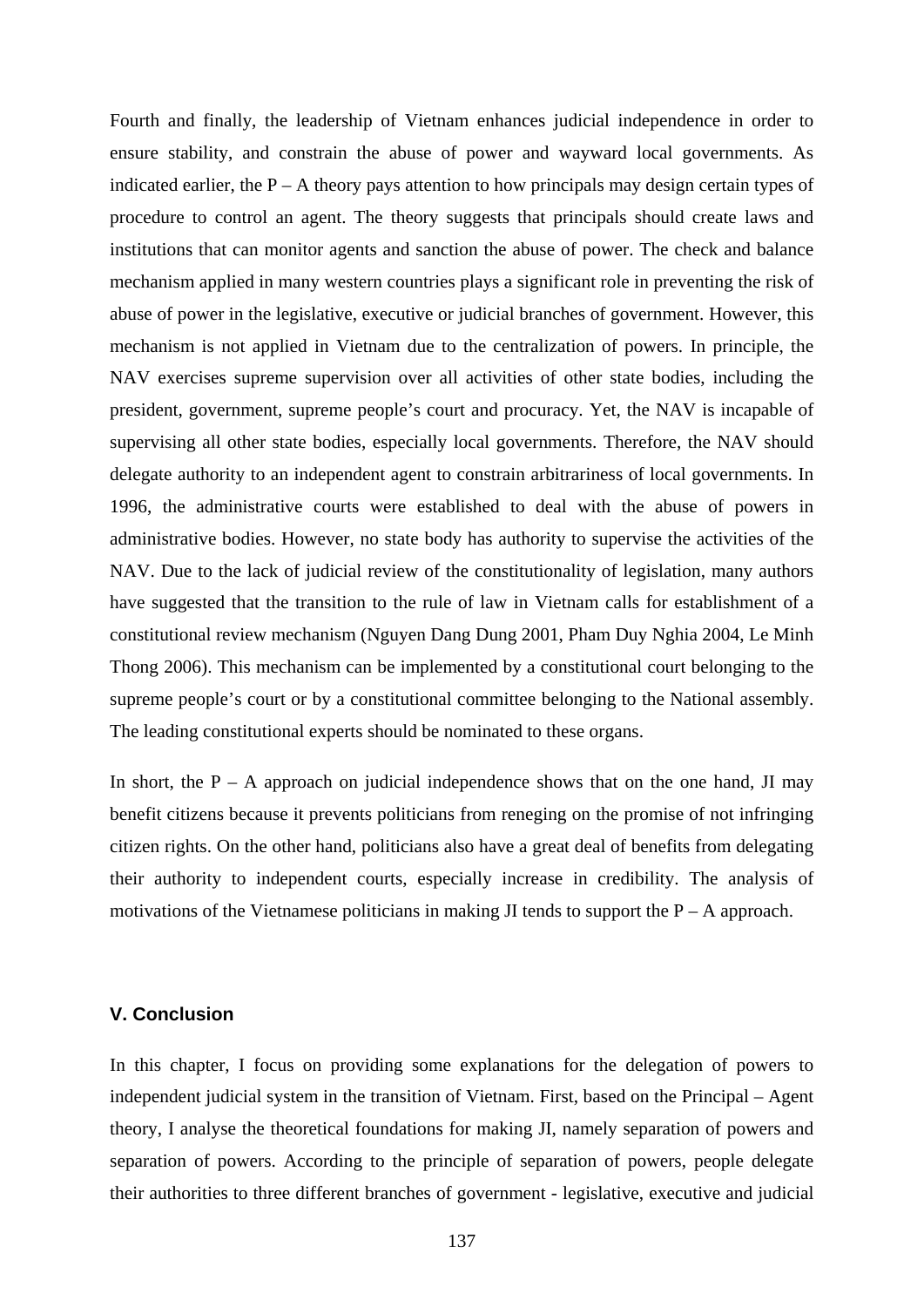Fourth and finally, the leadership of Vietnam enhances judicial independence in order to ensure stability, and constrain the abuse of power and wayward local governments. As indicated earlier, the  $P - A$  theory pays attention to how principals may design certain types of procedure to control an agent. The theory suggests that principals should create laws and institutions that can monitor agents and sanction the abuse of power. The check and balance mechanism applied in many western countries plays a significant role in preventing the risk of abuse of power in the legislative, executive or judicial branches of government. However, this mechanism is not applied in Vietnam due to the centralization of powers. In principle, the NAV exercises supreme supervision over all activities of other state bodies, including the president, government, supreme people's court and procuracy. Yet, the NAV is incapable of supervising all other state bodies, especially local governments. Therefore, the NAV should delegate authority to an independent agent to constrain arbitrariness of local governments. In 1996, the administrative courts were established to deal with the abuse of powers in administrative bodies. However, no state body has authority to supervise the activities of the NAV. Due to the lack of judicial review of the constitutionality of legislation, many authors have suggested that the transition to the rule of law in Vietnam calls for establishment of a constitutional review mechanism (Nguyen Dang Dung 2001, Pham Duy Nghia 2004, Le Minh Thong 2006). This mechanism can be implemented by a constitutional court belonging to the supreme people's court or by a constitutional committee belonging to the National assembly. The leading constitutional experts should be nominated to these organs.

In short, the  $P - A$  approach on judicial independence shows that on the one hand, JI may benefit citizens because it prevents politicians from reneging on the promise of not infringing citizen rights. On the other hand, politicians also have a great deal of benefits from delegating their authority to independent courts, especially increase in credibility. The analysis of motivations of the Vietnamese politicians in making JI tends to support the  $P - A$  approach.

## **V. Conclusion**

In this chapter, I focus on providing some explanations for the delegation of powers to independent judicial system in the transition of Vietnam. First, based on the Principal – Agent theory, I analyse the theoretical foundations for making JI, namely separation of powers and separation of powers. According to the principle of separation of powers, people delegate their authorities to three different branches of government - legislative, executive and judicial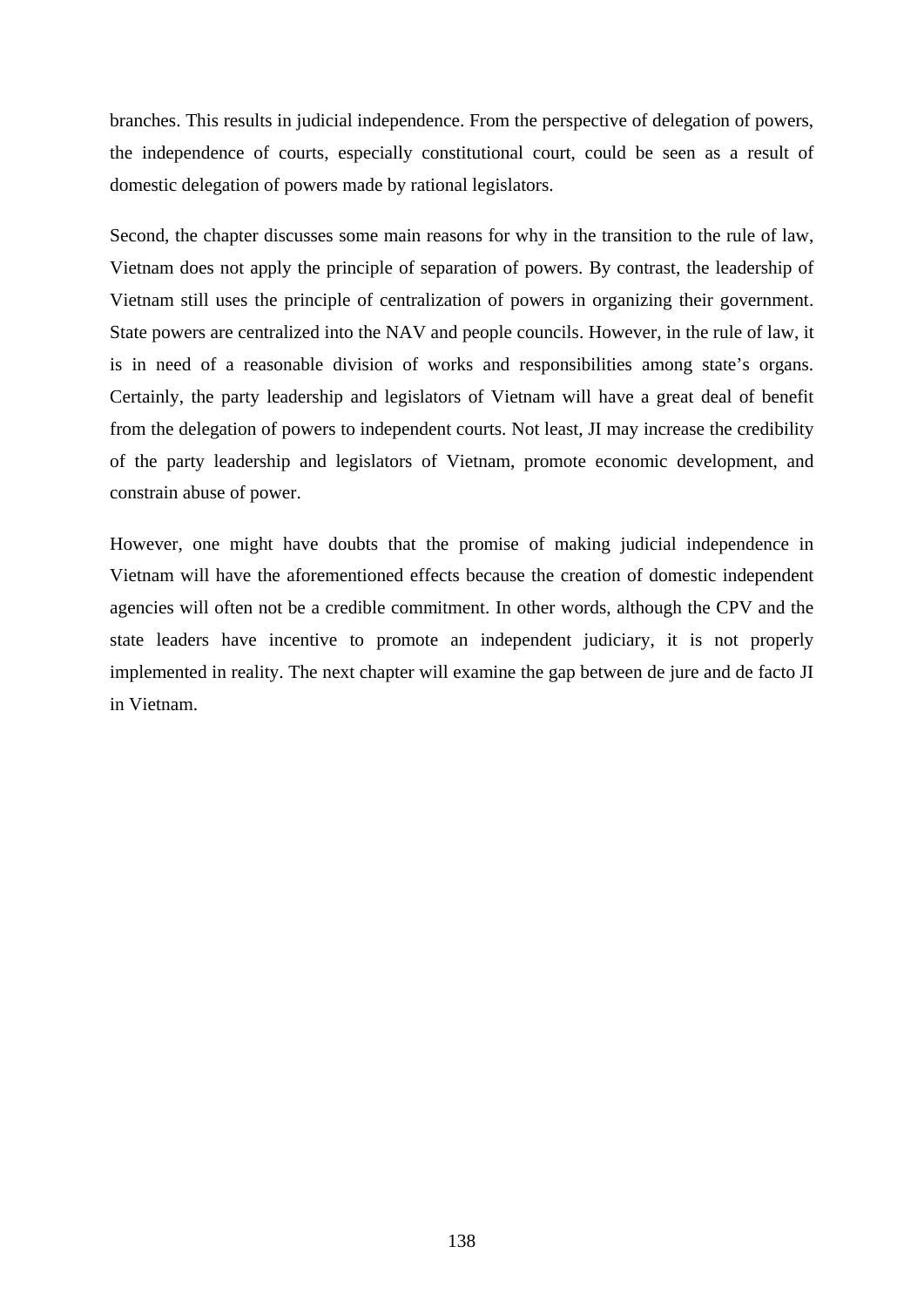branches. This results in judicial independence. From the perspective of delegation of powers, the independence of courts, especially constitutional court, could be seen as a result of domestic delegation of powers made by rational legislators.

Second, the chapter discusses some main reasons for why in the transition to the rule of law, Vietnam does not apply the principle of separation of powers. By contrast, the leadership of Vietnam still uses the principle of centralization of powers in organizing their government. State powers are centralized into the NAV and people councils. However, in the rule of law, it is in need of a reasonable division of works and responsibilities among state's organs. Certainly, the party leadership and legislators of Vietnam will have a great deal of benefit from the delegation of powers to independent courts. Not least, JI may increase the credibility of the party leadership and legislators of Vietnam, promote economic development, and constrain abuse of power.

However, one might have doubts that the promise of making judicial independence in Vietnam will have the aforementioned effects because the creation of domestic independent agencies will often not be a credible commitment. In other words, although the CPV and the state leaders have incentive to promote an independent judiciary, it is not properly implemented in reality. The next chapter will examine the gap between de jure and de facto JI in Vietnam.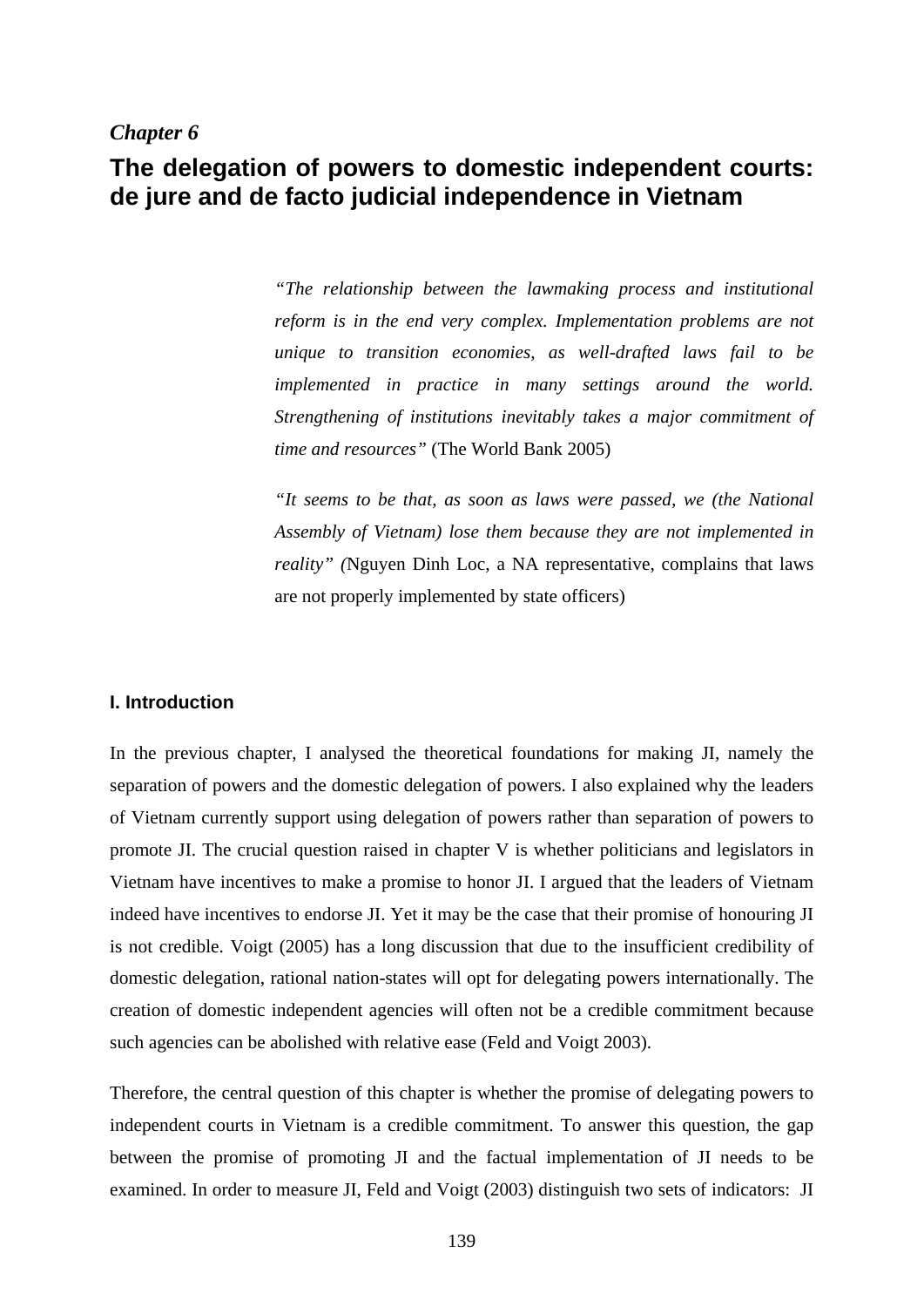# *Chapter 6*

# **The delegation of powers to domestic independent courts: de jure and de facto judicial independence in Vietnam**

*"The relationship between the lawmaking process and institutional reform is in the end very complex. Implementation problems are not unique to transition economies, as well-drafted laws fail to be implemented in practice in many settings around the world. Strengthening of institutions inevitably takes a major commitment of time and resources"* (The World Bank 2005)

*"It seems to be that, as soon as laws were passed, we (the National Assembly of Vietnam) lose them because they are not implemented in reality" (*Nguyen Dinh Loc, a NA representative, complains that laws are not properly implemented by state officers)

#### **I. Introduction**

In the previous chapter, I analysed the theoretical foundations for making JI, namely the separation of powers and the domestic delegation of powers. I also explained why the leaders of Vietnam currently support using delegation of powers rather than separation of powers to promote JI. The crucial question raised in chapter V is whether politicians and legislators in Vietnam have incentives to make a promise to honor JI. I argued that the leaders of Vietnam indeed have incentives to endorse JI. Yet it may be the case that their promise of honouring JI is not credible. Voigt (2005) has a long discussion that due to the insufficient credibility of domestic delegation, rational nation-states will opt for delegating powers internationally. The creation of domestic independent agencies will often not be a credible commitment because such agencies can be abolished with relative ease (Feld and Voigt 2003).

Therefore, the central question of this chapter is whether the promise of delegating powers to independent courts in Vietnam is a credible commitment. To answer this question, the gap between the promise of promoting JI and the factual implementation of JI needs to be examined. In order to measure JI, Feld and Voigt (2003) distinguish two sets of indicators: JI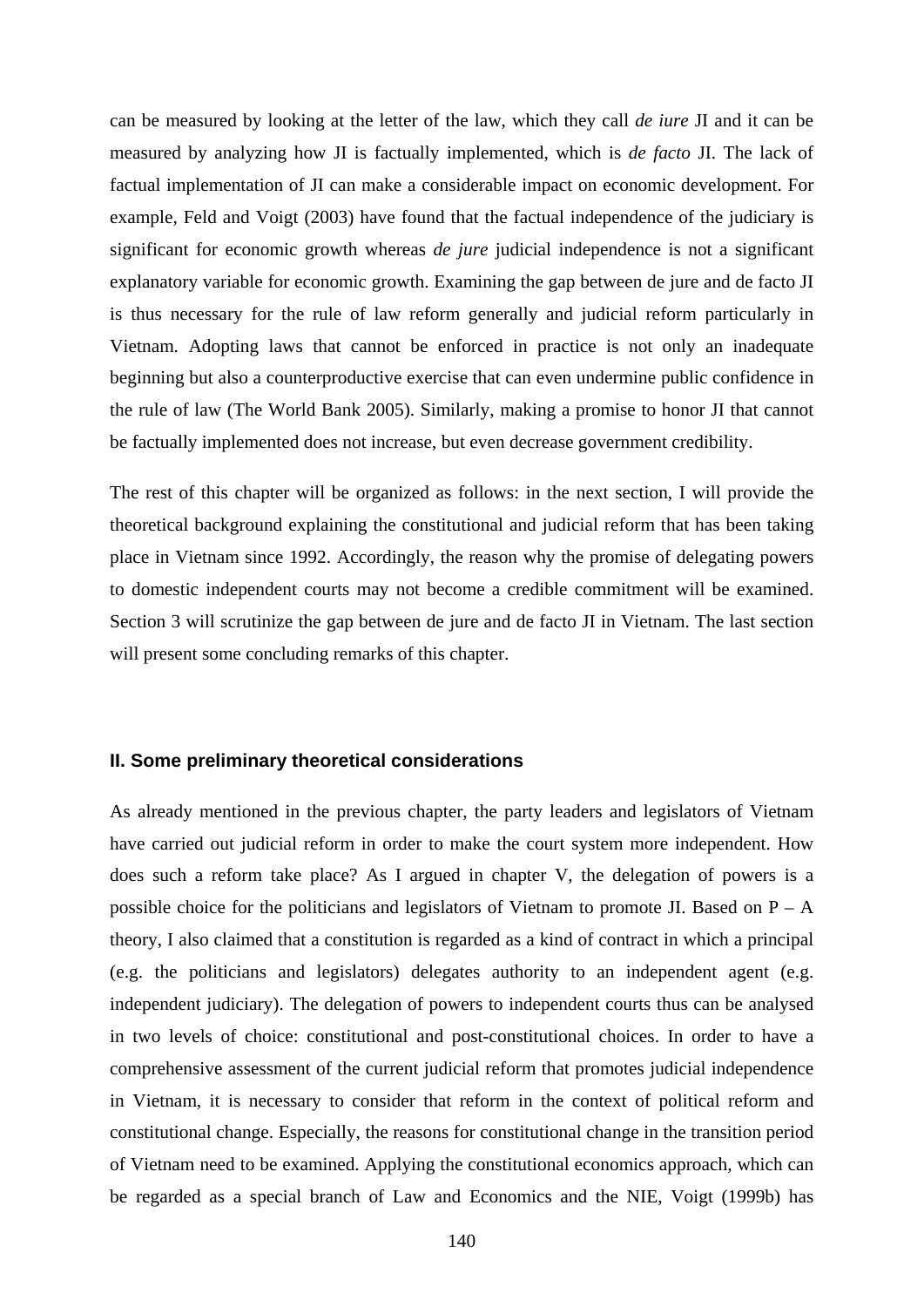can be measured by looking at the letter of the law, which they call *de iure* JI and it can be measured by analyzing how JI is factually implemented, which is *de facto* JI. The lack of factual implementation of JI can make a considerable impact on economic development. For example, Feld and Voigt (2003) have found that the factual independence of the judiciary is significant for economic growth whereas *de jure* judicial independence is not a significant explanatory variable for economic growth. Examining the gap between de jure and de facto JI is thus necessary for the rule of law reform generally and judicial reform particularly in Vietnam. Adopting laws that cannot be enforced in practice is not only an inadequate beginning but also a counterproductive exercise that can even undermine public confidence in the rule of law (The World Bank 2005). Similarly, making a promise to honor JI that cannot be factually implemented does not increase, but even decrease government credibility.

The rest of this chapter will be organized as follows: in the next section, I will provide the theoretical background explaining the constitutional and judicial reform that has been taking place in Vietnam since 1992. Accordingly, the reason why the promise of delegating powers to domestic independent courts may not become a credible commitment will be examined. Section 3 will scrutinize the gap between de jure and de facto JI in Vietnam. The last section will present some concluding remarks of this chapter.

## **II. Some preliminary theoretical considerations**

As already mentioned in the previous chapter, the party leaders and legislators of Vietnam have carried out judicial reform in order to make the court system more independent. How does such a reform take place? As I argued in chapter V, the delegation of powers is a possible choice for the politicians and legislators of Vietnam to promote JI. Based on P – A theory, I also claimed that a constitution is regarded as a kind of contract in which a principal (e.g. the politicians and legislators) delegates authority to an independent agent (e.g. independent judiciary). The delegation of powers to independent courts thus can be analysed in two levels of choice: constitutional and post-constitutional choices. In order to have a comprehensive assessment of the current judicial reform that promotes judicial independence in Vietnam, it is necessary to consider that reform in the context of political reform and constitutional change. Especially, the reasons for constitutional change in the transition period of Vietnam need to be examined. Applying the constitutional economics approach, which can be regarded as a special branch of Law and Economics and the NIE, Voigt (1999b) has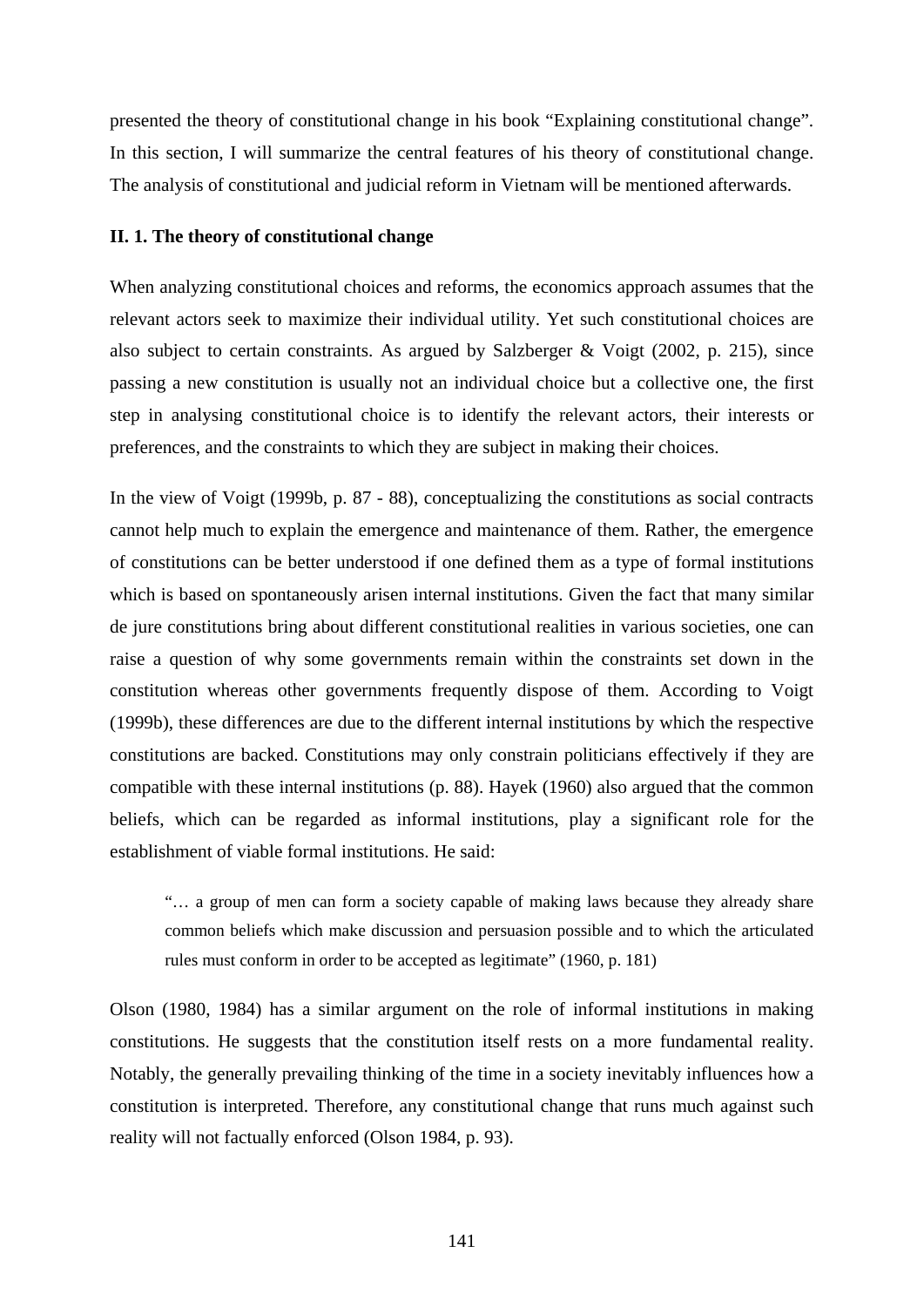presented the theory of constitutional change in his book "Explaining constitutional change". In this section, I will summarize the central features of his theory of constitutional change. The analysis of constitutional and judicial reform in Vietnam will be mentioned afterwards.

#### **II. 1. The theory of constitutional change**

When analyzing constitutional choices and reforms, the economics approach assumes that the relevant actors seek to maximize their individual utility. Yet such constitutional choices are also subject to certain constraints. As argued by Salzberger & Voigt (2002, p. 215), since passing a new constitution is usually not an individual choice but a collective one, the first step in analysing constitutional choice is to identify the relevant actors, their interests or preferences, and the constraints to which they are subject in making their choices.

In the view of Voigt (1999b, p. 87 - 88), conceptualizing the constitutions as social contracts cannot help much to explain the emergence and maintenance of them. Rather, the emergence of constitutions can be better understood if one defined them as a type of formal institutions which is based on spontaneously arisen internal institutions. Given the fact that many similar de jure constitutions bring about different constitutional realities in various societies, one can raise a question of why some governments remain within the constraints set down in the constitution whereas other governments frequently dispose of them. According to Voigt (1999b), these differences are due to the different internal institutions by which the respective constitutions are backed. Constitutions may only constrain politicians effectively if they are compatible with these internal institutions (p. 88). Hayek (1960) also argued that the common beliefs, which can be regarded as informal institutions, play a significant role for the establishment of viable formal institutions. He said:

"… a group of men can form a society capable of making laws because they already share common beliefs which make discussion and persuasion possible and to which the articulated rules must conform in order to be accepted as legitimate" (1960, p. 181)

Olson (1980, 1984) has a similar argument on the role of informal institutions in making constitutions. He suggests that the constitution itself rests on a more fundamental reality. Notably, the generally prevailing thinking of the time in a society inevitably influences how a constitution is interpreted. Therefore, any constitutional change that runs much against such reality will not factually enforced (Olson 1984, p. 93).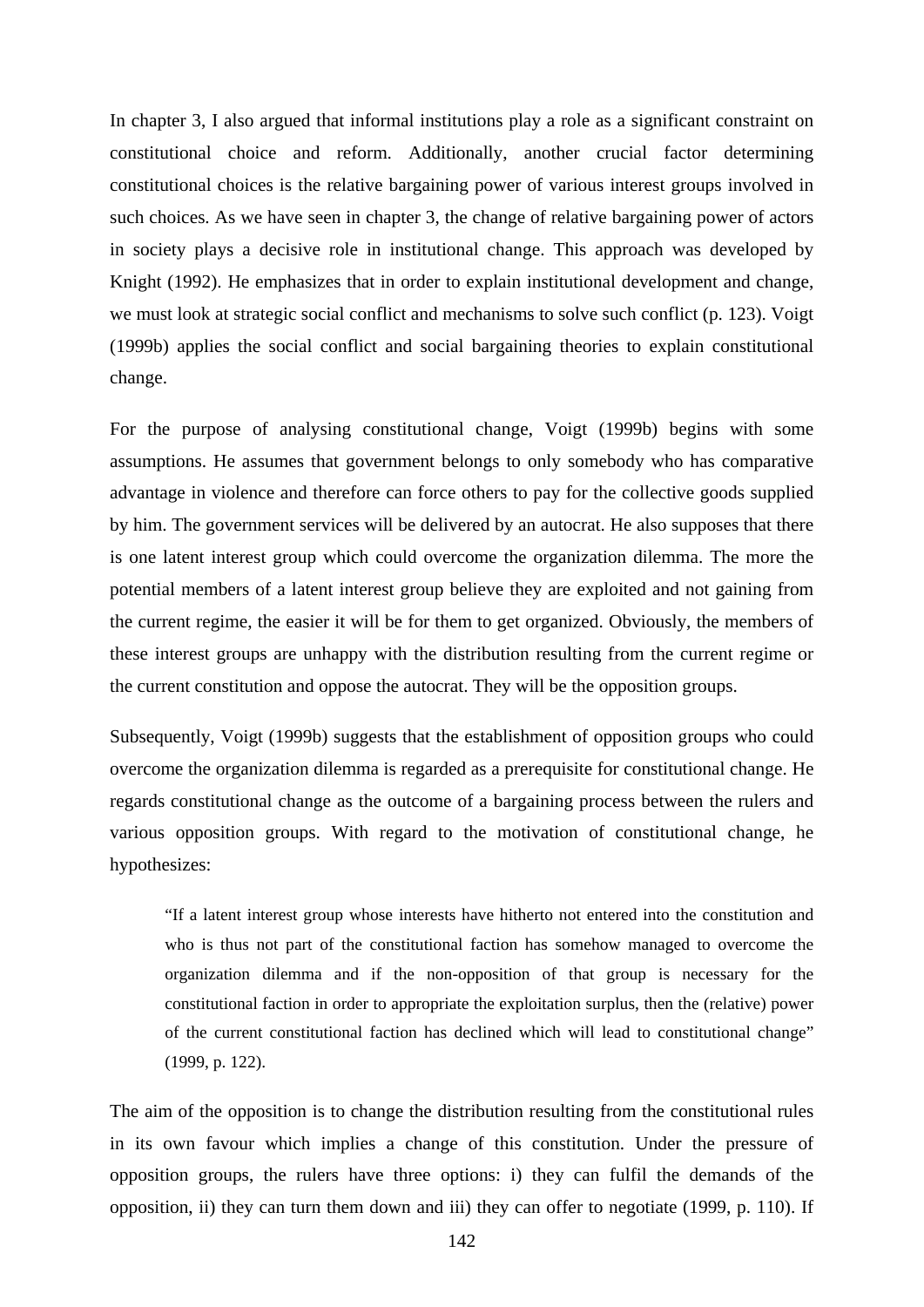In chapter 3, I also argued that informal institutions play a role as a significant constraint on constitutional choice and reform. Additionally, another crucial factor determining constitutional choices is the relative bargaining power of various interest groups involved in such choices. As we have seen in chapter 3, the change of relative bargaining power of actors in society plays a decisive role in institutional change. This approach was developed by Knight (1992). He emphasizes that in order to explain institutional development and change, we must look at strategic social conflict and mechanisms to solve such conflict (p. 123). Voigt (1999b) applies the social conflict and social bargaining theories to explain constitutional change.

For the purpose of analysing constitutional change, Voigt (1999b) begins with some assumptions. He assumes that government belongs to only somebody who has comparative advantage in violence and therefore can force others to pay for the collective goods supplied by him. The government services will be delivered by an autocrat. He also supposes that there is one latent interest group which could overcome the organization dilemma. The more the potential members of a latent interest group believe they are exploited and not gaining from the current regime, the easier it will be for them to get organized. Obviously, the members of these interest groups are unhappy with the distribution resulting from the current regime or the current constitution and oppose the autocrat. They will be the opposition groups.

Subsequently, Voigt (1999b) suggests that the establishment of opposition groups who could overcome the organization dilemma is regarded as a prerequisite for constitutional change. He regards constitutional change as the outcome of a bargaining process between the rulers and various opposition groups. With regard to the motivation of constitutional change, he hypothesizes:

"If a latent interest group whose interests have hitherto not entered into the constitution and who is thus not part of the constitutional faction has somehow managed to overcome the organization dilemma and if the non-opposition of that group is necessary for the constitutional faction in order to appropriate the exploitation surplus, then the (relative) power of the current constitutional faction has declined which will lead to constitutional change" (1999, p. 122).

The aim of the opposition is to change the distribution resulting from the constitutional rules in its own favour which implies a change of this constitution. Under the pressure of opposition groups, the rulers have three options: i) they can fulfil the demands of the opposition, ii) they can turn them down and iii) they can offer to negotiate (1999, p. 110). If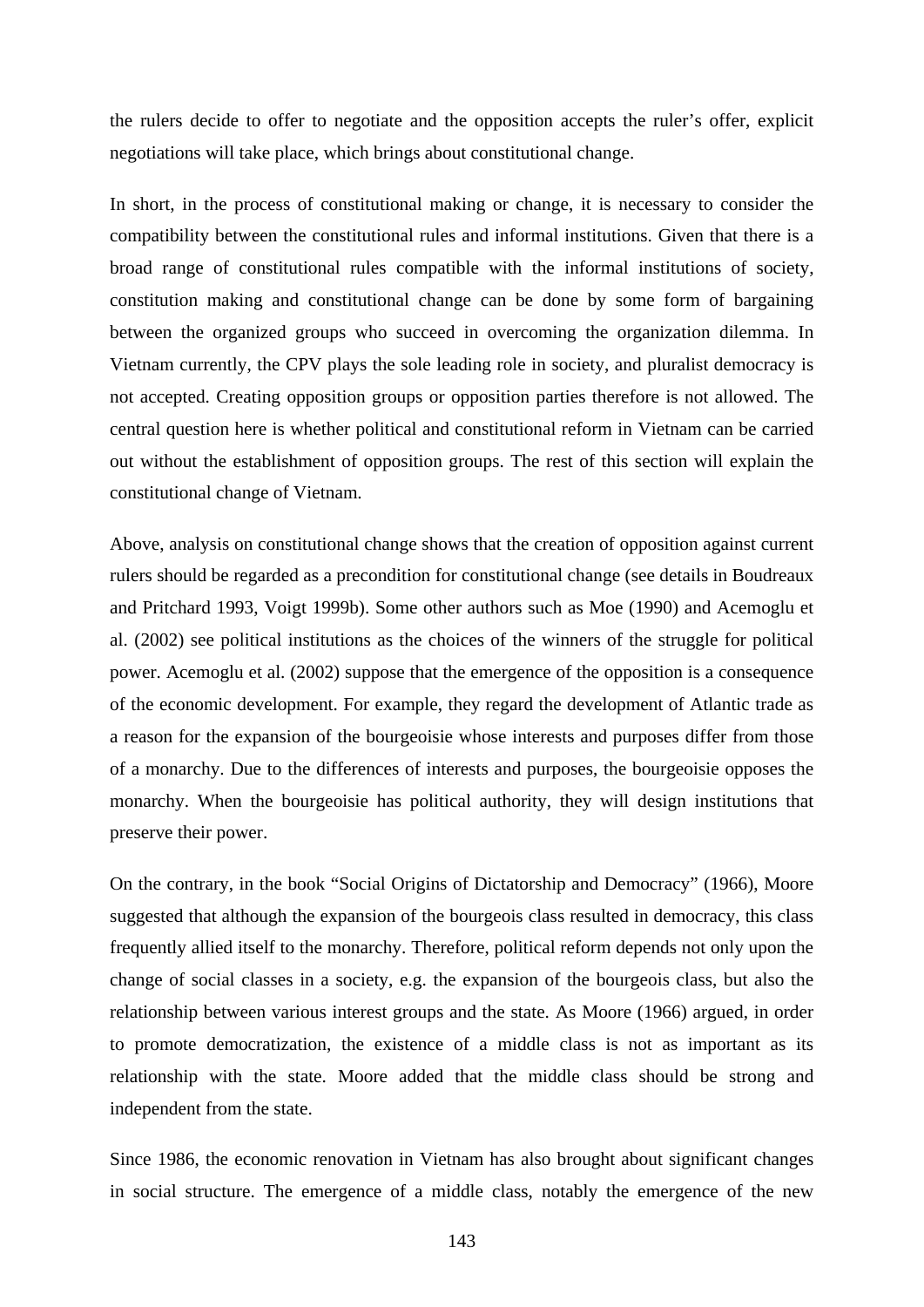the rulers decide to offer to negotiate and the opposition accepts the ruler's offer, explicit negotiations will take place, which brings about constitutional change.

In short, in the process of constitutional making or change, it is necessary to consider the compatibility between the constitutional rules and informal institutions. Given that there is a broad range of constitutional rules compatible with the informal institutions of society, constitution making and constitutional change can be done by some form of bargaining between the organized groups who succeed in overcoming the organization dilemma. In Vietnam currently, the CPV plays the sole leading role in society, and pluralist democracy is not accepted. Creating opposition groups or opposition parties therefore is not allowed. The central question here is whether political and constitutional reform in Vietnam can be carried out without the establishment of opposition groups. The rest of this section will explain the constitutional change of Vietnam.

Above, analysis on constitutional change shows that the creation of opposition against current rulers should be regarded as a precondition for constitutional change (see details in Boudreaux and Pritchard 1993, Voigt 1999b). Some other authors such as Moe (1990) and Acemoglu et al. (2002) see political institutions as the choices of the winners of the struggle for political power. Acemoglu et al. (2002) suppose that the emergence of the opposition is a consequence of the economic development. For example, they regard the development of Atlantic trade as a reason for the expansion of the bourgeoisie whose interests and purposes differ from those of a monarchy. Due to the differences of interests and purposes, the bourgeoisie opposes the monarchy. When the bourgeoisie has political authority, they will design institutions that preserve their power.

On the contrary, in the book "Social Origins of Dictatorship and Democracy" (1966), Moore suggested that although the expansion of the bourgeois class resulted in democracy, this class frequently allied itself to the monarchy. Therefore, political reform depends not only upon the change of social classes in a society, e.g. the expansion of the bourgeois class, but also the relationship between various interest groups and the state. As Moore (1966) argued, in order to promote democratization, the existence of a middle class is not as important as its relationship with the state. Moore added that the middle class should be strong and independent from the state.

Since 1986, the economic renovation in Vietnam has also brought about significant changes in social structure. The emergence of a middle class, notably the emergence of the new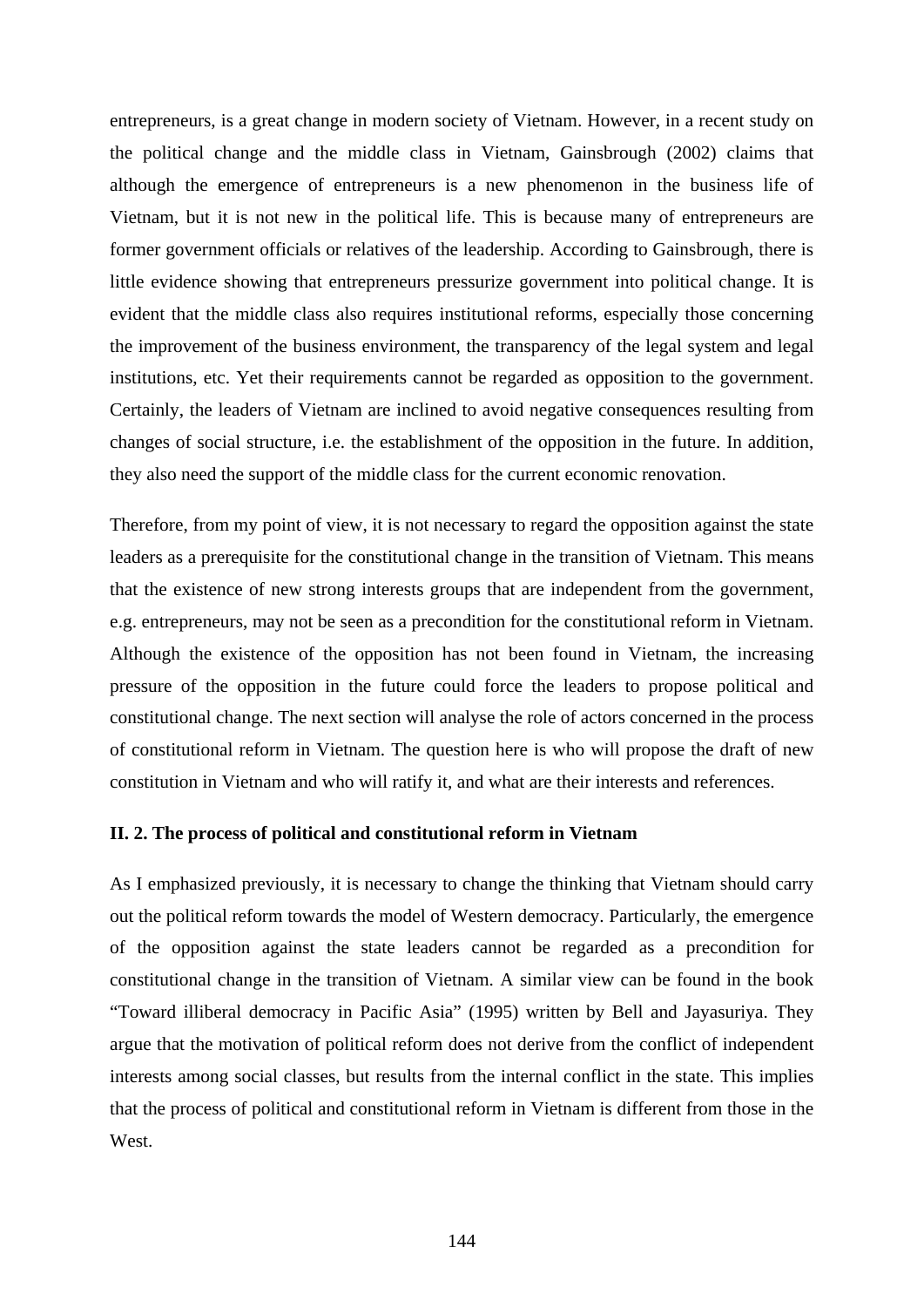entrepreneurs, is a great change in modern society of Vietnam. However, in a recent study on the political change and the middle class in Vietnam, Gainsbrough (2002) claims that although the emergence of entrepreneurs is a new phenomenon in the business life of Vietnam, but it is not new in the political life. This is because many of entrepreneurs are former government officials or relatives of the leadership. According to Gainsbrough, there is little evidence showing that entrepreneurs pressurize government into political change. It is evident that the middle class also requires institutional reforms, especially those concerning the improvement of the business environment, the transparency of the legal system and legal institutions, etc. Yet their requirements cannot be regarded as opposition to the government. Certainly, the leaders of Vietnam are inclined to avoid negative consequences resulting from changes of social structure, i.e. the establishment of the opposition in the future. In addition, they also need the support of the middle class for the current economic renovation.

Therefore, from my point of view, it is not necessary to regard the opposition against the state leaders as a prerequisite for the constitutional change in the transition of Vietnam. This means that the existence of new strong interests groups that are independent from the government, e.g. entrepreneurs, may not be seen as a precondition for the constitutional reform in Vietnam. Although the existence of the opposition has not been found in Vietnam, the increasing pressure of the opposition in the future could force the leaders to propose political and constitutional change. The next section will analyse the role of actors concerned in the process of constitutional reform in Vietnam. The question here is who will propose the draft of new constitution in Vietnam and who will ratify it, and what are their interests and references.

#### **II. 2. The process of political and constitutional reform in Vietnam**

As I emphasized previously, it is necessary to change the thinking that Vietnam should carry out the political reform towards the model of Western democracy. Particularly, the emergence of the opposition against the state leaders cannot be regarded as a precondition for constitutional change in the transition of Vietnam. A similar view can be found in the book "Toward illiberal democracy in Pacific Asia" (1995) written by Bell and Jayasuriya. They argue that the motivation of political reform does not derive from the conflict of independent interests among social classes, but results from the internal conflict in the state. This implies that the process of political and constitutional reform in Vietnam is different from those in the West.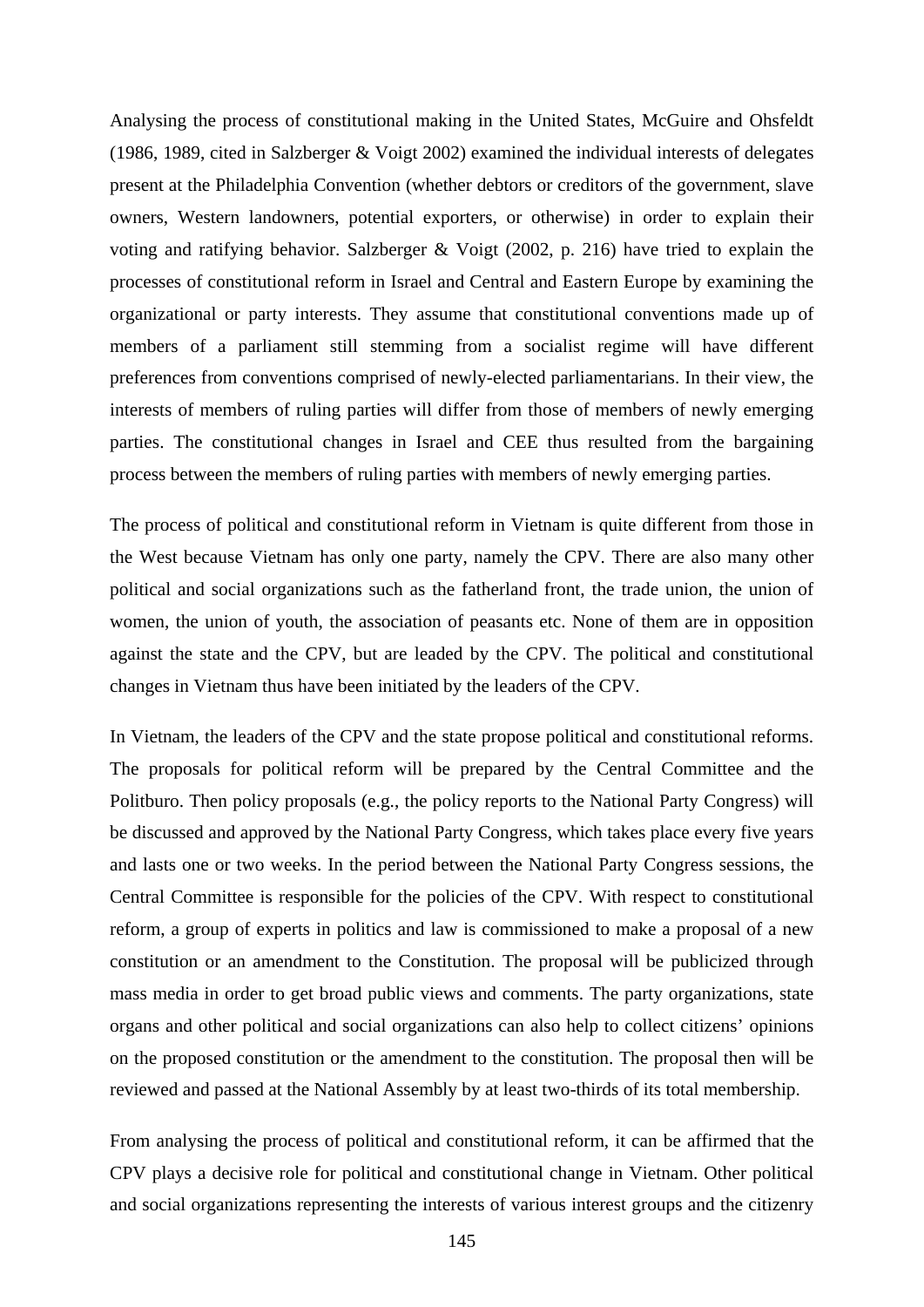Analysing the process of constitutional making in the United States, McGuire and Ohsfeldt (1986, 1989, cited in Salzberger & Voigt 2002) examined the individual interests of delegates present at the Philadelphia Convention (whether debtors or creditors of the government, slave owners, Western landowners, potential exporters, or otherwise) in order to explain their voting and ratifying behavior. Salzberger & Voigt (2002, p. 216) have tried to explain the processes of constitutional reform in Israel and Central and Eastern Europe by examining the organizational or party interests. They assume that constitutional conventions made up of members of a parliament still stemming from a socialist regime will have different preferences from conventions comprised of newly-elected parliamentarians. In their view, the interests of members of ruling parties will differ from those of members of newly emerging parties. The constitutional changes in Israel and CEE thus resulted from the bargaining process between the members of ruling parties with members of newly emerging parties.

The process of political and constitutional reform in Vietnam is quite different from those in the West because Vietnam has only one party, namely the CPV. There are also many other political and social organizations such as the fatherland front, the trade union, the union of women, the union of youth, the association of peasants etc. None of them are in opposition against the state and the CPV, but are leaded by the CPV. The political and constitutional changes in Vietnam thus have been initiated by the leaders of the CPV.

In Vietnam, the leaders of the CPV and the state propose political and constitutional reforms. The proposals for political reform will be prepared by the Central Committee and the Politburo. Then policy proposals (e.g., the policy reports to the National Party Congress) will be discussed and approved by the National Party Congress, which takes place every five years and lasts one or two weeks. In the period between the National Party Congress sessions, the Central Committee is responsible for the policies of the CPV. With respect to constitutional reform, a group of experts in politics and law is commissioned to make a proposal of a new constitution or an amendment to the Constitution. The proposal will be publicized through mass media in order to get broad public views and comments. The party organizations, state organs and other political and social organizations can also help to collect citizens' opinions on the proposed constitution or the amendment to the constitution. The proposal then will be reviewed and passed at the National Assembly by at least two-thirds of its total membership.

From analysing the process of political and constitutional reform, it can be affirmed that the CPV plays a decisive role for political and constitutional change in Vietnam. Other political and social organizations representing the interests of various interest groups and the citizenry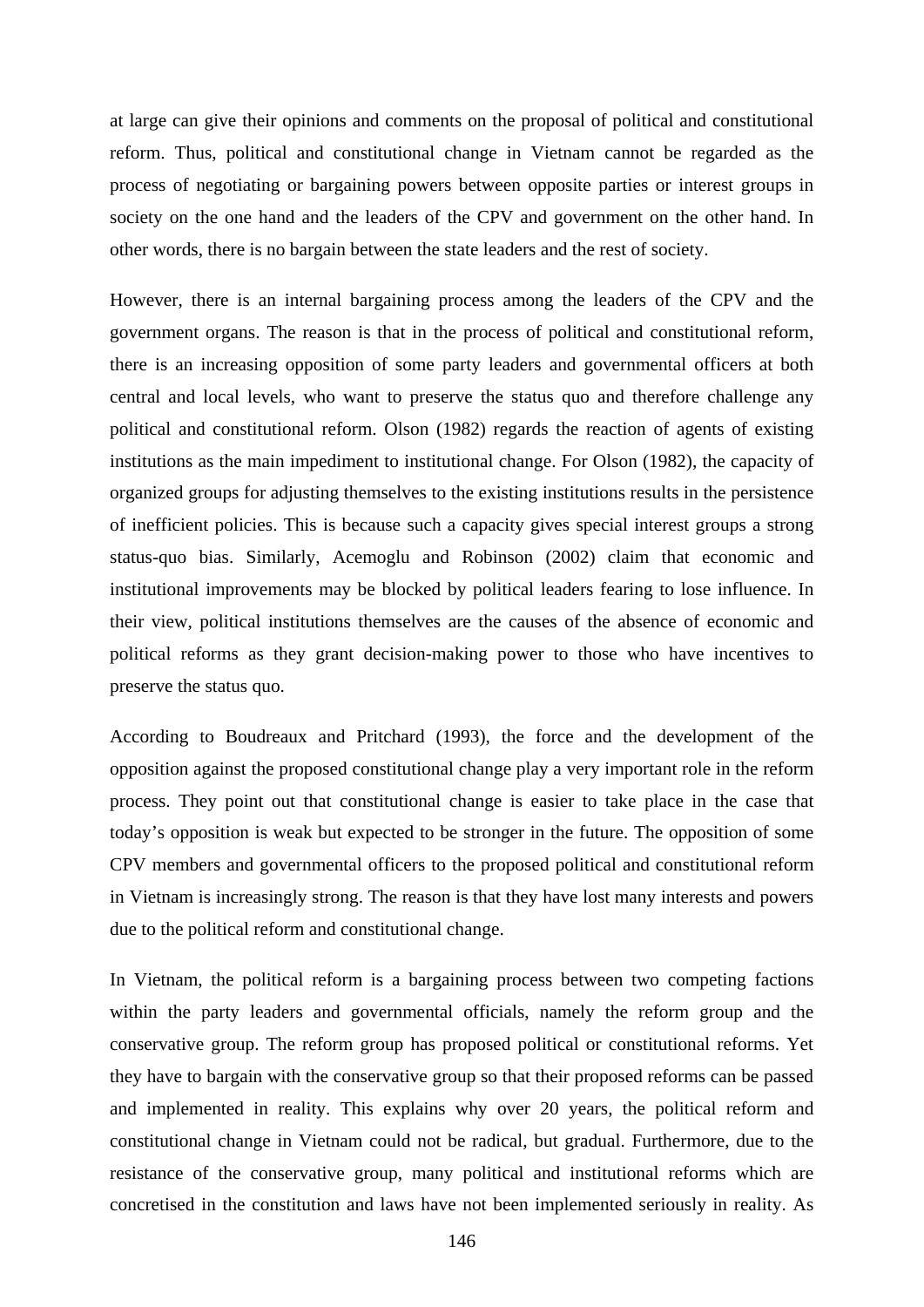at large can give their opinions and comments on the proposal of political and constitutional reform. Thus, political and constitutional change in Vietnam cannot be regarded as the process of negotiating or bargaining powers between opposite parties or interest groups in society on the one hand and the leaders of the CPV and government on the other hand. In other words, there is no bargain between the state leaders and the rest of society.

However, there is an internal bargaining process among the leaders of the CPV and the government organs. The reason is that in the process of political and constitutional reform, there is an increasing opposition of some party leaders and governmental officers at both central and local levels, who want to preserve the status quo and therefore challenge any political and constitutional reform. Olson (1982) regards the reaction of agents of existing institutions as the main impediment to institutional change. For Olson (1982), the capacity of organized groups for adjusting themselves to the existing institutions results in the persistence of inefficient policies. This is because such a capacity gives special interest groups a strong status-quo bias. Similarly, Acemoglu and Robinson (2002) claim that economic and institutional improvements may be blocked by political leaders fearing to lose influence. In their view, political institutions themselves are the causes of the absence of economic and political reforms as they grant decision-making power to those who have incentives to preserve the status quo.

According to Boudreaux and Pritchard (1993), the force and the development of the opposition against the proposed constitutional change play a very important role in the reform process. They point out that constitutional change is easier to take place in the case that today's opposition is weak but expected to be stronger in the future. The opposition of some CPV members and governmental officers to the proposed political and constitutional reform in Vietnam is increasingly strong. The reason is that they have lost many interests and powers due to the political reform and constitutional change.

In Vietnam, the political reform is a bargaining process between two competing factions within the party leaders and governmental officials, namely the reform group and the conservative group. The reform group has proposed political or constitutional reforms. Yet they have to bargain with the conservative group so that their proposed reforms can be passed and implemented in reality. This explains why over 20 years, the political reform and constitutional change in Vietnam could not be radical, but gradual. Furthermore, due to the resistance of the conservative group, many political and institutional reforms which are concretised in the constitution and laws have not been implemented seriously in reality. As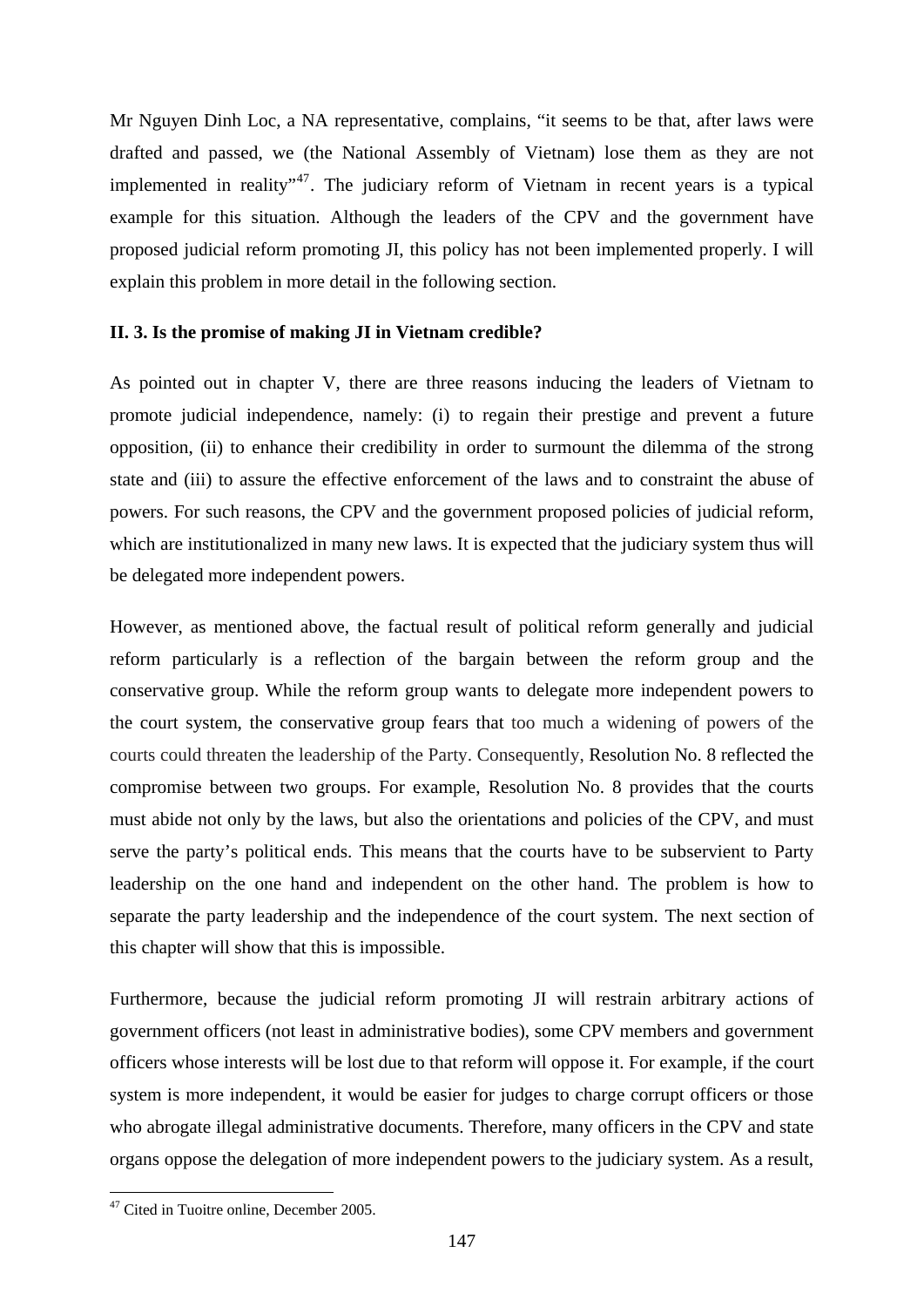Mr Nguyen Dinh Loc, a NA representative, complains, "it seems to be that, after laws were drafted and passed, we (the National Assembly of Vietnam) lose them as they are not implemented in reality<sup> $,47$  $,47$ </sup>. The judiciary reform of Vietnam in recent years is a typical example for this situation. Although the leaders of the CPV and the government have proposed judicial reform promoting JI, this policy has not been implemented properly. I will explain this problem in more detail in the following section.

## **II. 3. Is the promise of making JI in Vietnam credible?**

As pointed out in chapter V, there are three reasons inducing the leaders of Vietnam to promote judicial independence, namely: (i) to regain their prestige and prevent a future opposition, (ii) to enhance their credibility in order to surmount the dilemma of the strong state and (iii) to assure the effective enforcement of the laws and to constraint the abuse of powers. For such reasons, the CPV and the government proposed policies of judicial reform, which are institutionalized in many new laws. It is expected that the judiciary system thus will be delegated more independent powers.

However, as mentioned above, the factual result of political reform generally and judicial reform particularly is a reflection of the bargain between the reform group and the conservative group. While the reform group wants to delegate more independent powers to the court system, the conservative group fears that too much a widening of powers of the courts could threaten the leadership of the Party. Consequently, Resolution No. 8 reflected the compromise between two groups. For example, Resolution No. 8 provides that the courts must abide not only by the laws, but also the orientations and policies of the CPV, and must serve the party's political ends. This means that the courts have to be subservient to Party leadership on the one hand and independent on the other hand. The problem is how to separate the party leadership and the independence of the court system. The next section of this chapter will show that this is impossible.

Furthermore, because the judicial reform promoting JI will restrain arbitrary actions of government officers (not least in administrative bodies), some CPV members and government officers whose interests will be lost due to that reform will oppose it. For example, if the court system is more independent, it would be easier for judges to charge corrupt officers or those who abrogate illegal administrative documents. Therefore, many officers in the CPV and state organs oppose the delegation of more independent powers to the judiciary system. As a result,

1

<span id="page-152-0"></span><sup>47</sup> Cited in Tuoitre online, December 2005.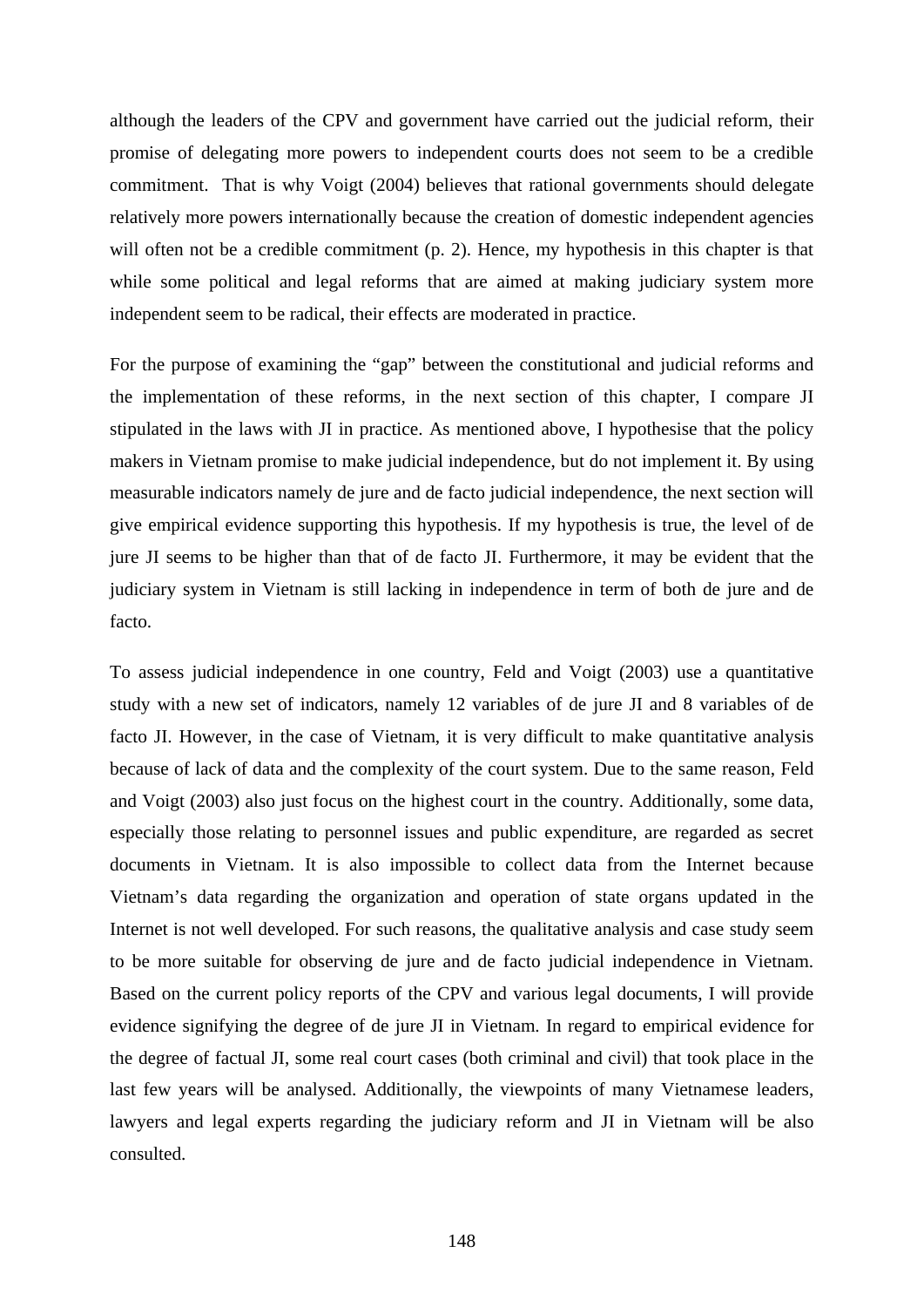although the leaders of the CPV and government have carried out the judicial reform, their promise of delegating more powers to independent courts does not seem to be a credible commitment. That is why Voigt (2004) believes that rational governments should delegate relatively more powers internationally because the creation of domestic independent agencies will often not be a credible commitment (p. 2). Hence, my hypothesis in this chapter is that while some political and legal reforms that are aimed at making judiciary system more independent seem to be radical, their effects are moderated in practice.

For the purpose of examining the "gap" between the constitutional and judicial reforms and the implementation of these reforms, in the next section of this chapter, I compare JI stipulated in the laws with JI in practice. As mentioned above, I hypothesise that the policy makers in Vietnam promise to make judicial independence, but do not implement it. By using measurable indicators namely de jure and de facto judicial independence, the next section will give empirical evidence supporting this hypothesis. If my hypothesis is true, the level of de jure JI seems to be higher than that of de facto JI. Furthermore, it may be evident that the judiciary system in Vietnam is still lacking in independence in term of both de jure and de facto.

To assess judicial independence in one country, Feld and Voigt (2003) use a quantitative study with a new set of indicators, namely 12 variables of de jure JI and 8 variables of de facto JI. However, in the case of Vietnam, it is very difficult to make quantitative analysis because of lack of data and the complexity of the court system. Due to the same reason, Feld and Voigt (2003) also just focus on the highest court in the country. Additionally, some data, especially those relating to personnel issues and public expenditure, are regarded as secret documents in Vietnam. It is also impossible to collect data from the Internet because Vietnam's data regarding the organization and operation of state organs updated in the Internet is not well developed. For such reasons, the qualitative analysis and case study seem to be more suitable for observing de jure and de facto judicial independence in Vietnam. Based on the current policy reports of the CPV and various legal documents, I will provide evidence signifying the degree of de jure JI in Vietnam. In regard to empirical evidence for the degree of factual JI, some real court cases (both criminal and civil) that took place in the last few years will be analysed. Additionally, the viewpoints of many Vietnamese leaders, lawyers and legal experts regarding the judiciary reform and JI in Vietnam will be also consulted.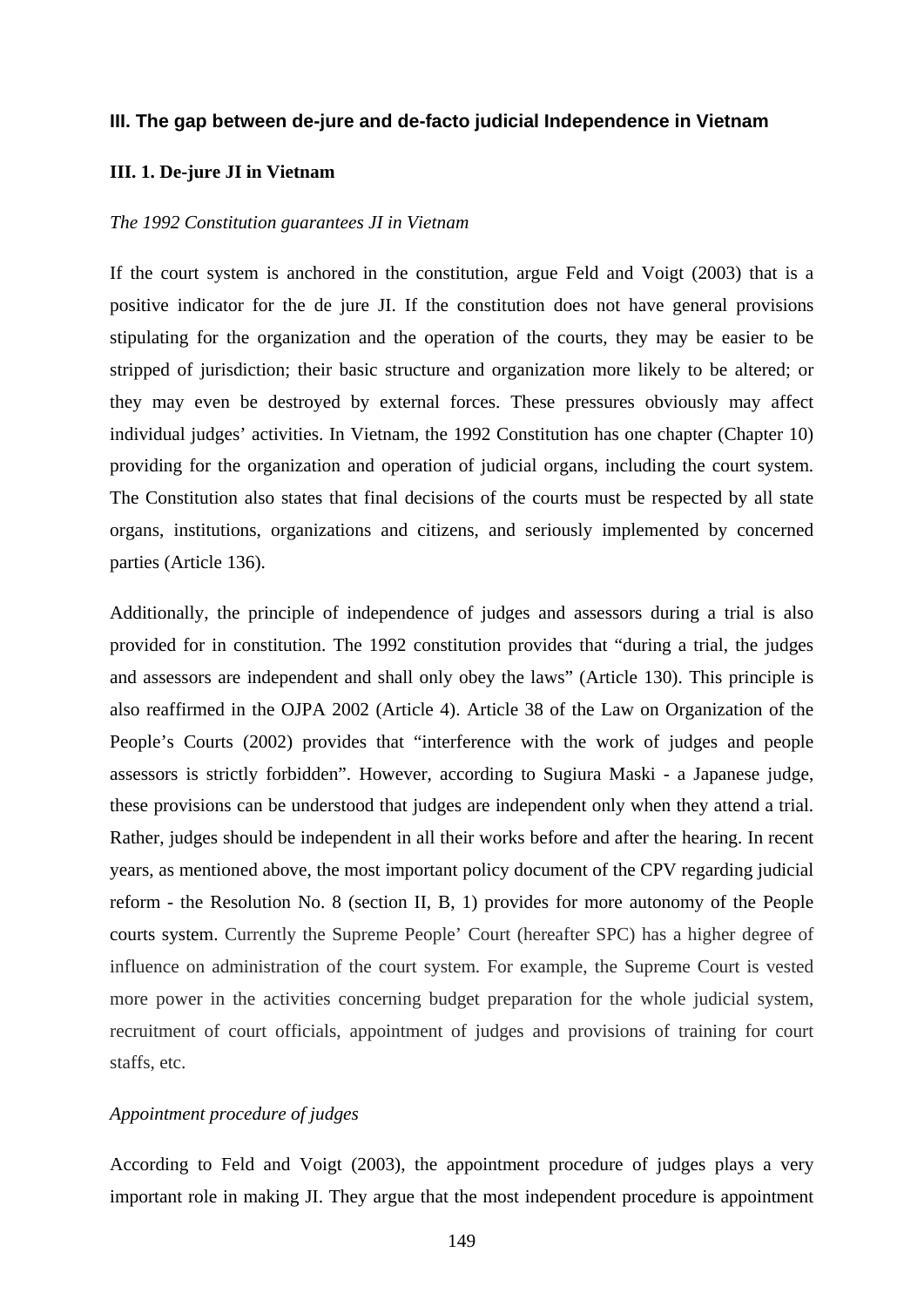#### **III. The gap between de-jure and de-facto judicial Independence in Vietnam**

#### **III. 1. De-jure JI in Vietnam**

#### *The 1992 Constitution guarantees JI in Vietnam*

If the court system is anchored in the constitution, argue Feld and Voigt (2003) that is a positive indicator for the de jure JI. If the constitution does not have general provisions stipulating for the organization and the operation of the courts, they may be easier to be stripped of jurisdiction; their basic structure and organization more likely to be altered; or they may even be destroyed by external forces. These pressures obviously may affect individual judges' activities. In Vietnam, the 1992 Constitution has one chapter (Chapter 10) providing for the organization and operation of judicial organs, including the court system. The Constitution also states that final decisions of the courts must be respected by all state organs, institutions, organizations and citizens, and seriously implemented by concerned parties (Article 136).

Additionally, the principle of independence of judges and assessors during a trial is also provided for in constitution. The 1992 constitution provides that "during a trial, the judges and assessors are independent and shall only obey the laws" (Article 130). This principle is also reaffirmed in the OJPA 2002 (Article 4). Article 38 of the Law on Organization of the People's Courts (2002) provides that "interference with the work of judges and people assessors is strictly forbidden". However, according to Sugiura Maski - a Japanese judge, these provisions can be understood that judges are independent only when they attend a trial. Rather, judges should be independent in all their works before and after the hearing. In recent years, as mentioned above, the most important policy document of the CPV regarding judicial reform - the Resolution No. 8 (section II, B, 1) provides for more autonomy of the People courts system. Currently the Supreme People' Court (hereafter SPC) has a higher degree of influence on administration of the court system. For example, the Supreme Court is vested more power in the activities concerning budget preparation for the whole judicial system, recruitment of court officials, appointment of judges and provisions of training for court staffs, etc.

## *Appointment procedure of judges*

According to Feld and Voigt (2003), the appointment procedure of judges plays a very important role in making JI. They argue that the most independent procedure is appointment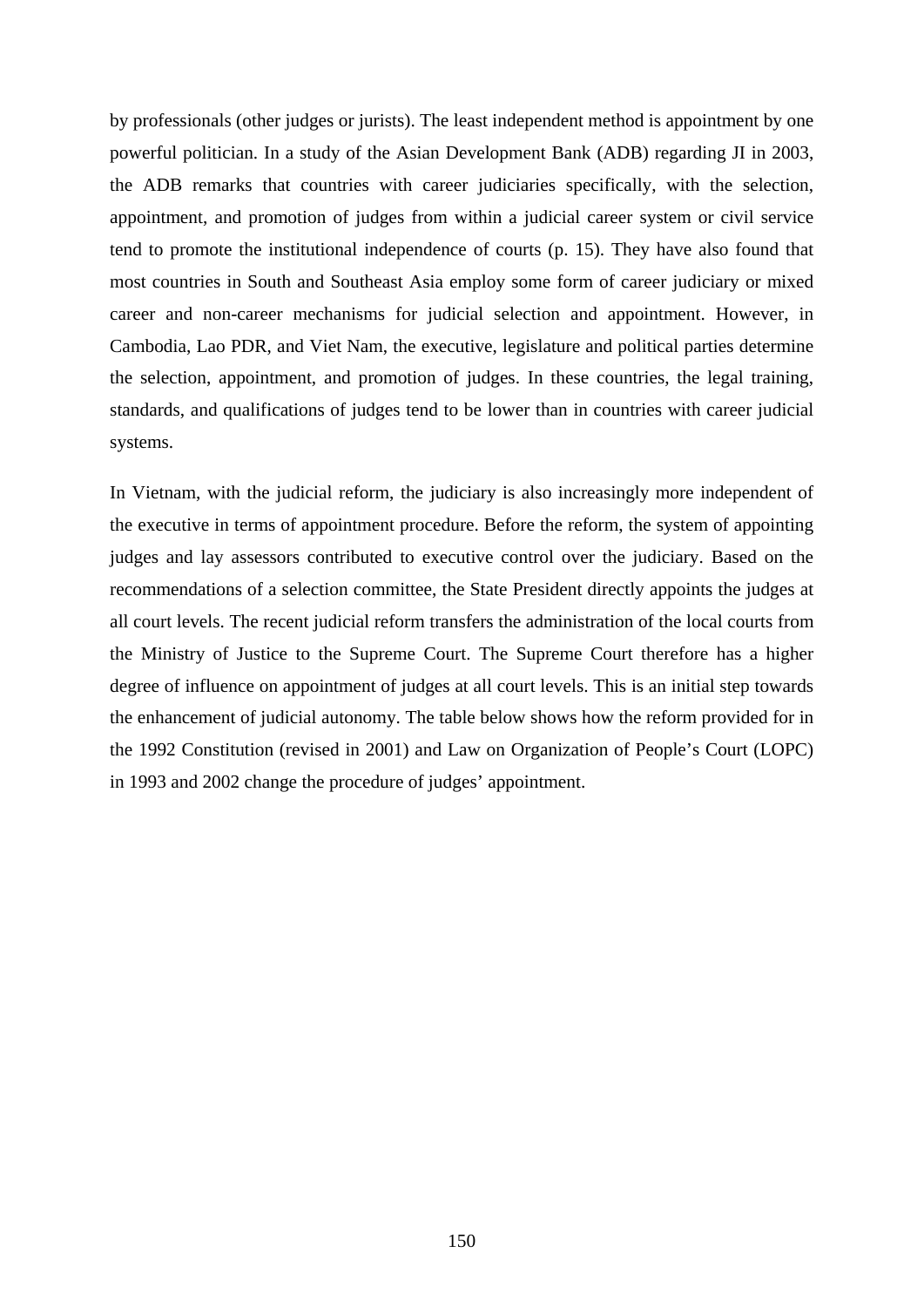by professionals (other judges or jurists). The least independent method is appointment by one powerful politician. In a study of the Asian Development Bank (ADB) regarding JI in 2003, the ADB remarks that countries with career judiciaries specifically, with the selection, appointment, and promotion of judges from within a judicial career system or civil service tend to promote the institutional independence of courts (p. 15). They have also found that most countries in South and Southeast Asia employ some form of career judiciary or mixed career and non-career mechanisms for judicial selection and appointment. However, in Cambodia, Lao PDR, and Viet Nam, the executive, legislature and political parties determine the selection, appointment, and promotion of judges. In these countries, the legal training, standards, and qualifications of judges tend to be lower than in countries with career judicial systems.

In Vietnam, with the judicial reform, the judiciary is also increasingly more independent of the executive in terms of appointment procedure. Before the reform, the system of appointing judges and lay assessors contributed to executive control over the judiciary. Based on the recommendations of a selection committee, the State President directly appoints the judges at all court levels. The recent judicial reform transfers the administration of the local courts from the Ministry of Justice to the Supreme Court. The Supreme Court therefore has a higher degree of influence on appointment of judges at all court levels. This is an initial step towards the enhancement of judicial autonomy. The table below shows how the reform provided for in the 1992 Constitution (revised in 2001) and Law on Organization of People's Court (LOPC) in 1993 and 2002 change the procedure of judges' appointment.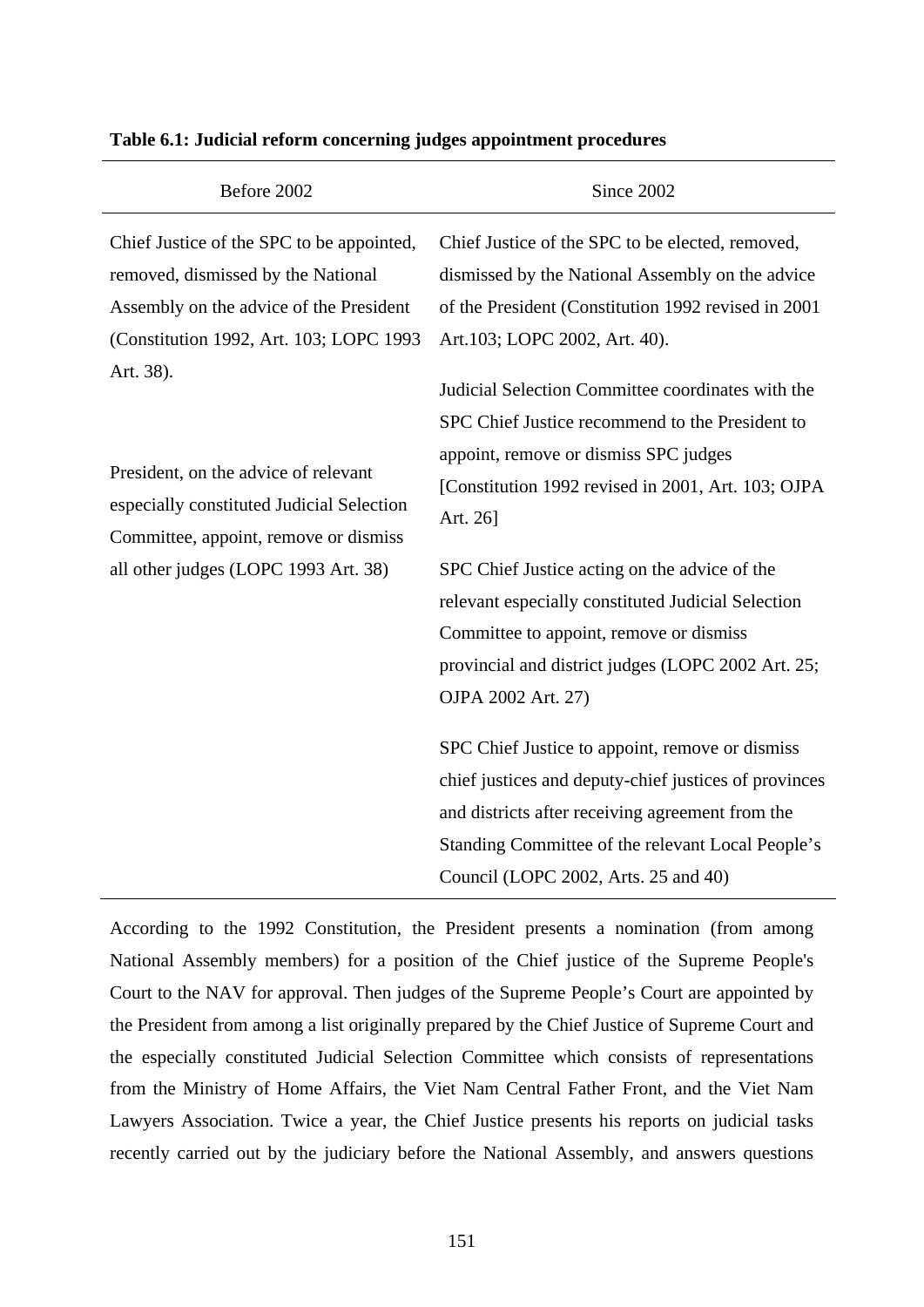| Before 2002                                                                                                                                                                                                                                                                                                                                              | Since 2002                                                                                                                                                                                                                                                                                                                                                                                          |
|----------------------------------------------------------------------------------------------------------------------------------------------------------------------------------------------------------------------------------------------------------------------------------------------------------------------------------------------------------|-----------------------------------------------------------------------------------------------------------------------------------------------------------------------------------------------------------------------------------------------------------------------------------------------------------------------------------------------------------------------------------------------------|
| Chief Justice of the SPC to be appointed,<br>removed, dismissed by the National<br>Assembly on the advice of the President<br>(Constitution 1992, Art. 103; LOPC 1993<br>Art. 38).<br>President, on the advice of relevant<br>especially constituted Judicial Selection<br>Committee, appoint, remove or dismiss<br>all other judges (LOPC 1993 Art. 38) | Chief Justice of the SPC to be elected, removed,<br>dismissed by the National Assembly on the advice<br>of the President (Constitution 1992 revised in 2001<br>Art.103; LOPC 2002, Art. 40).<br>Judicial Selection Committee coordinates with the<br>SPC Chief Justice recommend to the President to<br>appoint, remove or dismiss SPC judges<br>[Constitution 1992 revised in 2001, Art. 103; OJPA |
|                                                                                                                                                                                                                                                                                                                                                          | Art. 26]<br>SPC Chief Justice acting on the advice of the<br>relevant especially constituted Judicial Selection<br>Committee to appoint, remove or dismiss                                                                                                                                                                                                                                          |
|                                                                                                                                                                                                                                                                                                                                                          | provincial and district judges (LOPC 2002 Art. 25;<br>OJPA 2002 Art. 27)                                                                                                                                                                                                                                                                                                                            |
|                                                                                                                                                                                                                                                                                                                                                          | SPC Chief Justice to appoint, remove or dismiss<br>chief justices and deputy-chief justices of provinces<br>and districts after receiving agreement from the<br>Standing Committee of the relevant Local People's<br>Council (LOPC 2002, Arts. 25 and 40)                                                                                                                                           |

#### **Table 6.1: Judicial reform concerning judges appointment procedures**

According to the 1992 Constitution, the President presents a nomination (from among National Assembly members) for a position of the Chief justice of the Supreme People's Court to the NAV for approval. Then judges of the Supreme People's Court are appointed by the President from among a list originally prepared by the Chief Justice of Supreme Court and the especially constituted Judicial Selection Committee which consists of representations from the Ministry of Home Affairs, the Viet Nam Central Father Front, and the Viet Nam Lawyers Association. Twice a year, the Chief Justice presents his reports on judicial tasks recently carried out by the judiciary before the National Assembly, and answers questions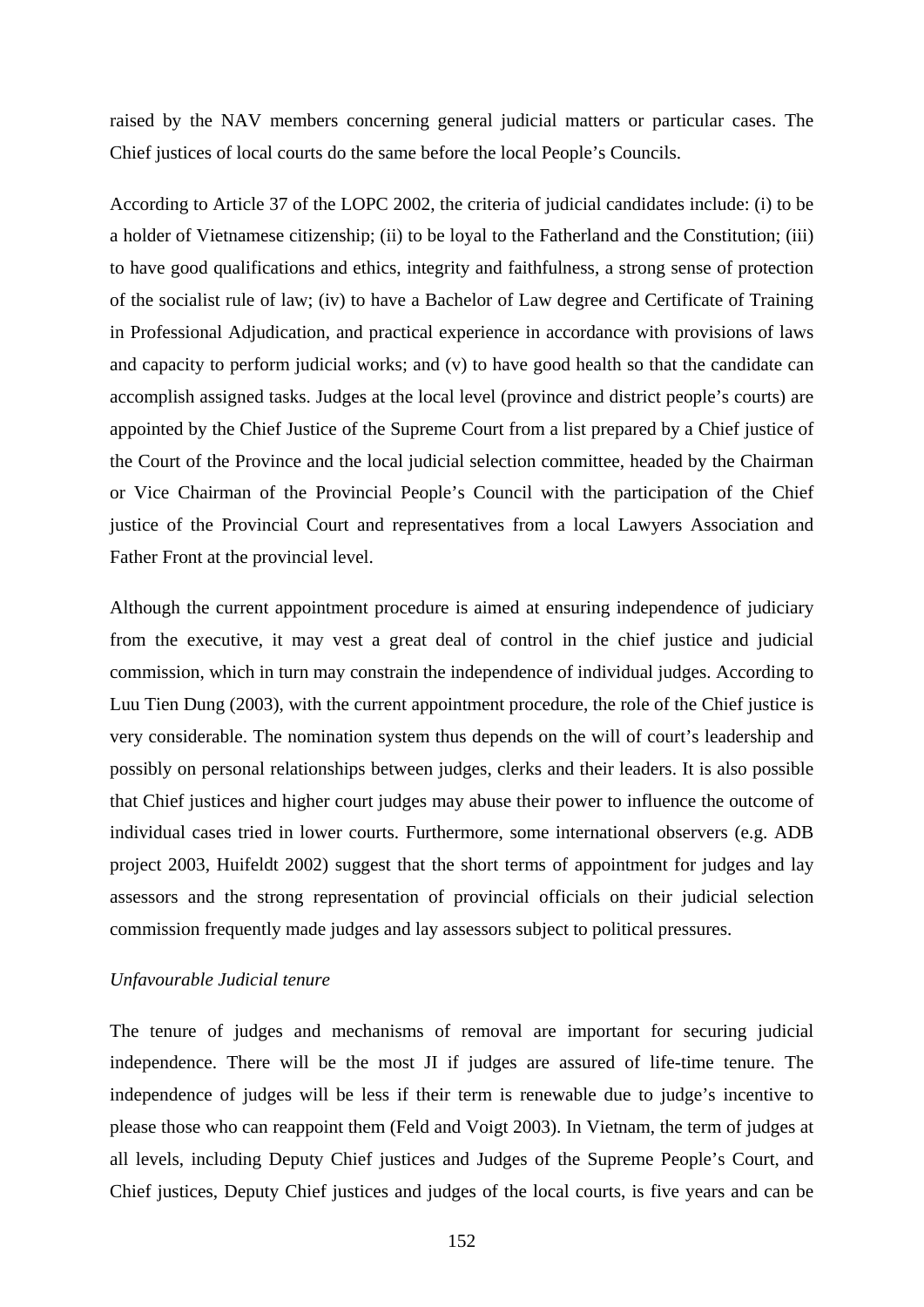raised by the NAV members concerning general judicial matters or particular cases. The Chief justices of local courts do the same before the local People's Councils.

According to Article 37 of the LOPC 2002, the criteria of judicial candidates include: (i) to be a holder of Vietnamese citizenship; (ii) to be loyal to the Fatherland and the Constitution; (iii) to have good qualifications and ethics, integrity and faithfulness, a strong sense of protection of the socialist rule of law; (iv) to have a Bachelor of Law degree and Certificate of Training in Professional Adjudication, and practical experience in accordance with provisions of laws and capacity to perform judicial works; and (v) to have good health so that the candidate can accomplish assigned tasks. Judges at the local level (province and district people's courts) are appointed by the Chief Justice of the Supreme Court from a list prepared by a Chief justice of the Court of the Province and the local judicial selection committee, headed by the Chairman or Vice Chairman of the Provincial People's Council with the participation of the Chief justice of the Provincial Court and representatives from a local Lawyers Association and Father Front at the provincial level.

Although the current appointment procedure is aimed at ensuring independence of judiciary from the executive, it may vest a great deal of control in the chief justice and judicial commission, which in turn may constrain the independence of individual judges. According to Luu Tien Dung (2003), with the current appointment procedure, the role of the Chief justice is very considerable. The nomination system thus depends on the will of court's leadership and possibly on personal relationships between judges, clerks and their leaders. It is also possible that Chief justices and higher court judges may abuse their power to influence the outcome of individual cases tried in lower courts. Furthermore, some international observers (e.g. ADB project 2003, Huifeldt 2002) suggest that the short terms of appointment for judges and lay assessors and the strong representation of provincial officials on their judicial selection commission frequently made judges and lay assessors subject to political pressures.

#### *Unfavourable Judicial tenure*

The tenure of judges and mechanisms of removal are important for securing judicial independence. There will be the most JI if judges are assured of life-time tenure. The independence of judges will be less if their term is renewable due to judge's incentive to please those who can reappoint them (Feld and Voigt 2003). In Vietnam, the term of judges at all levels, including Deputy Chief justices and Judges of the Supreme People's Court, and Chief justices, Deputy Chief justices and judges of the local courts, is five years and can be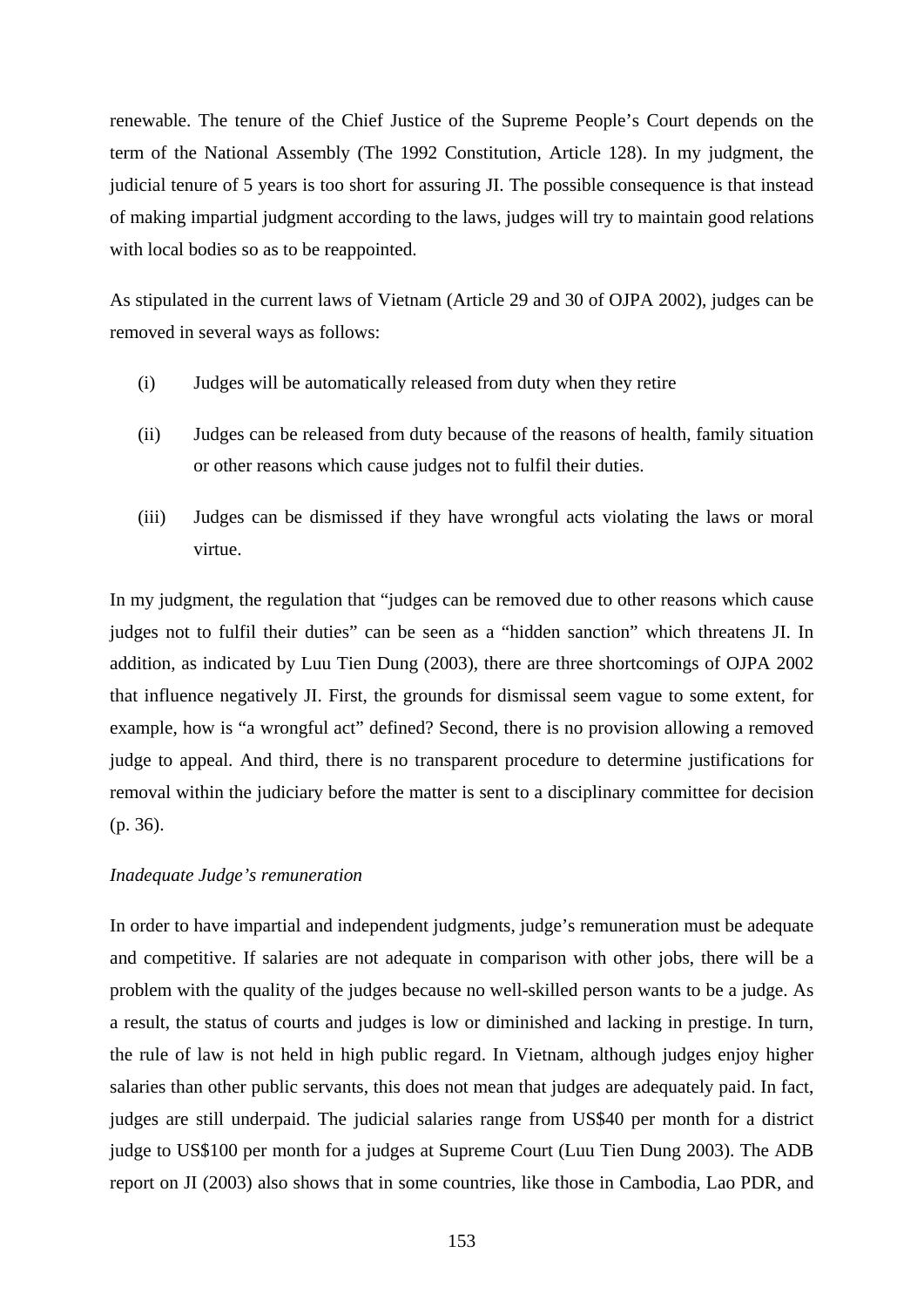renewable. The tenure of the Chief Justice of the Supreme People's Court depends on the term of the National Assembly (The 1992 Constitution, Article 128). In my judgment, the judicial tenure of 5 years is too short for assuring JI. The possible consequence is that instead of making impartial judgment according to the laws, judges will try to maintain good relations with local bodies so as to be reappointed.

As stipulated in the current laws of Vietnam (Article 29 and 30 of OJPA 2002), judges can be removed in several ways as follows:

- (i) Judges will be automatically released from duty when they retire
- (ii) Judges can be released from duty because of the reasons of health, family situation or other reasons which cause judges not to fulfil their duties.
- (iii) Judges can be dismissed if they have wrongful acts violating the laws or moral virtue.

In my judgment, the regulation that "judges can be removed due to other reasons which cause judges not to fulfil their duties" can be seen as a "hidden sanction" which threatens JI. In addition, as indicated by Luu Tien Dung (2003), there are three shortcomings of OJPA 2002 that influence negatively JI. First, the grounds for dismissal seem vague to some extent, for example, how is "a wrongful act" defined? Second, there is no provision allowing a removed judge to appeal. And third, there is no transparent procedure to determine justifications for removal within the judiciary before the matter is sent to a disciplinary committee for decision (p. 36).

### *Inadequate Judge's remuneration*

In order to have impartial and independent judgments, judge's remuneration must be adequate and competitive. If salaries are not adequate in comparison with other jobs, there will be a problem with the quality of the judges because no well-skilled person wants to be a judge. As a result, the status of courts and judges is low or diminished and lacking in prestige. In turn, the rule of law is not held in high public regard. In Vietnam, although judges enjoy higher salaries than other public servants, this does not mean that judges are adequately paid. In fact, judges are still underpaid. The judicial salaries range from US\$40 per month for a district judge to US\$100 per month for a judges at Supreme Court (Luu Tien Dung 2003). The ADB report on JI (2003) also shows that in some countries, like those in Cambodia, Lao PDR, and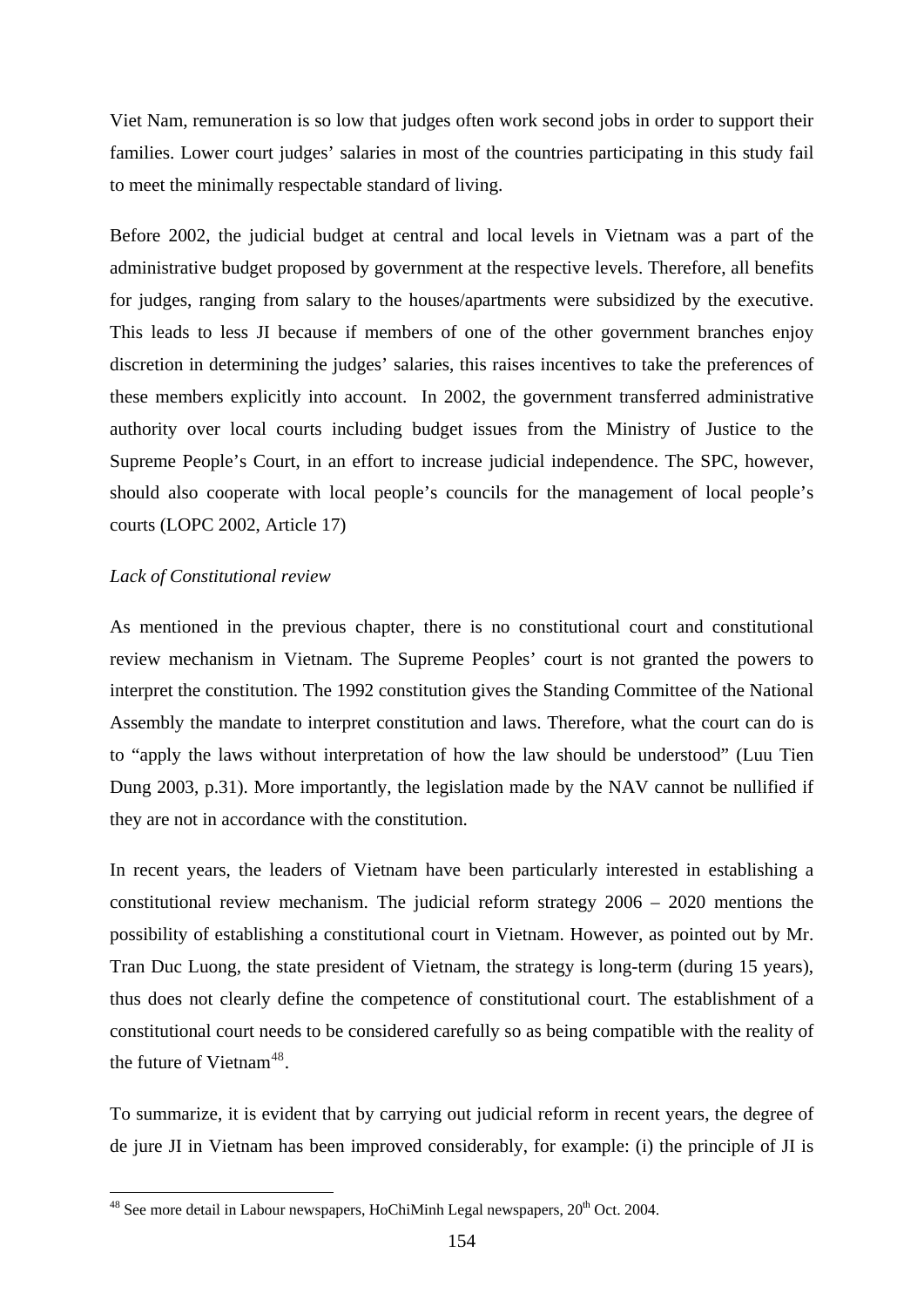Viet Nam, remuneration is so low that judges often work second jobs in order to support their families. Lower court judges' salaries in most of the countries participating in this study fail to meet the minimally respectable standard of living.

Before 2002, the judicial budget at central and local levels in Vietnam was a part of the administrative budget proposed by government at the respective levels. Therefore, all benefits for judges, ranging from salary to the houses/apartments were subsidized by the executive. This leads to less JI because if members of one of the other government branches enjoy discretion in determining the judges' salaries, this raises incentives to take the preferences of these members explicitly into account. In 2002, the government transferred administrative authority over local courts including budget issues from the Ministry of Justice to the Supreme People's Court, in an effort to increase judicial independence. The SPC, however, should also cooperate with local people's councils for the management of local people's courts (LOPC 2002, Article 17)

### *Lack of Constitutional review*

1

As mentioned in the previous chapter, there is no constitutional court and constitutional review mechanism in Vietnam. The Supreme Peoples' court is not granted the powers to interpret the constitution. The 1992 constitution gives the Standing Committee of the National Assembly the mandate to interpret constitution and laws. Therefore, what the court can do is to "apply the laws without interpretation of how the law should be understood" (Luu Tien Dung 2003, p.31). More importantly, the legislation made by the NAV cannot be nullified if they are not in accordance with the constitution.

In recent years, the leaders of Vietnam have been particularly interested in establishing a constitutional review mechanism. The judicial reform strategy 2006 – 2020 mentions the possibility of establishing a constitutional court in Vietnam. However, as pointed out by Mr. Tran Duc Luong, the state president of Vietnam, the strategy is long-term (during 15 years), thus does not clearly define the competence of constitutional court. The establishment of a constitutional court needs to be considered carefully so as being compatible with the reality of the future of Vietnam<sup>[48](#page-159-0)</sup>.

To summarize, it is evident that by carrying out judicial reform in recent years, the degree of de jure JI in Vietnam has been improved considerably, for example: (i) the principle of JI is

<span id="page-159-0"></span> $48$  See more detail in Labour newspapers, HoChiMinh Legal newspapers,  $20<sup>th</sup>$  Oct. 2004.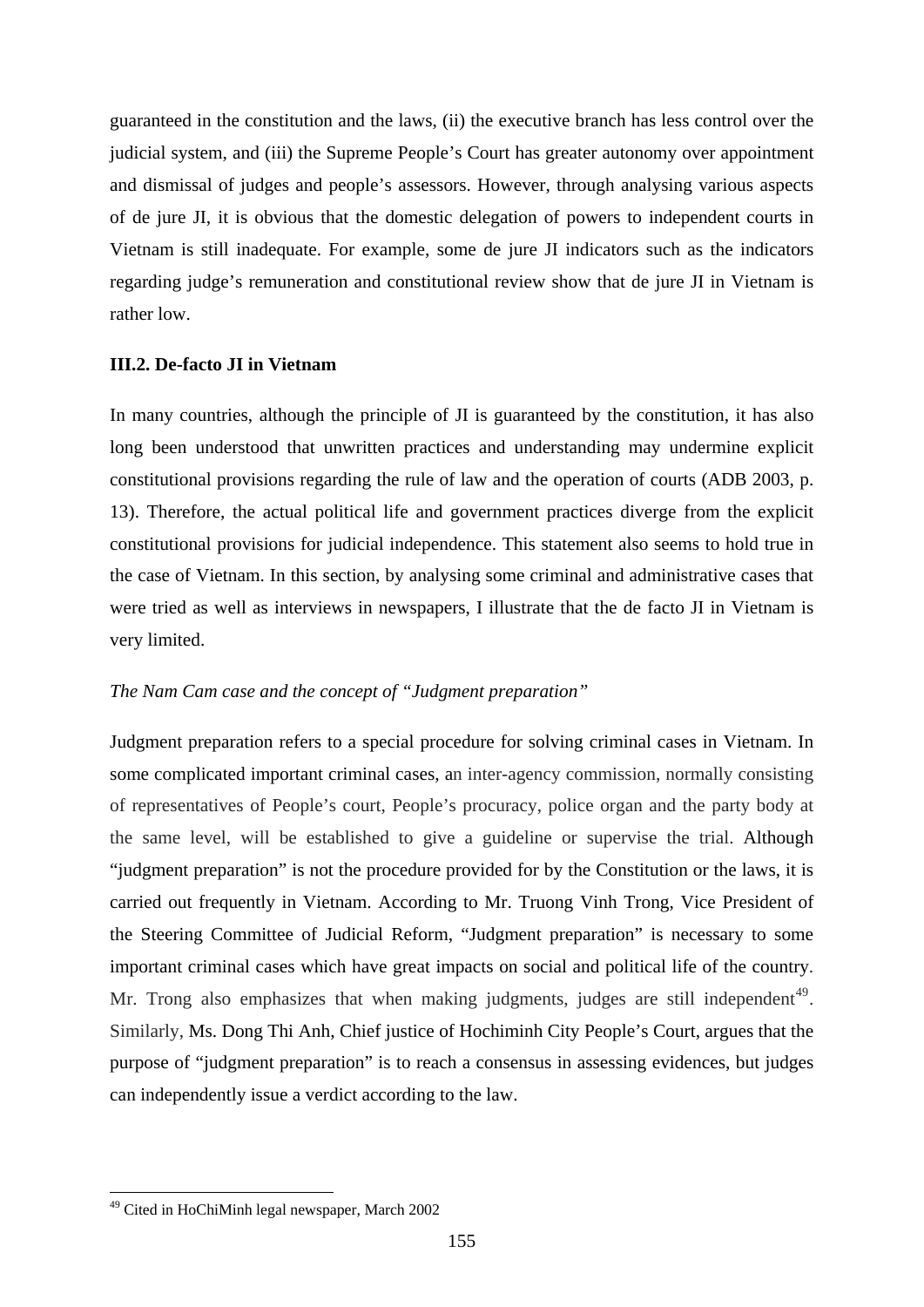guaranteed in the constitution and the laws, (ii) the executive branch has less control over the judicial system, and (iii) the Supreme People's Court has greater autonomy over appointment and dismissal of judges and people's assessors. However, through analysing various aspects of de jure JI, it is obvious that the domestic delegation of powers to independent courts in Vietnam is still inadequate. For example, some de jure JI indicators such as the indicators regarding judge's remuneration and constitutional review show that de jure JI in Vietnam is rather low.

## **III.2. De-facto JI in Vietnam**

In many countries, although the principle of JI is guaranteed by the constitution, it has also long been understood that unwritten practices and understanding may undermine explicit constitutional provisions regarding the rule of law and the operation of courts (ADB 2003, p. 13). Therefore, the actual political life and government practices diverge from the explicit constitutional provisions for judicial independence. This statement also seems to hold true in the case of Vietnam. In this section, by analysing some criminal and administrative cases that were tried as well as interviews in newspapers, I illustrate that the de facto JI in Vietnam is very limited.

## *The Nam Cam case and the concept of "Judgment preparation"*

Judgment preparation refers to a special procedure for solving criminal cases in Vietnam. In some complicated important criminal cases, an inter-agency commission, normally consisting of representatives of People's court, People's procuracy, police organ and the party body at the same level, will be established to give a guideline or supervise the trial. Although "judgment preparation" is not the procedure provided for by the Constitution or the laws, it is carried out frequently in Vietnam. According to Mr. Truong Vinh Trong, Vice President of the Steering Committee of Judicial Reform, "Judgment preparation" is necessary to some important criminal cases which have great impacts on social and political life of the country. Mr. Trong also emphasizes that when making judgments, judges are still independent<sup>[49](#page-160-0)</sup>. Similarly, Ms. Dong Thi Anh, Chief justice of Hochiminh City People's Court, argues that the purpose of "judgment preparation" is to reach a consensus in assessing evidences, but judges can independently issue a verdict according to the law.

1

<span id="page-160-0"></span><sup>49</sup> Cited in HoChiMinh legal newspaper, March 2002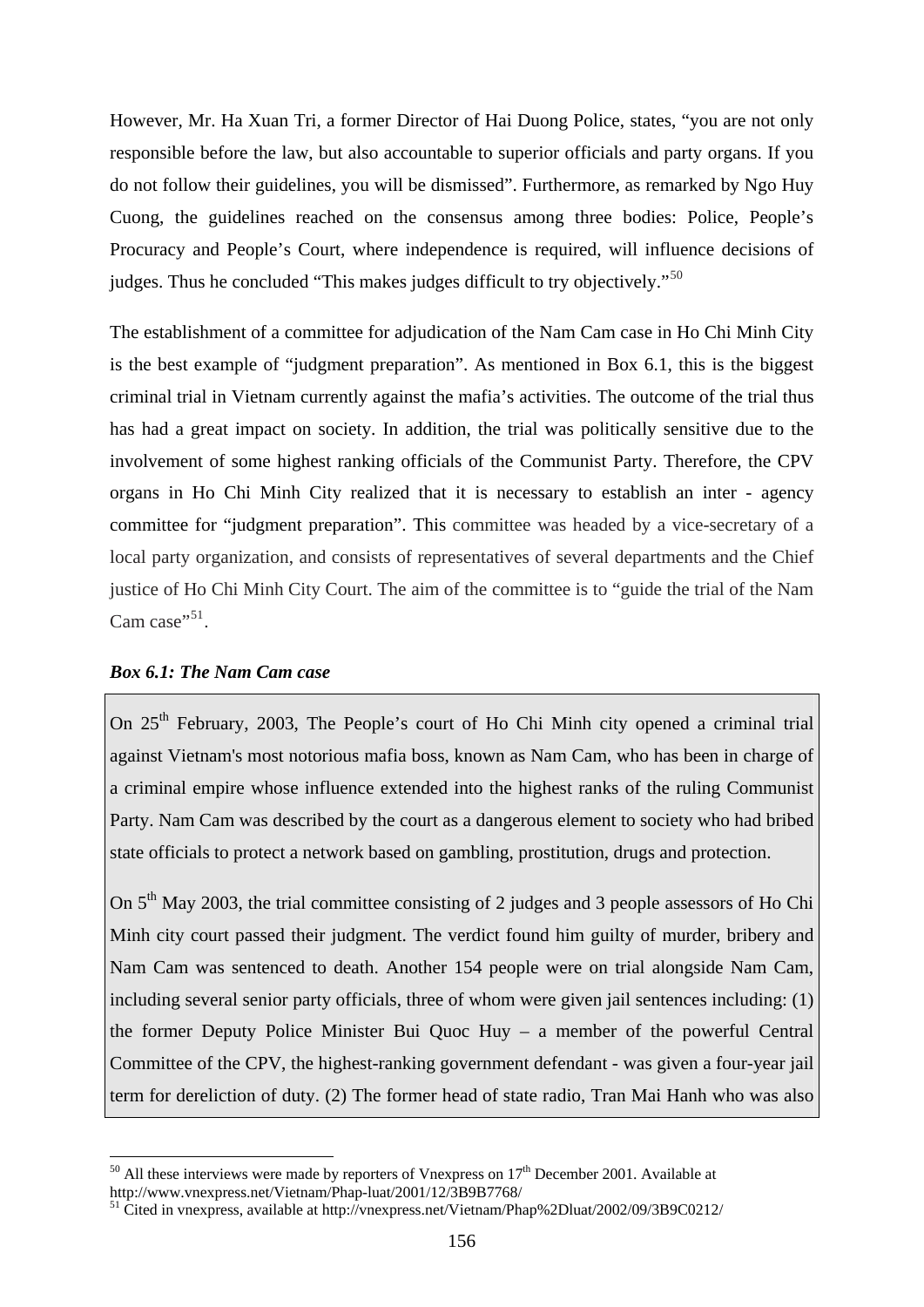However, Mr. Ha Xuan Tri, a former Director of Hai Duong Police, states, "you are not only responsible before the law, but also accountable to superior officials and party organs. If you do not follow their guidelines, you will be dismissed". Furthermore, as remarked by Ngo Huy Cuong, the guidelines reached on the consensus among three bodies: Police, People's Procuracy and People's Court, where independence is required, will influence decisions of judges. Thus he concluded "This makes judges difficult to try objectively."<sup>[50](#page-161-0)</sup>

The establishment of a committee for adjudication of the Nam Cam case in Ho Chi Minh City is the best example of "judgment preparation". As mentioned in Box 6.1, this is the biggest criminal trial in Vietnam currently against the mafia's activities. The outcome of the trial thus has had a great impact on society. In addition, the trial was politically sensitive due to the involvement of some highest ranking officials of the Communist Party. Therefore, the CPV organs in Ho Chi Minh City realized that it is necessary to establish an inter - agency committee for "judgment preparation". This committee was headed by a vice-secretary of a local party organization, and consists of representatives of several departments and the Chief justice of Ho Chi Minh City Court. The aim of the committee is to "guide the trial of the Nam Cam case $^{951}$  $^{951}$  $^{951}$ .

## *Box 6.1: The Nam Cam case*

1

On 25<sup>th</sup> February, 2003, The People's court of Ho Chi Minh city opened a criminal trial against Vietnam's most notorious mafia boss, known as Nam Cam, who has been in charge of a criminal empire whose influence extended into the highest ranks of the ruling Communist Party. Nam Cam was described by the court as a dangerous element to society who had bribed state officials to protect a network based on gambling, prostitution, drugs and protection.

On  $5<sup>th</sup>$  May 2003, the trial committee consisting of 2 judges and 3 people assessors of Ho Chi Minh city court passed their judgment. The verdict found him guilty of murder, bribery and Nam Cam was sentenced to death. Another 154 people were on trial alongside Nam Cam, including several senior party officials, three of whom were given jail sentences including: (1) the former Deputy Police Minister Bui Quoc Huy – a member of the powerful Central Committee of the CPV, the highest-ranking government defendant - was given a four-year jail term for dereliction of duty. (2) The former head of state radio, Tran Mai Hanh who was also

<span id="page-161-0"></span><sup>&</sup>lt;sup>50</sup> All these interviews were made by reporters of Vnexpress on  $17<sup>th</sup>$  December 2001. Available at http://www.vnexpress.net/Vietnam/Phap-luat/2001/12/3B9B7768/

<span id="page-161-1"></span>

 $h<sup>51</sup>$  Cited in vnexpress, available at http://vnexpress.net/Vietnam/Phap%2Dluat/2002/09/3B9C0212/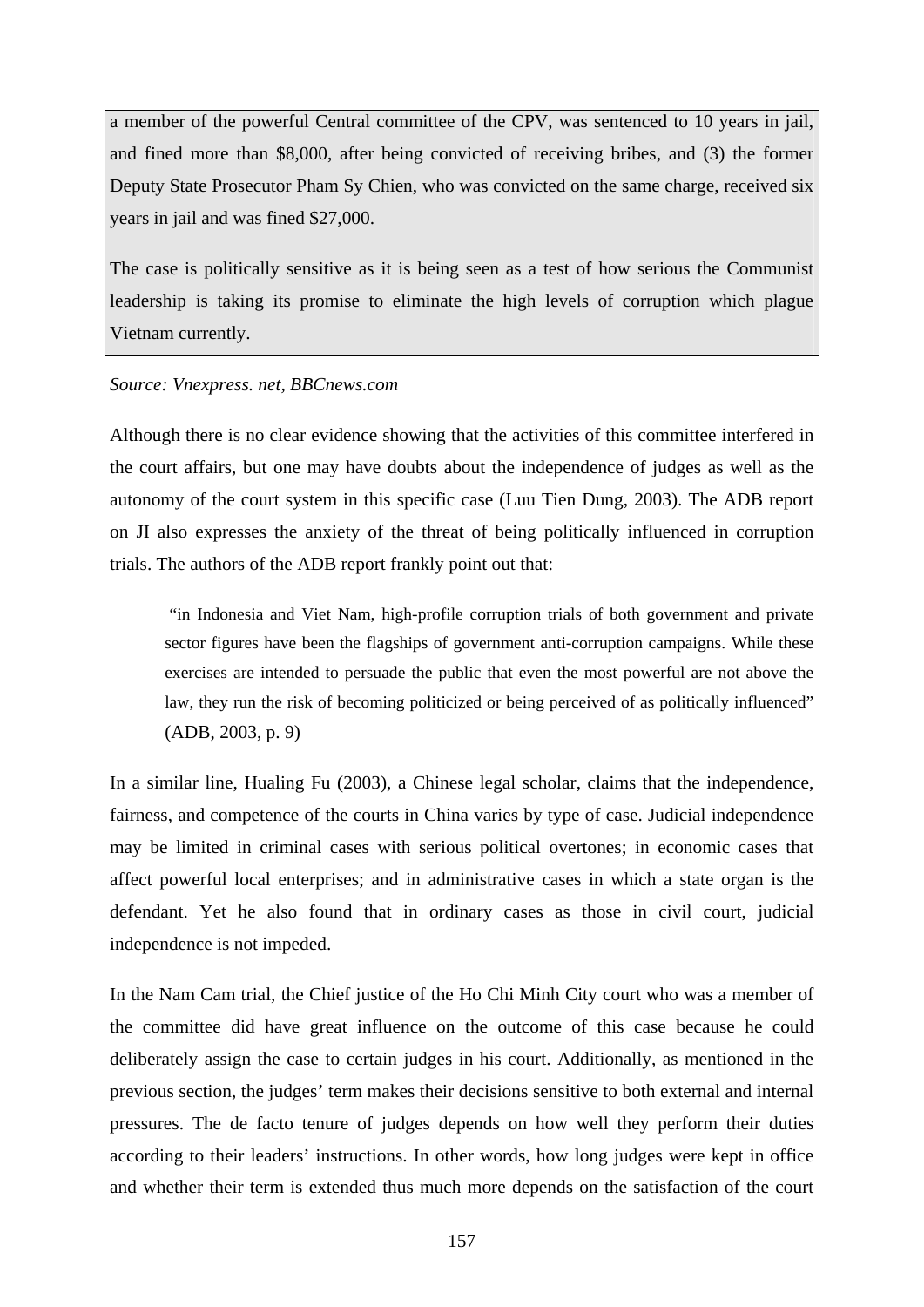a member of the powerful Central committee of the CPV, was sentenced to 10 years in jail, and fined more than \$8,000, after being convicted of receiving bribes, and (3) the former Deputy State Prosecutor Pham Sy Chien, who was convicted on the same charge, received six years in jail and was fined \$27,000.

The case is politically sensitive as it is being seen as a test of how serious the Communist leadership is taking its promise to eliminate the high levels of corruption which plague Vietnam currently.

### *Source: Vnexpress. net, BBCnews.com*

Although there is no clear evidence showing that the activities of this committee interfered in the court affairs, but one may have doubts about the independence of judges as well as the autonomy of the court system in this specific case (Luu Tien Dung, 2003). The ADB report on JI also expresses the anxiety of the threat of being politically influenced in corruption trials. The authors of the ADB report frankly point out that:

"in Indonesia and Viet Nam, high-profile corruption trials of both government and private sector figures have been the flagships of government anti-corruption campaigns. While these exercises are intended to persuade the public that even the most powerful are not above the law, they run the risk of becoming politicized or being perceived of as politically influenced" (ADB, 2003, p. 9)

In a similar line, Hualing Fu (2003), a Chinese legal scholar, claims that the independence, fairness, and competence of the courts in China varies by type of case. Judicial independence may be limited in criminal cases with serious political overtones; in economic cases that affect powerful local enterprises; and in administrative cases in which a state organ is the defendant. Yet he also found that in ordinary cases as those in civil court, judicial independence is not impeded.

In the Nam Cam trial, the Chief justice of the Ho Chi Minh City court who was a member of the committee did have great influence on the outcome of this case because he could deliberately assign the case to certain judges in his court. Additionally, as mentioned in the previous section, the judges' term makes their decisions sensitive to both external and internal pressures. The de facto tenure of judges depends on how well they perform their duties according to their leaders' instructions. In other words, how long judges were kept in office and whether their term is extended thus much more depends on the satisfaction of the court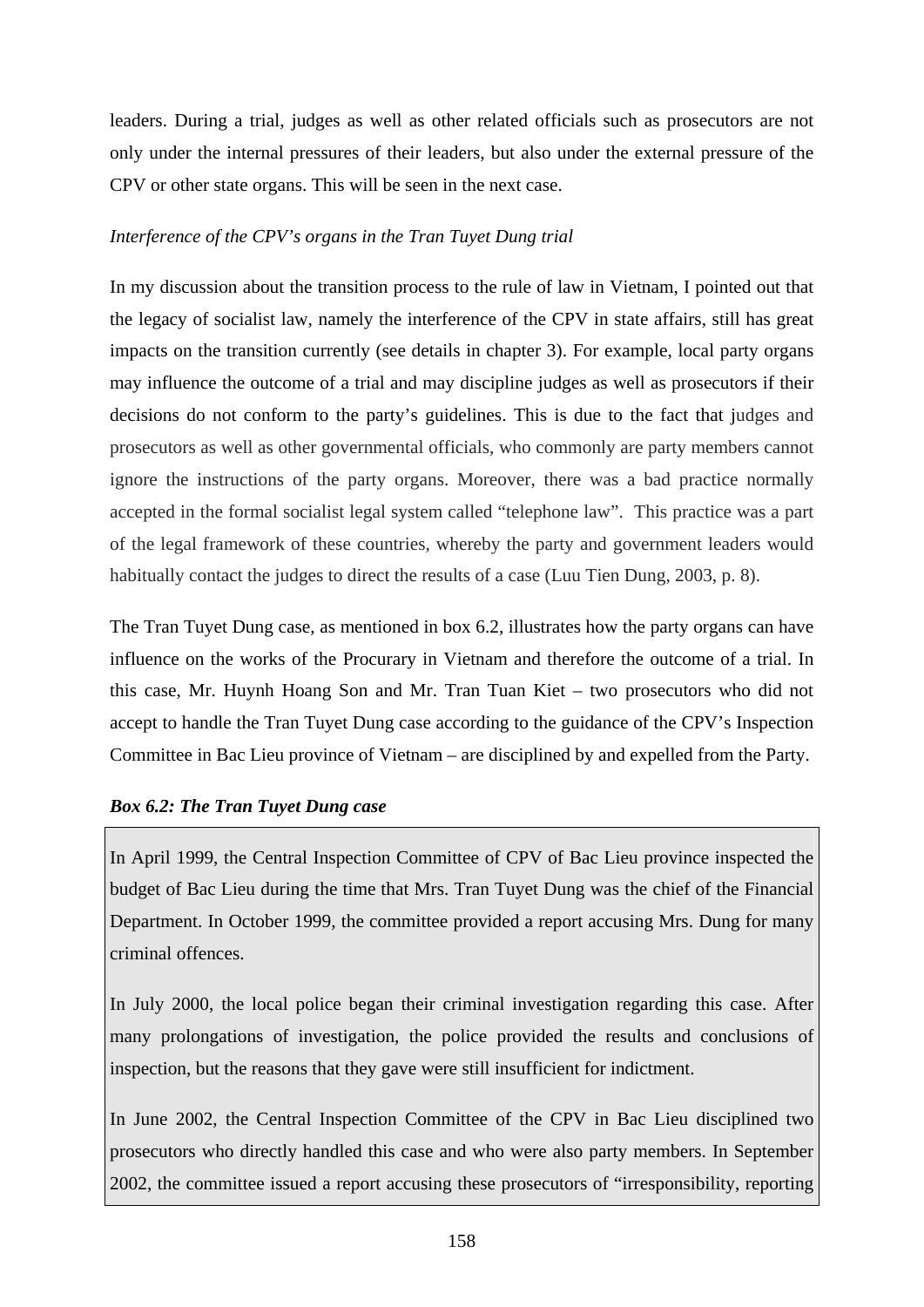leaders. During a trial, judges as well as other related officials such as prosecutors are not only under the internal pressures of their leaders, but also under the external pressure of the CPV or other state organs. This will be seen in the next case.

# *Interference of the CPV's organs in the Tran Tuyet Dung trial*

In my discussion about the transition process to the rule of law in Vietnam, I pointed out that the legacy of socialist law, namely the interference of the CPV in state affairs, still has great impacts on the transition currently (see details in chapter 3). For example, local party organs may influence the outcome of a trial and may discipline judges as well as prosecutors if their decisions do not conform to the party's guidelines. This is due to the fact that judges and prosecutors as well as other governmental officials, who commonly are party members cannot ignore the instructions of the party organs. Moreover, there was a bad practice normally accepted in the formal socialist legal system called "telephone law". This practice was a part of the legal framework of these countries, whereby the party and government leaders would habitually contact the judges to direct the results of a case (Luu Tien Dung, 2003, p. 8).

The Tran Tuyet Dung case, as mentioned in box 6.2, illustrates how the party organs can have influence on the works of the Procurary in Vietnam and therefore the outcome of a trial. In this case, Mr. Huynh Hoang Son and Mr. Tran Tuan Kiet – two prosecutors who did not accept to handle the Tran Tuyet Dung case according to the guidance of the CPV's Inspection Committee in Bac Lieu province of Vietnam – are disciplined by and expelled from the Party.

# *Box 6.2: The Tran Tuyet Dung case*

In April 1999, the Central Inspection Committee of CPV of Bac Lieu province inspected the budget of Bac Lieu during the time that Mrs. Tran Tuyet Dung was the chief of the Financial Department. In October 1999, the committee provided a report accusing Mrs. Dung for many criminal offences.

In July 2000, the local police began their criminal investigation regarding this case. After many prolongations of investigation, the police provided the results and conclusions of inspection, but the reasons that they gave were still insufficient for indictment.

In June 2002, the Central Inspection Committee of the CPV in Bac Lieu disciplined two prosecutors who directly handled this case and who were also party members. In September 2002, the committee issued a report accusing these prosecutors of "irresponsibility, reporting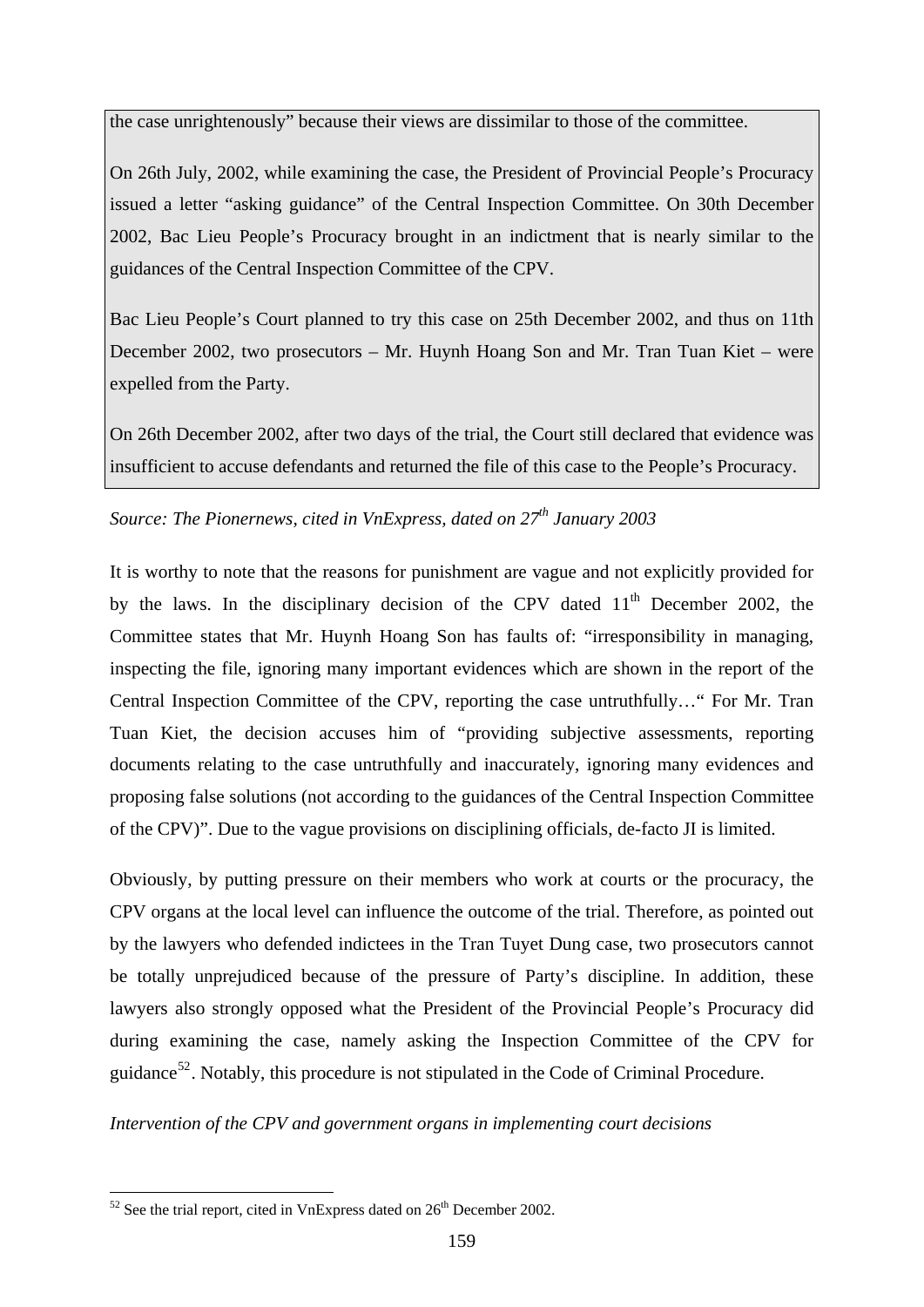the case unrightenously" because their views are dissimilar to those of the committee.

On 26th July, 2002, while examining the case, the President of Provincial People's Procuracy issued a letter "asking guidance" of the Central Inspection Committee. On 30th December 2002, Bac Lieu People's Procuracy brought in an indictment that is nearly similar to the guidances of the Central Inspection Committee of the CPV.

Bac Lieu People's Court planned to try this case on 25th December 2002, and thus on 11th December 2002, two prosecutors – Mr. Huynh Hoang Son and Mr. Tran Tuan Kiet – were expelled from the Party.

On 26th December 2002, after two days of the trial, the Court still declared that evidence was insufficient to accuse defendants and returned the file of this case to the People's Procuracy.

# Source: The Pionernews, cited in VnExpress, dated on 27<sup>th</sup> January 2003

It is worthy to note that the reasons for punishment are vague and not explicitly provided for by the laws. In the disciplinary decision of the CPV dated  $11<sup>th</sup>$  December 2002, the Committee states that Mr. Huynh Hoang Son has faults of: "irresponsibility in managing, inspecting the file, ignoring many important evidences which are shown in the report of the Central Inspection Committee of the CPV, reporting the case untruthfully…" For Mr. Tran Tuan Kiet, the decision accuses him of "providing subjective assessments, reporting documents relating to the case untruthfully and inaccurately, ignoring many evidences and proposing false solutions (not according to the guidances of the Central Inspection Committee of the CPV)". Due to the vague provisions on disciplining officials, de-facto JI is limited.

Obviously, by putting pressure on their members who work at courts or the procuracy, the CPV organs at the local level can influence the outcome of the trial. Therefore, as pointed out by the lawyers who defended indictees in the Tran Tuyet Dung case, two prosecutors cannot be totally unprejudiced because of the pressure of Party's discipline. In addition, these lawyers also strongly opposed what the President of the Provincial People's Procuracy did during examining the case, namely asking the Inspection Committee of the CPV for guidance<sup>[52](#page-164-0)</sup>. Notably, this procedure is not stipulated in the Code of Criminal Procedure.

*Intervention of the CPV and government organs in implementing court decisions* 

1

<span id="page-164-0"></span> $52$  See the trial report, cited in VnExpress dated on  $26<sup>th</sup>$  December 2002.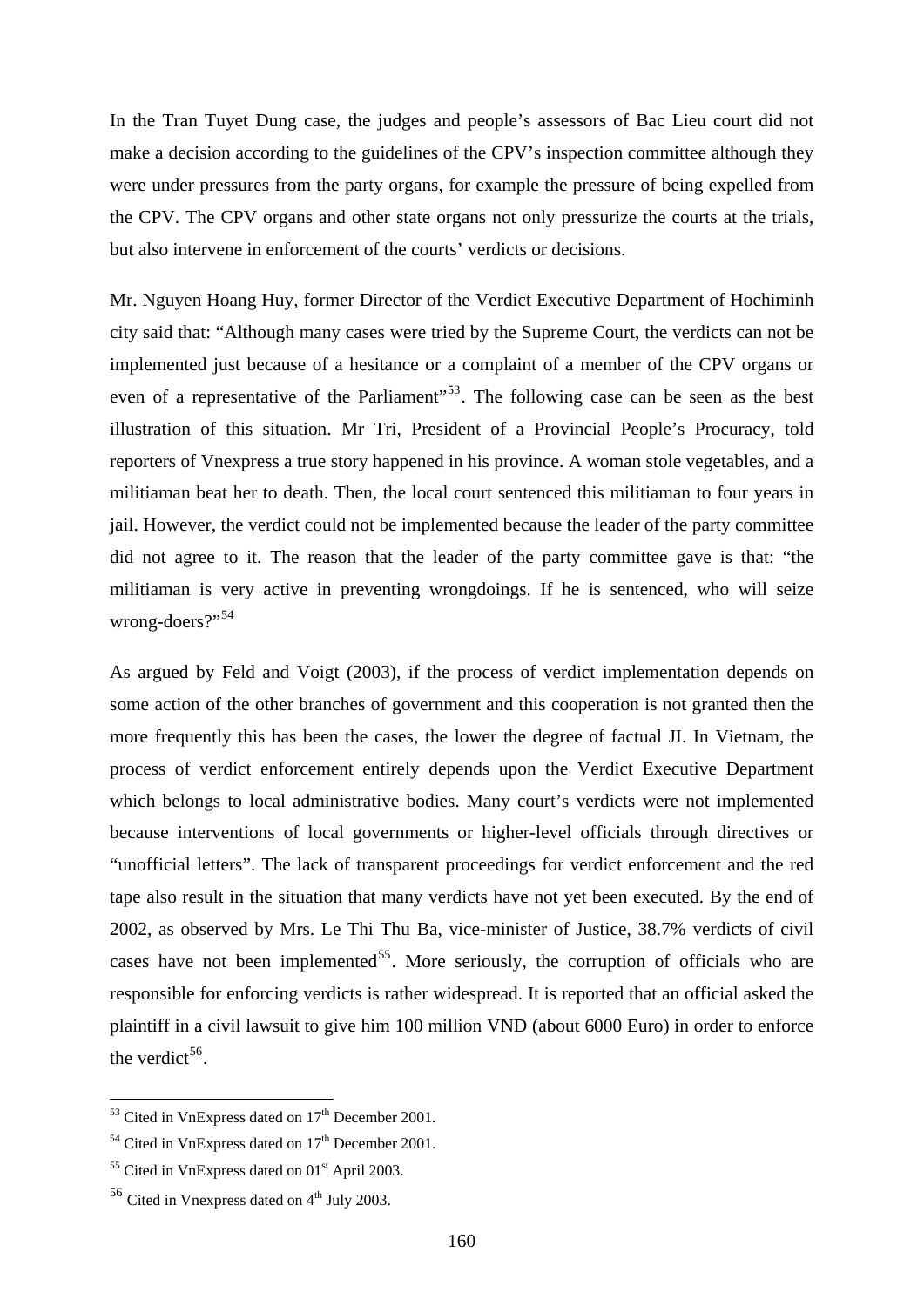In the Tran Tuyet Dung case, the judges and people's assessors of Bac Lieu court did not make a decision according to the guidelines of the CPV's inspection committee although they were under pressures from the party organs, for example the pressure of being expelled from the CPV. The CPV organs and other state organs not only pressurize the courts at the trials, but also intervene in enforcement of the courts' verdicts or decisions.

Mr. Nguyen Hoang Huy, former Director of the Verdict Executive Department of Hochiminh city said that: "Although many cases were tried by the Supreme Court, the verdicts can not be implemented just because of a hesitance or a complaint of a member of the CPV organs or even of a representative of the Parliament<sup>"[53](#page-165-0)</sup>. The following case can be seen as the best illustration of this situation. Mr Tri, President of a Provincial People's Procuracy, told reporters of Vnexpress a true story happened in his province. A woman stole vegetables, and a militiaman beat her to death. Then, the local court sentenced this militiaman to four years in jail. However, the verdict could not be implemented because the leader of the party committee did not agree to it. The reason that the leader of the party committee gave is that: "the militiaman is very active in preventing wrongdoings. If he is sentenced, who will seize wrong-doers?"<sup>[54](#page-165-1)</sup>

As argued by Feld and Voigt (2003), if the process of verdict implementation depends on some action of the other branches of government and this cooperation is not granted then the more frequently this has been the cases, the lower the degree of factual JI. In Vietnam, the process of verdict enforcement entirely depends upon the Verdict Executive Department which belongs to local administrative bodies. Many court's verdicts were not implemented because interventions of local governments or higher-level officials through directives or "unofficial letters". The lack of transparent proceedings for verdict enforcement and the red tape also result in the situation that many verdicts have not yet been executed. By the end of 2002, as observed by Mrs. Le Thi Thu Ba, vice-minister of Justice, 38.7% verdicts of civil cases have not been implemented<sup>[55](#page-165-2)</sup>. More seriously, the corruption of officials who are responsible for enforcing verdicts is rather widespread. It is reported that an official asked the plaintiff in a civil lawsuit to give him 100 million VND (about 6000 Euro) in order to enforce the verdict<sup>[56](#page-165-3)</sup>.

<u>.</u>

<span id="page-165-0"></span> $53$  Cited in VnExpress dated on  $17<sup>th</sup>$  December 2001.

<span id="page-165-1"></span><sup>&</sup>lt;sup>54</sup> Cited in VnExpress dated on  $17<sup>th</sup>$  December 2001.

<span id="page-165-2"></span> $55$  Cited in VnExpress dated on 01<sup>st</sup> April 2003.

<span id="page-165-3"></span> $56$  Cited in Vnexpress dated on  $4<sup>th</sup>$  July 2003.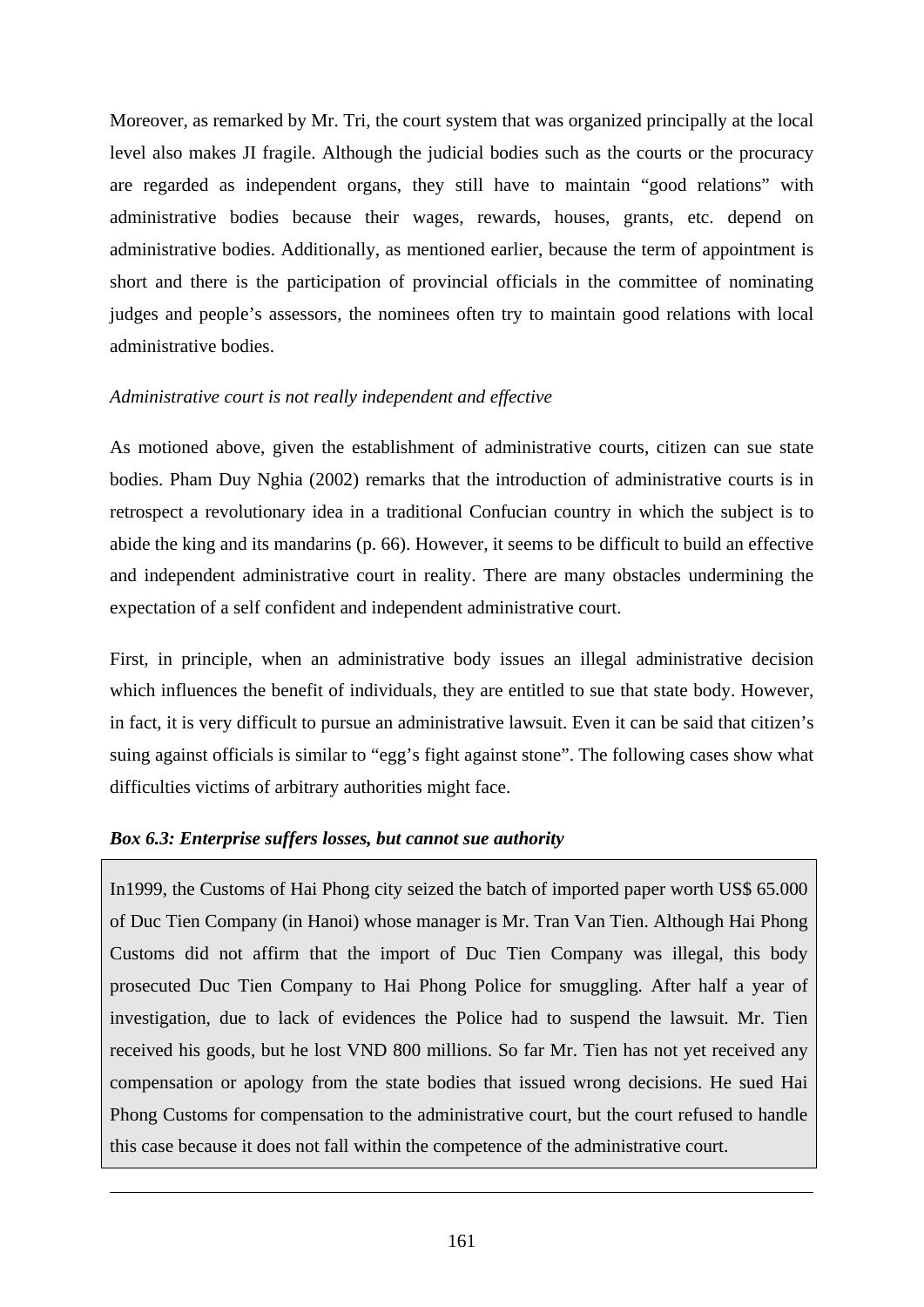Moreover, as remarked by Mr. Tri, the court system that was organized principally at the local level also makes JI fragile. Although the judicial bodies such as the courts or the procuracy are regarded as independent organs, they still have to maintain "good relations" with administrative bodies because their wages, rewards, houses, grants, etc. depend on administrative bodies. Additionally, as mentioned earlier, because the term of appointment is short and there is the participation of provincial officials in the committee of nominating judges and people's assessors, the nominees often try to maintain good relations with local administrative bodies.

# *Administrative court is not really independent and effective*

As motioned above, given the establishment of administrative courts, citizen can sue state bodies. Pham Duy Nghia (2002) remarks that the introduction of administrative courts is in retrospect a revolutionary idea in a traditional Confucian country in which the subject is to abide the king and its mandarins (p. 66). However, it seems to be difficult to build an effective and independent administrative court in reality. There are many obstacles undermining the expectation of a self confident and independent administrative court.

First, in principle, when an administrative body issues an illegal administrative decision which influences the benefit of individuals, they are entitled to sue that state body. However, in fact, it is very difficult to pursue an administrative lawsuit. Even it can be said that citizen's suing against officials is similar to "egg's fight against stone". The following cases show what difficulties victims of arbitrary authorities might face.

# *Box 6.3: Enterprise suffers losses, but cannot sue authority*

1

In1999, the Customs of Hai Phong city seized the batch of imported paper worth US\$ 65.000 of Duc Tien Company (in Hanoi) whose manager is Mr. Tran Van Tien. Although Hai Phong Customs did not affirm that the import of Duc Tien Company was illegal, this body prosecuted Duc Tien Company to Hai Phong Police for smuggling. After half a year of investigation, due to lack of evidences the Police had to suspend the lawsuit. Mr. Tien received his goods, but he lost VND 800 millions. So far Mr. Tien has not yet received any compensation or apology from the state bodies that issued wrong decisions. He sued Hai Phong Customs for compensation to the administrative court, but the court refused to handle this case because it does not fall within the competence of the administrative court.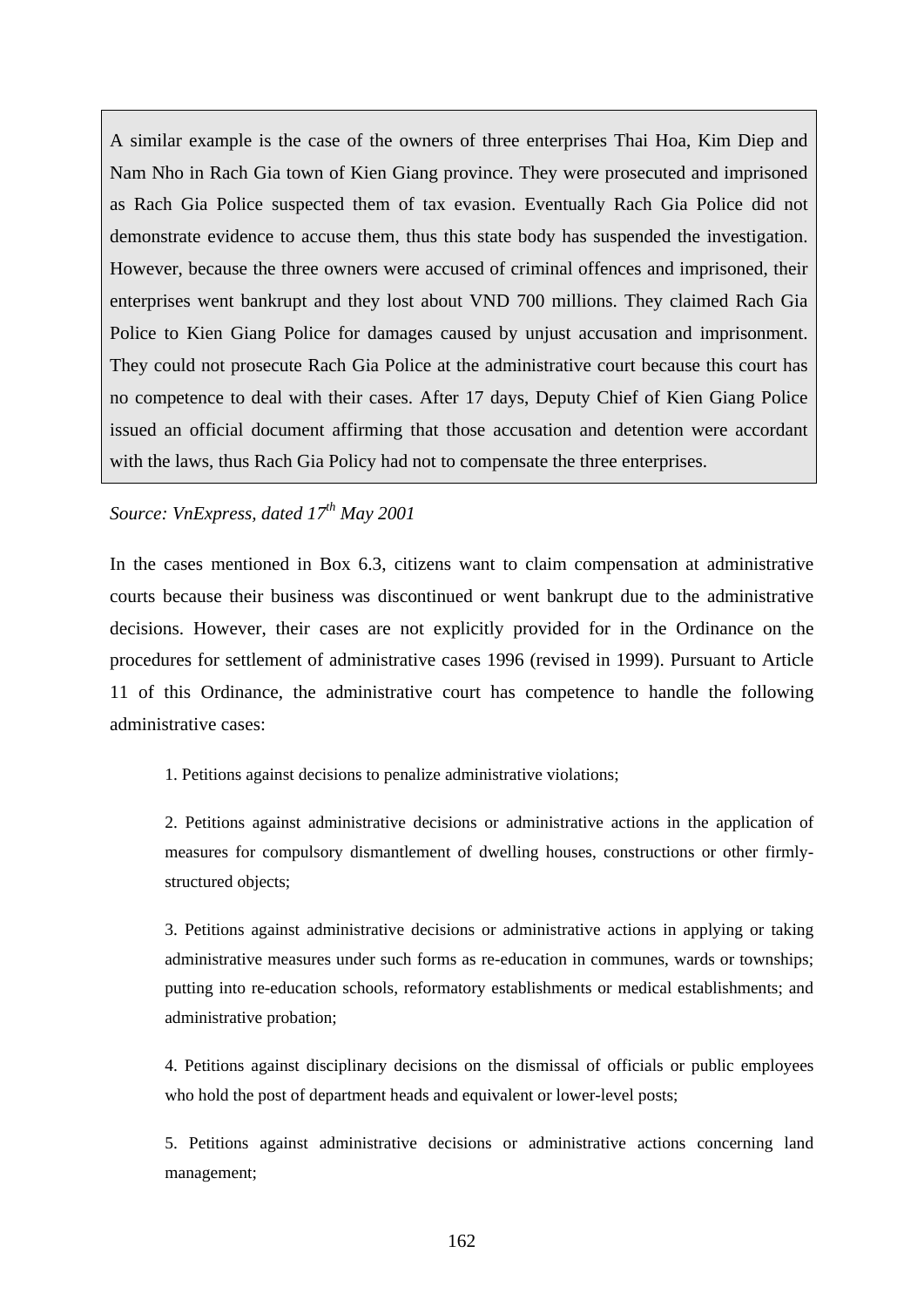A similar example is the case of the owners of three enterprises Thai Hoa, Kim Diep and Nam Nho in Rach Gia town of Kien Giang province. They were prosecuted and imprisoned as Rach Gia Police suspected them of tax evasion. Eventually Rach Gia Police did not demonstrate evidence to accuse them, thus this state body has suspended the investigation. However, because the three owners were accused of criminal offences and imprisoned, their enterprises went bankrupt and they lost about VND 700 millions. They claimed Rach Gia Police to Kien Giang Police for damages caused by unjust accusation and imprisonment. They could not prosecute Rach Gia Police at the administrative court because this court has no competence to deal with their cases. After 17 days, Deputy Chief of Kien Giang Police issued an official document affirming that those accusation and detention were accordant with the laws, thus Rach Gia Policy had not to compensate the three enterprises.

# *Source: VnExpress, dated 17th May 2001*

In the cases mentioned in Box 6.3, citizens want to claim compensation at administrative courts because their business was discontinued or went bankrupt due to the administrative decisions. However, their cases are not explicitly provided for in the Ordinance on the procedures for settlement of administrative cases 1996 (revised in 1999). Pursuant to Article 11 of this Ordinance, the administrative court has competence to handle the following administrative cases:

1. Petitions against decisions to penalize administrative violations;

2. Petitions against administrative decisions or administrative actions in the application of measures for compulsory dismantlement of dwelling houses, constructions or other firmlystructured objects;

3. Petitions against administrative decisions or administrative actions in applying or taking administrative measures under such forms as re-education in communes, wards or townships; putting into re-education schools, reformatory establishments or medical establishments; and administrative probation;

4. Petitions against disciplinary decisions on the dismissal of officials or public employees who hold the post of department heads and equivalent or lower-level posts;

5. Petitions against administrative decisions or administrative actions concerning land management;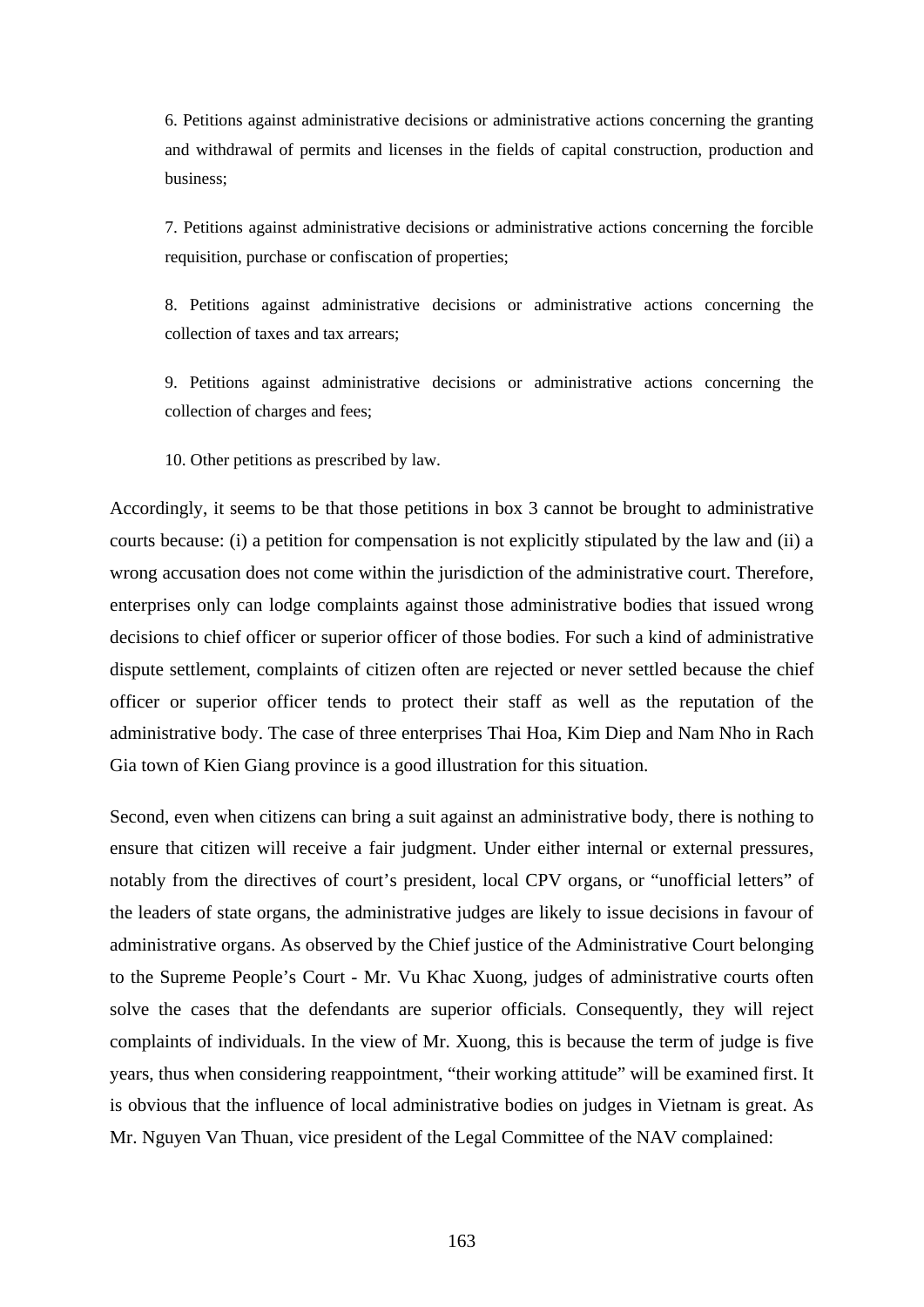6. Petitions against administrative decisions or administrative actions concerning the granting and withdrawal of permits and licenses in the fields of capital construction, production and business;

7. Petitions against administrative decisions or administrative actions concerning the forcible requisition, purchase or confiscation of properties;

8. Petitions against administrative decisions or administrative actions concerning the collection of taxes and tax arrears;

9. Petitions against administrative decisions or administrative actions concerning the collection of charges and fees;

10. Other petitions as prescribed by law.

Accordingly, it seems to be that those petitions in box 3 cannot be brought to administrative courts because: (i) a petition for compensation is not explicitly stipulated by the law and (ii) a wrong accusation does not come within the jurisdiction of the administrative court. Therefore, enterprises only can lodge complaints against those administrative bodies that issued wrong decisions to chief officer or superior officer of those bodies. For such a kind of administrative dispute settlement, complaints of citizen often are rejected or never settled because the chief officer or superior officer tends to protect their staff as well as the reputation of the administrative body. The case of three enterprises Thai Hoa, Kim Diep and Nam Nho in Rach Gia town of Kien Giang province is a good illustration for this situation.

Second, even when citizens can bring a suit against an administrative body, there is nothing to ensure that citizen will receive a fair judgment. Under either internal or external pressures, notably from the directives of court's president, local CPV organs, or "unofficial letters" of the leaders of state organs, the administrative judges are likely to issue decisions in favour of administrative organs. As observed by the Chief justice of the Administrative Court belonging to the Supreme People's Court - Mr. Vu Khac Xuong, judges of administrative courts often solve the cases that the defendants are superior officials. Consequently, they will reject complaints of individuals. In the view of Mr. Xuong, this is because the term of judge is five years, thus when considering reappointment, "their working attitude" will be examined first. It is obvious that the influence of local administrative bodies on judges in Vietnam is great. As Mr. Nguyen Van Thuan, vice president of the Legal Committee of the NAV complained: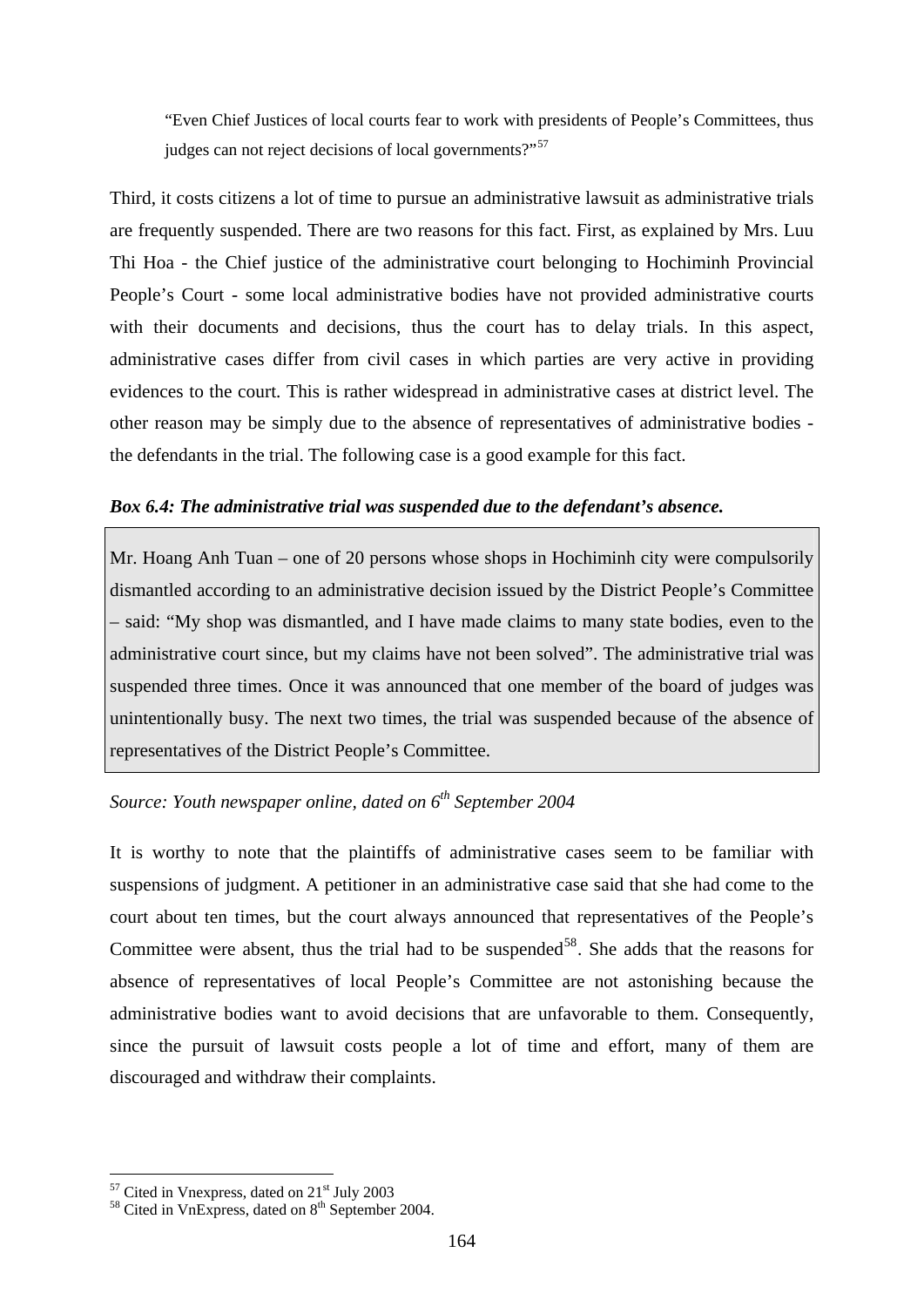"Even Chief Justices of local courts fear to work with presidents of People's Committees, thus judges can not reject decisions of local governments?"<sup>[57](#page-169-0)</sup>

Third, it costs citizens a lot of time to pursue an administrative lawsuit as administrative trials are frequently suspended. There are two reasons for this fact. First, as explained by Mrs. Luu Thi Hoa - the Chief justice of the administrative court belonging to Hochiminh Provincial People's Court - some local administrative bodies have not provided administrative courts with their documents and decisions, thus the court has to delay trials. In this aspect, administrative cases differ from civil cases in which parties are very active in providing evidences to the court. This is rather widespread in administrative cases at district level. The other reason may be simply due to the absence of representatives of administrative bodies the defendants in the trial. The following case is a good example for this fact.

## *Box 6.4: The administrative trial was suspended due to the defendant's absence.*

Mr. Hoang Anh Tuan – one of 20 persons whose shops in Hochiminh city were compulsorily dismantled according to an administrative decision issued by the District People's Committee – said: "My shop was dismantled, and I have made claims to many state bodies, even to the administrative court since, but my claims have not been solved". The administrative trial was suspended three times. Once it was announced that one member of the board of judges was unintentionally busy. The next two times, the trial was suspended because of the absence of representatives of the District People's Committee.

# *Source: Youth newspaper online, dated on*  $6^{th}$  *September 2004*

It is worthy to note that the plaintiffs of administrative cases seem to be familiar with suspensions of judgment. A petitioner in an administrative case said that she had come to the court about ten times, but the court always announced that representatives of the People's Committee were absent, thus the trial had to be suspended<sup>[58](#page-169-1)</sup>. She adds that the reasons for absence of representatives of local People's Committee are not astonishing because the administrative bodies want to avoid decisions that are unfavorable to them. Consequently, since the pursuit of lawsuit costs people a lot of time and effort, many of them are discouraged and withdraw their complaints.

1

<span id="page-169-1"></span>

<span id="page-169-0"></span><sup>&</sup>lt;sup>57</sup> Cited in Vnexpress, dated on  $21<sup>st</sup>$  July 2003<br><sup>58</sup> Cited in VnExpress, dated on  $8<sup>th</sup>$  September 2004.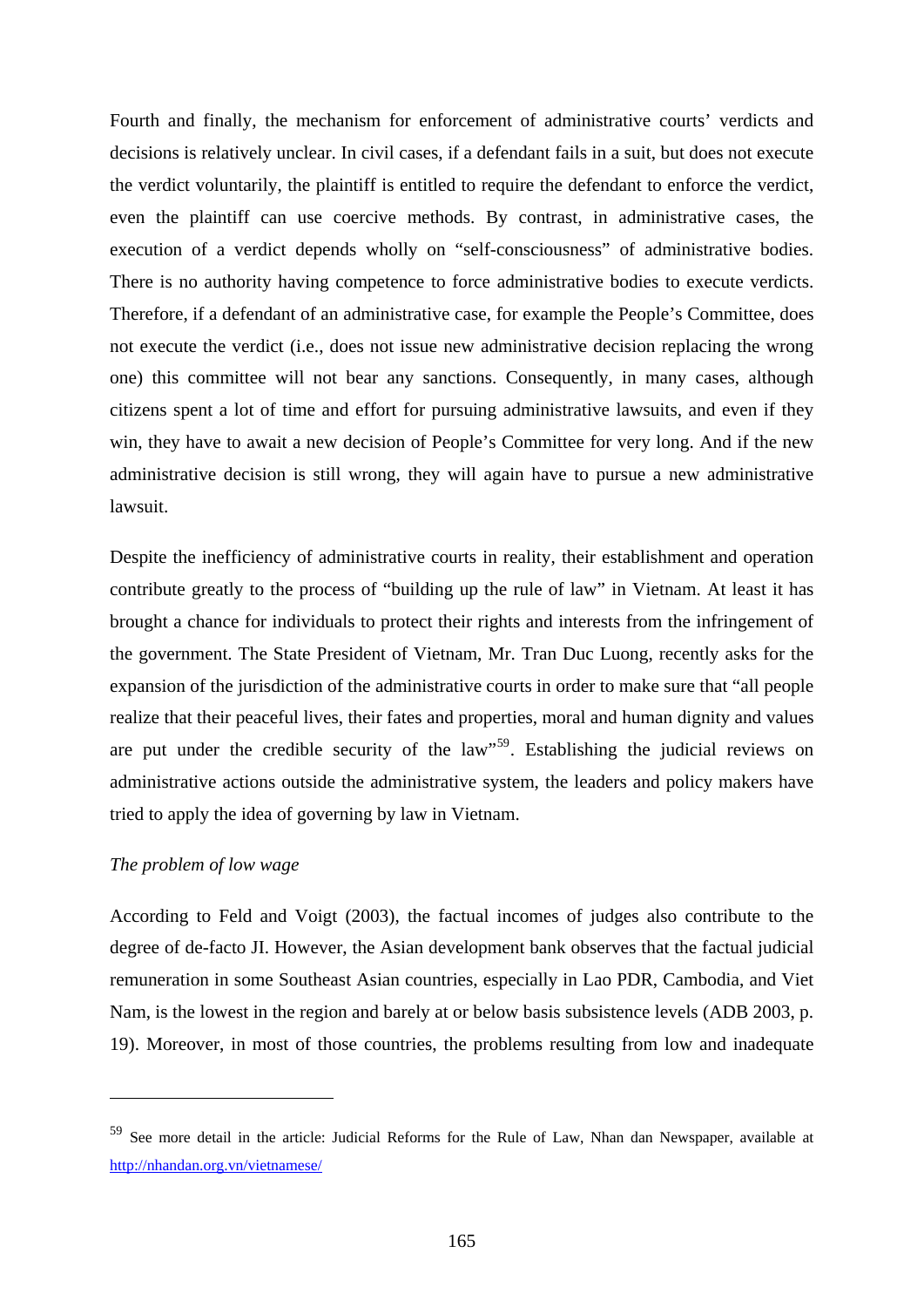Fourth and finally, the mechanism for enforcement of administrative courts' verdicts and decisions is relatively unclear. In civil cases, if a defendant fails in a suit, but does not execute the verdict voluntarily, the plaintiff is entitled to require the defendant to enforce the verdict, even the plaintiff can use coercive methods. By contrast, in administrative cases, the execution of a verdict depends wholly on "self-consciousness" of administrative bodies. There is no authority having competence to force administrative bodies to execute verdicts. Therefore, if a defendant of an administrative case, for example the People's Committee, does not execute the verdict (i.e., does not issue new administrative decision replacing the wrong one) this committee will not bear any sanctions. Consequently, in many cases, although citizens spent a lot of time and effort for pursuing administrative lawsuits, and even if they win, they have to await a new decision of People's Committee for very long. And if the new administrative decision is still wrong, they will again have to pursue a new administrative lawsuit.

Despite the inefficiency of administrative courts in reality, their establishment and operation contribute greatly to the process of "building up the rule of law" in Vietnam. At least it has brought a chance for individuals to protect their rights and interests from the infringement of the government. The State President of Vietnam, Mr. Tran Duc Luong, recently asks for the expansion of the jurisdiction of the administrative courts in order to make sure that "all people realize that their peaceful lives, their fates and properties, moral and human dignity and values are put under the credible security of the law"[59](#page-170-0). Establishing the judicial reviews on administrative actions outside the administrative system, the leaders and policy makers have tried to apply the idea of governing by law in Vietnam.

## *The problem of low wage*

1

According to Feld and Voigt (2003), the factual incomes of judges also contribute to the degree of de-facto JI. However, the Asian development bank observes that the factual judicial remuneration in some Southeast Asian countries, especially in Lao PDR, Cambodia, and Viet Nam, is the lowest in the region and barely at or below basis subsistence levels (ADB 2003, p. 19). Moreover, in most of those countries, the problems resulting from low and inadequate

<span id="page-170-0"></span><sup>59</sup> See more detail in the article: Judicial Reforms for the Rule of Law, Nhan dan Newspaper, available at <http://nhandan.org.vn/vietnamese/>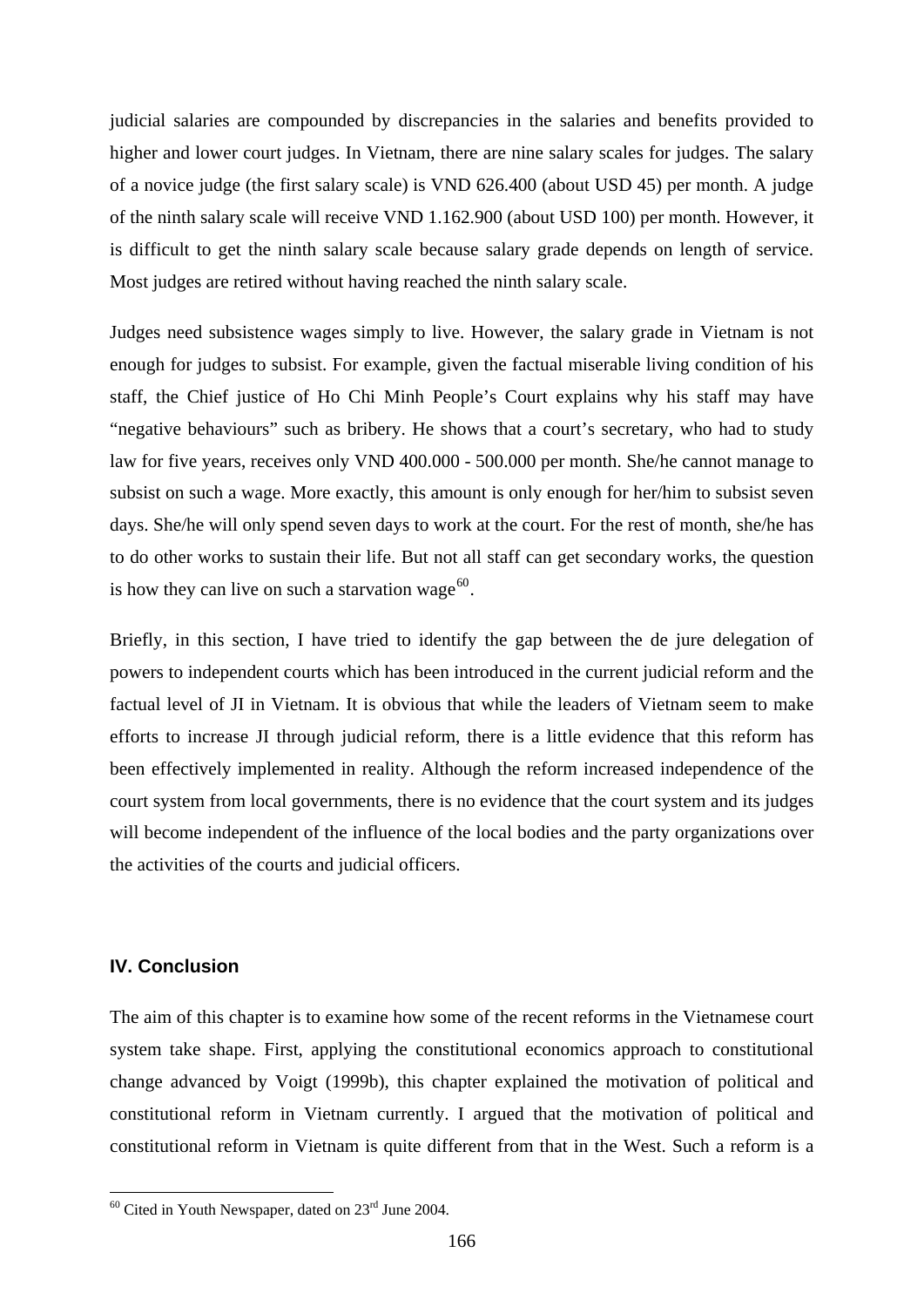judicial salaries are compounded by discrepancies in the salaries and benefits provided to higher and lower court judges. In Vietnam, there are nine salary scales for judges. The salary of a novice judge (the first salary scale) is VND 626.400 (about USD 45) per month. A judge of the ninth salary scale will receive VND 1.162.900 (about USD 100) per month. However, it is difficult to get the ninth salary scale because salary grade depends on length of service. Most judges are retired without having reached the ninth salary scale.

Judges need subsistence wages simply to live. However, the salary grade in Vietnam is not enough for judges to subsist. For example, given the factual miserable living condition of his staff, the Chief justice of Ho Chi Minh People's Court explains why his staff may have "negative behaviours" such as bribery. He shows that a court's secretary, who had to study law for five years, receives only VND 400.000 - 500.000 per month. She/he cannot manage to subsist on such a wage. More exactly, this amount is only enough for her/him to subsist seven days. She/he will only spend seven days to work at the court. For the rest of month, she/he has to do other works to sustain their life. But not all staff can get secondary works, the question is how they can live on such a starvation wage<sup>[60](#page-171-0)</sup>.

Briefly, in this section, I have tried to identify the gap between the de jure delegation of powers to independent courts which has been introduced in the current judicial reform and the factual level of JI in Vietnam. It is obvious that while the leaders of Vietnam seem to make efforts to increase JI through judicial reform, there is a little evidence that this reform has been effectively implemented in reality. Although the reform increased independence of the court system from local governments, there is no evidence that the court system and its judges will become independent of the influence of the local bodies and the party organizations over the activities of the courts and judicial officers.

# **IV. Conclusion**

1

The aim of this chapter is to examine how some of the recent reforms in the Vietnamese court system take shape. First, applying the constitutional economics approach to constitutional change advanced by Voigt (1999b), this chapter explained the motivation of political and constitutional reform in Vietnam currently. I argued that the motivation of political and constitutional reform in Vietnam is quite different from that in the West. Such a reform is a

<span id="page-171-0"></span> $60$  Cited in Youth Newspaper, dated on  $23<sup>rd</sup>$  June 2004.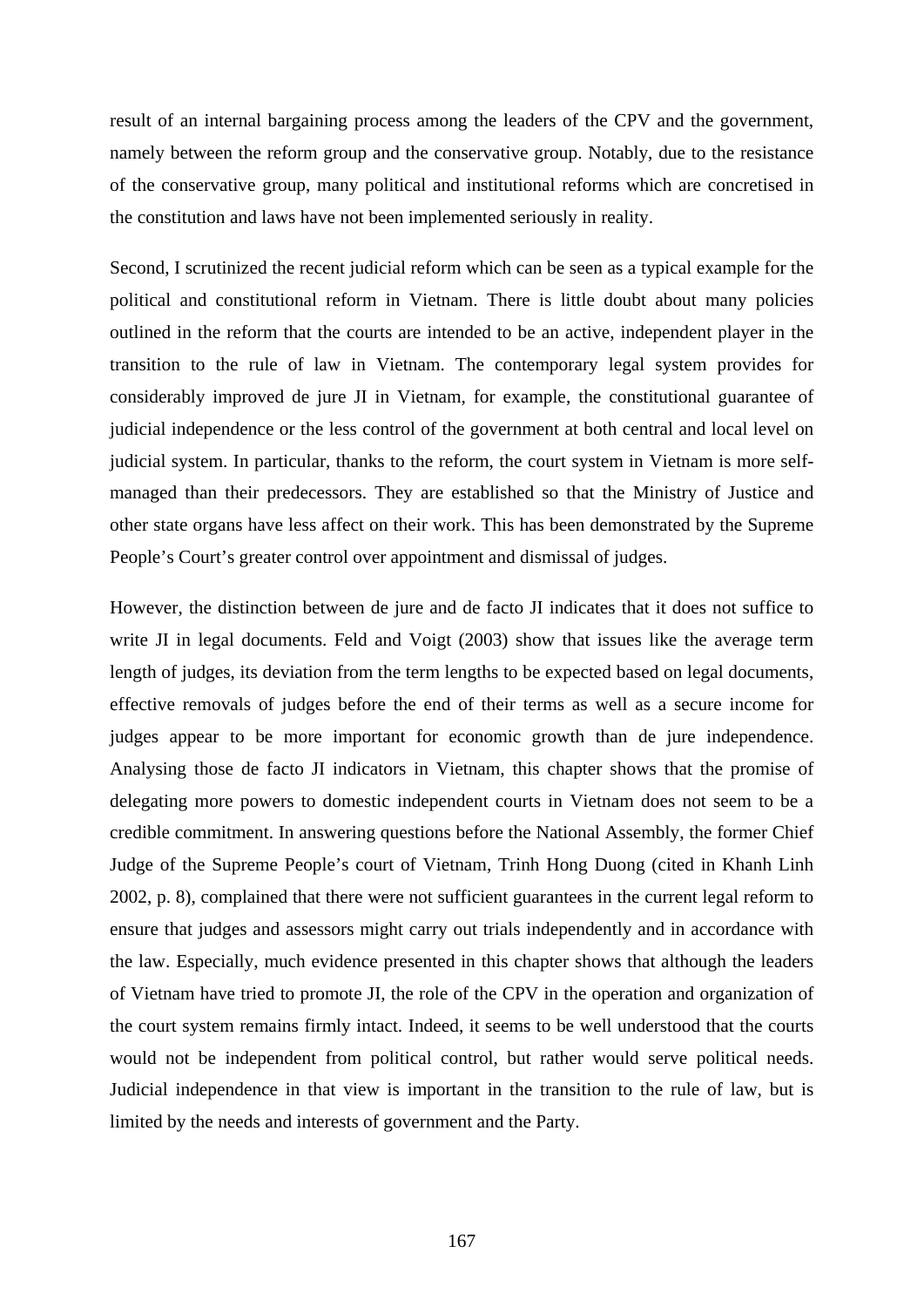result of an internal bargaining process among the leaders of the CPV and the government, namely between the reform group and the conservative group. Notably, due to the resistance of the conservative group, many political and institutional reforms which are concretised in the constitution and laws have not been implemented seriously in reality.

Second, I scrutinized the recent judicial reform which can be seen as a typical example for the political and constitutional reform in Vietnam. There is little doubt about many policies outlined in the reform that the courts are intended to be an active, independent player in the transition to the rule of law in Vietnam. The contemporary legal system provides for considerably improved de jure JI in Vietnam, for example, the constitutional guarantee of judicial independence or the less control of the government at both central and local level on judicial system. In particular, thanks to the reform, the court system in Vietnam is more selfmanaged than their predecessors. They are established so that the Ministry of Justice and other state organs have less affect on their work. This has been demonstrated by the Supreme People's Court's greater control over appointment and dismissal of judges.

However, the distinction between de jure and de facto JI indicates that it does not suffice to write JI in legal documents. Feld and Voigt (2003) show that issues like the average term length of judges, its deviation from the term lengths to be expected based on legal documents, effective removals of judges before the end of their terms as well as a secure income for judges appear to be more important for economic growth than de jure independence. Analysing those de facto JI indicators in Vietnam, this chapter shows that the promise of delegating more powers to domestic independent courts in Vietnam does not seem to be a credible commitment. In answering questions before the National Assembly, the former Chief Judge of the Supreme People's court of Vietnam, Trinh Hong Duong (cited in Khanh Linh 2002, p. 8), complained that there were not sufficient guarantees in the current legal reform to ensure that judges and assessors might carry out trials independently and in accordance with the law. Especially, much evidence presented in this chapter shows that although the leaders of Vietnam have tried to promote JI, the role of the CPV in the operation and organization of the court system remains firmly intact. Indeed, it seems to be well understood that the courts would not be independent from political control, but rather would serve political needs. Judicial independence in that view is important in the transition to the rule of law, but is limited by the needs and interests of government and the Party.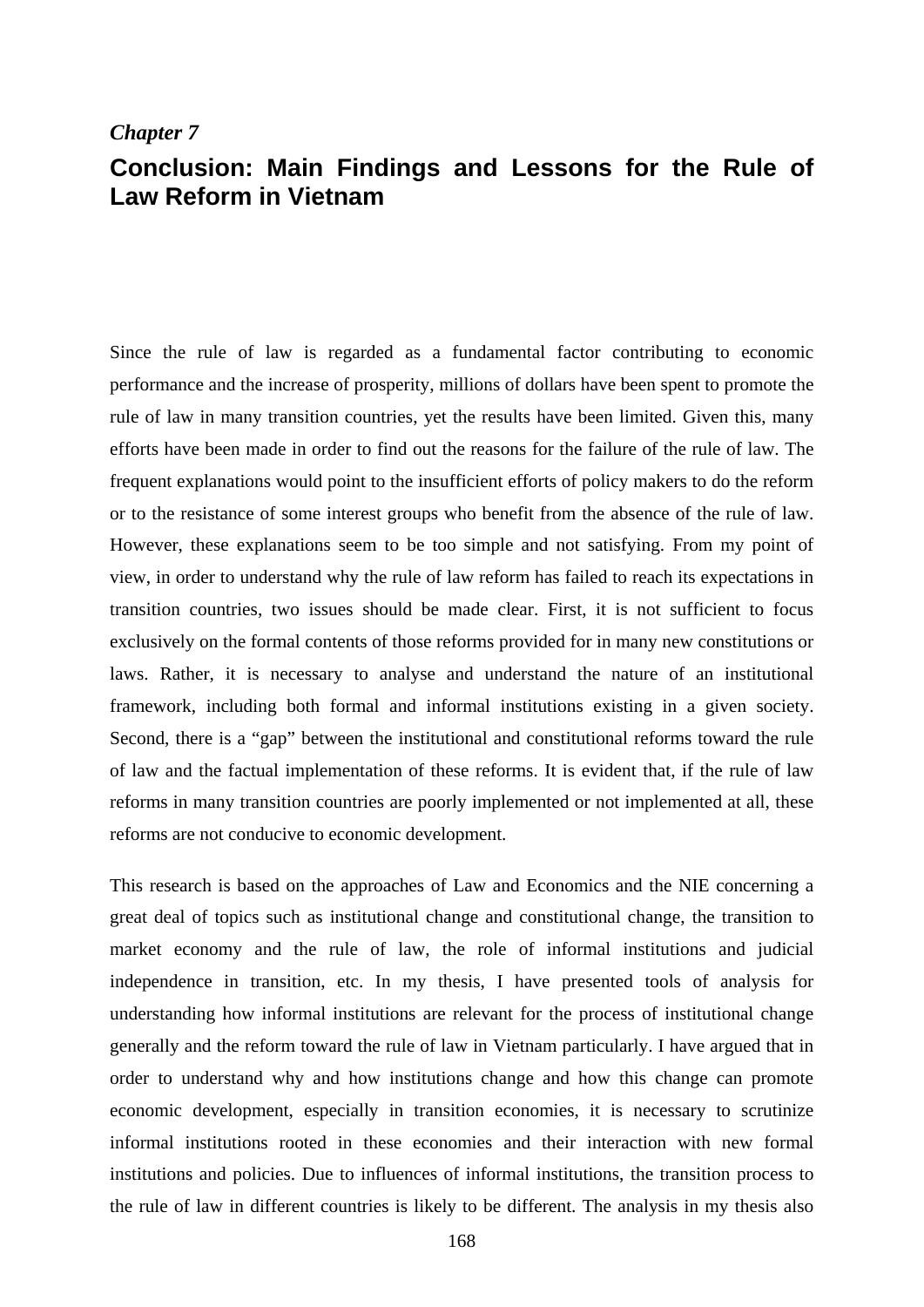# *Chapter 7*

# **Conclusion: Main Findings and Lessons for the Rule of Law Reform in Vietnam**

Since the rule of law is regarded as a fundamental factor contributing to economic performance and the increase of prosperity, millions of dollars have been spent to promote the rule of law in many transition countries, yet the results have been limited. Given this, many efforts have been made in order to find out the reasons for the failure of the rule of law. The frequent explanations would point to the insufficient efforts of policy makers to do the reform or to the resistance of some interest groups who benefit from the absence of the rule of law. However, these explanations seem to be too simple and not satisfying. From my point of view, in order to understand why the rule of law reform has failed to reach its expectations in transition countries, two issues should be made clear. First, it is not sufficient to focus exclusively on the formal contents of those reforms provided for in many new constitutions or laws. Rather, it is necessary to analyse and understand the nature of an institutional framework, including both formal and informal institutions existing in a given society. Second, there is a "gap" between the institutional and constitutional reforms toward the rule of law and the factual implementation of these reforms. It is evident that, if the rule of law reforms in many transition countries are poorly implemented or not implemented at all, these reforms are not conducive to economic development.

This research is based on the approaches of Law and Economics and the NIE concerning a great deal of topics such as institutional change and constitutional change, the transition to market economy and the rule of law, the role of informal institutions and judicial independence in transition, etc. In my thesis, I have presented tools of analysis for understanding how informal institutions are relevant for the process of institutional change generally and the reform toward the rule of law in Vietnam particularly. I have argued that in order to understand why and how institutions change and how this change can promote economic development, especially in transition economies, it is necessary to scrutinize informal institutions rooted in these economies and their interaction with new formal institutions and policies. Due to influences of informal institutions, the transition process to the rule of law in different countries is likely to be different. The analysis in my thesis also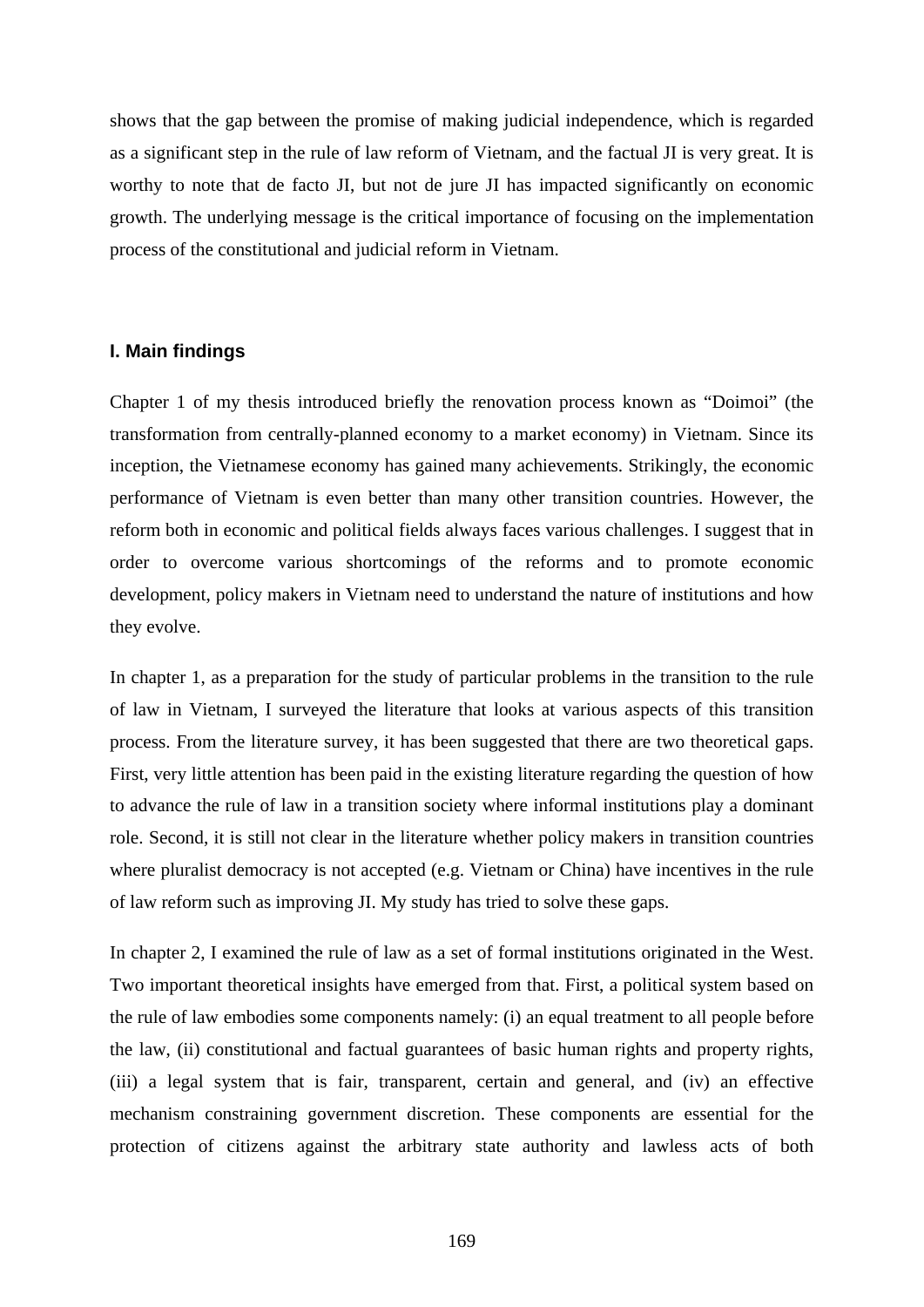shows that the gap between the promise of making judicial independence, which is regarded as a significant step in the rule of law reform of Vietnam, and the factual JI is very great. It is worthy to note that de facto JI, but not de jure JI has impacted significantly on economic growth. The underlying message is the critical importance of focusing on the implementation process of the constitutional and judicial reform in Vietnam.

#### **I. Main findings**

Chapter 1 of my thesis introduced briefly the renovation process known as "Doimoi" (the transformation from centrally-planned economy to a market economy) in Vietnam. Since its inception, the Vietnamese economy has gained many achievements. Strikingly, the economic performance of Vietnam is even better than many other transition countries. However, the reform both in economic and political fields always faces various challenges. I suggest that in order to overcome various shortcomings of the reforms and to promote economic development, policy makers in Vietnam need to understand the nature of institutions and how they evolve.

In chapter 1, as a preparation for the study of particular problems in the transition to the rule of law in Vietnam, I surveyed the literature that looks at various aspects of this transition process. From the literature survey, it has been suggested that there are two theoretical gaps. First, very little attention has been paid in the existing literature regarding the question of how to advance the rule of law in a transition society where informal institutions play a dominant role. Second, it is still not clear in the literature whether policy makers in transition countries where pluralist democracy is not accepted (e.g. Vietnam or China) have incentives in the rule of law reform such as improving JI. My study has tried to solve these gaps.

In chapter 2, I examined the rule of law as a set of formal institutions originated in the West. Two important theoretical insights have emerged from that. First, a political system based on the rule of law embodies some components namely: (i) an equal treatment to all people before the law, (ii) constitutional and factual guarantees of basic human rights and property rights, (iii) a legal system that is fair, transparent, certain and general, and (iv) an effective mechanism constraining government discretion. These components are essential for the protection of citizens against the arbitrary state authority and lawless acts of both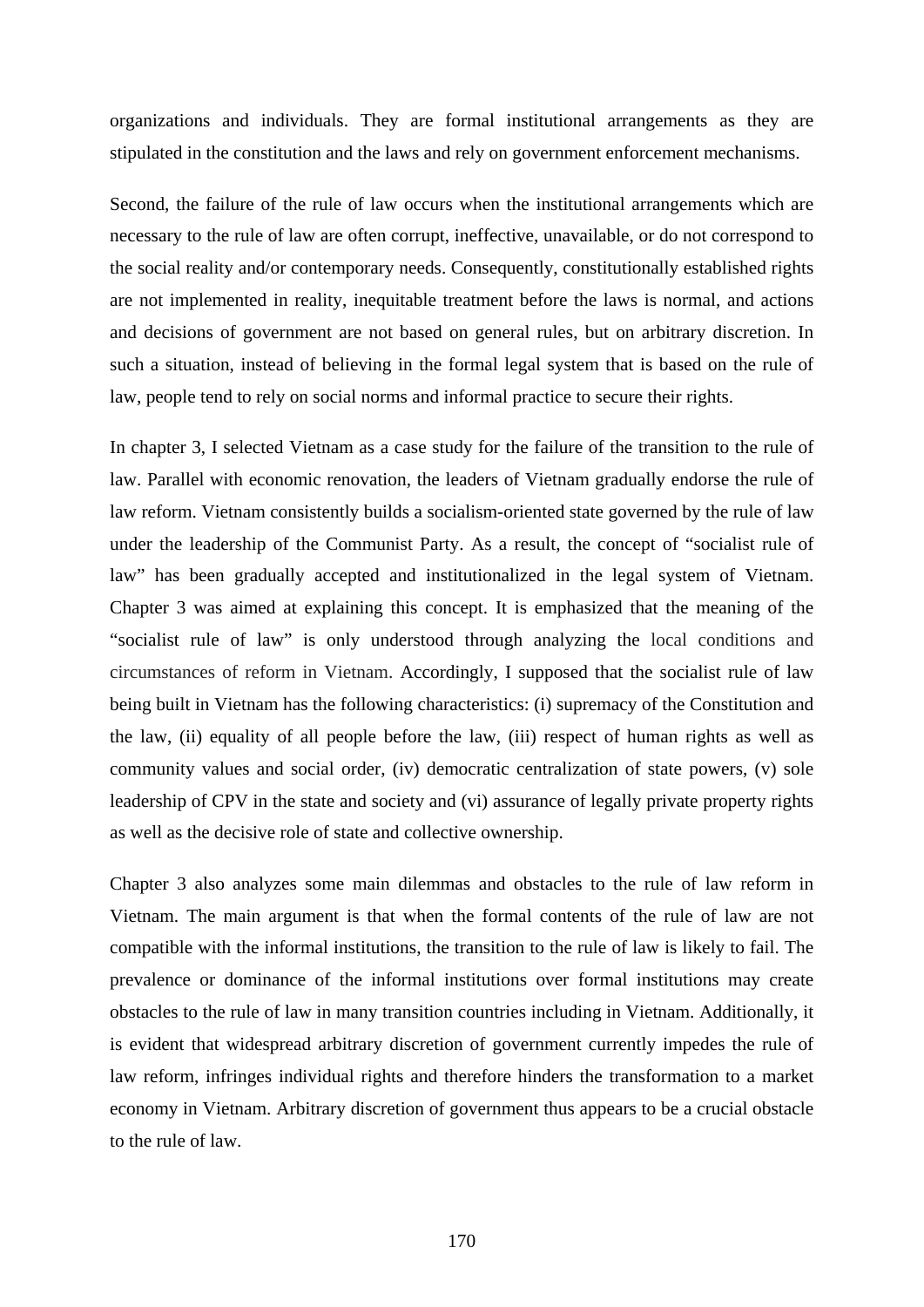organizations and individuals. They are formal institutional arrangements as they are stipulated in the constitution and the laws and rely on government enforcement mechanisms.

Second, the failure of the rule of law occurs when the institutional arrangements which are necessary to the rule of law are often corrupt, ineffective, unavailable, or do not correspond to the social reality and/or contemporary needs. Consequently, constitutionally established rights are not implemented in reality, inequitable treatment before the laws is normal, and actions and decisions of government are not based on general rules, but on arbitrary discretion. In such a situation, instead of believing in the formal legal system that is based on the rule of law, people tend to rely on social norms and informal practice to secure their rights.

In chapter 3, I selected Vietnam as a case study for the failure of the transition to the rule of law. Parallel with economic renovation, the leaders of Vietnam gradually endorse the rule of law reform. Vietnam consistently builds a socialism-oriented state governed by the rule of law under the leadership of the Communist Party. As a result, the concept of "socialist rule of law" has been gradually accepted and institutionalized in the legal system of Vietnam. Chapter 3 was aimed at explaining this concept. It is emphasized that the meaning of the "socialist rule of law" is only understood through analyzing the local conditions and circumstances of reform in Vietnam. Accordingly, I supposed that the socialist rule of law being built in Vietnam has the following characteristics: (i) supremacy of the Constitution and the law, (ii) equality of all people before the law, (iii) respect of human rights as well as community values and social order, (iv) democratic centralization of state powers, (v) sole leadership of CPV in the state and society and (vi) assurance of legally private property rights as well as the decisive role of state and collective ownership.

Chapter 3 also analyzes some main dilemmas and obstacles to the rule of law reform in Vietnam. The main argument is that when the formal contents of the rule of law are not compatible with the informal institutions, the transition to the rule of law is likely to fail. The prevalence or dominance of the informal institutions over formal institutions may create obstacles to the rule of law in many transition countries including in Vietnam. Additionally, it is evident that widespread arbitrary discretion of government currently impedes the rule of law reform, infringes individual rights and therefore hinders the transformation to a market economy in Vietnam. Arbitrary discretion of government thus appears to be a crucial obstacle to the rule of law.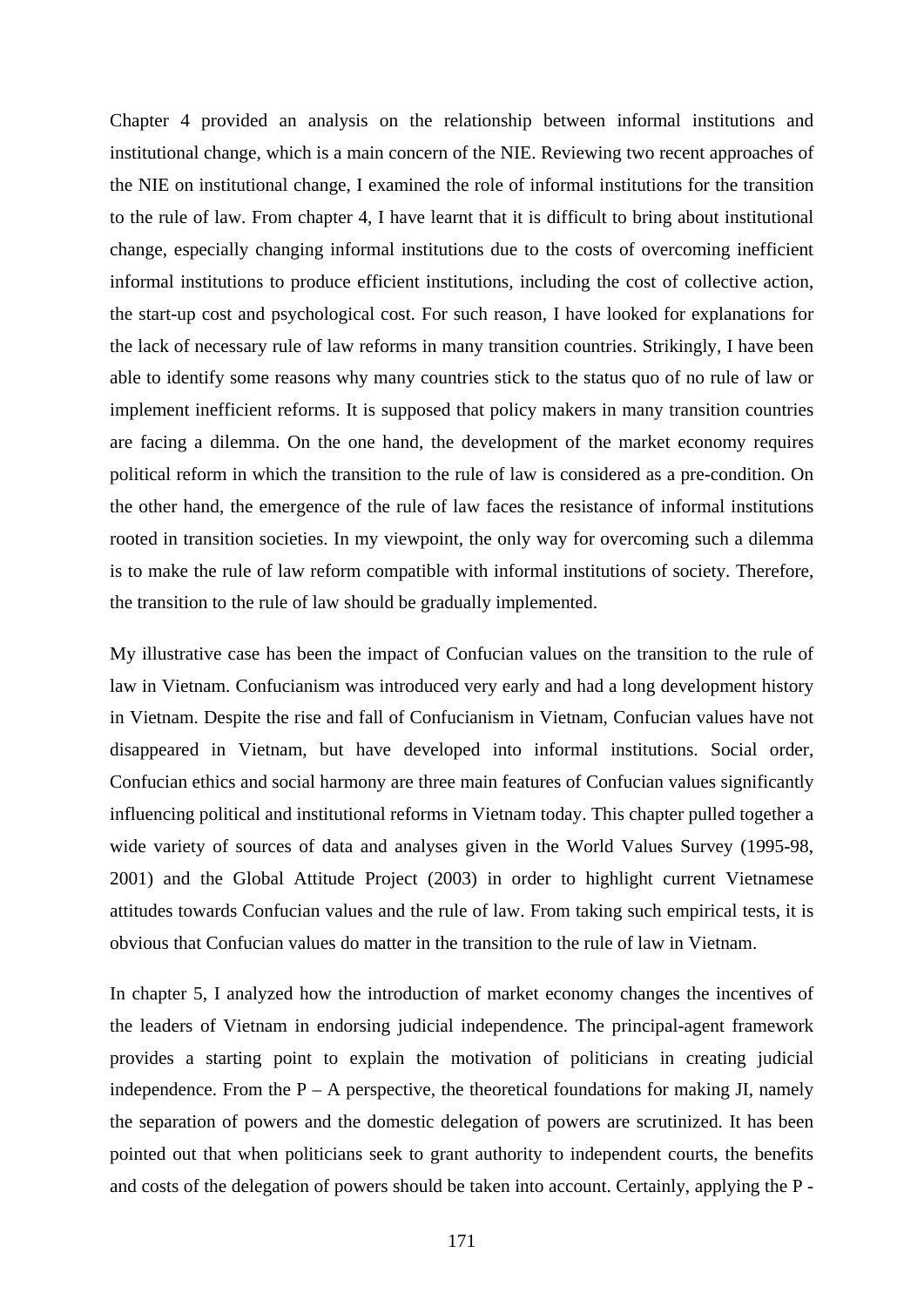Chapter 4 provided an analysis on the relationship between informal institutions and institutional change, which is a main concern of the NIE. Reviewing two recent approaches of the NIE on institutional change, I examined the role of informal institutions for the transition to the rule of law. From chapter 4, I have learnt that it is difficult to bring about institutional change, especially changing informal institutions due to the costs of overcoming inefficient informal institutions to produce efficient institutions, including the cost of collective action, the start-up cost and psychological cost. For such reason, I have looked for explanations for the lack of necessary rule of law reforms in many transition countries. Strikingly, I have been able to identify some reasons why many countries stick to the status quo of no rule of law or implement inefficient reforms. It is supposed that policy makers in many transition countries are facing a dilemma. On the one hand, the development of the market economy requires political reform in which the transition to the rule of law is considered as a pre-condition. On the other hand, the emergence of the rule of law faces the resistance of informal institutions rooted in transition societies. In my viewpoint, the only way for overcoming such a dilemma is to make the rule of law reform compatible with informal institutions of society. Therefore, the transition to the rule of law should be gradually implemented.

My illustrative case has been the impact of Confucian values on the transition to the rule of law in Vietnam. Confucianism was introduced very early and had a long development history in Vietnam. Despite the rise and fall of Confucianism in Vietnam, Confucian values have not disappeared in Vietnam, but have developed into informal institutions. Social order, Confucian ethics and social harmony are three main features of Confucian values significantly influencing political and institutional reforms in Vietnam today. This chapter pulled together a wide variety of sources of data and analyses given in the World Values Survey (1995-98, 2001) and the Global Attitude Project (2003) in order to highlight current Vietnamese attitudes towards Confucian values and the rule of law. From taking such empirical tests, it is obvious that Confucian values do matter in the transition to the rule of law in Vietnam.

In chapter 5, I analyzed how the introduction of market economy changes the incentives of the leaders of Vietnam in endorsing judicial independence. The principal-agent framework provides a starting point to explain the motivation of politicians in creating judicial independence. From the  $P - A$  perspective, the theoretical foundations for making JI, namely the separation of powers and the domestic delegation of powers are scrutinized. It has been pointed out that when politicians seek to grant authority to independent courts, the benefits and costs of the delegation of powers should be taken into account. Certainly, applying the P -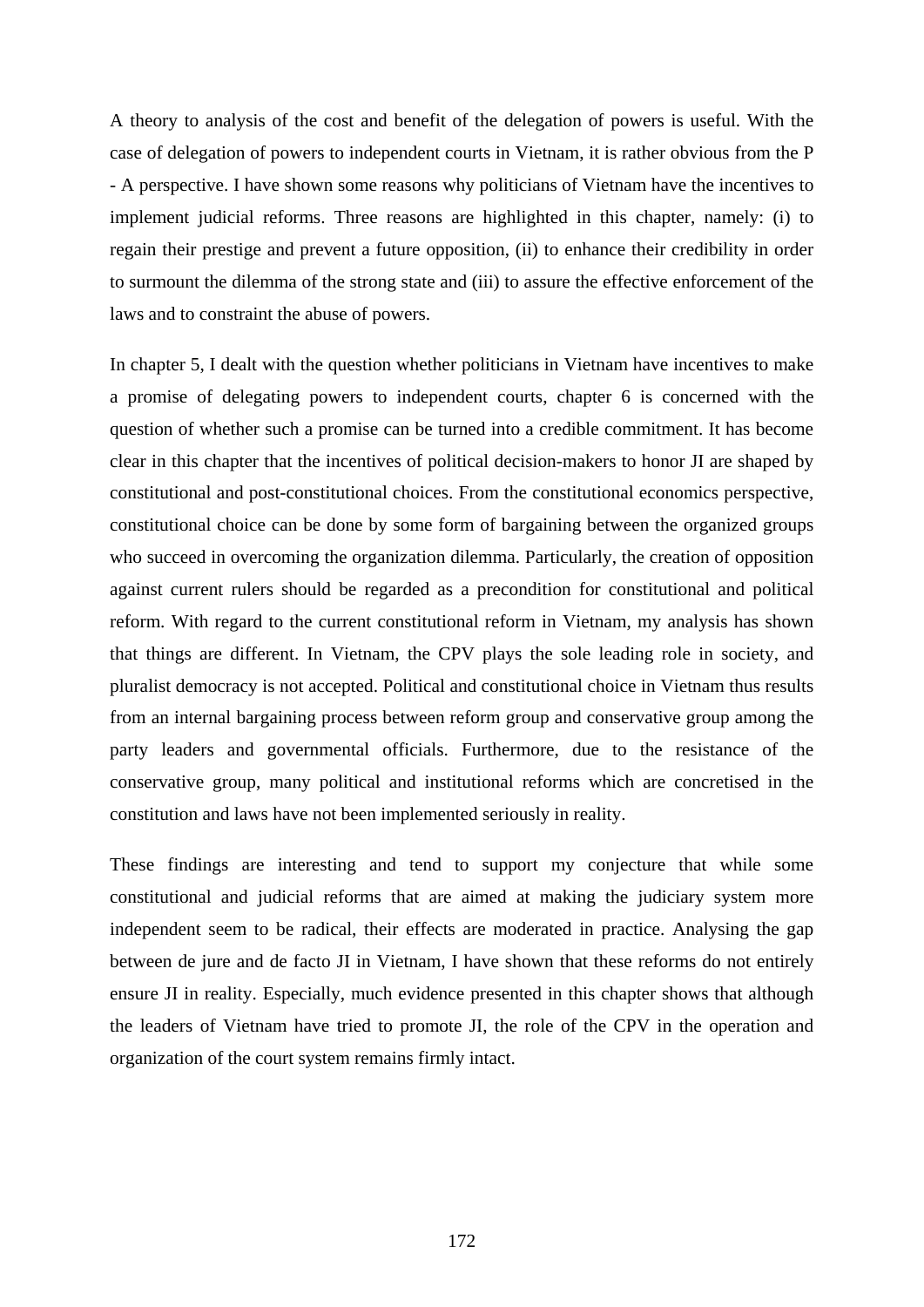A theory to analysis of the cost and benefit of the delegation of powers is useful. With the case of delegation of powers to independent courts in Vietnam, it is rather obvious from the P - A perspective. I have shown some reasons why politicians of Vietnam have the incentives to implement judicial reforms. Three reasons are highlighted in this chapter, namely: (i) to regain their prestige and prevent a future opposition, (ii) to enhance their credibility in order to surmount the dilemma of the strong state and (iii) to assure the effective enforcement of the laws and to constraint the abuse of powers.

In chapter 5, I dealt with the question whether politicians in Vietnam have incentives to make a promise of delegating powers to independent courts, chapter 6 is concerned with the question of whether such a promise can be turned into a credible commitment. It has become clear in this chapter that the incentives of political decision-makers to honor JI are shaped by constitutional and post-constitutional choices. From the constitutional economics perspective, constitutional choice can be done by some form of bargaining between the organized groups who succeed in overcoming the organization dilemma. Particularly, the creation of opposition against current rulers should be regarded as a precondition for constitutional and political reform. With regard to the current constitutional reform in Vietnam, my analysis has shown that things are different. In Vietnam, the CPV plays the sole leading role in society, and pluralist democracy is not accepted. Political and constitutional choice in Vietnam thus results from an internal bargaining process between reform group and conservative group among the party leaders and governmental officials. Furthermore, due to the resistance of the conservative group, many political and institutional reforms which are concretised in the constitution and laws have not been implemented seriously in reality.

These findings are interesting and tend to support my conjecture that while some constitutional and judicial reforms that are aimed at making the judiciary system more independent seem to be radical, their effects are moderated in practice. Analysing the gap between de jure and de facto JI in Vietnam, I have shown that these reforms do not entirely ensure JI in reality. Especially, much evidence presented in this chapter shows that although the leaders of Vietnam have tried to promote JI, the role of the CPV in the operation and organization of the court system remains firmly intact.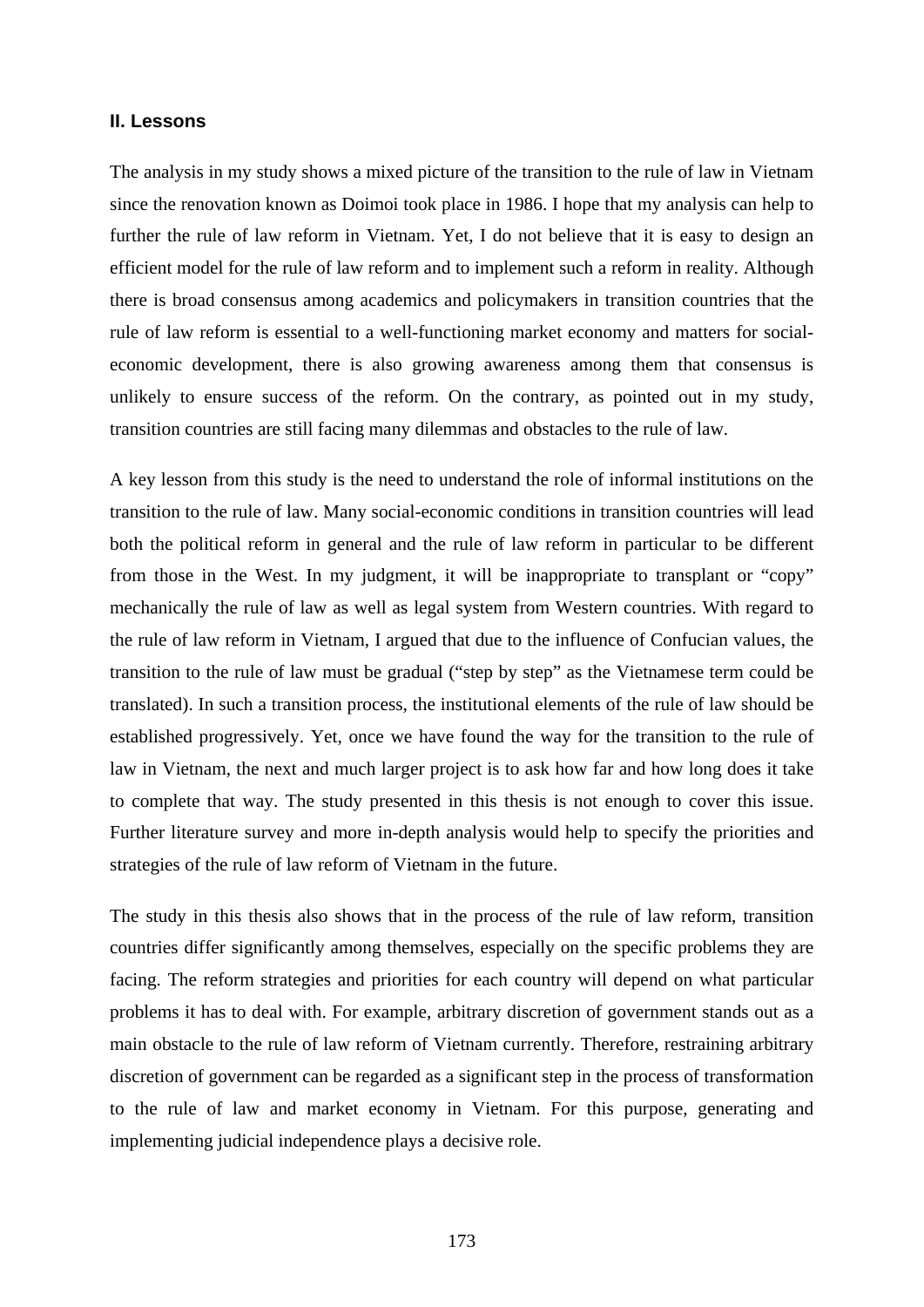#### **II. Lessons**

The analysis in my study shows a mixed picture of the transition to the rule of law in Vietnam since the renovation known as Doimoi took place in 1986. I hope that my analysis can help to further the rule of law reform in Vietnam. Yet, I do not believe that it is easy to design an efficient model for the rule of law reform and to implement such a reform in reality. Although there is broad consensus among academics and policymakers in transition countries that the rule of law reform is essential to a well-functioning market economy and matters for socialeconomic development, there is also growing awareness among them that consensus is unlikely to ensure success of the reform. On the contrary, as pointed out in my study, transition countries are still facing many dilemmas and obstacles to the rule of law.

A key lesson from this study is the need to understand the role of informal institutions on the transition to the rule of law. Many social-economic conditions in transition countries will lead both the political reform in general and the rule of law reform in particular to be different from those in the West. In my judgment, it will be inappropriate to transplant or "copy" mechanically the rule of law as well as legal system from Western countries. With regard to the rule of law reform in Vietnam, I argued that due to the influence of Confucian values, the transition to the rule of law must be gradual ("step by step" as the Vietnamese term could be translated). In such a transition process, the institutional elements of the rule of law should be established progressively. Yet, once we have found the way for the transition to the rule of law in Vietnam, the next and much larger project is to ask how far and how long does it take to complete that way. The study presented in this thesis is not enough to cover this issue. Further literature survey and more in-depth analysis would help to specify the priorities and strategies of the rule of law reform of Vietnam in the future.

The study in this thesis also shows that in the process of the rule of law reform, transition countries differ significantly among themselves, especially on the specific problems they are facing. The reform strategies and priorities for each country will depend on what particular problems it has to deal with. For example, arbitrary discretion of government stands out as a main obstacle to the rule of law reform of Vietnam currently. Therefore, restraining arbitrary discretion of government can be regarded as a significant step in the process of transformation to the rule of law and market economy in Vietnam. For this purpose, generating and implementing judicial independence plays a decisive role.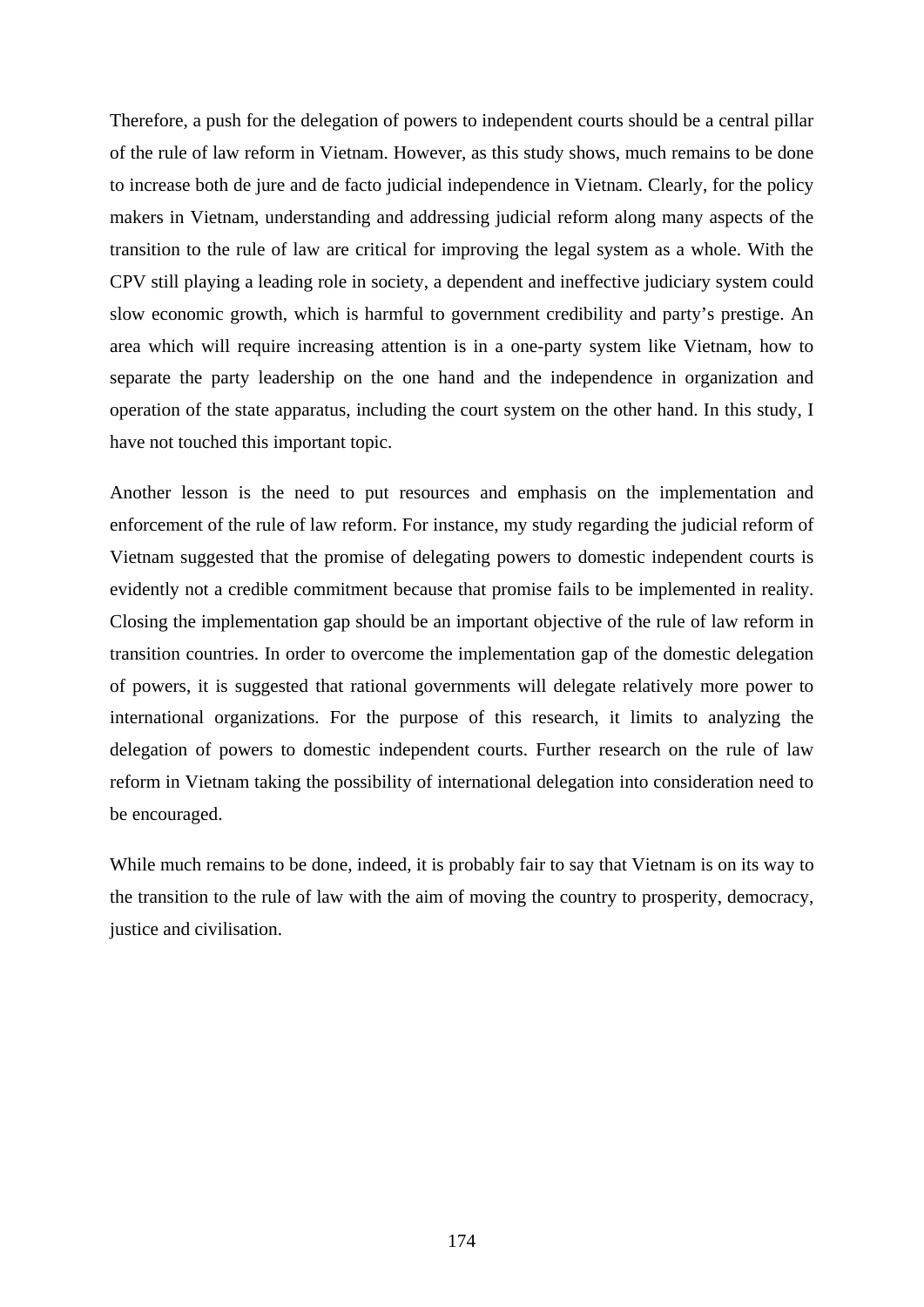Therefore, a push for the delegation of powers to independent courts should be a central pillar of the rule of law reform in Vietnam. However, as this study shows, much remains to be done to increase both de jure and de facto judicial independence in Vietnam. Clearly, for the policy makers in Vietnam, understanding and addressing judicial reform along many aspects of the transition to the rule of law are critical for improving the legal system as a whole. With the CPV still playing a leading role in society, a dependent and ineffective judiciary system could slow economic growth, which is harmful to government credibility and party's prestige. An area which will require increasing attention is in a one-party system like Vietnam, how to separate the party leadership on the one hand and the independence in organization and operation of the state apparatus, including the court system on the other hand. In this study, I have not touched this important topic.

Another lesson is the need to put resources and emphasis on the implementation and enforcement of the rule of law reform. For instance, my study regarding the judicial reform of Vietnam suggested that the promise of delegating powers to domestic independent courts is evidently not a credible commitment because that promise fails to be implemented in reality. Closing the implementation gap should be an important objective of the rule of law reform in transition countries. In order to overcome the implementation gap of the domestic delegation of powers, it is suggested that rational governments will delegate relatively more power to international organizations. For the purpose of this research, it limits to analyzing the delegation of powers to domestic independent courts. Further research on the rule of law reform in Vietnam taking the possibility of international delegation into consideration need to be encouraged.

While much remains to be done, indeed, it is probably fair to say that Vietnam is on its way to the transition to the rule of law with the aim of moving the country to prosperity, democracy, justice and civilisation.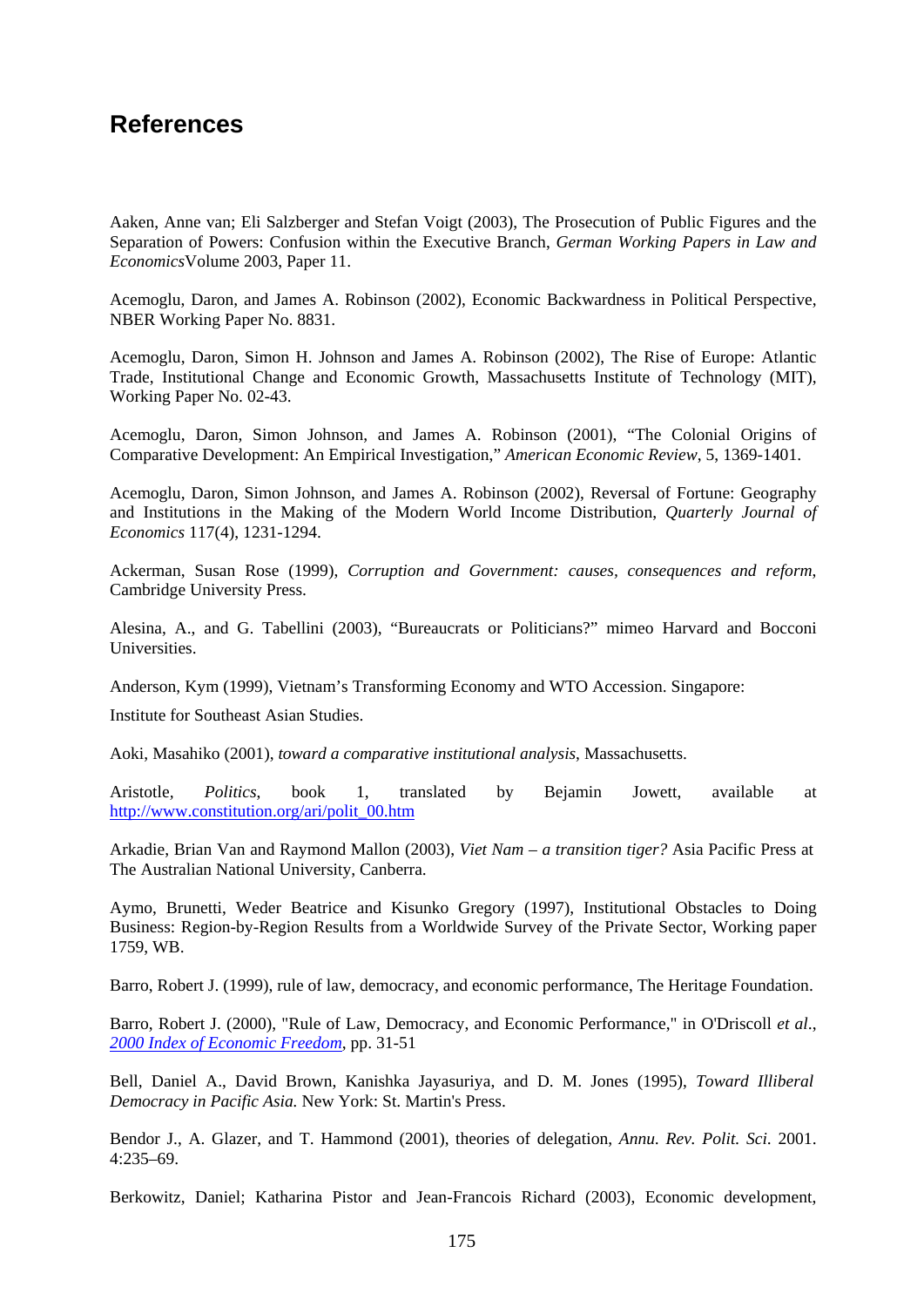## **References**

Aaken, Anne van; Eli Salzberger and Stefan Voigt (2003), The Prosecution of Public Figures and the Separation of Powers: Confusion within the Executive Branch, *German Working Papers in Law and Economics*Volume 2003, Paper 11.

Acemoglu, Daron, and James A. Robinson (2002), Economic Backwardness in Political Perspective, NBER Working Paper No. 8831.

Acemoglu, Daron, Simon H. Johnson and James A. Robinson (2002), The Rise of Europe: Atlantic Trade, Institutional Change and Economic Growth, Massachusetts Institute of Technology (MIT), Working Paper No. 02-43.

Acemoglu, Daron, Simon Johnson, and James A. Robinson (2001), "The Colonial Origins of Comparative Development: An Empirical Investigation," *American Economic Review*, 5, 1369-1401.

Acemoglu, Daron, Simon Johnson, and James A. Robinson (2002), Reversal of Fortune: Geography and Institutions in the Making of the Modern World Income Distribution, *Quarterly Journal of Economics* 117(4), 1231-1294.

Ackerman, Susan Rose (1999), *Corruption and Government: causes, consequences and reform*, Cambridge University Press.

Alesina, A., and G. Tabellini (2003), "Bureaucrats or Politicians?" mimeo Harvard and Bocconi Universities.

Anderson, Kym (1999), Vietnam's Transforming Economy and WTO Accession. Singapore:

Institute for Southeast Asian Studies.

Aoki, Masahiko (2001), *toward a comparative institutional analysis*, Massachusetts.

Aristotle*, Politics*, book 1, translated by Bejamin Jowett, available at [http://www.constitution.org/ari/polit\\_00.htm](http://www.constitution.org/ari/polit_00.htm)

Arkadie, Brian Van and Raymond Mallon (2003), *Viet Nam – a transition tiger?* Asia Pacific Press at The Australian National University, Canberra.

Aymo, Brunetti, Weder Beatrice and Kisunko Gregory (1997), Institutional Obstacles to Doing Business: Region-by-Region Results from a Worldwide Survey of the Private Sector, Working paper 1759, WB.

Barro, Robert J. (1999), rule of law, democracy, and economic performance, The Heritage Foundation.

Barro, Robert J. (2000), "Rule of Law, Democracy, and Economic Performance," in O'Driscoll *et al*., *[2000 Index of Economic Freedom](http://www.heritage.org/index/)*, pp. 31-51

Bell, Daniel A., David Brown, Kanishka Jayasuriya, and D. M. Jones (1995), *Toward Illiberal Democracy in Pacific Asia.* New York: St. Martin's Press.

Bendor J., A. Glazer, and T. Hammond (2001), theories of delegation, *Annu. Rev. Polit. Sci*. 2001. 4:235–69.

Berkowitz, Daniel; Katharina Pistor and Jean-Francois Richard (2003), Economic development,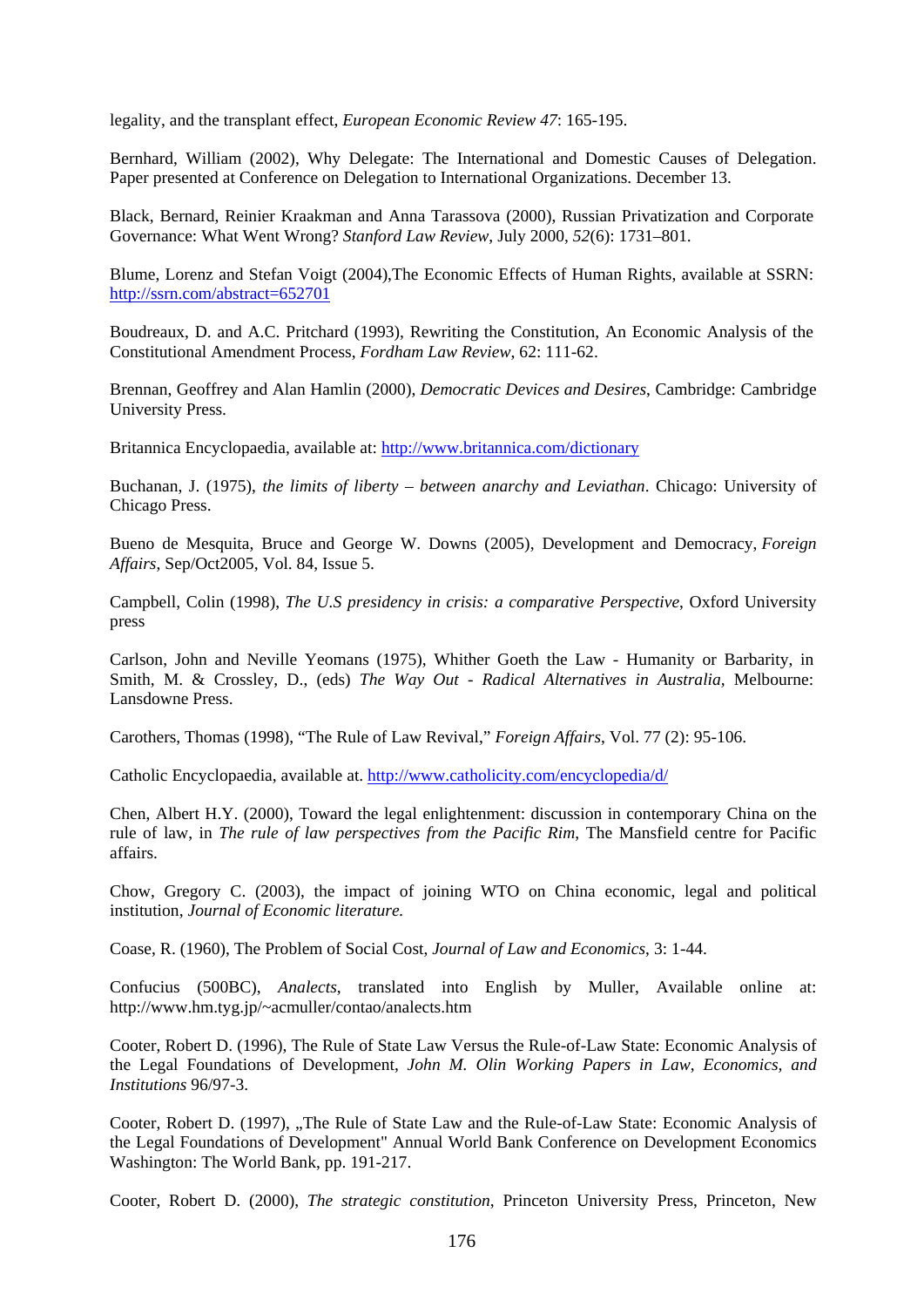legality, and the transplant effect, *European Economic Review 47*: 165-195.

Bernhard, William (2002), Why Delegate: The International and Domestic Causes of Delegation. Paper presented at Conference on Delegation to International Organizations. December 13.

Black, Bernard, Reinier Kraakman and Anna Tarassova (2000), Russian Privatization and Corporate Governance: What Went Wrong? *Stanford Law Review*, July 2000, *52*(6): 1731–801.

Blume, Lorenz and Stefan Voigt (2004),The Economic Effects of Human Rights, available at SSRN: <http://ssrn.com/abstract=652701>

Boudreaux, D. and A.C. Pritchard (1993), Rewriting the Constitution, An Economic Analysis of the Constitutional Amendment Process, *Fordham Law Review*, 62: 111-62.

Brennan, Geoffrey and Alan Hamlin (2000), *Democratic Devices and Desires*, Cambridge: Cambridge University Press.

Britannica Encyclopaedia, available at: <http://www.britannica.com/dictionary>

Buchanan, J. (1975), *the limits of liberty – between anarchy and Leviathan*. Chicago: University of Chicago Press.

Bueno de Mesquita, Bruce and George W. Downs (2005), Development and Democracy, *Foreign Affairs*, Sep/Oct2005, Vol. 84, Issue 5.

Campbell, Colin (1998), *The U.S presidency in crisis: a comparative Perspective*, Oxford University press

Carlson, John and Neville Yeomans (1975), Whither Goeth the Law - Humanity or Barbarity, in Smith, M. & Crossley, D., (eds) *The Way Out - Radical Alternatives in Australia,* Melbourne: Lansdowne Press.

Carothers, Thomas (1998), "The Rule of Law Revival," *Foreign Affairs*, Vol. 77 (2): 95-106.

Catholic Encyclopaedia, available at.<http://www.catholicity.com/encyclopedia/d/>

Chen, Albert H.Y. (2000), Toward the legal enlightenment: discussion in contemporary China on the rule of law, in *The rule of law perspectives from the Pacific Rim*, The Mansfield centre for Pacific affairs.

Chow, Gregory C. (2003), the impact of joining WTO on China economic, legal and political institution, *Journal of Economic literature.*

Coase, R. (1960), The Problem of Social Cost, *Journal of Law and Economics*, 3: 1-44.

Confucius (500BC), *Analects*, translated into English by Muller, Available online at: [http://www.hm.tyg.jp/~acmuller/contao/analects.htm](http://www.hm.tyg.jp/%7Eacmuller/contao/analects.htm)

Cooter, Robert D. (1996), The Rule of State Law Versus the Rule-of-Law State: Economic Analysis of the Legal Foundations of Development, *John M. Olin Working Papers in Law*, *Economics, and Institutions* 96/97-3.

Cooter, Robert D. (1997), "The Rule of State Law and the Rule-of-Law State: Economic Analysis of the Legal Foundations of Development" Annual World Bank Conference on Development Economics Washington: The World Bank, pp. 191-217.

Cooter, Robert D. (2000), *The strategic constitution*, Princeton University Press, Princeton, New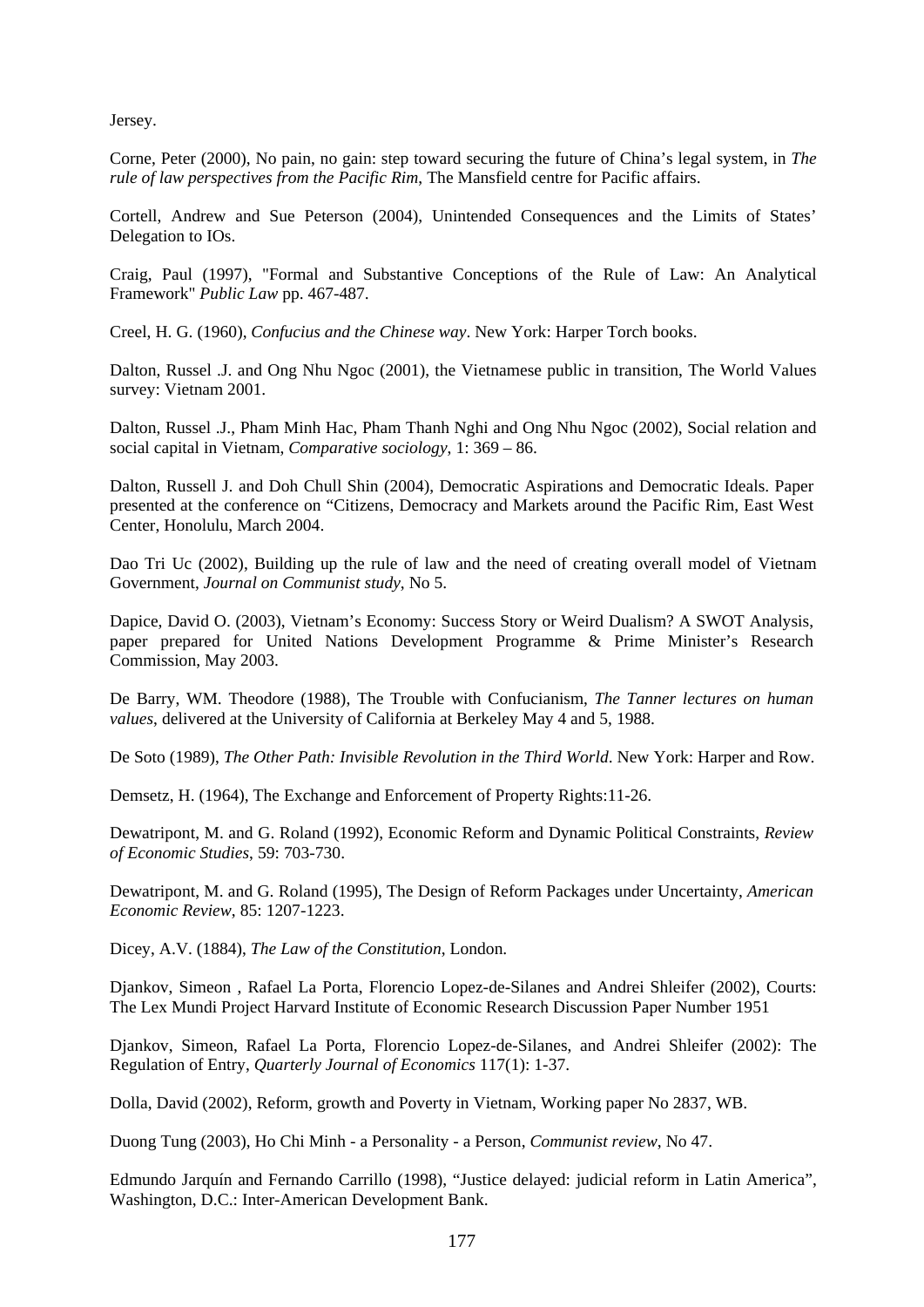Jersey.

Corne, Peter (2000), No pain, no gain: step toward securing the future of China's legal system, in *The rule of law perspectives from the Pacific Rim*, The Mansfield centre for Pacific affairs.

Cortell, Andrew and Sue Peterson (2004), Unintended Consequences and the Limits of States' Delegation to IOs.

Craig, Paul (1997), "Formal and Substantive Conceptions of the Rule of Law: An Analytical Framework" *Public Law* pp. 467-487.

Creel, H. G. (1960), *Confucius and the Chinese way*. New York: Harper Torch books.

Dalton, Russel .J. and Ong Nhu Ngoc (2001), the Vietnamese public in transition, The World Values survey: Vietnam 2001.

Dalton, Russel .J., Pham Minh Hac, Pham Thanh Nghi and Ong Nhu Ngoc (2002), Social relation and social capital in Vietnam, *Comparative sociology*, 1: 369 – 86.

Dalton, Russell J. and Doh Chull Shin (2004), Democratic Aspirations and Democratic Ideals. Paper presented at the conference on "Citizens, Democracy and Markets around the Pacific Rim, East West Center, Honolulu, March 2004.

Dao Tri Uc (2002), Building up the rule of law and the need of creating overall model of Vietnam Government, *Journal on Communist study*, No 5.

Dapice, David O. (2003), Vietnam's Economy: Success Story or Weird Dualism? A SWOT Analysis, paper prepared for United Nations Development Programme & Prime Minister's Research Commission, May 2003.

De Barry, WM. Theodore (1988), The Trouble with Confucianism, *The Tanner lectures on human values*, delivered at the University of California at Berkeley May 4 and 5, 1988.

De Soto (1989), *The Other Path: Invisible Revolution in the Third World*. New York: Harper and Row.

Demsetz, H. (1964), The Exchange and Enforcement of Property Rights:11-26.

Dewatripont, M. and G. Roland (1992), Economic Reform and Dynamic Political Constraints, *Review of Economic Studies*, 59: 703-730.

Dewatripont, M. and G. Roland (1995), The Design of Reform Packages under Uncertainty, *American Economic Review*, 85: 1207-1223.

Dicey, A.V. (1884), *The Law of the Constitution*, London.

Djankov, Simeon , Rafael La Porta, Florencio Lopez-de-Silanes and Andrei Shleifer (2002), Courts: The Lex Mundi Project Harvard Institute of Economic Research Discussion Paper Number 1951

Djankov, Simeon, Rafael La Porta, Florencio Lopez-de-Silanes, and Andrei Shleifer (2002): The Regulation of Entry, *Quarterly Journal of Economics* 117(1): 1-37.

Dolla, David (2002), Reform, growth and Poverty in Vietnam, Working paper No 2837, WB.

Duong Tung (2003), Ho Chi Minh - a Personality - a Person, *Communist review*, No 47.

Edmundo Jarquín and Fernando Carrillo (1998), "Justice delayed: judicial reform in Latin America", Washington, D.C.: Inter-American Development Bank.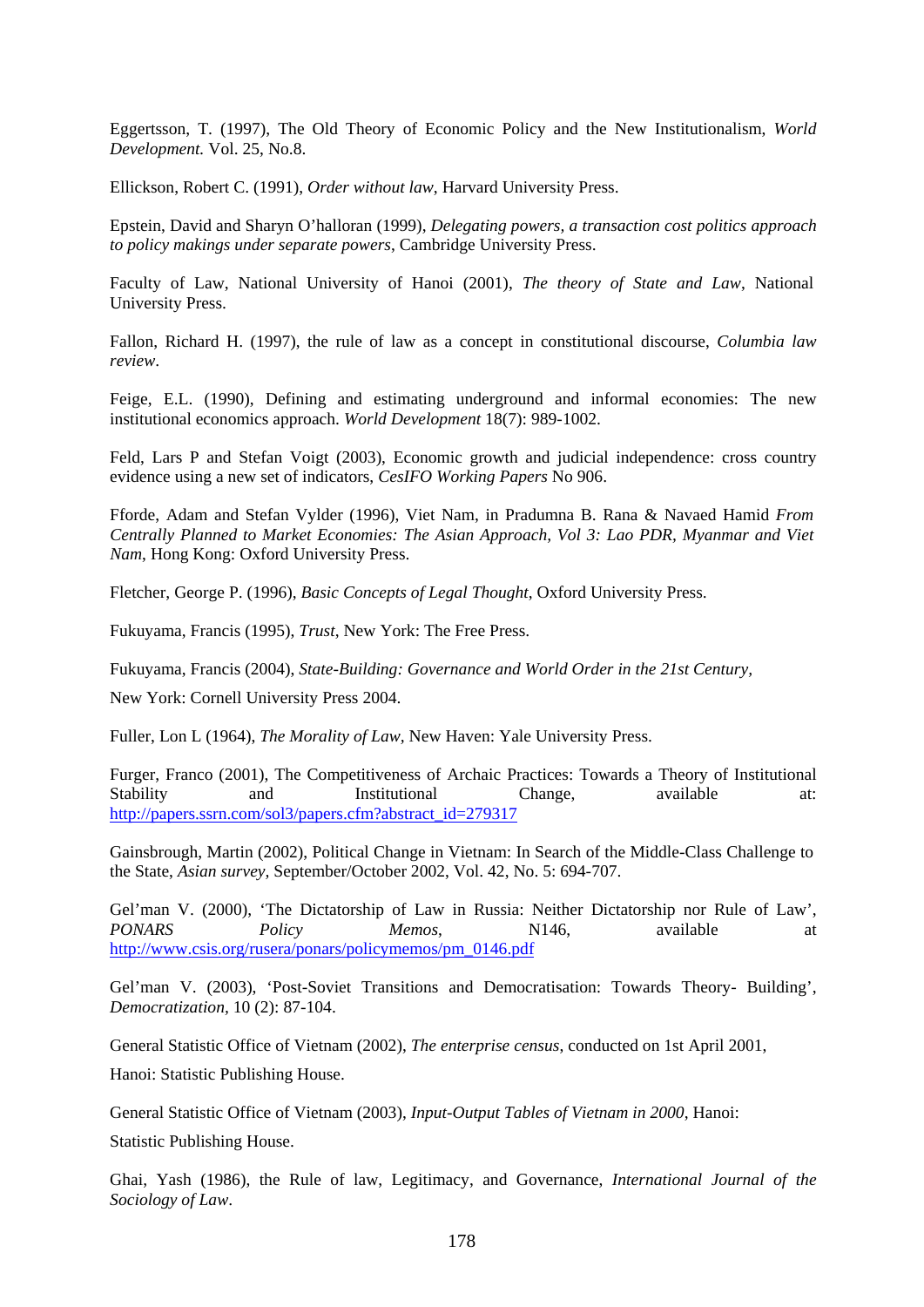Eggertsson, T. (1997), The Old Theory of Economic Policy and the New Institutionalism, *World Development.* Vol. 25, No.8.

Ellickson, Robert C. (1991), *Order without law*, Harvard University Press.

Epstein, David and Sharyn O'halloran (1999), *Delegating powers, a transaction cost politics approach to policy makings under separate powers*, Cambridge University Press.

Faculty of Law, National University of Hanoi (2001), *The theory of State and Law*, National University Press.

Fallon, Richard H. (1997), the rule of law as a concept in constitutional discourse, *Columbia law review*.

Feige, E.L. (1990), Defining and estimating underground and informal economies: The new institutional economics approach. *World Development* 18(7): 989-1002.

Feld, Lars P and Stefan Voigt (2003), Economic growth and judicial independence: cross country evidence using a new set of indicators, *CesIFO Working Papers* No 906.

Fforde, Adam and Stefan Vylder (1996), Viet Nam, in Pradumna B. Rana & Navaed Hamid *From Centrally Planned to Market Economies: The Asian Approach, Vol 3: Lao PDR, Myanmar and Viet Nam*, Hong Kong: Oxford University Press.

Fletcher, George P. (1996), *Basic Concepts of Legal Thought*, Oxford University Press.

Fukuyama, Francis (1995), *Trust*, New York: The Free Press.

Fukuyama, Francis (2004), *State-Building: Governance and World Order in the 21st Century,* 

New York: Cornell University Press 2004.

Fuller, Lon L (1964), *The Morality of Law,* New Haven: Yale University Press.

Furger, Franco (2001), The Competitiveness of Archaic Practices: Towards a Theory of Institutional Stability and Institutional Change, available at: [http://papers.ssrn.com/sol3/papers.cfm?abstract\\_id=279317](http://papers.ssrn.com/sol3/papers.cfm?abstract_id=279317)

Gainsbrough, Martin (2002), Political Change in Vietnam: In Search of the Middle-Class Challenge to the State, *Asian survey,* September/October 2002, Vol. 42, No. 5: 694-707.

Gel'man V. (2000), 'The Dictatorship of Law in Russia: Neither Dictatorship nor Rule of Law', *PONARS Policy Memos*, N146, available at [http://www.csis.org/rusera/ponars/policymemos/pm\\_0146.pdf](http://www.csis.org/rusera/ponars/policymemos/pm_0146.pdf)

Gel'man V. (2003), 'Post-Soviet Transitions and Democratisation: Towards Theory- Building', *Democratization,* 10 (2): 87-104.

General Statistic Office of Vietnam (2002), *The enterprise census*, conducted on 1st April 2001,

Hanoi: Statistic Publishing House.

General Statistic Office of Vietnam (2003), *Input-Output Tables of Vietnam in 2000*, Hanoi:

Statistic Publishing House.

Ghai, Yash (1986), the Rule of law, Legitimacy, and Governance, *International Journal of the Sociology of Law*.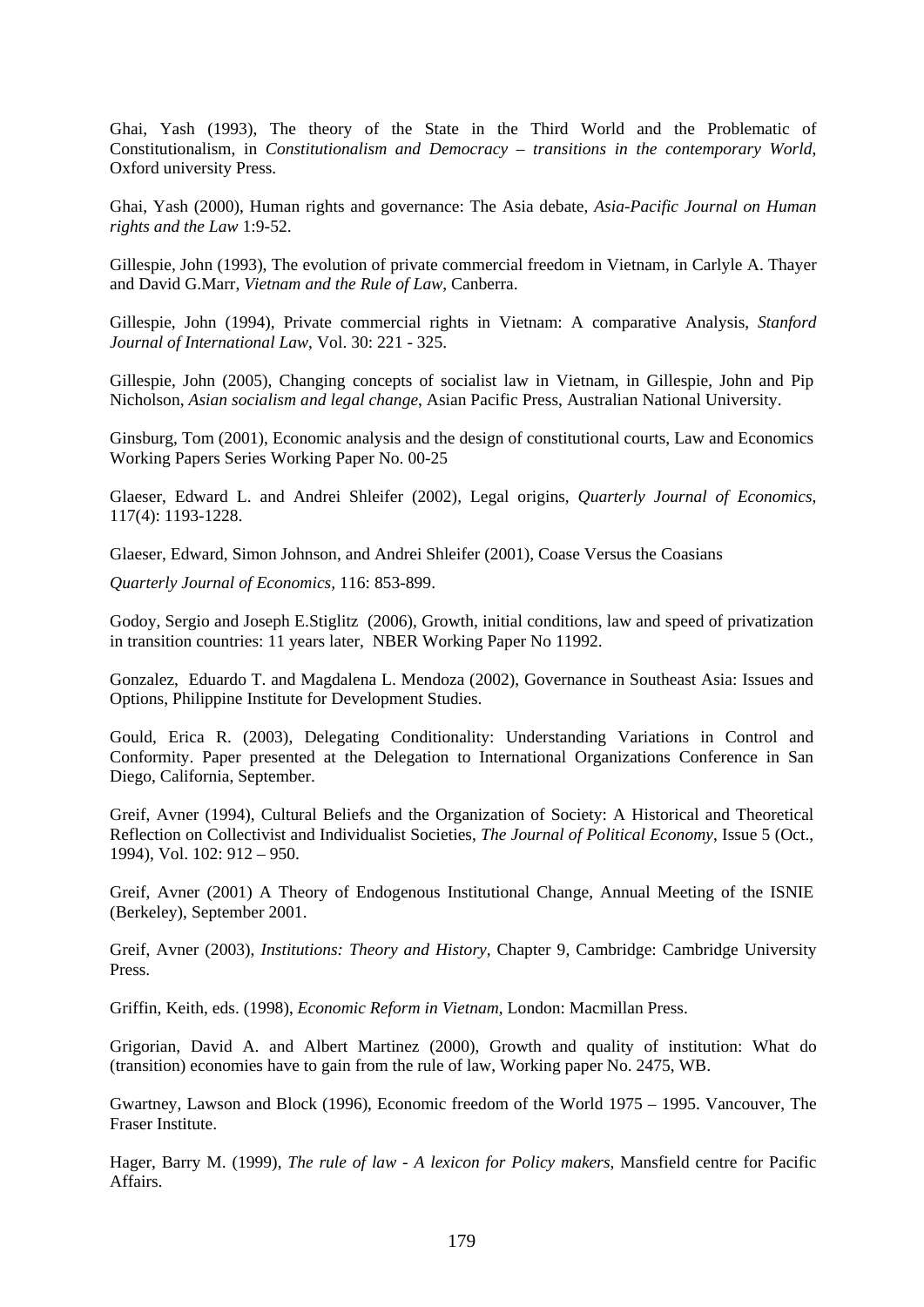Ghai, Yash (1993), The theory of the State in the Third World and the Problematic of Constitutionalism, in *Constitutionalism and Democracy – transitions in the contemporary World*, Oxford university Press.

Ghai, Yash (2000), Human rights and governance: The Asia debate, *Asia-Pacific Journal on Human rights and the Law* 1:9-52.

Gillespie, John (1993), The evolution of private commercial freedom in Vietnam, in Carlyle A. Thayer and David G.Marr, *Vietnam and the Rule of Law*, Canberra.

Gillespie, John (1994), Private commercial rights in Vietnam: A comparative Analysis, *Stanford Journal of International Law*, Vol. 30: 221 - 325.

Gillespie, John (2005), Changing concepts of socialist law in Vietnam, in Gillespie, John and Pip Nicholson, *Asian socialism and legal change*, Asian Pacific Press, Australian National University.

Ginsburg, Tom (2001), Economic analysis and the design of constitutional courts, Law and Economics Working Papers Series Working Paper No. 00-25

Glaeser, Edward L. and Andrei Shleifer (2002), Legal origins, *Quarterly Journal of Economics*, 117(4): 1193-1228.

Glaeser, Edward, Simon Johnson, and Andrei Shleifer (2001), Coase Versus the Coasians

*Quarterly Journal of Economics,* 116: 853-899.

Godoy, Sergio and Joseph E.Stiglitz (2006), Growth, initial conditions, law and speed of privatization in transition countries: 11 years later, NBER Working Paper No 11992.

Gonzalez, Eduardo T. and Magdalena L. Mendoza (2002), Governance in Southeast Asia: Issues and Options, Philippine Institute for Development Studies.

Gould, Erica R. (2003), Delegating Conditionality: Understanding Variations in Control and Conformity. Paper presented at the Delegation to International Organizations Conference in San Diego, California, September.

Greif, Avner (1994), Cultural Beliefs and the Organization of Society: A Historical and Theoretical Reflection on Collectivist and Individualist Societies, *The Journal of Political Economy*, Issue 5 (Oct., 1994), Vol. 102: 912 – 950.

Greif, Avner (2001) A Theory of Endogenous Institutional Change, Annual Meeting of the ISNIE (Berkeley), September 2001.

Greif, Avner (2003), *Institutions: Theory and History*, Chapter 9, Cambridge: Cambridge University Press.

Griffin, Keith, eds. (1998), *Economic Reform in Vietnam*, London: Macmillan Press.

Grigorian, David A. and Albert Martinez (2000), Growth and quality of institution: What do (transition) economies have to gain from the rule of law, Working paper No. 2475, WB.

Gwartney, Lawson and Block (1996), Economic freedom of the World 1975 – 1995. Vancouver, The Fraser Institute.

Hager, Barry M. (1999), *The rule of law - A lexicon for Policy makers*, Mansfield centre for Pacific Affairs.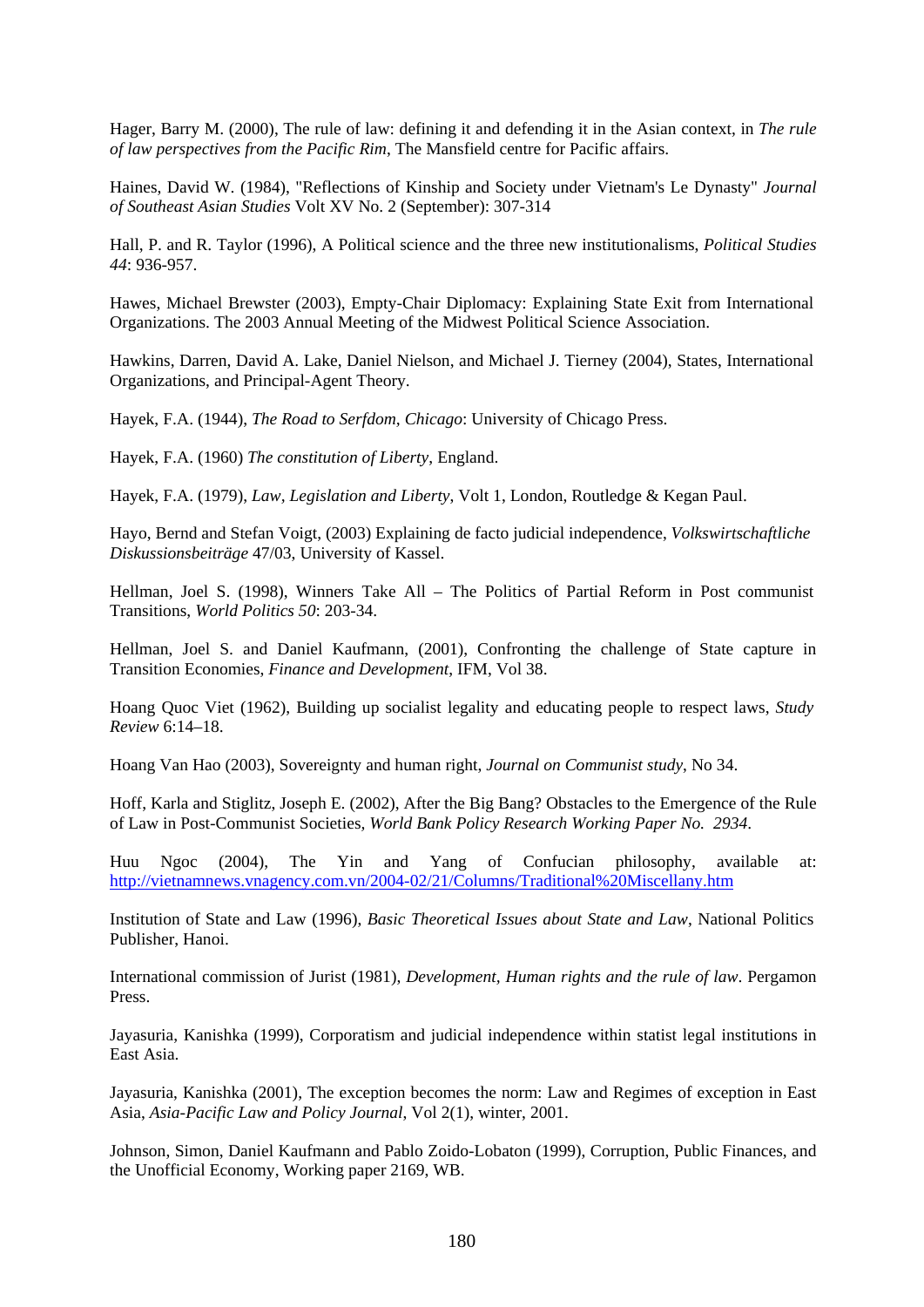Hager, Barry M. (2000), The rule of law: defining it and defending it in the Asian context, in *The rule of law perspectives from the Pacific Rim*, The Mansfield centre for Pacific affairs.

Haines, David W. (1984), "Reflections of Kinship and Society under Vietnam's Le Dynasty" *Journal of Southeast Asian Studies* Volt XV No. 2 (September): 307-314

Hall, P. and R. Taylor (1996), A Political science and the three new institutionalisms, *Political Studies 44*: 936-957.

Hawes, Michael Brewster (2003), Empty-Chair Diplomacy: Explaining State Exit from International Organizations. The 2003 Annual Meeting of the Midwest Political Science Association.

Hawkins, Darren, David A. Lake, Daniel Nielson, and Michael J. Tierney (2004), States, International Organizations, and Principal-Agent Theory.

Hayek, F.A. (1944), *The Road to Serfdom, Chicago*: University of Chicago Press.

Hayek, F.A. (1960) *The constitution of Liberty*, England.

Hayek, F.A. (1979), *Law, Legislation and Liberty*, Volt 1, London, Routledge & Kegan Paul.

Hayo, Bernd and Stefan Voigt, (2003) Explaining de facto judicial independence, *Volkswirtschaftliche Diskussionsbeiträge* 47/03, University of Kassel.

Hellman, Joel S. (1998), Winners Take All – The Politics of Partial Reform in Post communist Transitions, *World Politics 50*: 203-34.

Hellman, Joel S. and Daniel Kaufmann, (2001), Confronting the challenge of State capture in Transition Economies, *Finance and Development*, IFM, Vol 38.

Hoang Quoc Viet (1962), Building up socialist legality and educating people to respect laws, *Study Review* 6:14–18.

Hoang Van Hao (2003), Sovereignty and human right, *Journal on Communist study*, No 34.

Hoff, Karla and Stiglitz, Joseph E. (2002), After the Big Bang? Obstacles to the Emergence of the Rule of Law in Post-Communist Societies*, World Bank Policy Research Working Paper No. 2934*.

Huu Ngoc (2004), The Yin and Yang of Confucian philosophy, available at: <http://vietnamnews.vnagency.com.vn/2004-02/21/Columns/Traditional%20Miscellany.htm>

Institution of State and Law (1996), *Basic Theoretical Issues about State and Law*, National Politics Publisher, Hanoi.

International commission of Jurist (1981), *Development, Human rights and the rule of law*. Pergamon Press.

Jayasuria, Kanishka (1999), Corporatism and judicial independence within statist legal institutions in East Asia.

Jayasuria, Kanishka (2001), The exception becomes the norm: Law and Regimes of exception in East Asia, *Asia-Pacific Law and Policy Journal*, Vol 2(1), winter, 2001.

Johnson, Simon, Daniel Kaufmann and Pablo Zoido-Lobaton (1999), Corruption, Public Finances, and the Unofficial Economy, Working paper 2169, WB.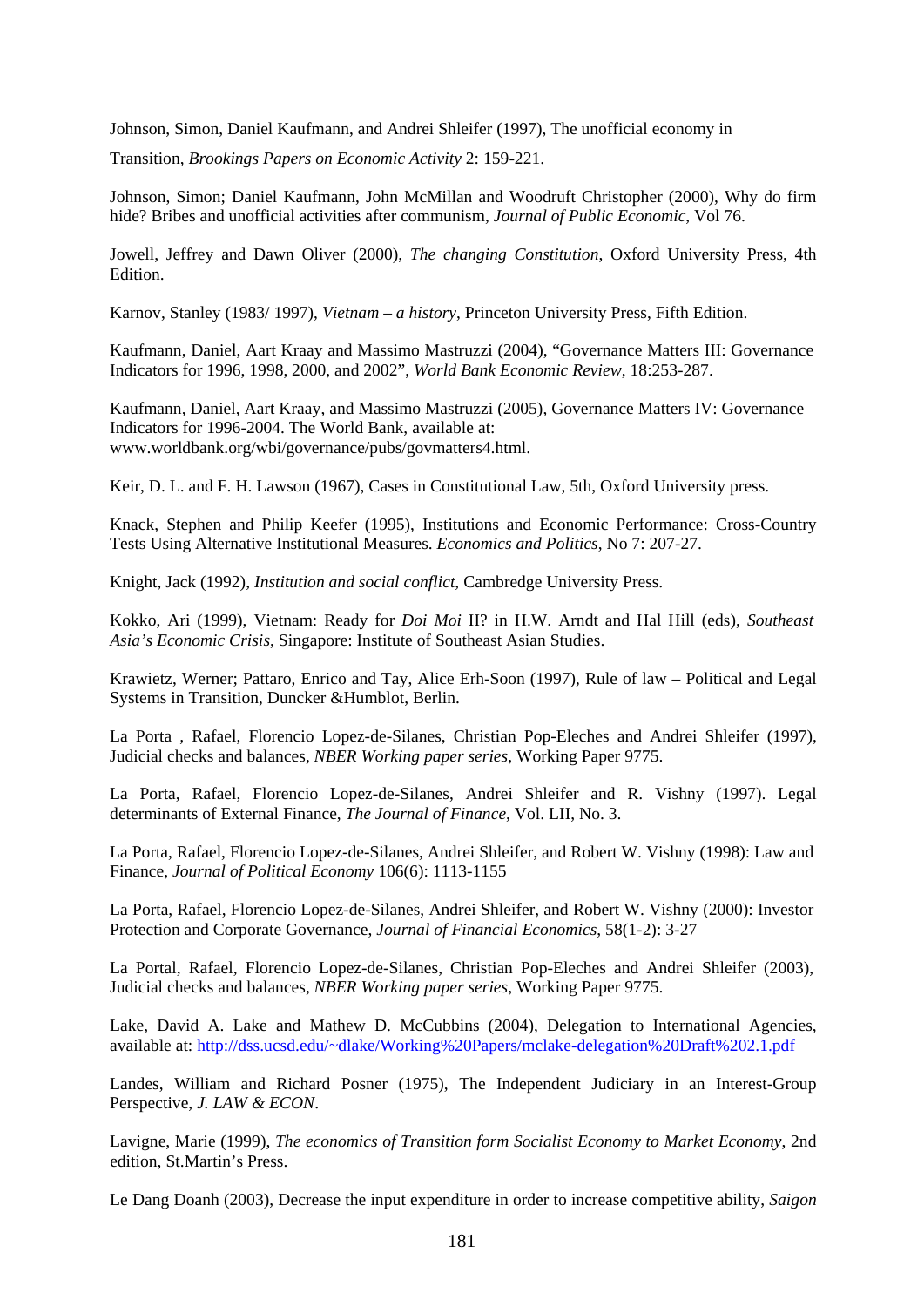Johnson, Simon, Daniel Kaufmann, and Andrei Shleifer (1997), The unofficial economy in

Transition, *Brookings Papers on Economic Activity* 2: 159-221.

Johnson, Simon; Daniel Kaufmann, John McMillan and Woodruft Christopher (2000), Why do firm hide? Bribes and unofficial activities after communism, *Journal of Public Economic*, Vol 76.

Jowell, Jeffrey and Dawn Oliver (2000), *The changing Constitution*, Oxford University Press, 4th Edition.

Karnov, Stanley (1983/ 1997), *Vietnam – a history*, Princeton University Press, Fifth Edition.

Kaufmann, Daniel, Aart Kraay and Massimo Mastruzzi (2004), "Governance Matters III: Governance Indicators for 1996, 1998, 2000, and 2002", *World Bank Economic Review*, 18:253-287.

Kaufmann, Daniel, Aart Kraay, and Massimo Mastruzzi (2005), Governance Matters IV: Governance Indicators for 1996-2004. The World Bank, available at: [www.worldbank.org/wbi/governance/pubs/govmatters4.html](http://www.worldbank.org/wbi/governance/pubs/govmatters4.html).

Keir, D. L. and F. H. Lawson (1967), Cases in Constitutional Law, 5th, Oxford University press.

Knack, Stephen and Philip Keefer (1995), Institutions and Economic Performance: Cross-Country Tests Using Alternative Institutional Measures. *Economics and Politics*, No 7: 207-27.

Knight, Jack (1992), *Institution and social conflict*, Cambredge University Press.

Kokko, Ari (1999), Vietnam: Ready for *Doi Moi* II? in H.W. Arndt and Hal Hill (eds), *Southeast Asia's Economic Crisis*, Singapore: Institute of Southeast Asian Studies.

Krawietz, Werner; Pattaro, Enrico and Tay, Alice Erh-Soon (1997), Rule of law – Political and Legal Systems in Transition, Duncker &Humblot, Berlin.

La Porta *,* Rafael, Florencio Lopez-de-Silanes, Christian Pop-Eleches and Andrei Shleifer (1997), Judicial checks and balances, *NBER Working paper series*, Working Paper 9775.

La Porta, Rafael, Florencio Lopez-de-Silanes, Andrei Shleifer and R. Vishny (1997). Legal determinants of External Finance, *The Journal of Finance*, Vol. LII, No. 3.

La Porta, Rafael, Florencio Lopez-de-Silanes, Andrei Shleifer, and Robert W. Vishny (1998): Law and Finance, *Journal of Political Economy* 106(6): 1113-1155

La Porta, Rafael, Florencio Lopez-de-Silanes, Andrei Shleifer, and Robert W. Vishny (2000): Investor Protection and Corporate Governance, *Journal of Financial Economics*, 58(1-2): 3-27

La Portal, Rafael, Florencio Lopez-de-Silanes, Christian Pop-Eleches and Andrei Shleifer (2003), Judicial checks and balances, *NBER Working paper series*, Working Paper 9775.

Lake, David A. Lake and Mathew D. McCubbins (2004), Delegation to International Agencies, available at: [http://dss.ucsd.edu/~dlake/Working%20Papers/mclake-delegation%20Draft%202.1.pdf](http://dss.ucsd.edu/%7Edlake/Working%20Papers/mclake-delegation%20Draft%202.1.pdf)

Landes, William and Richard Posner (1975), The Independent Judiciary in an Interest-Group Perspective, *J. LAW & ECON*.

Lavigne, Marie (1999), *The economics of Transition form Socialist Economy to Market Economy*, 2nd edition, St.Martin's Press.

Le Dang Doanh (2003), Decrease the input expenditure in order to increase competitive ability, *Saigon*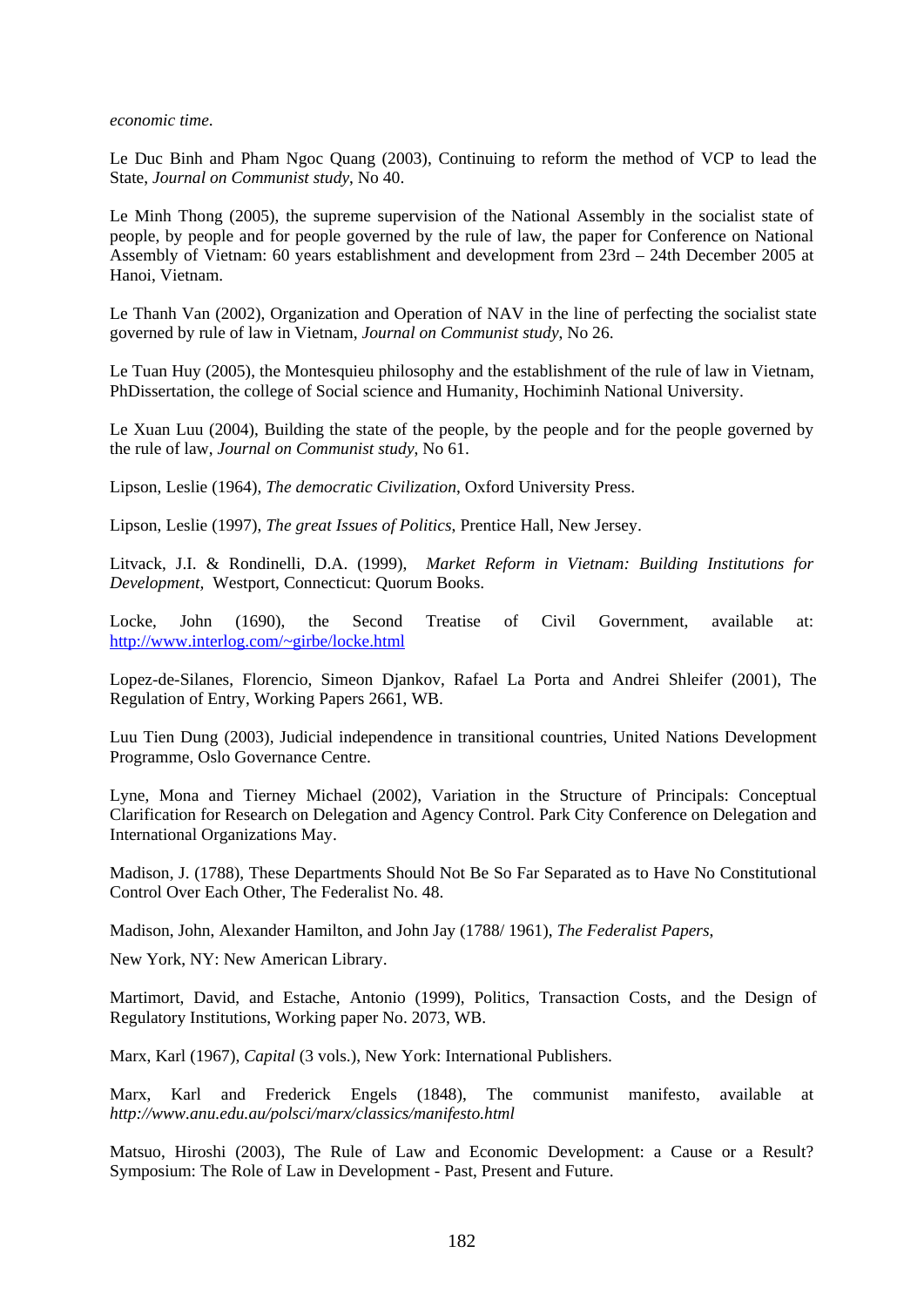*economic time*.

Le Duc Binh and Pham Ngoc Quang (2003), Continuing to reform the method of VCP to lead the State, *Journal on Communist study*, No 40.

Le Minh Thong (2005), the supreme supervision of the National Assembly in the socialist state of people, by people and for people governed by the rule of law, the paper for Conference on National Assembly of Vietnam: 60 years establishment and development from 23rd – 24th December 2005 at Hanoi, Vietnam.

Le Thanh Van (2002), Organization and Operation of NAV in the line of perfecting the socialist state governed by rule of law in Vietnam, *Journal on Communist study*, No 26.

Le Tuan Huy (2005), the Montesquieu philosophy and the establishment of the rule of law in Vietnam, PhDissertation, the college of Social science and Humanity, Hochiminh National University.

Le Xuan Luu (2004), Building the state of the people, by the people and for the people governed by the rule of law, *Journal on Communist study*, No 61.

Lipson, Leslie (1964), *The democratic Civilization*, Oxford University Press.

Lipson, Leslie (1997), *The great Issues of Politics*, Prentice Hall, New Jersey.

Litvack, J.I. & Rondinelli, D.A. (1999), *Market Reform in Vietnam: Building Institutions for Development,* Westport, Connecticut: Quorum Books.

Locke, John (1690), the Second Treatise of Civil Government, available at: [http://www.interlog.com/~girbe/locke.html](http://www.interlog.com/%7Egirbe/locke.html)

Lopez-de-Silanes, Florencio, Simeon Djankov, Rafael La Porta and Andrei Shleifer (2001), The Regulation of Entry, Working Papers 2661, WB.

Luu Tien Dung (2003), Judicial independence in transitional countries, United Nations Development Programme, Oslo Governance Centre.

Lyne, Mona and Tierney Michael (2002), Variation in the Structure of Principals: Conceptual Clarification for Research on Delegation and Agency Control. Park City Conference on Delegation and International Organizations May.

Madison, J. (1788), These Departments Should Not Be So Far Separated as to Have No Constitutional Control Over Each Other, The Federalist No. 48.

Madison, John, Alexander Hamilton, and John Jay (1788/ 1961), *The Federalist Papers*,

New York, NY: New American Library.

Martimort, David, and Estache, Antonio (1999), Politics, Transaction Costs, and the Design of Regulatory Institutions, Working paper No. 2073, WB.

Marx, Karl (1967), *Capital* (3 vols.), New York: International Publishers.

Marx, Karl and Frederick Engels (1848), The communist manifesto, available at *<http://www.anu.edu.au/polsci/marx/classics/manifesto.html>*

Matsuo, Hiroshi (2003), The Rule of Law and Economic Development: a Cause or a Result? Symposium: The Role of Law in Development - Past, Present and Future.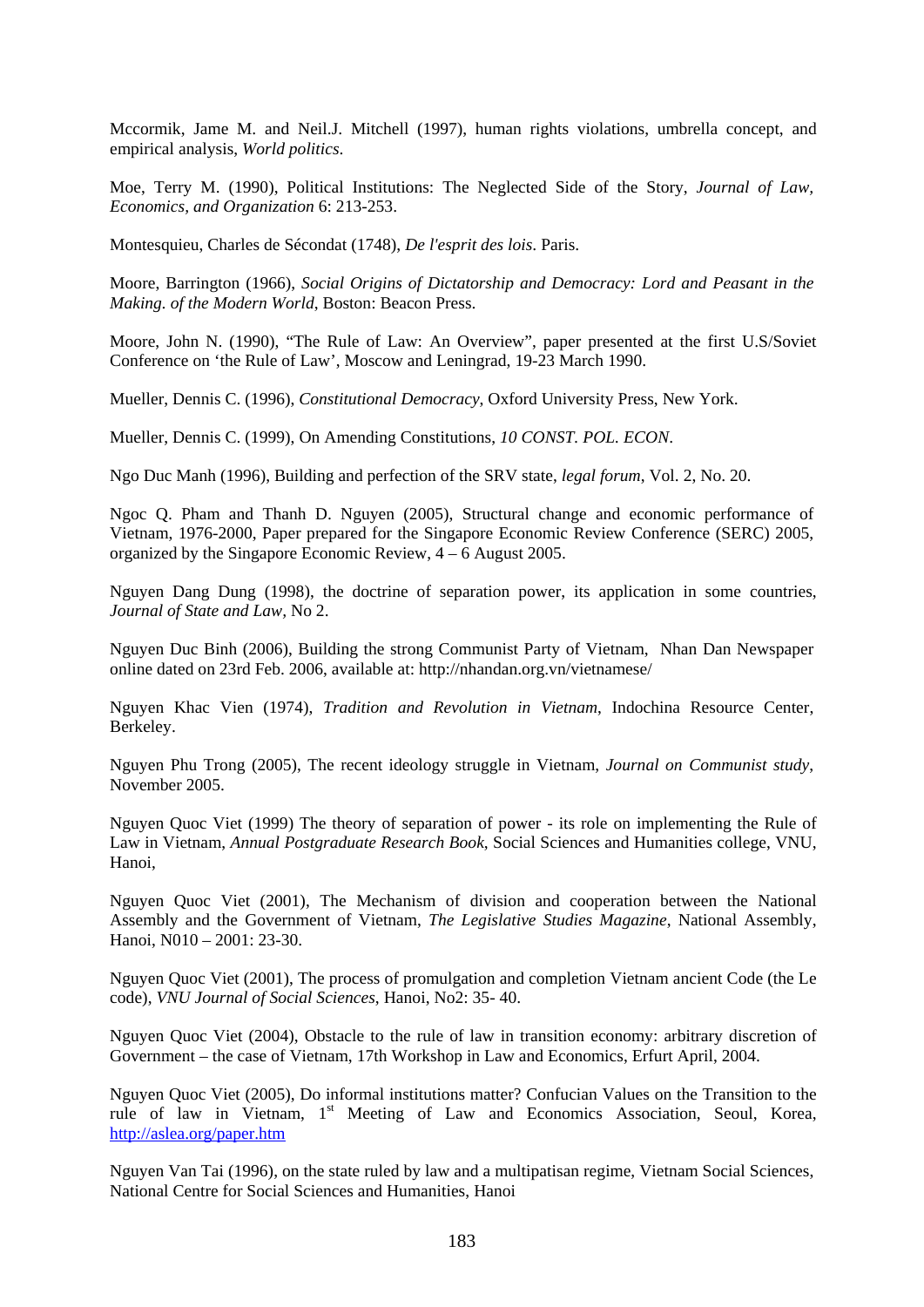Mccormik, Jame M. and Neil.J. Mitchell (1997), human rights violations, umbrella concept, and empirical analysis, *World politics*.

Moe, Terry M. (1990), Political Institutions: The Neglected Side of the Story, *Journal of Law, Economics, and Organization* 6: 213-253.

Montesquieu, Charles de Sécondat (1748), *De l'esprit des lois*. Paris.

Moore, Barrington (1966), *Social Origins of Dictatorship and Democracy: Lord and Peasant in the Making. of the Modern World*, Boston: Beacon Press.

Moore, John N. (1990), "The Rule of Law: An Overview", paper presented at the first U.S/Soviet Conference on 'the Rule of Law', Moscow and Leningrad, 19-23 March 1990.

Mueller, Dennis C. (1996), *Constitutional Democracy*, Oxford University Press, New York.

Mueller, Dennis C. (1999), On Amending Constitutions, *10 CONST. POL. ECON*.

Ngo Duc Manh (1996), Building and perfection of the SRV state, *legal forum*, Vol. 2, No. 20.

Ngoc Q. Pham and Thanh D. Nguyen (2005), Structural change and economic performance of Vietnam, 1976-2000, Paper prepared for the Singapore Economic Review Conference (SERC) 2005, organized by the Singapore Economic Review, 4 – 6 August 2005.

Nguyen Dang Dung (1998), the doctrine of separation power, its application in some countries, *Journal of State and Law,* No 2.

Nguyen Duc Binh (2006), Building the strong Communist Party of Vietnam, Nhan Dan Newspaper online dated on 23rd Feb. 2006, available at: [http://nhandan.org.vn/vietnamese/](http://nhandan.org.vn/vietnamese/20020326/bai-tsluat.html)

Nguyen Khac Vien (1974), *Tradition and Revolution in Vietnam*, Indochina Resource Center, Berkeley.

Nguyen Phu Trong (2005), The recent ideology struggle in Vietnam, *Journal on Communist study*, November 2005.

Nguyen Quoc Viet (1999) The theory of separation of power - its role on implementing the Rule of Law in Vietnam, *Annual Postgraduate Research Book*, Social Sciences and Humanities college, VNU, Hanoi,

Nguyen Quoc Viet (2001), The Mechanism of division and cooperation between the National Assembly and the Government of Vietnam, *The Legislative Studies Magazine*, National Assembly, Hanoi, N010 – 2001: 23-30.

Nguyen Quoc Viet (2001), The process of promulgation and completion Vietnam ancient Code (the Le code), *VNU Journal of Social Sciences*, Hanoi, No2: 35- 40.

Nguyen Quoc Viet (2004), Obstacle to the rule of law in transition economy: arbitrary discretion of Government – the case of Vietnam, 17th Workshop in Law and Economics, Erfurt April, 2004.

Nguyen Quoc Viet (2005), Do informal institutions matter? Confucian Values on the Transition to the rule of law in Vietnam, 1<sup>st</sup> Meeting of Law and Economics Association, Seoul, Korea, <http://aslea.org/paper.htm>

Nguyen Van Tai (1996), on the state ruled by law and a multipatisan regime, Vietnam Social Sciences, National Centre for Social Sciences and Humanities, Hanoi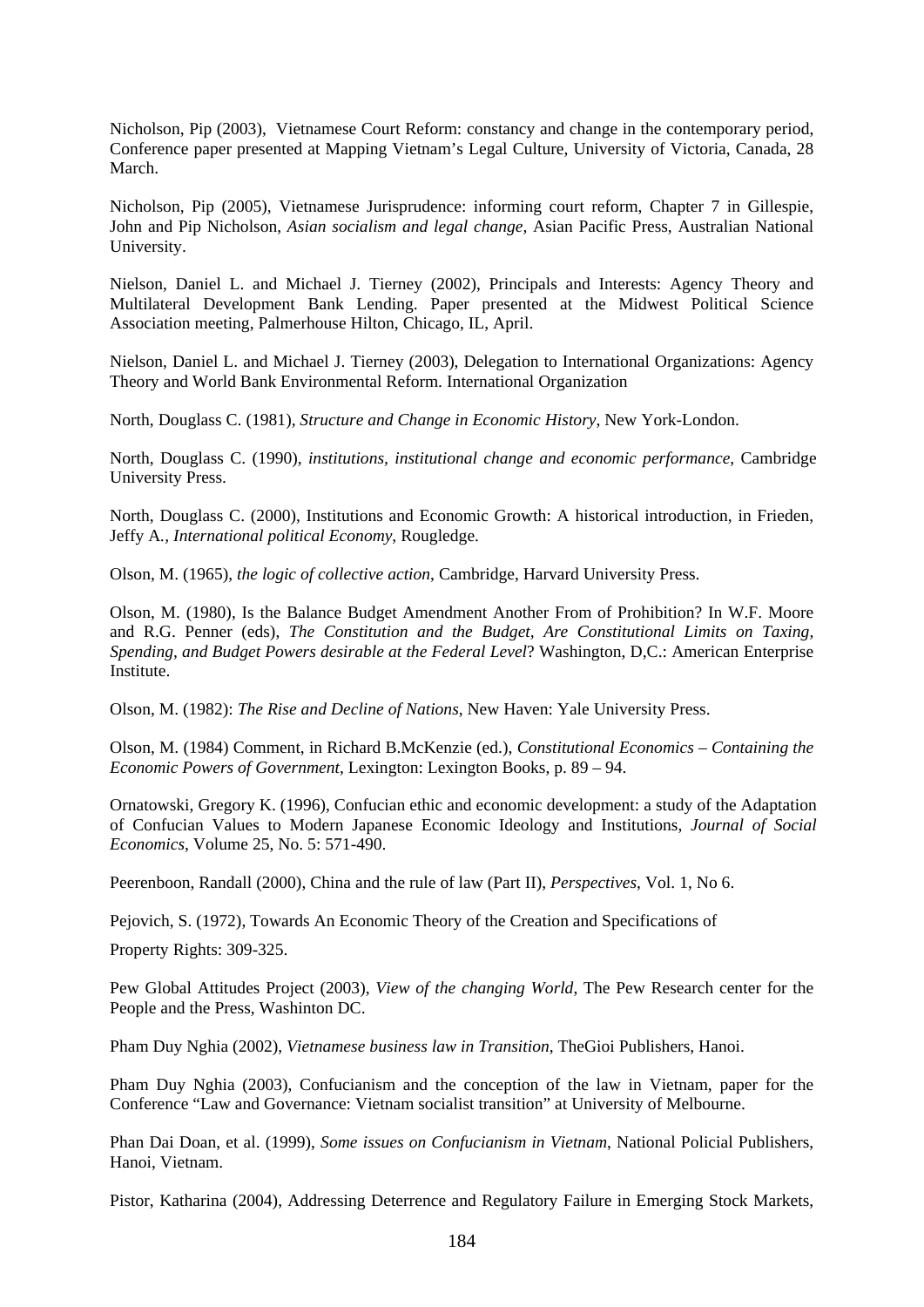Nicholson, Pip (2003), Vietnamese Court Reform: constancy and change in the contemporary period, Conference paper presented at Mapping Vietnam's Legal Culture, University of Victoria, Canada, 28 March.

Nicholson, Pip (2005), Vietnamese Jurisprudence: informing court reform, Chapter 7 in Gillespie, John and Pip Nicholson, *Asian socialism and legal change,* Asian Pacific Press, Australian National University.

Nielson, Daniel L. and Michael J. Tierney (2002), Principals and Interests: Agency Theory and Multilateral Development Bank Lending. Paper presented at the Midwest Political Science Association meeting, Palmerhouse Hilton, Chicago, IL, April.

Nielson, Daniel L. and Michael J. Tierney (2003), Delegation to International Organizations: Agency Theory and World Bank Environmental Reform. International Organization

North, Douglass C. (1981)*, Structure and Change in Economic History*, New York-London.

North, Douglass C. (1990), *institutions, institutional change and economic performance*, Cambridge University Press.

North, Douglass C. (2000), Institutions and Economic Growth: A historical introduction, in Frieden, Jeffy A*., International political Economy*, Rougledge.

Olson, M. (1965), *the logic of collective action*, Cambridge, Harvard University Press.

Olson, M. (1980), Is the Balance Budget Amendment Another From of Prohibition? In W.F. Moore and R.G. Penner (eds), *The Constitution and the Budget, Are Constitutional Limits on Taxing, Spending, and Budget Powers desirable at the Federal Level*? Washington, D,C.: American Enterprise Institute.

Olson, M. (1982): *The Rise and Decline of Nations*, New Haven: Yale University Press.

Olson, M. (1984) Comment, in Richard B.McKenzie (ed.), *Constitutional Economics – Containing the Economic Powers of Government*, Lexington: Lexington Books, p. 89 – 94.

Ornatowski, Gregory K. (1996), Confucian ethic and economic development: a study of the Adaptation of Confucian Values to Modern Japanese Economic Ideology and Institutions, *Journal of Social Economics*, Volume 25, No. 5: 571-490.

Peerenboon, Randall (2000), China and the rule of law (Part II), *Perspectives*, Vol. 1, No 6.

Pejovich, S. (1972), Towards An Economic Theory of the Creation and Specifications of

Property Rights: 309-325.

Pew Global Attitudes Project (2003), *View of the changing World*, The Pew Research center for the People and the Press, Washinton DC.

Pham Duy Nghia (2002), *Vietnamese business law in Transition*, TheGioi Publishers, Hanoi.

Pham Duy Nghia (2003), Confucianism and the conception of the law in Vietnam, paper for the Conference "Law and Governance: Vietnam socialist transition" at University of Melbourne.

Phan Dai Doan, et al. (1999), *Some issues on Confucianism in Vietnam*, National Policial Publishers, Hanoi, Vietnam.

Pistor, Katharina (2004), Addressing Deterrence and Regulatory Failure in Emerging Stock Markets,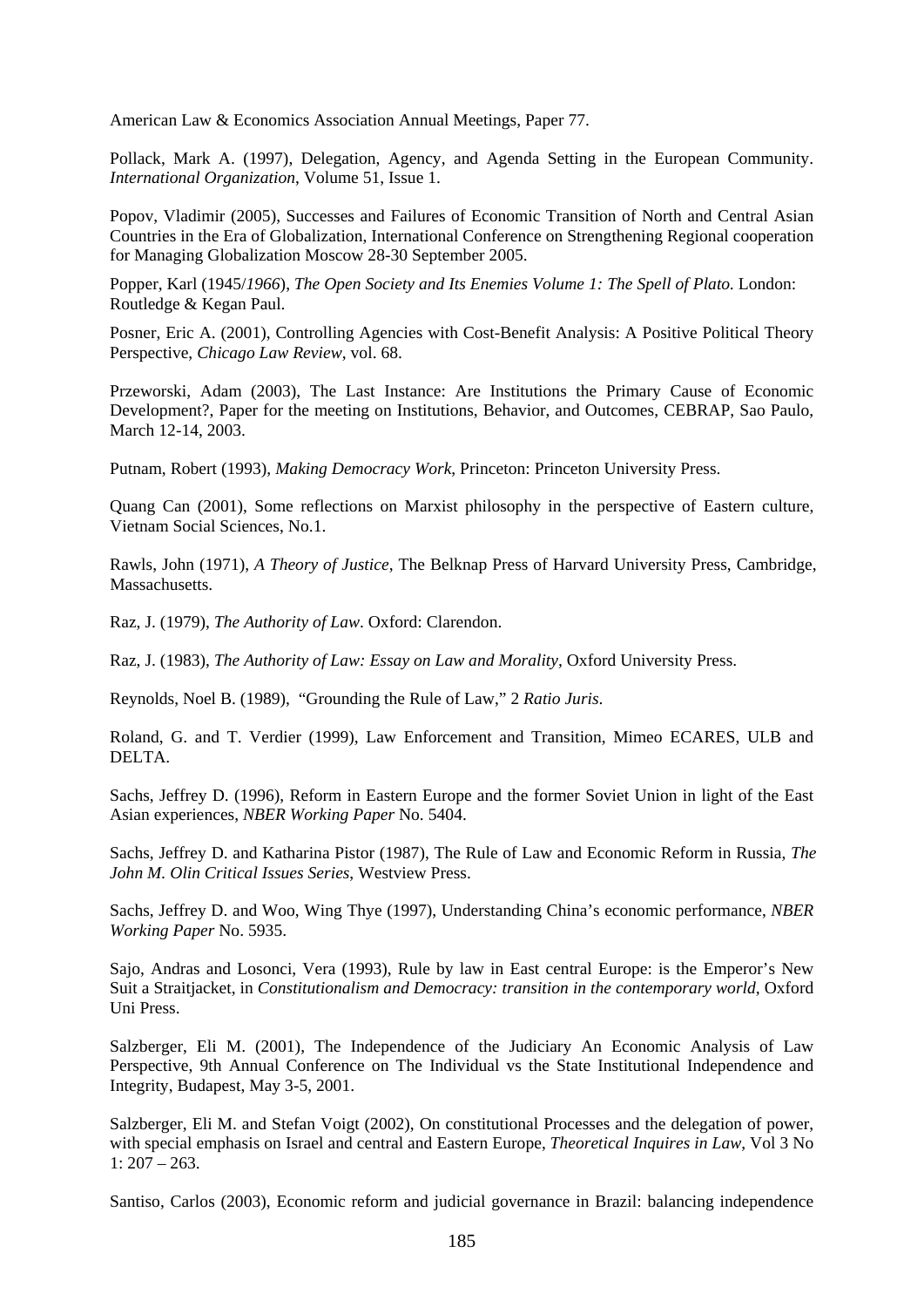American Law & Economics Association Annual Meetings, Paper 77.

Pollack, Mark A. (1997), Delegation, Agency, and Agenda Setting in the European Community. *International Organization*, Volume 51, Issue 1.

Popov, Vladimir (2005), Successes and Failures of Economic Transition of North and Central Asian Countries in the Era of Globalization, International Conference on Strengthening Regional cooperation for Managing Globalization Moscow 28-30 September 2005.

Popper, Karl (1945/*1966*), *The Open Society and Its Enemies Volume 1: The Spell of Plato.* London: Routledge & Kegan Paul.

Posner, Eric A. (2001), Controlling Agencies with Cost-Benefit Analysis: A Positive Political Theory Perspective, *Chicago Law Review*, vol. 68.

Przeworski, Adam (2003), The Last Instance: Are Institutions the Primary Cause of Economic Development?, Paper for the meeting on Institutions, Behavior, and Outcomes, CEBRAP, Sao Paulo, March 12-14, 2003.

Putnam, Robert (1993), *Making Democracy Work*, Princeton: Princeton University Press.

Quang Can (2001), Some reflections on Marxist philosophy in the perspective of Eastern culture, Vietnam Social Sciences, No.1.

Rawls, John (1971), *A Theory of Justice*, The Belknap Press of Harvard University Press, Cambridge, Massachusetts.

Raz, J. (1979), *The Authority of Law*. Oxford: Clarendon.

Raz, J. (1983), *The Authority of Law: Essay on Law and Morality,* Oxford University Press.

Reynolds, Noel B. (1989), "Grounding the Rule of Law," 2 *Ratio Juris*.

Roland, G. and T. Verdier (1999), Law Enforcement and Transition, Mimeo ECARES, ULB and DELTA.

Sachs, Jeffrey D. (1996), Reform in Eastern Europe and the former Soviet Union in light of the East Asian experiences, *NBER Working Paper* No. 5404.

Sachs, Jeffrey D. and Katharina Pistor (1987), The Rule of Law and Economic Reform in Russia, *The John M. Olin Critical Issues Series*, Westview Press.

Sachs, Jeffrey D. and Woo, Wing Thye (1997), Understanding China's economic performance, *NBER Working Paper* No. 5935.

Sajo, Andras and Losonci, Vera (1993), Rule by law in East central Europe: is the Emperor's New Suit a Straitjacket, in *Constitutionalism and Democracy: transition in the contemporary world*, Oxford Uni Press.

Salzberger, Eli M. (2001), The Independence of the Judiciary An Economic Analysis of Law Perspective, 9th Annual Conference on The Individual vs the State Institutional Independence and Integrity, Budapest, May 3-5, 2001.

Salzberger, Eli M. and Stefan Voigt (2002), On constitutional Processes and the delegation of power, with special emphasis on Israel and central and Eastern Europe, *Theoretical Inquires in Law*, Vol 3 No  $1: 207 - 263.$ 

Santiso, Carlos (2003), Economic reform and judicial governance in Brazil: balancing independence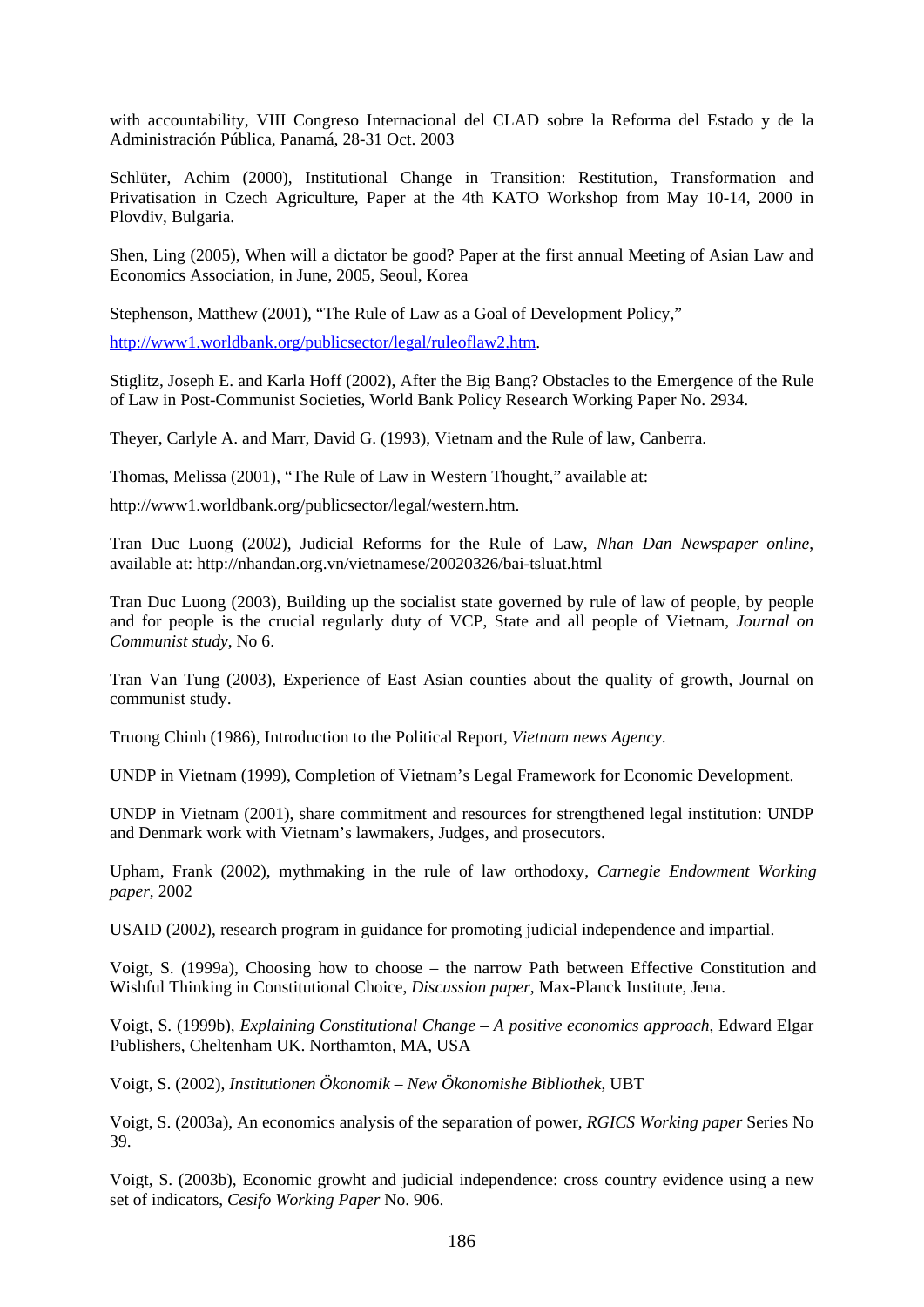with accountability, VIII Congreso Internacional del CLAD sobre la Reforma del Estado y de la Administración Pública, Panamá, 28-31 Oct. 2003

Schlüter, Achim (2000), Institutional Change in Transition: Restitution, Transformation and Privatisation in Czech Agriculture, Paper at the 4th KATO Workshop from May 10-14, 2000 in Plovdiv, Bulgaria.

Shen, Ling (2005), When will a dictator be good? Paper at the first annual Meeting of Asian Law and Economics Association, in June, 2005, Seoul, Korea

Stephenson, Matthew (2001), "The Rule of Law as a Goal of Development Policy,"

[http://www1.worldbank.org/publicsector/legal/ruleoflaw2.htm.](http://www1.worldbank.org/publicsector/legal/ruleoflaw2.htm)

Stiglitz, Joseph E. and Karla Hoff (2002), After the Big Bang? Obstacles to the Emergence of the Rule of Law in Post-Communist Societies*,* World Bank Policy Research Working Paper No. 2934.

Theyer, Carlyle A. and Marr, David G. (1993), Vietnam and the Rule of law, Canberra.

Thomas, Melissa (2001), "The Rule of Law in Western Thought," available at:

http://www1.worldbank.org/publicsector/legal/western.htm.

Tran Duc Luong (2002), Judicial Reforms for the Rule of Law, *Nhan Dan Newspaper online*, available at:<http://nhandan.org.vn/vietnamese/20020326/bai-tsluat.html>

Tran Duc Luong (2003), Building up the socialist state governed by rule of law of people, by people and for people is the crucial regularly duty of VCP, State and all people of Vietnam, *Journal on Communist study*, No 6.

Tran Van Tung (2003), Experience of East Asian counties about the quality of growth, Journal on communist study.

Truong Chinh (1986), Introduction to the Political Report, *Vietnam news Agency*.

UNDP in Vietnam (1999), Completion of Vietnam's Legal Framework for Economic Development.

UNDP in Vietnam (2001), share commitment and resources for strengthened legal institution: UNDP and Denmark work with Vietnam's lawmakers, Judges, and prosecutors.

Upham, Frank (2002), mythmaking in the rule of law orthodoxy, *Carnegie Endowment Working paper*, 2002

USAID (2002), research program in guidance for promoting judicial independence and impartial.

Voigt, S. (1999a), Choosing how to choose – the narrow Path between Effective Constitution and Wishful Thinking in Constitutional Choice, *Discussion paper*, Max-Planck Institute, Jena.

Voigt, S. (1999b), *Explaining Constitutional Change – A positive economics approach*, Edward Elgar Publishers, Cheltenham UK. Northamton, MA, USA

Voigt, S. (2002), *Institutionen Ökonomik – New Ökonomishe Bibliothek*, UBT

Voigt, S. (2003a), An economics analysis of the separation of power, *RGICS Working paper* Series No 39.

Voigt, S. (2003b), Economic growht and judicial independence: cross country evidence using a new set of indicators, *Cesifo Working Paper* No. 906.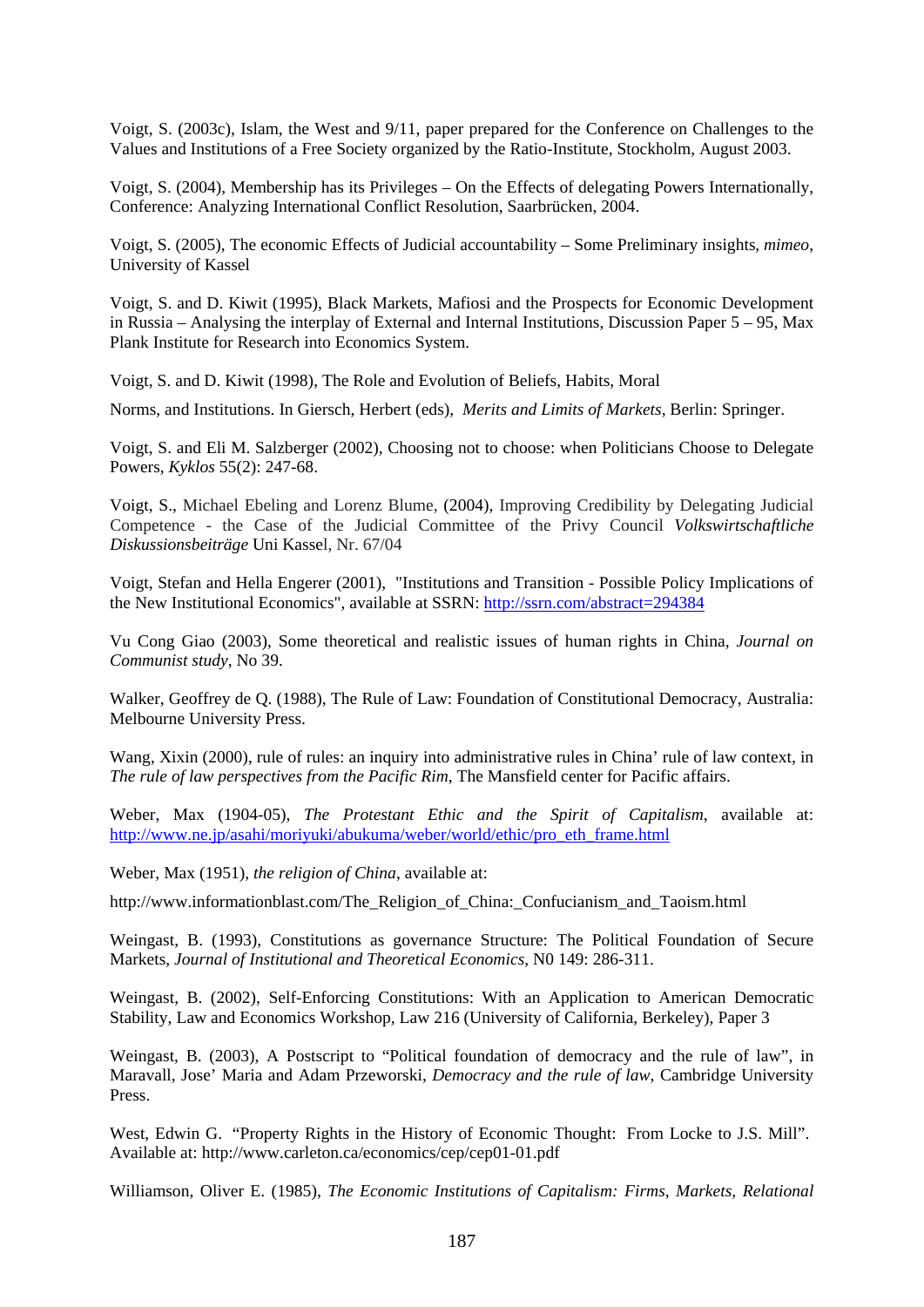Voigt, S. (2003c), Islam, the West and 9/11, paper prepared for the Conference on Challenges to the Values and Institutions of a Free Society organized by the Ratio-Institute, Stockholm, August 2003.

Voigt, S. (2004), Membership has its Privileges – On the Effects of delegating Powers Internationally, Conference: Analyzing International Conflict Resolution, Saarbrücken, 2004.

Voigt, S. (2005), The economic Effects of Judicial accountability – Some Preliminary insights, *mimeo*, University of Kassel

Voigt, S. and D. Kiwit (1995), Black Markets, Mafiosi and the Prospects for Economic Development in Russia – Analysing the interplay of External and Internal Institutions, Discussion Paper 5 – 95, Max Plank Institute for Research into Economics System.

Voigt, S. and D. Kiwit (1998), The Role and Evolution of Beliefs, Habits, Moral

Norms, and Institutions. In Giersch, Herbert (eds), *Merits and Limits of Markets,* Berlin: Springer.

Voigt, S. and Eli M. Salzberger (2002), Choosing not to choose: when Politicians Choose to Delegate Powers, *Kyklos* 55(2): 247-68.

Voigt, S., Michael Ebeling and Lorenz Blume, (2004), Improving Credibility by Delegating Judicial Competence - the Case of the Judicial Committee of the Privy Council *Volkswirtschaftliche Diskussionsbeiträge* Uni Kassel, Nr. 67/04

Voigt, Stefan and Hella Engerer (2001), "Institutions and Transition - Possible Policy Implications of the New Institutional Economics", available at SSRN: <http://ssrn.com/abstract=294384>

Vu Cong Giao (2003), Some theoretical and realistic issues of human rights in China, *Journal on Communist study*, No 39.

Walker, Geoffrey de Q. (1988), The Rule of Law: Foundation of Constitutional Democracy, Australia: Melbourne University Press.

Wang, Xixin (2000), rule of rules: an inquiry into administrative rules in China' rule of law context, in *The rule of law perspectives from the Pacific Rim*, The Mansfield center for Pacific affairs.

Weber, Max (1904-05), *The Protestant Ethic and the Spirit of Capitalism*, available at: [http://www.ne.jp/asahi/moriyuki/abukuma/weber/world/ethic/pro\\_eth\\_frame.html](http://www.ne.jp/asahi/moriyuki/abukuma/weber/world/ethic/pro_eth_frame.html)

Weber, Max (1951), *the religion of China*, available at:

[http://www.informationblast.com/The\\_Religion\\_of\\_China:\\_Confucianism\\_and\\_Taoism.html](http://www.informationblast.com/The_Religion_of_China:_Confucianism_and_Taoism.html)

Weingast, B. (1993), Constitutions as governance Structure: The Political Foundation of Secure Markets, *Journal of Institutional and Theoretical Economics*, N0 149: 286-311.

Weingast, B. (2002), Self-Enforcing Constitutions: With an Application to American Democratic Stability, Law and Economics Workshop, Law 216 (University of California, Berkeley), Paper 3

Weingast, B. (2003), A Postscript to "Political foundation of democracy and the rule of law", in Maravall, Jose' Maria and Adam Przeworski, *Democracy and the rule of law*, Cambridge University Press.

West, Edwin G. "Property Rights in the History of Economic Thought: From Locke to J.S. Mill". Available at[: http://www.carleton.ca/economics/cep/cep01-01.pdf](http://www.carleton.ca/economics/cep/cep01-01.pdf)

Williamson, Oliver E. (1985), *The Economic Institutions of Capitalism: Firms, Markets, Relational*